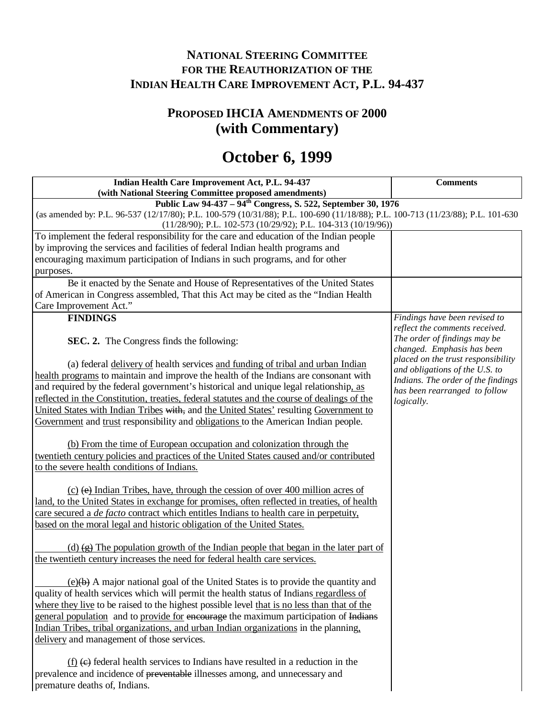# **NATIONAL STEERING COMMITTEE FOR THE REAUTHORIZATION OF THE INDIAN HEALTH CARE IMPROVEMENT ACT, P.L. 94-437**

# **PROPOSED IHCIA AMENDMENTS OF 2000 (with Commentary)**

# **October 6, 1999**

| Indian Health Care Improvement Act, P.L. 94-437                                                                                 | <b>Comments</b>                                                  |
|---------------------------------------------------------------------------------------------------------------------------------|------------------------------------------------------------------|
| (with National Steering Committee proposed amendments)                                                                          |                                                                  |
| Public Law 94-437 – 94 <sup>th</sup> Congress, S. 522, September 30, 1976                                                       |                                                                  |
| (as amended by: P.L. 96-537 (12/17/80); P.L. 100-579 (10/31/88); P.L. 100-690 (11/18/88); P.L. 100-713 (11/23/88); P.L. 101-630 |                                                                  |
| $(11/28/90)$ ; P.L. 102-573 (10/29/92); P.L. 104-313 (10/19/96))                                                                |                                                                  |
| To implement the federal responsibility for the care and education of the Indian people                                         |                                                                  |
| by improving the services and facilities of federal Indian health programs and                                                  |                                                                  |
| encouraging maximum participation of Indians in such programs, and for other                                                    |                                                                  |
| purposes.                                                                                                                       |                                                                  |
| Be it enacted by the Senate and House of Representatives of the United States                                                   |                                                                  |
| of American in Congress assembled, That this Act may be cited as the "Indian Health                                             |                                                                  |
| Care Improvement Act."                                                                                                          |                                                                  |
| <b>FINDINGS</b>                                                                                                                 | Findings have been revised to                                    |
|                                                                                                                                 | reflect the comments received.                                   |
| SEC. 2. The Congress finds the following:                                                                                       | The order of findings may be                                     |
|                                                                                                                                 | changed. Emphasis has been<br>placed on the trust responsibility |
| (a) federal delivery of health services and funding of tribal and urban Indian                                                  | and obligations of the U.S. to                                   |
| health programs to maintain and improve the health of the Indians are consonant with                                            | Indians. The order of the findings                               |
| and required by the federal government's historical and unique legal relationship, as                                           | has been rearranged to follow                                    |
| reflected in the Constitution, treaties, federal statutes and the course of dealings of the                                     | logically.                                                       |
| United States with Indian Tribes with, and the United States' resulting Government to                                           |                                                                  |
| Government and trust responsibility and obligations to the American Indian people.                                              |                                                                  |
|                                                                                                                                 |                                                                  |
| (b) From the time of European occupation and colonization through the                                                           |                                                                  |
| twentieth century policies and practices of the United States caused and/or contributed                                         |                                                                  |
| to the severe health conditions of Indians.                                                                                     |                                                                  |
|                                                                                                                                 |                                                                  |
| $(c)$ (e) Indian Tribes, have, through the cession of over 400 million acres of                                                 |                                                                  |
| land, to the United States in exchange for promises, often reflected in treaties, of health                                     |                                                                  |
| care secured a <i>de facto</i> contract which entitles Indians to health care in perpetuity,                                    |                                                                  |
| based on the moral legal and historic obligation of the United States.                                                          |                                                                  |
|                                                                                                                                 |                                                                  |
| (d) $\left(\frac{1}{2}\right)$ The population growth of the Indian people that began in the later part of                       |                                                                  |
| the twentieth century increases the need for federal health care services.                                                      |                                                                  |
|                                                                                                                                 |                                                                  |
| (e)(b) A major national goal of the United States is to provide the quantity and                                                |                                                                  |
| quality of health services which will permit the health status of Indians regardless of                                         |                                                                  |
| where they live to be raised to the highest possible level that is no less than that of the                                     |                                                                  |
| general population and to provide for encourage the maximum participation of Indians                                            |                                                                  |
| Indian Tribes, tribal organizations, and urban Indian organizations in the planning,                                            |                                                                  |
| delivery and management of those services.                                                                                      |                                                                  |
| $(f)$ (e) federal health services to Indians have resulted in a reduction in the                                                |                                                                  |
| prevalence and incidence of preventable illnesses among, and unnecessary and                                                    |                                                                  |
| premature deaths of, Indians.                                                                                                   |                                                                  |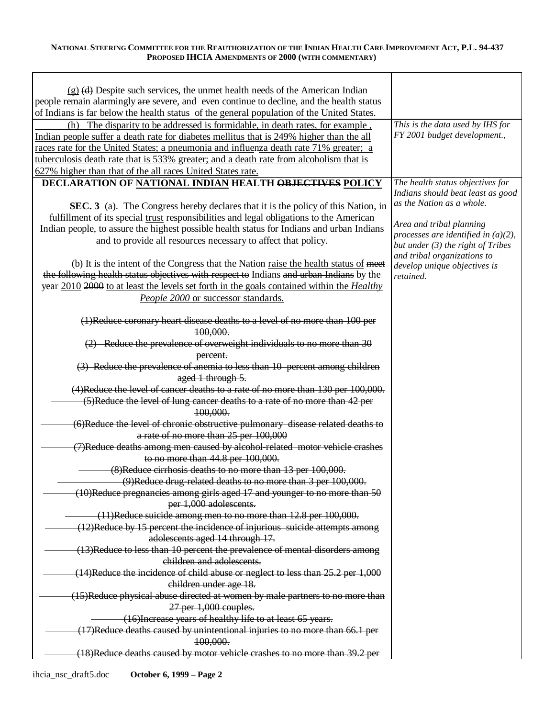| $(g)$ (d) Despite such services, the unmet health needs of the American Indian                                |                                                                       |
|---------------------------------------------------------------------------------------------------------------|-----------------------------------------------------------------------|
| people remain alarmingly are severe, and even continue to decline, and the health status                      |                                                                       |
| of Indians is far below the health status of the general population of the United States.                     |                                                                       |
| (h) The disparity to be addressed is formidable, in death rates, for example,                                 | This is the data used by IHS for                                      |
| Indian people suffer a death rate for diabetes mellitus that is 249% higher than the all                      | FY 2001 budget development.,                                          |
| races rate for the United States; a pneumonia and influenza death rate 71% greater; a                         |                                                                       |
| tuberculosis death rate that is 533% greater; and a death rate from alcoholism that is                        |                                                                       |
| 627% higher than that of the all races United States rate.                                                    |                                                                       |
| DECLARATION OF NATIONAL INDIAN HEALTH OBJECTIVES POLICY                                                       | The health status objectives for<br>Indians should beat least as good |
| SEC. 3 (a). The Congress hereby declares that it is the policy of this Nation, in                             | as the Nation as a whole.                                             |
| fulfillment of its special trust responsibilities and legal obligations to the American                       | Area and tribal planning                                              |
| Indian people, to assure the highest possible health status for Indians and urban Indians                     | processes are identified in $(a)(2)$ ,                                |
| and to provide all resources necessary to affect that policy.                                                 | but under $(3)$ the right of Tribes                                   |
| (b) It is the intent of the Congress that the Nation raise the health status of meet                          | and tribal organizations to                                           |
| the following health status objectives with respect to Indians and urban Indians by the                       | develop unique objectives is<br>retained.                             |
| year 2010 2000 to at least the levels set forth in the goals contained within the <i>Healthy</i>              |                                                                       |
| People 2000 or successor standards.                                                                           |                                                                       |
|                                                                                                               |                                                                       |
| (1)Reduce coronary heart disease deaths to a level of no more than 100 per<br>100,000.                        |                                                                       |
| $(2)$ Reduce the prevalence of overweight individuals to no more than 30                                      |                                                                       |
| percent.                                                                                                      |                                                                       |
| (3) Reduce the prevalence of anemia to less than 10 percent among children                                    |                                                                       |
| aged 1 through 5.                                                                                             |                                                                       |
| (4)Reduce the level of cancer deaths to a rate of no more than 130 per 100,000.                               |                                                                       |
| (5)Reduce the level of lung cancer deaths to a rate of no more than 42 per                                    |                                                                       |
| 100,000.                                                                                                      |                                                                       |
| (6)Reduce the level of chronic obstructive pulmonary disease related deaths to                                |                                                                       |
| a rate of no more than 25 per 100,000                                                                         |                                                                       |
| (7)Reduce deaths among men caused by alcohol-related motor vehicle crashes                                    |                                                                       |
| to no more than 44.8 per 100,000.                                                                             |                                                                       |
| (8) Reduce cirrhosis deaths to no more than 13 per 100,000.                                                   |                                                                       |
| (9)Reduce drug-related deaths to no more than 3 per 100,000.                                                  |                                                                       |
|                                                                                                               |                                                                       |
| (10)Reduce pregnancies among girls aged 17 and younger to no more than 50<br>per 1,000 adolescents.           |                                                                       |
| (11)Reduce suicide among men to no more than 12.8 per 100,000.                                                |                                                                       |
|                                                                                                               |                                                                       |
| (12)Reduce by 15 percent the incidence of injurious suicide attempts among<br>adolescents aged 14 through 17. |                                                                       |
|                                                                                                               |                                                                       |
| (13)Reduce to less than 10 percent the prevalence of mental disorders among<br>children and adolescents.      |                                                                       |
| (14)Reduce the incidence of child abuse or neglect to less than 25.2 per 1,000                                |                                                                       |
| children under age 18.                                                                                        |                                                                       |
|                                                                                                               |                                                                       |
| (15)Reduce physical abuse directed at women by male partners to no more than                                  |                                                                       |
| $27$ per $1,000$ couples.                                                                                     |                                                                       |
| (16) Increase years of healthy life to at least 65 years.                                                     |                                                                       |
| (17)Reduce deaths caused by unintentional injuries to no more than 66.1 per                                   |                                                                       |
| 100,000.                                                                                                      |                                                                       |
| (18) Reduce deaths caused by motor vehicle crashes to no more than 39.2 per                                   |                                                                       |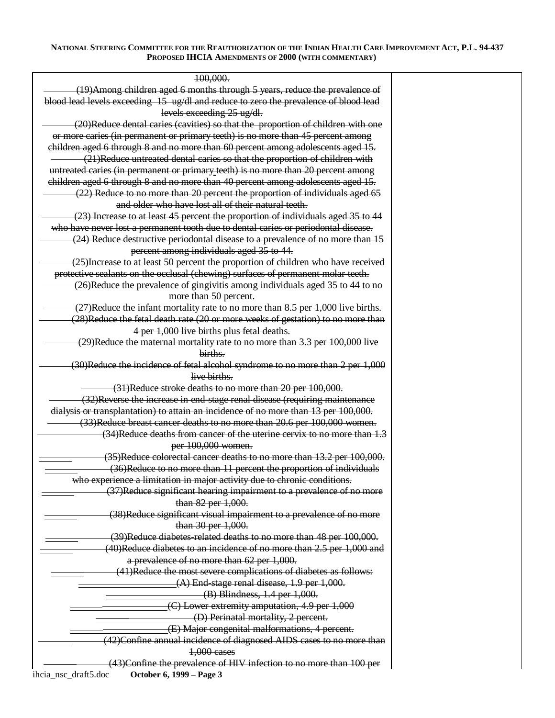| 100,000.                                                                              |  |
|---------------------------------------------------------------------------------------|--|
| (19) Among children aged 6 months through 5 years, reduce the prevalence of           |  |
| blood lead levels exceeding 15 ug/dl and reduce to zero the prevalence of blood lead  |  |
| levels exceeding 25 ug/dl.                                                            |  |
| (20)Reduce dental caries (cavities) so that the proportion of children with one       |  |
| or more caries (in permanent or primary teeth) is no more than 45 percent among       |  |
| children aged 6 through 8 and no more than 60 percent among adolescents aged 15.      |  |
| (21)Reduce untreated dental caries so that the proportion of children with            |  |
| untreated caries (in permanent or primary teeth) is no more than 20 percent among     |  |
| children aged 6 through 8 and no more than 40 percent among adolescents aged 15.      |  |
| (22) Reduce to no more than 20 percent the proportion of individuals aged 65          |  |
| and older who have lost all of their natural teeth.                                   |  |
| (23) Increase to at least 45 percent the proportion of individuals aged 35 to 44      |  |
| who have never lost a permanent tooth due to dental caries or periodontal disease.    |  |
| (24) Reduce destructive periodontal disease to a prevalence of no more than 15        |  |
| percent among individuals aged 35 to 44.                                              |  |
| (25) Increase to at least 50 percent the proportion of children who have received     |  |
| protective sealants on the occlusal (chewing) surfaces of permanent molar teeth.      |  |
| (26)Reduce the prevalence of gingivitis among individuals aged 35 to 44 to no         |  |
| more than 50 percent.                                                                 |  |
| (27)Reduce the infant mortality rate to no more than 8.5 per 1,000 live births.       |  |
| (28)Reduce the fetal death rate (20 or more weeks of gestation) to no more than       |  |
| 4 per 1,000 live births plus fetal deaths.                                            |  |
| (29)Reduce the maternal mortality rate to no more than 3.3 per 100,000 live           |  |
| births.                                                                               |  |
| (30)Reduce the incidence of fetal alcohol syndrome to no more than 2 per 1,000        |  |
| live births.                                                                          |  |
| (31)Reduce stroke deaths to no more than 20 per 100,000.                              |  |
| (32)Reverse the increase in end-stage renal disease (requiring maintenance            |  |
| dialysis or transplantation) to attain an incidence of no more than 13 per 100,000.   |  |
| (33)Reduce breast cancer deaths to no more than 20.6 per 100,000 women.               |  |
| (34)Reduce deaths from cancer of the uterine cervix to no more than 1.3               |  |
| per 100,000 women.                                                                    |  |
| (35)Reduce colorectal cancer deaths to no more than 13.2 per 100,000.                 |  |
| (36)Reduce to no more than 11 percent the proportion of individuals                   |  |
| who experience a limitation in major activity due to chronic conditions.              |  |
| (37)Reduce significant hearing impairment to a prevalence of no more                  |  |
| than 82 per 1,000.                                                                    |  |
| (38)Reduce significant visual impairment to a prevalence of no more                   |  |
| than 30 per 1,000.                                                                    |  |
| (39)Reduce diabetes-related deaths to no more than 48 per 100,000.                    |  |
| (40)Reduce diabetes to an incidence of no more than 2.5 per 1,000 and                 |  |
| a prevalence of no more than 62 per 1,000.                                            |  |
| (41)Reduce the most severe complications of diabetes as follows:                      |  |
| $(A)$ End-stage renal disease, 1.9 per 1,000.                                         |  |
| $(B)$ Blindness, 1.4 per 1,000.                                                       |  |
| $(C)$ Lower extremity amputation, 4.9 per $1,000$                                     |  |
| (D) Perinatal mortality, 2 percent.<br>(E) Major congenital malformations, 4 percent. |  |
|                                                                                       |  |
| (42)Confine annual incidence of diagnosed AIDS cases to no more than<br>1,000 cases   |  |
| (43)Confine the prevalence of HIV infection to no more than 100 per                   |  |
| ihcia_nsc_draft5.doc<br>October 6, 1999 - Page 3                                      |  |
|                                                                                       |  |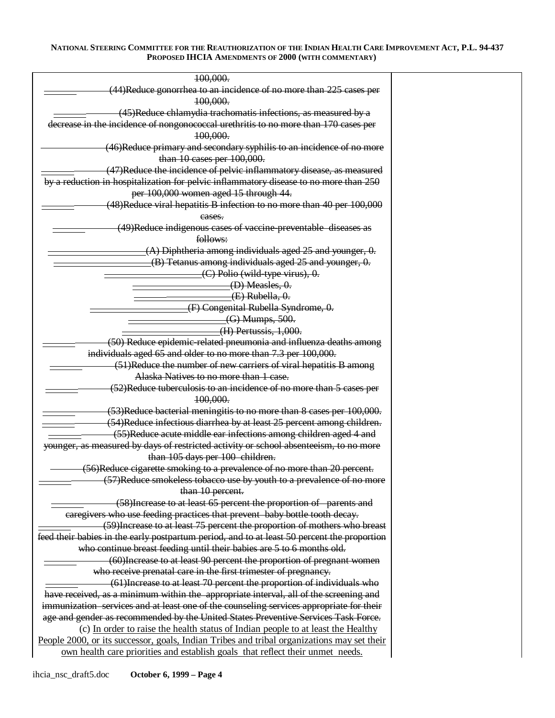| 100,000.                                                                                                                           |  |
|------------------------------------------------------------------------------------------------------------------------------------|--|
| (44)Reduce gonorrhea to an incidence of no more than 225 cases per                                                                 |  |
| 100,000.                                                                                                                           |  |
| (45)Reduce chlamydia trachomatis infections, as measured by a                                                                      |  |
| decrease in the incidence of nongonococcal urethritis to no more than 170 cases per                                                |  |
| 100,000.                                                                                                                           |  |
| (46)Reduce primary and secondary syphilis to an incidence of no more                                                               |  |
| than 10 cases per 100,000.                                                                                                         |  |
| (47)Reduce the incidence of pelvic inflammatory disease, as measured                                                               |  |
| by a reduction in hospitalization for pelvic inflammatory disease to no more than 250                                              |  |
| per 100,000 women aged 15 through 44.                                                                                              |  |
| (48)Reduce viral hepatitis B infection to no more than 40 per 100,000                                                              |  |
| eases.                                                                                                                             |  |
| (49)Reduce indigenous cases of vaccine preventable diseases as                                                                     |  |
| follows:                                                                                                                           |  |
| (A) Diphtheria among individuals aged 25 and younger, 0.                                                                           |  |
| (B) Tetanus among individuals aged 25 and younger, 0.                                                                              |  |
| $(C)$ Polio (wild-type virus), $0$ .                                                                                               |  |
| (D) Measles, 0.                                                                                                                    |  |
| $(E)$ Rubella, $0.$                                                                                                                |  |
| (F) Congenital Rubella Syndrome, 0.                                                                                                |  |
| (G) Mumps, 500.                                                                                                                    |  |
|                                                                                                                                    |  |
| (H) Pertussis, 1,000.                                                                                                              |  |
| (50) Reduce epidemic-related pneumonia and influenza deaths among                                                                  |  |
| individuals aged 65 and older to no more than 7.3 per 100,000.<br>(51)Reduce the number of new carriers of viral hepatitis B among |  |
| Alaska Natives to no more than 1 case.                                                                                             |  |
| (52)Reduce tuberculosis to an incidence of no more than 5 cases per                                                                |  |
|                                                                                                                                    |  |
| 100,000.                                                                                                                           |  |
| (53)Reduce bacterial meningitis to no more than 8 cases per 100,000.                                                               |  |
| (54)Reduce infectious diarrhea by at least 25 percent among children.                                                              |  |
| (55)Reduce acute middle ear infections among children aged 4 and                                                                   |  |
| younger, as measured by days of restricted activity or school absenteeism, to no more                                              |  |
| than 105 days per 100 children.                                                                                                    |  |
| (56)Reduce cigarette smoking to a prevalence of no more than 20 percent.                                                           |  |
| (57)Reduce smokeless tobacco use by youth to a prevalence of no more                                                               |  |
| than 10 percent.                                                                                                                   |  |
| (58) Increase to at least 65 percent the proportion of parents and                                                                 |  |
| caregivers who use feeding practices that prevent baby bottle tooth decay.                                                         |  |
| (59) Increase to at least 75 percent the proportion of mothers who breast                                                          |  |
| feed their babies in the early postpartum period, and to at least 50 percent the proportion                                        |  |
| who continue breast feeding until their babies are 5 to 6 months old.                                                              |  |
| (60) Increase to at least 90 percent the proportion of pregnant women                                                              |  |
| who receive prenatal care in the first trimester of pregnancy.                                                                     |  |
| (61) Increase to at least 70 percent the proportion of individuals who                                                             |  |
| have received, as a minimum within the appropriate interval, all of the screening and                                              |  |
| immunization services and at least one of the counseling services appropriate for their                                            |  |
| age and gender as recommended by the United States Preventive Services Task Force.                                                 |  |
| (c) In order to raise the health status of Indian people to at least the Healthy                                                   |  |
| People 2000, or its successor, goals, Indian Tribes and tribal organizations may set their                                         |  |
| own health care priorities and establish goals that reflect their unmet needs.                                                     |  |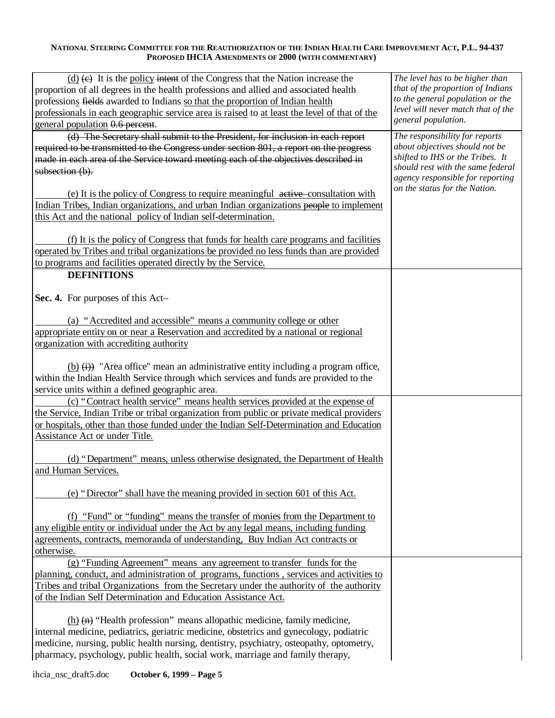| $(d)$ (e) It is the policy intent of the Congress that the Nation increase the                                                  | The level has to be higher than                                        |
|---------------------------------------------------------------------------------------------------------------------------------|------------------------------------------------------------------------|
| proportion of all degrees in the health professions and allied and associated health                                            | that of the proportion of Indians                                      |
| professions fields awarded to Indians so that the proportion of Indian health                                                   | to the general population or the<br>level will never match that of the |
| professionals in each geographic service area is raised to at least the level of that of the                                    | general population.                                                    |
| general population 0.6 percent.                                                                                                 |                                                                        |
| (d) The Secretary shall submit to the President, for inclusion in each report                                                   | The responsibility for reports                                         |
| required to be transmitted to the Congress under section 801, a report on the progress                                          | about objectives should not be<br>shifted to IHS or the Tribes. It     |
| made in each area of the Service toward meeting each of the objectives described in                                             | should rest with the same federal                                      |
| subsection (b).                                                                                                                 | agency responsible for reporting                                       |
| (e) It is the policy of Congress to require meaningful active consultation with                                                 | on the status for the Nation.                                          |
| Indian Tribes, Indian organizations, and urban Indian organizations people to implement                                         |                                                                        |
| this Act and the national policy of Indian self-determination.                                                                  |                                                                        |
|                                                                                                                                 |                                                                        |
| (f) It is the policy of Congress that funds for health care programs and facilities                                             |                                                                        |
| operated by Tribes and tribal organizations be provided no less funds than are provided                                         |                                                                        |
| to programs and facilities operated directly by the Service.                                                                    |                                                                        |
| <b>DEFINITIONS</b>                                                                                                              |                                                                        |
|                                                                                                                                 |                                                                        |
| Sec. 4. For purposes of this Act-                                                                                               |                                                                        |
|                                                                                                                                 |                                                                        |
| (a) "Accredited and accessible" means a community college or other                                                              |                                                                        |
| appropriate entity on or near a Reservation and accredited by a national or regional<br>organization with accrediting authority |                                                                        |
|                                                                                                                                 |                                                                        |
| (b) $(i)$ "Area office" mean an administrative entity including a program office,                                               |                                                                        |
| within the Indian Health Service through which services and funds are provided to the                                           |                                                                        |
| service units within a defined geographic area.                                                                                 |                                                                        |
| (c) "Contract health service" means health services provided at the expense of                                                  |                                                                        |
| the Service, Indian Tribe or tribal organization from public or private medical providers                                       |                                                                        |
| or hospitals, other than those funded under the Indian Self-Determination and Education                                         |                                                                        |
| Assistance Act or under Title.                                                                                                  |                                                                        |
|                                                                                                                                 |                                                                        |
| (d) "Department" means, unless otherwise designated, the Department of Health                                                   |                                                                        |
| and Human Services.                                                                                                             |                                                                        |
|                                                                                                                                 |                                                                        |
| (e) "Director" shall have the meaning provided in section 601 of this Act.                                                      |                                                                        |
| (f) "Fund" or "funding" means the transfer of monies from the Department to                                                     |                                                                        |
| any eligible entity or individual under the Act by any legal means, including funding                                           |                                                                        |
| agreements, contracts, memoranda of understanding, Buy Indian Act contracts or                                                  |                                                                        |
| otherwise.                                                                                                                      |                                                                        |
| (g) "Funding Agreement" means any agreement to transfer funds for the                                                           |                                                                        |
| planning, conduct, and administration of programs, functions, services and activities to                                        |                                                                        |
| Tribes and tribal Organizations from the Secretary under the authority of the authority                                         |                                                                        |
| of the Indian Self Determination and Education Assistance Act.                                                                  |                                                                        |
|                                                                                                                                 |                                                                        |
| $(h)$ (n) "Health profession" means allopathic medicine, family medicine,                                                       |                                                                        |
| internal medicine, pediatrics, geriatric medicine, obstetrics and gynecology, podiatric                                         |                                                                        |
| medicine, nursing, public health nursing, dentistry, psychiatry, osteopathy, optometry,                                         |                                                                        |
| pharmacy, psychology, public health, social work, marriage and family therapy,                                                  |                                                                        |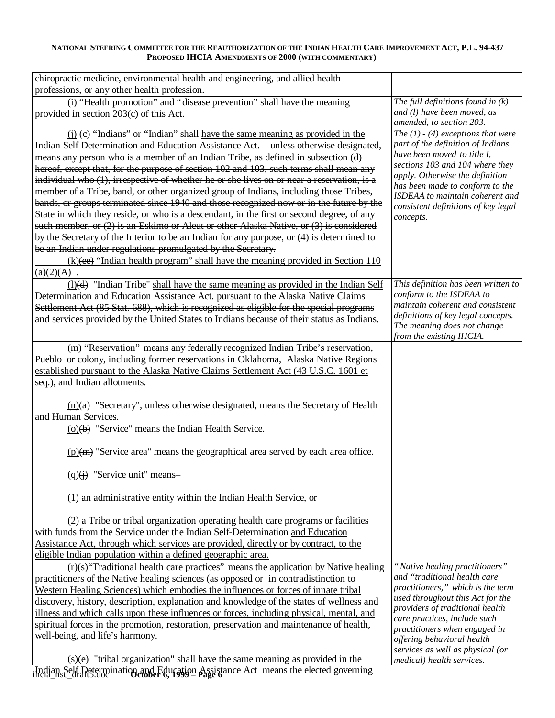| chiropractic medicine, environmental health and engineering, and allied health             |                                                                        |
|--------------------------------------------------------------------------------------------|------------------------------------------------------------------------|
| professions, or any other health profession.                                               |                                                                        |
| (i) "Health promotion" and "disease prevention" shall have the meaning                     | The full definitions found in $(k)$                                    |
| provided in section 203(c) of this Act.                                                    | and (l) have been moved, as<br>amended, to section 203.                |
| $(i)$ (e) "Indians" or "Indian" shall have the same meaning as provided in the             | The $(1)$ - $(4)$ exceptions that were                                 |
| Indian Self Determination and Education Assistance Act. unless otherwise designated,       | part of the definition of Indians                                      |
| means any person who is a member of an Indian Tribe, as defined in subsection (d)          | have been moved to title I,                                            |
| hereof, except that, for the purpose of section 102 and 103, such terms shall mean any     | sections 103 and 104 where they                                        |
| individual who (1), irrespective of whether he or she lives on or near a reservation, is a | apply. Otherwise the definition                                        |
| member of a Tribe, band, or other organized group of Indians, including those Tribes,      | has been made to conform to the                                        |
| bands, or groups terminated since 1940 and those recognized now or in the future by the    | ISDEAA to maintain coherent and<br>consistent definitions of key legal |
| State in which they reside, or who is a descendant, in the first or second degree, of any  | concepts.                                                              |
| such member, or $(2)$ is an Eskimo or Aleut or other Alaska Native, or $(3)$ is considered |                                                                        |
| by the Secretary of the Interior to be an Indian for any purpose, or (4) is determined to  |                                                                        |
| be an Indian under regulations promulgated by the Secretary.                               |                                                                        |
| $(k)$ (ee) "Indian health program" shall have the meaning provided in Section 110          |                                                                        |
| (a)(2)(A)                                                                                  |                                                                        |
| $(1)(d)$ "Indian Tribe" shall have the same meaning as provided in the Indian Self         | This definition has been written to                                    |
| Determination and Education Assistance Act. pursuant to the Alaska Native Claims           | conform to the ISDEAA to                                               |
| Settlement Act (85 Stat. 688), which is recognized as eligible for the special programs    | maintain coherent and consistent<br>definitions of key legal concepts. |
| and services provided by the United States to Indians because of their status as Indians.  | The meaning does not change                                            |
|                                                                                            | from the existing IHCIA.                                               |
| (m) "Reservation" means any federally recognized Indian Tribe's reservation,               |                                                                        |
| Pueblo or colony, including former reservations in Oklahoma, Alaska Native Regions         |                                                                        |
| established pursuant to the Alaska Native Claims Settlement Act (43 U.S.C. 1601 et         |                                                                        |
| seq.), and Indian allotments.                                                              |                                                                        |
|                                                                                            |                                                                        |
| $(n)(a)$ "Secretary", unless otherwise designated, means the Secretary of Health           |                                                                        |
| and Human Services.                                                                        |                                                                        |
| (o)(b) "Service" means the Indian Health Service.                                          |                                                                        |
| $(p)(m)$ "Service area" means the geographical area served by each area office.            |                                                                        |
| $(q)(j)$ "Service unit" means-                                                             |                                                                        |
| (1) an administrative entity within the Indian Health Service, or                          |                                                                        |
| (2) a Tribe or tribal organization operating health care programs or facilities            |                                                                        |
| with funds from the Service under the Indian Self-Determination and Education              |                                                                        |
| Assistance Act, through which services are provided, directly or by contract, to the       |                                                                        |
| eligible Indian population within a defined geographic area.                               |                                                                        |
| $(r)(s)$ Traditional health care practices" means the application by Native healing        | "Native healing practitioners"                                         |
| practitioners of the Native healing sciences (as opposed or in contradistinction to        | and "traditional health care                                           |
| Western Healing Sciences) which embodies the influences or forces of innate tribal         | practitioners," which is the term                                      |
| discovery, history, description, explanation and knowledge of the states of wellness and   | used throughout this Act for the                                       |
| illness and which calls upon these influences or forces, including physical, mental, and   | providers of traditional health                                        |
| spiritual forces in the promotion, restoration, preservation and maintenance of health,    | care practices, include such<br>practitioners when engaged in          |
| well-being, and life's harmony.                                                            | offering behavioral health                                             |
|                                                                                            | services as well as physical (or                                       |
| $(s)(e)$ "tribal organization" shall have the same meaning as provided in the              | medical) health services.                                              |
| Indian Self Determination and Education Assistance Act means the elected governing         |                                                                        |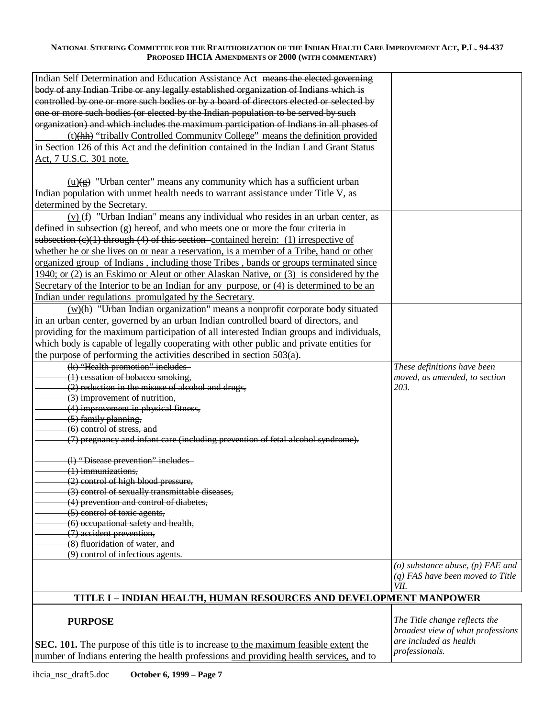| Indian Self Determination and Education Assistance Act means the elected governing          |                                          |
|---------------------------------------------------------------------------------------------|------------------------------------------|
| body of any Indian Tribe or any legally established organization of Indians which is        |                                          |
| controlled by one or more such bodies or by a board of directors elected or selected by     |                                          |
| one or more such bodies (or elected by the Indian population to be served by such           |                                          |
| organization) and which includes the maximum participation of Indians in all phases of      |                                          |
| (t)(hh) "tribally Controlled Community College" means the definition provided               |                                          |
| in Section 126 of this Act and the definition contained in the Indian Land Grant Status     |                                          |
| Act, 7 U.S.C. 301 note.                                                                     |                                          |
|                                                                                             |                                          |
|                                                                                             |                                          |
| $\underline{u}(g)$ "Urban center" means any community which has a sufficient urban          |                                          |
| Indian population with unmet health needs to warrant assistance under Title V, as           |                                          |
| determined by the Secretary.                                                                |                                          |
| $(v)$ (f) "Urban Indian" means any individual who resides in an urban center, as            |                                          |
| defined in subsection (g) hereof, and who meets one or more the four criteria in            |                                          |
| subsection $(c)(1)$ through $(4)$ of this section contained herein: (1) irrespective of     |                                          |
| whether he or she lives on or near a reservation, is a member of a Tribe, band or other     |                                          |
| <u>organized group of Indians, including those Tribes, bands or groups terminated since</u> |                                          |
| 1940; or (2) is an Eskimo or Aleut or other Alaskan Native, or (3) is considered by the     |                                          |
| Secretary of the Interior to be an Indian for any purpose, or (4) is determined to be an    |                                          |
| Indian under regulations promulgated by the Secretary.                                      |                                          |
| $(w)(h)$ "Urban Indian organization" means a nonprofit corporate body situated              |                                          |
| in an urban center, governed by an urban Indian controlled board of directors, and          |                                          |
| providing for the maximum participation of all interested Indian groups and individuals,    |                                          |
| which body is capable of legally cooperating with other public and private entities for     |                                          |
|                                                                                             |                                          |
| the purpose of performing the activities described in section 503(a).                       |                                          |
| (k) "Health promotion" includes                                                             | These definitions have been              |
| (1) cessation of bobacco smoking,                                                           | moved, as amended, to section<br>203.    |
| (2) reduction in the misuse of alcohol and drugs,<br>(3) improvement of nutrition,          |                                          |
| (4) improvement in physical fitness,                                                        |                                          |
| (5) family planning,                                                                        |                                          |
| (6) control of stress, and                                                                  |                                          |
| (7) pregnancy and infant care (including prevention of fetal alcohol syndrome).             |                                          |
|                                                                                             |                                          |
| (l) "Disease prevention" includes                                                           |                                          |
| $(1)$ immunizations,                                                                        |                                          |
| (2) control of high blood pressure,                                                         |                                          |
| (3) control of sexually transmittable diseases,                                             |                                          |
| (4) prevention and control of diabetes,                                                     |                                          |
| (5) control of toxic agents,                                                                |                                          |
| (6) occupational safety and health,                                                         |                                          |
| (7) accident prevention,                                                                    |                                          |
| (8) fluoridation of water, and                                                              |                                          |
| (9) control of infectious agents.                                                           |                                          |
|                                                                                             | ( $o$ ) substance abuse, ( $p$ ) FAE and |
|                                                                                             | $(q)$ FAS have been moved to Title       |
|                                                                                             | VII.                                     |
| TITLE I - INDIAN HEALTH, HUMAN RESOURCES AND DEVELOPMENT MANPOWER                           |                                          |
|                                                                                             |                                          |
|                                                                                             | The Title change not copy the            |

# **PURPOSE**

**SEC. 101.** The purpose of this title is to increase to the maximum feasible extent the number of Indians entering the health professions and providing health services, and to

*The Title change reflects the broadest view of what professions are included as health professionals.*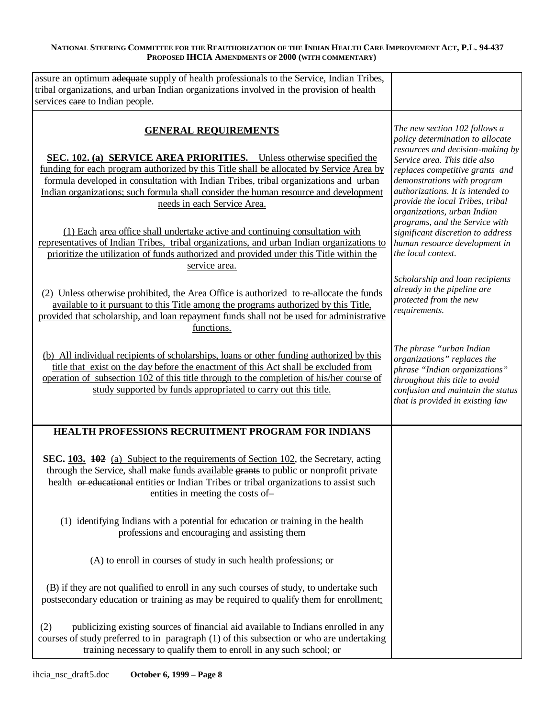| assure an optimum adequate supply of health professionals to the Service, Indian Tribes,<br>tribal organizations, and urban Indian organizations involved in the provision of health<br>services eare to Indian people.                                                                                                                                                                                                                                                                                                                                                                                                                                                                                                                                                                                                                                                                                                                                                                             |                                                                                                                                                                                                                                                                                                                                                                                                                                                                                                                                                             |
|-----------------------------------------------------------------------------------------------------------------------------------------------------------------------------------------------------------------------------------------------------------------------------------------------------------------------------------------------------------------------------------------------------------------------------------------------------------------------------------------------------------------------------------------------------------------------------------------------------------------------------------------------------------------------------------------------------------------------------------------------------------------------------------------------------------------------------------------------------------------------------------------------------------------------------------------------------------------------------------------------------|-------------------------------------------------------------------------------------------------------------------------------------------------------------------------------------------------------------------------------------------------------------------------------------------------------------------------------------------------------------------------------------------------------------------------------------------------------------------------------------------------------------------------------------------------------------|
| <b>GENERAL REQUIREMENTS</b><br>SEC. 102. (a) SERVICE AREA PRIORITIES. Unless otherwise specified the<br>funding for each program authorized by this Title shall be allocated by Service Area by<br>formula developed in consultation with Indian Tribes, tribal organizations and urban<br>Indian organizations; such formula shall consider the human resource and development<br>needs in each Service Area.<br>(1) Each area office shall undertake active and continuing consultation with<br>representatives of Indian Tribes, tribal organizations, and urban Indian organizations to<br>prioritize the utilization of funds authorized and provided under this Title within the<br>service area.<br>(2) Unless otherwise prohibited, the Area Office is authorized to re-allocate the funds<br>available to it pursuant to this Title among the programs authorized by this Title,<br>provided that scholarship, and loan repayment funds shall not be used for administrative<br>functions. | The new section 102 follows a<br>policy determination to allocate<br>resources and decision-making by<br>Service area. This title also<br>replaces competitive grants and<br>demonstrations with program<br>authorizations. It is intended to<br>provide the local Tribes, tribal<br>organizations, urban Indian<br>programs, and the Service with<br>significant discretion to address<br>human resource development in<br>the local context.<br>Scholarship and loan recipients<br>already in the pipeline are<br>protected from the new<br>requirements. |
| (b) All individual recipients of scholarships, loans or other funding authorized by this<br>title that exist on the day before the enactment of this Act shall be excluded from<br>operation of subsection 102 of this title through to the completion of his/her course of<br>study supported by funds appropriated to carry out this title.                                                                                                                                                                                                                                                                                                                                                                                                                                                                                                                                                                                                                                                       | The phrase "urban Indian<br>organizations" replaces the<br>phrase "Indian organizations"<br>throughout this title to avoid<br>confusion and maintain the status<br>that is provided in existing law                                                                                                                                                                                                                                                                                                                                                         |
| HEALTH PROFESSIONS RECRUITMENT PROGRAM FOR INDIANS                                                                                                                                                                                                                                                                                                                                                                                                                                                                                                                                                                                                                                                                                                                                                                                                                                                                                                                                                  |                                                                                                                                                                                                                                                                                                                                                                                                                                                                                                                                                             |
| SEC. 103. 402 (a) Subject to the requirements of Section 102, the Secretary, acting<br>through the Service, shall make funds available grants to public or nonprofit private<br>health or educational entities or Indian Tribes or tribal organizations to assist such<br>entities in meeting the costs of-                                                                                                                                                                                                                                                                                                                                                                                                                                                                                                                                                                                                                                                                                         |                                                                                                                                                                                                                                                                                                                                                                                                                                                                                                                                                             |
| (1) identifying Indians with a potential for education or training in the health<br>professions and encouraging and assisting them                                                                                                                                                                                                                                                                                                                                                                                                                                                                                                                                                                                                                                                                                                                                                                                                                                                                  |                                                                                                                                                                                                                                                                                                                                                                                                                                                                                                                                                             |
| (A) to enroll in courses of study in such health professions; or                                                                                                                                                                                                                                                                                                                                                                                                                                                                                                                                                                                                                                                                                                                                                                                                                                                                                                                                    |                                                                                                                                                                                                                                                                                                                                                                                                                                                                                                                                                             |
| (B) if they are not qualified to enroll in any such courses of study, to undertake such<br>postsecondary education or training as may be required to qualify them for enrollment.                                                                                                                                                                                                                                                                                                                                                                                                                                                                                                                                                                                                                                                                                                                                                                                                                   |                                                                                                                                                                                                                                                                                                                                                                                                                                                                                                                                                             |
| publicizing existing sources of financial aid available to Indians enrolled in any<br>(2)<br>courses of study preferred to in paragraph (1) of this subsection or who are undertaking<br>training necessary to qualify them to enroll in any such school; or                                                                                                                                                                                                                                                                                                                                                                                                                                                                                                                                                                                                                                                                                                                                        |                                                                                                                                                                                                                                                                                                                                                                                                                                                                                                                                                             |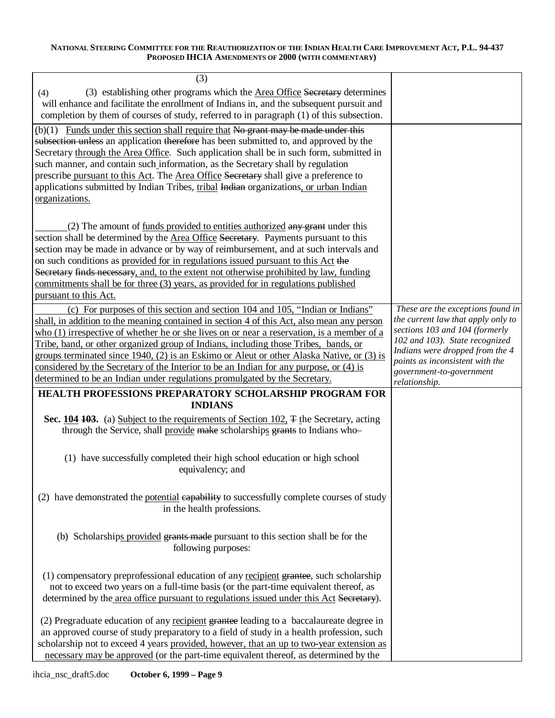| (3)                                                                                                                                                                                                                                                                                                                                                                                                                                                                                                                                                                                                                                   |                                                                                                                                                                                                                                                                |
|---------------------------------------------------------------------------------------------------------------------------------------------------------------------------------------------------------------------------------------------------------------------------------------------------------------------------------------------------------------------------------------------------------------------------------------------------------------------------------------------------------------------------------------------------------------------------------------------------------------------------------------|----------------------------------------------------------------------------------------------------------------------------------------------------------------------------------------------------------------------------------------------------------------|
| (3) establishing other programs which the Area Office Secretary determines<br>(4)                                                                                                                                                                                                                                                                                                                                                                                                                                                                                                                                                     |                                                                                                                                                                                                                                                                |
| will enhance and facilitate the enrollment of Indians in, and the subsequent pursuit and                                                                                                                                                                                                                                                                                                                                                                                                                                                                                                                                              |                                                                                                                                                                                                                                                                |
| completion by them of courses of study, referred to in paragraph (1) of this subsection.                                                                                                                                                                                                                                                                                                                                                                                                                                                                                                                                              |                                                                                                                                                                                                                                                                |
| $(b)(1)$ Funds under this section shall require that No grant may be made under this<br>subsection unless an application therefore has been submitted to, and approved by the<br>Secretary through the Area Office. Such application shall be in such form, submitted in<br>such manner, and contain such information, as the Secretary shall by regulation<br>prescribe pursuant to this Act. The Area Office Secretary shall give a preference to<br>applications submitted by Indian Tribes, tribal Indian organizations, or urban Indian<br>organizations.                                                                        |                                                                                                                                                                                                                                                                |
| $(2)$ The amount of <u>funds provided to entities authorized</u> any grant under this<br>section shall be determined by the Area Office Secretary. Payments pursuant to this<br>section may be made in advance or by way of reimbursement, and at such intervals and<br>on such conditions as provided for in regulations issued pursuant to this Act the<br>Secretary finds necessary, and, to the extent not otherwise prohibited by law, funding<br>commitments shall be for three (3) years, as provided for in regulations published<br>pursuant to this Act.                                                                    |                                                                                                                                                                                                                                                                |
| (c) For purposes of this section and section 104 and 105, "Indian or Indians"<br>shall, in addition to the meaning contained in section 4 of this Act, also mean any person<br>who (1) irrespective of whether he or she lives on or near a reservation, is a member of a<br>Tribe, band, or other organized group of Indians, including those Tribes, bands, or<br>groups terminated since 1940, (2) is an Eskimo or Aleut or other Alaska Native, or (3) is<br>considered by the Secretary of the Interior to be an Indian for any purpose, or (4) is<br>determined to be an Indian under regulations promulgated by the Secretary. | These are the exceptions found in<br>the current law that apply only to<br>sections 103 and 104 (formerly<br>102 and 103). State recognized<br>Indians were dropped from the 4<br>points as inconsistent with the<br>government-to-government<br>relationship. |
| <b>HEALTH PROFESSIONS PREPARATORY SCHOLARSHIP PROGRAM FOR</b>                                                                                                                                                                                                                                                                                                                                                                                                                                                                                                                                                                         |                                                                                                                                                                                                                                                                |
| <b>INDIANS</b>                                                                                                                                                                                                                                                                                                                                                                                                                                                                                                                                                                                                                        |                                                                                                                                                                                                                                                                |
| Sec. 104 103. (a) Subject to the requirements of Section 102, $\pm$ the Secretary, acting<br>through the Service, shall provide make scholarships grants to Indians who-                                                                                                                                                                                                                                                                                                                                                                                                                                                              |                                                                                                                                                                                                                                                                |
| (1) have successfully completed their high school education or high school<br>equivalency; and                                                                                                                                                                                                                                                                                                                                                                                                                                                                                                                                        |                                                                                                                                                                                                                                                                |
| (2) have demonstrated the potential eapability to successfully complete courses of study<br>in the health professions.                                                                                                                                                                                                                                                                                                                                                                                                                                                                                                                |                                                                                                                                                                                                                                                                |
| (b) Scholarships provided grants made pursuant to this section shall be for the<br>following purposes:                                                                                                                                                                                                                                                                                                                                                                                                                                                                                                                                |                                                                                                                                                                                                                                                                |
| (1) compensatory preprofessional education of any recipient grantee, such scholarship<br>not to exceed two years on a full-time basis (or the part-time equivalent thereof, as<br>determined by the area office pursuant to regulations issued under this Act Secretary).                                                                                                                                                                                                                                                                                                                                                             |                                                                                                                                                                                                                                                                |
| (2) Pregraduate education of any recipient grantee leading to a baccalaureate degree in<br>an approved course of study preparatory to a field of study in a health profession, such<br>scholarship not to exceed 4 years provided, however, that an up to two-year extension as<br>necessary may be approved (or the part-time equivalent thereof, as determined by the                                                                                                                                                                                                                                                               |                                                                                                                                                                                                                                                                |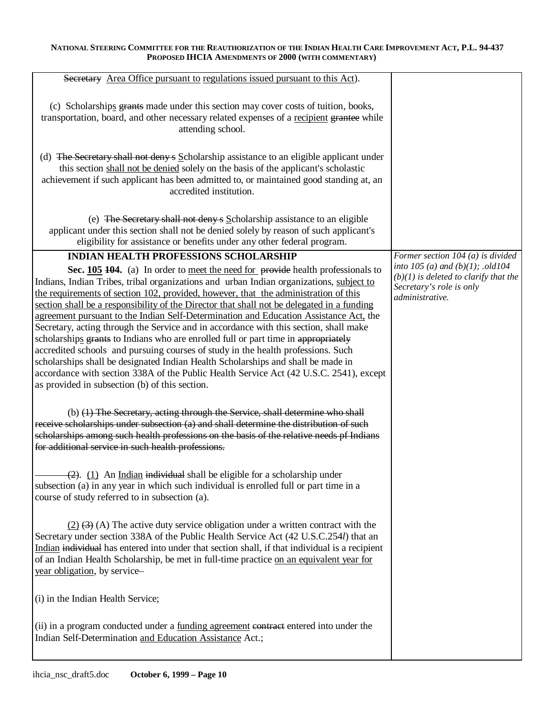| Secretary Area Office pursuant to regulations issued pursuant to this Act).                                                                                                                                                                                                                                                                                                                                                                                                                                                                                                                                                                                                                                                                                                                                                                                                                                                                                                                                 |                                                                                                                                                                        |
|-------------------------------------------------------------------------------------------------------------------------------------------------------------------------------------------------------------------------------------------------------------------------------------------------------------------------------------------------------------------------------------------------------------------------------------------------------------------------------------------------------------------------------------------------------------------------------------------------------------------------------------------------------------------------------------------------------------------------------------------------------------------------------------------------------------------------------------------------------------------------------------------------------------------------------------------------------------------------------------------------------------|------------------------------------------------------------------------------------------------------------------------------------------------------------------------|
| (c) Scholarships grants made under this section may cover costs of tuition, books,<br>transportation, board, and other necessary related expenses of a recipient grantee while<br>attending school.<br>(d) The Secretary shall not deny s Scholarship assistance to an eligible applicant under<br>this section shall not be denied solely on the basis of the applicant's scholastic<br>achievement if such applicant has been admitted to, or maintained good standing at, an<br>accredited institution.                                                                                                                                                                                                                                                                                                                                                                                                                                                                                                  |                                                                                                                                                                        |
| (e) The Secretary shall not deny s Scholarship assistance to an eligible<br>applicant under this section shall not be denied solely by reason of such applicant's<br>eligibility for assistance or benefits under any other federal program.                                                                                                                                                                                                                                                                                                                                                                                                                                                                                                                                                                                                                                                                                                                                                                |                                                                                                                                                                        |
| <b>INDIAN HEALTH PROFESSIONS SCHOLARSHIP</b><br>Sec. 105 104. (a) In order to meet the need for provide health professionals to<br>Indians, Indian Tribes, tribal organizations and urban Indian organizations, subject to<br>the requirements of section 102, provided, however, that the administration of this<br>section shall be a responsibility of the Director that shall not be delegated in a funding<br>agreement pursuant to the Indian Self-Determination and Education Assistance Act, the<br>Secretary, acting through the Service and in accordance with this section, shall make<br>scholarships grants to Indians who are enrolled full or part time in appropriately<br>accredited schools and pursuing courses of study in the health professions. Such<br>scholarships shall be designated Indian Health Scholarships and shall be made in<br>accordance with section 338A of the Public Health Service Act (42 U.S.C. 2541), except<br>as provided in subsection (b) of this section. | Former section 104 (a) is divided<br>into $105(a)$ and $(b)(1)$ ; .old $104$<br>$(b)(1)$ is deleted to clarify that the<br>Secretary's role is only<br>administrative. |
| (b) (1) The Secretary, acting through the Service, shall determine who shall<br>receive scholarships under subsection (a) and shall determine the distribution of such<br>scholarships among such health professions on the basis of the relative needs pf Indians<br>for additional service in such health professions.                                                                                                                                                                                                                                                                                                                                                                                                                                                                                                                                                                                                                                                                                    |                                                                                                                                                                        |
| $(2)$ . (1) An Indian individual shall be eligible for a scholarship under<br>subsection (a) in any year in which such individual is enrolled full or part time in a<br>course of study referred to in subsection (a).                                                                                                                                                                                                                                                                                                                                                                                                                                                                                                                                                                                                                                                                                                                                                                                      |                                                                                                                                                                        |
| $(2)$ $(3)$ (A) The active duty service obligation under a written contract with the<br>Secretary under section 338A of the Public Health Service Act (42 U.S.C.254 <i>l</i> ) that an<br>Indian individual has entered into under that section shall, if that individual is a recipient<br>of an Indian Health Scholarship, be met in full-time practice on an equivalent year for<br>year obligation, by service-                                                                                                                                                                                                                                                                                                                                                                                                                                                                                                                                                                                         |                                                                                                                                                                        |
| (i) in the Indian Health Service;                                                                                                                                                                                                                                                                                                                                                                                                                                                                                                                                                                                                                                                                                                                                                                                                                                                                                                                                                                           |                                                                                                                                                                        |
| (ii) in a program conducted under a funding agreement contract entered into under the<br>Indian Self-Determination and Education Assistance Act.;                                                                                                                                                                                                                                                                                                                                                                                                                                                                                                                                                                                                                                                                                                                                                                                                                                                           |                                                                                                                                                                        |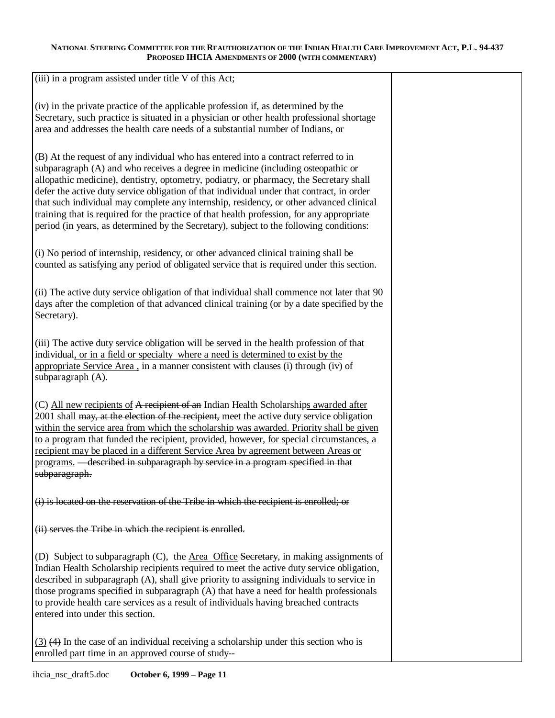(iii) in a program assisted under title V of this Act;

(iv) in the private practice of the applicable profession if, as determined by the Secretary, such practice is situated in a physician or other health professional shortage area and addresses the health care needs of a substantial number of Indians, or

(B) At the request of any individual who has entered into a contract referred to in subparagraph (A) and who receives a degree in medicine (including osteopathic or allopathic medicine), dentistry, optometry, podiatry, or pharmacy, the Secretary shall defer the active duty service obligation of that individual under that contract, in order that such individual may complete any internship, residency, or other advanced clinical training that is required for the practice of that health profession, for any appropriate period (in years, as determined by the Secretary), subject to the following conditions:

(i) No period of internship, residency, or other advanced clinical training shall be counted as satisfying any period of obligated service that is required under this section.

(ii) The active duty service obligation of that individual shall commence not later that 90 days after the completion of that advanced clinical training (or by a date specified by the Secretary).

(iii) The active duty service obligation will be served in the health profession of that individual, or in a field or specialty where a need is determined to exist by the appropriate Service Area , in a manner consistent with clauses (i) through (iv) of subparagraph (A).

(C) All new recipients of A recipient of an Indian Health Scholarships awarded after 2001 shall may, at the election of the recipient, meet the active duty service obligation within the service area from which the scholarship was awarded. Priority shall be given to a program that funded the recipient, provided, however, for special circumstances, a recipient may be placed in a different Service Area by agreement between Areas or programs. — described in subparagraph by service in a program specified in that subparagraph.

(i) is located on the reservation of the Tribe in which the recipient is enrolled; or

(ii) serves the Tribe in which the recipient is enrolled.

(D) Subject to subparagraph (C), the Area Office Secretary, in making assignments of Indian Health Scholarship recipients required to meet the active duty service obligation, described in subparagraph (A), shall give priority to assigning individuals to service in those programs specified in subparagraph (A) that have a need for health professionals to provide health care services as a result of individuals having breached contracts entered into under this section.

(3) (4) In the case of an individual receiving a scholarship under this section who is enrolled part time in an approved course of study--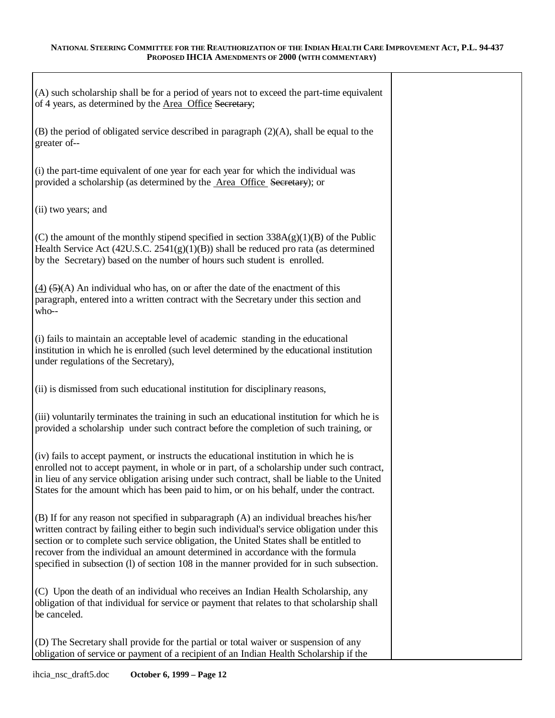| (A) such scholarship shall be for a period of years not to exceed the part-time equivalent<br>of 4 years, as determined by the Area Office Secretary;                                                                                                                                                                                                                                                                                                           |  |
|-----------------------------------------------------------------------------------------------------------------------------------------------------------------------------------------------------------------------------------------------------------------------------------------------------------------------------------------------------------------------------------------------------------------------------------------------------------------|--|
| $(B)$ the period of obligated service described in paragraph $(2)(A)$ , shall be equal to the<br>greater of--                                                                                                                                                                                                                                                                                                                                                   |  |
| (i) the part-time equivalent of one year for each year for which the individual was<br>provided a scholarship (as determined by the Area Office Secretary); or                                                                                                                                                                                                                                                                                                  |  |
| (ii) two years; and                                                                                                                                                                                                                                                                                                                                                                                                                                             |  |
| (C) the amount of the monthly stipend specified in section $338A(g)(1)(B)$ of the Public<br>Health Service Act $(42U.S.C. 2541(g)(1)(B))$ shall be reduced pro rata (as determined<br>by the Secretary) based on the number of hours such student is enrolled.                                                                                                                                                                                                  |  |
| $(4)$ (5)(A) An individual who has, on or after the date of the enactment of this<br>paragraph, entered into a written contract with the Secretary under this section and<br>who--                                                                                                                                                                                                                                                                              |  |
| (i) fails to maintain an acceptable level of academic standing in the educational<br>institution in which he is enrolled (such level determined by the educational institution<br>under regulations of the Secretary),                                                                                                                                                                                                                                          |  |
| (ii) is dismissed from such educational institution for disciplinary reasons,                                                                                                                                                                                                                                                                                                                                                                                   |  |
| (iii) voluntarily terminates the training in such an educational institution for which he is<br>provided a scholarship under such contract before the completion of such training, or                                                                                                                                                                                                                                                                           |  |
| (iv) fails to accept payment, or instructs the educational institution in which he is<br>enrolled not to accept payment, in whole or in part, of a scholarship under such contract,<br>in lieu of any service obligation arising under such contract, shall be liable to the United<br>States for the amount which has been paid to him, or on his behalf, under the contract.                                                                                  |  |
| (B) If for any reason not specified in subparagraph (A) an individual breaches his/her<br>written contract by failing either to begin such individual's service obligation under this<br>section or to complete such service obligation, the United States shall be entitled to<br>recover from the individual an amount determined in accordance with the formula<br>specified in subsection (1) of section 108 in the manner provided for in such subsection. |  |
| (C) Upon the death of an individual who receives an Indian Health Scholarship, any<br>obligation of that individual for service or payment that relates to that scholarship shall<br>be canceled.                                                                                                                                                                                                                                                               |  |
| (D) The Secretary shall provide for the partial or total waiver or suspension of any<br>obligation of service or payment of a recipient of an Indian Health Scholarship if the                                                                                                                                                                                                                                                                                  |  |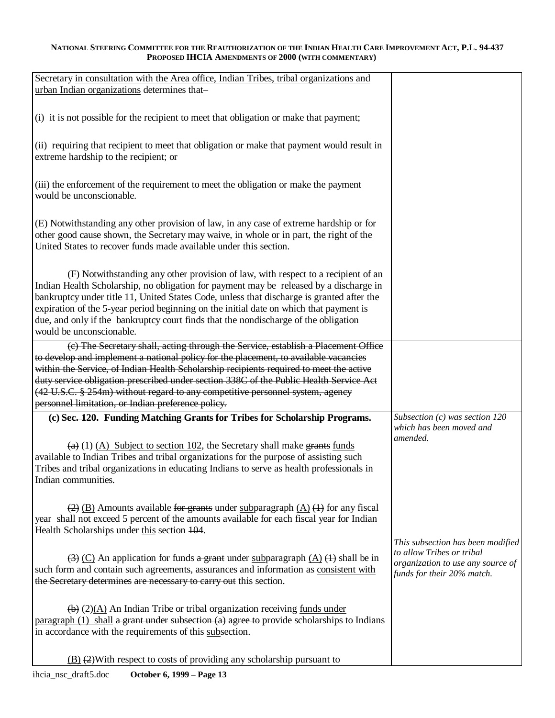| Secretary in consultation with the Area office, Indian Tribes, tribal organizations and<br>urban Indian organizations determines that-                                                                                                                                                                                                                                                                                                                                                |                                                                                              |
|---------------------------------------------------------------------------------------------------------------------------------------------------------------------------------------------------------------------------------------------------------------------------------------------------------------------------------------------------------------------------------------------------------------------------------------------------------------------------------------|----------------------------------------------------------------------------------------------|
| (i) it is not possible for the recipient to meet that obligation or make that payment;                                                                                                                                                                                                                                                                                                                                                                                                |                                                                                              |
| (ii) requiring that recipient to meet that obligation or make that payment would result in<br>extreme hardship to the recipient; or                                                                                                                                                                                                                                                                                                                                                   |                                                                                              |
| (iii) the enforcement of the requirement to meet the obligation or make the payment<br>would be unconscionable.                                                                                                                                                                                                                                                                                                                                                                       |                                                                                              |
| (E) Notwithstanding any other provision of law, in any case of extreme hardship or for<br>other good cause shown, the Secretary may waive, in whole or in part, the right of the<br>United States to recover funds made available under this section.                                                                                                                                                                                                                                 |                                                                                              |
| (F) Notwithstanding any other provision of law, with respect to a recipient of an<br>Indian Health Scholarship, no obligation for payment may be released by a discharge in<br>bankruptcy under title 11, United States Code, unless that discharge is granted after the<br>expiration of the 5-year period beginning on the initial date on which that payment is<br>due, and only if the bankruptcy court finds that the nondischarge of the obligation<br>would be unconscionable. |                                                                                              |
| (c) The Secretary shall, acting through the Service, establish a Placement Office<br>to develop and implement a national policy for the placement, to available vacancies<br>within the Service, of Indian Health Scholarship recipients required to meet the active<br>duty service obligation prescribed under section 338C of the Public Health Service Act                                                                                                                        |                                                                                              |
| (42 U.S.C. § 254m) without regard to any competitive personnel system, agency                                                                                                                                                                                                                                                                                                                                                                                                         |                                                                                              |
| personnel limitation, or Indian preference policy.                                                                                                                                                                                                                                                                                                                                                                                                                                    |                                                                                              |
| (c) Sec. 120. Funding Matching Grants for Tribes for Scholarship Programs.<br>$\left(\frac{a}{b}\right)$ (1) (A) Subject to section 102, the Secretary shall make grants funds<br>available to Indian Tribes and tribal organizations for the purpose of assisting such<br>Tribes and tribal organizations in educating Indians to serve as health professionals in<br>Indian communities.                                                                                            | Subsection $(c)$ was section 120<br>which has been moved and<br>amended.                     |
| $\frac{2}{2}$ (B) Amounts available for grants under subparagraph (A) $(1)$ for any fiscal<br>year shall not exceed 5 percent of the amounts available for each fiscal year for Indian<br>Health Scholarships under this section 104.                                                                                                                                                                                                                                                 | This subsection has been modified                                                            |
| $\overline{(3)}$ (C) An application for funds a grant under subparagraph (A) $\overline{(4)}$ shall be in<br>such form and contain such agreements, assurances and information as consistent with<br>the Secretary determines are necessary to carry out this section.                                                                                                                                                                                                                | to allow Tribes or tribal<br>organization to use any source of<br>funds for their 20% match. |
| $\overline{(b)}$ (2)(A) An Indian Tribe or tribal organization receiving funds under<br>paragraph $(1)$ shall a grant under subsection $(a)$ agree to provide scholarships to Indians<br>in accordance with the requirements of this subsection.                                                                                                                                                                                                                                      |                                                                                              |
| $\underline{B}$ $\rightarrow$ $\underline{C}$ ) With respect to costs of providing any scholarship pursuant to                                                                                                                                                                                                                                                                                                                                                                        |                                                                                              |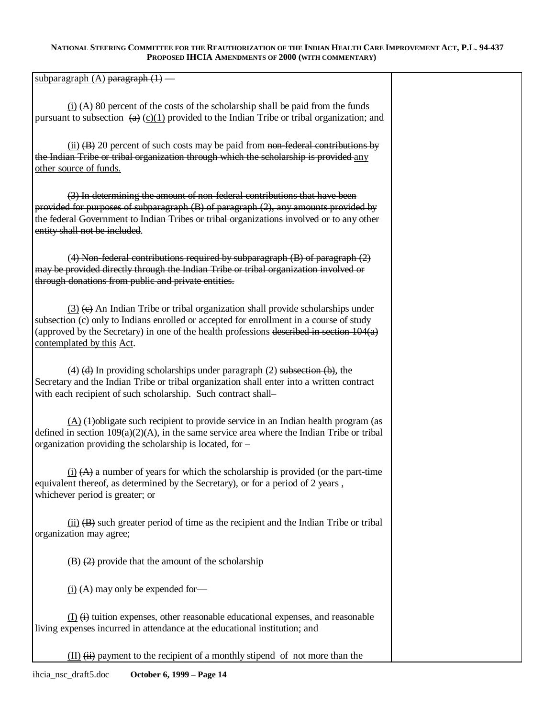subparagraph  $(A)$  paragraph  $(1)$  —

 $(i)$   $(A)$  80 percent of the costs of the scholarship shall be paid from the funds pursuant to subsection  $(a)$  (c)(1) provided to the Indian Tribe or tribal organization; and

(ii)  $(B)$  20 percent of such costs may be paid from non-federal contributions by the Indian Tribe or tribal organization through which the scholarship is provided any other source of funds.

(3) In determining the amount of non-federal contributions that have been provided for purposes of subparagraph (B) of paragraph (2), any amounts provided by the federal Government to Indian Tribes or tribal organizations involved or to any other entity shall not be included.

(4) Non-federal contributions required by subparagraph  $(B)$  of paragraph  $(2)$ may be provided directly through the Indian Tribe or tribal organization involved or through donations from public and private entities.

 $(3)$  (e) An Indian Tribe or tribal organization shall provide scholarships under subsection (c) only to Indians enrolled or accepted for enrollment in a course of study (approved by the Secretary) in one of the health professions described in section 104(a) contemplated by this Act.

(4)  $(d)$  In providing scholarships under paragraph (2) subsection  $(b)$ , the Secretary and the Indian Tribe or tribal organization shall enter into a written contract with each recipient of such scholarship. Such contract shall–

 $(A)$   $(A)$  obligate such recipient to provide service in an Indian health program (as defined in section  $109(a)(2)(A)$ , in the same service area where the Indian Tribe or tribal organization providing the scholarship is located, for –

 $(i)$   $(A)$  a number of years for which the scholarship is provided (or the part-time equivalent thereof, as determined by the Secretary), or for a period of 2 years , whichever period is greater; or

 $(ii)$   $(B)$  such greater period of time as the recipient and the Indian Tribe or tribal organization may agree;

(B)  $(2)$  provide that the amount of the scholarship

 $(i)$   $(A)$  may only be expended for-

 $(I)$   $\leftrightarrow$  tuition expenses, other reasonable educational expenses, and reasonable living expenses incurred in attendance at the educational institution; and

 $(II)$   $(ii)$  payment to the recipient of a monthly stipend of not more than the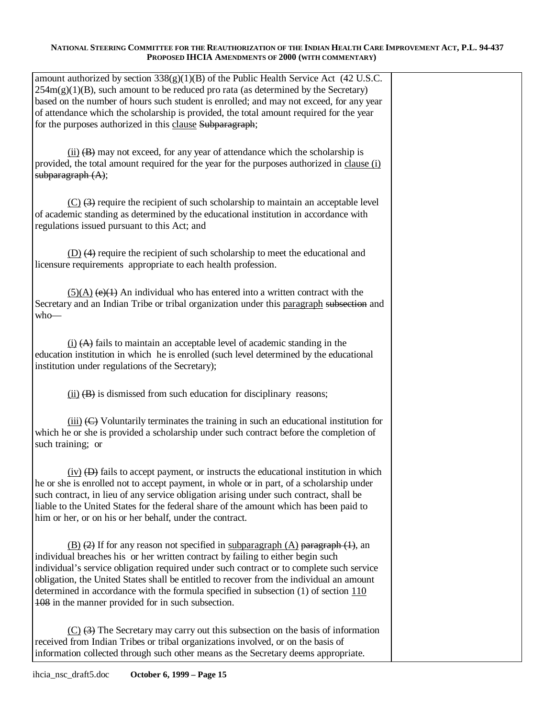| amount authorized by section $338(g)(1)(B)$ of the Public Health Service Act (42 U.S.C.<br>$254m(g)(1)(B)$ , such amount to be reduced pro rata (as determined by the Secretary)<br>based on the number of hours such student is enrolled; and may not exceed, for any year                                                                                                                                                                                                                                                                |  |
|--------------------------------------------------------------------------------------------------------------------------------------------------------------------------------------------------------------------------------------------------------------------------------------------------------------------------------------------------------------------------------------------------------------------------------------------------------------------------------------------------------------------------------------------|--|
| of attendance which the scholarship is provided, the total amount required for the year<br>for the purposes authorized in this clause Subparagraph;                                                                                                                                                                                                                                                                                                                                                                                        |  |
| $(ii)$ (B) may not exceed, for any year of attendance which the scholarship is<br>provided, the total amount required for the year for the purposes authorized in clause (i)<br>subparagraph $(A)$ ;                                                                                                                                                                                                                                                                                                                                       |  |
| $(C)$ $(3)$ require the recipient of such scholarship to maintain an acceptable level<br>of academic standing as determined by the educational institution in accordance with<br>regulations issued pursuant to this Act; and                                                                                                                                                                                                                                                                                                              |  |
| (D) (4) require the recipient of such scholarship to meet the educational and<br>licensure requirements appropriate to each health profession.                                                                                                                                                                                                                                                                                                                                                                                             |  |
| $(5)(A)$ (e)(1) An individual who has entered into a written contract with the<br>Secretary and an Indian Tribe or tribal organization under this paragraph subsection and<br>$who-$                                                                                                                                                                                                                                                                                                                                                       |  |
| $(i)$ $(A)$ fails to maintain an acceptable level of academic standing in the<br>education institution in which he is enrolled (such level determined by the educational<br>institution under regulations of the Secretary);                                                                                                                                                                                                                                                                                                               |  |
| $(ii)$ $(B)$ is dismissed from such education for disciplinary reasons;                                                                                                                                                                                                                                                                                                                                                                                                                                                                    |  |
| $(iii)$ ( $C$ ) Voluntarily terminates the training in such an educational institution for<br>which he or she is provided a scholarship under such contract before the completion of<br>such training; or                                                                                                                                                                                                                                                                                                                                  |  |
| $(iv)$ (D) fails to accept payment, or instructs the educational institution in which<br>he or she is enrolled not to accept payment, in whole or in part, of a scholarship under<br>such contract, in lieu of any service obligation arising under such contract, shall be<br>liable to the United States for the federal share of the amount which has been paid to<br>him or her, or on his or her behalf, under the contract.                                                                                                          |  |
| $\underline{(B)}$ $\overline{(2)}$ If for any reason not specified in subparagraph $(A)$ paragraph $(1)$ , an<br>individual breaches his or her written contract by failing to either begin such<br>individual's service obligation required under such contract or to complete such service<br>obligation, the United States shall be entitled to recover from the individual an amount<br>determined in accordance with the formula specified in subsection $(1)$ of section $110$<br>108 in the manner provided for in such subsection. |  |
| $(C)$ $(3)$ The Secretary may carry out this subsection on the basis of information<br>received from Indian Tribes or tribal organizations involved, or on the basis of<br>information collected through such other means as the Secretary deems appropriate.                                                                                                                                                                                                                                                                              |  |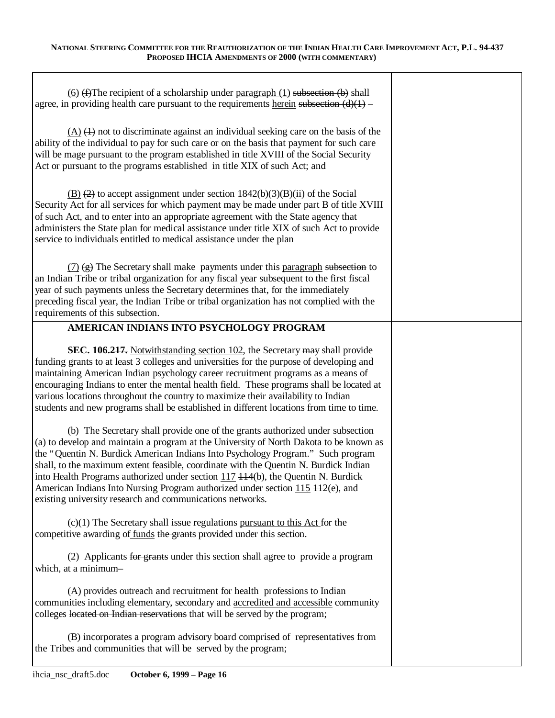Τ

| $(6)$ (f) The recipient of a scholarship under paragraph (1) subsection (b) shall<br>agree, in providing health care pursuant to the requirements herein subsection $(d)(1)$ –                                                                                                                                                                                                                                                                                                                                                                                                                                                                                                                                                                                                                                                                                                                                                                                                         |  |
|----------------------------------------------------------------------------------------------------------------------------------------------------------------------------------------------------------------------------------------------------------------------------------------------------------------------------------------------------------------------------------------------------------------------------------------------------------------------------------------------------------------------------------------------------------------------------------------------------------------------------------------------------------------------------------------------------------------------------------------------------------------------------------------------------------------------------------------------------------------------------------------------------------------------------------------------------------------------------------------|--|
| $(A)$ (4) not to discriminate against an individual seeking care on the basis of the<br>ability of the individual to pay for such care or on the basis that payment for such care<br>will be mage pursuant to the program established in title XVIII of the Social Security<br>Act or pursuant to the programs established in title XIX of such Act; and                                                                                                                                                                                                                                                                                                                                                                                                                                                                                                                                                                                                                               |  |
| $\underline{(B)}$ (2) to accept assignment under section 1842(b)(3)(B)(ii) of the Social<br>Security Act for all services for which payment may be made under part B of title XVIII<br>of such Act, and to enter into an appropriate agreement with the State agency that<br>administers the State plan for medical assistance under title XIX of such Act to provide<br>service to individuals entitled to medical assistance under the plan                                                                                                                                                                                                                                                                                                                                                                                                                                                                                                                                          |  |
| $(7)$ (g) The Secretary shall make payments under this paragraph subsection to<br>an Indian Tribe or tribal organization for any fiscal year subsequent to the first fiscal<br>year of such payments unless the Secretary determines that, for the immediately<br>preceding fiscal year, the Indian Tribe or tribal organization has not complied with the<br>requirements of this subsection.                                                                                                                                                                                                                                                                                                                                                                                                                                                                                                                                                                                         |  |
| AMERICAN INDIANS INTO PSYCHOLOGY PROGRAM                                                                                                                                                                                                                                                                                                                                                                                                                                                                                                                                                                                                                                                                                                                                                                                                                                                                                                                                               |  |
| SEC. 106.217. Notwithstanding section 102, the Secretary may shall provide<br>funding grants to at least 3 colleges and universities for the purpose of developing and<br>maintaining American Indian psychology career recruitment programs as a means of<br>encouraging Indians to enter the mental health field. These programs shall be located at<br>various locations throughout the country to maximize their availability to Indian<br>students and new programs shall be established in different locations from time to time.<br>(b) The Secretary shall provide one of the grants authorized under subsection<br>(a) to develop and maintain a program at the University of North Dakota to be known as<br>the "Quentin N. Burdick American Indians Into Psychology Program." Such program<br>shall, to the maximum extent feasible, coordinate with the Quentin N. Burdick Indian<br>into Health Programs authorized under section $117$ $114(b)$ , the Quentin N. Burdick |  |
| American Indians Into Nursing Program authorized under section 115 + 12(e), and<br>existing university research and communications networks.                                                                                                                                                                                                                                                                                                                                                                                                                                                                                                                                                                                                                                                                                                                                                                                                                                           |  |
| $(c)(1)$ The Secretary shall issue regulations pursuant to this Act for the<br>competitive awarding of funds the grants provided under this section.                                                                                                                                                                                                                                                                                                                                                                                                                                                                                                                                                                                                                                                                                                                                                                                                                                   |  |
| (2) Applicants for grants under this section shall agree to provide a program<br>which, at a minimum-                                                                                                                                                                                                                                                                                                                                                                                                                                                                                                                                                                                                                                                                                                                                                                                                                                                                                  |  |
| (A) provides outreach and recruitment for health professions to Indian<br>communities including elementary, secondary and accredited and accessible community<br>colleges located on Indian reservations that will be served by the program;                                                                                                                                                                                                                                                                                                                                                                                                                                                                                                                                                                                                                                                                                                                                           |  |
| (B) incorporates a program advisory board comprised of representatives from<br>the Tribes and communities that will be served by the program;                                                                                                                                                                                                                                                                                                                                                                                                                                                                                                                                                                                                                                                                                                                                                                                                                                          |  |

 $\overline{\Gamma}$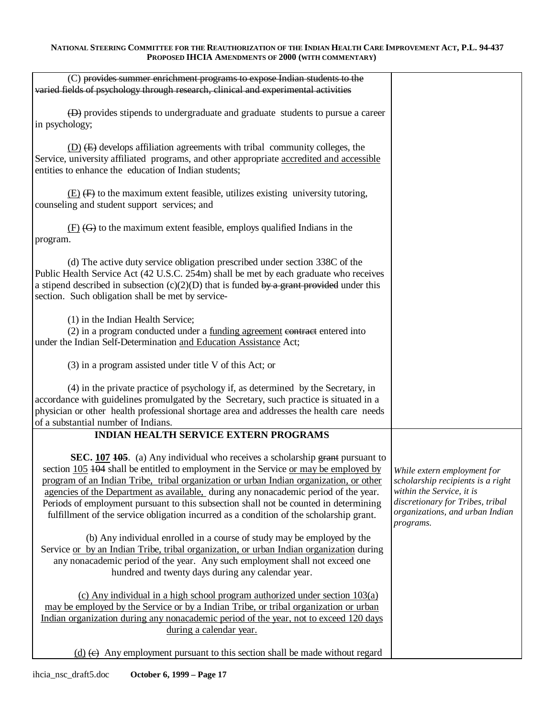| (C) provides summer enrichment programs to expose Indian students to the<br>varied fields of psychology through research, clinical and experimental activities                                                                                                                                                                                                                                                                                                                                                                                    |                                                                                                                                                                                   |
|---------------------------------------------------------------------------------------------------------------------------------------------------------------------------------------------------------------------------------------------------------------------------------------------------------------------------------------------------------------------------------------------------------------------------------------------------------------------------------------------------------------------------------------------------|-----------------------------------------------------------------------------------------------------------------------------------------------------------------------------------|
| (D) provides stipends to undergraduate and graduate students to pursue a career<br>in psychology;                                                                                                                                                                                                                                                                                                                                                                                                                                                 |                                                                                                                                                                                   |
| $(D)$ $(E)$ develops affiliation agreements with tribal community colleges, the<br>Service, university affiliated programs, and other appropriate accredited and accessible<br>entities to enhance the education of Indian students;                                                                                                                                                                                                                                                                                                              |                                                                                                                                                                                   |
| $(E)$ (F) to the maximum extent feasible, utilizes existing university tutoring,<br>counseling and student support services; and                                                                                                                                                                                                                                                                                                                                                                                                                  |                                                                                                                                                                                   |
| $(E)$ (G) to the maximum extent feasible, employs qualified Indians in the<br>program.                                                                                                                                                                                                                                                                                                                                                                                                                                                            |                                                                                                                                                                                   |
| (d) The active duty service obligation prescribed under section 338C of the<br>Public Health Service Act (42 U.S.C. 254m) shall be met by each graduate who receives<br>a stipend described in subsection (c)(2)(D) that is funded by a grant provided under this<br>section. Such obligation shall be met by service-                                                                                                                                                                                                                            |                                                                                                                                                                                   |
| (1) in the Indian Health Service;<br>(2) in a program conducted under a funding agreement contract entered into<br>under the Indian Self-Determination and Education Assistance Act;                                                                                                                                                                                                                                                                                                                                                              |                                                                                                                                                                                   |
| (3) in a program assisted under title V of this Act; or                                                                                                                                                                                                                                                                                                                                                                                                                                                                                           |                                                                                                                                                                                   |
| (4) in the private practice of psychology if, as determined by the Secretary, in<br>accordance with guidelines promulgated by the Secretary, such practice is situated in a<br>physician or other health professional shortage area and addresses the health care needs<br>of a substantial number of Indians.                                                                                                                                                                                                                                    |                                                                                                                                                                                   |
| <b>INDIAN HEALTH SERVICE EXTERN PROGRAMS</b>                                                                                                                                                                                                                                                                                                                                                                                                                                                                                                      |                                                                                                                                                                                   |
| <b>SEC.</b> 107 105. (a) Any individual who receives a scholarship grant pursuant to<br>section 105 404 shall be entitled to employment in the Service or may be employed by<br>program of an Indian Tribe, tribal organization or urban Indian organization, or other<br>agencies of the Department as available. during any nonacademic period of the year.<br>Periods of employment pursuant to this subsection shall not be counted in determining<br>fulfillment of the service obligation incurred as a condition of the scholarship grant. | While extern employment for<br>scholarship recipients is a right<br>within the Service, it is<br>discretionary for Tribes, tribal<br>organizations, and urban Indian<br>programs. |
| (b) Any individual enrolled in a course of study may be employed by the<br>Service or by an Indian Tribe, tribal organization, or urban Indian organization during<br>any nonacademic period of the year. Any such employment shall not exceed one<br>hundred and twenty days during any calendar year.                                                                                                                                                                                                                                           |                                                                                                                                                                                   |
| (c) Any individual in a high school program authorized under section $103(a)$<br>may be employed by the Service or by a Indian Tribe, or tribal organization or urban<br>Indian organization during any nonacademic period of the year, not to exceed 120 days<br>during a calendar year.                                                                                                                                                                                                                                                         |                                                                                                                                                                                   |
| $(d)$ (e) Any employment pursuant to this section shall be made without regard                                                                                                                                                                                                                                                                                                                                                                                                                                                                    |                                                                                                                                                                                   |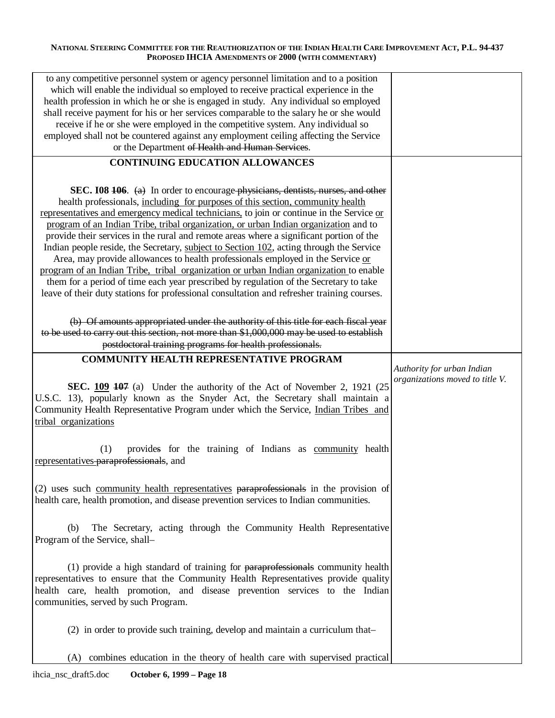| to any competitive personnel system or agency personnel limitation and to a position<br>which will enable the individual so employed to receive practical experience in the<br>health profession in which he or she is engaged in study. Any individual so employed<br>shall receive payment for his or her services comparable to the salary he or she would<br>receive if he or she were employed in the competitive system. Any individual so<br>employed shall not be countered against any employment ceiling affecting the Service<br>or the Department of Health and Human Services.                                                                                                                                                                                                                                                                                                                     |                                                               |
|-----------------------------------------------------------------------------------------------------------------------------------------------------------------------------------------------------------------------------------------------------------------------------------------------------------------------------------------------------------------------------------------------------------------------------------------------------------------------------------------------------------------------------------------------------------------------------------------------------------------------------------------------------------------------------------------------------------------------------------------------------------------------------------------------------------------------------------------------------------------------------------------------------------------|---------------------------------------------------------------|
| <b>CONTINUING EDUCATION ALLOWANCES</b>                                                                                                                                                                                                                                                                                                                                                                                                                                                                                                                                                                                                                                                                                                                                                                                                                                                                          |                                                               |
| SEC. 108 106. (a) In order to encourage physicians, dentists, nurses, and other<br>health professionals, including for purposes of this section, community health<br>representatives and emergency medical technicians, to join or continue in the Service or<br>program of an Indian Tribe, tribal organization, or urban Indian organization and to<br>provide their services in the rural and remote areas where a significant portion of the<br>Indian people reside, the Secretary, subject to Section 102, acting through the Service<br>Area, may provide allowances to health professionals employed in the Service or<br>program of an Indian Tribe, tribal organization or urban Indian organization to enable<br>them for a period of time each year prescribed by regulation of the Secretary to take<br>leave of their duty stations for professional consultation and refresher training courses. |                                                               |
| (b) Of amounts appropriated under the authority of this title for each fiscal year<br>to be used to carry out this section, not more than \$1,000,000 may be used to establish<br>postdoctoral training programs for health professionals.                                                                                                                                                                                                                                                                                                                                                                                                                                                                                                                                                                                                                                                                      |                                                               |
| <b>COMMUNITY HEALTH REPRESENTATIVE PROGRAM</b>                                                                                                                                                                                                                                                                                                                                                                                                                                                                                                                                                                                                                                                                                                                                                                                                                                                                  |                                                               |
| <b>SEC.</b> $109$ $107$ (a) Under the authority of the Act of November 2, 1921 (25)<br>U.S.C. 13), popularly known as the Snyder Act, the Secretary shall maintain a<br>Community Health Representative Program under which the Service, Indian Tribes and<br>tribal organizations                                                                                                                                                                                                                                                                                                                                                                                                                                                                                                                                                                                                                              | Authority for urban Indian<br>organizations moved to title V. |
| provides for the training of Indians as community health<br>(1)<br>representatives paraprofessionals, and                                                                                                                                                                                                                                                                                                                                                                                                                                                                                                                                                                                                                                                                                                                                                                                                       |                                                               |
| (2) uses such community health representatives paraprofessionals in the provision of<br>health care, health promotion, and disease prevention services to Indian communities.                                                                                                                                                                                                                                                                                                                                                                                                                                                                                                                                                                                                                                                                                                                                   |                                                               |
| The Secretary, acting through the Community Health Representative<br>(b)<br>Program of the Service, shall-                                                                                                                                                                                                                                                                                                                                                                                                                                                                                                                                                                                                                                                                                                                                                                                                      |                                                               |
| (1) provide a high standard of training for paraprofessionals community health<br>representatives to ensure that the Community Health Representatives provide quality<br>health care, health promotion, and disease prevention services to the Indian<br>communities, served by such Program.                                                                                                                                                                                                                                                                                                                                                                                                                                                                                                                                                                                                                   |                                                               |
| (2) in order to provide such training, develop and maintain a curriculum that-                                                                                                                                                                                                                                                                                                                                                                                                                                                                                                                                                                                                                                                                                                                                                                                                                                  |                                                               |
| combines education in the theory of health care with supervised practical<br>(A)                                                                                                                                                                                                                                                                                                                                                                                                                                                                                                                                                                                                                                                                                                                                                                                                                                |                                                               |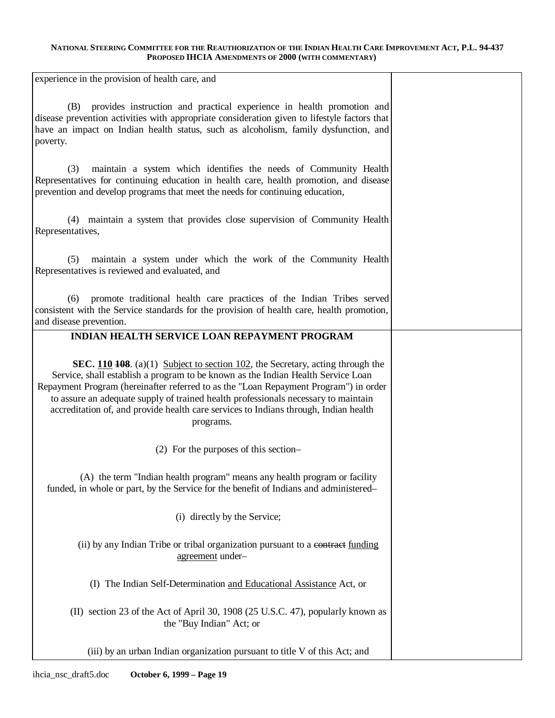experience in the provision of health care, and

| experience in the provision of health care, and                                                                                                                                                                                                                                                                                                                                                                                                                      |  |
|----------------------------------------------------------------------------------------------------------------------------------------------------------------------------------------------------------------------------------------------------------------------------------------------------------------------------------------------------------------------------------------------------------------------------------------------------------------------|--|
| provides instruction and practical experience in health promotion and<br>(B)<br>disease prevention activities with appropriate consideration given to lifestyle factors that<br>have an impact on Indian health status, such as alcoholism, family dysfunction, and<br>poverty.                                                                                                                                                                                      |  |
| maintain a system which identifies the needs of Community Health<br>(3)<br>Representatives for continuing education in health care, health promotion, and disease<br>prevention and develop programs that meet the needs for continuing education,                                                                                                                                                                                                                   |  |
| (4) maintain a system that provides close supervision of Community Health<br>Representatives,                                                                                                                                                                                                                                                                                                                                                                        |  |
| maintain a system under which the work of the Community Health<br>(5)<br>Representatives is reviewed and evaluated, and                                                                                                                                                                                                                                                                                                                                              |  |
| promote traditional health care practices of the Indian Tribes served<br>(6)<br>consistent with the Service standards for the provision of health care, health promotion,<br>and disease prevention.                                                                                                                                                                                                                                                                 |  |
| <b>INDIAN HEALTH SERVICE LOAN REPAYMENT PROGRAM</b>                                                                                                                                                                                                                                                                                                                                                                                                                  |  |
| <b>SEC.</b> 110 <b>108</b> . (a)(1) Subject to section 102, the Secretary, acting through the<br>Service, shall establish a program to be known as the Indian Health Service Loan<br>Repayment Program (hereinafter referred to as the "Loan Repayment Program") in order<br>to assure an adequate supply of trained health professionals necessary to maintain<br>accreditation of, and provide health care services to Indians through, Indian health<br>programs. |  |
| (2) For the purposes of this section-                                                                                                                                                                                                                                                                                                                                                                                                                                |  |
| (A) the term "Indian health program" means any health program or facility<br>funded, in whole or part, by the Service for the benefit of Indians and administered-                                                                                                                                                                                                                                                                                                   |  |
| (i) directly by the Service;                                                                                                                                                                                                                                                                                                                                                                                                                                         |  |
| (ii) by any Indian Tribe or tribal organization pursuant to a contract funding<br>agreement under-                                                                                                                                                                                                                                                                                                                                                                   |  |
| (I) The Indian Self-Determination and Educational Assistance Act, or                                                                                                                                                                                                                                                                                                                                                                                                 |  |
| (II) section 23 of the Act of April 30, 1908 (25 U.S.C. 47), popularly known as<br>the "Buy Indian" Act; or                                                                                                                                                                                                                                                                                                                                                          |  |
| (iii) by an urban Indian organization pursuant to title V of this Act; and                                                                                                                                                                                                                                                                                                                                                                                           |  |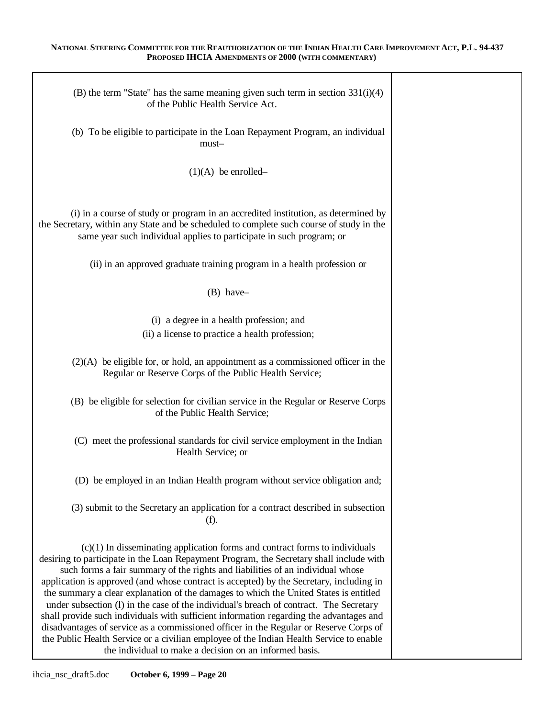| (B) the term "State" has the same meaning given such term in section $331(i)(4)$<br>of the Public Health Service Act.                                                                                                                                                                                                                                                                                                                                                                                                                                                                                                                                                                                                                                                                                                                                                              |  |
|------------------------------------------------------------------------------------------------------------------------------------------------------------------------------------------------------------------------------------------------------------------------------------------------------------------------------------------------------------------------------------------------------------------------------------------------------------------------------------------------------------------------------------------------------------------------------------------------------------------------------------------------------------------------------------------------------------------------------------------------------------------------------------------------------------------------------------------------------------------------------------|--|
| (b) To be eligible to participate in the Loan Repayment Program, an individual<br>must-                                                                                                                                                                                                                                                                                                                                                                                                                                                                                                                                                                                                                                                                                                                                                                                            |  |
| $(1)(A)$ be enrolled–                                                                                                                                                                                                                                                                                                                                                                                                                                                                                                                                                                                                                                                                                                                                                                                                                                                              |  |
| (i) in a course of study or program in an accredited institution, as determined by<br>the Secretary, within any State and be scheduled to complete such course of study in the<br>same year such individual applies to participate in such program; or                                                                                                                                                                                                                                                                                                                                                                                                                                                                                                                                                                                                                             |  |
| (ii) in an approved graduate training program in a health profession or                                                                                                                                                                                                                                                                                                                                                                                                                                                                                                                                                                                                                                                                                                                                                                                                            |  |
| $(B)$ have-                                                                                                                                                                                                                                                                                                                                                                                                                                                                                                                                                                                                                                                                                                                                                                                                                                                                        |  |
| (i) a degree in a health profession; and<br>(ii) a license to practice a health profession;                                                                                                                                                                                                                                                                                                                                                                                                                                                                                                                                                                                                                                                                                                                                                                                        |  |
| $(2)(A)$ be eligible for, or hold, an appointment as a commissioned officer in the<br>Regular or Reserve Corps of the Public Health Service;                                                                                                                                                                                                                                                                                                                                                                                                                                                                                                                                                                                                                                                                                                                                       |  |
| (B) be eligible for selection for civilian service in the Regular or Reserve Corps<br>of the Public Health Service;                                                                                                                                                                                                                                                                                                                                                                                                                                                                                                                                                                                                                                                                                                                                                                |  |
| (C) meet the professional standards for civil service employment in the Indian<br>Health Service; or                                                                                                                                                                                                                                                                                                                                                                                                                                                                                                                                                                                                                                                                                                                                                                               |  |
| (D) be employed in an Indian Health program without service obligation and;                                                                                                                                                                                                                                                                                                                                                                                                                                                                                                                                                                                                                                                                                                                                                                                                        |  |
| (3) submit to the Secretary an application for a contract described in subsection<br>(f).                                                                                                                                                                                                                                                                                                                                                                                                                                                                                                                                                                                                                                                                                                                                                                                          |  |
| $(c)(1)$ In disseminating application forms and contract forms to individuals<br>desiring to participate in the Loan Repayment Program, the Secretary shall include with<br>such forms a fair summary of the rights and liabilities of an individual whose<br>application is approved (and whose contract is accepted) by the Secretary, including in<br>the summary a clear explanation of the damages to which the United States is entitled<br>under subsection (1) in the case of the individual's breach of contract. The Secretary<br>shall provide such individuals with sufficient information regarding the advantages and<br>disadvantages of service as a commissioned officer in the Regular or Reserve Corps of<br>the Public Health Service or a civilian employee of the Indian Health Service to enable<br>the individual to make a decision on an informed basis. |  |

Ī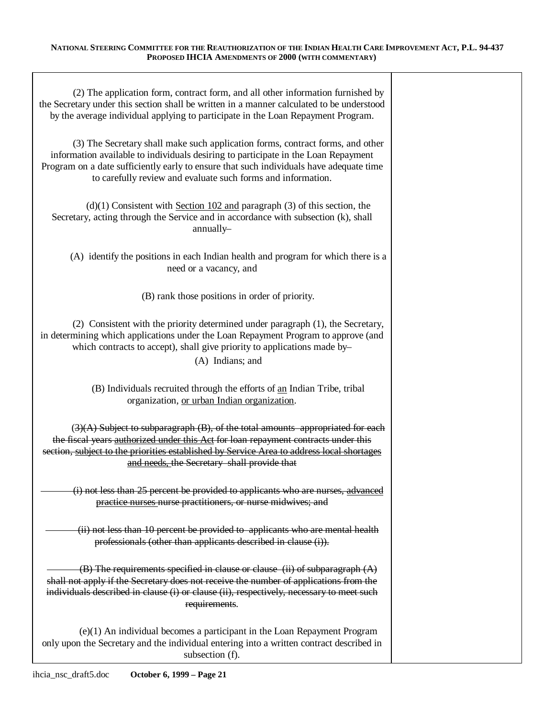| (2) The application form, contract form, and all other information furnished by<br>the Secretary under this section shall be written in a manner calculated to be understood<br>by the average individual applying to participate in the Loan Repayment Program.                                                                |  |
|---------------------------------------------------------------------------------------------------------------------------------------------------------------------------------------------------------------------------------------------------------------------------------------------------------------------------------|--|
| (3) The Secretary shall make such application forms, contract forms, and other<br>information available to individuals desiring to participate in the Loan Repayment<br>Program on a date sufficiently early to ensure that such individuals have adequate time<br>to carefully review and evaluate such forms and information. |  |
| $(d)(1)$ Consistent with Section 102 and paragraph (3) of this section, the<br>Secretary, acting through the Service and in accordance with subsection (k), shall<br>annually-                                                                                                                                                  |  |
| (A) identify the positions in each Indian health and program for which there is a<br>need or a vacancy, and                                                                                                                                                                                                                     |  |
| (B) rank those positions in order of priority.                                                                                                                                                                                                                                                                                  |  |
| (2) Consistent with the priority determined under paragraph (1), the Secretary,<br>in determining which applications under the Loan Repayment Program to approve (and<br>which contracts to accept), shall give priority to applications made by-<br>(A) Indians; and                                                           |  |
| (B) Individuals recruited through the efforts of an Indian Tribe, tribal<br>organization, or urban Indian organization.                                                                                                                                                                                                         |  |
| $(3)(A)$ Subject to subparagraph $(B)$ , of the total amounts appropriated for each<br>the fiscal years authorized under this Act for loan repayment contracts under this<br>section, subject to the priorities established by Service Area to address local shortages<br>and needs, the Secretary shall provide that           |  |
| (i) not less than 25 percent be provided to applicants who are nurses, advanced<br>practice nurses nurse practitioners, or nurse midwives; and                                                                                                                                                                                  |  |
| (ii) not less than 10 percent be provided to applicants who are mental health<br>professionals (other than applicants described in clause (i)).                                                                                                                                                                                 |  |
| $(B)$ The requirements specified in clause or clause (ii) of subparagraph $(A)$<br>shall not apply if the Secretary does not receive the number of applications from the<br>individuals described in clause (i) or clause (ii), respectively, necessary to meet such<br>requirements.                                           |  |
| $(e)(1)$ An individual becomes a participant in the Loan Repayment Program<br>only upon the Secretary and the individual entering into a written contract described in<br>subsection (f).                                                                                                                                       |  |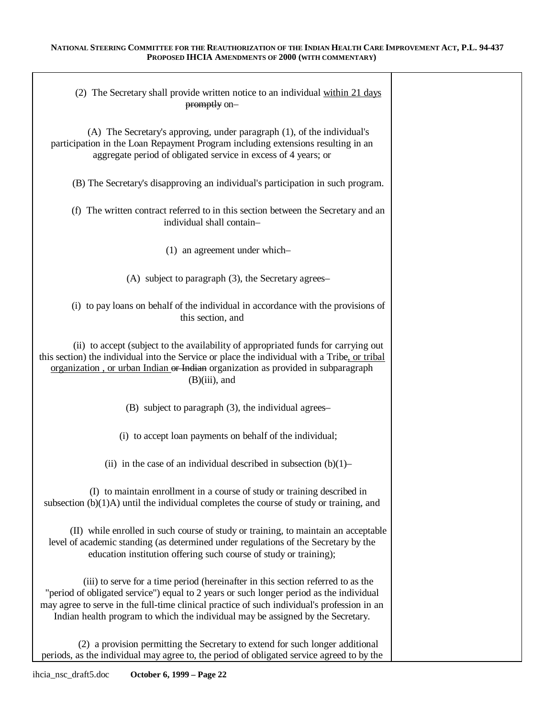T

 $\overline{\phantom{a}}$ 

| (2) The Secretary shall provide written notice to an individual within 21 days<br>promptly on-                                                                                                                                                                                                                                                                |  |
|---------------------------------------------------------------------------------------------------------------------------------------------------------------------------------------------------------------------------------------------------------------------------------------------------------------------------------------------------------------|--|
| (A) The Secretary's approving, under paragraph (1), of the individual's<br>participation in the Loan Repayment Program including extensions resulting in an<br>aggregate period of obligated service in excess of 4 years; or                                                                                                                                 |  |
| (B) The Secretary's disapproving an individual's participation in such program.                                                                                                                                                                                                                                                                               |  |
| (f) The written contract referred to in this section between the Secretary and an<br>individual shall contain-                                                                                                                                                                                                                                                |  |
| $(1)$ an agreement under which-                                                                                                                                                                                                                                                                                                                               |  |
| (A) subject to paragraph (3), the Secretary agrees-                                                                                                                                                                                                                                                                                                           |  |
| (i) to pay loans on behalf of the individual in accordance with the provisions of<br>this section, and                                                                                                                                                                                                                                                        |  |
| (ii) to accept (subject to the availability of appropriated funds for carrying out<br>this section) the individual into the Service or place the individual with a Tribe, or tribal<br>organization, or urban Indian or Indian organization as provided in subparagraph<br>$(B)(iii)$ , and                                                                   |  |
| (B) subject to paragraph (3), the individual agrees-                                                                                                                                                                                                                                                                                                          |  |
| (i) to accept loan payments on behalf of the individual;                                                                                                                                                                                                                                                                                                      |  |
| (ii) in the case of an individual described in subsection $(b)(1)$ –                                                                                                                                                                                                                                                                                          |  |
| (I) to maintain enrollment in a course of study or training described in<br>subsection $(b)(1)$ A) until the individual completes the course of study or training, and                                                                                                                                                                                        |  |
| (II) while enrolled in such course of study or training, to maintain an acceptable<br>level of academic standing (as determined under regulations of the Secretary by the<br>education institution offering such course of study or training);                                                                                                                |  |
| (iii) to serve for a time period (hereinafter in this section referred to as the<br>"period of obligated service") equal to 2 years or such longer period as the individual<br>may agree to serve in the full-time clinical practice of such individual's profession in an<br>Indian health program to which the individual may be assigned by the Secretary. |  |
| (2) a provision permitting the Secretary to extend for such longer additional<br>periods, as the individual may agree to, the period of obligated service agreed to by the                                                                                                                                                                                    |  |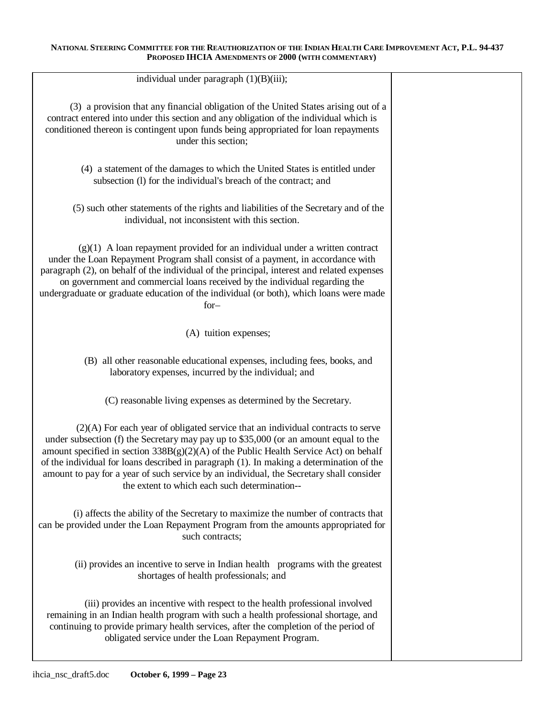| individual under paragraph $(1)(B)(iii)$ ;                                                                                                                                                                                                                                                                                                                                                                                                                                                                   |  |
|--------------------------------------------------------------------------------------------------------------------------------------------------------------------------------------------------------------------------------------------------------------------------------------------------------------------------------------------------------------------------------------------------------------------------------------------------------------------------------------------------------------|--|
| (3) a provision that any financial obligation of the United States arising out of a<br>contract entered into under this section and any obligation of the individual which is<br>conditioned thereon is contingent upon funds being appropriated for loan repayments<br>under this section;                                                                                                                                                                                                                  |  |
| (4) a statement of the damages to which the United States is entitled under<br>subsection (1) for the individual's breach of the contract; and                                                                                                                                                                                                                                                                                                                                                               |  |
| (5) such other statements of the rights and liabilities of the Secretary and of the<br>individual, not inconsistent with this section.                                                                                                                                                                                                                                                                                                                                                                       |  |
| $(g)(1)$ A loan repayment provided for an individual under a written contract<br>under the Loan Repayment Program shall consist of a payment, in accordance with<br>paragraph (2), on behalf of the individual of the principal, interest and related expenses<br>on government and commercial loans received by the individual regarding the<br>undergraduate or graduate education of the individual (or both), which loans were made<br>$for-$                                                            |  |
| (A) tuition expenses;                                                                                                                                                                                                                                                                                                                                                                                                                                                                                        |  |
| (B) all other reasonable educational expenses, including fees, books, and<br>laboratory expenses, incurred by the individual; and                                                                                                                                                                                                                                                                                                                                                                            |  |
| (C) reasonable living expenses as determined by the Secretary.                                                                                                                                                                                                                                                                                                                                                                                                                                               |  |
| $(2)(A)$ For each year of obligated service that an individual contracts to serve<br>under subsection (f) the Secretary may pay up to \$35,000 (or an amount equal to the<br>amount specified in section $338B(g)(2)(A)$ of the Public Health Service Act) on behalf<br>of the individual for loans described in paragraph (1). In making a determination of the<br>amount to pay for a year of such service by an individual, the Secretary shall consider<br>the extent to which each such determination-- |  |
| (i) affects the ability of the Secretary to maximize the number of contracts that<br>can be provided under the Loan Repayment Program from the amounts appropriated for<br>such contracts;                                                                                                                                                                                                                                                                                                                   |  |
| (ii) provides an incentive to serve in Indian health programs with the greatest<br>shortages of health professionals; and                                                                                                                                                                                                                                                                                                                                                                                    |  |
| (iii) provides an incentive with respect to the health professional involved<br>remaining in an Indian health program with such a health professional shortage, and<br>continuing to provide primary health services, after the completion of the period of<br>obligated service under the Loan Repayment Program.                                                                                                                                                                                           |  |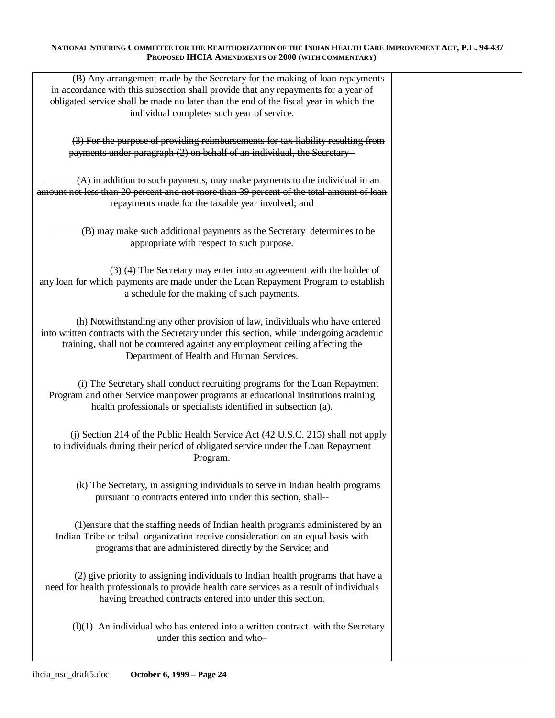| (B) Any arrangement made by the Secretary for the making of loan repayments<br>in accordance with this subsection shall provide that any repayments for a year of<br>obligated service shall be made no later than the end of the fiscal year in which the<br>individual completes such year of service. |  |
|----------------------------------------------------------------------------------------------------------------------------------------------------------------------------------------------------------------------------------------------------------------------------------------------------------|--|
| (3) For the purpose of providing reimbursements for tax liability resulting from<br>payments under paragraph (2) on behalf of an individual, the Secretary-                                                                                                                                              |  |
| $(A)$ in addition to such payments, may make payments to the individual in an<br>amount not less than 20 percent and not more than 39 percent of the total amount of loan<br>repayments made for the taxable year involved; and                                                                          |  |
| (B) may make such additional payments as the Secretary determines to be<br>appropriate with respect to such purpose.                                                                                                                                                                                     |  |
| $(3)$ (4) The Secretary may enter into an agreement with the holder of<br>any loan for which payments are made under the Loan Repayment Program to establish<br>a schedule for the making of such payments.                                                                                              |  |
| (h) Notwithstanding any other provision of law, individuals who have entered<br>into written contracts with the Secretary under this section, while undergoing academic<br>training, shall not be countered against any employment ceiling affecting the<br>Department of Health and Human Services.     |  |
| (i) The Secretary shall conduct recruiting programs for the Loan Repayment<br>Program and other Service manpower programs at educational institutions training<br>health professionals or specialists identified in subsection (a).                                                                      |  |
| (i) Section 214 of the Public Health Service Act (42 U.S.C. 215) shall not apply<br>to individuals during their period of obligated service under the Loan Repayment<br>Program.                                                                                                                         |  |
| (k) The Secretary, in assigning individuals to serve in Indian health programs<br>pursuant to contracts entered into under this section, shall--                                                                                                                                                         |  |
| (1) ensure that the staffing needs of Indian health programs administered by an<br>Indian Tribe or tribal organization receive consideration on an equal basis with<br>programs that are administered directly by the Service; and                                                                       |  |
| (2) give priority to assigning individuals to Indian health programs that have a<br>need for health professionals to provide health care services as a result of individuals<br>having breached contracts entered into under this section.                                                               |  |
| $(l)(1)$ An individual who has entered into a written contract with the Secretary<br>under this section and who-                                                                                                                                                                                         |  |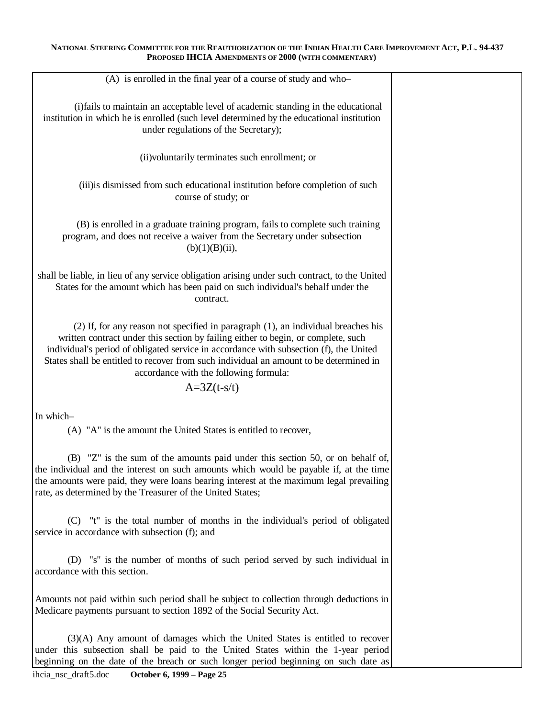| (A) is enrolled in the final year of a course of study and who-                                                                                                                                                                                                                                                                                                                                                            |  |
|----------------------------------------------------------------------------------------------------------------------------------------------------------------------------------------------------------------------------------------------------------------------------------------------------------------------------------------------------------------------------------------------------------------------------|--|
| (i)fails to maintain an acceptable level of academic standing in the educational<br>institution in which he is enrolled (such level determined by the educational institution<br>under regulations of the Secretary);                                                                                                                                                                                                      |  |
|                                                                                                                                                                                                                                                                                                                                                                                                                            |  |
| (ii) voluntarily terminates such enrollment; or                                                                                                                                                                                                                                                                                                                                                                            |  |
| (iii) is dismissed from such educational institution before completion of such<br>course of study; or                                                                                                                                                                                                                                                                                                                      |  |
| (B) is enrolled in a graduate training program, fails to complete such training<br>program, and does not receive a waiver from the Secretary under subsection<br>$(b)(1)(B)(ii)$ ,                                                                                                                                                                                                                                         |  |
| shall be liable, in lieu of any service obligation arising under such contract, to the United<br>States for the amount which has been paid on such individual's behalf under the<br>contract.                                                                                                                                                                                                                              |  |
| $(2)$ If, for any reason not specified in paragraph $(1)$ , an individual breaches his<br>written contract under this section by failing either to begin, or complete, such<br>individual's period of obligated service in accordance with subsection (f), the United<br>States shall be entitled to recover from such individual an amount to be determined in<br>accordance with the following formula:<br>$A=3Z(t-s/t)$ |  |
|                                                                                                                                                                                                                                                                                                                                                                                                                            |  |
| In which-                                                                                                                                                                                                                                                                                                                                                                                                                  |  |
| (A) "A" is the amount the United States is entitled to recover,                                                                                                                                                                                                                                                                                                                                                            |  |
| (B) "Z" is the sum of the amounts paid under this section 50, or on behalf of,<br>the individual and the interest on such amounts which would be payable if, at the time<br>the amounts were paid, they were loans bearing interest at the maximum legal prevailing<br>rate, as determined by the Treasurer of the United States;                                                                                          |  |
| (C) "t" is the total number of months in the individual's period of obligated<br>service in accordance with subsection (f); and                                                                                                                                                                                                                                                                                            |  |
| (D) "s" is the number of months of such period served by such individual in<br>accordance with this section.                                                                                                                                                                                                                                                                                                               |  |
| Amounts not paid within such period shall be subject to collection through deductions in<br>Medicare payments pursuant to section 1892 of the Social Security Act.                                                                                                                                                                                                                                                         |  |
| (3)(A) Any amount of damages which the United States is entitled to recover<br>under this subsection shall be paid to the United States within the 1-year period<br>beginning on the date of the breach or such longer period beginning on such date as                                                                                                                                                                    |  |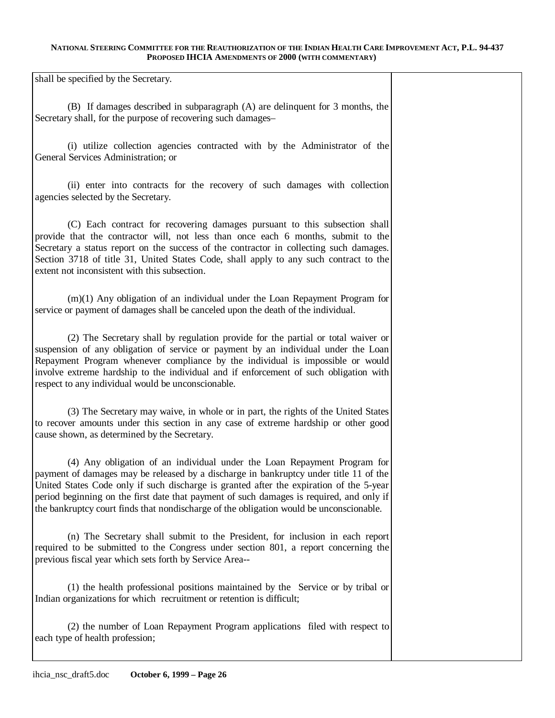shall be specified by the Secretary.

(B) If damages described in subparagraph (A) are delinquent for 3 months, the Secretary shall, for the purpose of recovering such damages–

(i) utilize collection agencies contracted with by the Administrator of the General Services Administration; or

(ii) enter into contracts for the recovery of such damages with collection agencies selected by the Secretary.

(C) Each contract for recovering damages pursuant to this subsection shall provide that the contractor will, not less than once each 6 months, submit to the Secretary a status report on the success of the contractor in collecting such damages. Section 3718 of title 31, United States Code, shall apply to any such contract to the extent not inconsistent with this subsection.

(m)(1) Any obligation of an individual under the Loan Repayment Program for service or payment of damages shall be canceled upon the death of the individual.

(2) The Secretary shall by regulation provide for the partial or total waiver or suspension of any obligation of service or payment by an individual under the Loan Repayment Program whenever compliance by the individual is impossible or would involve extreme hardship to the individual and if enforcement of such obligation with respect to any individual would be unconscionable.

(3) The Secretary may waive, in whole or in part, the rights of the United States to recover amounts under this section in any case of extreme hardship or other good cause shown, as determined by the Secretary.

(4) Any obligation of an individual under the Loan Repayment Program for payment of damages may be released by a discharge in bankruptcy under title 11 of the United States Code only if such discharge is granted after the expiration of the 5-year period beginning on the first date that payment of such damages is required, and only if the bankruptcy court finds that nondischarge of the obligation would be unconscionable.

(n) The Secretary shall submit to the President, for inclusion in each report required to be submitted to the Congress under section 801, a report concerning the previous fiscal year which sets forth by Service Area-

(1) the health professional positions maintained by the Service or by tribal or Indian organizations for which recruitment or retention is difficult;

(2) the number of Loan Repayment Program applications filed with respect to each type of health profession;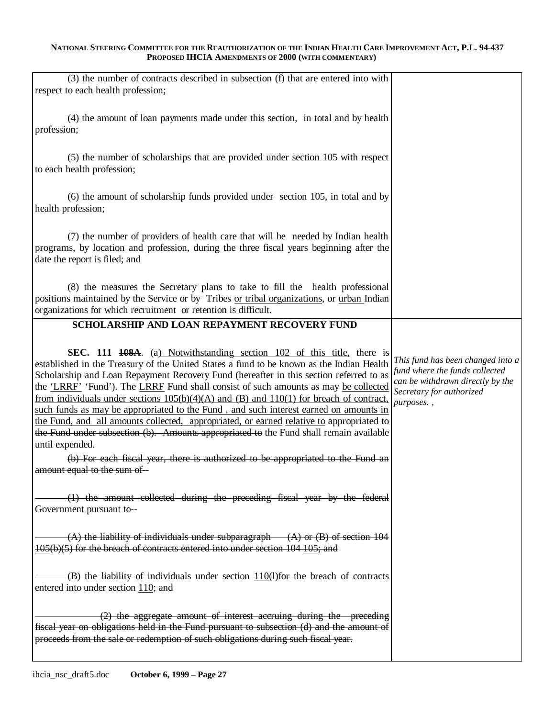| (3) the number of contracts described in subsection (f) that are entered into with<br>respect to each health profession;                                                                                                                                                                                                                                                                                                                                                                                                                                                                                                                                                                                                                                              |                                                                                                                                                   |
|-----------------------------------------------------------------------------------------------------------------------------------------------------------------------------------------------------------------------------------------------------------------------------------------------------------------------------------------------------------------------------------------------------------------------------------------------------------------------------------------------------------------------------------------------------------------------------------------------------------------------------------------------------------------------------------------------------------------------------------------------------------------------|---------------------------------------------------------------------------------------------------------------------------------------------------|
| (4) the amount of loan payments made under this section, in total and by health<br>profession;                                                                                                                                                                                                                                                                                                                                                                                                                                                                                                                                                                                                                                                                        |                                                                                                                                                   |
| (5) the number of scholarships that are provided under section 105 with respect<br>to each health profession;                                                                                                                                                                                                                                                                                                                                                                                                                                                                                                                                                                                                                                                         |                                                                                                                                                   |
| (6) the amount of scholarship funds provided under section 105, in total and by<br>health profession;                                                                                                                                                                                                                                                                                                                                                                                                                                                                                                                                                                                                                                                                 |                                                                                                                                                   |
| (7) the number of providers of health care that will be needed by Indian health<br>programs, by location and profession, during the three fiscal years beginning after the<br>date the report is filed; and                                                                                                                                                                                                                                                                                                                                                                                                                                                                                                                                                           |                                                                                                                                                   |
| (8) the measures the Secretary plans to take to fill the health professional<br>positions maintained by the Service or by Tribes or tribal organizations, or urban Indian<br>organizations for which recruitment or retention is difficult.                                                                                                                                                                                                                                                                                                                                                                                                                                                                                                                           |                                                                                                                                                   |
| SCHOLARSHIP AND LOAN REPAYMENT RECOVERY FUND                                                                                                                                                                                                                                                                                                                                                                                                                                                                                                                                                                                                                                                                                                                          |                                                                                                                                                   |
| <b>SEC.</b> 111 <b>108A</b> . (a) Notwithstanding section 102 of this title, there is<br>established in the Treasury of the United States a fund to be known as the Indian Health<br>Scholarship and Loan Repayment Recovery Fund (hereafter in this section referred to as<br>the 'LRRF' 'Fund'). The LRRF Fund shall consist of such amounts as may be collected<br>from individuals under sections $105(b)(4)(A)$ and $(B)$ and $110(1)$ for breach of contract,<br>such funds as may be appropriated to the Fund, and such interest earned on amounts in<br>the Fund, and all amounts collected, appropriated, or earned relative to appropriated to<br>the Fund under subsection (b). Amounts appropriated to the Fund shall remain available<br>until expended. | This fund has been changed into a<br>fund where the funds collected<br>can be withdrawn directly by the<br>Secretary for authorized<br>purposes., |
| (b) For each fiscal year, there is authorized to be appropriated to the Fund an<br>amount equal to the sum of-                                                                                                                                                                                                                                                                                                                                                                                                                                                                                                                                                                                                                                                        |                                                                                                                                                   |
| (1) the amount collected during the preceding fiscal year by the federal<br>Government pursuant to-                                                                                                                                                                                                                                                                                                                                                                                                                                                                                                                                                                                                                                                                   |                                                                                                                                                   |
| $(A)$ the liability of individuals under subparagraph $(A)$ or $(B)$ of section 104<br>105(b)(5) for the breach of contracts entered into under section 104 105; and                                                                                                                                                                                                                                                                                                                                                                                                                                                                                                                                                                                                  |                                                                                                                                                   |
| $(B)$ the liability of individuals under section $110(1)$ for the breach of contracts<br>entered into under section 110; and                                                                                                                                                                                                                                                                                                                                                                                                                                                                                                                                                                                                                                          |                                                                                                                                                   |
| $(2)$ the aggregate amount of interest accruing during the preceding<br>fiscal year on obligations held in the Fund pursuant to subsection (d) and the amount of<br>proceeds from the sale or redemption of such obligations during such fiscal year.                                                                                                                                                                                                                                                                                                                                                                                                                                                                                                                 |                                                                                                                                                   |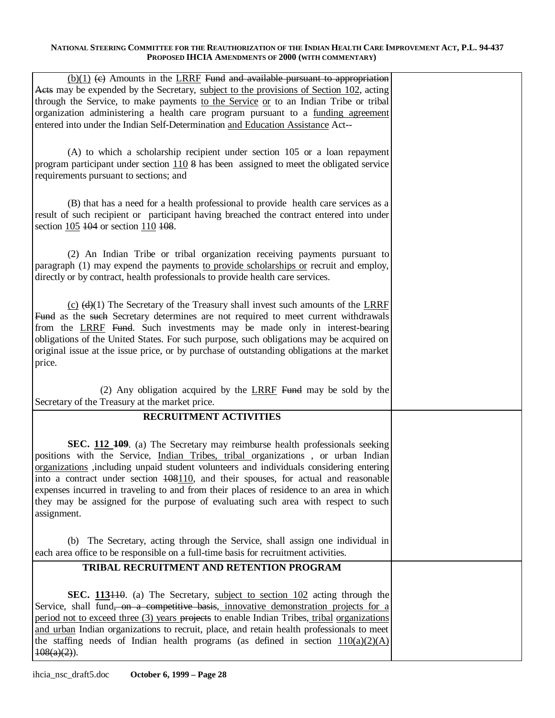| $(b)(1)$ (e) Amounts in the LRRF Fund and available pursuant to appropriation<br>A ets may be expended by the Secretary, subject to the provisions of Section 102, acting<br>through the Service, to make payments to the Service or to an Indian Tribe or tribal                                                                                                                                                                                                                                                                                                               |  |
|---------------------------------------------------------------------------------------------------------------------------------------------------------------------------------------------------------------------------------------------------------------------------------------------------------------------------------------------------------------------------------------------------------------------------------------------------------------------------------------------------------------------------------------------------------------------------------|--|
| organization administering a health care program pursuant to a funding agreement<br>entered into under the Indian Self-Determination and Education Assistance Act--                                                                                                                                                                                                                                                                                                                                                                                                             |  |
| (A) to which a scholarship recipient under section 105 or a loan repayment<br>program participant under section 110 8 has been assigned to meet the obligated service<br>requirements pursuant to sections; and                                                                                                                                                                                                                                                                                                                                                                 |  |
| (B) that has a need for a health professional to provide health care services as a<br>result of such recipient or participant having breached the contract entered into under<br>section 105 104 or section 110 108.                                                                                                                                                                                                                                                                                                                                                            |  |
| (2) An Indian Tribe or tribal organization receiving payments pursuant to<br>paragraph (1) may expend the payments to provide scholarships or recruit and employ,<br>directly or by contract, health professionals to provide health care services.                                                                                                                                                                                                                                                                                                                             |  |
| $(c)$ (d)(1) The Secretary of the Treasury shall invest such amounts of the LRRF<br>Fund as the such Secretary determines are not required to meet current withdrawals<br>from the LRRF Fund. Such investments may be made only in interest-bearing<br>obligations of the United States. For such purpose, such obligations may be acquired on<br>original issue at the issue price, or by purchase of outstanding obligations at the market<br>price.                                                                                                                          |  |
| (2) Any obligation acquired by the $LRRF$ Fund may be sold by the                                                                                                                                                                                                                                                                                                                                                                                                                                                                                                               |  |
| Secretary of the Treasury at the market price.<br>RECRUITMENT ACTIVITIES                                                                                                                                                                                                                                                                                                                                                                                                                                                                                                        |  |
|                                                                                                                                                                                                                                                                                                                                                                                                                                                                                                                                                                                 |  |
| SEC. 112 109. (a) The Secretary may reimburse health professionals seeking<br>positions with the Service, <i>Indian Tribes</i> , <i>tribal</i> organizations, or urban Indian<br>organizations , including unpaid student volunteers and individuals considering entering<br>into a contract under section $\frac{108110}{1000}$ , and their spouses, for actual and reasonable<br>expenses incurred in traveling to and from their places of residence to an area in which<br>they may be assigned for the purpose of evaluating such area with respect to such<br>assignment. |  |
| (b) The Secretary, acting through the Service, shall assign one individual in<br>each area office to be responsible on a full-time basis for recruitment activities.                                                                                                                                                                                                                                                                                                                                                                                                            |  |
| TRIBAL RECRUITMENT AND RETENTION PROGRAM                                                                                                                                                                                                                                                                                                                                                                                                                                                                                                                                        |  |
| SEC. 113440. (a) The Secretary, subject to section 102 acting through the<br>Service, shall fund, on a competitive basis, innovative demonstration projects for a<br>period not to exceed three (3) years projects to enable Indian Tribes, tribal organizations<br>and urban Indian organizations to recruit, place, and retain health professionals to meet<br>the staffing needs of Indian health programs (as defined in section $110(a)(2)(A)$<br>$108(a)(2)$ ).                                                                                                           |  |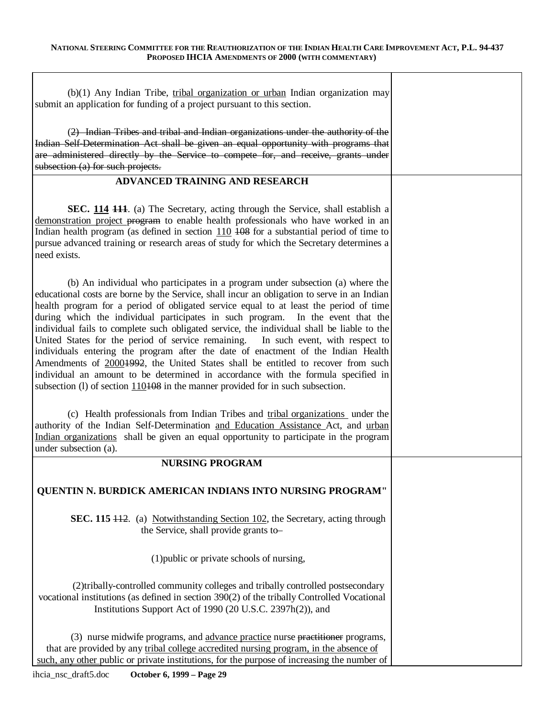| $(b)(1)$ Any Indian Tribe, tribal organization or urban Indian organization may<br>submit an application for funding of a project pursuant to this section.                                                                                                                                                                                                                                                                                                                                                                                                                                                                                                                                                                                                                                                                                                                                     |  |
|-------------------------------------------------------------------------------------------------------------------------------------------------------------------------------------------------------------------------------------------------------------------------------------------------------------------------------------------------------------------------------------------------------------------------------------------------------------------------------------------------------------------------------------------------------------------------------------------------------------------------------------------------------------------------------------------------------------------------------------------------------------------------------------------------------------------------------------------------------------------------------------------------|--|
| (2) Indian Tribes and tribal and Indian organizations under the authority of the<br>Indian Self-Determination Act shall be given an equal opportunity with programs that<br>are administered directly by the Service to compete for, and receive, grants under<br>subsection (a) for such projects.                                                                                                                                                                                                                                                                                                                                                                                                                                                                                                                                                                                             |  |
| ADVANCED TRAINING AND RESEARCH                                                                                                                                                                                                                                                                                                                                                                                                                                                                                                                                                                                                                                                                                                                                                                                                                                                                  |  |
| SEC. 114 111. (a) The Secretary, acting through the Service, shall establish a<br>demonstration project program to enable health professionals who have worked in an<br>Indian health program (as defined in section $110$ 408 for a substantial period of time to<br>pursue advanced training or research areas of study for which the Secretary determines a<br>need exists.                                                                                                                                                                                                                                                                                                                                                                                                                                                                                                                  |  |
| (b) An individual who participates in a program under subsection (a) where the<br>educational costs are borne by the Service, shall incur an obligation to serve in an Indian<br>health program for a period of obligated service equal to at least the period of time<br>during which the individual participates in such program. In the event that the<br>individual fails to complete such obligated service, the individual shall be liable to the<br>United States for the period of service remaining. In such event, with respect to<br>individuals entering the program after the date of enactment of the Indian Health<br>Amendments of 20001992, the United States shall be entitled to recover from such<br>individual an amount to be determined in accordance with the formula specified in<br>subsection (1) of section $110108$ in the manner provided for in such subsection. |  |
| (c) Health professionals from Indian Tribes and tribal organizations under the<br>authority of the Indian Self-Determination and Education Assistance Act, and urban<br>Indian organizations shall be given an equal opportunity to participate in the program<br>under subsection (a).                                                                                                                                                                                                                                                                                                                                                                                                                                                                                                                                                                                                         |  |
| <b>NURSING PROGRAM</b>                                                                                                                                                                                                                                                                                                                                                                                                                                                                                                                                                                                                                                                                                                                                                                                                                                                                          |  |
| QUENTIN N. BURDICK AMERICAN INDIANS INTO NURSING PROGRAM"                                                                                                                                                                                                                                                                                                                                                                                                                                                                                                                                                                                                                                                                                                                                                                                                                                       |  |
| SEC. 115 + + 2. (a) Notwithstanding Section 102, the Secretary, acting through<br>the Service, shall provide grants to-                                                                                                                                                                                                                                                                                                                                                                                                                                                                                                                                                                                                                                                                                                                                                                         |  |
| (1) public or private schools of nursing,                                                                                                                                                                                                                                                                                                                                                                                                                                                                                                                                                                                                                                                                                                                                                                                                                                                       |  |
| (2)tribally-controlled community colleges and tribally controlled postsecondary<br>vocational institutions (as defined in section 390(2) of the tribally Controlled Vocational<br>Institutions Support Act of 1990 (20 U.S.C. 2397h(2)), and                                                                                                                                                                                                                                                                                                                                                                                                                                                                                                                                                                                                                                                    |  |
| (3) nurse midwife programs, and advance practice nurse practitioner programs,<br>that are provided by any tribal college accredited nursing program, in the absence of<br>such, any other public or private institutions, for the purpose of increasing the number of                                                                                                                                                                                                                                                                                                                                                                                                                                                                                                                                                                                                                           |  |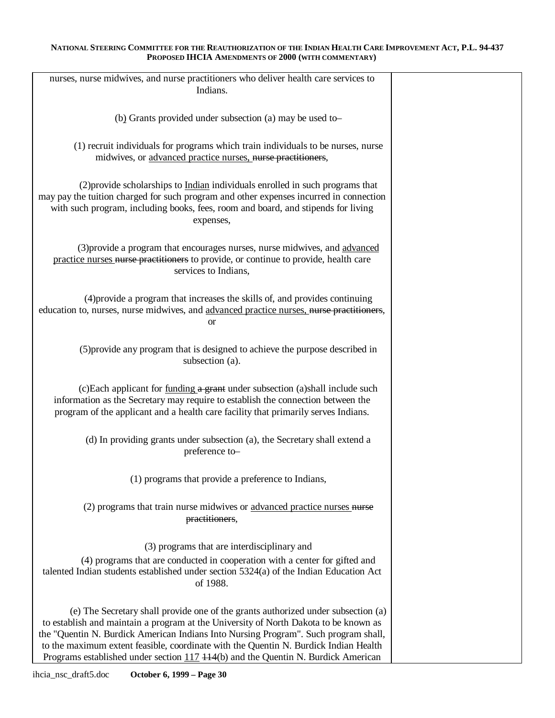| nurses, nurse midwives, and nurse practitioners who deliver health care services to<br>Indians.                                                                                                                                                                                                                                                                                                                                                   |  |
|---------------------------------------------------------------------------------------------------------------------------------------------------------------------------------------------------------------------------------------------------------------------------------------------------------------------------------------------------------------------------------------------------------------------------------------------------|--|
| (b) Grants provided under subsection (a) may be used to-                                                                                                                                                                                                                                                                                                                                                                                          |  |
| (1) recruit individuals for programs which train individuals to be nurses, nurse<br>midwives, or advanced practice nurses, nurse practitioners,                                                                                                                                                                                                                                                                                                   |  |
| (2) provide scholarships to Indian individuals enrolled in such programs that<br>may pay the tuition charged for such program and other expenses incurred in connection<br>with such program, including books, fees, room and board, and stipends for living<br>expenses,                                                                                                                                                                         |  |
| (3) provide a program that encourages nurses, nurse midwives, and advanced<br>practice nurses nurse practitioners to provide, or continue to provide, health care<br>services to Indians,                                                                                                                                                                                                                                                         |  |
| (4) provide a program that increases the skills of, and provides continuing<br>education to, nurses, nurse midwives, and advanced practice nurses, nurse practitioners,<br><b>or</b>                                                                                                                                                                                                                                                              |  |
| (5) provide any program that is designed to achieve the purpose described in<br>subsection (a).                                                                                                                                                                                                                                                                                                                                                   |  |
| (c)Each applicant for funding a grant under subsection (a)shall include such<br>information as the Secretary may require to establish the connection between the<br>program of the applicant and a health care facility that primarily serves Indians.                                                                                                                                                                                            |  |
| (d) In providing grants under subsection (a), the Secretary shall extend a<br>preference to-                                                                                                                                                                                                                                                                                                                                                      |  |
| (1) programs that provide a preference to Indians,                                                                                                                                                                                                                                                                                                                                                                                                |  |
| (2) programs that train nurse midwives or advanced practice nurses nurse<br>practitioners,                                                                                                                                                                                                                                                                                                                                                        |  |
| (3) programs that are interdisciplinary and                                                                                                                                                                                                                                                                                                                                                                                                       |  |
| (4) programs that are conducted in cooperation with a center for gifted and<br>talented Indian students established under section 5324(a) of the Indian Education Act<br>of 1988.                                                                                                                                                                                                                                                                 |  |
| (e) The Secretary shall provide one of the grants authorized under subsection (a)<br>to establish and maintain a program at the University of North Dakota to be known as<br>the "Quentin N. Burdick American Indians Into Nursing Program". Such program shall,<br>to the maximum extent feasible, coordinate with the Quentin N. Burdick Indian Health<br>Programs established under section $117 + 14$ (b) and the Quentin N. Burdick American |  |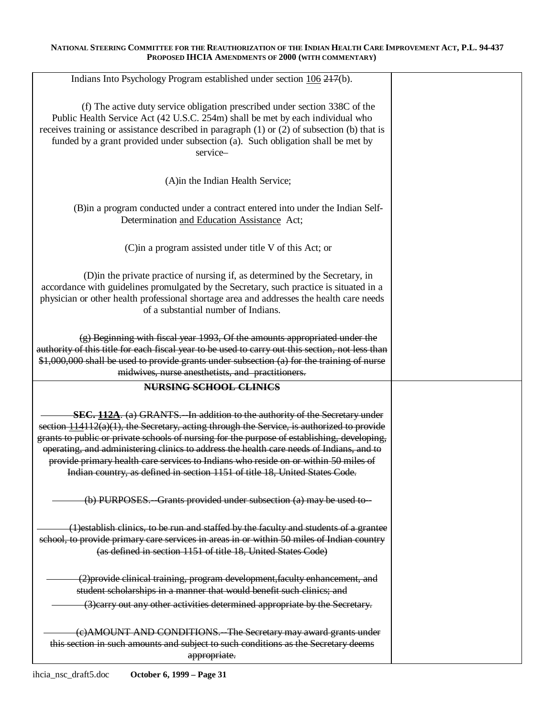| Indians Into Psychology Program established under section 106 217(b).                                                                                                                                                                                                                                                              |  |
|------------------------------------------------------------------------------------------------------------------------------------------------------------------------------------------------------------------------------------------------------------------------------------------------------------------------------------|--|
| (f) The active duty service obligation prescribed under section 338C of the<br>Public Health Service Act (42 U.S.C. 254m) shall be met by each individual who<br>receives training or assistance described in paragraph $(1)$ or $(2)$ of subsection $(b)$ that is                                                                 |  |
| funded by a grant provided under subsection (a). Such obligation shall be met by<br>service-                                                                                                                                                                                                                                       |  |
| (A)in the Indian Health Service;                                                                                                                                                                                                                                                                                                   |  |
| (B) in a program conducted under a contract entered into under the Indian Self-<br>Determination and Education Assistance Act;                                                                                                                                                                                                     |  |
| (C) in a program assisted under title V of this Act; or                                                                                                                                                                                                                                                                            |  |
| (D) in the private practice of nursing if, as determined by the Secretary, in<br>accordance with guidelines promulgated by the Secretary, such practice is situated in a<br>physician or other health professional shortage area and addresses the health care needs<br>of a substantial number of Indians.                        |  |
| $(g)$ Beginning with fiscal year 1993, Of the amounts appropriated under the<br>authority of this title for each fiscal year to be used to carry out this section, not less than<br>\$1,000,000 shall be used to provide grants under subsection (a) for the training of nurse<br>midwives, nurse anesthetists, and practitioners. |  |
| <b>NURSING SCHOOL CLINICS</b>                                                                                                                                                                                                                                                                                                      |  |
|                                                                                                                                                                                                                                                                                                                                    |  |
| <b>SEC. 112A.</b> (a) GRANTS. In addition to the authority of the Secretary under                                                                                                                                                                                                                                                  |  |
| section $114112(a)(1)$ , the Secretary, acting through the Service, is authorized to provide                                                                                                                                                                                                                                       |  |
| grants to public or private schools of nursing for the purpose of establishing, developing,                                                                                                                                                                                                                                        |  |
| operating, and administering clinics to address the health care needs of Indians, and to<br>provide primary health care services to Indians who reside on or within 50 miles of                                                                                                                                                    |  |
| Indian country, as defined in section 1151 of title 18, United States Code.                                                                                                                                                                                                                                                        |  |
| (b) PURPOSES. Grants provided under subsection (a) may be used to -                                                                                                                                                                                                                                                                |  |
| (1) establish clinics, to be run and staffed by the faculty and students of a grantee<br>school, to provide primary care services in areas in or within 50 miles of Indian country<br>(as defined in section 1151 of title 18, United States Code)                                                                                 |  |
| (2) provide clinical training, program development, faculty enhancement, and                                                                                                                                                                                                                                                       |  |
| student scholarships in a manner that would benefit such clinics; and                                                                                                                                                                                                                                                              |  |
| (3) earry out any other activities determined appropriate by the Secretary.                                                                                                                                                                                                                                                        |  |
| (e) AMOUNT AND CONDITIONS. The Secretary may award grants under<br>this section in such amounts and subject to such conditions as the Secretary deems<br>appropriate.                                                                                                                                                              |  |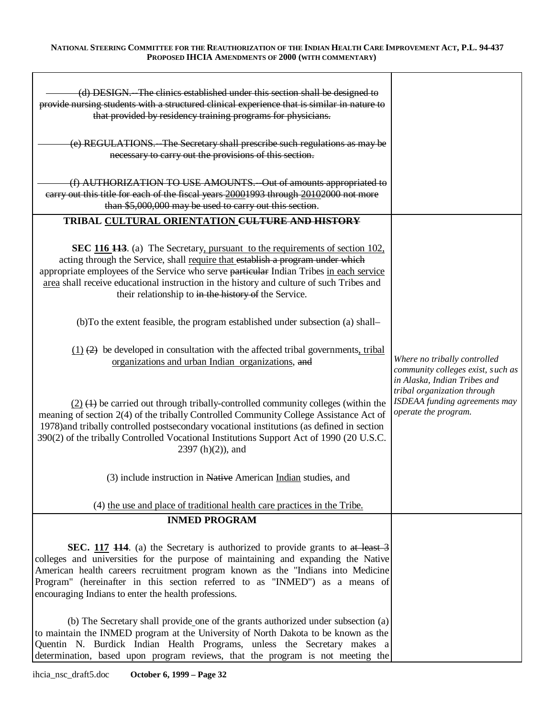| (d) DESIGN. The clinics established under this section shall be designed to<br>provide nursing students with a structured clinical experience that is similar in nature to<br>that provided by residency training programs for physicians.                                                                                                                                                                    |                                                                                                   |
|---------------------------------------------------------------------------------------------------------------------------------------------------------------------------------------------------------------------------------------------------------------------------------------------------------------------------------------------------------------------------------------------------------------|---------------------------------------------------------------------------------------------------|
| (e) REGULATIONS. The Secretary shall prescribe such regulations as may be<br>necessary to carry out the provisions of this section.                                                                                                                                                                                                                                                                           |                                                                                                   |
| (f) AUTHORIZATION TO USE AMOUNTS. - Out of amounts appropriated to<br>earry out this title for each of the fiscal years 20001993 through 20102000 not more<br>than \$5,000,000 may be used to carry out this section.                                                                                                                                                                                         |                                                                                                   |
| TRIBAL CULTURAL ORIENTATION CULTURE AND HISTORY                                                                                                                                                                                                                                                                                                                                                               |                                                                                                   |
| SEC 116 113. (a) The Secretary, pursuant to the requirements of section 102,<br>acting through the Service, shall require that establish a program under which<br>appropriate employees of the Service who serve particular Indian Tribes in each service<br>area shall receive educational instruction in the history and culture of such Tribes and<br>their relationship to in the history of the Service. |                                                                                                   |
| (b)To the extent feasible, the program established under subsection (a) shall-                                                                                                                                                                                                                                                                                                                                |                                                                                                   |
| $(1)$ $(2)$ be developed in consultation with the affected tribal governments, tribal<br>organizations and urban Indian organizations, and                                                                                                                                                                                                                                                                    | Where no tribally controlled<br>community colleges exist, such as<br>in Alaska, Indian Tribes and |
| $(2)$ $(1)$ be carried out through tribally-controlled community colleges (within the<br>meaning of section 2(4) of the tribally Controlled Community College Assistance Act of<br>1978) and tribally controlled postsecondary vocational institutions (as defined in section<br>390(2) of the tribally Controlled Vocational Institutions Support Act of 1990 (20 U.S.C.<br>$2397(h)(2)$ , and               | tribal organization through<br>ISDEAA funding agreements may<br>operate the program.              |
| (3) include instruction in Native American Indian studies, and                                                                                                                                                                                                                                                                                                                                                |                                                                                                   |
| (4) the use and place of traditional health care practices in the Tribe.                                                                                                                                                                                                                                                                                                                                      |                                                                                                   |
| <b>INMED PROGRAM</b>                                                                                                                                                                                                                                                                                                                                                                                          |                                                                                                   |
| SEC. 117 114. (a) the Secretary is authorized to provide grants to at least 3<br>colleges and universities for the purpose of maintaining and expanding the Native<br>American health careers recruitment program known as the "Indians into Medicine<br>Program" (hereinafter in this section referred to as "INMED") as a means of<br>encouraging Indians to enter the health professions.                  |                                                                                                   |
| (b) The Secretary shall provide one of the grants authorized under subsection (a)<br>to maintain the INMED program at the University of North Dakota to be known as the<br>Quentin N. Burdick Indian Health Programs, unless the Secretary makes a<br>determination, based upon program reviews, that the program is not meeting the                                                                          |                                                                                                   |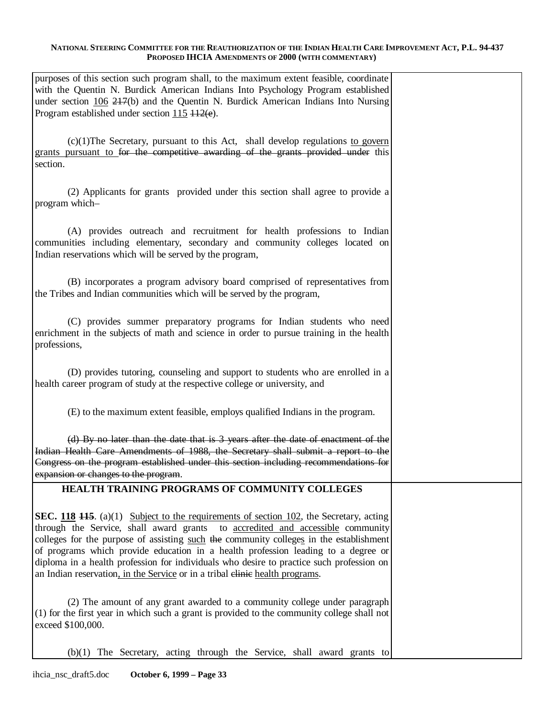| purposes of this section such program shall, to the maximum extent feasible, coordinate<br>with the Quentin N. Burdick American Indians Into Psychology Program established<br>under section $106\ 247(b)$ and the Quentin N. Burdick American Indians Into Nursing<br>Program established under section $115 \text{ H2}(e)$ .                                                                                                                                                                                                                     |  |
|----------------------------------------------------------------------------------------------------------------------------------------------------------------------------------------------------------------------------------------------------------------------------------------------------------------------------------------------------------------------------------------------------------------------------------------------------------------------------------------------------------------------------------------------------|--|
| $(c)(1)$ The Secretary, pursuant to this Act, shall develop regulations to govern<br>grants pursuant to for the competitive awarding of the grants provided under this<br>section.                                                                                                                                                                                                                                                                                                                                                                 |  |
| (2) Applicants for grants provided under this section shall agree to provide a<br>program which-                                                                                                                                                                                                                                                                                                                                                                                                                                                   |  |
| (A) provides outreach and recruitment for health professions to Indian<br>communities including elementary, secondary and community colleges located on<br>Indian reservations which will be served by the program,                                                                                                                                                                                                                                                                                                                                |  |
| (B) incorporates a program advisory board comprised of representatives from<br>the Tribes and Indian communities which will be served by the program,                                                                                                                                                                                                                                                                                                                                                                                              |  |
| (C) provides summer preparatory programs for Indian students who need<br>enrichment in the subjects of math and science in order to pursue training in the health<br>professions,                                                                                                                                                                                                                                                                                                                                                                  |  |
| (D) provides tutoring, counseling and support to students who are enrolled in a<br>health career program of study at the respective college or university, and                                                                                                                                                                                                                                                                                                                                                                                     |  |
| (E) to the maximum extent feasible, employs qualified Indians in the program.                                                                                                                                                                                                                                                                                                                                                                                                                                                                      |  |
| (d) By no later than the date that is 3 years after the date of enactment of the<br>Indian Health Care Amendments of 1988, the Secretary shall submit a report to the<br>Congress on the program established under this section including recommendations for<br>expansion or changes to the program.                                                                                                                                                                                                                                              |  |
| <b>HEALTH TRAINING PROGRAMS OF COMMUNITY COLLEGES</b>                                                                                                                                                                                                                                                                                                                                                                                                                                                                                              |  |
| <b>SEC.</b> 118 <b>115</b> . (a)(1) Subject to the requirements of section 102, the Secretary, acting<br>through the Service, shall award grants to accredited and accessible community<br>colleges for the purpose of assisting such the community colleges in the establishment<br>of programs which provide education in a health profession leading to a degree or<br>diploma in a health profession for individuals who desire to practice such profession on<br>an Indian reservation, in the Service or in a tribal elimie health programs. |  |
| (2) The amount of any grant awarded to a community college under paragraph<br>(1) for the first year in which such a grant is provided to the community college shall not<br>exceed \$100,000.                                                                                                                                                                                                                                                                                                                                                     |  |
| (b)(1) The Secretary, acting through the Service, shall award grants to                                                                                                                                                                                                                                                                                                                                                                                                                                                                            |  |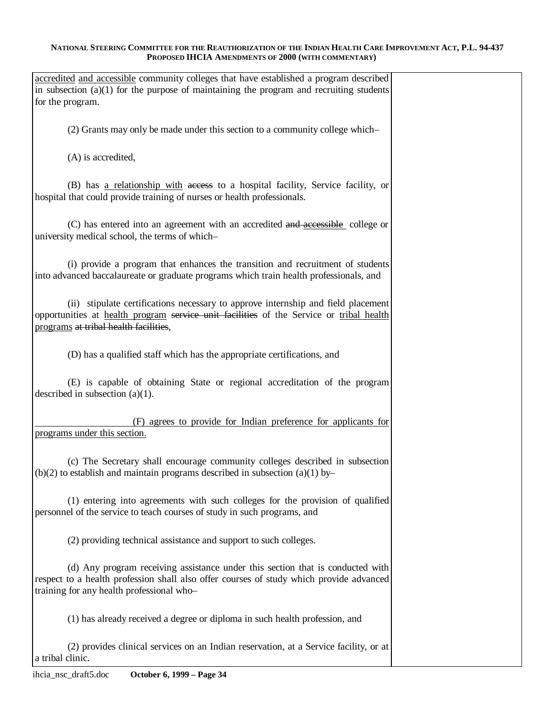| accredited and accessible community colleges that have established a program described<br>in subsection $(a)(1)$ for the purpose of maintaining the program and recruiting students<br>for the program.                |  |
|------------------------------------------------------------------------------------------------------------------------------------------------------------------------------------------------------------------------|--|
| (2) Grants may only be made under this section to a community college which-                                                                                                                                           |  |
| (A) is accredited,                                                                                                                                                                                                     |  |
| (B) has a relationship with access to a hospital facility, Service facility, or<br>hospital that could provide training of nurses or health professionals.                                                             |  |
| (C) has entered into an agreement with an accredited and accessible college or<br>university medical school, the terms of which-                                                                                       |  |
| (i) provide a program that enhances the transition and recruitment of students<br>into advanced baccalaureate or graduate programs which train health professionals, and                                               |  |
| (ii) stipulate certifications necessary to approve internship and field placement<br>opportunities at health program service unit facilities of the Service or tribal health<br>programs at tribal health facilities,  |  |
| (D) has a qualified staff which has the appropriate certifications, and                                                                                                                                                |  |
| (E) is capable of obtaining State or regional accreditation of the program<br>described in subsection $(a)(1)$ .                                                                                                       |  |
| (F) agrees to provide for Indian preference for applicants for<br>programs under this section.                                                                                                                         |  |
| (c) The Secretary shall encourage community colleges described in subsection<br>$(b)(2)$ to establish and maintain programs described in subsection $(a)(1)$ by-                                                       |  |
| (1) entering into agreements with such colleges for the provision of qualified<br>personnel of the service to teach courses of study in such programs, and                                                             |  |
| (2) providing technical assistance and support to such colleges.                                                                                                                                                       |  |
| (d) Any program receiving assistance under this section that is conducted with<br>respect to a health profession shall also offer courses of study which provide advanced<br>training for any health professional who- |  |
| (1) has already received a degree or diploma in such health profession, and                                                                                                                                            |  |
| (2) provides clinical services on an Indian reservation, at a Service facility, or at<br>a tribal clinic.                                                                                                              |  |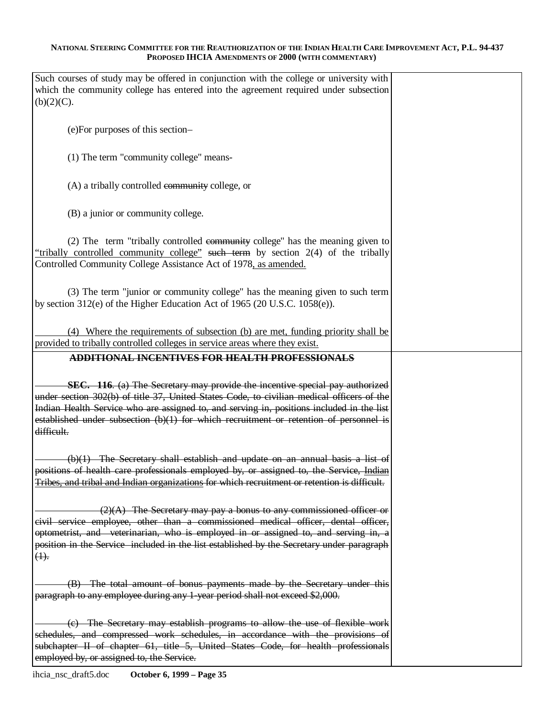| Such courses of study may be offered in conjunction with the college or university with<br>which the community college has entered into the agreement required under subsection<br>(b)(2)(C).                                                                                                                                                                                    |  |
|----------------------------------------------------------------------------------------------------------------------------------------------------------------------------------------------------------------------------------------------------------------------------------------------------------------------------------------------------------------------------------|--|
| (e) For purposes of this section-                                                                                                                                                                                                                                                                                                                                                |  |
| (1) The term "community college" means-                                                                                                                                                                                                                                                                                                                                          |  |
| (A) a tribally controlled community college, or                                                                                                                                                                                                                                                                                                                                  |  |
| (B) a junior or community college.                                                                                                                                                                                                                                                                                                                                               |  |
| (2) The term "tribally controlled community college" has the meaning given to<br>"tribally controlled community college" such term by section 2(4) of the tribally<br>Controlled Community College Assistance Act of 1978, as amended.                                                                                                                                           |  |
| (3) The term "junior or community college" has the meaning given to such term<br>by section 312(e) of the Higher Education Act of 1965 (20 U.S.C. 1058(e)).                                                                                                                                                                                                                      |  |
| (4) Where the requirements of subsection (b) are met, funding priority shall be<br>provided to tribally controlled colleges in service areas where they exist.                                                                                                                                                                                                                   |  |
| ADDITIONAL INCENTIVES FOR HEALTH PROFESSIONALS                                                                                                                                                                                                                                                                                                                                   |  |
| SEC. 116. (a) The Secretary may provide the incentive special pay authorized<br>under section 302(b) of title 37, United States Code, to civilian medical officers of the<br>Indian Health Service who are assigned to, and serving in, positions included in the list<br>established under subsection $(b)(1)$ for which recruitment or retention of personnel is<br>difficult. |  |
| $(b)(1)$ The Secretary shall establish and update on an annual basis a list of<br>positions of health care professionals employed by, or assigned to, the Service, Indian<br>Tribes, and tribal and Indian organizations for which recruitment or retention is difficult.                                                                                                        |  |
| $(2)(A)$ The Secretary may pay a bonus to any commissioned officer or<br>civil service employee, other than a commissioned medical officer, dental officer,<br>optometrist, and veterinarian, who is employed in or assigned to, and serving in, a<br>position in the Service included in the list established by the Secretary under paragraph<br>$(4)$ .                       |  |
| (B) The total amount of bonus payments made by the Secretary under this<br>paragraph to any employee during any 1-year period shall not exceed \$2,000.                                                                                                                                                                                                                          |  |
| (c) The Secretary may establish programs to allow the use of flexible work<br>schedules, and compressed work schedules, in accordance with the provisions of<br>subchapter II of chapter 61, title 5, United States Code, for health professionals<br>employed by, or assigned to, the Service.                                                                                  |  |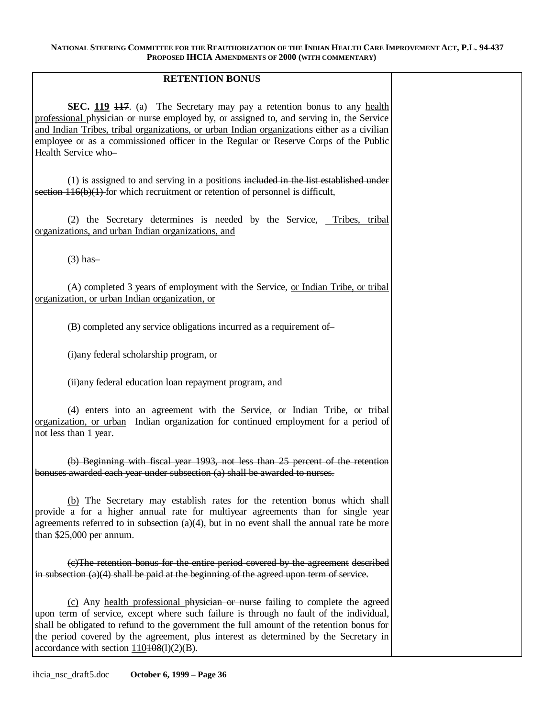# **RETENTION BONUS**

**SEC. 119 <del>117</del>**. (a) The Secretary may pay a retention bonus to any health professional physician or nurse employed by, or assigned to, and serving in, the Service and Indian Tribes, tribal organizations, or urban Indian organizations either as a civilian employee or as a commissioned officer in the Regular or Reserve Corps of the Public Health Service who–

(1) is assigned to and serving in a positions included in the list established under section  $116(b)(1)$  for which recruitment or retention of personnel is difficult,

(2) the Secretary determines is needed by the Service, Tribes, tribal organizations, and urban Indian organizations, and

(3) has–

(A) completed 3 years of employment with the Service, or Indian Tribe, or tribal organization, or urban Indian organization, or

(B) completed any service obligations incurred as a requirement of–

(i)any federal scholarship program, or

(ii)any federal education loan repayment program, and

(4) enters into an agreement with the Service, or Indian Tribe, or tribal organization, or urban Indian organization for continued employment for a period of not less than 1 year.

(b) Beginning with fiscal year 1993, not less than 25 percent of the retention bonuses awarded each year under subsection (a) shall be awarded to nurses.

(b) The Secretary may establish rates for the retention bonus which shall provide a for a higher annual rate for multiyear agreements than for single year agreements referred to in subsection  $(a)(4)$ , but in no event shall the annual rate be more than \$25,000 per annum.

(c)The retention bonus for the entire period covered by the agreement described in subsection (a)(4) shall be paid at the beginning of the agreed upon term of service.

(c) Any health professional physician or nurse failing to complete the agreed upon term of service, except where such failure is through no fault of the individual, shall be obligated to refund to the government the full amount of the retention bonus for the period covered by the agreement, plus interest as determined by the Secretary in accordance with section  $110408(1)(2)(B)$ .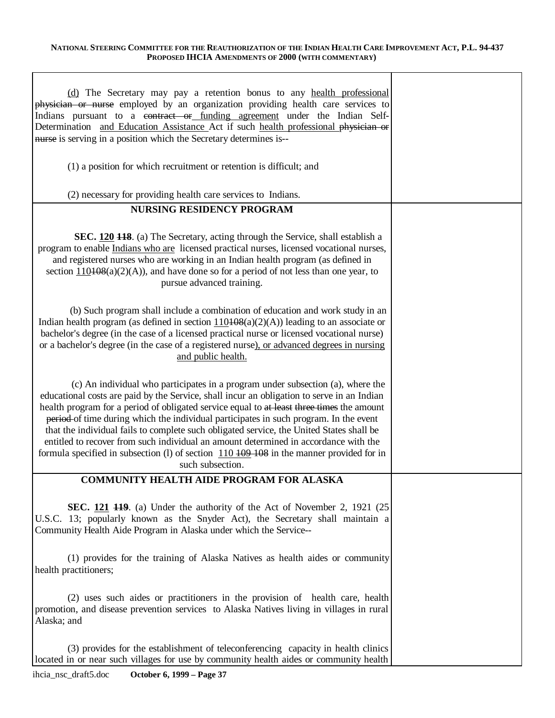| (d) The Secretary may pay a retention bonus to any health professional<br>physician or nurse employed by an organization providing health care services to<br>Indians pursuant to a contract or funding agreement under the Indian Self-<br>Determination and Education Assistance Act if such health professional physician or<br>nurse is serving in a position which the Secretary determines is--                                                                                                                                                                                                                                                                               |  |
|-------------------------------------------------------------------------------------------------------------------------------------------------------------------------------------------------------------------------------------------------------------------------------------------------------------------------------------------------------------------------------------------------------------------------------------------------------------------------------------------------------------------------------------------------------------------------------------------------------------------------------------------------------------------------------------|--|
| (1) a position for which recruitment or retention is difficult; and                                                                                                                                                                                                                                                                                                                                                                                                                                                                                                                                                                                                                 |  |
| (2) necessary for providing health care services to Indians.                                                                                                                                                                                                                                                                                                                                                                                                                                                                                                                                                                                                                        |  |
| <b>NURSING RESIDENCY PROGRAM</b>                                                                                                                                                                                                                                                                                                                                                                                                                                                                                                                                                                                                                                                    |  |
| SEC. 120 118. (a) The Secretary, acting through the Service, shall establish a<br>program to enable Indians who are licensed practical nurses, licensed vocational nurses,<br>and registered nurses who are working in an Indian health program (as defined in<br>section $110108(a)(2)(A)$ , and have done so for a period of not less than one year, to<br>pursue advanced training.                                                                                                                                                                                                                                                                                              |  |
| (b) Such program shall include a combination of education and work study in an<br>Indian health program (as defined in section $110408(a)(2)(A)$ ) leading to an associate or<br>bachelor's degree (in the case of a licensed practical nurse or licensed vocational nurse)<br>or a bachelor's degree (in the case of a registered nurse), or advanced degrees in nursing<br>and public health.                                                                                                                                                                                                                                                                                     |  |
| (c) An individual who participates in a program under subsection (a), where the<br>educational costs are paid by the Service, shall incur an obligation to serve in an Indian<br>health program for a period of obligated service equal to at least three times the amount<br>period of time during which the individual participates in such program. In the event<br>that the individual fails to complete such obligated service, the United States shall be<br>entitled to recover from such individual an amount determined in accordance with the<br>formula specified in subsection (1) of section $110\overline{109}$ +08 in the manner provided for in<br>such subsection. |  |
| <b>COMMUNITY HEALTH AIDE PROGRAM FOR ALASKA</b>                                                                                                                                                                                                                                                                                                                                                                                                                                                                                                                                                                                                                                     |  |
| <b>SEC. 121 449.</b> (a) Under the authority of the Act of November 2, 1921 (25<br>U.S.C. 13; popularly known as the Snyder Act), the Secretary shall maintain a<br>Community Health Aide Program in Alaska under which the Service--                                                                                                                                                                                                                                                                                                                                                                                                                                               |  |
| (1) provides for the training of Alaska Natives as health aides or community<br>health practitioners;                                                                                                                                                                                                                                                                                                                                                                                                                                                                                                                                                                               |  |
| (2) uses such aides or practitioners in the provision of health care, health<br>promotion, and disease prevention services to Alaska Natives living in villages in rural<br>Alaska; and                                                                                                                                                                                                                                                                                                                                                                                                                                                                                             |  |
| (3) provides for the establishment of teleconferencing capacity in health clinics<br>located in or near such villages for use by community health aides or community health                                                                                                                                                                                                                                                                                                                                                                                                                                                                                                         |  |

 $\mathbf{r}$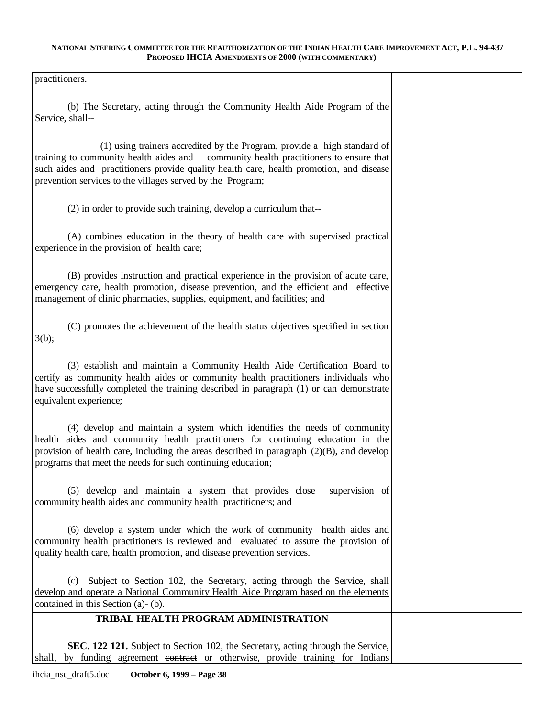practitioners.

(b) The Secretary, acting through the Community Health Aide Program of the Service, shall-

(1) using trainers accredited by the Program, provide a high standard of training to community health aides and community health practitioners to ensure that such aides and practitioners provide quality health care, health promotion, and disease prevention services to the villages served by the Program;

(2) in order to provide such training, develop a curriculum that-

(A) combines education in the theory of health care with supervised practical experience in the provision of health care;

(B) provides instruction and practical experience in the provision of acute care, emergency care, health promotion, disease prevention, and the efficient and effective management of clinic pharmacies, supplies, equipment, and facilities; and

(C) promotes the achievement of the health status objectives specified in section  $3(b)$ ;

(3) establish and maintain a Community Health Aide Certification Board to certify as community health aides or community health practitioners individuals who have successfully completed the training described in paragraph (1) or can demonstrate equivalent experience;

(4) develop and maintain a system which identifies the needs of community health aides and community health practitioners for continuing education in the provision of health care, including the areas described in paragraph (2)(B), and develop programs that meet the needs for such continuing education;

(5) develop and maintain a system that provides close supervision of community health aides and community health practitioners; and

(6) develop a system under which the work of community health aides and community health practitioners is reviewed and evaluated to assure the provision of quality health care, health promotion, and disease prevention services.

(c) Subject to Section 102, the Secretary, acting through the Service, shall develop and operate a National Community Health Aide Program based on the elements contained in this Section (a)- (b).

# **TRIBAL HEALTH PROGRAM ADMINISTRATION**

**SEC. 122 121.** Subject to Section 102, the Secretary, acting through the Service, shall, by funding agreement contract or otherwise, provide training for Indians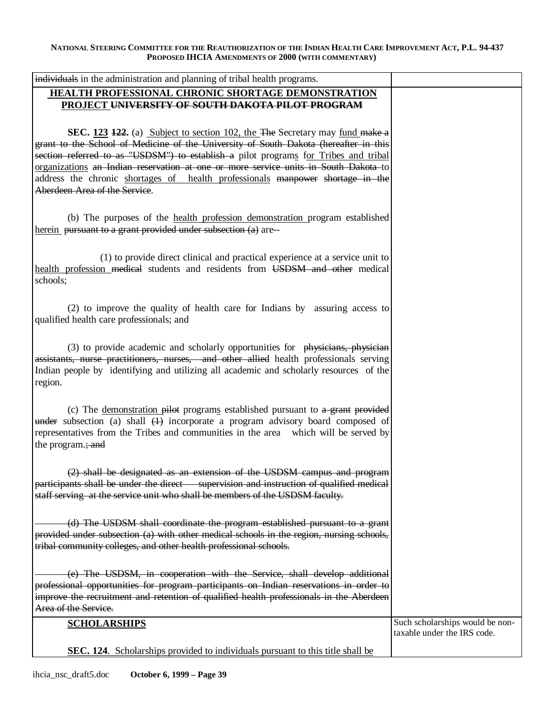| individuals in the administration and planning of tribal health programs.                                                                                                                                                                                                                            |                                 |
|------------------------------------------------------------------------------------------------------------------------------------------------------------------------------------------------------------------------------------------------------------------------------------------------------|---------------------------------|
| <b>HEALTH PROFESSIONAL CHRONIC SHORTAGE DEMONSTRATION</b>                                                                                                                                                                                                                                            |                                 |
| PROJECT UNIVERSITY OF SOUTH DAKOTA PILOT PROGRAM                                                                                                                                                                                                                                                     |                                 |
| SEC. 123 122. (a) Subject to section 102, the The Secretary may fund make a<br>grant to the School of Medicine of the University of South Dakota (hereafter in this                                                                                                                                  |                                 |
| section referred to as "USDSM") to establish a pilot programs for Tribes and tribal                                                                                                                                                                                                                  |                                 |
| organizations an Indian reservation at one or more service units in South Dakota to                                                                                                                                                                                                                  |                                 |
| address the chronic shortages of health professionals manpower shortage in the                                                                                                                                                                                                                       |                                 |
| Aberdeen Area of the Service.                                                                                                                                                                                                                                                                        |                                 |
|                                                                                                                                                                                                                                                                                                      |                                 |
| (b) The purposes of the health profession demonstration program established<br>herein pursuant to a grant provided under subsection (a) are--                                                                                                                                                        |                                 |
| (1) to provide direct clinical and practical experience at a service unit to                                                                                                                                                                                                                         |                                 |
| health profession medical students and residents from USDSM and other medical                                                                                                                                                                                                                        |                                 |
| schools;                                                                                                                                                                                                                                                                                             |                                 |
|                                                                                                                                                                                                                                                                                                      |                                 |
| (2) to improve the quality of health care for Indians by assuring access to                                                                                                                                                                                                                          |                                 |
| qualified health care professionals; and                                                                                                                                                                                                                                                             |                                 |
|                                                                                                                                                                                                                                                                                                      |                                 |
| (3) to provide academic and scholarly opportunities for physicians, physician<br>assistants, nurse practitioners, nurses, and other allied health professionals serving<br>Indian people by identifying and utilizing all academic and scholarly resources of the<br>region.                         |                                 |
|                                                                                                                                                                                                                                                                                                      |                                 |
| (c) The demonstration pilot programs established pursuant to a grant provided<br>$\frac{1}{2}$ under subsection (a) shall $\frac{1}{2}$ incorporate a program advisory board composed of<br>representatives from the Tribes and communities in the area which will be served by<br>the program.; and |                                 |
|                                                                                                                                                                                                                                                                                                      |                                 |
| $(2)$ shall be designated as an extension of the USDSM campus and program<br>participants shall be under the direct supervision and instruction of qualified medical                                                                                                                                 |                                 |
| staff serving at the service unit who shall be members of the USDSM faculty.                                                                                                                                                                                                                         |                                 |
|                                                                                                                                                                                                                                                                                                      |                                 |
|                                                                                                                                                                                                                                                                                                      |                                 |
| (d) The USDSM shall coordinate the program established pursuant to a grant<br>provided under subsection (a) with other medical schools in the region, nursing schools,                                                                                                                               |                                 |
| tribal community colleges, and other health professional schools.                                                                                                                                                                                                                                    |                                 |
|                                                                                                                                                                                                                                                                                                      |                                 |
| (e) The USDSM, in cooperation with the Service, shall develop additional                                                                                                                                                                                                                             |                                 |
| professional opportunities for program participants on Indian reservations in order to                                                                                                                                                                                                               |                                 |
| improve the recruitment and retention of qualified health professionals in the Aberdeen                                                                                                                                                                                                              |                                 |
| Area of the Service.                                                                                                                                                                                                                                                                                 |                                 |
| <b>SCHOLARSHIPS</b>                                                                                                                                                                                                                                                                                  | Such scholarships would be non- |
|                                                                                                                                                                                                                                                                                                      | taxable under the IRS code.     |
| <b>SEC. 124.</b> Scholarships provided to individuals pursuant to this title shall be                                                                                                                                                                                                                |                                 |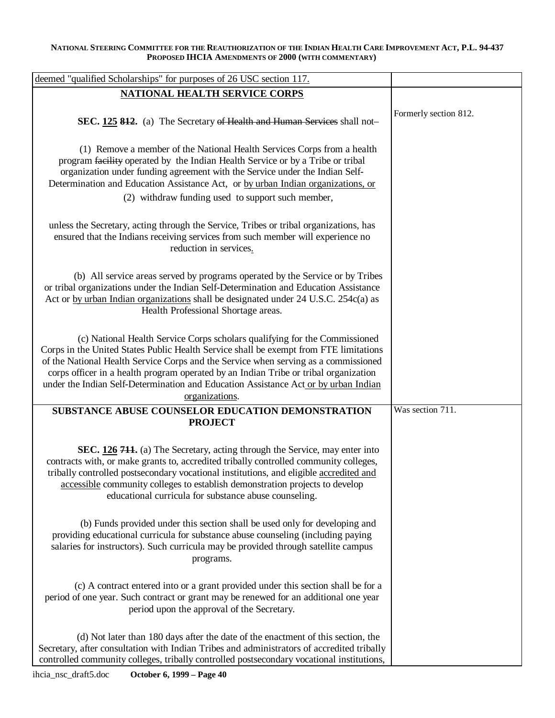| deemed "qualified Scholarships" for purposes of 26 USC section 117.                                                                                                                                                                                                                                                                                                                                                                                         |                       |
|-------------------------------------------------------------------------------------------------------------------------------------------------------------------------------------------------------------------------------------------------------------------------------------------------------------------------------------------------------------------------------------------------------------------------------------------------------------|-----------------------|
| <b>NATIONAL HEALTH SERVICE CORPS</b>                                                                                                                                                                                                                                                                                                                                                                                                                        |                       |
| SEC. 125 812. (a) The Secretary of Health and Human Services shall not-                                                                                                                                                                                                                                                                                                                                                                                     | Formerly section 812. |
| (1) Remove a member of the National Health Services Corps from a health<br>program facility operated by the Indian Health Service or by a Tribe or tribal<br>organization under funding agreement with the Service under the Indian Self-<br>Determination and Education Assistance Act, or by urban Indian organizations, or<br>(2) withdraw funding used to support such member,                                                                          |                       |
| unless the Secretary, acting through the Service, Tribes or tribal organizations, has<br>ensured that the Indians receiving services from such member will experience no<br>reduction in services.                                                                                                                                                                                                                                                          |                       |
| (b) All service areas served by programs operated by the Service or by Tribes<br>or tribal organizations under the Indian Self-Determination and Education Assistance<br>Act or by urban Indian organizations shall be designated under 24 U.S.C. 254c(a) as<br>Health Professional Shortage areas.                                                                                                                                                         |                       |
| (c) National Health Service Corps scholars qualifying for the Commissioned<br>Corps in the United States Public Health Service shall be exempt from FTE limitations<br>of the National Health Service Corps and the Service when serving as a commissioned<br>corps officer in a health program operated by an Indian Tribe or tribal organization<br>under the Indian Self-Determination and Education Assistance Act or by urban Indian<br>organizations. |                       |
| SUBSTANCE ABUSE COUNSELOR EDUCATION DEMONSTRATION                                                                                                                                                                                                                                                                                                                                                                                                           | Was section 711.      |
| <b>PROJECT</b><br>SEC. 126 711. (a) The Secretary, acting through the Service, may enter into<br>contracts with, or make grants to, accredited tribally controlled community colleges,<br>tribally controlled postsecondary vocational institutions, and eligible accredited and<br>accessible community colleges to establish demonstration projects to develop<br>educational curricula for substance abuse counseling.                                   |                       |
| (b) Funds provided under this section shall be used only for developing and<br>providing educational curricula for substance abuse counseling (including paying<br>salaries for instructors). Such curricula may be provided through satellite campus<br>programs.                                                                                                                                                                                          |                       |
| (c) A contract entered into or a grant provided under this section shall be for a<br>period of one year. Such contract or grant may be renewed for an additional one year<br>period upon the approval of the Secretary.                                                                                                                                                                                                                                     |                       |
| (d) Not later than 180 days after the date of the enactment of this section, the<br>Secretary, after consultation with Indian Tribes and administrators of accredited tribally<br>controlled community colleges, tribally controlled postsecondary vocational institutions,                                                                                                                                                                                 |                       |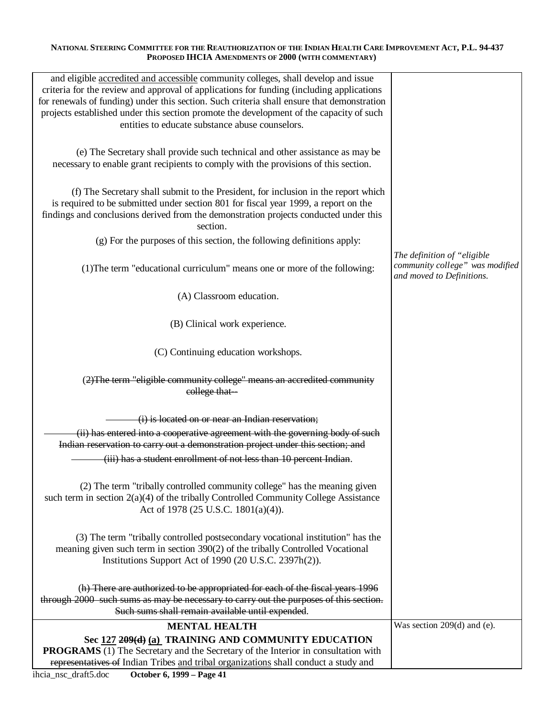| and eligible accredited and accessible community colleges, shall develop and issue<br>criteria for the review and approval of applications for funding (including applications<br>for renewals of funding) under this section. Such criteria shall ensure that demonstration<br>projects established under this section promote the development of the capacity of such<br>entities to educate substance abuse counselors. |                                                                                             |
|----------------------------------------------------------------------------------------------------------------------------------------------------------------------------------------------------------------------------------------------------------------------------------------------------------------------------------------------------------------------------------------------------------------------------|---------------------------------------------------------------------------------------------|
| (e) The Secretary shall provide such technical and other assistance as may be<br>necessary to enable grant recipients to comply with the provisions of this section.                                                                                                                                                                                                                                                       |                                                                                             |
| (f) The Secretary shall submit to the President, for inclusion in the report which<br>is required to be submitted under section 801 for fiscal year 1999, a report on the<br>findings and conclusions derived from the demonstration projects conducted under this<br>section.                                                                                                                                             |                                                                                             |
| (g) For the purposes of this section, the following definitions apply:                                                                                                                                                                                                                                                                                                                                                     |                                                                                             |
| (1) The term "educational curriculum" means one or more of the following:                                                                                                                                                                                                                                                                                                                                                  | The definition of "eligible<br>community college" was modified<br>and moved to Definitions. |
| (A) Classroom education.                                                                                                                                                                                                                                                                                                                                                                                                   |                                                                                             |
| (B) Clinical work experience.                                                                                                                                                                                                                                                                                                                                                                                              |                                                                                             |
| (C) Continuing education workshops.                                                                                                                                                                                                                                                                                                                                                                                        |                                                                                             |
| (2) The term "eligible community college" means an accredited community<br>college that-                                                                                                                                                                                                                                                                                                                                   |                                                                                             |
| (i) is located on or near an Indian reservation;                                                                                                                                                                                                                                                                                                                                                                           |                                                                                             |
| (ii) has entered into a cooperative agreement with the governing body of such                                                                                                                                                                                                                                                                                                                                              |                                                                                             |
| Indian reservation to carry out a demonstration project under this section; and                                                                                                                                                                                                                                                                                                                                            |                                                                                             |
| (iii) has a student enrollment of not less than 10 percent Indian.                                                                                                                                                                                                                                                                                                                                                         |                                                                                             |
| (2) The term "tribally controlled community college" has the meaning given<br>such term in section $2(a)(4)$ of the tribally Controlled Community College Assistance<br>Act of 1978 (25 U.S.C. 1801(a)(4)).                                                                                                                                                                                                                |                                                                                             |
| (3) The term "tribally controlled postsecondary vocational institution" has the<br>meaning given such term in section 390(2) of the tribally Controlled Vocational<br>Institutions Support Act of 1990 (20 U.S.C. 2397h(2)).                                                                                                                                                                                               |                                                                                             |
| (h) There are authorized to be appropriated for each of the fiscal years 1996<br>through 2000 such sums as may be necessary to carry out the purposes of this section.<br>Such sums shall remain available until expended.                                                                                                                                                                                                 |                                                                                             |
| <b>MENTAL HEALTH</b>                                                                                                                                                                                                                                                                                                                                                                                                       | Was section $209(d)$ and (e).                                                               |
| Sec 127 209(d) (a) TRAINING AND COMMUNITY EDUCATION                                                                                                                                                                                                                                                                                                                                                                        |                                                                                             |
| <b>PROGRAMS</b> (1) The Secretary and the Secretary of the Interior in consultation with<br>representatives of Indian Tribes and tribal organizations shall conduct a study and                                                                                                                                                                                                                                            |                                                                                             |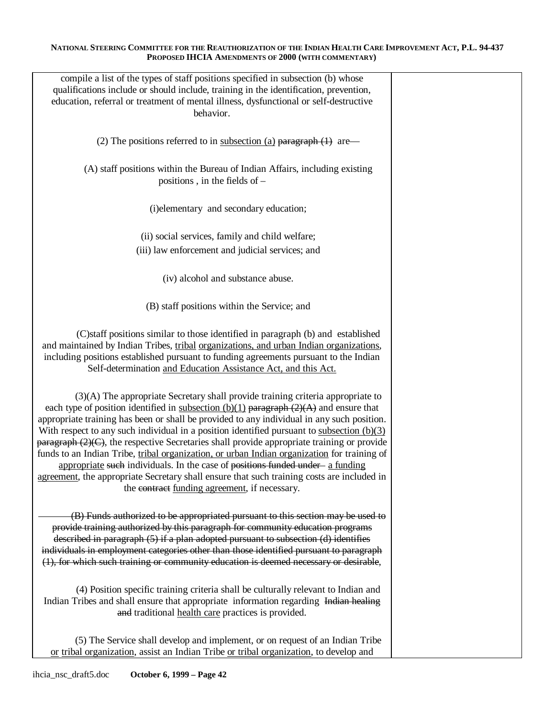| compile a list of the types of staff positions specified in subsection (b) whose<br>qualifications include or should include, training in the identification, prevention,<br>education, referral or treatment of mental illness, dysfunctional or self-destructive<br>behavior.                                                                                                                                                                                                                                                                                                                                                                                                                                                                                                                                       |  |
|-----------------------------------------------------------------------------------------------------------------------------------------------------------------------------------------------------------------------------------------------------------------------------------------------------------------------------------------------------------------------------------------------------------------------------------------------------------------------------------------------------------------------------------------------------------------------------------------------------------------------------------------------------------------------------------------------------------------------------------------------------------------------------------------------------------------------|--|
| (2) The positions referred to in subsection (a) paragraph $(1)$ are —                                                                                                                                                                                                                                                                                                                                                                                                                                                                                                                                                                                                                                                                                                                                                 |  |
| (A) staff positions within the Bureau of Indian Affairs, including existing<br>positions, in the fields of $-$                                                                                                                                                                                                                                                                                                                                                                                                                                                                                                                                                                                                                                                                                                        |  |
| (i)elementary and secondary education;                                                                                                                                                                                                                                                                                                                                                                                                                                                                                                                                                                                                                                                                                                                                                                                |  |
| (ii) social services, family and child welfare;<br>(iii) law enforcement and judicial services; and                                                                                                                                                                                                                                                                                                                                                                                                                                                                                                                                                                                                                                                                                                                   |  |
| (iv) alcohol and substance abuse.                                                                                                                                                                                                                                                                                                                                                                                                                                                                                                                                                                                                                                                                                                                                                                                     |  |
| (B) staff positions within the Service; and                                                                                                                                                                                                                                                                                                                                                                                                                                                                                                                                                                                                                                                                                                                                                                           |  |
| (C) staff positions similar to those identified in paragraph (b) and established<br>and maintained by Indian Tribes, tribal organizations, and urban Indian organizations,<br>including positions established pursuant to funding agreements pursuant to the Indian<br>Self-determination and Education Assistance Act, and this Act.                                                                                                                                                                                                                                                                                                                                                                                                                                                                                 |  |
| (3)(A) The appropriate Secretary shall provide training criteria appropriate to<br>each type of position identified in subsection (b)(1) paragraph $(2)(A)$ and ensure that<br>appropriate training has been or shall be provided to any individual in any such position.<br>With respect to any such individual in a position identified pursuant to subsection $(b)(3)$<br>$\frac{1}{2}$ paragraph (2)(C), the respective Secretaries shall provide appropriate training or provide<br>funds to an Indian Tribe, tribal organization, or urban Indian organization for training of<br>appropriate such individuals. In the case of positions funded under- a funding<br>agreement, the appropriate Secretary shall ensure that such training costs are included in<br>the contract funding agreement, if necessary. |  |
| (B) Funds authorized to be appropriated pursuant to this section may be used to<br>provide training authorized by this paragraph for community education programs<br>described in paragraph (5) if a plan adopted pursuant to subsection (d) identifies<br>individuals in employment categories other than those identified pursuant to paragraph<br>(1), for which such training or community education is deemed necessary or desirable,                                                                                                                                                                                                                                                                                                                                                                            |  |
| (4) Position specific training criteria shall be culturally relevant to Indian and<br>Indian Tribes and shall ensure that appropriate information regarding Indian healing<br>and traditional health care practices is provided.                                                                                                                                                                                                                                                                                                                                                                                                                                                                                                                                                                                      |  |
| (5) The Service shall develop and implement, or on request of an Indian Tribe<br>or tribal organization, assist an Indian Tribe or tribal organization, to develop and                                                                                                                                                                                                                                                                                                                                                                                                                                                                                                                                                                                                                                                |  |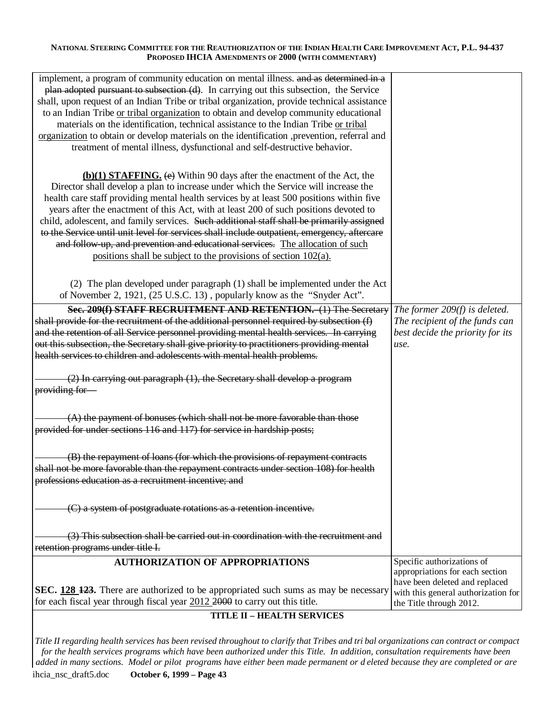| implement, a program of community education on mental illness. and as determined in a<br>plan adopted pursuant to subsection (d). In carrying out this subsection, the Service<br>shall, upon request of an Indian Tribe or tribal organization, provide technical assistance<br>to an Indian Tribe or tribal organization to obtain and develop community educational<br>materials on the identification, technical assistance to the Indian Tribe or tribal<br>organization to obtain or develop materials on the identification , prevention, referral and<br>treatment of mental illness, dysfunctional and self-destructive behavior.                                                                    |                                                                                                                                     |
|---------------------------------------------------------------------------------------------------------------------------------------------------------------------------------------------------------------------------------------------------------------------------------------------------------------------------------------------------------------------------------------------------------------------------------------------------------------------------------------------------------------------------------------------------------------------------------------------------------------------------------------------------------------------------------------------------------------|-------------------------------------------------------------------------------------------------------------------------------------|
| $(b)(1)$ <b>STAFFING.</b> (e) Within 90 days after the enactment of the Act, the<br>Director shall develop a plan to increase under which the Service will increase the<br>health care staff providing mental health services by at least 500 positions within five<br>years after the enactment of this Act, with at least 200 of such positions devoted to<br>child, adolescent, and family services. Such additional staff shall be primarily assigned<br>to the Service until unit level for services shall include outpatient, emergency, aftercare<br>and follow up, and prevention and educational services. The allocation of such<br>positions shall be subject to the provisions of section 102(a). |                                                                                                                                     |
| (2) The plan developed under paragraph (1) shall be implemented under the Act<br>of November 2, 1921, (25 U.S.C. 13), popularly know as the "Snyder Act".                                                                                                                                                                                                                                                                                                                                                                                                                                                                                                                                                     |                                                                                                                                     |
| <b>Sec. 209(f) STAFF RECRUITMENT AND RETENTION.</b> (1) The Secretary The former 209(f) is deleted.<br>shall provide for the recruitment of the additional personnel required by subsection $(f)$<br>and the retention of all Service personnel providing mental health services. In carrying<br>out this subsection, the Secretary shall give priority to practitioners providing mental<br>health services to children and adolescents with mental health problems.                                                                                                                                                                                                                                         | The recipient of the funds can<br>best decide the priority for its<br>use.                                                          |
| (2) In carrying out paragraph (1), the Secretary shall develop a program<br>providing for-                                                                                                                                                                                                                                                                                                                                                                                                                                                                                                                                                                                                                    |                                                                                                                                     |
| $(A)$ the payment of bonuses (which shall not be more favorable than those<br>provided for under sections 116 and 117) for service in hardship posts;                                                                                                                                                                                                                                                                                                                                                                                                                                                                                                                                                         |                                                                                                                                     |
| (B) the repayment of loans (for which the provisions of repayment contracts<br>shall not be more favorable than the repayment contracts under section 108) for health<br>professions education as a recruitment incentive; and                                                                                                                                                                                                                                                                                                                                                                                                                                                                                |                                                                                                                                     |
| (C) a system of postgraduate rotations as a retention incentive.                                                                                                                                                                                                                                                                                                                                                                                                                                                                                                                                                                                                                                              |                                                                                                                                     |
| (3) This subsection shall be carried out in coordination with the recruitment and<br>retention programs under title I.                                                                                                                                                                                                                                                                                                                                                                                                                                                                                                                                                                                        |                                                                                                                                     |
| <b>AUTHORIZATION OF APPROPRIATIONS</b>                                                                                                                                                                                                                                                                                                                                                                                                                                                                                                                                                                                                                                                                        | Specific authorizations of                                                                                                          |
| <b>SEC.</b> 128 123. There are authorized to be appropriated such sums as may be necessary<br>for each fiscal year through fiscal year $2012,2000$ to carry out this title.                                                                                                                                                                                                                                                                                                                                                                                                                                                                                                                                   | appropriations for each section<br>have been deleted and replaced<br>with this general authorization for<br>the Title through 2012. |
|                                                                                                                                                                                                                                                                                                                                                                                                                                                                                                                                                                                                                                                                                                               |                                                                                                                                     |

## **TITLE II – HEALTH SERVICES**

*Title II regarding health services has been revised throughout to clarify that Tribes and tri bal organizations can contract or compact for the health services programs which have been authorized under this Title. In addition, consultation requirements have been added in many sections. Model or pilot programs have either been made permanent or d eleted because they are completed or are*  ihcia\_nsc\_draft5.doc **October 6, 1999 – Page 43**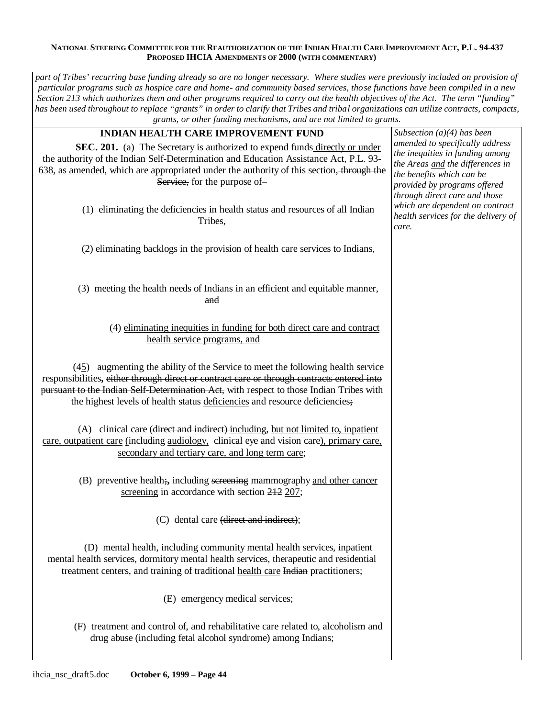*part of Tribes'recurring base funding already so are no longer necessary. Where studies were previously included on provision of particular programs such as hospice care and home- and community based services, tho se functions have been compiled in a new Section 213 which authorizes them and other programs required to carry out the health objectives of the Act. The term "funding" has been used throughout to replace "grants" in order to clarify that Tribes and tribal organizations can utilize contracts, compacts, grants, or other funding mechanisms, and are not limited to grants.* 

| <b>INDIAN HEALTH CARE IMPROVEMENT FUND</b>                                                 | Subsection $(a)(4)$ has been                                  |
|--------------------------------------------------------------------------------------------|---------------------------------------------------------------|
| SEC. 201. (a) The Secretary is authorized to expend funds directly or under                | amended to specifically address                               |
| the authority of the Indian Self-Determination and Education Assistance Act, P.L. 93-      | the inequities in funding among                               |
| 638, as amended, which are appropriated under the authority of this section, through the   | the Areas and the differences in                              |
| Service, for the purpose of-                                                               | the benefits which can be                                     |
|                                                                                            | provided by programs offered<br>through direct care and those |
|                                                                                            | which are dependent on contract                               |
| (1) eliminating the deficiencies in health status and resources of all Indian              | health services for the delivery of                           |
| Tribes,                                                                                    | care.                                                         |
|                                                                                            |                                                               |
| (2) eliminating backlogs in the provision of health care services to Indians,              |                                                               |
|                                                                                            |                                                               |
|                                                                                            |                                                               |
|                                                                                            |                                                               |
| (3) meeting the health needs of Indians in an efficient and equitable manner,              |                                                               |
| and                                                                                        |                                                               |
|                                                                                            |                                                               |
| (4) eliminating inequities in funding for both direct care and contract                    |                                                               |
| health service programs, and                                                               |                                                               |
|                                                                                            |                                                               |
| $(45)$ augmenting the ability of the Service to meet the following health service          |                                                               |
| responsibilities, either through direct or contract care or through contracts entered into |                                                               |
| pursuant to the Indian Self-Determination Act, with respect to those Indian Tribes with    |                                                               |
| the highest levels of health status deficiencies and resource deficiencies;                |                                                               |
|                                                                                            |                                                               |
|                                                                                            |                                                               |
| (A) clinical care (direct and indirect) including, but not limited to, inpatient           |                                                               |
| care, outpatient care (including audiology, clinical eye and vision care), primary care,   |                                                               |
| secondary and tertiary care, and long term care;                                           |                                                               |
|                                                                                            |                                                               |
| (B) preventive health;, including sereening mammography and other cancer                   |                                                               |
| screening in accordance with section 212 207;                                              |                                                               |
|                                                                                            |                                                               |
| (C) dental care (direct and indirect);                                                     |                                                               |
|                                                                                            |                                                               |
| (D) mental health, including community mental health services, inpatient                   |                                                               |
| mental health services, dormitory mental health services, therapeutic and residential      |                                                               |
| treatment centers, and training of traditional health care Indian practitioners;           |                                                               |
|                                                                                            |                                                               |
|                                                                                            |                                                               |
| (E) emergency medical services;                                                            |                                                               |
|                                                                                            |                                                               |
| (F) treatment and control of, and rehabilitative care related to, alcoholism and           |                                                               |
| drug abuse (including fetal alcohol syndrome) among Indians;                               |                                                               |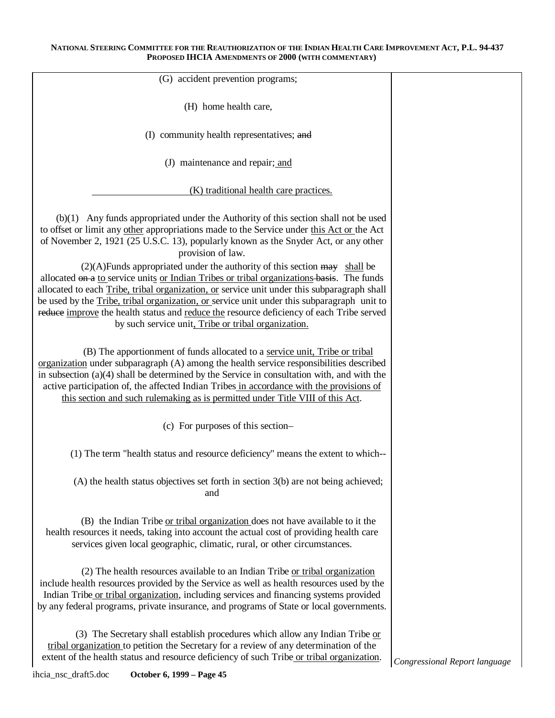| (G) accident prevention programs;                                                                                                                                                                                                                                                                                                                                                                                                                                                                                                                   |                               |
|-----------------------------------------------------------------------------------------------------------------------------------------------------------------------------------------------------------------------------------------------------------------------------------------------------------------------------------------------------------------------------------------------------------------------------------------------------------------------------------------------------------------------------------------------------|-------------------------------|
| (H) home health care,                                                                                                                                                                                                                                                                                                                                                                                                                                                                                                                               |                               |
| (I) community health representatives; and                                                                                                                                                                                                                                                                                                                                                                                                                                                                                                           |                               |
| (J) maintenance and repair; and                                                                                                                                                                                                                                                                                                                                                                                                                                                                                                                     |                               |
| (K) traditional health care practices.                                                                                                                                                                                                                                                                                                                                                                                                                                                                                                              |                               |
| (b)(1) Any funds appropriated under the Authority of this section shall not be used<br>to offset or limit any other appropriations made to the Service under this Act or the Act<br>of November 2, 1921 (25 U.S.C. 13), popularly known as the Snyder Act, or any other<br>provision of law.                                                                                                                                                                                                                                                        |                               |
| $(2)(A)$ Funds appropriated under the authority of this section $\frac{1}{2}$ shall be<br>allocated on a to service units or Indian Tribes or tribal organizations basis. The funds<br>allocated to each <i>Tribe</i> , tribal organization, or service unit under this subparagraph shall<br>be used by the <b>Tribe</b> , tribal organization, or service unit under this subparagraph unit to<br>reduce improve the health status and reduce the resource deficiency of each Tribe served<br>by such service unit. Tribe or tribal organization. |                               |
| (B) The apportionment of funds allocated to a service unit, Tribe or tribal<br>organization under subparagraph (A) among the health service responsibilities described<br>in subsection $(a)(4)$ shall be determined by the Service in consultation with, and with the<br>active participation of, the affected Indian Tribes in accordance with the provisions of<br>this section and such rulemaking as is permitted under Title VIII of this Act.                                                                                                |                               |
| (c) For purposes of this section-                                                                                                                                                                                                                                                                                                                                                                                                                                                                                                                   |                               |
| (1) The term "health status and resource deficiency" means the extent to which--                                                                                                                                                                                                                                                                                                                                                                                                                                                                    |                               |
| $(A)$ the health status objectives set forth in section $3(b)$ are not being achieved;<br>and                                                                                                                                                                                                                                                                                                                                                                                                                                                       |                               |
| (B) the Indian Tribe or tribal organization does not have available to it the<br>health resources it needs, taking into account the actual cost of providing health care<br>services given local geographic, climatic, rural, or other circumstances.                                                                                                                                                                                                                                                                                               |                               |
| (2) The health resources available to an Indian Tribe or tribal organization<br>include health resources provided by the Service as well as health resources used by the<br>Indian Tribe or tribal organization, including services and financing systems provided<br>by any federal programs, private insurance, and programs of State or local governments.                                                                                                                                                                                       |                               |
| (3) The Secretary shall establish procedures which allow any Indian Tribe or<br>tribal organization to petition the Secretary for a review of any determination of the<br>extent of the health status and resource deficiency of such Tribe or tribal organization.                                                                                                                                                                                                                                                                                 | Congressional Report language |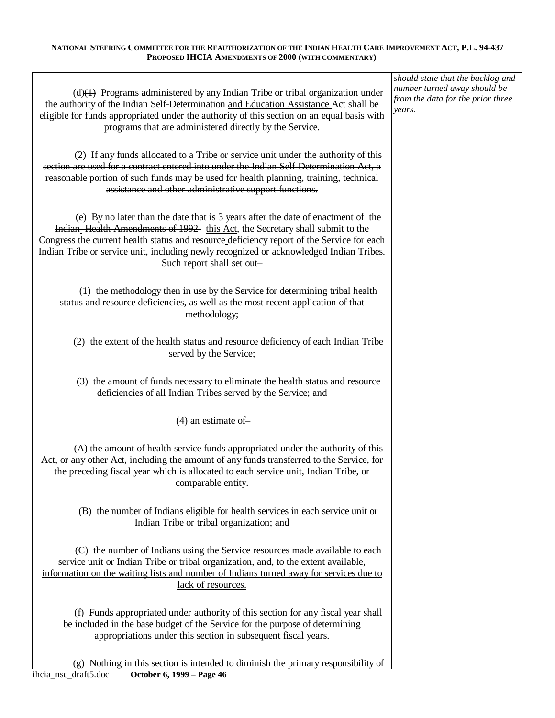| $(d)$ Programs administered by any Indian Tribe or tribal organization under<br>the authority of the Indian Self-Determination and Education Assistance Act shall be<br>eligible for funds appropriated under the authority of this section on an equal basis with<br>programs that are administered directly by the Service.                                                          | should state that the backlog and<br>number turned away should be<br>from the data for the prior three<br>years. |
|----------------------------------------------------------------------------------------------------------------------------------------------------------------------------------------------------------------------------------------------------------------------------------------------------------------------------------------------------------------------------------------|------------------------------------------------------------------------------------------------------------------|
| (2) If any funds allocated to a Tribe or service unit under the authority of this<br>section are used for a contract entered into under the Indian Self-Determination Act, a<br>reasonable portion of such funds may be used for health planning, training, technical<br>assistance and other administrative support functions.                                                        |                                                                                                                  |
| (e) By no later than the date that is 3 years after the date of enactment of the<br>Indian Health Amendments of 1992 this Act, the Secretary shall submit to the<br>Congress the current health status and resource deficiency report of the Service for each<br>Indian Tribe or service unit, including newly recognized or acknowledged Indian Tribes.<br>Such report shall set out- |                                                                                                                  |
| (1) the methodology then in use by the Service for determining tribal health<br>status and resource deficiencies, as well as the most recent application of that<br>methodology;                                                                                                                                                                                                       |                                                                                                                  |
| (2) the extent of the health status and resource deficiency of each Indian Tribe<br>served by the Service;                                                                                                                                                                                                                                                                             |                                                                                                                  |
| (3) the amount of funds necessary to eliminate the health status and resource<br>deficiencies of all Indian Tribes served by the Service; and                                                                                                                                                                                                                                          |                                                                                                                  |
| $(4)$ an estimate of-                                                                                                                                                                                                                                                                                                                                                                  |                                                                                                                  |
| (A) the amount of health service funds appropriated under the authority of this<br>Act, or any other Act, including the amount of any funds transferred to the Service, for<br>the preceding fiscal year which is allocated to each service unit, Indian Tribe, or<br>comparable entity.                                                                                               |                                                                                                                  |
| (B) the number of Indians eligible for health services in each service unit or<br>Indian Tribe or tribal organization; and                                                                                                                                                                                                                                                             |                                                                                                                  |
| (C) the number of Indians using the Service resources made available to each<br>service unit or Indian Tribe or tribal organization, and, to the extent available,<br>information on the waiting lists and number of Indians turned away for services due to<br>lack of resources.                                                                                                     |                                                                                                                  |
| (f) Funds appropriated under authority of this section for any fiscal year shall<br>be included in the base budget of the Service for the purpose of determining<br>appropriations under this section in subsequent fiscal years.                                                                                                                                                      |                                                                                                                  |
| (g) Nothing in this section is intended to diminish the primary responsibility of<br>ihcia_nsc_draft5.doc<br>October 6, 1999 - Page 46                                                                                                                                                                                                                                                 |                                                                                                                  |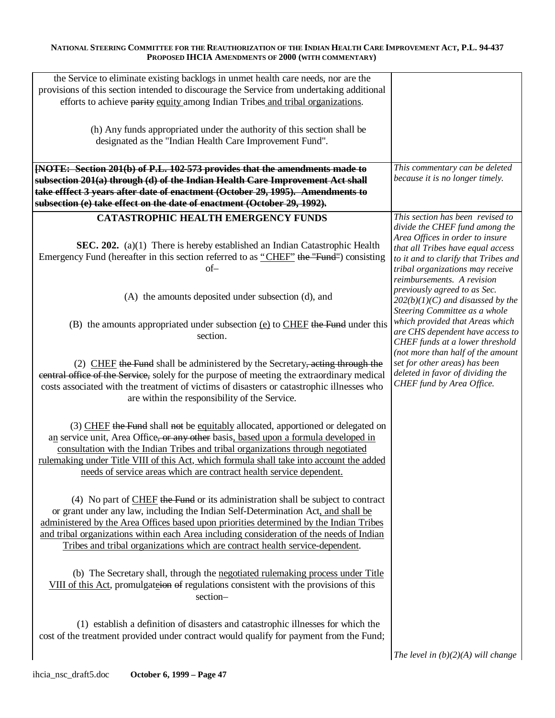| the Service to eliminate existing backlogs in unmet health care needs, nor are the            |                                                                    |
|-----------------------------------------------------------------------------------------------|--------------------------------------------------------------------|
| provisions of this section intended to discourage the Service from undertaking additional     |                                                                    |
| efforts to achieve parity equity among Indian Tribes and tribal organizations.                |                                                                    |
|                                                                                               |                                                                    |
|                                                                                               |                                                                    |
| (h) Any funds appropriated under the authority of this section shall be                       |                                                                    |
| designated as the "Indian Health Care Improvement Fund".                                      |                                                                    |
|                                                                                               |                                                                    |
| [NOTE: Section 201(b) of P.L. 102-573 provides that the amendments made to                    | This commentary can be deleted                                     |
| subsection 201(a) through (d) of the Indian Health Care Improvement Act shall                 | because it is no longer timely.                                    |
| take efffect 3 years after date of enactment (October 29, 1995). Amendments to                |                                                                    |
| subsection (e) take effect on the date of enactment (October 29, 1992).                       |                                                                    |
|                                                                                               |                                                                    |
| <b>CATASTROPHIC HEALTH EMERGENCY FUNDS</b>                                                    | This section has been revised to<br>divide the CHEF fund among the |
|                                                                                               | Area Offices in order to insure                                    |
| SEC. 202. (a)(1) There is hereby established an Indian Catastrophic Health                    | that all Tribes have equal access                                  |
| Emergency Fund (hereafter in this section referred to as "CHEF" the "Fund") consisting        | to it and to clarify that Tribes and                               |
| $of-$                                                                                         | tribal organizations may receive                                   |
|                                                                                               | reimbursements. A revision                                         |
|                                                                                               | previously agreed to as Sec.                                       |
| (A) the amounts deposited under subsection (d), and                                           | $202(b)(1)(C)$ and discussed by the                                |
|                                                                                               | Steering Committee as a whole                                      |
| (B) the amounts appropriated under subsection $(e)$ to CHEF the Fund under this               | which provided that Areas which                                    |
| section.                                                                                      | are CHS dependent have access to                                   |
|                                                                                               | CHEF funds at a lower threshold                                    |
|                                                                                               | (not more than half of the amount                                  |
| (2) CHEF the Fund shall be administered by the Secretary, acting through the                  | set for other areas) has been<br>deleted in favor of dividing the  |
| central office of the Service, solely for the purpose of meeting the extraordinary medical    | CHEF fund by Area Office.                                          |
| costs associated with the treatment of victims of disasters or catastrophic illnesses who     |                                                                    |
| are within the responsibility of the Service.                                                 |                                                                    |
|                                                                                               |                                                                    |
| (3) CHEF the Fund shall not be equitably allocated, apportioned or delegated on               |                                                                    |
| an service unit, Area Office, or any other basis, based upon a formula developed in           |                                                                    |
| consultation with the Indian Tribes and tribal organizations through negotiated               |                                                                    |
| rulemaking under Title VIII of this Act, which formula shall take into account the added      |                                                                    |
| needs of service areas which are contract health service dependent.                           |                                                                    |
|                                                                                               |                                                                    |
| (4) No part of $\underline{CHEF}$ the Fund or its administration shall be subject to contract |                                                                    |
| or grant under any law, including the Indian Self-Determination Act, and shall be             |                                                                    |
| administered by the Area Offices based upon priorities determined by the Indian Tribes        |                                                                    |
| and tribal organizations within each Area including consideration of the needs of Indian      |                                                                    |
| Tribes and tribal organizations which are contract health service-dependent.                  |                                                                    |
|                                                                                               |                                                                    |
|                                                                                               |                                                                    |
| (b) The Secretary shall, through the <u>negotiated rulemaking process under Title</u>         |                                                                    |
| VIII of this Act, promulgateion of regulations consistent with the provisions of this         |                                                                    |
| section-                                                                                      |                                                                    |
|                                                                                               |                                                                    |
| (1) establish a definition of disasters and catastrophic illnesses for which the              |                                                                    |
| cost of the treatment provided under contract would qualify for payment from the Fund;        |                                                                    |
|                                                                                               |                                                                    |
|                                                                                               | The level in $(b)(2)(A)$ will change                               |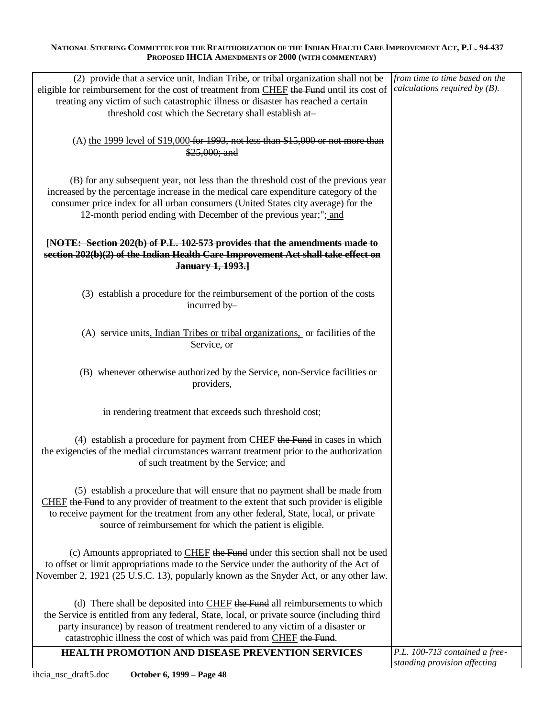| (2) provide that a service unit, Indian Tribe, or tribal organization shall not be         | from time to time based on the                                 |
|--------------------------------------------------------------------------------------------|----------------------------------------------------------------|
| eligible for reimbursement for the cost of treatment from CHEF the Fund until its cost of  | calculations required by $(B)$ .                               |
| treating any victim of such catastrophic illness or disaster has reached a certain         |                                                                |
| threshold cost which the Secretary shall establish at-                                     |                                                                |
|                                                                                            |                                                                |
| (A) the 1999 level of $$19,000$ for 1993, not less than $$15,000$ or not more than         |                                                                |
| \$25,000; and                                                                              |                                                                |
|                                                                                            |                                                                |
|                                                                                            |                                                                |
| (B) for any subsequent year, not less than the threshold cost of the previous year         |                                                                |
| increased by the percentage increase in the medical care expenditure category of the       |                                                                |
| consumer price index for all urban consumers (United States city average) for the          |                                                                |
| 12-month period ending with December of the previous year;"; and                           |                                                                |
|                                                                                            |                                                                |
| [NOTE: Section 202(b) of P.L. 102-573 provides that the amendments made to                 |                                                                |
| section 202(b)(2) of the Indian Health Care Improvement Act shall take effect on           |                                                                |
| January 1, 1993.                                                                           |                                                                |
|                                                                                            |                                                                |
|                                                                                            |                                                                |
| (3) establish a procedure for the reimbursement of the portion of the costs                |                                                                |
| incurred by-                                                                               |                                                                |
|                                                                                            |                                                                |
| (A) service units, Indian Tribes or tribal organizations, or facilities of the             |                                                                |
| Service, or                                                                                |                                                                |
|                                                                                            |                                                                |
|                                                                                            |                                                                |
| (B) whenever otherwise authorized by the Service, non-Service facilities or                |                                                                |
| providers,                                                                                 |                                                                |
|                                                                                            |                                                                |
| in rendering treatment that exceeds such threshold cost;                                   |                                                                |
|                                                                                            |                                                                |
|                                                                                            |                                                                |
| $(4)$ establish a procedure for payment from CHEF the Fund in cases in which               |                                                                |
| the exigencies of the medial circumstances warrant treatment prior to the authorization    |                                                                |
| of such treatment by the Service; and                                                      |                                                                |
|                                                                                            |                                                                |
| (5) establish a procedure that will ensure that no payment shall be made from              |                                                                |
| CHEF the Fund to any provider of treatment to the extent that such provider is eligible    |                                                                |
| to receive payment for the treatment from any other federal, State, local, or private      |                                                                |
| source of reimbursement for which the patient is eligible.                                 |                                                                |
|                                                                                            |                                                                |
|                                                                                            |                                                                |
| (c) Amounts appropriated to CHEF the Fund under this section shall not be used             |                                                                |
| to offset or limit appropriations made to the Service under the authority of the Act of    |                                                                |
| November 2, 1921 (25 U.S.C. 13), popularly known as the Snyder Act, or any other law.      |                                                                |
|                                                                                            |                                                                |
| (d) There shall be deposited into CHEF the Fund all reimbursements to which                |                                                                |
| the Service is entitled from any federal, State, local, or private source (including third |                                                                |
| party insurance) by reason of treatment rendered to any victim of a disaster or            |                                                                |
| catastrophic illness the cost of which was paid from CHEF the Fund.                        |                                                                |
|                                                                                            |                                                                |
| HEALTH PROMOTION AND DISEASE PREVENTION SERVICES                                           | P.L. 100-713 contained a free-<br>standing provision affecting |
|                                                                                            |                                                                |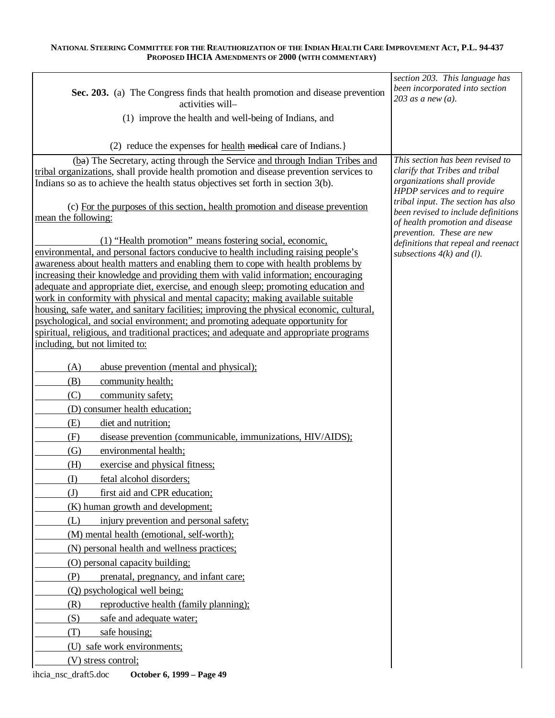| Sec. 203. (a) The Congress finds that health promotion and disease prevention                                                                                               | section 203. This language has<br>been incorporated into section<br>203 as a new $(a)$ . |
|-----------------------------------------------------------------------------------------------------------------------------------------------------------------------------|------------------------------------------------------------------------------------------|
| activities will-                                                                                                                                                            |                                                                                          |
| (1) improve the health and well-being of Indians, and                                                                                                                       |                                                                                          |
| (2) reduce the expenses for <u>health</u> medical care of Indians.                                                                                                          |                                                                                          |
| (ba) The Secretary, acting through the Service and through Indian Tribes and                                                                                                | This section has been revised to<br>clarify that Tribes and tribal                       |
| tribal organizations, shall provide health promotion and disease prevention services to<br>Indians so as to achieve the health status objectives set forth in section 3(b). | organizations shall provide                                                              |
|                                                                                                                                                                             | HPDP services and to require                                                             |
| (c) For the purposes of this section, health promotion and disease prevention                                                                                               | tribal input. The section has also                                                       |
| mean the following:                                                                                                                                                         | been revised to include definitions<br>of health promotion and disease                   |
|                                                                                                                                                                             | prevention. These are new                                                                |
| (1) "Health promotion" means fostering social, economic,<br>environmental, and personal factors conducive to health including raising people's                              | definitions that repeal and reenact                                                      |
| awareness about health matters and enabling them to cope with health problems by                                                                                            | subsections $4(k)$ and (1).                                                              |
| increasing their knowledge and providing them with valid information; encouraging                                                                                           |                                                                                          |
| adequate and appropriate diet, exercise, and enough sleep; promoting education and                                                                                          |                                                                                          |
| work in conformity with physical and mental capacity; making available suitable                                                                                             |                                                                                          |
| housing, safe water, and sanitary facilities; improving the physical economic, cultural,                                                                                    |                                                                                          |
| psychological, and social environment; and promoting adequate opportunity for<br>spiritual, religious, and traditional practices; and adequate and appropriate programs     |                                                                                          |
| including, but not limited to:                                                                                                                                              |                                                                                          |
|                                                                                                                                                                             |                                                                                          |
| (A)<br>abuse prevention (mental and physical);                                                                                                                              |                                                                                          |
| (B)<br>community health;                                                                                                                                                    |                                                                                          |
| (C)<br>community safety;                                                                                                                                                    |                                                                                          |
| (D) consumer health education;                                                                                                                                              |                                                                                          |
| (E)<br>diet and nutrition;                                                                                                                                                  |                                                                                          |
| (F)<br>disease prevention (communicable, immunizations, HIV/AIDS);                                                                                                          |                                                                                          |
| $\left( G\right)$<br>environmental health;                                                                                                                                  |                                                                                          |
| (H)<br>exercise and physical fitness;                                                                                                                                       |                                                                                          |
| (I)<br>fetal alcohol disorders;                                                                                                                                             |                                                                                          |
| first aid and CPR education;<br>$\textcircled{I}$                                                                                                                           |                                                                                          |
| (K) human growth and development;                                                                                                                                           |                                                                                          |
| (L)<br>injury prevention and personal safety;                                                                                                                               |                                                                                          |
| (M) mental health (emotional, self-worth);                                                                                                                                  |                                                                                          |
| (N) personal health and wellness practices;                                                                                                                                 |                                                                                          |
| (O) personal capacity building;                                                                                                                                             |                                                                                          |
| prenatal, pregnancy, and infant care;<br>(P)                                                                                                                                |                                                                                          |
| (Q) psychological well being;                                                                                                                                               |                                                                                          |
| (R)<br>reproductive health (family planning);                                                                                                                               |                                                                                          |
| (S)<br>safe and adequate water;                                                                                                                                             |                                                                                          |
| (T)<br>safe housing;                                                                                                                                                        |                                                                                          |
| (U) safe work environments;                                                                                                                                                 |                                                                                          |
| (V) stress control;                                                                                                                                                         |                                                                                          |
| ihcia_nsc_draft5.doc<br>October 6, 1999 - Page 49                                                                                                                           |                                                                                          |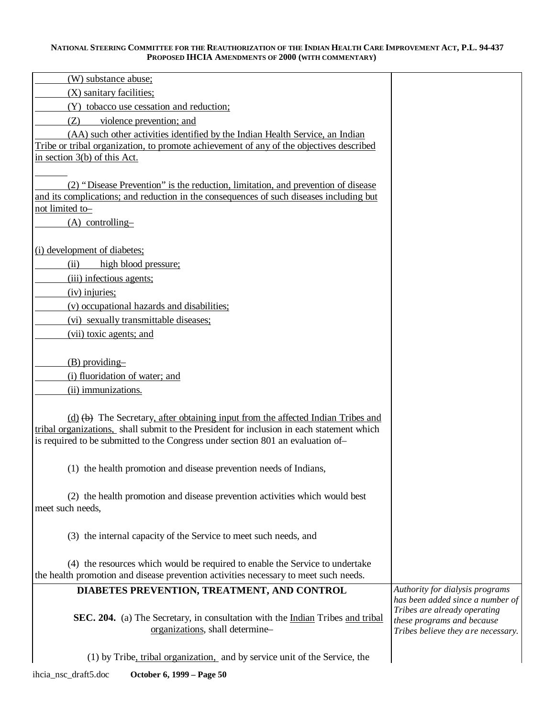| (W) substance abuse;                                                                                                            |                                                                  |
|---------------------------------------------------------------------------------------------------------------------------------|------------------------------------------------------------------|
| (X) sanitary facilities;                                                                                                        |                                                                  |
| (Y) tobacco use cessation and reduction;                                                                                        |                                                                  |
| violence prevention; and<br>(Z)                                                                                                 |                                                                  |
| (AA) such other activities identified by the Indian Health Service, an Indian                                                   |                                                                  |
| Tribe or tribal organization, to promote achievement of any of the objectives described                                         |                                                                  |
| in section $3(b)$ of this Act.                                                                                                  |                                                                  |
|                                                                                                                                 |                                                                  |
| (2) "Disease Prevention" is the reduction, limitation, and prevention of disease                                                |                                                                  |
| and its complications; and reduction in the consequences of such diseases including but<br>not limited to-                      |                                                                  |
| $(A)$ controlling-                                                                                                              |                                                                  |
|                                                                                                                                 |                                                                  |
| (i) development of diabetes;                                                                                                    |                                                                  |
| (ii)<br>high blood pressure;                                                                                                    |                                                                  |
| (iii) infectious agents;                                                                                                        |                                                                  |
| $(iv)$ injuries;                                                                                                                |                                                                  |
| (v) occupational hazards and disabilities;                                                                                      |                                                                  |
| (vi) sexually transmittable diseases;                                                                                           |                                                                  |
| (vii) toxic agents; and                                                                                                         |                                                                  |
|                                                                                                                                 |                                                                  |
| $(B)$ providing-                                                                                                                |                                                                  |
| (i) fluoridation of water; and                                                                                                  |                                                                  |
| (ii) immunizations.                                                                                                             |                                                                  |
|                                                                                                                                 |                                                                  |
| (d) (b) The Secretary, after obtaining input from the affected Indian Tribes and                                                |                                                                  |
| tribal organizations, shall submit to the President for inclusion in each statement which                                       |                                                                  |
| is required to be submitted to the Congress under section 801 an evaluation of-                                                 |                                                                  |
|                                                                                                                                 |                                                                  |
| (1) the health promotion and disease prevention needs of Indians,                                                               |                                                                  |
|                                                                                                                                 |                                                                  |
| (2) the health promotion and disease prevention activities which would best                                                     |                                                                  |
| meet such needs,                                                                                                                |                                                                  |
|                                                                                                                                 |                                                                  |
| (3) the internal capacity of the Service to meet such needs, and                                                                |                                                                  |
|                                                                                                                                 |                                                                  |
| (4) the resources which would be required to enable the Service to undertake                                                    |                                                                  |
| the health promotion and disease prevention activities necessary to meet such needs.                                            | Authority for dialysis programs                                  |
| DIABETES PREVENTION, TREATMENT, AND CONTROL                                                                                     | has been added since a number of                                 |
|                                                                                                                                 | Tribes are already operating                                     |
| <b>SEC. 204.</b> (a) The Secretary, in consultation with the <b>Indian</b> Tribes and tribal<br>organizations, shall determine- | these programs and because<br>Tribes believe they are necessary. |
|                                                                                                                                 |                                                                  |
| (1) by Tribe, tribal organization, and by service unit of the Service, the                                                      |                                                                  |
|                                                                                                                                 |                                                                  |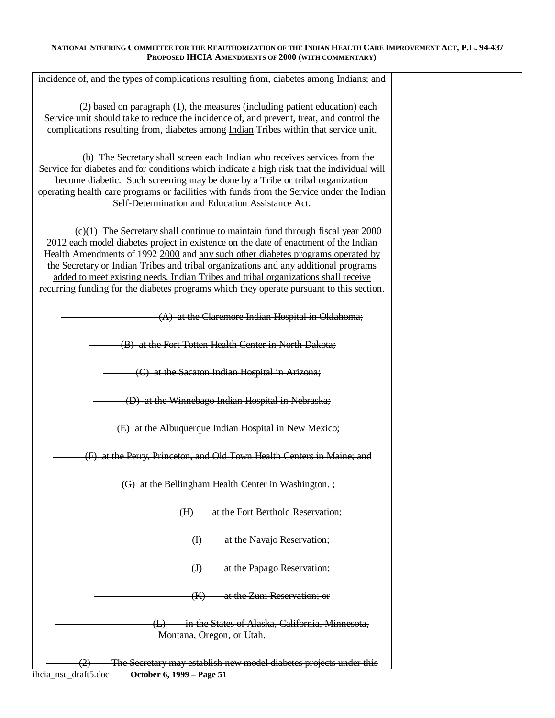| incidence of, and the types of complications resulting from, diabetes among Indians; and                                                                                                                                                                                                                                                                                                                                                                                                                                            |  |
|-------------------------------------------------------------------------------------------------------------------------------------------------------------------------------------------------------------------------------------------------------------------------------------------------------------------------------------------------------------------------------------------------------------------------------------------------------------------------------------------------------------------------------------|--|
| (2) based on paragraph (1), the measures (including patient education) each<br>Service unit should take to reduce the incidence of, and prevent, treat, and control the<br>complications resulting from, diabetes among Indian Tribes within that service unit.                                                                                                                                                                                                                                                                     |  |
| (b) The Secretary shall screen each Indian who receives services from the<br>Service for diabetes and for conditions which indicate a high risk that the individual will<br>become diabetic. Such screening may be done by a Tribe or tribal organization<br>operating health care programs or facilities with funds from the Service under the Indian<br>Self-Determination and Education Assistance Act.                                                                                                                          |  |
| $(c)(1)$ The Secretary shall continue to maintain fund through fiscal year 2000<br>2012 each model diabetes project in existence on the date of enactment of the Indian<br>Health Amendments of 1992 2000 and any such other diabetes programs operated by<br>the Secretary or Indian Tribes and tribal organizations and any additional programs<br>added to meet existing needs. Indian Tribes and tribal organizations shall receive<br>recurring funding for the diabetes programs which they operate pursuant to this section. |  |
| (A) at the Claremore Indian Hospital in Oklahoma;                                                                                                                                                                                                                                                                                                                                                                                                                                                                                   |  |
| (B) at the Fort Totten Health Center in North Dakota;                                                                                                                                                                                                                                                                                                                                                                                                                                                                               |  |
| (C) at the Sacaton Indian Hospital in Arizona;                                                                                                                                                                                                                                                                                                                                                                                                                                                                                      |  |
| (D) at the Winnebago Indian Hospital in Nebraska;                                                                                                                                                                                                                                                                                                                                                                                                                                                                                   |  |
| (E) at the Albuquerque Indian Hospital in New Mexico;                                                                                                                                                                                                                                                                                                                                                                                                                                                                               |  |
| (F) at the Perry, Princeton, and Old Town Health Centers in Maine; and                                                                                                                                                                                                                                                                                                                                                                                                                                                              |  |
| (G) at the Bellingham Health Center in Washington.;                                                                                                                                                                                                                                                                                                                                                                                                                                                                                 |  |
| at the Fort Berthold Reservation;<br>(H)                                                                                                                                                                                                                                                                                                                                                                                                                                                                                            |  |
| at the Navajo Reservation;<br>$\oplus$                                                                                                                                                                                                                                                                                                                                                                                                                                                                                              |  |
| at the Papago Reservation;<br>$\bigoplus$                                                                                                                                                                                                                                                                                                                                                                                                                                                                                           |  |
| at the Zuni Reservation; or<br>(K)                                                                                                                                                                                                                                                                                                                                                                                                                                                                                                  |  |
| in the States of Alaska, California, Minnesota,<br>Montana, Oregon, or Utah.                                                                                                                                                                                                                                                                                                                                                                                                                                                        |  |
| The Secretary may establish new model diabetes projects under this<br>ihcia_nsc_draft5.doc<br>October 6, 1999 - Page 51                                                                                                                                                                                                                                                                                                                                                                                                             |  |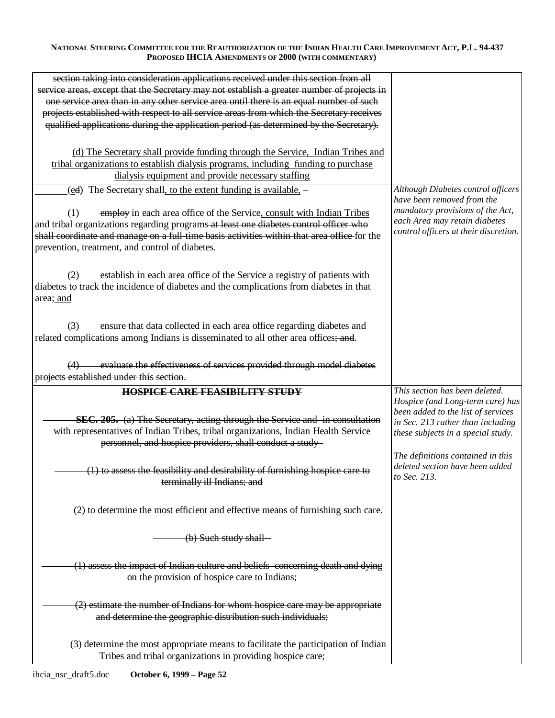| section taking into consideration applications received under this section from all<br>service areas, except that the Secretary may not establish a greater number of projects in |                                                 |
|-----------------------------------------------------------------------------------------------------------------------------------------------------------------------------------|-------------------------------------------------|
| one service area than in any other service area until there is an equal number of such                                                                                            |                                                 |
| projects established with respect to all service areas from which the Secretary receives                                                                                          |                                                 |
| qualified applications during the application period (as determined by the Secretary).                                                                                            |                                                 |
|                                                                                                                                                                                   |                                                 |
| (d) The Secretary shall provide funding through the Service, Indian Tribes and                                                                                                    |                                                 |
| tribal organizations to establish dialysis programs, including funding to purchase                                                                                                |                                                 |
| dialysis equipment and provide necessary staffing                                                                                                                                 |                                                 |
| (ed) The Secretary shall, to the extent funding is available, -                                                                                                                   | Although Diabetes control officers              |
|                                                                                                                                                                                   | have been removed from the                      |
| employ in each area office of the Service, consult with Indian Tribes<br>(1)                                                                                                      | mandatory provisions of the Act,                |
| and tribal organizations regarding programs at least one diabetes control officer who                                                                                             | each Area may retain diabetes                   |
| shall coordinate and manage on a full time basis activities within that area office for the                                                                                       | control officers at their discretion.           |
| prevention, treatment, and control of diabetes.                                                                                                                                   |                                                 |
|                                                                                                                                                                                   |                                                 |
|                                                                                                                                                                                   |                                                 |
| establish in each area office of the Service a registry of patients with<br>(2)                                                                                                   |                                                 |
| diabetes to track the incidence of diabetes and the complications from diabetes in that                                                                                           |                                                 |
| area; and                                                                                                                                                                         |                                                 |
|                                                                                                                                                                                   |                                                 |
| ensure that data collected in each area office regarding diabetes and<br>(3)                                                                                                      |                                                 |
| related complications among Indians is disseminated to all other area offices; and.                                                                                               |                                                 |
|                                                                                                                                                                                   |                                                 |
| (4) evaluate the effectiveness of services provided through model diabetes                                                                                                        |                                                 |
| projects established under this section.                                                                                                                                          |                                                 |
| <b>HOSPICE CARE FEASIBILITY STUDY</b>                                                                                                                                             | This section has been deleted.                  |
|                                                                                                                                                                                   | Hospice (and Long-term care) has                |
|                                                                                                                                                                                   | been added to the list of services              |
| <b>SEC. 205.</b> (a) The Secretary, acting through the Service and in consultation                                                                                                | in Sec. 213 rather than including               |
| with representatives of Indian Tribes, tribal organizations, Indian Health Service                                                                                                | these subjects in a special study.              |
| personnel, and hospice providers, shall conduct a study-                                                                                                                          |                                                 |
|                                                                                                                                                                                   | The definitions contained in this               |
| (1) to assess the feasibility and desirability of furnishing hospice care to                                                                                                      | deleted section have been added<br>to Sec. 213. |
| terminally ill Indians; and                                                                                                                                                       |                                                 |
|                                                                                                                                                                                   |                                                 |
| (2) to determine the most efficient and effective means of furnishing such care.                                                                                                  |                                                 |
|                                                                                                                                                                                   |                                                 |
| (b) Such study shall-                                                                                                                                                             |                                                 |
|                                                                                                                                                                                   |                                                 |
|                                                                                                                                                                                   |                                                 |
| (1) assess the impact of Indian culture and beliefs concerning death and dying                                                                                                    |                                                 |
| on the provision of hospice care to Indians;                                                                                                                                      |                                                 |
|                                                                                                                                                                                   |                                                 |
| (2) estimate the number of Indians for whom hospice care may be appropriate                                                                                                       |                                                 |
| and determine the geographic distribution such individuals;                                                                                                                       |                                                 |
|                                                                                                                                                                                   |                                                 |
| (3) determine the most appropriate means to facilitate the participation of Indian                                                                                                |                                                 |
| Tribes and tribal organizations in providing hospice care;                                                                                                                        |                                                 |
|                                                                                                                                                                                   |                                                 |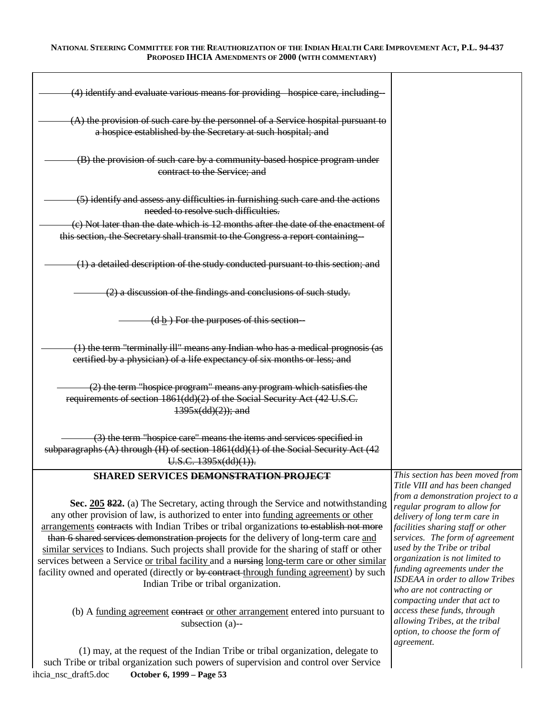| (4) identify and evaluate various means for providing hospice care, including-                                                                                                                                                                                                                                                                                                                                                                                                                                                                                                                                                                                                                                                                                                                         |                                                                                                                                                                                                                                                                                                                                                                                                                                                                                                                   |
|--------------------------------------------------------------------------------------------------------------------------------------------------------------------------------------------------------------------------------------------------------------------------------------------------------------------------------------------------------------------------------------------------------------------------------------------------------------------------------------------------------------------------------------------------------------------------------------------------------------------------------------------------------------------------------------------------------------------------------------------------------------------------------------------------------|-------------------------------------------------------------------------------------------------------------------------------------------------------------------------------------------------------------------------------------------------------------------------------------------------------------------------------------------------------------------------------------------------------------------------------------------------------------------------------------------------------------------|
| (A) the provision of such care by the personnel of a Service hospital pursuant to<br>a hospice established by the Secretary at such hospital; and                                                                                                                                                                                                                                                                                                                                                                                                                                                                                                                                                                                                                                                      |                                                                                                                                                                                                                                                                                                                                                                                                                                                                                                                   |
| (B) the provision of such care by a community based hospice program under<br>contract to the Service; and                                                                                                                                                                                                                                                                                                                                                                                                                                                                                                                                                                                                                                                                                              |                                                                                                                                                                                                                                                                                                                                                                                                                                                                                                                   |
| (5) identify and assess any difficulties in furnishing such care and the actions<br>needed to resolve such difficulties.                                                                                                                                                                                                                                                                                                                                                                                                                                                                                                                                                                                                                                                                               |                                                                                                                                                                                                                                                                                                                                                                                                                                                                                                                   |
| (c) Not later than the date which is 12 months after the date of the enactment of                                                                                                                                                                                                                                                                                                                                                                                                                                                                                                                                                                                                                                                                                                                      |                                                                                                                                                                                                                                                                                                                                                                                                                                                                                                                   |
| this section, the Secretary shall transmit to the Congress a report containing-                                                                                                                                                                                                                                                                                                                                                                                                                                                                                                                                                                                                                                                                                                                        |                                                                                                                                                                                                                                                                                                                                                                                                                                                                                                                   |
| (1) a detailed description of the study conducted pursuant to this section; and                                                                                                                                                                                                                                                                                                                                                                                                                                                                                                                                                                                                                                                                                                                        |                                                                                                                                                                                                                                                                                                                                                                                                                                                                                                                   |
| $(2)$ a discussion of the findings and conclusions of such study.                                                                                                                                                                                                                                                                                                                                                                                                                                                                                                                                                                                                                                                                                                                                      |                                                                                                                                                                                                                                                                                                                                                                                                                                                                                                                   |
| $(d \underline{b})$ For the purposes of this section                                                                                                                                                                                                                                                                                                                                                                                                                                                                                                                                                                                                                                                                                                                                                   |                                                                                                                                                                                                                                                                                                                                                                                                                                                                                                                   |
| (1) the term "terminally ill" means any Indian who has a medical prognosis (as<br>certified by a physician) of a life expectancy of six months or less; and                                                                                                                                                                                                                                                                                                                                                                                                                                                                                                                                                                                                                                            |                                                                                                                                                                                                                                                                                                                                                                                                                                                                                                                   |
| (2) the term "hospice program" means any program which satisfies the<br>requirements of section 1861(dd)(2) of the Social Security Act (42 U.S.C.<br>$1395x(dd)(2)$ ; and                                                                                                                                                                                                                                                                                                                                                                                                                                                                                                                                                                                                                              |                                                                                                                                                                                                                                                                                                                                                                                                                                                                                                                   |
| (3) the term "hospice care" means the items and services specified in<br>subparagraphs (A) through (H) of section 1861(dd)(1) of the Social Security Act (42<br>U.S.C. 1395x(dd)(1)).                                                                                                                                                                                                                                                                                                                                                                                                                                                                                                                                                                                                                  |                                                                                                                                                                                                                                                                                                                                                                                                                                                                                                                   |
| SHARED SERVICES DEMONSTRATION PROJECT                                                                                                                                                                                                                                                                                                                                                                                                                                                                                                                                                                                                                                                                                                                                                                  | This section has been moved from                                                                                                                                                                                                                                                                                                                                                                                                                                                                                  |
| Sec. 205 822. (a) The Secretary, acting through the Service and notwithstanding<br>any other provision of law, is authorized to enter into funding agreements or other<br>arrangements contracts with Indian Tribes or tribal organizations to establish not more<br>than 6 shared services demonstration projects for the delivery of long-term care and<br>similar services to Indians. Such projects shall provide for the sharing of staff or other<br>services between a Service or tribal facility and a nursing long-term care or other similar<br>facility owned and operated (directly or by contract-through funding agreement) by such<br>Indian Tribe or tribal organization.<br>(b) A <u>funding agreement</u> contract or other arrangement entered into pursuant to<br>subsection (a)-- | Title VIII and has been changed<br>from a demonstration project to a<br>regular program to allow for<br>delivery of long term care in<br>facilities sharing staff or other<br>services. The form of agreement<br>used by the Tribe or tribal<br>organization is not limited to<br>funding agreements under the<br>ISDEAA in order to allow Tribes<br>who are not contracting or<br>compacting under that act to<br>access these funds, through<br>allowing Tribes, at the tribal<br>option, to choose the form of |
| (1) may, at the request of the Indian Tribe or tribal organization, delegate to<br>such Tribe or tribal organization such powers of supervision and control over Service                                                                                                                                                                                                                                                                                                                                                                                                                                                                                                                                                                                                                               | agreement.                                                                                                                                                                                                                                                                                                                                                                                                                                                                                                        |

ihcia\_nsc\_draft5.doc **October 6, 1999 – Page 53**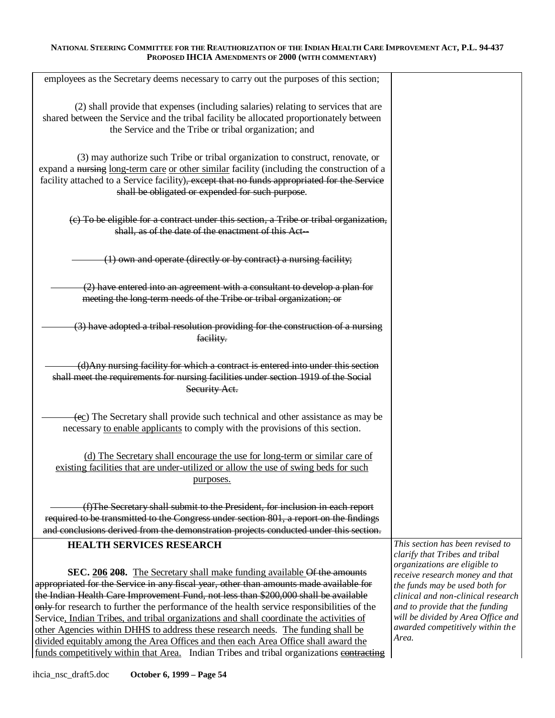| employees as the Secretary deems necessary to carry out the purposes of this section;                                                                                                                                                                                                                                                                                                                                                                                                                                                                                                                                                                                                                                   |                                                                                                                                                                                                                                                                |
|-------------------------------------------------------------------------------------------------------------------------------------------------------------------------------------------------------------------------------------------------------------------------------------------------------------------------------------------------------------------------------------------------------------------------------------------------------------------------------------------------------------------------------------------------------------------------------------------------------------------------------------------------------------------------------------------------------------------------|----------------------------------------------------------------------------------------------------------------------------------------------------------------------------------------------------------------------------------------------------------------|
| (2) shall provide that expenses (including salaries) relating to services that are<br>shared between the Service and the tribal facility be allocated proportionately between<br>the Service and the Tribe or tribal organization; and                                                                                                                                                                                                                                                                                                                                                                                                                                                                                  |                                                                                                                                                                                                                                                                |
| (3) may authorize such Tribe or tribal organization to construct, renovate, or<br>expand a nursing long-term care or other similar facility (including the construction of a<br>facility attached to a Service facility), except that no funds appropriated for the Service<br>shall be obligated or expended for such purpose.                                                                                                                                                                                                                                                                                                                                                                                         |                                                                                                                                                                                                                                                                |
| (c) To be eligible for a contract under this section, a Tribe or tribal organization,<br>shall, as of the date of the enactment of this Act-                                                                                                                                                                                                                                                                                                                                                                                                                                                                                                                                                                            |                                                                                                                                                                                                                                                                |
| (1) own and operate (directly or by contract) a nursing facility;                                                                                                                                                                                                                                                                                                                                                                                                                                                                                                                                                                                                                                                       |                                                                                                                                                                                                                                                                |
| $(2)$ have entered into an agreement with a consultant to develop a plan for<br>meeting the long-term needs of the Tribe or tribal organization; or                                                                                                                                                                                                                                                                                                                                                                                                                                                                                                                                                                     |                                                                                                                                                                                                                                                                |
| (3) have adopted a tribal resolution providing for the construction of a nursing<br>facility.                                                                                                                                                                                                                                                                                                                                                                                                                                                                                                                                                                                                                           |                                                                                                                                                                                                                                                                |
| (d) Any nursing facility for which a contract is entered into under this section<br>shall meet the requirements for nursing facilities under section 1919 of the Social<br>Security Act.                                                                                                                                                                                                                                                                                                                                                                                                                                                                                                                                |                                                                                                                                                                                                                                                                |
| (ec) The Secretary shall provide such technical and other assistance as may be<br>necessary to enable applicants to comply with the provisions of this section.                                                                                                                                                                                                                                                                                                                                                                                                                                                                                                                                                         |                                                                                                                                                                                                                                                                |
| (d) The Secretary shall encourage the use for long-term or similar care of<br>existing facilities that are under-utilized or allow the use of swing beds for such<br>purposes.                                                                                                                                                                                                                                                                                                                                                                                                                                                                                                                                          |                                                                                                                                                                                                                                                                |
| (f) The Secretary shall submit to the President, for inclusion in each report                                                                                                                                                                                                                                                                                                                                                                                                                                                                                                                                                                                                                                           |                                                                                                                                                                                                                                                                |
| required to be transmitted to the Congress under section 801, a report on the findings                                                                                                                                                                                                                                                                                                                                                                                                                                                                                                                                                                                                                                  |                                                                                                                                                                                                                                                                |
| and conclusions derived from the demonstration projects conducted under this section.                                                                                                                                                                                                                                                                                                                                                                                                                                                                                                                                                                                                                                   |                                                                                                                                                                                                                                                                |
| <b>HEALTH SERVICES RESEARCH</b>                                                                                                                                                                                                                                                                                                                                                                                                                                                                                                                                                                                                                                                                                         | This section has been revised to<br>clarify that Tribes and tribal                                                                                                                                                                                             |
| SEC. 206 208. The Secretary shall make funding available Of the amounts<br>appropriated for the Service in any fiscal year, other than amounts made available for<br>the Indian Health Care Improvement Fund, not less than \$200,000 shall be available<br>only for research to further the performance of the health service responsibilities of the<br>Service, Indian Tribes, and tribal organizations and shall coordinate the activities of<br>other Agencies within DHHS to address these research needs. The funding shall be<br>divided equitably among the Area Offices and then each Area Office shall award the<br>funds competitively within that Area. Indian Tribes and tribal organizations contracting | organizations are eligible to<br>receive research money and that<br>the funds may be used both for<br>clinical and non-clinical research<br>and to provide that the funding<br>will be divided by Area Office and<br>awarded competitively within the<br>Area. |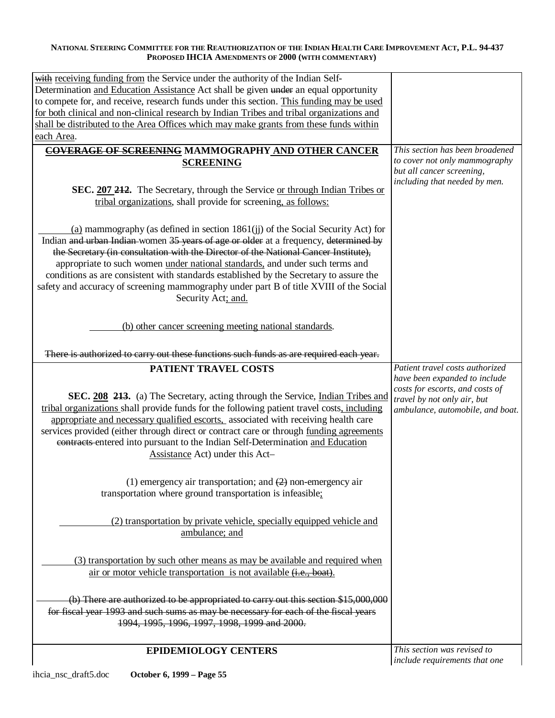| with receiving funding from the Service under the authority of the Indian Self-                                   |                                                                  |
|-------------------------------------------------------------------------------------------------------------------|------------------------------------------------------------------|
| Determination and Education Assistance Act shall be given under an equal opportunity                              |                                                                  |
| to compete for, and receive, research funds under this section. This funding may be used                          |                                                                  |
| for both clinical and non-clinical research by Indian Tribes and tribal organizations and                         |                                                                  |
| shall be distributed to the Area Offices which may make grants from these funds within                            |                                                                  |
| each Area.                                                                                                        |                                                                  |
|                                                                                                                   |                                                                  |
| COVERAGE OF SCREENING MAMMOGRAPHY AND OTHER CANCER                                                                | This section has been broadened<br>to cover not only mammography |
| <b>SCREENING</b>                                                                                                  | but all cancer screening,                                        |
|                                                                                                                   | including that needed by men.                                    |
| SEC. 207 212. The Secretary, through the Service or through Indian Tribes or                                      |                                                                  |
| tribal organizations, shall provide for screening, as follows:                                                    |                                                                  |
|                                                                                                                   |                                                                  |
| (a) mammography (as defined in section $1861(ij)$ of the Social Security Act) for                                 |                                                                  |
| Indian and urban Indian women 35 years of age or older at a frequency, determined by                              |                                                                  |
| the Secretary (in consultation with the Director of the National Cancer Institute),                               |                                                                  |
| appropriate to such women under national standards, and under such terms and                                      |                                                                  |
| conditions as are consistent with standards established by the Secretary to assure the                            |                                                                  |
| safety and accuracy of screening mammography under part B of title XVIII of the Social                            |                                                                  |
| Security Act; and.                                                                                                |                                                                  |
|                                                                                                                   |                                                                  |
| (b) other cancer screening meeting national standards.                                                            |                                                                  |
|                                                                                                                   |                                                                  |
|                                                                                                                   |                                                                  |
| There is authorized to carry out these functions such funds as are required each year.                            |                                                                  |
| <b>PATIENT TRAVEL COSTS</b>                                                                                       | Patient travel costs authorized                                  |
|                                                                                                                   |                                                                  |
|                                                                                                                   | have been expanded to include                                    |
|                                                                                                                   | costs for escorts, and costs of                                  |
| SEC. 208 213. (a) The Secretary, acting through the Service, Indian Tribes and                                    | travel by not only air, but                                      |
| tribal organizations shall provide funds for the following patient travel costs, including                        | ambulance, automobile, and boat.                                 |
| appropriate and necessary qualified escorts, associated with receiving health care                                |                                                                  |
| services provided (either through direct or contract care or through funding agreements                           |                                                                  |
| contracts entered into pursuant to the Indian Self-Determination and Education<br>Assistance Act) under this Act- |                                                                  |
|                                                                                                                   |                                                                  |
|                                                                                                                   |                                                                  |
| (1) emergency air transportation; and $(2)$ non-emergency air                                                     |                                                                  |
| transportation where ground transportation is infeasible;                                                         |                                                                  |
|                                                                                                                   |                                                                  |
| (2) transportation by private vehicle, specially equipped vehicle and                                             |                                                                  |
| ambulance; and                                                                                                    |                                                                  |
|                                                                                                                   |                                                                  |
| (3) transportation by such other means as may be available and required when                                      |                                                                  |
| air or motor vehicle transportation is not available ( <i>i.e.</i> , boat).                                       |                                                                  |
|                                                                                                                   |                                                                  |
|                                                                                                                   |                                                                  |
| (b) There are authorized to be appropriated to carry out this section \$15,000,000                                |                                                                  |
| for fiscal year 1993 and such sums as may be necessary for each of the fiscal years                               |                                                                  |
| 1994, 1995, 1996, 1997, 1998, 1999 and 2000.                                                                      |                                                                  |
| <b>EPIDEMIOLOGY CENTERS</b>                                                                                       | This section was revised to                                      |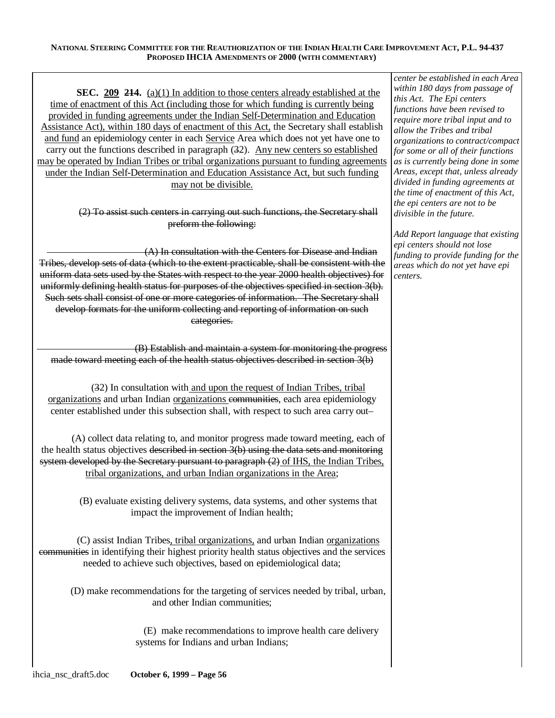**SEC. 209 214.** (a)(1) In addition to those centers already established at the time of enactment of this Act (including those for which funding is currently being provided in funding agreements under the Indian Self-Determination and Education Assistance Act), within 180 days of enactment of this Act, the Secretary shall establish and fund an epidemiology center in each Service Area which does not yet have one to carry out the functions described in paragraph (32). Any new centers so established may be operated by Indian Tribes or tribal organizations pursuant to funding agreements under the Indian Self-Determination and Education Assistance Act, but such funding may not be divisible.

> (2) To assist such centers in carrying out such functions, the Secretary shall preform the following:

(A) In consultation with the Centers for Disease and Indian Tribes, develop sets of data (which to the extent practicable, shall be consistent with the uniform data sets used by the States with respect to the year 2000 health objectives) for uniformly defining health status for purposes of the objectives specified in section 3(b). Such sets shall consist of one or more categories of information. The Secretary shall develop formats for the uniform collecting and reporting of information on such categories.

(B) Establish and maintain a system for monitoring the progress made toward meeting each of the health status objectives described in section 3(b)

(32) In consultation with and upon the request of Indian Tribes, tribal organizations and urban Indian organizations communities, each area epidemiology center established under this subsection shall, with respect to such area carry out–

(A) collect data relating to, and monitor progress made toward meeting, each of the health status objectives described in section 3(b) using the data sets and monitoring system developed by the Secretary pursuant to paragraph  $(2)$  of IHS, the Indian Tribes, tribal organizations, and urban Indian organizations in the Area;

> (B) evaluate existing delivery systems, data systems, and other systems that impact the improvement of Indian health;

(C) assist Indian Tribes, tribal organizations, and urban Indian organizations communities in identifying their highest priority health status objectives and the services needed to achieve such objectives, based on epidemiological data;

(D) make recommendations for the targeting of services needed by tribal, urban, and other Indian communities;

> (E) make recommendations to improve health care delivery systems for Indians and urban Indians;

*center be established in each Area within 180 days from passage of this Act. The Epi centers functions have been revised to require more tribal input and to allow the Tribes and tribal organizations to contract/compact for some or all of their functions as is currently being done in some Areas, except that, unless already divided in funding agreements at the time of enactment of this Act, the epi centers are not to be divisible in the future.* 

*Add Report language that existing epi centers should not lose funding to provide funding for the areas which do not yet have epi centers.*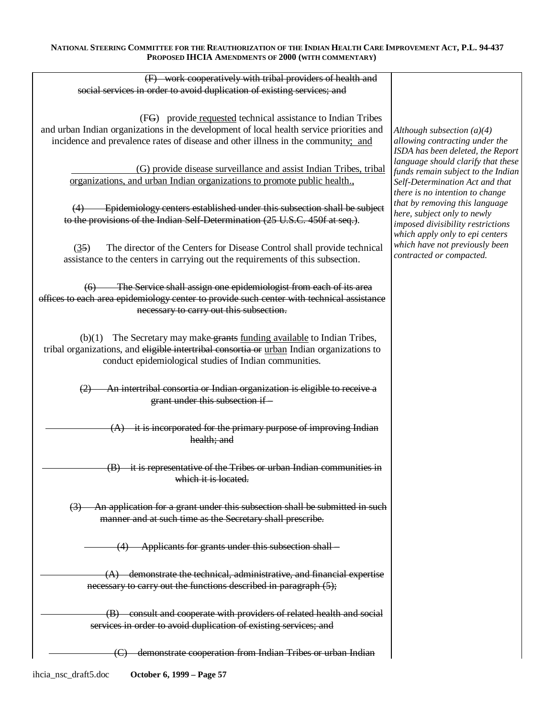| (F) work cooperatively with tribal providers of health and                                                                                                                                                                                    |                                                                                                                                                                                                     |
|-----------------------------------------------------------------------------------------------------------------------------------------------------------------------------------------------------------------------------------------------|-----------------------------------------------------------------------------------------------------------------------------------------------------------------------------------------------------|
| social services in order to avoid duplication of existing services; and                                                                                                                                                                       |                                                                                                                                                                                                     |
|                                                                                                                                                                                                                                               |                                                                                                                                                                                                     |
| (FG) provide requested technical assistance to Indian Tribes<br>and urban Indian organizations in the development of local health service priorities and<br>incidence and prevalence rates of disease and other illness in the community; and | Although subsection $(a)(4)$<br>allowing contracting under the<br>ISDA has been deleted, the Report                                                                                                 |
| (G) provide disease surveillance and assist Indian Tribes, tribal<br>organizations, and urban Indian organizations to promote public health.,                                                                                                 | language should clarify that these<br>funds remain subject to the Indian<br>Self-Determination Act and that<br>there is no intention to change                                                      |
| Epidemiology centers established under this subsection shall be subject<br>(4)<br>to the provisions of the Indian Self-Determination (25 U.S.C. 450f at seq.).                                                                                | that by removing this language<br>here, subject only to newly<br>imposed divisibility restrictions<br>which apply only to epi centers<br>which have not previously been<br>contracted or compacted. |
| The director of the Centers for Disease Control shall provide technical<br>(35)<br>assistance to the centers in carrying out the requirements of this subsection.                                                                             |                                                                                                                                                                                                     |
| (6) The Service shall assign one epidemiologist from each of its area<br>offices to each area epidemiology center to provide such center with technical assistance<br>necessary to carry out this subsection.                                 |                                                                                                                                                                                                     |
| $(b)(1)$ The Secretary may make grants funding available to Indian Tribes,<br>tribal organizations, and eligible intertribal consortia or urban Indian organizations to<br>conduct epidemiological studies of Indian communities.             |                                                                                                                                                                                                     |
| An intertribal consortia or Indian organization is eligible to receive a<br>(2)<br>grant under this subsection if                                                                                                                             |                                                                                                                                                                                                     |
| it is incorporated for the primary purpose of improving Indian<br>health; and                                                                                                                                                                 |                                                                                                                                                                                                     |
| (B) it is representative of the Tribes or urban Indian communities in<br>which it is located.                                                                                                                                                 |                                                                                                                                                                                                     |
| An application for a grant under this subsection shall be submitted in such<br>$\left(3\right)$<br>manner and at such time as the Secretary shall prescribe.                                                                                  |                                                                                                                                                                                                     |
| Applicants for grants under this subsection shall—                                                                                                                                                                                            |                                                                                                                                                                                                     |
| $(A)$ demonstrate the technical, administrative, and financial expertise<br>necessary to earry out the functions described in paragraph (5);                                                                                                  |                                                                                                                                                                                                     |
| (B) consult and cooperate with providers of related health and social<br>services in order to avoid duplication of existing services; and                                                                                                     |                                                                                                                                                                                                     |
| demonstrate cooperation from Indian Tribes or urban Indian                                                                                                                                                                                    |                                                                                                                                                                                                     |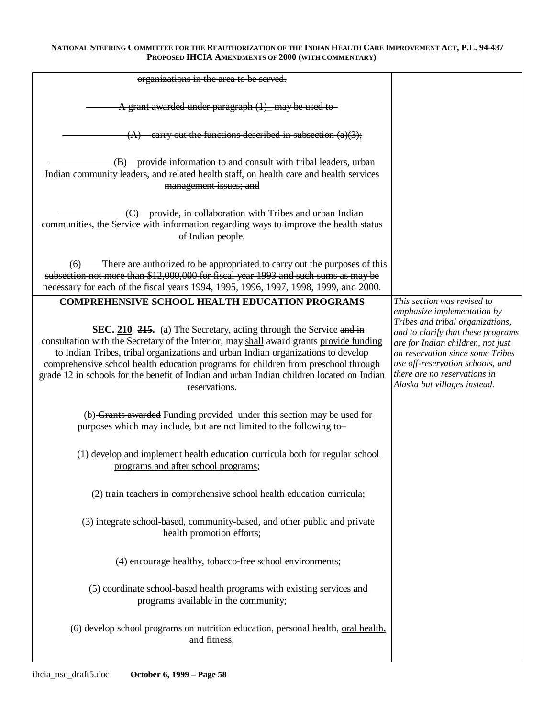| organizations in the area to be served.                                                                                                                                                                                                                                                                                                                                                                                                                                                                        |                                                                                                                                                                                                                                                                                                                   |
|----------------------------------------------------------------------------------------------------------------------------------------------------------------------------------------------------------------------------------------------------------------------------------------------------------------------------------------------------------------------------------------------------------------------------------------------------------------------------------------------------------------|-------------------------------------------------------------------------------------------------------------------------------------------------------------------------------------------------------------------------------------------------------------------------------------------------------------------|
| A grant awarded under paragraph (1) may be used to                                                                                                                                                                                                                                                                                                                                                                                                                                                             |                                                                                                                                                                                                                                                                                                                   |
| -carry out the functions described in subsection $(a)(3)$ ;<br>(A)                                                                                                                                                                                                                                                                                                                                                                                                                                             |                                                                                                                                                                                                                                                                                                                   |
| (B) provide information to and consult with tribal leaders, urban<br>Indian community leaders, and related health staff, on health care and health services<br>management issues; and                                                                                                                                                                                                                                                                                                                          |                                                                                                                                                                                                                                                                                                                   |
| (C) provide, in collaboration with Tribes and urban Indian<br>communities, the Service with information regarding ways to improve the health status<br>of Indian people.                                                                                                                                                                                                                                                                                                                                       |                                                                                                                                                                                                                                                                                                                   |
| (6) There are authorized to be appropriated to carry out the purposes of this<br>subsection not more than \$12,000,000 for fiscal year 1993 and such sums as may be<br>necessary for each of the fiscal years 1994, 1995, 1996, 1997, 1998, 1999, and 2000.                                                                                                                                                                                                                                                    |                                                                                                                                                                                                                                                                                                                   |
| <b>COMPREHENSIVE SCHOOL HEALTH EDUCATION PROGRAMS</b><br>SEC. 210 215. (a) The Secretary, acting through the Service and in<br>consultation with the Secretary of the Interior, may shall award grants provide funding<br>to Indian Tribes, tribal organizations and urban Indian organizations to develop<br>comprehensive school health education programs for children from preschool through<br>grade 12 in schools for the benefit of Indian and urban Indian children located on Indian<br>reservations. | This section was revised to<br>emphasize implementation by<br>Tribes and tribal organizations,<br>and to clarify that these programs<br>are for Indian children, not just<br>on reservation since some Tribes<br>use off-reservation schools, and<br>there are no reservations in<br>Alaska but villages instead. |
| (b) Grants awarded Funding provided under this section may be used for<br>purposes which may include, but are not limited to the following to-                                                                                                                                                                                                                                                                                                                                                                 |                                                                                                                                                                                                                                                                                                                   |
| (1) develop and implement health education curricula both for regular school<br>programs and after school programs;                                                                                                                                                                                                                                                                                                                                                                                            |                                                                                                                                                                                                                                                                                                                   |
| (2) train teachers in comprehensive school health education curricula;                                                                                                                                                                                                                                                                                                                                                                                                                                         |                                                                                                                                                                                                                                                                                                                   |
| (3) integrate school-based, community-based, and other public and private<br>health promotion efforts;                                                                                                                                                                                                                                                                                                                                                                                                         |                                                                                                                                                                                                                                                                                                                   |
| (4) encourage healthy, tobacco-free school environments;                                                                                                                                                                                                                                                                                                                                                                                                                                                       |                                                                                                                                                                                                                                                                                                                   |
| (5) coordinate school-based health programs with existing services and<br>programs available in the community;                                                                                                                                                                                                                                                                                                                                                                                                 |                                                                                                                                                                                                                                                                                                                   |
| (6) develop school programs on nutrition education, personal health, oral health,<br>and fitness;                                                                                                                                                                                                                                                                                                                                                                                                              |                                                                                                                                                                                                                                                                                                                   |
|                                                                                                                                                                                                                                                                                                                                                                                                                                                                                                                |                                                                                                                                                                                                                                                                                                                   |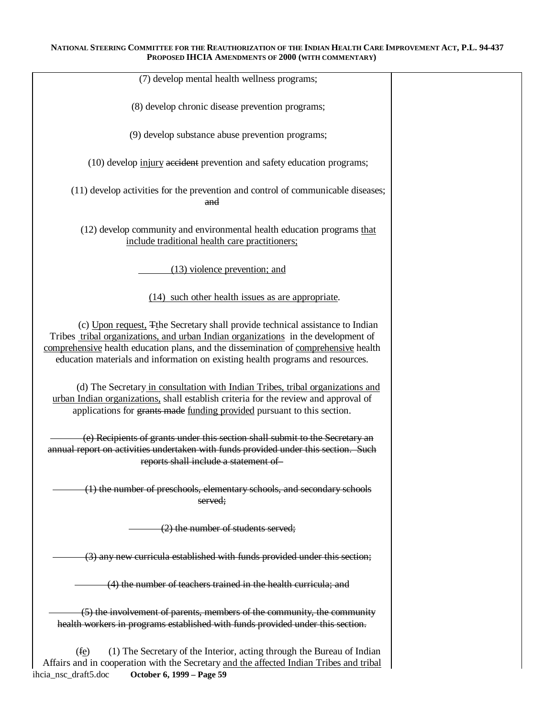| (7) develop mental health wellness programs;                                                                                                                                                                                                                                                                                                |  |
|---------------------------------------------------------------------------------------------------------------------------------------------------------------------------------------------------------------------------------------------------------------------------------------------------------------------------------------------|--|
| (8) develop chronic disease prevention programs;                                                                                                                                                                                                                                                                                            |  |
| (9) develop substance abuse prevention programs;                                                                                                                                                                                                                                                                                            |  |
| (10) develop injury accident prevention and safety education programs;                                                                                                                                                                                                                                                                      |  |
| (11) develop activities for the prevention and control of communicable diseases;<br>and                                                                                                                                                                                                                                                     |  |
| (12) develop community and environmental health education programs that<br>include traditional health care practitioners;                                                                                                                                                                                                                   |  |
| $(13)$ violence prevention; and                                                                                                                                                                                                                                                                                                             |  |
| (14) such other health issues as are appropriate.                                                                                                                                                                                                                                                                                           |  |
| (c) Upon request, Tthe Secretary shall provide technical assistance to Indian<br>Tribes tribal organizations, and urban Indian organizations in the development of<br>comprehensive health education plans, and the dissemination of comprehensive health<br>education materials and information on existing health programs and resources. |  |
| (d) The Secretary in consultation with Indian Tribes, tribal organizations and<br>urban Indian organizations, shall establish criteria for the review and approval of<br>applications for grants made funding provided pursuant to this section.                                                                                            |  |
| (e) Recipients of grants under this section shall submit to the Secretary an<br>annual report on activities undertaken with funds provided under this section. Such<br>reports shall include a statement of                                                                                                                                 |  |
| (1) the number of preschools, elementary schools, and secondary schools<br>served;                                                                                                                                                                                                                                                          |  |
| $(2)$ the number of students served;                                                                                                                                                                                                                                                                                                        |  |
| (3) any new curricula established with funds provided under this section;                                                                                                                                                                                                                                                                   |  |
| (4) the number of teachers trained in the health curricula; and                                                                                                                                                                                                                                                                             |  |
| (5) the involvement of parents, members of the community, the community<br>health workers in programs established with funds provided under this section.                                                                                                                                                                                   |  |
| (fe)<br>(1) The Secretary of the Interior, acting through the Bureau of Indian<br>Affairs and in cooperation with the Secretary and the affected Indian Tribes and tribal<br>ihcia_nsc_draft5.doc<br>October 6, 1999 – Page 59                                                                                                              |  |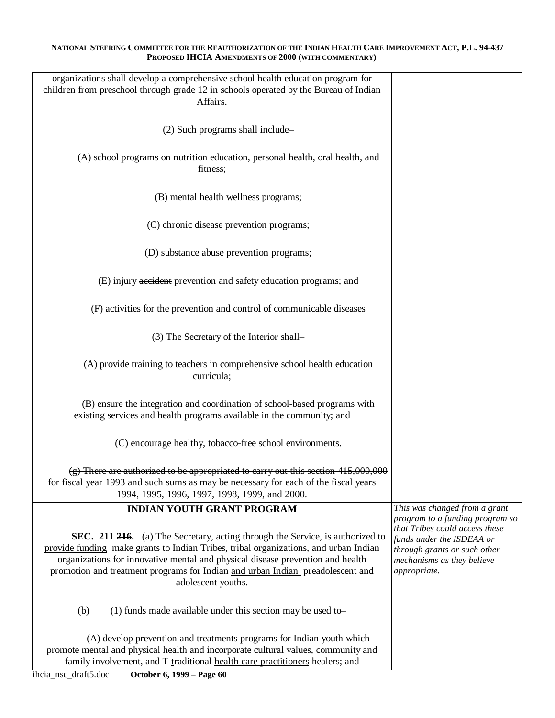| organizations shall develop a comprehensive school health education program for<br>children from preschool through grade 12 in schools operated by the Bureau of Indian<br>Affairs.                                                                                                                                                                              |                                                                                                                                                                              |
|------------------------------------------------------------------------------------------------------------------------------------------------------------------------------------------------------------------------------------------------------------------------------------------------------------------------------------------------------------------|------------------------------------------------------------------------------------------------------------------------------------------------------------------------------|
| (2) Such programs shall include-                                                                                                                                                                                                                                                                                                                                 |                                                                                                                                                                              |
| (A) school programs on nutrition education, personal health, oral health, and<br>fitness;                                                                                                                                                                                                                                                                        |                                                                                                                                                                              |
| (B) mental health wellness programs;                                                                                                                                                                                                                                                                                                                             |                                                                                                                                                                              |
| (C) chronic disease prevention programs;                                                                                                                                                                                                                                                                                                                         |                                                                                                                                                                              |
| (D) substance abuse prevention programs;                                                                                                                                                                                                                                                                                                                         |                                                                                                                                                                              |
| (E) injury accident prevention and safety education programs; and                                                                                                                                                                                                                                                                                                |                                                                                                                                                                              |
| (F) activities for the prevention and control of communicable diseases                                                                                                                                                                                                                                                                                           |                                                                                                                                                                              |
| (3) The Secretary of the Interior shall-                                                                                                                                                                                                                                                                                                                         |                                                                                                                                                                              |
| (A) provide training to teachers in comprehensive school health education<br>curricula;                                                                                                                                                                                                                                                                          |                                                                                                                                                                              |
| (B) ensure the integration and coordination of school-based programs with<br>existing services and health programs available in the community; and                                                                                                                                                                                                               |                                                                                                                                                                              |
| (C) encourage healthy, tobacco-free school environments.                                                                                                                                                                                                                                                                                                         |                                                                                                                                                                              |
| (g) There are authorized to be appropriated to carry out this section 415,000,000<br>for fiscal year 1993 and such sums as may be necessary for each of the fiscal years<br>1994, 1995, 1996, 1997, 1998, 1999, and 2000.                                                                                                                                        |                                                                                                                                                                              |
| <b>INDIAN YOUTH GRANT PROGRAM</b>                                                                                                                                                                                                                                                                                                                                | This was changed from a grant                                                                                                                                                |
| SEC. 211 216. (a) The Secretary, acting through the Service, is authorized to<br>provide funding -make grants to Indian Tribes, tribal organizations, and urban Indian<br>organizations for innovative mental and physical disease prevention and health<br>promotion and treatment programs for Indian and urban Indian preadolescent and<br>adolescent youths. | program to a funding program so<br>that Tribes could access these<br>funds under the ISDEAA or<br>through grants or such other<br>mechanisms as they believe<br>appropriate. |
| (1) funds made available under this section may be used to-<br>(b)                                                                                                                                                                                                                                                                                               |                                                                                                                                                                              |
| (A) develop prevention and treatments programs for Indian youth which<br>promote mental and physical health and incorporate cultural values, community and<br>family involvement, and $\pm$ traditional health care practitioners healers; and<br>ihcia_nsc_draft5.doc<br>October 6, 1999 - Page 60                                                              |                                                                                                                                                                              |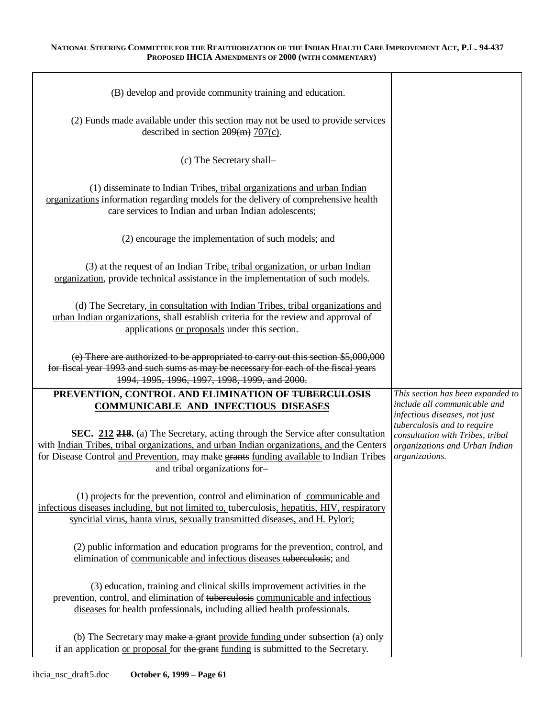| (B) develop and provide community training and education.                                                                                                                                                                                                                                              |                                                                                                                                                      |
|--------------------------------------------------------------------------------------------------------------------------------------------------------------------------------------------------------------------------------------------------------------------------------------------------------|------------------------------------------------------------------------------------------------------------------------------------------------------|
| (2) Funds made available under this section may not be used to provide services<br>described in section $209(m)$ 707(c).                                                                                                                                                                               |                                                                                                                                                      |
| (c) The Secretary shall-                                                                                                                                                                                                                                                                               |                                                                                                                                                      |
| (1) disseminate to Indian Tribes, tribal organizations and urban Indian<br>organizations information regarding models for the delivery of comprehensive health<br>care services to Indian and urban Indian adolescents;                                                                                |                                                                                                                                                      |
| (2) encourage the implementation of such models; and                                                                                                                                                                                                                                                   |                                                                                                                                                      |
| (3) at the request of an Indian Tribe, tribal organization, or urban Indian<br>organization, provide technical assistance in the implementation of such models.                                                                                                                                        |                                                                                                                                                      |
| (d) The Secretary, in consultation with Indian Tribes, tribal organizations and<br>urban Indian organizations, shall establish criteria for the review and approval of<br>applications or proposals under this section.                                                                                |                                                                                                                                                      |
| (e) There are authorized to be appropriated to carry out this section \$5,000,000<br>for fiscal year 1993 and such sums as may be necessary for each of the fiscal years<br>1994, 1995, 1996, 1997, 1998, 1999, and 2000.                                                                              |                                                                                                                                                      |
| PREVENTION, CONTROL AND ELIMINATION OF TUBERCULOSIS<br><b>COMMUNICABLE AND INFECTIOUS DISEASES</b>                                                                                                                                                                                                     | This section has been expanded to<br>include all communicable and                                                                                    |
|                                                                                                                                                                                                                                                                                                        |                                                                                                                                                      |
| SEC. 212 218. (a) The Secretary, acting through the Service after consultation<br>with Indian Tribes, tribal organizations, and urban Indian organizations, and the Centers<br>for Disease Control and Prevention, may make grants funding available to Indian Tribes<br>and tribal organizations for- | infectious diseases, not just<br>tuberculosis and to require<br>consultation with Tribes, tribal<br>organizations and Urban Indian<br>organizations. |
| (1) projects for the prevention, control and elimination of communicable and<br>infectious diseases including, but not limited to, tuberculosis, hepatitis, HIV, respiratory<br>syncitial virus, hanta virus, sexually transmitted diseases, and H. Pylori;                                            |                                                                                                                                                      |
| (2) public information and education programs for the prevention, control, and<br>elimination of communicable and infectious diseases tuberculosis; and                                                                                                                                                |                                                                                                                                                      |
| (3) education, training and clinical skills improvement activities in the<br>prevention, control, and elimination of tuberculosis communicable and infectious<br>diseases for health professionals, including allied health professionals.                                                             |                                                                                                                                                      |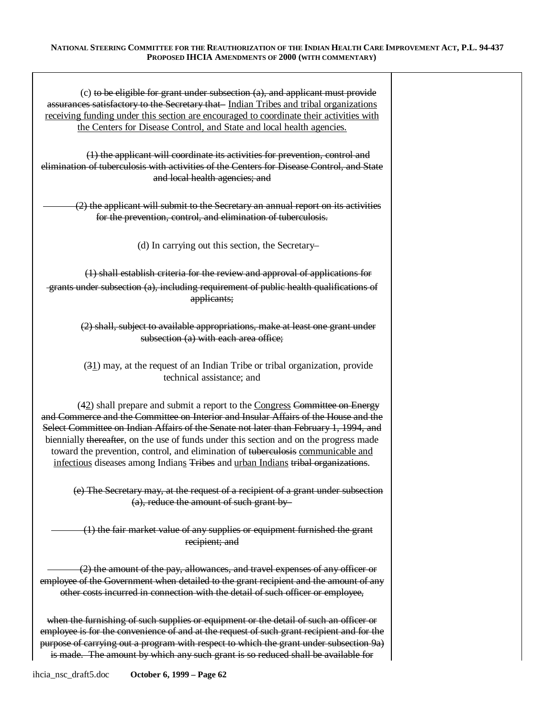| $(c)$ to be eligible for grant under subsection $(a)$ , and applicant must provide<br>assurances satisfactory to the Secretary that-Indian Tribes and tribal organizations<br>receiving funding under this section are encouraged to coordinate their activities with<br>the Centers for Disease Control, and State and local health agencies.<br>(1) the applicant will coordinate its activities for prevention, control and<br>elimination of tuberculosis with activities of the Centers for Disease Control, and State    |  |
|--------------------------------------------------------------------------------------------------------------------------------------------------------------------------------------------------------------------------------------------------------------------------------------------------------------------------------------------------------------------------------------------------------------------------------------------------------------------------------------------------------------------------------|--|
| and local health agencies; and                                                                                                                                                                                                                                                                                                                                                                                                                                                                                                 |  |
| (2) the applicant will submit to the Secretary an annual report on its activities<br>for the prevention, control, and elimination of tuberculosis.                                                                                                                                                                                                                                                                                                                                                                             |  |
| (d) In carrying out this section, the Secretary-                                                                                                                                                                                                                                                                                                                                                                                                                                                                               |  |
| (1) shall establish criteria for the review and approval of applications for                                                                                                                                                                                                                                                                                                                                                                                                                                                   |  |
| -grants under subsection (a), including requirement of public health qualifications of<br>applicants;                                                                                                                                                                                                                                                                                                                                                                                                                          |  |
| (2) shall, subject to available appropriations, make at least one grant under<br>subsection (a) with each area office;                                                                                                                                                                                                                                                                                                                                                                                                         |  |
| $(31)$ may, at the request of an Indian Tribe or tribal organization, provide<br>technical assistance; and                                                                                                                                                                                                                                                                                                                                                                                                                     |  |
| $(42)$ shall prepare and submit a report to the Congress Committee on Energy<br>and Commerce and the Committee on Interior and Insular Affairs of the House and the<br>Select Committee on Indian Affairs of the Senate not later than February 1, 1994, and<br>biennially thereafter, on the use of funds under this section and on the progress made<br>toward the prevention, control, and elimination of tuberculosis communicable and<br>infectious diseases among Indians Tribes and urban Indians tribal organizations. |  |
| (e) The Secretary may, at the request of a recipient of a grant under subsection<br>(a), reduce the amount of such grant by-                                                                                                                                                                                                                                                                                                                                                                                                   |  |
| (1) the fair market value of any supplies or equipment furnished the grant<br>recipient; and                                                                                                                                                                                                                                                                                                                                                                                                                                   |  |
| (2) the amount of the pay, allowances, and travel expenses of any officer or<br>employee of the Government when detailed to the grant recipient and the amount of any<br>other costs incurred in connection with the detail of such officer or employee,                                                                                                                                                                                                                                                                       |  |
| when the furnishing of such supplies or equipment or the detail of such an officer or<br>employee is for the convenience of and at the request of such grant recipient and for the<br>purpose of carrying out a program with respect to which the grant under subsection 9a)<br>is made. The amount by which any such grant is so reduced shall be available for                                                                                                                                                               |  |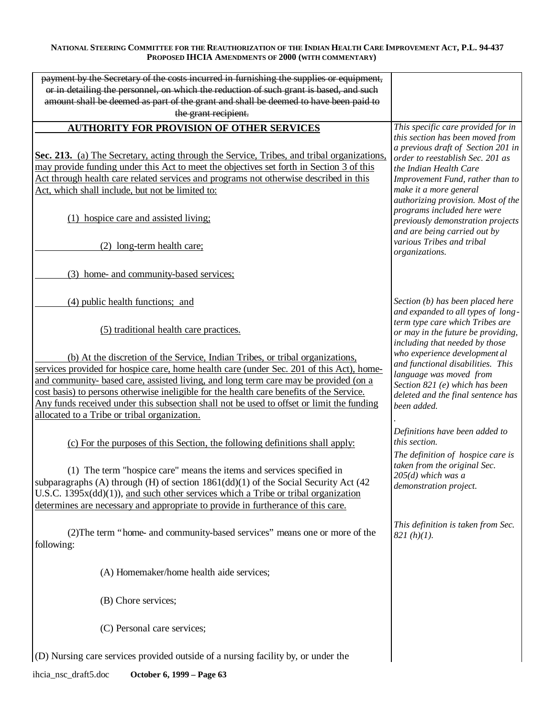| payment by the Secretary of the costs incurred in furnishing the supplies or equipment,      |                                                                      |
|----------------------------------------------------------------------------------------------|----------------------------------------------------------------------|
| or in detailing the personnel, on which the reduction of such grant is based, and such       |                                                                      |
| amount shall be deemed as part of the grant and shall be deemed to have been paid to         |                                                                      |
| the grant recipient.                                                                         |                                                                      |
| <b>AUTHORITY FOR PROVISION OF OTHER SERVICES</b>                                             | This specific care provided for in                                   |
|                                                                                              | this section has been moved from                                     |
|                                                                                              | a previous draft of Section 201 in                                   |
| Sec. 213. (a) The Secretary, acting through the Service, Tribes, and tribal organizations,   | order to reestablish Sec. 201 as                                     |
| may provide funding under this Act to meet the objectives set forth in Section 3 of this     | the Indian Health Care                                               |
| Act through health care related services and programs not otherwise described in this        | Improvement Fund, rather than to                                     |
| Act, which shall include, but not be limited to:                                             | make it a more general                                               |
|                                                                                              | authorizing provision. Most of the                                   |
|                                                                                              | programs included here were                                          |
| (1) hospice care and assisted living;                                                        | previously demonstration projects                                    |
|                                                                                              | and are being carried out by                                         |
| (2) long-term health care;                                                                   | various Tribes and tribal                                            |
|                                                                                              | organizations.                                                       |
|                                                                                              |                                                                      |
| (3) home- and community-based services;                                                      |                                                                      |
|                                                                                              |                                                                      |
|                                                                                              |                                                                      |
| (4) public health functions; and                                                             | Section (b) has been placed here                                     |
|                                                                                              | and expanded to all types of long-                                   |
| (5) traditional health care practices.                                                       | term type care which Tribes are                                      |
|                                                                                              | or may in the future be providing,<br>including that needed by those |
|                                                                                              | who experience development al                                        |
| (b) At the discretion of the Service, Indian Tribes, or tribal organizations,                | and functional disabilities. This                                    |
| services provided for hospice care, home health care (under Sec. 201 of this Act), home-     | language was moved from                                              |
| and community- based care, assisted living, and long term care may be provided (on a         | Section 821 (e) which has been                                       |
| cost basis) to persons otherwise ineligible for the health care benefits of the Service.     | deleted and the final sentence has                                   |
| Any funds received under this subsection shall not be used to offset or limit the funding    | been added.                                                          |
| allocated to a Tribe or tribal organization.                                                 |                                                                      |
|                                                                                              |                                                                      |
|                                                                                              | Definitions have been added to<br>this section.                      |
| (c) For the purposes of this Section, the following definitions shall apply:                 |                                                                      |
|                                                                                              | The definition of hospice care is                                    |
| (1) The term "hospice care" means the items and services specified in                        | taken from the original Sec.                                         |
| subparagraphs (A) through (H) of section $1861\text{(dd)}(1)$ of the Social Security Act (42 | $205(d)$ which was a                                                 |
| U.S.C. $1395x(\text{dd})(1)$ , and such other services which a Tribe or tribal organization  | demonstration project.                                               |
| determines are necessary and appropriate to provide in furtherance of this care.             |                                                                      |
|                                                                                              |                                                                      |
|                                                                                              | This definition is taken from Sec.                                   |
| (2) The term "home- and community-based services" means one or more of the                   | $821(h)(1)$ .                                                        |
| following:                                                                                   |                                                                      |
|                                                                                              |                                                                      |
|                                                                                              |                                                                      |
| (A) Homemaker/home health aide services;                                                     |                                                                      |
|                                                                                              |                                                                      |
| (B) Chore services;                                                                          |                                                                      |
|                                                                                              |                                                                      |
|                                                                                              |                                                                      |
| (C) Personal care services;                                                                  |                                                                      |
|                                                                                              |                                                                      |
| (D) Nursing care services provided outside of a nursing facility by, or under the            |                                                                      |
|                                                                                              |                                                                      |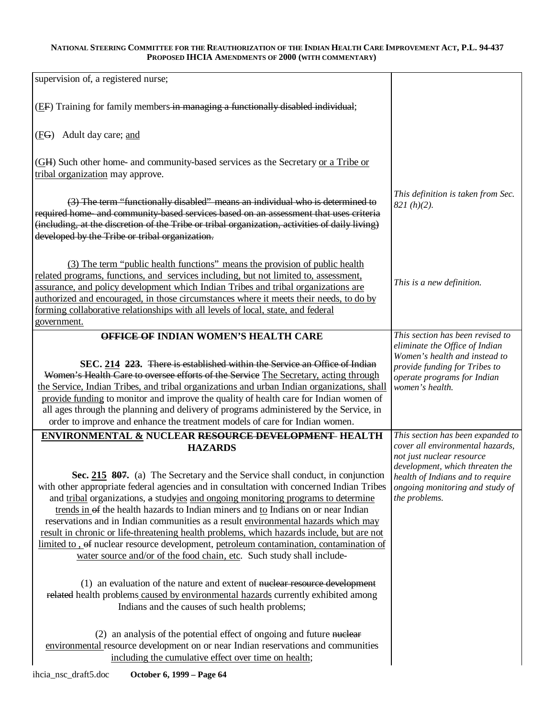| supervision of, a registered nurse;                                                                                                                                                                                                                                                                                                                                                                                                                                                                                                                                                                                                                                                                                          |                                                                                                                                                                                          |
|------------------------------------------------------------------------------------------------------------------------------------------------------------------------------------------------------------------------------------------------------------------------------------------------------------------------------------------------------------------------------------------------------------------------------------------------------------------------------------------------------------------------------------------------------------------------------------------------------------------------------------------------------------------------------------------------------------------------------|------------------------------------------------------------------------------------------------------------------------------------------------------------------------------------------|
| (EF) Training for family members in managing a functionally disabled individual;                                                                                                                                                                                                                                                                                                                                                                                                                                                                                                                                                                                                                                             |                                                                                                                                                                                          |
| (FG) Adult day care; and                                                                                                                                                                                                                                                                                                                                                                                                                                                                                                                                                                                                                                                                                                     |                                                                                                                                                                                          |
| (GH) Such other home- and community-based services as the Secretary or a Tribe or<br>tribal organization may approve.                                                                                                                                                                                                                                                                                                                                                                                                                                                                                                                                                                                                        |                                                                                                                                                                                          |
| (3) The term "functionally disabled" means an individual who is determined to<br>required home- and community-based services based on an assessment that uses criteria<br>(including, at the discretion of the Tribe or tribal organization, activities of daily living)<br>developed by the Tribe or tribal organization.                                                                                                                                                                                                                                                                                                                                                                                                   | This definition is taken from Sec.<br>$821(h)(2)$ .                                                                                                                                      |
| (3) The term "public health functions" means the provision of public health<br>related programs, functions, and services including, but not limited to, assessment,<br>assurance, and policy development which Indian Tribes and tribal organizations are<br>authorized and encouraged, in those circumstances where it meets their needs, to do by<br>forming collaborative relationships with all levels of local, state, and federal<br>government.                                                                                                                                                                                                                                                                       | This is a new definition.                                                                                                                                                                |
| <b>OFFICE OF INDIAN WOMEN'S HEALTH CARE</b>                                                                                                                                                                                                                                                                                                                                                                                                                                                                                                                                                                                                                                                                                  | This section has been revised to                                                                                                                                                         |
| SEC. 214 223. There is established within the Service an Office of Indian<br>Women's Health Care to oversee efforts of the Service The Secretary, acting through<br>the Service, Indian Tribes, and tribal organizations and urban Indian organizations, shall<br>provide funding to monitor and improve the quality of health care for Indian women of<br>all ages through the planning and delivery of programs administered by the Service, in<br>order to improve and enhance the treatment models of care for Indian women.                                                                                                                                                                                             | eliminate the Office of Indian<br>Women's health and instead to<br>provide funding for Tribes to<br>operate programs for Indian<br>women's health.                                       |
| <b>ENVIRONMENTAL &amp; NUCLEAR RESOURCE DEVELOPMENT HEALTH</b>                                                                                                                                                                                                                                                                                                                                                                                                                                                                                                                                                                                                                                                               | This section has been expanded to                                                                                                                                                        |
| <b>HAZARDS</b><br>Sec. 215 807. (a) The Secretary and the Service shall conduct, in conjunction<br>with other appropriate federal agencies and in consultation with concerned Indian Tribes<br>and tribal organizations, a studyies and ongoing monitoring programs to determine<br>trends in of the health hazards to Indian miners and to Indians on or near Indian<br>reservations and in Indian communities as a result environmental hazards which may<br>result in chronic or life-threatening health problems, which hazards include, but are not<br>limited to , of nuclear resource development, petroleum contamination, contamination of<br>water source and/or of the food chain, etc. Such study shall include- | cover all environmental hazards,<br>not just nuclear resource<br>development, which threaten the<br>health of Indians and to require<br>ongoing monitoring and study of<br>the problems. |
| (1) an evaluation of the nature and extent of nuclear resource development<br>related health problems caused by environmental hazards currently exhibited among<br>Indians and the causes of such health problems;                                                                                                                                                                                                                                                                                                                                                                                                                                                                                                           |                                                                                                                                                                                          |
| (2) an analysis of the potential effect of ongoing and future nuclear<br>environmental resource development on or near Indian reservations and communities<br>including the cumulative effect over time on health;                                                                                                                                                                                                                                                                                                                                                                                                                                                                                                           |                                                                                                                                                                                          |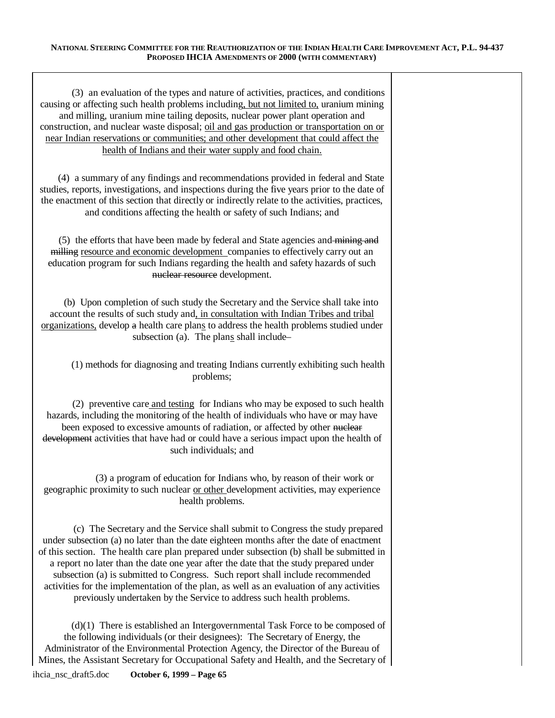| (3) an evaluation of the types and nature of activities, practices, and conditions<br>causing or affecting such health problems including, but not limited to, uranium mining<br>and milling, uranium mine tailing deposits, nuclear power plant operation and<br>construction, and nuclear waste disposal; oil and gas production or transportation on or<br>near Indian reservations or communities; and other development that could affect the<br>health of Indians and their water supply and food chain.                                                                                                         |
|------------------------------------------------------------------------------------------------------------------------------------------------------------------------------------------------------------------------------------------------------------------------------------------------------------------------------------------------------------------------------------------------------------------------------------------------------------------------------------------------------------------------------------------------------------------------------------------------------------------------|
| (4) a summary of any findings and recommendations provided in federal and State<br>studies, reports, investigations, and inspections during the five years prior to the date of<br>the enactment of this section that directly or indirectly relate to the activities, practices,<br>and conditions affecting the health or safety of such Indians; and                                                                                                                                                                                                                                                                |
| (5) the efforts that have been made by federal and State agencies and mining and<br>milling resource and economic development companies to effectively carry out an<br>education program for such Indians regarding the health and safety hazards of such<br>nuclear resource development.                                                                                                                                                                                                                                                                                                                             |
| (b) Upon completion of such study the Secretary and the Service shall take into<br>account the results of such study and, in consultation with Indian Tribes and tribal<br>organizations, develop a health care plans to address the health problems studied under<br>subsection (a). The plans shall include-                                                                                                                                                                                                                                                                                                         |
| (1) methods for diagnosing and treating Indians currently exhibiting such health<br>problems;                                                                                                                                                                                                                                                                                                                                                                                                                                                                                                                          |
| (2) preventive care and testing for Indians who may be exposed to such health<br>hazards, including the monitoring of the health of individuals who have or may have<br>been exposed to excessive amounts of radiation, or affected by other nuclear<br>development activities that have had or could have a serious impact upon the health of<br>such individuals; and                                                                                                                                                                                                                                                |
| (3) a program of education for Indians who, by reason of their work or<br>geographic proximity to such nuclear or other development activities, may experience<br>health problems.                                                                                                                                                                                                                                                                                                                                                                                                                                     |
| (c) The Secretary and the Service shall submit to Congress the study prepared<br>under subsection (a) no later than the date eighteen months after the date of enactment<br>of this section. The health care plan prepared under subsection (b) shall be submitted in<br>a report no later than the date one year after the date that the study prepared under<br>subsection (a) is submitted to Congress. Such report shall include recommended<br>activities for the implementation of the plan, as well as an evaluation of any activities<br>previously undertaken by the Service to address such health problems. |
| $(d)(1)$ There is established an Intergovernmental Task Force to be composed of<br>the following individuals (or their designees): The Secretary of Energy, the                                                                                                                                                                                                                                                                                                                                                                                                                                                        |

Administrator of the Environmental Protection Agency, the Director of the Bureau of Mines, the Assistant Secretary for Occupational Safety and Health, and the Secretary of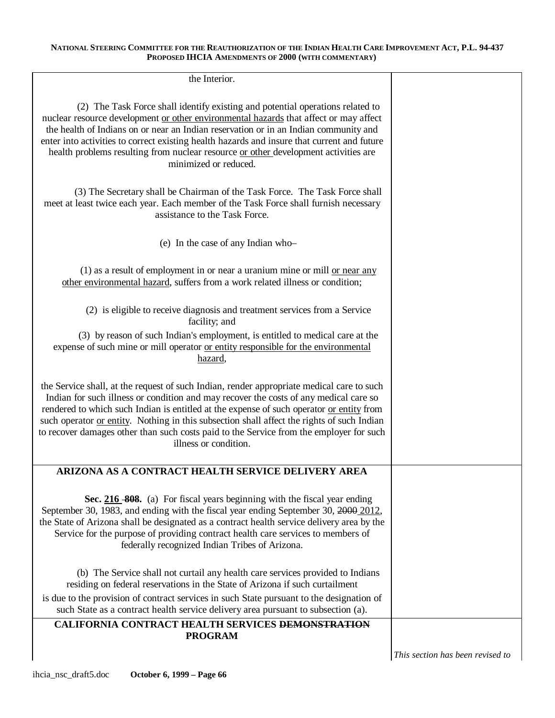| the Interior.                                                                                                                                                                                                                                                                                                                                                                                                                                                                                    |  |
|--------------------------------------------------------------------------------------------------------------------------------------------------------------------------------------------------------------------------------------------------------------------------------------------------------------------------------------------------------------------------------------------------------------------------------------------------------------------------------------------------|--|
| (2) The Task Force shall identify existing and potential operations related to<br>nuclear resource development or other environmental hazards that affect or may affect<br>the health of Indians on or near an Indian reservation or in an Indian community and<br>enter into activities to correct existing health hazards and insure that current and future<br>health problems resulting from nuclear resource or other development activities are<br>minimized or reduced.                   |  |
| (3) The Secretary shall be Chairman of the Task Force. The Task Force shall<br>meet at least twice each year. Each member of the Task Force shall furnish necessary<br>assistance to the Task Force.                                                                                                                                                                                                                                                                                             |  |
| (e) In the case of any Indian who-                                                                                                                                                                                                                                                                                                                                                                                                                                                               |  |
| (1) as a result of employment in or near a uranium mine or mill or near any<br>other environmental hazard, suffers from a work related illness or condition;                                                                                                                                                                                                                                                                                                                                     |  |
| (2) is eligible to receive diagnosis and treatment services from a Service<br>facility; and                                                                                                                                                                                                                                                                                                                                                                                                      |  |
| (3) by reason of such Indian's employment, is entitled to medical care at the<br>expense of such mine or mill operator or entity responsible for the environmental<br>hazard,                                                                                                                                                                                                                                                                                                                    |  |
| the Service shall, at the request of such Indian, render appropriate medical care to such<br>Indian for such illness or condition and may recover the costs of any medical care so<br>rendered to which such Indian is entitled at the expense of such operator or entity from<br>such operator or entity. Nothing in this subsection shall affect the rights of such Indian<br>to recover damages other than such costs paid to the Service from the employer for such<br>illness or condition. |  |
| ARIZONA AS A CONTRACT HEALTH SERVICE DELIVERY AREA                                                                                                                                                                                                                                                                                                                                                                                                                                               |  |
| Sec. 216 808. (a) For fiscal years beginning with the fiscal year ending<br>September 30, 1983, and ending with the fiscal year ending September 30, 2000 2012,<br>the State of Arizona shall be designated as a contract health service delivery area by the<br>Service for the purpose of providing contract health care services to members of<br>federally recognized Indian Tribes of Arizona.                                                                                              |  |
| (b) The Service shall not curtail any health care services provided to Indians<br>residing on federal reservations in the State of Arizona if such curtailment                                                                                                                                                                                                                                                                                                                                   |  |
| is due to the provision of contract services in such State pursuant to the designation of<br>such State as a contract health service delivery area pursuant to subsection (a).                                                                                                                                                                                                                                                                                                                   |  |
| CALIFORNIA CONTRACT HEALTH SERVICES DEMONSTRATION<br><b>PROGRAM</b>                                                                                                                                                                                                                                                                                                                                                                                                                              |  |

*This section has been revised to*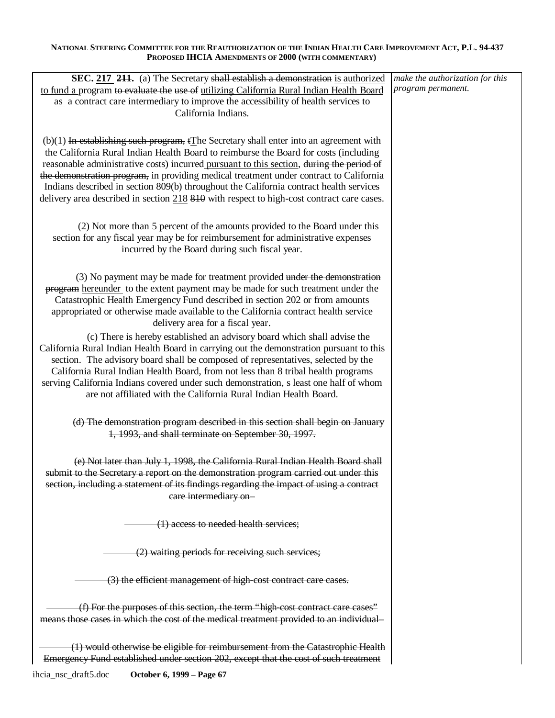| SEC. 217 211. (a) The Secretary shall establish a demonstration is authorized                        | make the authorization for this |
|------------------------------------------------------------------------------------------------------|---------------------------------|
|                                                                                                      | program permanent.              |
| to fund a program to evaluate the use of utilizing California Rural Indian Health Board              |                                 |
| as a contract care intermediary to improve the accessibility of health services to                   |                                 |
| California Indians.                                                                                  |                                 |
|                                                                                                      |                                 |
|                                                                                                      |                                 |
| $(b)(1)$ In establishing such program, $f_{\text{The}}$ Secretary shall enter into an agreement with |                                 |
| the California Rural Indian Health Board to reimburse the Board for costs (including                 |                                 |
| reasonable administrative costs) incurred pursuant to this section, during the period of             |                                 |
| the demonstration program, in providing medical treatment under contract to California               |                                 |
|                                                                                                      |                                 |
| Indians described in section 809(b) throughout the California contract health services               |                                 |
| delivery area described in section 218 810 with respect to high-cost contract care cases.            |                                 |
|                                                                                                      |                                 |
|                                                                                                      |                                 |
| (2) Not more than 5 percent of the amounts provided to the Board under this                          |                                 |
| section for any fiscal year may be for reimbursement for administrative expenses                     |                                 |
| incurred by the Board during such fiscal year.                                                       |                                 |
|                                                                                                      |                                 |
|                                                                                                      |                                 |
| (3) No payment may be made for treatment provided under the demonstration                            |                                 |
| program hereunder to the extent payment may be made for such treatment under the                     |                                 |
| Catastrophic Health Emergency Fund described in section 202 or from amounts                          |                                 |
| appropriated or otherwise made available to the California contract health service                   |                                 |
|                                                                                                      |                                 |
| delivery area for a fiscal year.                                                                     |                                 |
| (c) There is hereby established an advisory board which shall advise the                             |                                 |
| California Rural Indian Health Board in carrying out the demonstration pursuant to this              |                                 |
| section. The advisory board shall be composed of representatives, selected by the                    |                                 |
|                                                                                                      |                                 |
| California Rural Indian Health Board, from not less than 8 tribal health programs                    |                                 |
| serving California Indians covered under such demonstration, s least one half of whom                |                                 |
| are not affiliated with the California Rural Indian Health Board.                                    |                                 |
|                                                                                                      |                                 |
|                                                                                                      |                                 |
| (d) The demonstration program described in this section shall begin on January                       |                                 |
| 1, 1993, and shall terminate on September 30, 1997.                                                  |                                 |
|                                                                                                      |                                 |
|                                                                                                      |                                 |
| (e) Not later than July 1, 1998, the California Rural Indian Health Board shall                      |                                 |
| submit to the Secretary a report on the demonstration program carried out under this                 |                                 |
| section, including a statement of its findings regarding the impact of using a contract              |                                 |
| eare intermediary on-                                                                                |                                 |
|                                                                                                      |                                 |
|                                                                                                      |                                 |
| (1) access to needed health services;                                                                |                                 |
|                                                                                                      |                                 |
|                                                                                                      |                                 |
| (2) waiting periods for receiving such services;                                                     |                                 |
|                                                                                                      |                                 |
| (3) the efficient management of high-cost contract care cases.                                       |                                 |
|                                                                                                      |                                 |
|                                                                                                      |                                 |
| (f) For the purposes of this section, the term "high cost contract care cases"                       |                                 |
| means those cases in which the cost of the medical treatment provided to an individual               |                                 |
|                                                                                                      |                                 |
|                                                                                                      |                                 |
| (1) would otherwise be eligible for reimbursement from the Catastrophic Health                       |                                 |
| Emergency Fund established under section 202, except that the cost of such treatment                 |                                 |
|                                                                                                      |                                 |

ihcia\_nsc\_draft5.doc **October 6, 1999 – Page 67**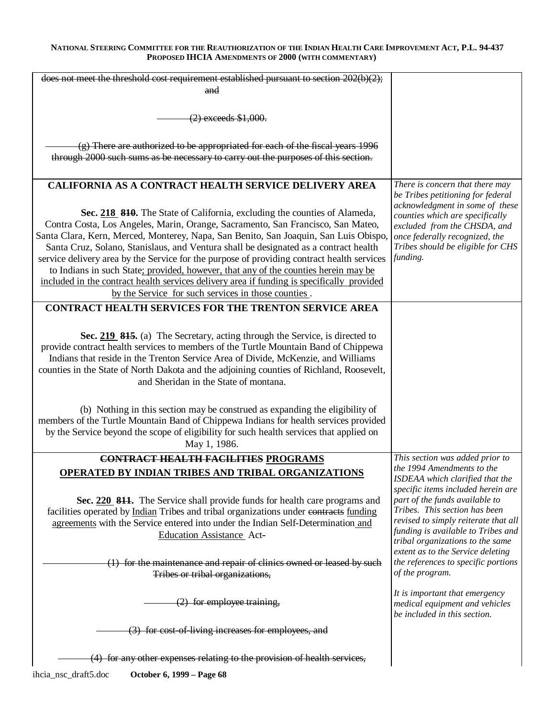| does not meet the threshold cost requirement established pursuant to section 202(b)(2);                                                                                                                                                                                                                                                                                                                                                                                                                                                                                                                                                                                         |                                                                                                                                                                                                                                                              |
|---------------------------------------------------------------------------------------------------------------------------------------------------------------------------------------------------------------------------------------------------------------------------------------------------------------------------------------------------------------------------------------------------------------------------------------------------------------------------------------------------------------------------------------------------------------------------------------------------------------------------------------------------------------------------------|--------------------------------------------------------------------------------------------------------------------------------------------------------------------------------------------------------------------------------------------------------------|
| and                                                                                                                                                                                                                                                                                                                                                                                                                                                                                                                                                                                                                                                                             |                                                                                                                                                                                                                                                              |
| $(2)$ exceeds \$1,000.                                                                                                                                                                                                                                                                                                                                                                                                                                                                                                                                                                                                                                                          |                                                                                                                                                                                                                                                              |
| $(g)$ There are authorized to be appropriated for each of the fiscal years 1996                                                                                                                                                                                                                                                                                                                                                                                                                                                                                                                                                                                                 |                                                                                                                                                                                                                                                              |
| through 2000 such sums as be necessary to carry out the purposes of this section.                                                                                                                                                                                                                                                                                                                                                                                                                                                                                                                                                                                               |                                                                                                                                                                                                                                                              |
| <b>CALIFORNIA AS A CONTRACT HEALTH SERVICE DELIVERY AREA</b><br>Sec. 218 810. The State of California, excluding the counties of Alameda,                                                                                                                                                                                                                                                                                                                                                                                                                                                                                                                                       | There is concern that there may<br>be Tribes petitioning for federal<br>acknowledgment in some of these<br>counties which are specifically                                                                                                                   |
| Contra Costa, Los Angeles, Marin, Orange, Sacramento, San Francisco, San Mateo,<br>Santa Clara, Kern, Merced, Monterey, Napa, San Benito, San Joaquin, San Luis Obispo,<br>Santa Cruz, Solano, Stanislaus, and Ventura shall be designated as a contract health<br>service delivery area by the Service for the purpose of providing contract health services<br>to Indians in such State; provided, however, that any of the counties herein may be<br>included in the contract health services delivery area if funding is specifically provided                                                                                                                              | excluded from the CHSDA, and<br>once federally recognized, the<br>Tribes should be eligible for CHS<br>funding.                                                                                                                                              |
| by the Service for such services in those counties.<br><b>CONTRACT HEALTH SERVICES FOR THE TRENTON SERVICE AREA</b>                                                                                                                                                                                                                                                                                                                                                                                                                                                                                                                                                             |                                                                                                                                                                                                                                                              |
| Sec. 219 815. (a) The Secretary, acting through the Service, is directed to<br>provide contract health services to members of the Turtle Mountain Band of Chippewa<br>Indians that reside in the Trenton Service Area of Divide, McKenzie, and Williams<br>counties in the State of North Dakota and the adjoining counties of Richland, Roosevelt,<br>and Sheridan in the State of montana.<br>(b) Nothing in this section may be construed as expanding the eligibility of<br>members of the Turtle Mountain Band of Chippewa Indians for health services provided<br>by the Service beyond the scope of eligibility for such health services that applied on<br>May 1, 1986. |                                                                                                                                                                                                                                                              |
| CONTRACT HEALTH FACILITIES PROGRAMS<br>OPERATED BY INDIAN TRIBES AND TRIBAL ORGANIZATIONS                                                                                                                                                                                                                                                                                                                                                                                                                                                                                                                                                                                       | This section was added prior to<br>the 1994 Amendments to the<br>ISDEAA which clarified that the                                                                                                                                                             |
| Sec. 220 811. The Service shall provide funds for health care programs and<br>facilities operated by Indian Tribes and tribal organizations under contracts funding<br>agreements with the Service entered into under the Indian Self-Determination and<br><b>Education Assistance Act-</b>                                                                                                                                                                                                                                                                                                                                                                                     | specific items included herein are<br>part of the funds available to<br>Tribes. This section has been<br>revised to simply reiterate that all<br>funding is available to Tribes and<br>tribal organizations to the same<br>extent as to the Service deleting |
| (1) for the maintenance and repair of clinics owned or leased by such<br>Tribes or tribal organizations,                                                                                                                                                                                                                                                                                                                                                                                                                                                                                                                                                                        | the references to specific portions<br>of the program.                                                                                                                                                                                                       |
| $(2)$ for employee training,                                                                                                                                                                                                                                                                                                                                                                                                                                                                                                                                                                                                                                                    | It is important that emergency<br>medical equipment and vehicles<br>be included in this section.                                                                                                                                                             |
| (3) for cost-of-living increases for employees, and                                                                                                                                                                                                                                                                                                                                                                                                                                                                                                                                                                                                                             |                                                                                                                                                                                                                                                              |
| (4) for any other expenses relating to the provision of health services,<br>ihcia_nsc_draft5.doc<br>October 6, 1999 – Page 68                                                                                                                                                                                                                                                                                                                                                                                                                                                                                                                                                   |                                                                                                                                                                                                                                                              |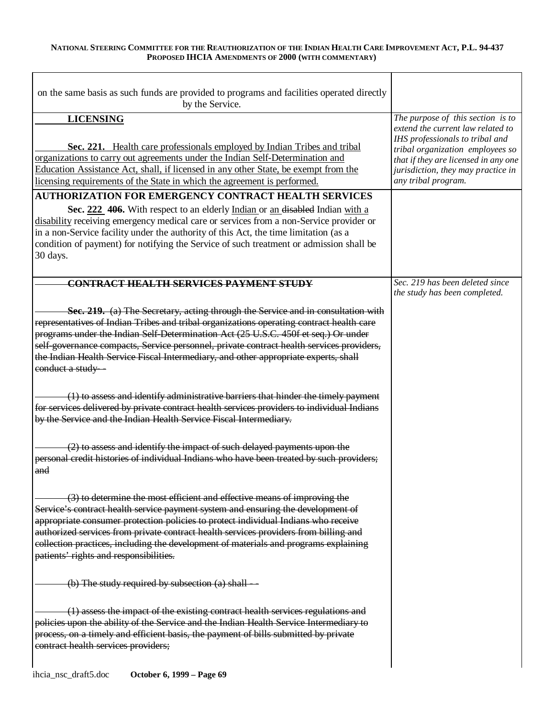| on the same basis as such funds are provided to programs and facilities operated directly<br>by the Service.                                                                                                                                                                                                                                                                                                                                                                 |                                                                                                                                                                                                                                                    |
|------------------------------------------------------------------------------------------------------------------------------------------------------------------------------------------------------------------------------------------------------------------------------------------------------------------------------------------------------------------------------------------------------------------------------------------------------------------------------|----------------------------------------------------------------------------------------------------------------------------------------------------------------------------------------------------------------------------------------------------|
| <b>LICENSING</b><br>Sec. 221. Health care professionals employed by Indian Tribes and tribal<br>organizations to carry out agreements under the Indian Self-Determination and<br>Education Assistance Act, shall, if licensed in any other State, be exempt from the<br>licensing requirements of the State in which the agreement is performed.                                                                                                                             | The purpose of this section is to<br>extend the current law related to<br>IHS professionals to tribal and<br>tribal organization employees so<br>that if they are licensed in any one<br>jurisdiction, they may practice in<br>any tribal program. |
| <b>AUTHORIZATION FOR EMERGENCY CONTRACT HEALTH SERVICES</b><br>Sec. 222 406. With respect to an elderly Indian or an disabled Indian with a<br>disability receiving emergency medical care or services from a non-Service provider or<br>in a non-Service facility under the authority of this Act, the time limitation (as a<br>condition of payment) for notifying the Service of such treatment or admission shall be<br>30 days.                                         |                                                                                                                                                                                                                                                    |
| CONTRACT HEALTH SERVICES PAYMENT STUDY                                                                                                                                                                                                                                                                                                                                                                                                                                       | Sec. 219 has been deleted since<br>the study has been completed.                                                                                                                                                                                   |
| Sec. 219. (a) The Secretary, acting through the Service and in consultation with<br>representatives of Indian Tribes and tribal organizations operating contract health care<br>programs under the Indian Self-Determination Act (25 U.S.C. 450f et seq.) Or under<br>self-governance compacts, Service personnel, private contract health services providers,<br>the Indian Health Service Fiscal Intermediary, and other appropriate experts, shall<br>conduct a study-    |                                                                                                                                                                                                                                                    |
| (1) to assess and identify administrative barriers that hinder the timely payment<br>for services delivered by private contract health services providers to individual Indians<br>by the Service and the Indian Health Service Fiscal Intermediary.                                                                                                                                                                                                                         |                                                                                                                                                                                                                                                    |
| (2) to assess and identify the impact of such delayed payments upon the<br>personal credit histories of individual Indians who have been treated by such providers;<br>and                                                                                                                                                                                                                                                                                                   |                                                                                                                                                                                                                                                    |
| (3) to determine the most efficient and effective means of improving the<br>Service's contract health service payment system and ensuring the development of<br>appropriate consumer protection policies to protect individual Indians who receive<br>authorized services from private contract health services providers from billing and<br>collection practices, including the development of materials and programs explaining<br>patients' rights and responsibilities. |                                                                                                                                                                                                                                                    |
| (b) The study required by subsection $(a)$ shall $-$                                                                                                                                                                                                                                                                                                                                                                                                                         |                                                                                                                                                                                                                                                    |
| (1) assess the impact of the existing contract health services regulations and<br>policies upon the ability of the Service and the Indian Health Service Intermediary to<br>process, on a timely and efficient basis, the payment of bills submitted by private<br>contract health services providers;                                                                                                                                                                       |                                                                                                                                                                                                                                                    |
|                                                                                                                                                                                                                                                                                                                                                                                                                                                                              |                                                                                                                                                                                                                                                    |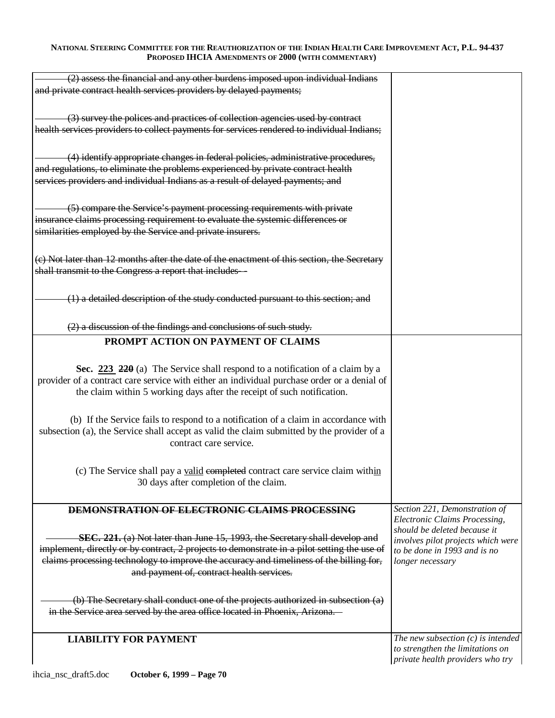| (2) assess the financial and any other burdens imposed upon individual Indians              |                                                                    |
|---------------------------------------------------------------------------------------------|--------------------------------------------------------------------|
| and private contract health services providers by delayed payments;                         |                                                                    |
|                                                                                             |                                                                    |
|                                                                                             |                                                                    |
| (3) survey the polices and practices of collection agencies used by contract                |                                                                    |
| health services providers to collect payments for services rendered to individual Indians;  |                                                                    |
|                                                                                             |                                                                    |
| (4) identify appropriate changes in federal policies, administrative procedures,            |                                                                    |
| and regulations, to eliminate the problems experienced by private contract health           |                                                                    |
| services providers and individual Indians as a result of delayed payments; and              |                                                                    |
|                                                                                             |                                                                    |
|                                                                                             |                                                                    |
| (5) compare the Service's payment processing requirements with private                      |                                                                    |
| insurance claims processing requirement to evaluate the systemic differences or             |                                                                    |
| similarities employed by the Service and private insurers.                                  |                                                                    |
|                                                                                             |                                                                    |
| (e) Not later than 12 months after the date of the enactment of this section, the Secretary |                                                                    |
| shall transmit to the Congress a report that includes—                                      |                                                                    |
|                                                                                             |                                                                    |
| (1) a detailed description of the study conducted pursuant to this section; and             |                                                                    |
|                                                                                             |                                                                    |
|                                                                                             |                                                                    |
| (2) a discussion of the findings and conclusions of such study.                             |                                                                    |
| PROMPT ACTION ON PAYMENT OF CLAIMS                                                          |                                                                    |
|                                                                                             |                                                                    |
|                                                                                             |                                                                    |
| Sec. $223$ $220$ (a) The Service shall respond to a notification of a claim by a            |                                                                    |
| provider of a contract care service with either an individual purchase order or a denial of |                                                                    |
| the claim within 5 working days after the receipt of such notification.                     |                                                                    |
|                                                                                             |                                                                    |
| (b) If the Service fails to respond to a notification of a claim in accordance with         |                                                                    |
| subsection (a), the Service shall accept as valid the claim submitted by the provider of a  |                                                                    |
| contract care service.                                                                      |                                                                    |
|                                                                                             |                                                                    |
|                                                                                             |                                                                    |
| (c) The Service shall pay a valid completed contract care service claim within              |                                                                    |
| 30 days after completion of the claim.                                                      |                                                                    |
|                                                                                             |                                                                    |
| <b>DEMONSTRATION OF ELECTRONIC CLAIMS PROCESSING</b>                                        | Section 221, Demonstration of                                      |
|                                                                                             | Electronic Claims Processing,                                      |
| SEC. 221. (a) Not later than June 15, 1993, the Secretary shall develop and                 | should be deleted because it                                       |
| implement, directly or by contract, 2 projects to demonstrate in a pilot setting the use of | involves pilot projects which were<br>to be done in 1993 and is no |
| elaims processing technology to improve the accuracy and timeliness of the billing for,     | longer necessary                                                   |
| and payment of, contract health services.                                                   |                                                                    |
|                                                                                             |                                                                    |
|                                                                                             |                                                                    |
| (b) The Secretary shall conduct one of the projects authorized in subsection (a)            |                                                                    |
| in the Service area served by the area office located in Phoenix, Arizona.                  |                                                                    |
|                                                                                             |                                                                    |
| <b>LIABILITY FOR PAYMENT</b>                                                                | The new subsection $(c)$ is intended                               |
|                                                                                             | to strengthen the limitations on                                   |
|                                                                                             | private health providers who try                                   |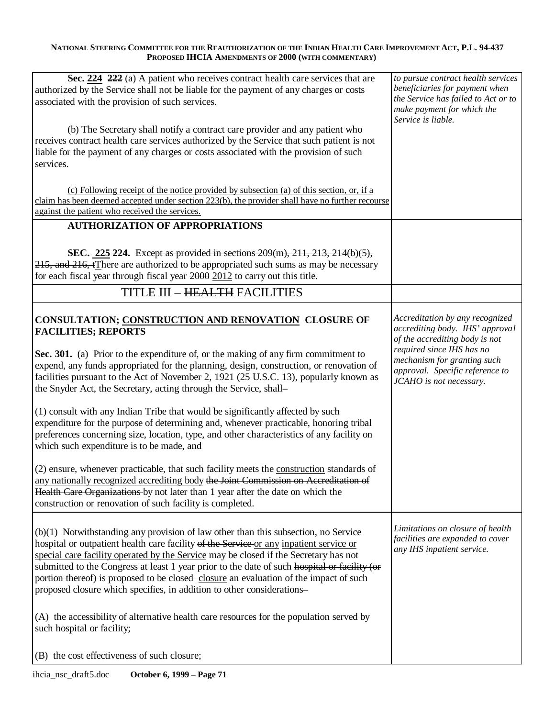| Sec. 224 222 (a) A patient who receives contract health care services that are<br>authorized by the Service shall not be liable for the payment of any charges or costs<br>associated with the provision of such services.<br>(b) The Secretary shall notify a contract care provider and any patient who<br>receives contract health care services authorized by the Service that such patient is not<br>liable for the payment of any charges or costs associated with the provision of such<br>services.                                                                                                                                                                                                                                                                                                                                                                                                                                                                                                                                                                              | to pursue contract health services<br>beneficiaries for payment when<br>the Service has failed to Act or to<br>make payment for which the<br>Service is liable.                                                                |
|------------------------------------------------------------------------------------------------------------------------------------------------------------------------------------------------------------------------------------------------------------------------------------------------------------------------------------------------------------------------------------------------------------------------------------------------------------------------------------------------------------------------------------------------------------------------------------------------------------------------------------------------------------------------------------------------------------------------------------------------------------------------------------------------------------------------------------------------------------------------------------------------------------------------------------------------------------------------------------------------------------------------------------------------------------------------------------------|--------------------------------------------------------------------------------------------------------------------------------------------------------------------------------------------------------------------------------|
| (c) Following receipt of the notice provided by subsection (a) of this section, or, if a<br>claim has been deemed accepted under section 223(b), the provider shall have no further recourse<br>against the patient who received the services.                                                                                                                                                                                                                                                                                                                                                                                                                                                                                                                                                                                                                                                                                                                                                                                                                                           |                                                                                                                                                                                                                                |
| <b>AUTHORIZATION OF APPROPRIATIONS</b>                                                                                                                                                                                                                                                                                                                                                                                                                                                                                                                                                                                                                                                                                                                                                                                                                                                                                                                                                                                                                                                   |                                                                                                                                                                                                                                |
| SEC. 225 224. Except as provided in sections 209(m), 211, 213, 214(b)(5),<br>215, and 216, tThere are authorized to be appropriated such sums as may be necessary<br>for each fiscal year through fiscal year 2000 2012 to carry out this title.                                                                                                                                                                                                                                                                                                                                                                                                                                                                                                                                                                                                                                                                                                                                                                                                                                         |                                                                                                                                                                                                                                |
| <b>TITLE III - HEALTH FACILITIES</b>                                                                                                                                                                                                                                                                                                                                                                                                                                                                                                                                                                                                                                                                                                                                                                                                                                                                                                                                                                                                                                                     |                                                                                                                                                                                                                                |
| CONSULTATION; CONSTRUCTION AND RENOVATION CLOSURE OF<br><b>FACILITIES; REPORTS</b><br>Sec. 301. (a) Prior to the expenditure of, or the making of any firm commitment to<br>expend, any funds appropriated for the planning, design, construction, or renovation of<br>facilities pursuant to the Act of November 2, 1921 (25 U.S.C. 13), popularly known as<br>the Snyder Act, the Secretary, acting through the Service, shall-<br>(1) consult with any Indian Tribe that would be significantly affected by such<br>expenditure for the purpose of determining and, whenever practicable, honoring tribal<br>preferences concerning size, location, type, and other characteristics of any facility on<br>which such expenditure is to be made, and<br>(2) ensure, whenever practicable, that such facility meets the construction standards of<br>any nationally recognized accrediting body the Joint Commission on Accreditation of<br>Health Care Organizations by not later than 1 year after the date on which the<br>construction or renovation of such facility is completed. | Accreditation by any recognized<br>accrediting body. IHS' approval<br>of the accrediting body is not<br>required since IHS has no<br>mechanism for granting such<br>approval. Specific reference to<br>JCAHO is not necessary. |
| $(b)(1)$ Notwithstanding any provision of law other than this subsection, no Service<br>hospital or outpatient health care facility of the Service or any inpatient service or<br>special care facility operated by the Service may be closed if the Secretary has not<br>submitted to the Congress at least 1 year prior to the date of such hospital or facility (or<br>portion thereof) is proposed to be closed closure an evaluation of the impact of such<br>proposed closure which specifies, in addition to other considerations-<br>(A) the accessibility of alternative health care resources for the population served by<br>such hospital or facility;<br>(B) the cost effectiveness of such closure;                                                                                                                                                                                                                                                                                                                                                                        | Limitations on closure of health<br>facilities are expanded to cover<br>any IHS inpatient service.                                                                                                                             |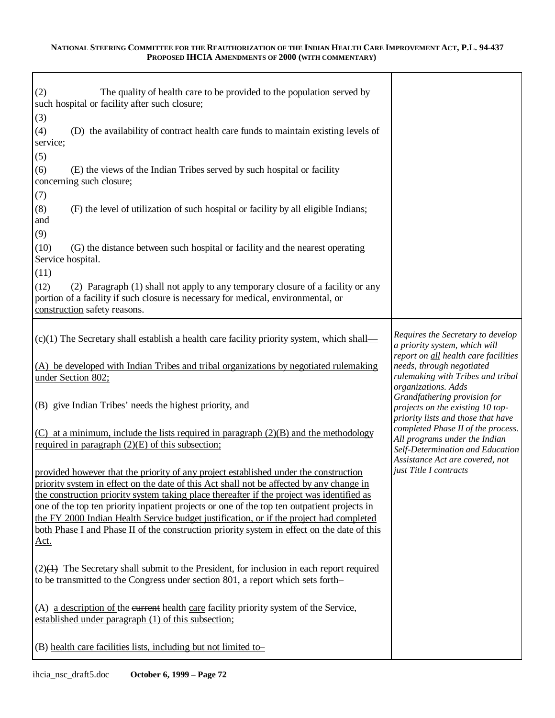| The quality of health care to be provided to the population served by<br>(2)<br>such hospital or facility after such closure;                                                                                                                                                                 |                                                                                                                                                                                                                                         |
|-----------------------------------------------------------------------------------------------------------------------------------------------------------------------------------------------------------------------------------------------------------------------------------------------|-----------------------------------------------------------------------------------------------------------------------------------------------------------------------------------------------------------------------------------------|
| (3)                                                                                                                                                                                                                                                                                           |                                                                                                                                                                                                                                         |
| (4)<br>(D) the availability of contract health care funds to maintain existing levels of<br>service;                                                                                                                                                                                          |                                                                                                                                                                                                                                         |
| (5)                                                                                                                                                                                                                                                                                           |                                                                                                                                                                                                                                         |
| (E) the views of the Indian Tribes served by such hospital or facility<br>(6)<br>concerning such closure;                                                                                                                                                                                     |                                                                                                                                                                                                                                         |
| (7)                                                                                                                                                                                                                                                                                           |                                                                                                                                                                                                                                         |
| (8)<br>(F) the level of utilization of such hospital or facility by all eligible Indians;<br>and                                                                                                                                                                                              |                                                                                                                                                                                                                                         |
| (9)                                                                                                                                                                                                                                                                                           |                                                                                                                                                                                                                                         |
| (10)<br>(G) the distance between such hospital or facility and the nearest operating<br>Service hospital.                                                                                                                                                                                     |                                                                                                                                                                                                                                         |
| (11)                                                                                                                                                                                                                                                                                          |                                                                                                                                                                                                                                         |
| (12)<br>(2) Paragraph (1) shall not apply to any temporary closure of a facility or any<br>portion of a facility if such closure is necessary for medical, environmental, or<br>construction safety reasons.                                                                                  |                                                                                                                                                                                                                                         |
|                                                                                                                                                                                                                                                                                               |                                                                                                                                                                                                                                         |
| $(c)(1)$ The Secretary shall establish a health care facility priority system, which shall—                                                                                                                                                                                                   | Requires the Secretary to develop<br>a priority system, which will                                                                                                                                                                      |
| (A) be developed with Indian Tribes and tribal organizations by negotiated rulemaking<br>under Section 802;                                                                                                                                                                                   | report on all health care facilities<br>needs, through negotiated<br>rulemaking with Tribes and tribal<br>organizations. Adds<br>Grandfathering provision for<br>projects on the existing 10 top-<br>priority lists and those that have |
| (B) give Indian Tribes' needs the highest priority, and                                                                                                                                                                                                                                       |                                                                                                                                                                                                                                         |
| $(C)$ at a minimum, include the lists required in paragraph $(2)(B)$ and the methodology<br>required in paragraph $(2)(E)$ of this subsection;                                                                                                                                                | completed Phase II of the process.<br>All programs under the Indian<br>Self-Determination and Education                                                                                                                                 |
| provided however that the priority of any project established under the construction<br>priority system in effect on the date of this Act shall not be affected by any change in<br>the construction priority system taking place thereafter if the project was identified as                 | Assistance Act are covered, not<br>just Title I contracts                                                                                                                                                                               |
| one of the top ten priority inpatient projects or one of the top ten outpatient projects in<br>the FY 2000 Indian Health Service budget justification, or if the project had completed<br>both Phase I and Phase II of the construction priority system in effect on the date of this<br>Act. |                                                                                                                                                                                                                                         |
| $(2)$ The Secretary shall submit to the President, for inclusion in each report required<br>to be transmitted to the Congress under section 801, a report which sets forth-                                                                                                                   |                                                                                                                                                                                                                                         |
| (A) a description of the eurrent health care facility priority system of the Service,<br>established under paragraph (1) of this subsection;                                                                                                                                                  |                                                                                                                                                                                                                                         |
| (B) health care facilities lists, including but not limited to-                                                                                                                                                                                                                               |                                                                                                                                                                                                                                         |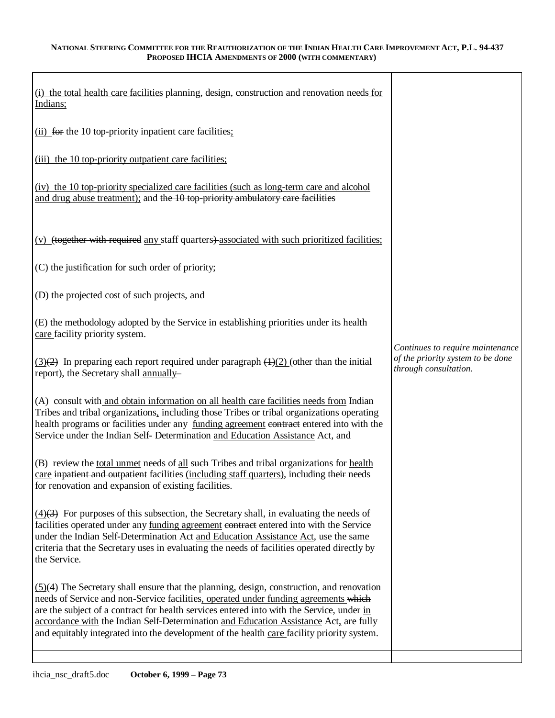| (i) the total health care facilities planning, design, construction and renovation needs for<br>Indians;                                                                                                                                                                                                                                                                                                                                                                |                                                                                                |
|-------------------------------------------------------------------------------------------------------------------------------------------------------------------------------------------------------------------------------------------------------------------------------------------------------------------------------------------------------------------------------------------------------------------------------------------------------------------------|------------------------------------------------------------------------------------------------|
| (ii) for the 10 top-priority inpatient care facilities;                                                                                                                                                                                                                                                                                                                                                                                                                 |                                                                                                |
| (iii) the 10 top-priority outpatient care facilities;                                                                                                                                                                                                                                                                                                                                                                                                                   |                                                                                                |
| (iv) the 10 top-priority specialized care facilities (such as long-term care and alcohol<br>and drug abuse treatment); and the 10 top-priority ambulatory care facilities                                                                                                                                                                                                                                                                                               |                                                                                                |
| (v) (together with required any staff quarters) associated with such prioritized facilities;                                                                                                                                                                                                                                                                                                                                                                            |                                                                                                |
| (C) the justification for such order of priority;                                                                                                                                                                                                                                                                                                                                                                                                                       |                                                                                                |
| (D) the projected cost of such projects, and                                                                                                                                                                                                                                                                                                                                                                                                                            |                                                                                                |
| (E) the methodology adopted by the Service in establishing priorities under its health<br>care facility priority system.                                                                                                                                                                                                                                                                                                                                                |                                                                                                |
| $\frac{3(2)}{2}$ In preparing each report required under paragraph $\frac{4(2)}{2}$ (other than the initial<br>report), the Secretary shall annually-                                                                                                                                                                                                                                                                                                                   | Continues to require maintenance<br>of the priority system to be done<br>through consultation. |
| (A) consult with and obtain information on all health care facilities needs from Indian<br>Tribes and tribal organizations, including those Tribes or tribal organizations operating<br>health programs or facilities under any funding agreement contract entered into with the<br>Service under the Indian Self- Determination and Education Assistance Act, and                                                                                                      |                                                                                                |
| (B) review the total unmet needs of all such Tribes and tribal organizations for health<br>care inpatient and outpatient facilities (including staff quarters), including their needs<br>for renovation and expansion of existing facilities.                                                                                                                                                                                                                           |                                                                                                |
| $\overline{(4)}$ For purposes of this subsection, the Secretary shall, in evaluating the needs of<br>facilities operated under any funding agreement contract entered into with the Service<br>under the Indian Self-Determination Act and Education Assistance Act, use the same<br>criteria that the Secretary uses in evaluating the needs of facilities operated directly by<br>the Service.                                                                        |                                                                                                |
| $(5)(4)$ The Secretary shall ensure that the planning, design, construction, and renovation<br>needs of Service and non-Service facilities, operated under funding agreements which<br>are the subject of a contract for health services entered into with the Service, under in<br>accordance with the Indian Self-Determination and Education Assistance Act, are fully<br>and equitably integrated into the development of the health care facility priority system. |                                                                                                |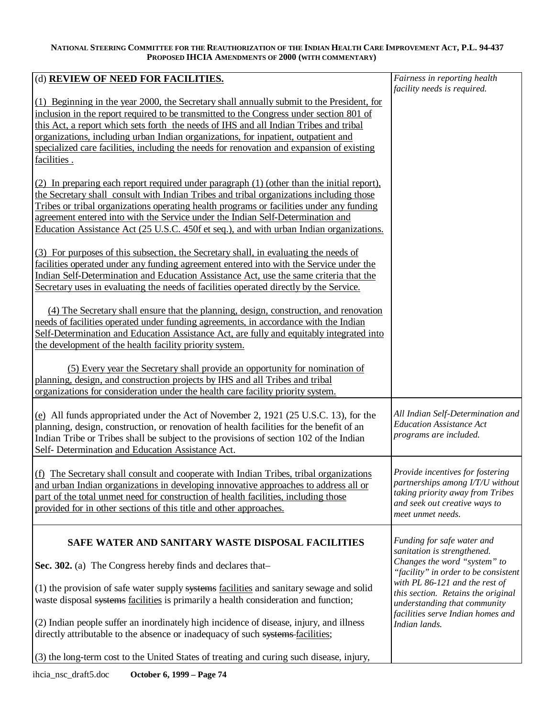| (d) REVIEW OF NEED FOR FACILITIES.                                                                                                                                                                                                                                                                                                                                                                                                                                              | Fairness in reporting health<br>facility needs is required.                                                                                                                                                                        |
|---------------------------------------------------------------------------------------------------------------------------------------------------------------------------------------------------------------------------------------------------------------------------------------------------------------------------------------------------------------------------------------------------------------------------------------------------------------------------------|------------------------------------------------------------------------------------------------------------------------------------------------------------------------------------------------------------------------------------|
| (1) Beginning in the year 2000, the Secretary shall annually submit to the President, for<br>inclusion in the report required to be transmitted to the Congress under section 801 of<br>this Act, a report which sets forth the needs of IHS and all Indian Tribes and tribal<br>organizations, including urban Indian organizations, for inpatient, outpatient and<br>specialized care facilities, including the needs for renovation and expansion of existing<br>facilities. |                                                                                                                                                                                                                                    |
| (2) In preparing each report required under paragraph (1) (other than the initial report),<br>the Secretary shall consult with Indian Tribes and tribal organizations including those<br>Tribes or tribal organizations operating health programs or facilities under any funding<br>agreement entered into with the Service under the Indian Self-Determination and<br>Education Assistance Act (25 U.S.C. 450f et seq.), and with urban Indian organizations.                 |                                                                                                                                                                                                                                    |
| (3) For purposes of this subsection, the Secretary shall, in evaluating the needs of<br>facilities operated under any funding agreement entered into with the Service under the<br>Indian Self-Determination and Education Assistance Act, use the same criteria that the<br>Secretary uses in evaluating the needs of facilities operated directly by the Service.                                                                                                             |                                                                                                                                                                                                                                    |
| (4) The Secretary shall ensure that the planning, design, construction, and renovation<br>needs of facilities operated under funding agreements, in accordance with the Indian<br>Self-Determination and Education Assistance Act, are fully and equitably integrated into<br>the development of the health facility priority system.                                                                                                                                           |                                                                                                                                                                                                                                    |
| (5) Every year the Secretary shall provide an opportunity for nomination of<br>planning, design, and construction projects by IHS and all Tribes and tribal<br>organizations for consideration under the health care facility priority system.                                                                                                                                                                                                                                  |                                                                                                                                                                                                                                    |
| (e) All funds appropriated under the Act of November 2, 1921 (25 U.S.C. 13), for the<br>planning, design, construction, or renovation of health facilities for the benefit of an<br>Indian Tribe or Tribes shall be subject to the provisions of section 102 of the Indian<br>Self- Determination and Education Assistance Act.                                                                                                                                                 | All Indian Self-Determination and<br><b>Education Assistance Act</b><br>programs are included.                                                                                                                                     |
| $(f)$ The Secretary shall consult and cooperate with Indian Tribes, tribal organizations<br>and urban Indian organizations in developing innovative approaches to address all or<br>part of the total unmet need for construction of health facilities, including those<br>provided for in other sections of this title and other approaches.                                                                                                                                   | <i>Provide incentives for fostering</i><br>partnerships among I/T/U without<br>taking priority away from Tribes<br>and seek out creative ways to<br>meet unmet needs.                                                              |
| SAFE WATER AND SANITARY WASTE DISPOSAL FACILITIES                                                                                                                                                                                                                                                                                                                                                                                                                               | Funding for safe water and<br>sanitation is strengthened.                                                                                                                                                                          |
| Sec. 302. (a) The Congress hereby finds and declares that-<br>(1) the provision of safe water supply systems facilities and sanitary sewage and solid<br>waste disposal systems facilities is primarily a health consideration and function;<br>(2) Indian people suffer an inordinately high incidence of disease, injury, and illness<br>directly attributable to the absence or inadequacy of such systems facilities;                                                       | Changes the word "system" to<br>"facility" in order to be consistent<br>with PL 86-121 and the rest of<br>this section. Retains the original<br>understanding that community<br>facilities serve Indian homes and<br>Indian lands. |
| $(3)$ the long-term cost to the United States of treating and curing such disease, injury,                                                                                                                                                                                                                                                                                                                                                                                      |                                                                                                                                                                                                                                    |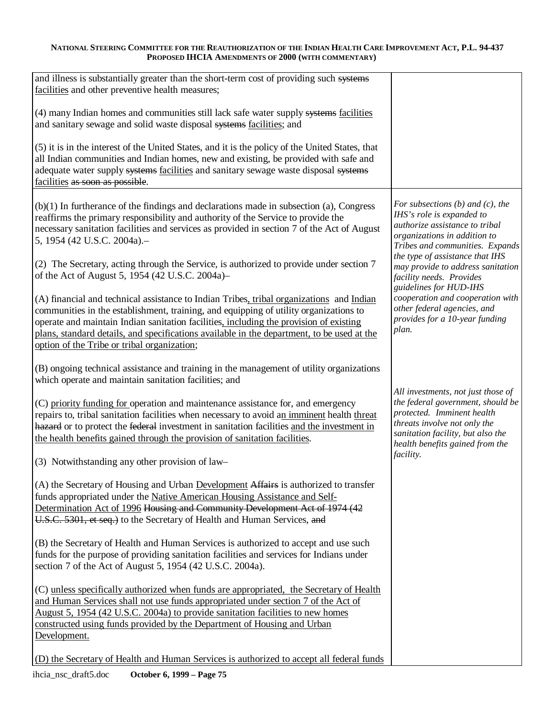| and illness is substantially greater than the short-term cost of providing such systems<br>facilities and other preventive health measures;                                                                                                                                                                                                                                                                              |                                                                                                                                                                                                               |
|--------------------------------------------------------------------------------------------------------------------------------------------------------------------------------------------------------------------------------------------------------------------------------------------------------------------------------------------------------------------------------------------------------------------------|---------------------------------------------------------------------------------------------------------------------------------------------------------------------------------------------------------------|
| (4) many Indian homes and communities still lack safe water supply systems facilities<br>and sanitary sewage and solid waste disposal systems facilities; and                                                                                                                                                                                                                                                            |                                                                                                                                                                                                               |
| (5) it is in the interest of the United States, and it is the policy of the United States, that<br>all Indian communities and Indian homes, new and existing, be provided with safe and<br>adequate water supply systems facilities and sanitary sewage waste disposal systems<br>facilities as soon as possible.                                                                                                        |                                                                                                                                                                                                               |
| $(b)(1)$ In furtherance of the findings and declarations made in subsection (a), Congress<br>reaffirms the primary responsibility and authority of the Service to provide the<br>necessary sanitation facilities and services as provided in section 7 of the Act of August<br>5, 1954 (42 U.S.C. 2004a).-                                                                                                               | For subsections $(b)$ and $(c)$ , the<br>IHS's role is expanded to<br>authorize assistance to tribal<br>organizations in addition to<br>Tribes and communities. Expands                                       |
| (2) The Secretary, acting through the Service, is authorized to provide under section 7<br>of the Act of August 5, 1954 (42 U.S.C. 2004a)–                                                                                                                                                                                                                                                                               | the type of assistance that IHS<br>may provide to address sanitation<br>facility needs. Provides<br>guidelines for HUD-IHS                                                                                    |
| (A) financial and technical assistance to Indian Tribes, tribal organizations and Indian<br>communities in the establishment, training, and equipping of utility organizations to<br>operate and maintain Indian sanitation facilities, including the provision of existing<br>plans, standard details, and specifications available in the department, to be used at the<br>option of the Tribe or tribal organization; | cooperation and cooperation with<br>other federal agencies, and<br>provides for a 10-year funding<br>plan.                                                                                                    |
| (B) ongoing technical assistance and training in the management of utility organizations<br>which operate and maintain sanitation facilities; and                                                                                                                                                                                                                                                                        |                                                                                                                                                                                                               |
| (C) priority funding for operation and maintenance assistance for, and emergency<br>repairs to, tribal sanitation facilities when necessary to avoid an imminent health threat<br>hazard or to protect the federal investment in sanitation facilities and the investment in<br>the health benefits gained through the provision of sanitation facilities.                                                               | All investments, not just those of<br>the federal government, should be<br>protected. Imminent health<br>threats involve not only the<br>sanitation facility, but also the<br>health benefits gained from the |
| (3) Notwithstanding any other provision of law-                                                                                                                                                                                                                                                                                                                                                                          | facility.                                                                                                                                                                                                     |
| (A) the Secretary of Housing and Urban Development Affairs is authorized to transfer<br>funds appropriated under the Native American Housing Assistance and Self-<br>Determination Act of 1996 Housing and Community Development Act of 1974 (42<br>U.S.C. 5301, et seq.) to the Secretary of Health and Human Services, and                                                                                             |                                                                                                                                                                                                               |
| (B) the Secretary of Health and Human Services is authorized to accept and use such<br>funds for the purpose of providing sanitation facilities and services for Indians under<br>section 7 of the Act of August 5, 1954 (42 U.S.C. 2004a).                                                                                                                                                                              |                                                                                                                                                                                                               |
| (C) unless specifically authorized when funds are appropriated, the Secretary of Health<br>and Human Services shall not use funds appropriated under section 7 of the Act of<br>August 5, 1954 (42 U.S.C. 2004a) to provide sanitation facilities to new homes<br>constructed using funds provided by the Department of Housing and Urban<br>Development.                                                                |                                                                                                                                                                                                               |
| (D) the Secretary of Health and Human Services is authorized to accept all federal funds                                                                                                                                                                                                                                                                                                                                 |                                                                                                                                                                                                               |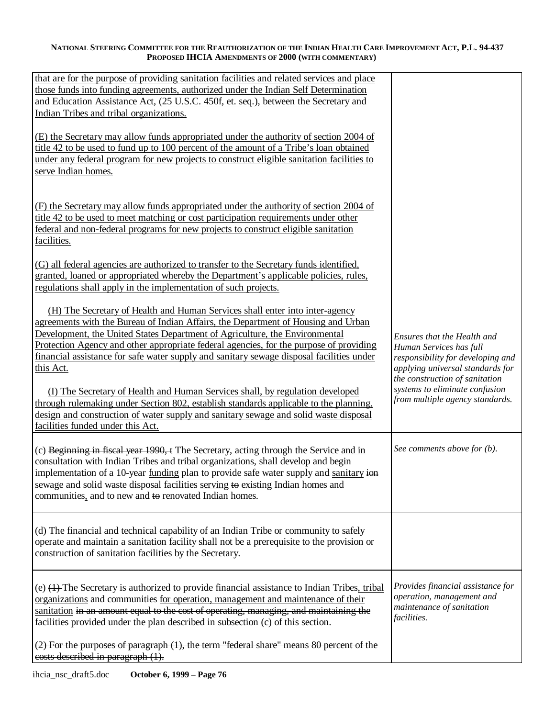| that are for the purpose of providing sanitation facilities and related services and place<br>those funds into funding agreements, authorized under the Indian Self Determination<br>and Education Assistance Act, (25 U.S.C. 450f, et. seq.), between the Secretary and<br>Indian Tribes and tribal organizations.                                                                                                                                                                                                                                                                                                                                                                                                                                        |                                                                                                                                                                                                                                        |
|------------------------------------------------------------------------------------------------------------------------------------------------------------------------------------------------------------------------------------------------------------------------------------------------------------------------------------------------------------------------------------------------------------------------------------------------------------------------------------------------------------------------------------------------------------------------------------------------------------------------------------------------------------------------------------------------------------------------------------------------------------|----------------------------------------------------------------------------------------------------------------------------------------------------------------------------------------------------------------------------------------|
| (E) the Secretary may allow funds appropriated under the authority of section 2004 of<br>title 42 to be used to fund up to 100 percent of the amount of a Tribe's loan obtained<br>under any federal program for new projects to construct eligible sanitation facilities to<br>serve Indian homes.                                                                                                                                                                                                                                                                                                                                                                                                                                                        |                                                                                                                                                                                                                                        |
| (F) the Secretary may allow funds appropriated under the authority of section 2004 of<br>title 42 to be used to meet matching or cost participation requirements under other<br>federal and non-federal programs for new projects to construct eligible sanitation<br>facilities.                                                                                                                                                                                                                                                                                                                                                                                                                                                                          |                                                                                                                                                                                                                                        |
| (G) all federal agencies are authorized to transfer to the Secretary funds identified,<br>granted, loaned or appropriated whereby the Department's applicable policies, rules,<br>regulations shall apply in the implementation of such projects.                                                                                                                                                                                                                                                                                                                                                                                                                                                                                                          |                                                                                                                                                                                                                                        |
| (H) The Secretary of Health and Human Services shall enter into inter-agency<br>agreements with the Bureau of Indian Affairs, the Department of Housing and Urban<br>Development, the United States Department of Agriculture, the Environmental<br>Protection Agency and other appropriate federal agencies, for the purpose of providing<br>financial assistance for safe water supply and sanitary sewage disposal facilities under<br>this Act.<br>(I) The Secretary of Health and Human Services shall, by regulation developed<br>through rulemaking under Section 802, establish standards applicable to the planning,<br>design and construction of water supply and sanitary sewage and solid waste disposal<br>facilities funded under this Act. | Ensures that the Health and<br>Human Services has full<br>responsibility for developing and<br>applying universal standards for<br>the construction of sanitation<br>systems to eliminate confusion<br>from multiple agency standards. |
| (c) Beginning in fiscal year 1990, t The Secretary, acting through the Service and in<br>consultation with Indian Tribes and tribal organizations, shall develop and begin<br>implementation of a 10-year funding plan to provide safe water supply and sanitary ion<br>sewage and solid waste disposal facilities serving to existing Indian homes and<br>communities, and to new and to renovated Indian homes.                                                                                                                                                                                                                                                                                                                                          | See comments above for (b).                                                                                                                                                                                                            |
| (d) The financial and technical capability of an Indian Tribe or community to safely<br>operate and maintain a sanitation facility shall not be a prerequisite to the provision or<br>construction of sanitation facilities by the Secretary.                                                                                                                                                                                                                                                                                                                                                                                                                                                                                                              |                                                                                                                                                                                                                                        |
| (e) $(1)$ . The Secretary is authorized to provide financial assistance to Indian Tribes, tribal<br>organizations and communities for operation, management and maintenance of their<br>sanitation in an amount equal to the cost of operating, managing, and maintaining the<br>facilities provided under the plan described in subsection (c) of this section.                                                                                                                                                                                                                                                                                                                                                                                           | Provides financial assistance for<br>operation, management and<br>maintenance of sanitation<br><i>facilities.</i>                                                                                                                      |
| (2) For the purposes of paragraph (1), the term "federal share" means 80 percent of the<br>costs described in paragraph (1).                                                                                                                                                                                                                                                                                                                                                                                                                                                                                                                                                                                                                               |                                                                                                                                                                                                                                        |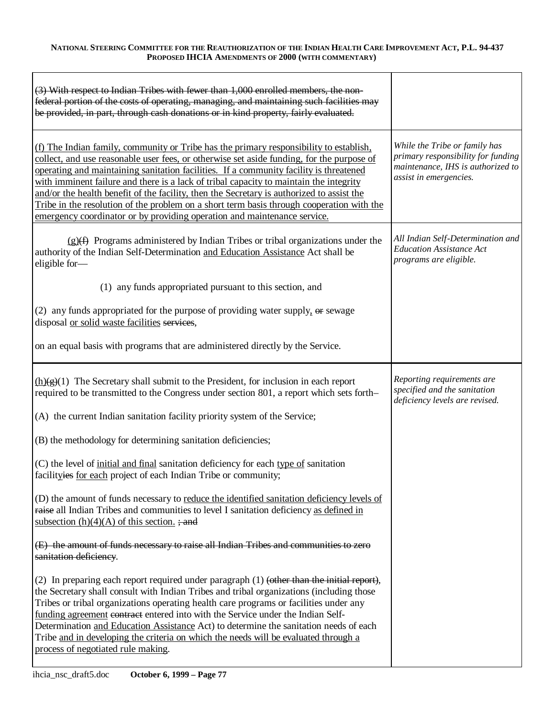| (3) With respect to Indian Tribes with fewer than 1,000 enrolled members, the non-<br>federal portion of the costs of operating, managing, and maintaining such facilities may<br>be provided, in part, through cash donations or in kind property, fairly evaluated.                                                                                                                                                                                                                                                                                                                                                                         |                                                                                                                                    |
|-----------------------------------------------------------------------------------------------------------------------------------------------------------------------------------------------------------------------------------------------------------------------------------------------------------------------------------------------------------------------------------------------------------------------------------------------------------------------------------------------------------------------------------------------------------------------------------------------------------------------------------------------|------------------------------------------------------------------------------------------------------------------------------------|
| (f) The Indian family, community or Tribe has the primary responsibility to establish,<br>collect, and use reasonable user fees, or otherwise set aside funding, for the purpose of<br>operating and maintaining sanitation facilities. If a community facility is threatened<br>with imminent failure and there is a lack of tribal capacity to maintain the integrity<br>and/or the health benefit of the facility, then the Secretary is authorized to assist the<br>Tribe in the resolution of the problem on a short term basis through cooperation with the<br>emergency coordinator or by providing operation and maintenance service. | While the Tribe or family has<br>primary responsibility for funding<br>maintenance, IHS is authorized to<br>assist in emergencies. |
| $(g)(f)$ Programs administered by Indian Tribes or tribal organizations under the<br>authority of the Indian Self-Determination and Education Assistance Act shall be<br>eligible for-                                                                                                                                                                                                                                                                                                                                                                                                                                                        | All Indian Self-Determination and<br><b>Education Assistance Act</b><br>programs are eligible.                                     |
| (1) any funds appropriated pursuant to this section, and                                                                                                                                                                                                                                                                                                                                                                                                                                                                                                                                                                                      |                                                                                                                                    |
| (2) any funds appropriated for the purpose of providing water supply, $\Theta$ sewage<br>disposal or solid waste facilities services,                                                                                                                                                                                                                                                                                                                                                                                                                                                                                                         |                                                                                                                                    |
| on an equal basis with programs that are administered directly by the Service.                                                                                                                                                                                                                                                                                                                                                                                                                                                                                                                                                                |                                                                                                                                    |
|                                                                                                                                                                                                                                                                                                                                                                                                                                                                                                                                                                                                                                               |                                                                                                                                    |
| $\underline{(h)(g)}(1)$ The Secretary shall submit to the President, for inclusion in each report<br>required to be transmitted to the Congress under section 801, a report which sets forth-                                                                                                                                                                                                                                                                                                                                                                                                                                                 | Reporting requirements are<br>specified and the sanitation<br>deficiency levels are revised.                                       |
| (A) the current Indian sanitation facility priority system of the Service;                                                                                                                                                                                                                                                                                                                                                                                                                                                                                                                                                                    |                                                                                                                                    |
| (B) the methodology for determining sanitation deficiencies;                                                                                                                                                                                                                                                                                                                                                                                                                                                                                                                                                                                  |                                                                                                                                    |
| (C) the level of initial and final sanitation deficiency for each type of sanitation<br>facilityies for each project of each Indian Tribe or community;                                                                                                                                                                                                                                                                                                                                                                                                                                                                                       |                                                                                                                                    |
| (D) the amount of funds necessary to reduce the identified sanitation deficiency levels of<br>raise all Indian Tribes and communities to level I sanitation deficiency as defined in<br>subsection $(h)(4)(A)$ of this section. ; and                                                                                                                                                                                                                                                                                                                                                                                                         |                                                                                                                                    |
| (E) the amount of funds necessary to raise all Indian Tribes and communities to zero<br>sanitation deficiency.                                                                                                                                                                                                                                                                                                                                                                                                                                                                                                                                |                                                                                                                                    |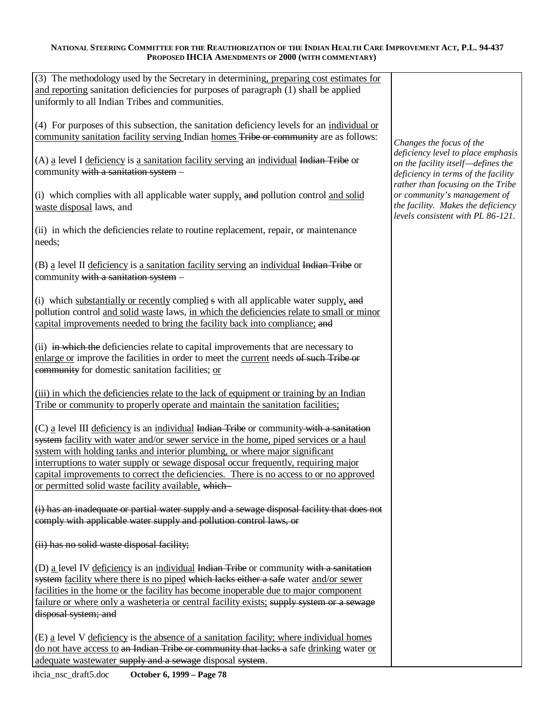| (3) The methodology used by the Secretary in determining, preparing cost estimates for<br>and reporting sanitation deficiencies for purposes of paragraph (1) shall be applied<br>uniformly to all Indian Tribes and communities.                                                                                                                                                                                                                                                                       |                                                                                                                                                      |
|---------------------------------------------------------------------------------------------------------------------------------------------------------------------------------------------------------------------------------------------------------------------------------------------------------------------------------------------------------------------------------------------------------------------------------------------------------------------------------------------------------|------------------------------------------------------------------------------------------------------------------------------------------------------|
| $(4)$ For purposes of this subsection, the sanitation deficiency levels for an individual or<br>community sanitation facility serving Indian homes Tribe or community are as follows:                                                                                                                                                                                                                                                                                                                   | Changes the focus of the                                                                                                                             |
| (A) a level I deficiency is a sanitation facility serving an individual Indian Tribe or<br>community with a sanitation system -                                                                                                                                                                                                                                                                                                                                                                         | deficiency level to place emphasis<br>on the facility itself-defines the<br>deficiency in terms of the facility<br>rather than focusing on the Tribe |
| (i) which complies with all applicable water supply, and pollution control and solid<br>waste disposal laws, and                                                                                                                                                                                                                                                                                                                                                                                        | or community's management of<br>the facility. Makes the deficiency<br>levels consistent with PL 86-121.                                              |
| (ii) in which the deficiencies relate to routine replacement, repair, or maintenance<br>needs;                                                                                                                                                                                                                                                                                                                                                                                                          |                                                                                                                                                      |
| (B) a level II deficiency is a sanitation facility serving an individual Indian Tribe or<br>community with a sanitation system -                                                                                                                                                                                                                                                                                                                                                                        |                                                                                                                                                      |
| (i) which substantially or recently complied s with all applicable water supply, and<br>pollution control and solid waste laws, in which the deficiencies relate to small or minor<br>capital improvements needed to bring the facility back into compliance; and                                                                                                                                                                                                                                       |                                                                                                                                                      |
| (ii) in which the deficiencies relate to capital improvements that are necessary to<br>enlarge or improve the facilities in order to meet the current needs of such Tribe or<br>community for domestic sanitation facilities; or                                                                                                                                                                                                                                                                        |                                                                                                                                                      |
| (iii) in which the deficiencies relate to the lack of equipment or training by an Indian<br>Tribe or community to properly operate and maintain the sanitation facilities;                                                                                                                                                                                                                                                                                                                              |                                                                                                                                                      |
| $(C)$ a level III deficiency is an individual Indian Tribe or community with a sanitation<br>system facility with water and/or sewer service in the home, piped services or a haul<br>system with holding tanks and interior plumbing, or where major significant<br>interruptions to water supply or sewage disposal occur frequently, requiring major<br>capital improvements to correct the deficiencies. There is no access to or no approved<br>or permitted solid waste facility available, which |                                                                                                                                                      |
| (i) has an inadequate or partial water supply and a sewage disposal facility that does not<br>comply with applicable water supply and pollution control laws, or                                                                                                                                                                                                                                                                                                                                        |                                                                                                                                                      |
| (ii) has no solid waste disposal facility;                                                                                                                                                                                                                                                                                                                                                                                                                                                              |                                                                                                                                                      |
| (D) a level IV deficiency is an individual Indian Tribe or community with a sanitation<br>system facility where there is no piped which lacks either a safe water and/or sewer<br>facilities in the home or the facility has become inoperable due to major component<br>failure or where only a washeteria or central facility exists; supply system or a sewage<br>disposal system; and                                                                                                               |                                                                                                                                                      |
| $(E)$ a level V deficiency is the absence of a sanitation facility; where individual homes<br>do not have access to an Indian Tribe or community that lacks a safe drinking water or<br>adequate wastewater supply and a sewage disposal system.                                                                                                                                                                                                                                                        |                                                                                                                                                      |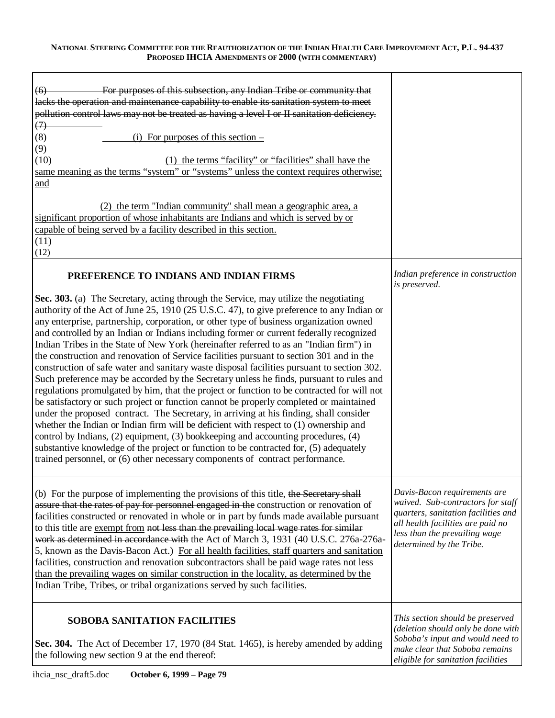| For purposes of this subsection, any Indian Tribe or community that<br>(6)<br>lacks the operation and maintenance capability to enable its sanitation system to meet<br>pollution control laws may not be treated as having a level I or II sanitation deficiency.<br>$\leftrightarrow$<br>(8)<br>(i) For purposes of this section $-$<br>(9)<br>(10)<br>(1) the terms "facility" or "facilities" shall have the<br>same meaning as the terms "system" or "systems" unless the context requires otherwise;<br>and<br>(2) the term "Indian community" shall mean a geographic area, a<br>significant proportion of whose inhabitants are Indians and which is served by or<br>capable of being served by a facility described in this section.<br>(11)<br>(12)                                                                                                                                                                                                                                                                                                                                                                                                                                                                                                                                                                                                                                                                              |                                                                                                                                                                                                            |
|--------------------------------------------------------------------------------------------------------------------------------------------------------------------------------------------------------------------------------------------------------------------------------------------------------------------------------------------------------------------------------------------------------------------------------------------------------------------------------------------------------------------------------------------------------------------------------------------------------------------------------------------------------------------------------------------------------------------------------------------------------------------------------------------------------------------------------------------------------------------------------------------------------------------------------------------------------------------------------------------------------------------------------------------------------------------------------------------------------------------------------------------------------------------------------------------------------------------------------------------------------------------------------------------------------------------------------------------------------------------------------------------------------------------------------------------|------------------------------------------------------------------------------------------------------------------------------------------------------------------------------------------------------------|
| PREFERENCE TO INDIANS AND INDIAN FIRMS<br>Sec. 303. (a) The Secretary, acting through the Service, may utilize the negotiating<br>authority of the Act of June 25, 1910 (25 U.S.C. 47), to give preference to any Indian or<br>any enterprise, partnership, corporation, or other type of business organization owned<br>and controlled by an Indian or Indians including former or current federally recognized<br>Indian Tribes in the State of New York (hereinafter referred to as an "Indian firm") in<br>the construction and renovation of Service facilities pursuant to section 301 and in the<br>construction of safe water and sanitary waste disposal facilities pursuant to section 302.<br>Such preference may be accorded by the Secretary unless he finds, pursuant to rules and<br>regulations promulgated by him, that the project or function to be contracted for will not<br>be satisfactory or such project or function cannot be properly completed or maintained<br>under the proposed contract. The Secretary, in arriving at his finding, shall consider<br>whether the Indian or Indian firm will be deficient with respect to (1) ownership and<br>control by Indians, (2) equipment, (3) bookkeeping and accounting procedures, (4)<br>substantive knowledge of the project or function to be contracted for, (5) adequately<br>trained personnel, or (6) other necessary components of contract performance. | Indian preference in construction<br>is preserved.                                                                                                                                                         |
| (b) For the purpose of implementing the provisions of this title, the Secretary shall<br>assure that the rates of pay for personnel engaged in the construction or renovation of<br>facilities constructed or renovated in whole or in part by funds made available pursuant<br>to this title are exempt from not less than the prevailing local wage rates for similar<br>work as determined in accordance with the Act of March 3, 1931 (40 U.S.C. 276a-276a-<br>5, known as the Davis-Bacon Act.) For all health facilities, staff quarters and sanitation<br>facilities, construction and renovation subcontractors shall be paid wage rates not less<br>than the prevailing wages on similar construction in the locality, as determined by the<br>Indian Tribe, Tribes, or tribal organizations served by such facilities.                                                                                                                                                                                                                                                                                                                                                                                                                                                                                                                                                                                                           | Davis-Bacon requirements are<br>waived. Sub-contractors for staff<br>quarters, sanitation facilities and<br>all health facilities are paid no<br>less than the prevailing wage<br>determined by the Tribe. |
| <b>SOBOBA SANITATION FACILITIES</b><br>Sec. 304. The Act of December 17, 1970 (84 Stat. 1465), is hereby amended by adding<br>the following new section 9 at the end thereof:                                                                                                                                                                                                                                                                                                                                                                                                                                                                                                                                                                                                                                                                                                                                                                                                                                                                                                                                                                                                                                                                                                                                                                                                                                                              | This section should be preserved<br>(deletion should only be done with<br>Soboba's input and would need to<br>make clear that Soboba remains<br>eligible for sanitation facilities                         |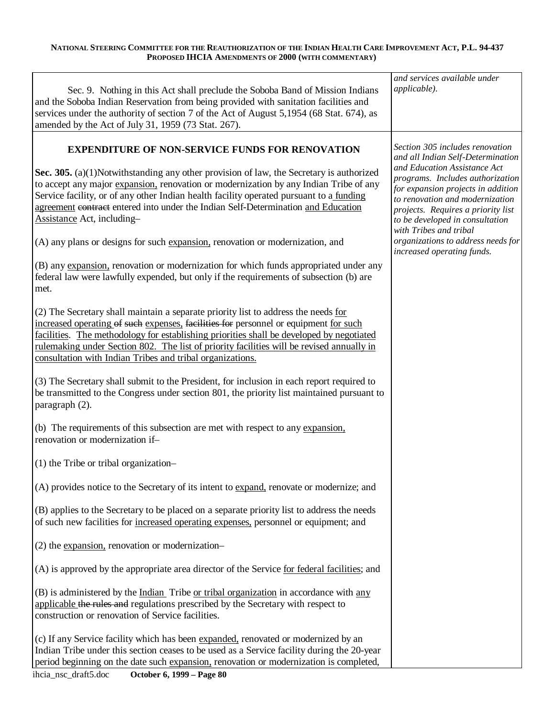| Sec. 9. Nothing in this Act shall preclude the Soboba Band of Mission Indians<br>and the Soboba Indian Reservation from being provided with sanitation facilities and<br>services under the authority of section 7 of the Act of August 5,1954 (68 Stat. 674), as<br>amended by the Act of July 31, 1959 (73 Stat. 267).                                                                                                         | and services available under<br>applicable).                                                                                                                                                                                                 |
|----------------------------------------------------------------------------------------------------------------------------------------------------------------------------------------------------------------------------------------------------------------------------------------------------------------------------------------------------------------------------------------------------------------------------------|----------------------------------------------------------------------------------------------------------------------------------------------------------------------------------------------------------------------------------------------|
| <b>EXPENDITURE OF NON-SERVICE FUNDS FOR RENOVATION</b>                                                                                                                                                                                                                                                                                                                                                                           | Section 305 includes renovation<br>and all Indian Self-Determination                                                                                                                                                                         |
| Sec. 305. (a)(1)Notwithstanding any other provision of law, the Secretary is authorized<br>to accept any major expansion, renovation or modernization by any Indian Tribe of any<br>Service facility, or of any other Indian health facility operated pursuant to a funding<br>agreement contract entered into under the Indian Self-Determination and Education<br>Assistance Act, including-                                   | and Education Assistance Act<br>programs. Includes authorization<br>for expansion projects in addition<br>to renovation and modernization<br>projects. Requires a priority list<br>to be developed in consultation<br>with Tribes and tribal |
| (A) any plans or designs for such expansion, renovation or modernization, and                                                                                                                                                                                                                                                                                                                                                    | organizations to address needs for<br>increased operating funds.                                                                                                                                                                             |
| (B) any expansion, renovation or modernization for which funds appropriated under any<br>federal law were lawfully expended, but only if the requirements of subsection (b) are<br>met.                                                                                                                                                                                                                                          |                                                                                                                                                                                                                                              |
| (2) The Secretary shall maintain a separate priority list to address the needs for<br>increased operating of such expenses, facilities for personnel or equipment for such<br>facilities. The methodology for establishing priorities shall be developed by negotiated<br>rulemaking under Section 802. The list of priority facilities will be revised annually in<br>consultation with Indian Tribes and tribal organizations. |                                                                                                                                                                                                                                              |
| (3) The Secretary shall submit to the President, for inclusion in each report required to<br>be transmitted to the Congress under section 801, the priority list maintained pursuant to<br>paragraph (2).                                                                                                                                                                                                                        |                                                                                                                                                                                                                                              |
| (b) The requirements of this subsection are met with respect to any expansion,<br>renovation or modernization if-                                                                                                                                                                                                                                                                                                                |                                                                                                                                                                                                                                              |
| $(1)$ the Tribe or tribal organization-                                                                                                                                                                                                                                                                                                                                                                                          |                                                                                                                                                                                                                                              |
| (A) provides notice to the Secretary of its intent to expand, renovate or modernize; and                                                                                                                                                                                                                                                                                                                                         |                                                                                                                                                                                                                                              |
| (B) applies to the Secretary to be placed on a separate priority list to address the needs<br>of such new facilities for increased operating expenses, personnel or equipment; and                                                                                                                                                                                                                                               |                                                                                                                                                                                                                                              |
| (2) the expansion, renovation or modernization-                                                                                                                                                                                                                                                                                                                                                                                  |                                                                                                                                                                                                                                              |
| (A) is approved by the appropriate area director of the Service for federal facilities; and                                                                                                                                                                                                                                                                                                                                      |                                                                                                                                                                                                                                              |
| (B) is administered by the Indian Tribe or tribal organization in accordance with any<br>applicable the rules and regulations prescribed by the Secretary with respect to<br>construction or renovation of Service facilities.                                                                                                                                                                                                   |                                                                                                                                                                                                                                              |
| (c) If any Service facility which has been expanded, renovated or modernized by an<br>Indian Tribe under this section ceases to be used as a Service facility during the 20-year<br>period beginning on the date such expansion, renovation or modernization is completed,                                                                                                                                                       |                                                                                                                                                                                                                                              |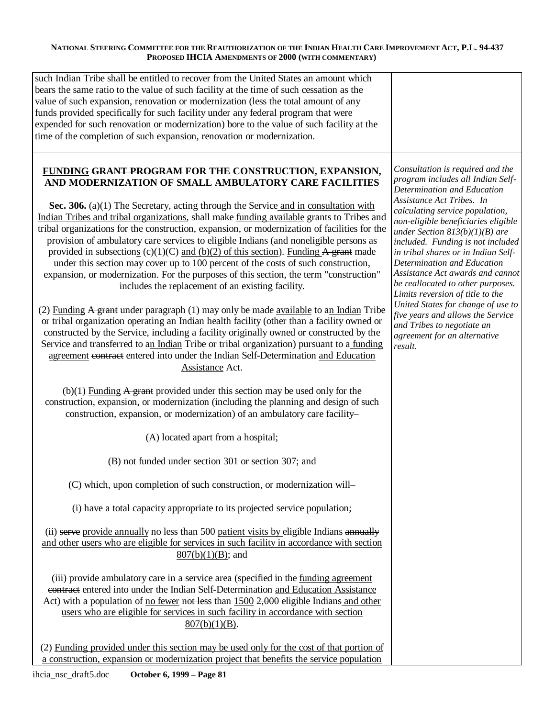| such Indian Tribe shall be entitled to recover from the United States an amount which<br>bears the same ratio to the value of such facility at the time of such cessation as the<br>value of such expansion, renovation or modernization (less the total amount of any<br>funds provided specifically for such facility under any federal program that were<br>expended for such renovation or modernization) bore to the value of such facility at the<br>time of the completion of such expansion, renovation or modernization.                                                                                                                                                                                                                                                                                                                                                                                                                                                                                                                                                                                                                                                                                                                                                                                                                                                                                                                                                                                                                                                                                                                                                                                                                                                                                                                                                                                                                                                                                                                                                                                                                                                                                                                                                                                                                                                                                                                                                                                                                                                                                            |                                                                                                                                                                                                                                                                                                                                                                                                                                                                                                                                                                                                                             |
|------------------------------------------------------------------------------------------------------------------------------------------------------------------------------------------------------------------------------------------------------------------------------------------------------------------------------------------------------------------------------------------------------------------------------------------------------------------------------------------------------------------------------------------------------------------------------------------------------------------------------------------------------------------------------------------------------------------------------------------------------------------------------------------------------------------------------------------------------------------------------------------------------------------------------------------------------------------------------------------------------------------------------------------------------------------------------------------------------------------------------------------------------------------------------------------------------------------------------------------------------------------------------------------------------------------------------------------------------------------------------------------------------------------------------------------------------------------------------------------------------------------------------------------------------------------------------------------------------------------------------------------------------------------------------------------------------------------------------------------------------------------------------------------------------------------------------------------------------------------------------------------------------------------------------------------------------------------------------------------------------------------------------------------------------------------------------------------------------------------------------------------------------------------------------------------------------------------------------------------------------------------------------------------------------------------------------------------------------------------------------------------------------------------------------------------------------------------------------------------------------------------------------------------------------------------------------------------------------------------------------|-----------------------------------------------------------------------------------------------------------------------------------------------------------------------------------------------------------------------------------------------------------------------------------------------------------------------------------------------------------------------------------------------------------------------------------------------------------------------------------------------------------------------------------------------------------------------------------------------------------------------------|
| FUNDING GRANT PROGRAM FOR THE CONSTRUCTION, EXPANSION,<br>AND MODERNIZATION OF SMALL AMBULATORY CARE FACILITIES<br>Sec. 306. (a)(1) The Secretary, acting through the Service and in consultation with<br>Indian Tribes and tribal organizations, shall make funding available grants to Tribes and<br>tribal organizations for the construction, expansion, or modernization of facilities for the<br>provision of ambulatory care services to eligible Indians (and noneligible persons as<br>provided in subsections $(c)(1)(C)$ and $(b)(2)$ of this section). Funding A grant made<br>under this section may cover up to 100 percent of the costs of such construction,<br>expansion, or modernization. For the purposes of this section, the term "construction"<br>includes the replacement of an existing facility.<br>(2) Funding A grant under paragraph (1) may only be made available to an Indian Tribe<br>or tribal organization operating an Indian health facility (other than a facility owned or<br>constructed by the Service, including a facility originally owned or constructed by the<br>Service and transferred to an Indian Tribe or tribal organization) pursuant to a funding<br>agreement contract entered into under the Indian Self-Determination and Education<br>Assistance Act.<br>$(b)(1)$ Funding A grant provided under this section may be used only for the<br>construction, expansion, or modernization (including the planning and design of such<br>construction, expansion, or modernization) of an ambulatory care facility-<br>(A) located apart from a hospital;<br>(B) not funded under section 301 or section 307; and<br>(C) which, upon completion of such construction, or modernization will-<br>(i) have a total capacity appropriate to its projected service population;<br>(ii) serve provide annually no less than 500 patient visits by eligible Indians annually<br>and other users who are eligible for services in such facility in accordance with section<br>$807(b)(1)(B)$ ; and<br>(iii) provide ambulatory care in a service area (specified in the funding agreement<br>contract entered into under the Indian Self-Determination and Education Assistance<br>Act) with a population of <u>no fewer not less</u> than 1500 2,000 eligible Indians and other<br>users who are eligible for services in such facility in accordance with section<br>$807(b)(1)(B)$ .<br>(2) Funding provided under this section may be used only for the cost of that portion of<br>a construction, expansion or modernization project that benefits the service population | Consultation is required and the<br>program includes all Indian Self-<br>Determination and Education<br>Assistance Act Tribes. In<br>calculating service population,<br>non-eligible beneficiaries eligible<br>under Section $813(b)(1)(B)$ are<br>included. Funding is not included<br>in tribal shares or in Indian Self-<br>Determination and Education<br>Assistance Act awards and cannot<br>be reallocated to other purposes.<br>Limits reversion of title to the<br>United States for change of use to<br>five years and allows the Service<br>and Tribes to negotiate an<br>agreement for an alternative<br>result. |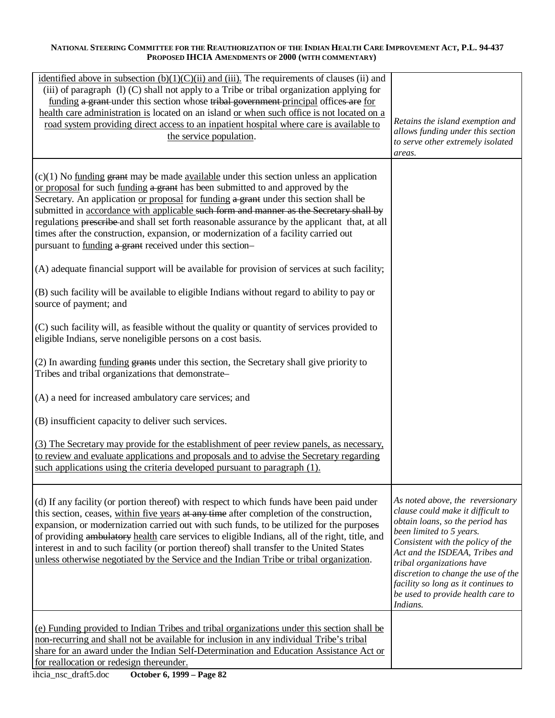| identified above in subsection $(b)(1)(C)(ii)$ and $(iii)$ . The requirements of clauses (ii) and<br>(iii) of paragraph (1) (C) shall not apply to a Tribe or tribal organization applying for<br>funding a grant-under this section whose tribal government-principal offices are for<br>health care administration is located on an island or when such office is not located on a<br>road system providing direct access to an inpatient hospital where care is available to<br>the service population.                                                                                                                                                                                                       | Retains the island exemption and<br>allows funding under this section<br>to serve other extremely isolated<br>areas.                                                                                                                                                                                                                                                    |
|------------------------------------------------------------------------------------------------------------------------------------------------------------------------------------------------------------------------------------------------------------------------------------------------------------------------------------------------------------------------------------------------------------------------------------------------------------------------------------------------------------------------------------------------------------------------------------------------------------------------------------------------------------------------------------------------------------------|-------------------------------------------------------------------------------------------------------------------------------------------------------------------------------------------------------------------------------------------------------------------------------------------------------------------------------------------------------------------------|
| $(c)(1)$ No funding grant may be made available under this section unless an application<br>or proposal for such funding a grant has been submitted to and approved by the<br>Secretary. An application or proposal for funding a grant under this section shall be<br>submitted in accordance with applicable such form and manner as the Secretary shall by<br>regulations preseribe and shall set forth reasonable assurance by the applicant that, at all<br>times after the construction, expansion, or modernization of a facility carried out<br>pursuant to funding a grant received under this section-<br>(A) adequate financial support will be available for provision of services at such facility; |                                                                                                                                                                                                                                                                                                                                                                         |
| (B) such facility will be available to eligible Indians without regard to ability to pay or<br>source of payment; and                                                                                                                                                                                                                                                                                                                                                                                                                                                                                                                                                                                            |                                                                                                                                                                                                                                                                                                                                                                         |
| (C) such facility will, as feasible without the quality or quantity of services provided to<br>eligible Indians, serve noneligible persons on a cost basis.                                                                                                                                                                                                                                                                                                                                                                                                                                                                                                                                                      |                                                                                                                                                                                                                                                                                                                                                                         |
| (2) In awarding funding grants under this section, the Secretary shall give priority to<br>Tribes and tribal organizations that demonstrate-                                                                                                                                                                                                                                                                                                                                                                                                                                                                                                                                                                     |                                                                                                                                                                                                                                                                                                                                                                         |
| (A) a need for increased ambulatory care services; and                                                                                                                                                                                                                                                                                                                                                                                                                                                                                                                                                                                                                                                           |                                                                                                                                                                                                                                                                                                                                                                         |
| (B) insufficient capacity to deliver such services.                                                                                                                                                                                                                                                                                                                                                                                                                                                                                                                                                                                                                                                              |                                                                                                                                                                                                                                                                                                                                                                         |
| (3) The Secretary may provide for the establishment of peer review panels, as necessary,<br>to review and evaluate applications and proposals and to advise the Secretary regarding<br>such applications using the criteria developed pursuant to paragraph (1).                                                                                                                                                                                                                                                                                                                                                                                                                                                 |                                                                                                                                                                                                                                                                                                                                                                         |
| (d) If any facility (or portion thereof) with respect to which funds have been paid under<br>this section, ceases, within five years at any time after completion of the construction,<br>expansion, or modernization carried out with such funds, to be utilized for the purposes<br>of providing ambulatory health care services to eligible Indians, all of the right, title, and<br>interest in and to such facility (or portion thereof) shall transfer to the United States<br>unless otherwise negotiated by the Service and the Indian Tribe or tribal organization.                                                                                                                                     | As noted above, the reversionary<br>clause could make it difficult to<br>obtain loans, so the period has<br>been limited to 5 years.<br>Consistent with the policy of the<br>Act and the ISDEAA, Tribes and<br>tribal organizations have<br>discretion to change the use of the<br>facility so long as it continues to<br>be used to provide health care to<br>Indians. |
| (e) Funding provided to Indian Tribes and tribal organizations under this section shall be<br>non-recurring and shall not be available for inclusion in any individual Tribe's tribal<br>share for an award under the Indian Self-Determination and Education Assistance Act or<br>for reallocation or redesign thereunder.                                                                                                                                                                                                                                                                                                                                                                                      |                                                                                                                                                                                                                                                                                                                                                                         |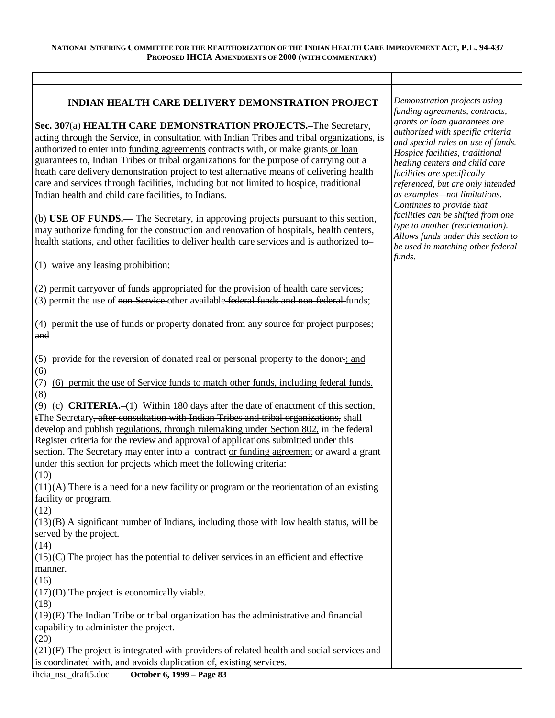# **INDIAN HEALTH CARE DELIVERY DEMONSTRATION PROJECT**

**Sec. 307**(a) **HEALTH CARE DEMONSTRATION PROJECTS.–**The Secretary, acting through the Service, in consultation with Indian Tribes and tribal organizations, is authorized to enter into funding agreements contracts with, or make grants or loan guarantees to, Indian Tribes or tribal organizations for the purpose of carrying out a heath care delivery demonstration project to test alternative means of delivering health care and services through facilities, including but not limited to hospice, traditional Indian health and child care facilities, to Indians.

(b) **USE OF FUNDS.—** The Secretary, in approving projects pursuant to this section, may authorize funding for the construction and renovation of hospitals, health centers, health stations, and other facilities to deliver health care services and is authorized to–

(1) waive any leasing prohibition;

(2) permit carryover of funds appropriated for the provision of health care services; (3) permit the use of non-Service other available federal funds and non-federal funds;

(4) permit the use of funds or property donated from any source for project purposes; and

(5) provide for the reversion of donated real or personal property to the donor $\div$ ; and (6)

(7) (6) permit the use of Service funds to match other funds, including federal funds. (8)

(9) (c) **CRITERIA.–**(1) Within 180 days after the date of enactment of this section, tThe Secretary, after consultation with Indian Tribes and tribal organizations, shall develop and publish regulations, through rulemaking under Section 802, in the federal Register criteria for the review and approval of applications submitted under this section. The Secretary may enter into a contract or funding agreement or award a grant under this section for projects which meet the following criteria:

(10)

 $(11)(A)$  There is a need for a new facility or program or the reorientation of an existing facility or program.

(12)

(13)(B) A significant number of Indians, including those with low health status, will be served by the project.

(14)

 $(15)(C)$  The project has the potential to deliver services in an efficient and effective manner.

(16)

(17)(D) The project is economically viable.

(18)

(19)(E) The Indian Tribe or tribal organization has the administrative and financial capability to administer the project.

(20)

(21)(F) The project is integrated with providers of related health and social services and is coordinated with, and avoids duplication of, existing services.

*Demonstration projects using funding agreements, contracts, grants or loan guarantees are authorized with specific criteria and special rules on use of funds. Hospice facilities, traditional healing centers and child care facilities are specifically referenced, but are only intended as examples— not limitations. Continues to provide that facilities can be shifted from one type to another (reorientation). Allows funds under this section to be used in matching other federal funds.*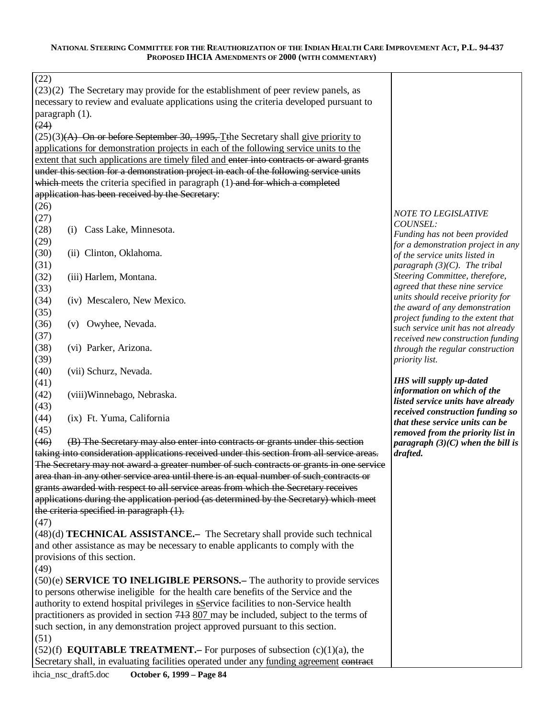| (22)           |                                                                                              |                                                                       |
|----------------|----------------------------------------------------------------------------------------------|-----------------------------------------------------------------------|
|                | $(23)(2)$ The Secretary may provide for the establishment of peer review panels, as          |                                                                       |
|                | necessary to review and evaluate applications using the criteria developed pursuant to       |                                                                       |
| paragraph (1). |                                                                                              |                                                                       |
| (24)           |                                                                                              |                                                                       |
|                | $(25)(3)$ (A) On or before September 30, 1995, Tthe Secretary shall give priority to         |                                                                       |
|                | applications for demonstration projects in each of the following service units to the        |                                                                       |
|                | extent that such applications are timely filed and enter into contracts or award grants      |                                                                       |
|                | under this section for a demonstration project in each of the following service units        |                                                                       |
|                | which meets the criteria specified in paragraph (1) and for which a completed                |                                                                       |
|                | application has been received by the Secretary:                                              |                                                                       |
| (26)           |                                                                                              |                                                                       |
| (27)           |                                                                                              | <b>NOTE TO LEGISLATIVE</b>                                            |
| (28)           | Cass Lake, Minnesota.<br>(i)                                                                 | COUNSEL:                                                              |
| (29)           |                                                                                              | Funding has not been provided<br>for a demonstration project in any   |
| (30)           | (ii) Clinton, Oklahoma.                                                                      | of the service units listed in                                        |
| (31)           |                                                                                              | paragraph $(3)(C)$ . The tribal                                       |
| (32)           | (iii) Harlem, Montana.                                                                       | Steering Committee, therefore,                                        |
| (33)           |                                                                                              | agreed that these nine service                                        |
| (34)           | (iv) Mescalero, New Mexico.                                                                  | units should receive priority for                                     |
| (35)           |                                                                                              | the award of any demonstration                                        |
| (36)           | (v) Owyhee, Nevada.                                                                          | project funding to the extent that                                    |
| (37)           |                                                                                              | such service unit has not already                                     |
|                |                                                                                              | received new construction funding                                     |
| (38)           | (vi) Parker, Arizona.                                                                        | through the regular construction                                      |
| (39)           |                                                                                              | priority list.                                                        |
|                |                                                                                              |                                                                       |
| (40)           | (vii) Schurz, Nevada.                                                                        |                                                                       |
| (41)           |                                                                                              | <b>IHS</b> will supply up-dated                                       |
| (42)           | (viii) Winnebago, Nebraska.                                                                  | information on which of the                                           |
| (43)           |                                                                                              | listed service units have already<br>received construction funding so |
| (44)           | (ix) Ft. Yuma, California                                                                    | that these service units can be                                       |
| (45)           |                                                                                              | removed from the priority list in                                     |
| (46)           | (B) The Secretary may also enter into contracts or grants under this section                 | paragraph $(3)(C)$ when the bill is                                   |
|                | taking into consideration applications received under this section from all service areas.   | drafted.                                                              |
|                | The Secretary may not award a greater number of such contracts or grants in one service      |                                                                       |
|                | area than in any other service area until there is an equal number of such contracts or      |                                                                       |
|                | grants awarded with respect to all service areas from which the Secretary receives           |                                                                       |
|                | applications during the application period (as determined by the Secretary) which meet       |                                                                       |
|                | the criteria specified in paragraph (1).                                                     |                                                                       |
| (47)           |                                                                                              |                                                                       |
|                | (48)(d) <b>TECHNICAL ASSISTANCE.</b> - The Secretary shall provide such technical            |                                                                       |
|                | and other assistance as may be necessary to enable applicants to comply with the             |                                                                       |
|                | provisions of this section.                                                                  |                                                                       |
| (49)           |                                                                                              |                                                                       |
|                | (50)(e) <b>SERVICE TO INELIGIBLE PERSONS.</b> The authority to provide services              |                                                                       |
|                | to persons otherwise ineligible for the health care benefits of the Service and the          |                                                                       |
|                | authority to extend hospital privileges in <b>SS</b> ervice facilities to non-Service health |                                                                       |
|                | practitioners as provided in section 743 807 may be included, subject to the terms of        |                                                                       |
|                | such section, in any demonstration project approved pursuant to this section.                |                                                                       |
| (51)           |                                                                                              |                                                                       |
|                | $(52)(f)$ <b>EQUITABLE TREATMENT.</b> For purposes of subsection $(c)(1)(a)$ , the           |                                                                       |
|                | Secretary shall, in evaluating facilities operated under any funding agreement contract      |                                                                       |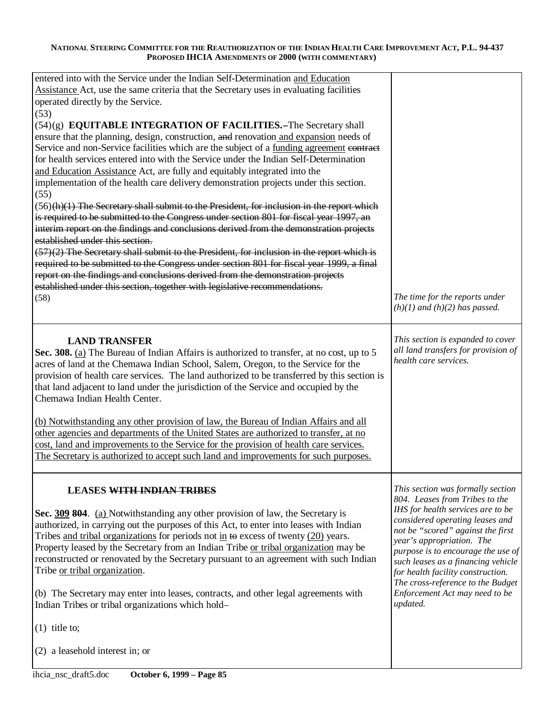| entered into with the Service under the Indian Self-Determination and Education<br>Assistance Act, use the same criteria that the Secretary uses in evaluating facilities<br>operated directly by the Service.<br>(53)<br>(54)(g) EQUITABLE INTEGRATION OF FACILITIES.-The Secretary shall<br>ensure that the planning, design, construction, and renovation and expansion needs of<br>Service and non-Service facilities which are the subject of a funding agreement contract<br>for health services entered into with the Service under the Indian Self-Determination<br>and Education Assistance Act, are fully and equitably integrated into the<br>implementation of the health care delivery demonstration projects under this section.<br>(55)<br>$(56)$ (h)(1) The Secretary shall submit to the President, for inclusion in the report which<br>is required to be submitted to the Congress under section 801 for fiscal year 1997, an<br>interim report on the findings and conclusions derived from the demonstration projects<br>established under this section. |                                                                                                                                                                                                                                                                                                                                |
|-------------------------------------------------------------------------------------------------------------------------------------------------------------------------------------------------------------------------------------------------------------------------------------------------------------------------------------------------------------------------------------------------------------------------------------------------------------------------------------------------------------------------------------------------------------------------------------------------------------------------------------------------------------------------------------------------------------------------------------------------------------------------------------------------------------------------------------------------------------------------------------------------------------------------------------------------------------------------------------------------------------------------------------------------------------------------------|--------------------------------------------------------------------------------------------------------------------------------------------------------------------------------------------------------------------------------------------------------------------------------------------------------------------------------|
| $(57)(2)$ The Secretary shall submit to the President, for inclusion in the report which is                                                                                                                                                                                                                                                                                                                                                                                                                                                                                                                                                                                                                                                                                                                                                                                                                                                                                                                                                                                   |                                                                                                                                                                                                                                                                                                                                |
| required to be submitted to the Congress under section 801 for fiscal year 1999, a final<br>report on the findings and conclusions derived from the demonstration projects                                                                                                                                                                                                                                                                                                                                                                                                                                                                                                                                                                                                                                                                                                                                                                                                                                                                                                    |                                                                                                                                                                                                                                                                                                                                |
| established under this section, together with legislative recommendations.                                                                                                                                                                                                                                                                                                                                                                                                                                                                                                                                                                                                                                                                                                                                                                                                                                                                                                                                                                                                    |                                                                                                                                                                                                                                                                                                                                |
| (58)                                                                                                                                                                                                                                                                                                                                                                                                                                                                                                                                                                                                                                                                                                                                                                                                                                                                                                                                                                                                                                                                          | The time for the reports under<br>$(h)(1)$ and $(h)(2)$ has passed.                                                                                                                                                                                                                                                            |
| <b>LAND TRANSFER</b>                                                                                                                                                                                                                                                                                                                                                                                                                                                                                                                                                                                                                                                                                                                                                                                                                                                                                                                                                                                                                                                          | This section is expanded to cover                                                                                                                                                                                                                                                                                              |
| Sec. 308. (a) The Bureau of Indian Affairs is authorized to transfer, at no cost, up to 5<br>acres of land at the Chemawa Indian School, Salem, Oregon, to the Service for the<br>provision of health care services. The land authorized to be transferred by this section is<br>that land adjacent to land under the jurisdiction of the Service and occupied by the<br>Chemawa Indian Health Center.                                                                                                                                                                                                                                                                                                                                                                                                                                                                                                                                                                                                                                                                        | all land transfers for provision of<br>health care services.                                                                                                                                                                                                                                                                   |
| (b) Notwithstanding any other provision of law, the Bureau of Indian Affairs and all<br>other agencies and departments of the United States are authorized to transfer, at no<br>cost, land and improvements to the Service for the provision of health care services.<br>The Secretary is authorized to accept such land and improvements for such purposes.                                                                                                                                                                                                                                                                                                                                                                                                                                                                                                                                                                                                                                                                                                                 |                                                                                                                                                                                                                                                                                                                                |
| <b>LEASES WITH INDIAN TRIBES</b>                                                                                                                                                                                                                                                                                                                                                                                                                                                                                                                                                                                                                                                                                                                                                                                                                                                                                                                                                                                                                                              | This section was formally section                                                                                                                                                                                                                                                                                              |
| Sec. 309 804. (a) Notwithstanding any other provision of law, the Secretary is<br>authorized, in carrying out the purposes of this Act, to enter into leases with Indian<br>Tribes and tribal organizations for periods not in $\leftrightarrow$ excess of twenty (20) years.<br>Property leased by the Secretary from an Indian Tribe or tribal organization may be<br>reconstructed or renovated by the Secretary pursuant to an agreement with such Indian<br>Tribe or tribal organization.                                                                                                                                                                                                                                                                                                                                                                                                                                                                                                                                                                                | 804. Leases from Tribes to the<br>IHS for health services are to be<br>considered operating leases and<br>not be "scored" against the first<br>year's appropriation. The<br>purpose is to encourage the use of<br>such leases as a financing vehicle<br>for health facility construction.<br>The cross-reference to the Budget |
| (b) The Secretary may enter into leases, contracts, and other legal agreements with<br>Indian Tribes or tribal organizations which hold-                                                                                                                                                                                                                                                                                                                                                                                                                                                                                                                                                                                                                                                                                                                                                                                                                                                                                                                                      | Enforcement Act may need to be<br>updated.                                                                                                                                                                                                                                                                                     |
| $(1)$ title to;                                                                                                                                                                                                                                                                                                                                                                                                                                                                                                                                                                                                                                                                                                                                                                                                                                                                                                                                                                                                                                                               |                                                                                                                                                                                                                                                                                                                                |
| (2) a leasehold interest in; or                                                                                                                                                                                                                                                                                                                                                                                                                                                                                                                                                                                                                                                                                                                                                                                                                                                                                                                                                                                                                                               |                                                                                                                                                                                                                                                                                                                                |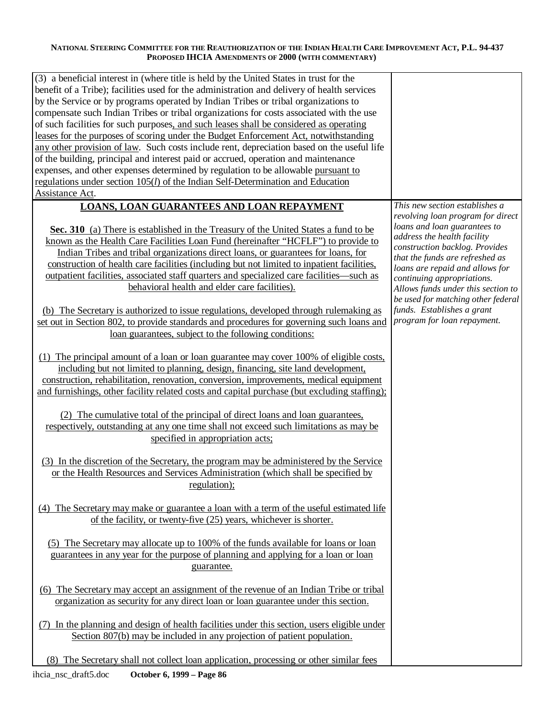| (3) a beneficial interest in (where title is held by the United States in trust for the<br>benefit of a Tribe); facilities used for the administration and delivery of health services<br>by the Service or by programs operated by Indian Tribes or tribal organizations to<br>compensate such Indian Tribes or tribal organizations for costs associated with the use<br>of such facilities for such purposes, and such leases shall be considered as operating<br>leases for the purposes of scoring under the Budget Enforcement Act, notwithstanding<br>any other provision of law. Such costs include rent, depreciation based on the useful life<br>of the building, principal and interest paid or accrued, operation and maintenance<br>expenses, and other expenses determined by regulation to be allowable pursuant to<br>regulations under section 105(l) of the Indian Self-Determination and Education                                                                                                                                                                                                                                                                                                                                                                                                                                                                                                                                                                                                                                                                                                                                                                                                                                                                                                                                                                                                                                                                                                                                                                                                                                                                                                                                                                                                                    |                                                                                                                                                                                                                                                                                                                                                                                                                   |
|------------------------------------------------------------------------------------------------------------------------------------------------------------------------------------------------------------------------------------------------------------------------------------------------------------------------------------------------------------------------------------------------------------------------------------------------------------------------------------------------------------------------------------------------------------------------------------------------------------------------------------------------------------------------------------------------------------------------------------------------------------------------------------------------------------------------------------------------------------------------------------------------------------------------------------------------------------------------------------------------------------------------------------------------------------------------------------------------------------------------------------------------------------------------------------------------------------------------------------------------------------------------------------------------------------------------------------------------------------------------------------------------------------------------------------------------------------------------------------------------------------------------------------------------------------------------------------------------------------------------------------------------------------------------------------------------------------------------------------------------------------------------------------------------------------------------------------------------------------------------------------------------------------------------------------------------------------------------------------------------------------------------------------------------------------------------------------------------------------------------------------------------------------------------------------------------------------------------------------------------------------------------------------------------------------------------------------------|-------------------------------------------------------------------------------------------------------------------------------------------------------------------------------------------------------------------------------------------------------------------------------------------------------------------------------------------------------------------------------------------------------------------|
| Assistance Act.<br><b>LOANS, LOAN GUARANTEES AND LOAN REPAYMENT</b><br>Sec. 310 (a) There is established in the Treasury of the United States a fund to be<br>known as the Health Care Facilities Loan Fund (hereinafter "HCFLF") to provide to<br>Indian Tribes and tribal organizations direct loans, or guarantees for loans, for<br>construction of health care facilities (including but not limited to inpatient facilities,<br>outpatient facilities, associated staff quarters and specialized care facilities—such as<br>behavioral health and elder care facilities).<br>(b) The Secretary is authorized to issue regulations, developed through rulemaking as<br>set out in Section 802, to provide standards and procedures for governing such loans and<br>loan guarantees, subject to the following conditions:<br>(1) The principal amount of a loan or loan guarantee may cover 100% of eligible costs,<br>including but not limited to planning, design, financing, site land development,<br>construction, rehabilitation, renovation, conversion, improvements, medical equipment<br>and furnishings, other facility related costs and capital purchase (but excluding staffing);<br>(2) The cumulative total of the principal of direct loans and loan guarantees,<br>respectively, outstanding at any one time shall not exceed such limitations as may be<br>specified in appropriation acts;<br>(3) In the discretion of the Secretary, the program may be administered by the Service<br>or the Health Resources and Services Administration (which shall be specified by<br>regulation);<br>(4) The Secretary may make or guarantee a loan with a term of the useful estimated life<br>of the facility, or twenty-five $(25)$ years, whichever is shorter.<br>(5) The Secretary may allocate up to 100% of the funds available for loans or loan<br>guarantees in any year for the purpose of planning and applying for a loan or loan<br>guarantee.<br>(6) The Secretary may accept an assignment of the revenue of an Indian Tribe or tribal<br>organization as security for any direct loan or loan guarantee under this section.<br>(7) In the planning and design of health facilities under this section, users eligible under<br>Section 807(b) may be included in any projection of patient population. | This new section establishes a<br>revolving loan program for direct<br>loans and loan guarantees to<br>address the health facility<br>construction backlog. Provides<br>that the funds are refreshed as<br>loans are repaid and allows for<br>continuing appropriations.<br>Allows funds under this section to<br>be used for matching other federal<br>funds. Establishes a grant<br>program for loan repayment. |
| (8) The Secretary shall not collect loan application, processing or other similar fees                                                                                                                                                                                                                                                                                                                                                                                                                                                                                                                                                                                                                                                                                                                                                                                                                                                                                                                                                                                                                                                                                                                                                                                                                                                                                                                                                                                                                                                                                                                                                                                                                                                                                                                                                                                                                                                                                                                                                                                                                                                                                                                                                                                                                                                   |                                                                                                                                                                                                                                                                                                                                                                                                                   |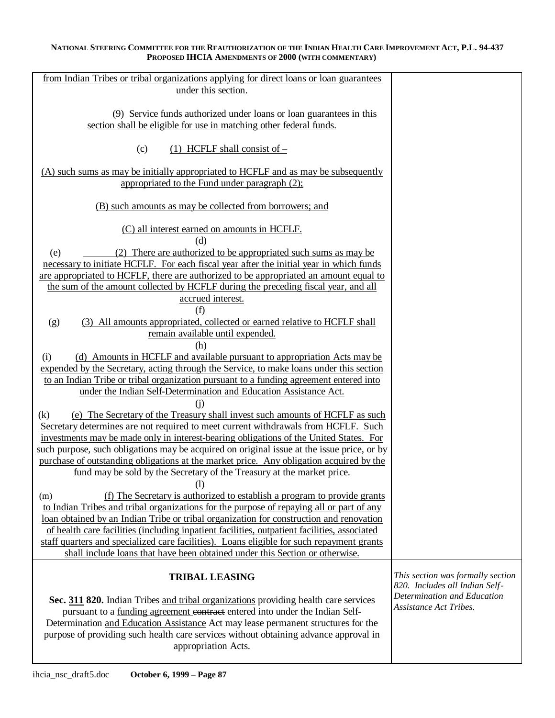| from Indian Tribes or tribal organizations applying for direct loans or loan guarantees      |                                   |
|----------------------------------------------------------------------------------------------|-----------------------------------|
| under this section.                                                                          |                                   |
|                                                                                              |                                   |
| (9) Service funds authorized under loans or loan guarantees in this                          |                                   |
| section shall be eligible for use in matching other federal funds.                           |                                   |
|                                                                                              |                                   |
| (c)<br>$(1)$ HCFLF shall consist of –                                                        |                                   |
|                                                                                              |                                   |
| (A) such sums as may be initially appropriated to HCFLF and as may be subsequently           |                                   |
| appropriated to the Fund under paragraph (2);                                                |                                   |
|                                                                                              |                                   |
| (B) such amounts as may be collected from borrowers; and                                     |                                   |
|                                                                                              |                                   |
| (C) all interest earned on amounts in HCFLF.                                                 |                                   |
| (d)                                                                                          |                                   |
|                                                                                              |                                   |
| (2) There are authorized to be appropriated such sums as may be<br>(e)                       |                                   |
| necessary to initiate HCFLF. For each fiscal year after the initial year in which funds      |                                   |
| are appropriated to HCFLF, there are authorized to be appropriated an amount equal to        |                                   |
| the sum of the amount collected by HCFLF during the preceding fiscal year, and all           |                                   |
| accrued interest.                                                                            |                                   |
| (f)                                                                                          |                                   |
| (g)<br>(3) All amounts appropriated, collected or earned relative to HCFLF shall             |                                   |
| remain available until expended.                                                             |                                   |
| (h)                                                                                          |                                   |
| (d) Amounts in HCFLF and available pursuant to appropriation Acts may be<br>(i)              |                                   |
| expended by the Secretary, acting through the Service, to make loans under this section      |                                   |
| to an Indian Tribe or tribal organization pursuant to a funding agreement entered into       |                                   |
| under the Indian Self-Determination and Education Assistance Act.                            |                                   |
| (i)                                                                                          |                                   |
| (e) The Secretary of the Treasury shall invest such amounts of HCFLF as such<br>(k)          |                                   |
| Secretary determines are not required to meet current withdrawals from HCFLF. Such           |                                   |
| investments may be made only in interest-bearing obligations of the United States. For       |                                   |
| such purpose, such obligations may be acquired on original issue at the issue price, or by   |                                   |
| purchase of outstanding obligations at the market price. Any obligation acquired by the      |                                   |
| fund may be sold by the Secretary of the Treasury at the market price.                       |                                   |
| (1)                                                                                          |                                   |
| (f) The Secretary is authorized to establish a program to provide grants<br>(m)              |                                   |
| to Indian Tribes and tribal organizations for the purpose of repaying all or part of any     |                                   |
| loan obtained by an Indian Tribe or tribal organization for construction and renovation      |                                   |
| of health care facilities (including inpatient facilities, outpatient facilities, associated |                                   |
| staff quarters and specialized care facilities). Loans eligible for such repayment grants    |                                   |
| shall include loans that have been obtained under this Section or otherwise.                 |                                   |
|                                                                                              |                                   |
| <b>TRIBAL LEASING</b>                                                                        | This section was formally section |
|                                                                                              |                                   |
|                                                                                              | 820. Includes all Indian Self-    |
|                                                                                              | Determination and Education       |
| Sec. 311 820. Indian Tribes and tribal organizations providing health care services          | <b>Assistance Act Tribes.</b>     |
| pursuant to a funding agreement contract entered into under the Indian Self-                 |                                   |
| Determination and Education Assistance Act may lease permanent structures for the            |                                   |
| purpose of providing such health care services without obtaining advance approval in         |                                   |
| appropriation Acts.                                                                          |                                   |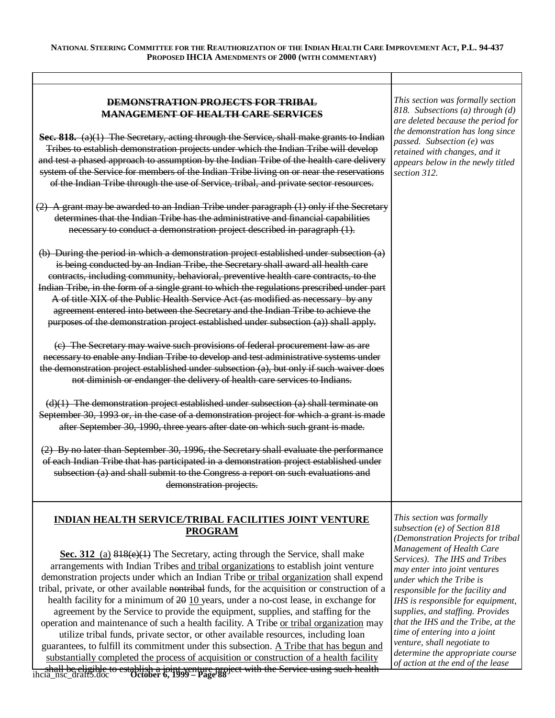| <b>DEMONSTRATION PROJECTS FOR TRIBAL</b><br><b>MANAGEMENT OF HEALTH CARE SERVICES</b><br><b>Sec. 818.</b> $(a)(1)$ The Secretary, acting through the Service, shall make grants to Indian<br>Tribes to establish demonstration projects under which the Indian Tribe will develop<br>and test a phased approach to assumption by the Indian Tribe of the health care delivery<br>system of the Service for members of the Indian Tribe living on or near the reservations<br>of the Indian Tribe through the use of Service, tribal, and private sector resources.                                                                                                                                                                                                                                                                                                                                                                                                                                                                                                                                                                                                                                                                                                                                                                                                                                                                                                                                                                                              | This section was formally section<br>818. Subsections (a) through (d)<br>are deleted because the period for<br>the demonstration has long since<br>passed. Subsection (e) was<br>retained with changes, and it<br>appears below in the newly titled<br>section 312.                                                                                                                                                                                       |
|-----------------------------------------------------------------------------------------------------------------------------------------------------------------------------------------------------------------------------------------------------------------------------------------------------------------------------------------------------------------------------------------------------------------------------------------------------------------------------------------------------------------------------------------------------------------------------------------------------------------------------------------------------------------------------------------------------------------------------------------------------------------------------------------------------------------------------------------------------------------------------------------------------------------------------------------------------------------------------------------------------------------------------------------------------------------------------------------------------------------------------------------------------------------------------------------------------------------------------------------------------------------------------------------------------------------------------------------------------------------------------------------------------------------------------------------------------------------------------------------------------------------------------------------------------------------|-----------------------------------------------------------------------------------------------------------------------------------------------------------------------------------------------------------------------------------------------------------------------------------------------------------------------------------------------------------------------------------------------------------------------------------------------------------|
| $(2)$ A grant may be awarded to an Indian Tribe under paragraph $(1)$ only if the Secretary<br>determines that the Indian Tribe has the administrative and financial capabilities<br>necessary to conduct a demonstration project described in paragraph (1).                                                                                                                                                                                                                                                                                                                                                                                                                                                                                                                                                                                                                                                                                                                                                                                                                                                                                                                                                                                                                                                                                                                                                                                                                                                                                                   |                                                                                                                                                                                                                                                                                                                                                                                                                                                           |
| (b) During the period in which a demonstration project established under subsection (a)<br>is being conducted by an Indian Tribe, the Secretary shall award all health care<br>contracts, including community, behavioral, preventive health care contracts, to the<br>Indian Tribe, in the form of a single grant to which the regulations prescribed under part<br>A of title XIX of the Public Health Service Act (as modified as necessary by any<br>agreement entered into between the Secretary and the Indian Tribe to achieve the<br>purposes of the demonstration project established under subsection (a)) shall apply.<br>(c) The Secretary may waive such provisions of federal procurement law as are<br>necessary to enable any Indian Tribe to develop and test administrative systems under<br>the demonstration project established under subsection (a), but only if such waiver does<br>not diminish or endanger the delivery of health care services to Indians.<br>$(d)(1)$ The demonstration project established under subsection $(a)$ shall terminate on<br>September 30, 1993 or, in the case of a demonstration project for which a grant is made<br>after September 30, 1990, three years after date on which such grant is made.<br>(2) By no later than September 30, 1996, the Secretary shall evaluate the performance<br>of each Indian Tribe that has participated in a demonstration project established under<br>subsection (a) and shall submit to the Congress a report on such evaluations and<br>demonstration projects. |                                                                                                                                                                                                                                                                                                                                                                                                                                                           |
| <u>INDIAN HEALTH SERVICE/TRIBAL FACILITIES JOINT VENTURE</u><br><b>PROGRAM</b>                                                                                                                                                                                                                                                                                                                                                                                                                                                                                                                                                                                                                                                                                                                                                                                                                                                                                                                                                                                                                                                                                                                                                                                                                                                                                                                                                                                                                                                                                  | This section was formally<br>subsection (e) of Section 818                                                                                                                                                                                                                                                                                                                                                                                                |
| Sec. 312 (a) 818(e)(1) The Secretary, acting through the Service, shall make<br>arrangements with Indian Tribes and tribal organizations to establish joint venture<br>demonstration projects under which an Indian Tribe or tribal organization shall expend<br>tribal, private, or other available nontribal funds, for the acquisition or construction of a<br>health facility for a minimum of $20$ 10 years, under a no-cost lease, in exchange for<br>agreement by the Service to provide the equipment, supplies, and staffing for the<br>operation and maintenance of such a health facility. A Tribe or tribal organization may<br>utilize tribal funds, private sector, or other available resources, including loan<br>guarantees, to fulfill its commitment under this subsection. A Tribe that has begun and<br>substantially completed the process of acquisition or construction of a health facility                                                                                                                                                                                                                                                                                                                                                                                                                                                                                                                                                                                                                                            | (Demonstration Projects for tribal<br>Management of Health Care<br>Services). The IHS and Tribes<br>may enter into joint ventures<br>under which the Tribe is<br>responsible for the facility and<br>IHS is responsible for equipment,<br>supplies, and staffing. Provides<br>that the IHS and the Tribe, at the<br>time of entering into a joint<br>venture, shall negotiate to<br>determine the appropriate course<br>of action at the end of the lease |

shall be eligible to establish a joint venture project with the Service using such health ihcia\_nsc\_draft5.doc **October 6, 1999 – Page 88**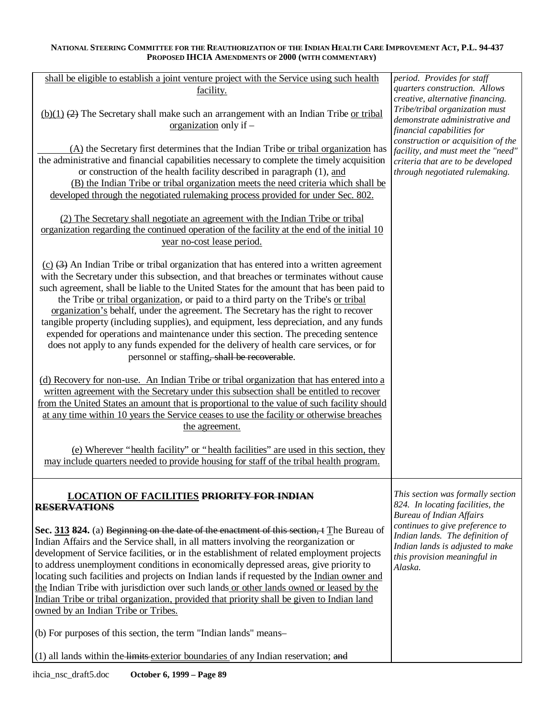| shall be eligible to establish a joint venture project with the Service using such health<br>facility.                                                                                                                                                                                                                                                                                                                                                                                                                                                                                                                                                                                                                                                                                      | period. Provides for staff<br>quarters construction. Allows<br>creative, alternative financing.                                                   |
|---------------------------------------------------------------------------------------------------------------------------------------------------------------------------------------------------------------------------------------------------------------------------------------------------------------------------------------------------------------------------------------------------------------------------------------------------------------------------------------------------------------------------------------------------------------------------------------------------------------------------------------------------------------------------------------------------------------------------------------------------------------------------------------------|---------------------------------------------------------------------------------------------------------------------------------------------------|
| $(b)(1)$ $(2)$ The Secretary shall make such an arrangement with an Indian Tribe or tribal<br>organization only if $-$                                                                                                                                                                                                                                                                                                                                                                                                                                                                                                                                                                                                                                                                      | Tribe/tribal organization must<br>demonstrate administrative and<br>financial capabilities for                                                    |
| (A) the Secretary first determines that the Indian Tribe or tribal organization has<br>the administrative and financial capabilities necessary to complete the timely acquisition<br>or construction of the health facility described in paragraph (1), and<br>(B) the Indian Tribe or tribal organization meets the need criteria which shall be<br>developed through the negotiated rulemaking process provided for under Sec. 802.                                                                                                                                                                                                                                                                                                                                                       | construction or acquisition of the<br>facility, and must meet the "need"<br>criteria that are to be developed<br>through negotiated rulemaking.   |
| (2) The Secretary shall negotiate an agreement with the Indian Tribe or tribal<br>organization regarding the continued operation of the facility at the end of the initial 10<br>year no-cost lease period.                                                                                                                                                                                                                                                                                                                                                                                                                                                                                                                                                                                 |                                                                                                                                                   |
| $(c)$ $(3)$ An Indian Tribe or tribal organization that has entered into a written agreement<br>with the Secretary under this subsection, and that breaches or terminates without cause<br>such agreement, shall be liable to the United States for the amount that has been paid to<br>the Tribe or tribal organization, or paid to a third party on the Tribe's or tribal<br>organization's behalf, under the agreement. The Secretary has the right to recover<br>tangible property (including supplies), and equipment, less depreciation, and any funds<br>expended for operations and maintenance under this section. The preceding sentence<br>does not apply to any funds expended for the delivery of health care services, or for<br>personnel or staffing, shall be recoverable. |                                                                                                                                                   |
| (d) Recovery for non-use. An Indian Tribe or tribal organization that has entered into a<br>written agreement with the Secretary under this subsection shall be entitled to recover<br>from the United States an amount that is proportional to the value of such facility should<br>at any time within 10 years the Service ceases to use the facility or otherwise breaches<br>the agreement.                                                                                                                                                                                                                                                                                                                                                                                             |                                                                                                                                                   |
| (e) Wherever "health facility" or "health facilities" are used in this section, they<br>may include quarters needed to provide housing for staff of the tribal health program.                                                                                                                                                                                                                                                                                                                                                                                                                                                                                                                                                                                                              |                                                                                                                                                   |
| <b>LOCATION OF FACILITIES PRIORITY FOR INDIAN</b><br><b>RESERVATIONS</b>                                                                                                                                                                                                                                                                                                                                                                                                                                                                                                                                                                                                                                                                                                                    | This section was formally section<br>824. In locating facilities, the<br><b>Bureau of Indian Affairs</b>                                          |
| Sec. 313 824. (a) Beginning on the date of the enactment of this section, t The Bureau of<br>Indian Affairs and the Service shall, in all matters involving the reorganization or<br>development of Service facilities, or in the establishment of related employment projects<br>to address unemployment conditions in economically depressed areas, give priority to<br>locating such facilities and projects on Indian lands if requested by the Indian owner and<br>the Indian Tribe with jurisdiction over such lands or other lands owned or leased by the<br>Indian Tribe or tribal organization, provided that priority shall be given to Indian land<br>owned by an Indian Tribe or Tribes.                                                                                        | continues to give preference to<br>Indian lands. The definition of<br>Indian lands is adjusted to make<br>this provision meaningful in<br>Alaska. |
| (b) For purposes of this section, the term "Indian lands" means-                                                                                                                                                                                                                                                                                                                                                                                                                                                                                                                                                                                                                                                                                                                            |                                                                                                                                                   |
| (1) all lands within the limits exterior boundaries of any Indian reservation; and                                                                                                                                                                                                                                                                                                                                                                                                                                                                                                                                                                                                                                                                                                          |                                                                                                                                                   |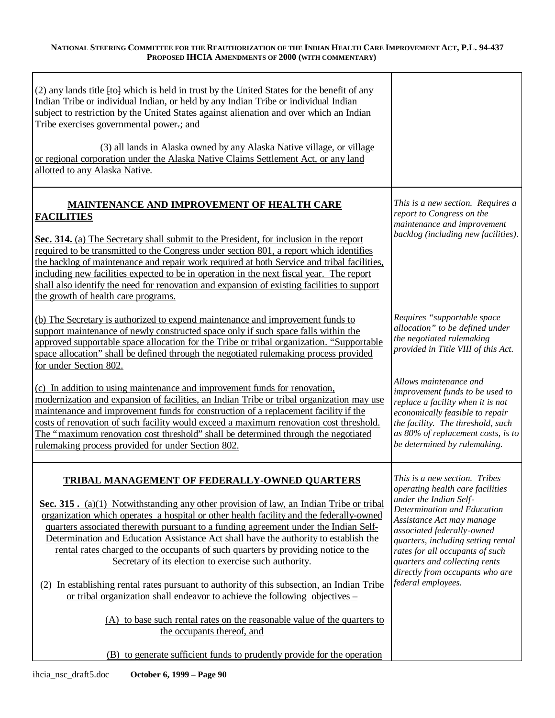| (2) any lands title [to] which is held in trust by the United States for the benefit of any<br>Indian Tribe or individual Indian, or held by any Indian Tribe or individual Indian<br>subject to restriction by the United States against alienation and over which an Indian<br>Tribe exercises governmental power-; and<br>(3) all lands in Alaska owned by any Alaska Native village, or village<br>or regional corporation under the Alaska Native Claims Settlement Act, or any land<br>allotted to any Alaska Native.                                                                                                                                                                                                                                                                                               |                                                                                                                                                                                                                                                                                                                                                          |
|---------------------------------------------------------------------------------------------------------------------------------------------------------------------------------------------------------------------------------------------------------------------------------------------------------------------------------------------------------------------------------------------------------------------------------------------------------------------------------------------------------------------------------------------------------------------------------------------------------------------------------------------------------------------------------------------------------------------------------------------------------------------------------------------------------------------------|----------------------------------------------------------------------------------------------------------------------------------------------------------------------------------------------------------------------------------------------------------------------------------------------------------------------------------------------------------|
| MAINTENANCE AND IMPROVEMENT OF HEALTH CARE<br><b>FACILITIES</b><br>Sec. 314. (a) The Secretary shall submit to the President, for inclusion in the report<br>required to be transmitted to the Congress under section 801, a report which identifies<br>the backlog of maintenance and repair work required at both Service and tribal facilities,<br>including new facilities expected to be in operation in the next fiscal year. The report<br>shall also identify the need for renovation and expansion of existing facilities to support<br>the growth of health care programs.                                                                                                                                                                                                                                      | This is a new section. Requires a<br>report to Congress on the<br>maintenance and improvement<br>backlog (including new facilities).                                                                                                                                                                                                                     |
| (b) The Secretary is authorized to expend maintenance and improvement funds to<br>support maintenance of newly constructed space only if such space falls within the<br>approved supportable space allocation for the Tribe or tribal organization. "Supportable<br>space allocation" shall be defined through the negotiated rulemaking process provided<br>for under Section 802.                                                                                                                                                                                                                                                                                                                                                                                                                                       | Requires "supportable space<br>allocation" to be defined under<br>the negotiated rulemaking<br>provided in Title VIII of this Act.                                                                                                                                                                                                                       |
| (c) In addition to using maintenance and improvement funds for renovation,<br>modernization and expansion of facilities, an Indian Tribe or tribal organization may use<br>maintenance and improvement funds for construction of a replacement facility if the<br>costs of renovation of such facility would exceed a maximum renovation cost threshold.<br>The "maximum renovation cost threshold" shall be determined through the negotiated<br>rulemaking process provided for under Section 802.                                                                                                                                                                                                                                                                                                                      | Allows maintenance and<br>improvement funds to be used to<br>replace a facility when it is not<br>economically feasible to repair<br>the facility. The threshold, such<br>as 80% of replacement costs, is to<br>be determined by rulemaking.                                                                                                             |
| TRIBAL MANAGEMENT OF FEDERALLY-OWNED QUARTERS<br>Sec. 315. (a)(1) Notwithstanding any other provision of law, an Indian Tribe or tribal<br>organization which operates a hospital or other health facility and the federally-owned<br>quarters associated therewith pursuant to a funding agreement under the Indian Self-<br>Determination and Education Assistance Act shall have the authority to establish the<br>rental rates charged to the occupants of such quarters by providing notice to the<br>Secretary of its election to exercise such authority.<br>(2) In establishing rental rates pursuant to authority of this subsection, an Indian Tribe<br>or tribal organization shall endeavor to achieve the following objectives –<br>(A) to base such rental rates on the reasonable value of the quarters to | This is a new section. Tribes<br>operating health care facilities<br>under the Indian Self-<br>Determination and Education<br>Assistance Act may manage<br>associated federally-owned<br>quarters, including setting rental<br>rates for all occupants of such<br>quarters and collecting rents<br>directly from occupants who are<br>federal employees. |
| the occupants thereof, and<br>(B) to generate sufficient funds to prudently provide for the operation                                                                                                                                                                                                                                                                                                                                                                                                                                                                                                                                                                                                                                                                                                                     |                                                                                                                                                                                                                                                                                                                                                          |
|                                                                                                                                                                                                                                                                                                                                                                                                                                                                                                                                                                                                                                                                                                                                                                                                                           |                                                                                                                                                                                                                                                                                                                                                          |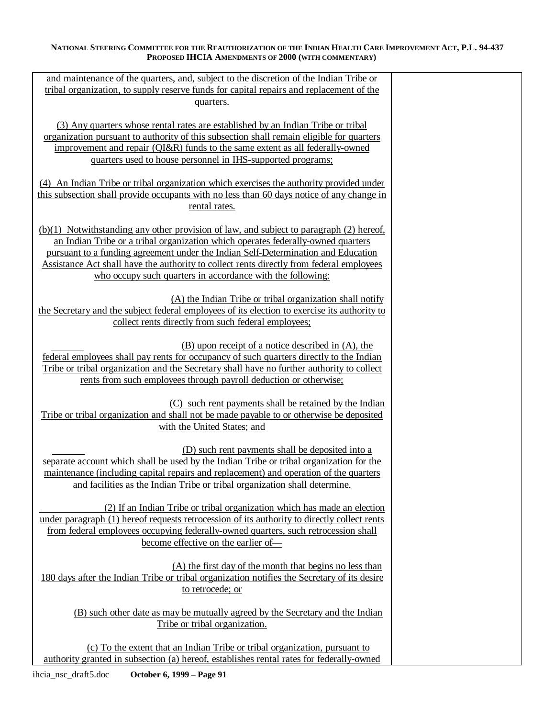| and maintenance of the quarters, and, subject to the discretion of the Indian Tribe or       |  |
|----------------------------------------------------------------------------------------------|--|
| tribal organization, to supply reserve funds for capital repairs and replacement of the      |  |
| quarters.                                                                                    |  |
|                                                                                              |  |
| (3) Any quarters whose rental rates are established by an Indian Tribe or tribal             |  |
| organization pursuant to authority of this subsection shall remain eligible for quarters     |  |
| improvement and repair (QI&R) funds to the same extent as all federally-owned                |  |
| quarters used to house personnel in IHS-supported programs;                                  |  |
|                                                                                              |  |
| (4) An Indian Tribe or tribal organization which exercises the authority provided under      |  |
| this subsection shall provide occupants with no less than 60 days notice of any change in    |  |
| rental rates.                                                                                |  |
|                                                                                              |  |
| (b)(1) Notwithstanding any other provision of law, and subject to paragraph (2) hereof,      |  |
| an Indian Tribe or a tribal organization which operates federally-owned quarters             |  |
| pursuant to a funding agreement under the Indian Self-Determination and Education            |  |
| Assistance Act shall have the authority to collect rents directly from federal employees     |  |
| who occupy such quarters in accordance with the following:                                   |  |
|                                                                                              |  |
| (A) the Indian Tribe or tribal organization shall notify                                     |  |
| the Secretary and the subject federal employees of its election to exercise its authority to |  |
| collect rents directly from such federal employees;                                          |  |
| (B) upon receipt of a notice described in (A), the                                           |  |
| federal employees shall pay rents for occupancy of such quarters directly to the Indian      |  |
| Tribe or tribal organization and the Secretary shall have no further authority to collect    |  |
| rents from such employees through payroll deduction or otherwise;                            |  |
|                                                                                              |  |
| (C) such rent payments shall be retained by the Indian                                       |  |
| Tribe or tribal organization and shall not be made payable to or otherwise be deposited      |  |
| with the United States; and                                                                  |  |
|                                                                                              |  |
| (D) such rent payments shall be deposited into a                                             |  |
| separate account which shall be used by the Indian Tribe or tribal organization for the      |  |
| maintenance (including capital repairs and replacement) and operation of the quarters        |  |
| and facilities as the Indian Tribe or tribal organization shall determine.                   |  |
|                                                                                              |  |
| (2) If an Indian Tribe or tribal organization which has made an election                     |  |
| under paragraph (1) hereof requests retrocession of its authority to directly collect rents  |  |
| from federal employees occupying federally-owned quarters, such retrocession shall           |  |
| become effective on the earlier of-                                                          |  |
|                                                                                              |  |
| (A) the first day of the month that begins no less than                                      |  |
| 180 days after the Indian Tribe or tribal organization notifies the Secretary of its desire  |  |
| to retrocede; or                                                                             |  |
|                                                                                              |  |
| (B) such other date as may be mutually agreed by the Secretary and the Indian                |  |
| Tribe or tribal organization.                                                                |  |
| (c) To the extent that an Indian Tribe or tribal organization, pursuant to                   |  |
| authority granted in subsection (a) hereof, establishes rental rates for federally-owned     |  |
|                                                                                              |  |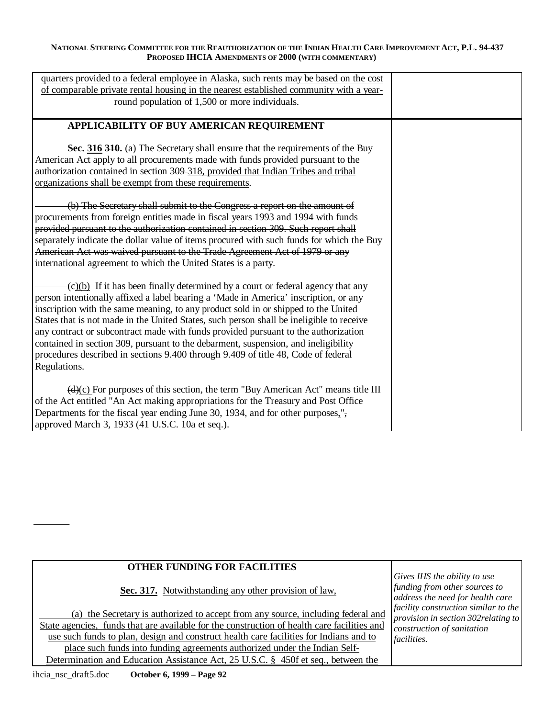| quarters provided to a federal employee in Alaska, such rents may be based on the cost<br>of comparable private rental housing in the nearest established community with a year-<br>round population of 1,500 or more individuals.                                                                                                                                                                                                                                                                                                                                                                                                                     |  |
|--------------------------------------------------------------------------------------------------------------------------------------------------------------------------------------------------------------------------------------------------------------------------------------------------------------------------------------------------------------------------------------------------------------------------------------------------------------------------------------------------------------------------------------------------------------------------------------------------------------------------------------------------------|--|
| APPLICABILITY OF BUY AMERICAN REQUIREMENT                                                                                                                                                                                                                                                                                                                                                                                                                                                                                                                                                                                                              |  |
| Sec. 316 310. (a) The Secretary shall ensure that the requirements of the Buy<br>American Act apply to all procurements made with funds provided pursuant to the<br>authorization contained in section 309-318, provided that Indian Tribes and tribal<br>organizations shall be exempt from these requirements.                                                                                                                                                                                                                                                                                                                                       |  |
| (b) The Secretary shall submit to the Congress a report on the amount of<br>procurements from foreign entities made in fiscal years 1993 and 1994 with funds<br>provided pursuant to the authorization contained in section 309. Such report shall<br>separately indicate the dollar value of items procured with such funds for which the Buy<br>American Act was waived pursuant to the Trade Agreement Act of 1979 or any<br>international agreement to which the United States is a party.                                                                                                                                                         |  |
| $\overline{(e)(b)}$ If it has been finally determined by a court or federal agency that any<br>person intentionally affixed a label bearing a 'Made in America' inscription, or any<br>inscription with the same meaning, to any product sold in or shipped to the United<br>States that is not made in the United States, such person shall be ineligible to receive<br>any contract or subcontract made with funds provided pursuant to the authorization<br>contained in section 309, pursuant to the debarment, suspension, and ineligibility<br>procedures described in sections 9.400 through 9.409 of title 48, Code of federal<br>Regulations. |  |
| $\left(\frac{d}{c}\right)$ For purposes of this section, the term "Buy American Act" means title III<br>of the Act entitled "An Act making appropriations for the Treasury and Post Office<br>Departments for the fiscal year ending June 30, 1934, and for other purposes,",<br>approved March 3, 1933 (41 U.S.C. 10a et seq.).                                                                                                                                                                                                                                                                                                                       |  |

# **OTHER FUNDING FOR FACILITIES**

**Sec. 317.** Notwithstanding any other provision of law,

(a) the Secretary is authorized to accept from any source, including federal and State agencies, funds that are available for the construction of health care facilities and use such funds to plan, design and construct health care facilities for Indians and to place such funds into funding agreements authorized under the Indian Self-Determination and Education Assistance Act, 25 U.S.C. § 450f et seq., between the

*Gives IHS the ability to use funding from other sources to address the need for health care facility construction similar to the provision in section 302relating to construction of sanitation facilities.*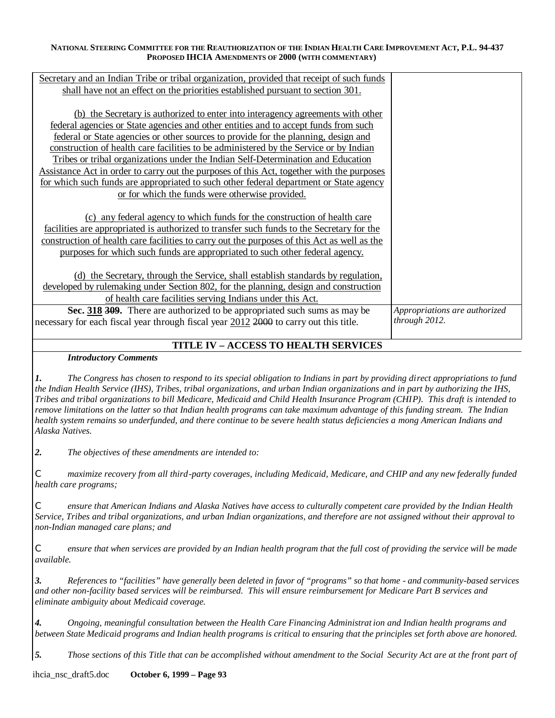| Secretary and an Indian Tribe or tribal organization, provided that receipt of such funds<br>shall have not an effect on the priorities established pursuant to section 301.             |                               |
|------------------------------------------------------------------------------------------------------------------------------------------------------------------------------------------|-------------------------------|
| (b) the Secretary is authorized to enter into interagency agreements with other                                                                                                          |                               |
| <u>federal agencies or State agencies and other entities and to accept funds from such</u><br>federal or State agencies or other sources to provide for the planning, design and         |                               |
| construction of health care facilities to be administered by the Service or by Indian<br>Tribes or tribal organizations under the Indian Self-Determination and Education                |                               |
| Assistance Act in order to carry out the purposes of this Act, together with the purposes<br>for which such funds are appropriated to such other federal department or State agency      |                               |
| or for which the funds were otherwise provided.                                                                                                                                          |                               |
| (c) any federal agency to which funds for the construction of health care                                                                                                                |                               |
| facilities are appropriated is authorized to transfer such funds to the Secretary for the<br>construction of health care facilities to carry out the purposes of this Act as well as the |                               |
| purposes for which such funds are appropriated to such other federal agency.                                                                                                             |                               |
| (d) the Secretary, through the Service, shall establish standards by regulation,<br>developed by rulemaking under Section 802, for the planning, design and construction                 |                               |
| of health care facilities serving Indians under this Act.<br>Sec. 318 309. There are authorized to be appropriated such sums as may be                                                   | Appropriations are authorized |
| necessary for each fiscal year through fiscal year 2012 2000 to carry out this title.                                                                                                    | through 2012.                 |

# **TITLE IV – ACCESS TO HEALTH SERVICES**

# *Introductory Comments*

*1. The Congress has chosen to respond to its special obligation to Indians in part by providing direct appropriations to fund the Indian Health Service (IHS), Tribes, tribal organizations, and urban Indian organizations and in part by authorizing the IHS, Tribes and tribal organizations to bill Medicare, Medicaid and Child Health Insurance Program (CHIP). This draft is intended to remove limitations on the latter so that Indian health programs can take maximum advantage of this funding stream. The Indian health system remains so underfunded, and there continue to be severe health status deficiencies a mong American Indians and Alaska Natives.* 

*2. The objectives of these amendments are intended to:* 

*C maximize recovery from all third-party coverages, including Medicaid, Medicare, and CHIP and any new federally funded health care programs;* 

*C ensure that American Indians and Alaska Natives have access to culturally competent care provided by the Indian Health Service, Tribes and tribal organizations, and urban Indian organizations, and therefore are not assigned without their approval to non-Indian managed care plans; and* 

*C ensure that when services are provided by an Indian health program that the full cost of providing the service will be made available.* 

*3. References to "facilities" have generally been deleted in favor of "programs" so that home - and community-based services and other non-facility based services will be reimbursed. This will ensure reimbursement for Medicare Part B services and eliminate ambiguity about Medicaid coverage.* 

*4. Ongoing, meaningful consultation between the Health Care Financing Administrat ion and Indian health programs and between State Medicaid programs and Indian health programs is critical to ensuring that the principles set forth above are honored.* 

*5. Those sections of this Title that can be accomplished without amendment to the Social Security Act are at the front part of* 

ihcia\_nsc\_draft5.doc **October 6, 1999 – Page 93**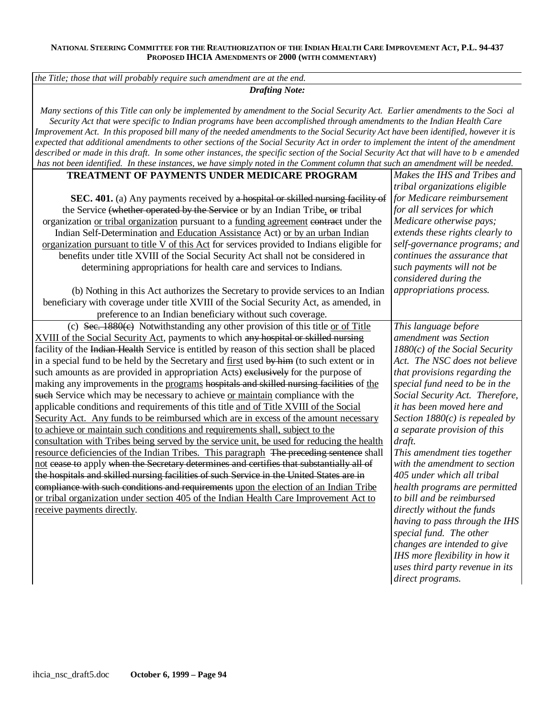*the Title; those that will probably require such amendment are at the end.* 

*Drafting Note:* 

*Many sections of this Title can only be implemented by amendment to the Social Security Act. Earlier amendments to the Soci al Security Act that were specific to Indian programs have been accomplished through amendments to the Indian Health Care Improvement Act. In this proposed bill many of the needed amendments to the Social Security Act have been identified, however it is expected that additional amendments to other sections of the Social Security Act in order to implement the intent of the amendment described or made in this draft. In some other instances, the specific section of the Social Security Act that will have to b e amended has not been identified. In these instances, we have simply noted in the Comment column that such an amendment will be needed.* 

# **TREATMENT OF PAYMENTS UNDER MEDICARE PROGRAM**

| <b>TREATMENT OF PAYMENTS UNDER MEDICARE PROGRAM</b>                                         | Makes the IHS and Tribes and     |
|---------------------------------------------------------------------------------------------|----------------------------------|
|                                                                                             | tribal organizations eligible    |
| SEC. 401. (a) Any payments received by a hospital or skilled nursing facility of            | for Medicare reimbursement       |
| the Service (whether operated by the Service or by an Indian Tribe, or tribal               | for all services for which       |
| organization or tribal organization pursuant to a funding agreement contract under the      | Medicare otherwise pays;         |
| Indian Self-Determination and Education Assistance Act) or by an urban Indian               | extends these rights clearly to  |
| organization pursuant to title V of this Act for services provided to Indians eligible for  | self-governance programs; and    |
| benefits under title XVIII of the Social Security Act shall not be considered in            | continues the assurance that     |
| determining appropriations for health care and services to Indians.                         | such payments will not be        |
|                                                                                             | considered during the            |
| (b) Nothing in this Act authorizes the Secretary to provide services to an Indian           | appropriations process.          |
| beneficiary with coverage under title XVIII of the Social Security Act, as amended, in      |                                  |
| preference to an Indian beneficiary without such coverage.                                  |                                  |
| (c) Sec. $1880(e)$ Notwithstanding any other provision of this title or of Title            | This language before             |
| XVIII of the Social Security Act, payments to which any hospital or skilled nursing         | amendment was Section            |
| facility of the Indian Health Service is entitled by reason of this section shall be placed | $1880(c)$ of the Social Security |
| in a special fund to be held by the Secretary and first used by him (to such extent or in   | Act. The NSC does not believe    |
| such amounts as are provided in appropriation Acts) exclusively for the purpose of          | that provisions regarding the    |
| making any improvements in the programs hospitals and skilled nursing facilities of the     | special fund need to be in the   |
| such Service which may be necessary to achieve or maintain compliance with the              | Social Security Act. Therefore,  |
| applicable conditions and requirements of this title and of Title XVIII of the Social       | it has been moved here and       |
| Security Act. Any funds to be reimbursed which are in excess of the amount necessary        | Section $1880(c)$ is repealed by |
| to achieve or maintain such conditions and requirements shall, subject to the               | a separate provision of this     |
| consultation with Tribes being served by the service unit, be used for reducing the health  | draft.                           |
| resource deficiencies of the Indian Tribes. This paragraph The preceding sentence shall     | This amendment ties together     |
| not cease to apply when the Secretary determines and certifies that substantially all of    | with the amendment to section    |
| the hospitals and skilled nursing facilities of such Service in the United States are in    | 405 under which all tribal       |
| compliance with such conditions and requirements upon the election of an Indian Tribe       | health programs are permitted    |
| or tribal organization under section 405 of the Indian Health Care Improvement Act to       | to bill and be reimbursed        |
| receive payments directly.                                                                  | directly without the funds       |
|                                                                                             | having to pass through the IHS   |
|                                                                                             | special fund. The other          |
|                                                                                             | changes are intended to give     |
|                                                                                             | IHS more flexibility in how it   |
|                                                                                             | uses third party revenue in its  |
|                                                                                             | direct programs.                 |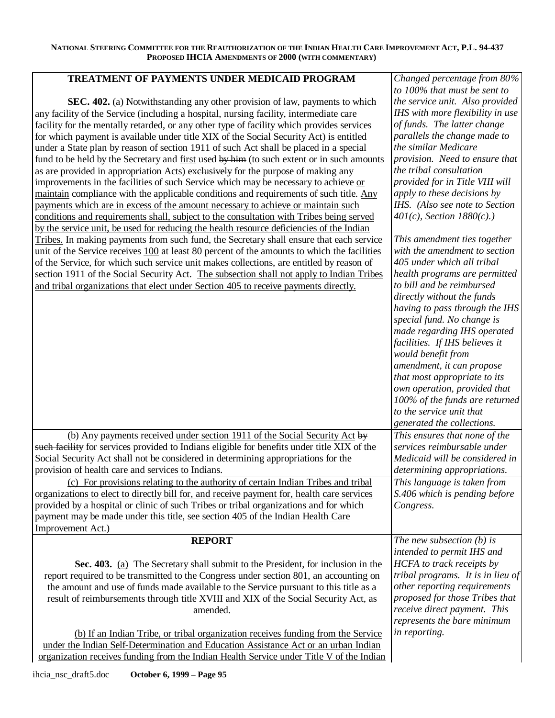# **TREATMENT OF PAYMENTS UNDER MEDICAID PROGRAM**

**SEC. 402.** (a) Notwithstanding any other provision of law, payments to which any facility of the Service (including a hospital, nursing facility, intermediate care facility for the mentally retarded, or any other type of facility which provides services for which payment is available under title XIX of the Social Security Act) is entitled under a State plan by reason of section 1911 of such Act shall be placed in a special fund to be held by the Secretary and first used by him (to such extent or in such amounts as are provided in appropriation Acts) exclusively for the purpose of making any improvements in the facilities of such Service which may be necessary to achieve or maintain compliance with the applicable conditions and requirements of such title. Any payments which are in excess of the amount necessary to achieve or maintain such conditions and requirements shall, subject to the consultation with Tribes being served by the service unit, be used for reducing the health resource deficiencies of the Indian Tribes. In making payments from such fund, the Secretary shall ensure that each service unit of the Service receives 100 at least 80 percent of the amounts to which the facilities of the Service, for which such service unit makes collections, are entitled by reason of section 1911 of the Social Security Act. The subsection shall not apply to Indian Tribes and tribal organizations that elect under Section 405 to receive payments directly.

*Changed percentage from 80% to 100% that must be sent to the service unit. Also provided IHS with more flexibility in use of funds. The latter change parallels the change made to the similar Medicare provision. Need to ensure that the tribal consultation provided for in Title VIII will apply to these decisions by IHS. (Also see note to Section 401(c), Section 1880(c).)* 

*This amendment ties together with the amendment to section 405 under which all tribal health programs are permitted to bill and be reimbursed directly without the funds having to pass through the IHS special fund. No change is made regarding IHS operated facilities. If IHS believes it would benefit from amendment, it can propose that most appropriate to its own operation, provided that 100% of the funds are returned to the service unit that generated the collections. This ensures that none of the services reimbursable under Medicaid will be considered in determining appropriations. This language is taken from S.406 which is pending before Congress. The new subsection (b) is intended to permit IHS and HCFA to track receipts by tribal programs. It is in lieu of other reporting requirements* 

*proposed for those Tribes that receive direct payment. This represents the bare minimum* 

*in reporting.* 

amended. (b) If an Indian Tribe, or tribal organization receives funding from the Service under the Indian Self-Determination and Education Assistance Act or an urban Indian

(b) Any payments received under section 1911 of the Social Security Act  $b$ such facility for services provided to Indians eligible for benefits under title XIX of the Social Security Act shall not be considered in determining appropriations for the

(c) For provisions relating to the authority of certain Indian Tribes and tribal

organizations to elect to directly bill for, and receive payment for, health care services provided by a hospital or clinic of such Tribes or tribal organizations and for which payment may be made under this title, see section 405 of the Indian Health Care

**REPORT** 

report required to be transmitted to the Congress under section 801, an accounting on the amount and use of funds made available to the Service pursuant to this title as a result of reimbursements through title XVIII and XIX of the Social Security Act, as

**Sec. 403.** (a) The Secretary shall submit to the President, for inclusion in the

organization receives funding from the Indian Health Service under Title V of the Indian

provision of health care and services to Indians.

Improvement Act.)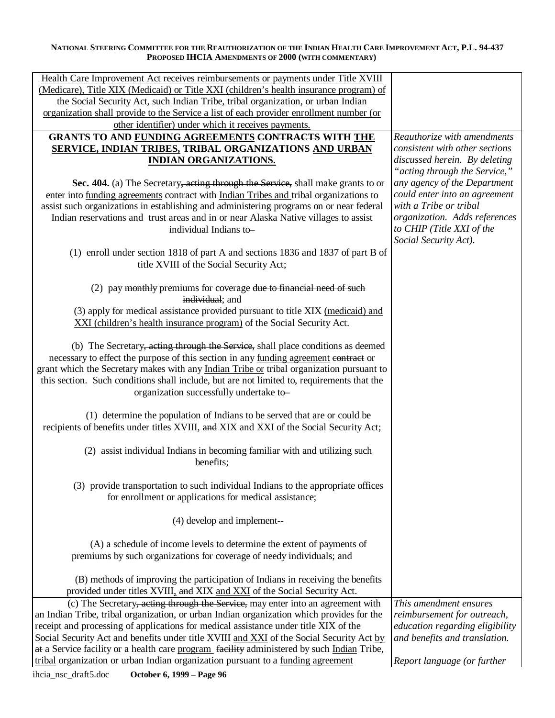| Health Care Improvement Act receives reimbursements or payments under Title XVIII                                                                                                |                                                         |
|----------------------------------------------------------------------------------------------------------------------------------------------------------------------------------|---------------------------------------------------------|
| (Medicare), Title XIX (Medicaid) or Title XXI (children's health insurance program) of                                                                                           |                                                         |
| the Social Security Act, such Indian Tribe, tribal organization, or urban Indian                                                                                                 |                                                         |
| organization shall provide to the Service a list of each provider enrollment number (or                                                                                          |                                                         |
| other identifier) under which it receives payments.                                                                                                                              |                                                         |
| <b>GRANTS TO AND FUNDING AGREEMENTS CONTRACTS WITH THE</b>                                                                                                                       | Reauthorize with amendments                             |
| SERVICE, INDIAN TRIBES, TRIBAL ORGANIZATIONS AND URBAN                                                                                                                           | consistent with other sections                          |
| <b>INDIAN ORGANIZATIONS.</b>                                                                                                                                                     | discussed herein. By deleting                           |
|                                                                                                                                                                                  | "acting through the Service,"                           |
| Sec. 404. (a) The Secretary, acting through the Service, shall make grants to or                                                                                                 | any agency of the Department                            |
| enter into funding agreements contract with Indian Tribes and tribal organizations to<br>assist such organizations in establishing and administering programs on or near federal | could enter into an agreement<br>with a Tribe or tribal |
| Indian reservations and trust areas and in or near Alaska Native villages to assist                                                                                              | organization. Adds references                           |
| individual Indians to-                                                                                                                                                           | to CHIP (Title XXI of the                               |
|                                                                                                                                                                                  | Social Security Act).                                   |
| (1) enroll under section 1818 of part A and sections 1836 and 1837 of part B of                                                                                                  |                                                         |
| title XVIII of the Social Security Act;                                                                                                                                          |                                                         |
|                                                                                                                                                                                  |                                                         |
| (2) pay monthly premiums for coverage due to financial need of such                                                                                                              |                                                         |
| individual; and                                                                                                                                                                  |                                                         |
| (3) apply for medical assistance provided pursuant to title XIX (medicaid) and                                                                                                   |                                                         |
| XXI (children's health insurance program) of the Social Security Act.                                                                                                            |                                                         |
|                                                                                                                                                                                  |                                                         |
| (b) The Secretary, acting through the Service, shall place conditions as deemed                                                                                                  |                                                         |
| necessary to effect the purpose of this section in any funding agreement contract or                                                                                             |                                                         |
| grant which the Secretary makes with any Indian Tribe or tribal organization pursuant to                                                                                         |                                                         |
| this section. Such conditions shall include, but are not limited to, requirements that the                                                                                       |                                                         |
| organization successfully undertake to-                                                                                                                                          |                                                         |
| (1) determine the population of Indians to be served that are or could be                                                                                                        |                                                         |
| recipients of benefits under titles XVIII, and XIX and XXI of the Social Security Act;                                                                                           |                                                         |
|                                                                                                                                                                                  |                                                         |
| (2) assist individual Indians in becoming familiar with and utilizing such                                                                                                       |                                                         |
| benefits;                                                                                                                                                                        |                                                         |
|                                                                                                                                                                                  |                                                         |
| (3) provide transportation to such individual Indians to the appropriate offices                                                                                                 |                                                         |
| for enrollment or applications for medical assistance;                                                                                                                           |                                                         |
|                                                                                                                                                                                  |                                                         |
| (4) develop and implement--                                                                                                                                                      |                                                         |
| (A) a schedule of income levels to determine the extent of payments of                                                                                                           |                                                         |
| premiums by such organizations for coverage of needy individuals; and                                                                                                            |                                                         |
|                                                                                                                                                                                  |                                                         |
| (B) methods of improving the participation of Indians in receiving the benefits                                                                                                  |                                                         |
| provided under titles XVIII, and XIX and XXI of the Social Security Act.                                                                                                         |                                                         |
| (c) The Secretary, acting through the Service, may enter into an agreement with                                                                                                  | This amendment ensures                                  |
| an Indian Tribe, tribal organization, or urban Indian organization which provides for the                                                                                        | reimbursement for outreach,                             |
| receipt and processing of applications for medical assistance under title XIX of the                                                                                             | education regarding eligibility                         |
| Social Security Act and benefits under title XVIII and XXI of the Social Security Act by                                                                                         | and benefits and translation.                           |
| at a Service facility or a health care program facility administered by such Indian Tribe,                                                                                       |                                                         |
| tribal organization or urban Indian organization pursuant to a funding agreement                                                                                                 | Report language (or further                             |
| ihcia_nsc_draft5.doc<br>October 6, 1999 - Page 96                                                                                                                                |                                                         |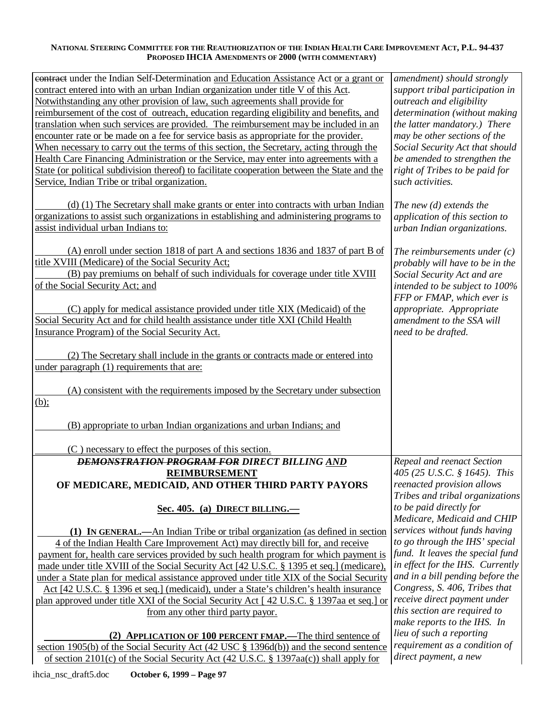| contract under the Indian Self-Determination and Education Assistance Act or a grant or      | amendment) should strongly                         |
|----------------------------------------------------------------------------------------------|----------------------------------------------------|
| contract entered into with an urban Indian organization under title V of this Act.           | support tribal participation in                    |
| Notwithstanding any other provision of law, such agreements shall provide for                | outreach and eligibility                           |
| reimbursement of the cost of outreach, education regarding eligibility and benefits, and     | determination (without making                      |
| translation when such services are provided. The reimbursement may be included in an         | the latter mandatory.) There                       |
| encounter rate or be made on a fee for service basis as appropriate for the provider.        | may be other sections of the                       |
| When necessary to carry out the terms of this section, the Secretary, acting through the     | Social Security Act that should                    |
| Health Care Financing Administration or the Service, may enter into agreements with a        | be amended to strengthen the                       |
| State (or political subdivision thereof) to facilitate cooperation between the State and the |                                                    |
|                                                                                              | right of Tribes to be paid for<br>such activities. |
| Service, Indian Tribe or tribal organization.                                                |                                                    |
|                                                                                              |                                                    |
| (d) (1) The Secretary shall make grants or enter into contracts with urban Indian            | The new $(d)$ extends the                          |
| organizations to assist such organizations in establishing and administering programs to     | application of this section to                     |
| assist individual urban Indians to:                                                          | urban Indian organizations.                        |
|                                                                                              |                                                    |
| (A) enroll under section 1818 of part A and sections 1836 and 1837 of part B of              | The reimbursements under $(c)$                     |
| title XVIII (Medicare) of the Social Security Act;                                           | probably will have to be in the                    |
| (B) pay premiums on behalf of such individuals for coverage under title XVIII                | Social Security Act and are                        |
| of the Social Security Act; and                                                              | intended to be subject to 100%                     |
|                                                                                              | FFP or FMAP, which ever is                         |
| (C) apply for medical assistance provided under title XIX (Medicaid) of the                  | appropriate. Appropriate                           |
| Social Security Act and for child health assistance under title XXI (Child Health            | amendment to the SSA will                          |
| Insurance Program) of the Social Security Act.                                               |                                                    |
|                                                                                              | need to be drafted.                                |
|                                                                                              |                                                    |
| (2) The Secretary shall include in the grants or contracts made or entered into              |                                                    |
| under paragraph (1) requirements that are:                                                   |                                                    |
|                                                                                              |                                                    |
| (A) consistent with the requirements imposed by the Secretary under subsection               |                                                    |
| $(b)$ ;                                                                                      |                                                    |
|                                                                                              |                                                    |
| (B) appropriate to urban Indian organizations and urban Indians; and                         |                                                    |
|                                                                                              |                                                    |
| (C) necessary to effect the purposes of this section.                                        |                                                    |
| <b>DEMONSTRATION PROGRAM FOR DIRECT BILLING AND</b>                                          | Repeal and reenact Section                         |
| <b>REIMBURSEMENT</b>                                                                         | 405 (25 U.S.C. § 1645). This                       |
| OF MEDICARE, MEDICAID, AND OTHER THIRD PARTY PAYORS                                          | reenacted provision allows                         |
|                                                                                              | Tribes and tribal organizations                    |
| Sec. 405. (a) DIRECT BILLING.                                                                | to be paid directly for                            |
|                                                                                              | Medicare, Medicaid and CHIP                        |
|                                                                                              | services without funds having                      |
| (1) IN GENERAL.—An Indian Tribe or tribal organization (as defined in section                | to go through the IHS' special                     |
| 4 of the Indian Health Care Improvement Act) may directly bill for, and receive              |                                                    |
| payment for, health care services provided by such health program for which payment is       | fund. It leaves the special fund                   |
| made under title XVIII of the Social Security Act [42 U.S.C. § 1395 et seq.] (medicare),     | in effect for the IHS. Currently                   |
| under a State plan for medical assistance approved under title XIX of the Social Security    | and in a bill pending before the                   |
| Act [42 U.S.C. § 1396 et seq.] (medicaid), under a State's children's health insurance       | Congress, S. 406, Tribes that                      |
| plan approved under title XXI of the Social Security Act [42 U.S.C. § 1397aa et seq.] or     | receive direct payment under                       |
| from any other third party payor.                                                            | this section are required to                       |
|                                                                                              | make reports to the IHS. In                        |
| (2) APPLICATION OF 100 PERCENT FMAP.—The third sentence of                                   | lieu of such a reporting                           |
| section 1905(b) of the Social Security Act (42 USC $\S$ 1396d(b)) and the second sentence    | requirement as a condition of                      |
| of section 2101(c) of the Social Security Act (42 U.S.C. § 1397aa(c)) shall apply for        | direct payment, a new                              |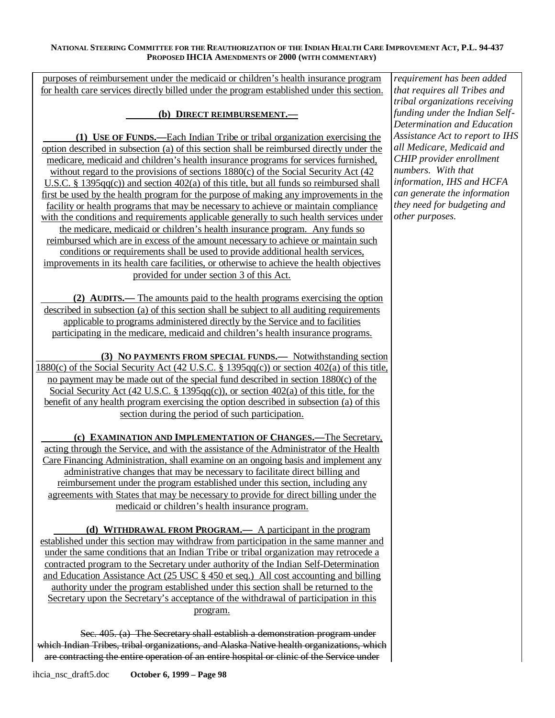purposes of reimbursement under the medicaid or children's health insurance program for health care services directly billed under the program established under this section.

# **(b) DIRECT REIMBURSEMENT.—**

**(1) USE OF FUNDS.—** Each Indian Tribe or tribal organization exercising the option described in subsection (a) of this section shall be reimbursed directly under the medicare, medicaid and children's health insurance programs for services furnished, without regard to the provisions of sections 1880(c) of the Social Security Act (42) U.S.C. § 1395qq(c)) and section 402(a) of this title, but all funds so reimbursed shall first be used by the health program for the purpose of making any improvements in the facility or health programs that may be necessary to achieve or maintain compliance with the conditions and requirements applicable generally to such health services under the medicare, medicaid or children's health insurance program. Any funds so reimbursed which are in excess of the amount necessary to achieve or maintain such conditions or requirements shall be used to provide additional health services, improvements in its health care facilities, or otherwise to achieve the health objectives provided for under section 3 of this Act.

**(2) AUDITS.—** The amounts paid to the health programs exercising the option described in subsection (a) of this section shall be subject to all auditing requirements applicable to programs administered directly by the Service and to facilities participating in the medicare, medicaid and children's health insurance programs.

**(3) NO PAYMENTS FROM SPECIAL FUNDS.—** Notwithstanding section 1880(c) of the Social Security Act (42 U.S.C. § 1395qq(c)) or section 402(a) of this title, no payment may be made out of the special fund described in section 1880(c) of the Social Security Act (42 U.S.C. § 1395qq(c)), or section 402(a) of this title, for the benefit of any health program exercising the option described in subsection (a) of this section during the period of such participation.

**(c) EXAMINATION AND IMPLEMENTATION OF CHANGES.—** The Secretary, acting through the Service, and with the assistance of the Administrator of the Health Care Financing Administration, shall examine on an ongoing basis and implement any administrative changes that may be necessary to facilitate direct billing and reimbursement under the program established under this section, including any agreements with States that may be necessary to provide for direct billing under the medicaid or children's health insurance program.

**(d) WITHDRAWAL FROM PROGRAM.—** A participant in the program established under this section may withdraw from participation in the same manner and under the same conditions that an Indian Tribe or tribal organization may retrocede a contracted program to the Secretary under authority of the Indian Self-Determination and Education Assistance Act (25 USC § 450 et seq.) All cost accounting and billing authority under the program established under this section shall be returned to the Secretary upon the Secretary's acceptance of the withdrawal of participation in this program.

Sec. 405. (a) The Secretary shall establish a demonstration program under which Indian Tribes, tribal organizations, and Alaska Native health organizations, which are contracting the entire operation of an entire hospital or clinic of the Service under

*tribal organizations receiving funding under the Indian Self-Determination and Education Assistance Act to report to IHS all Medicare, Medicaid and CHIP provider enrollment numbers. With that information, IHS and HCFA can generate the information they need for budgeting and other purposes.* 

*requirement has been added that requires all Tribes and*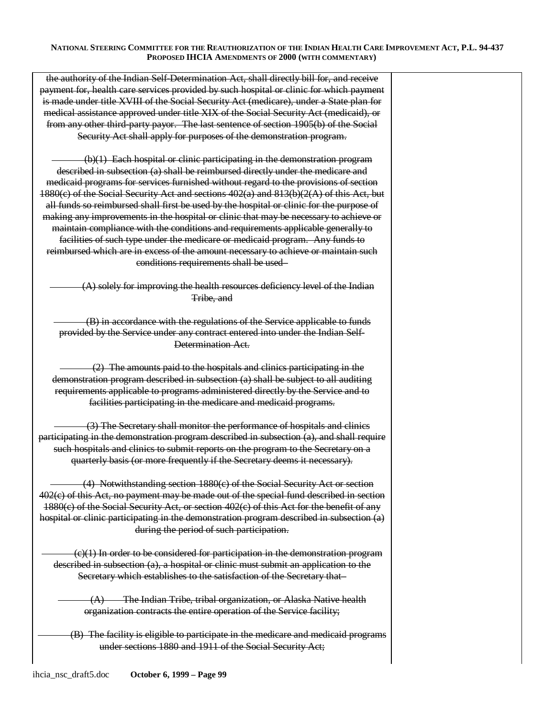the authority of the Indian Self-Determination Act, shall directly bill for, and receive payment for, health care services provided by such hospital or clinic for which payment is made under title XVIII of the Social Security Act (medicare), under a State plan for medical assistance approved under title XIX of the Social Security Act (medicaid), or from any other third-party payor. The last sentence of section 1905(b) of the Social Security Act shall apply for purposes of the demonstration program.

(b)(1) Each hospital or clinic participating in the demonstration program described in subsection (a) shall be reimbursed directly under the medicare and medicaid programs for services furnished without regard to the provisions of section  $1880(c)$  of the Social Security Act and sections  $402(a)$  and  $813(b)(2(A))$  of this Act, but all funds so reimbursed shall first be used by the hospital or clinic for the purpose of making any improvements in the hospital or clinic that may be necessary to achieve or maintain compliance with the conditions and requirements applicable generally to facilities of such type under the medicare or medicaid program. Any funds to reimbursed which are in excess of the amount necessary to achieve or maintain such conditions requirements shall be used–

(A) solely for improving the health resources deficiency level of the Indian Tribe, and

(B) in accordance with the regulations of the Service applicable to funds provided by the Service under any contract entered into under the Indian Self-Determination Act.

(2) The amounts paid to the hospitals and clinics participating in the demonstration program described in subsection (a) shall be subject to all auditing requirements applicable to programs administered directly by the Service and to facilities participating in the medicare and medicaid programs.

(3) The Secretary shall monitor the performance of hospitals and clinics participating in the demonstration program described in subsection (a), and shall require such hospitals and clinics to submit reports on the program to the Secretary on a quarterly basis (or more frequently if the Secretary deems it necessary).

(4) Notwithstanding section 1880(c) of the Social Security Act or section 402(c) of this Act, no payment may be made out of the special fund described in section 1880(c) of the Social Security Act, or section 402(c) of this Act for the benefit of any hospital or clinic participating in the demonstration program described in subsection (a) during the period of such participation.

(c)(1) In order to be considered for participation in the demonstration program described in subsection (a), a hospital or clinic must submit an application to the Secretary which establishes to the satisfaction of the Secretary that–

(A) The Indian Tribe, tribal organization, or Alaska Native health organization contracts the entire operation of the Service facility;

(B) The facility is eligible to participate in the medicare and medicaid programs under sections 1880 and 1911 of the Social Security Act;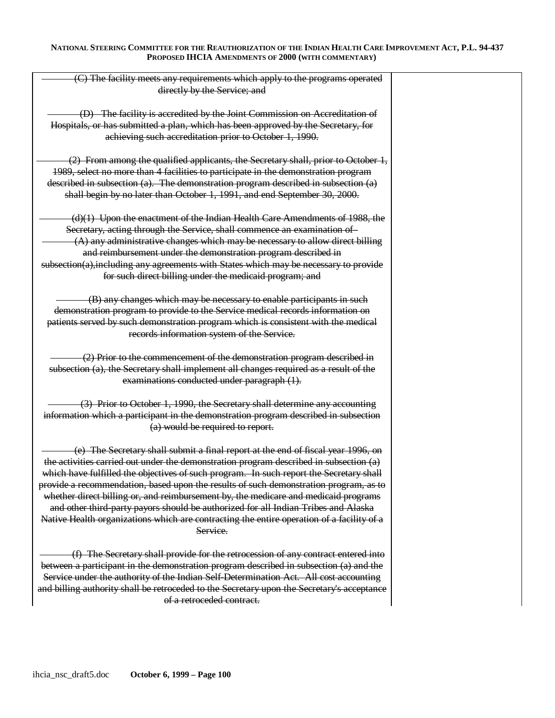| (C) The facility meets any requirements which apply to the programs operated               |  |
|--------------------------------------------------------------------------------------------|--|
| directly by the Service; and                                                               |  |
|                                                                                            |  |
| (D) The facility is accredited by the Joint Commission on Accreditation of                 |  |
|                                                                                            |  |
| Hospitals, or has submitted a plan, which has been approved by the Secretary, for          |  |
| achieving such accreditation prior to October 1, 1990.                                     |  |
|                                                                                            |  |
| (2) From among the qualified applicants, the Secretary shall, prior to October 1,          |  |
|                                                                                            |  |
| 1989, select no more than 4 facilities to participate in the demonstration program         |  |
| described in subsection (a). The demonstration program described in subsection (a)         |  |
| shall begin by no later than October 1, 1991, and end September 30, 2000.                  |  |
|                                                                                            |  |
| $(d)(1)$ Upon the enactment of the Indian Health Care Amendments of 1988, the              |  |
|                                                                                            |  |
| Secretary, acting through the Service, shall commence an examination of-                   |  |
| $(A)$ any administrative changes which may be necessary to allow direct billing            |  |
| and reimbursement under the demonstration program described in                             |  |
| subsection(a), including any agreements with States which may be necessary to provide      |  |
| for such direct billing under the medicaid program; and                                    |  |
|                                                                                            |  |
|                                                                                            |  |
| (B) any changes which may be necessary to enable participants in such                      |  |
| demonstration program to provide to the Service medical records information on             |  |
| patients served by such demonstration program which is consistent with the medical         |  |
| records information system of the Service.                                                 |  |
|                                                                                            |  |
|                                                                                            |  |
| (2) Prior to the commencement of the demonstration program described in                    |  |
| subsection (a), the Secretary shall implement all changes required as a result of the      |  |
| examinations conducted under paragraph (1).                                                |  |
|                                                                                            |  |
| (3) Prior to October 1, 1990, the Secretary shall determine any accounting                 |  |
| information which a participant in the demonstration program described in subsection       |  |
|                                                                                            |  |
| (a) would be required to report.                                                           |  |
|                                                                                            |  |
| (e) The Secretary shall submit a final report at the end of fiscal year 1996, on           |  |
| the activities carried out under the demonstration program described in subsection (a)     |  |
| which have fulfilled the objectives of such program. In such report the Secretary shall    |  |
|                                                                                            |  |
| provide a recommendation, based upon the results of such demonstration program, as to      |  |
| whether direct billing or, and reimbursement by, the medicare and medicaid programs        |  |
| and other third-party payors should be authorized for all Indian Tribes and Alaska         |  |
| Native Health organizations which are contracting the entire operation of a facility of a  |  |
| Service.                                                                                   |  |
|                                                                                            |  |
|                                                                                            |  |
| (f) The Secretary shall provide for the retrocession of any contract entered into          |  |
| between a participant in the demonstration program described in subsection (a) and the     |  |
| Service under the authority of the Indian Self-Determination Act. All cost accounting      |  |
| and billing authority shall be retroceded to the Secretary upon the Secretary's acceptance |  |
|                                                                                            |  |
| of a retroceded contract.                                                                  |  |
|                                                                                            |  |
|                                                                                            |  |
|                                                                                            |  |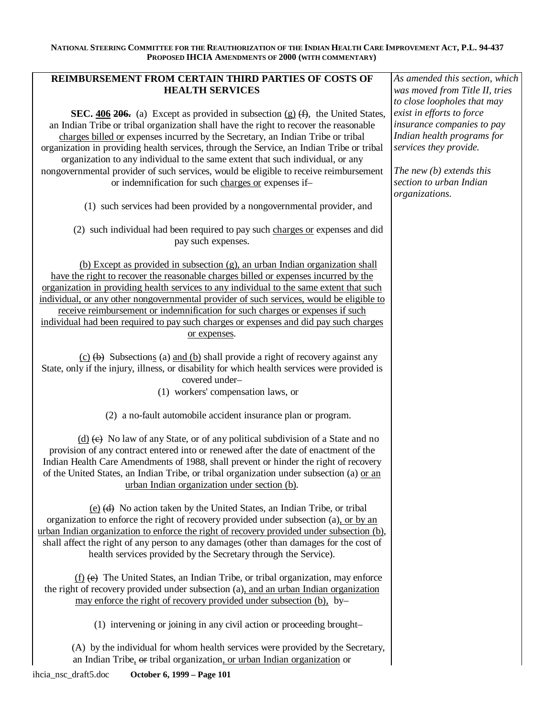# **REIMBURSEMENT FROM CERTAIN THIRD PARTIES OF COSTS OF HEALTH SERVICES**

**SEC.**  $\frac{406}{206}$  (a) Except as provided in subsection  $(g)$   $(f)$ , the United States, an Indian Tribe or tribal organization shall have the right to recover the reasonable charges billed or expenses incurred by the Secretary, an Indian Tribe or tribal organization in providing health services, through the Service, an Indian Tribe or tribal organization to any individual to the same extent that such individual, or any nongovernmental provider of such services, would be eligible to receive reimbursement or indemnification for such charges or expenses if–

(1) such services had been provided by a nongovernmental provider, and

(2) such individual had been required to pay such charges or expenses and did pay such expenses.

(b) Except as provided in subsection (g), an urban Indian organization shall have the right to recover the reasonable charges billed or expenses incurred by the organization in providing health services to any individual to the same extent that such individual, or any other nongovernmental provider of such services, would be eligible to receive reimbursement or indemnification for such charges or expenses if such individual had been required to pay such charges or expenses and did pay such charges or expenses.

 $(c)$  (b) Subsections (a) and (b) shall provide a right of recovery against any State, only if the injury, illness, or disability for which health services were provided is covered under–

(1) workers' compensation laws, or

(2) a no-fault automobile accident insurance plan or program.

 $(d)$   $(e)$  No law of any State, or of any political subdivision of a State and no provision of any contract entered into or renewed after the date of enactment of the Indian Health Care Amendments of 1988, shall prevent or hinder the right of recovery of the United States, an Indian Tribe, or tribal organization under subsection (a) or an urban Indian organization under section (b).

(e) (d) No action taken by the United States, an Indian Tribe, or tribal organization to enforce the right of recovery provided under subsection (a), or by an urban Indian organization to enforce the right of recovery provided under subsection (b), shall affect the right of any person to any damages (other than damages for the cost of health services provided by the Secretary through the Service).

(f) (e) The United States, an Indian Tribe, or tribal organization, may enforce the right of recovery provided under subsection (a), and an urban Indian organization may enforce the right of recovery provided under subsection (b), by–

(1) intervening or joining in any civil action or proceeding brought–

(A) by the individual for whom health services were provided by the Secretary, an Indian Tribe, or tribal organization, or urban Indian organization or

*As amended this section, which was moved from Title II, tries to close loopholes that may exist in efforts to force insurance companies to pay Indian health programs for services they provide.* 

*The new (b) extends this section to urban Indian organizations.*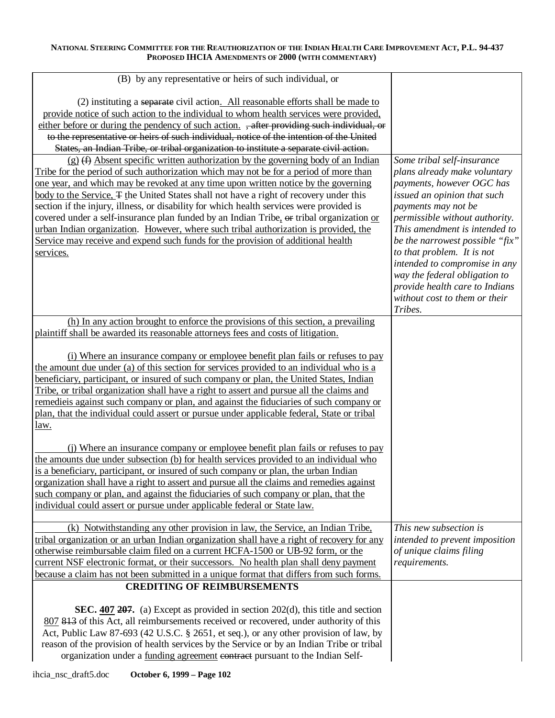| (B) by any representative or heirs of such individual, or                                                                                                                            |                                                             |
|--------------------------------------------------------------------------------------------------------------------------------------------------------------------------------------|-------------------------------------------------------------|
|                                                                                                                                                                                      |                                                             |
| (2) instituting a separate civil action. All reasonable efforts shall be made to                                                                                                     |                                                             |
| provide notice of such action to the individual to whom health services were provided,<br>either before or during the pendency of such action. , after providing such individual, or |                                                             |
| to the representative or heirs of such individual, notice of the intention of the United                                                                                             |                                                             |
| States, an Indian Tribe, or tribal organization to institute a separate civil action.                                                                                                |                                                             |
| $(g)$ (f) Absent specific written authorization by the governing body of an Indian                                                                                                   | Some tribal self-insurance                                  |
| Tribe for the period of such authorization which may not be for a period of more than                                                                                                | plans already make voluntary                                |
| one year, and which may be revoked at any time upon written notice by the governing                                                                                                  | payments, however OGC has                                   |
| body to the Service, $\pm$ the United States shall not have a right of recovery under this                                                                                           | issued an opinion that such                                 |
| section if the injury, illness, or disability for which health services were provided is                                                                                             | payments may not be                                         |
| covered under a self-insurance plan funded by an Indian Tribe, or tribal organization or                                                                                             | permissible without authority.                              |
| urban Indian organization. However, where such tribal authorization is provided, the                                                                                                 | This amendment is intended to                               |
| Service may receive and expend such funds for the provision of additional health                                                                                                     | be the narrowest possible "fix"                             |
| services.                                                                                                                                                                            | to that problem. It is not<br>intended to compromise in any |
|                                                                                                                                                                                      | way the federal obligation to                               |
|                                                                                                                                                                                      | provide health care to Indians                              |
|                                                                                                                                                                                      | without cost to them or their                               |
|                                                                                                                                                                                      | Tribes.                                                     |
| (h) In any action brought to enforce the provisions of this section, a prevailing                                                                                                    |                                                             |
| plaintiff shall be awarded its reasonable attorneys fees and costs of litigation.                                                                                                    |                                                             |
|                                                                                                                                                                                      |                                                             |
| (i) Where an insurance company or employee benefit plan fails or refuses to pay<br>the amount due under (a) of this section for services provided to an individual who is a          |                                                             |
| beneficiary, participant, or insured of such company or plan, the United States, Indian                                                                                              |                                                             |
| Tribe, or tribal organization shall have a right to assert and pursue all the claims and                                                                                             |                                                             |
| remedieis against such company or plan, and against the fiduciaries of such company or                                                                                               |                                                             |
| plan, that the individual could assert or pursue under applicable federal, State or tribal                                                                                           |                                                             |
| <u>law.</u>                                                                                                                                                                          |                                                             |
| (i) Where an insurance company or employee benefit plan fails or refuses to pay                                                                                                      |                                                             |
| the amounts due under subsection (b) for health services provided to an individual who                                                                                               |                                                             |
| is a beneficiary, participant, or insured of such company or plan, the urban Indian                                                                                                  |                                                             |
| organization shall have a right to assert and pursue all the claims and remedies against                                                                                             |                                                             |
| such company or plan, and against the fiduciaries of such company or plan, that the                                                                                                  |                                                             |
| individual could assert or pursue under applicable federal or State law.                                                                                                             |                                                             |
|                                                                                                                                                                                      | This new subsection is                                      |
| (k) Notwithstanding any other provision in law, the Service, an Indian Tribe,<br>tribal organization or an urban Indian organization shall have a right of recovery for any          | intended to prevent imposition                              |
| otherwise reimbursable claim filed on a current HCFA-1500 or UB-92 form, or the                                                                                                      | of unique claims filing                                     |
| current NSF electronic format, or their successors. No health plan shall deny payment                                                                                                | requirements.                                               |
| because a claim has not been submitted in a unique format that differs from such forms.                                                                                              |                                                             |
| <b>CREDITING OF REIMBURSEMENTS</b>                                                                                                                                                   |                                                             |
|                                                                                                                                                                                      |                                                             |
| <b>SEC.</b> 407 207. (a) Except as provided in section $202(d)$ , this title and section<br>807 813 of this Act, all reimbursements received or recovered, under authority of this   |                                                             |
| Act, Public Law 87-693 (42 U.S.C. § 2651, et seq.), or any other provision of law, by                                                                                                |                                                             |
| reason of the provision of health services by the Service or by an Indian Tribe or tribal                                                                                            |                                                             |
| organization under a funding agreement contract pursuant to the Indian Self-                                                                                                         |                                                             |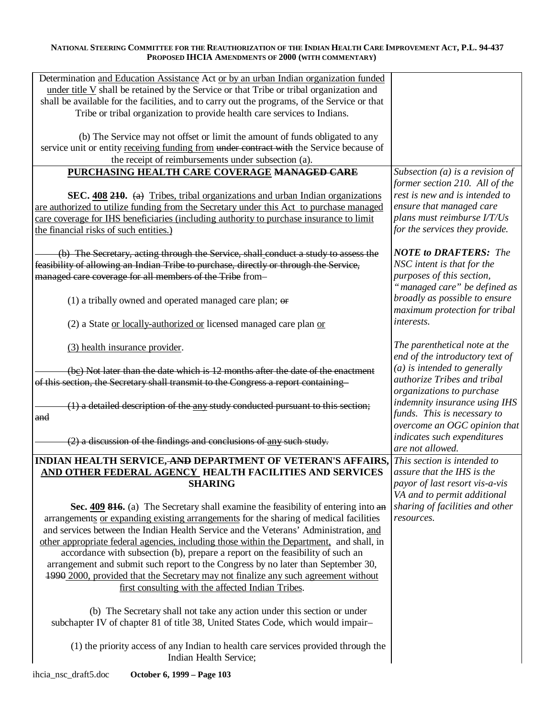| Determination and Education Assistance Act or by an urban Indian organization funded         |                                      |
|----------------------------------------------------------------------------------------------|--------------------------------------|
| under title V shall be retained by the Service or that Tribe or tribal organization and      |                                      |
| shall be available for the facilities, and to carry out the programs, of the Service or that |                                      |
| Tribe or tribal organization to provide health care services to Indians.                     |                                      |
|                                                                                              |                                      |
| (b) The Service may not offset or limit the amount of funds obligated to any                 |                                      |
| service unit or entity receiving funding from under contract with the Service because of     |                                      |
|                                                                                              |                                      |
| the receipt of reimbursements under subsection (a).                                          |                                      |
| PURCHASING HEALTH CARE COVERAGE MANAGED CARE                                                 | Subsection (a) is a revision of      |
|                                                                                              | former section 210. All of the       |
| SEC. 408 210. (a) Tribes, tribal organizations and urban Indian organizations                | rest is new and is intended to       |
| are authorized to utilize funding from the Secretary under this Act to purchase managed      | ensure that managed care             |
| care coverage for IHS beneficiaries (including authority to purchase insurance to limit      | plans must reimburse I/T/Us          |
|                                                                                              | for the services they provide.       |
| the financial risks of such entities.)                                                       |                                      |
|                                                                                              |                                      |
| (b) The Secretary, acting through the Service, shall conduct a study to assess the           | <b>NOTE</b> to <b>DRAFTERS</b> : The |
| feasibility of allowing an Indian Tribe to purchase, directly or through the Service,        | NSC intent is that for the           |
| managed care coverage for all members of the Tribe from-                                     | purposes of this section,            |
|                                                                                              | "managed care" be defined as         |
| (1) a tribally owned and operated managed care plan; $\theta$                                | broadly as possible to ensure        |
|                                                                                              | maximum protection for tribal        |
|                                                                                              | <i>interests.</i>                    |
| (2) a State or locally-authorized or licensed managed care plan or                           |                                      |
|                                                                                              |                                      |
| (3) health insurance provider.                                                               | The parenthetical note at the        |
|                                                                                              | end of the introductory text of      |
| (be) Not later than the date which is 12 months after the date of the enactment              | $(a)$ is intended to generally       |
| of this section, the Secretary shall transmit to the Congress a report containing-           | authorize Tribes and tribal          |
|                                                                                              | organizations to purchase            |
|                                                                                              | indemnity insurance using IHS        |
| $(1)$ a detailed description of the any study conducted pursuant to this section;            | funds. This is necessary to          |
| and                                                                                          |                                      |
|                                                                                              | overcome an OGC opinion that         |
| (2) a discussion of the findings and conclusions of any such study.                          | indicates such expenditures          |
|                                                                                              | are not allowed.                     |
| INDIAN HEALTH SERVICE, AND DEPARTMENT OF VETERAN'S AFFAIRS, This section is intended to      |                                      |
| <u>AND OTHER FEDERAL AGENCY</u> HEALTH FACILITIES AND SERVICES                               | assure that the IHS is the           |
| <b>SHARING</b>                                                                               | payor of last resort vis-a-vis       |
|                                                                                              | VA and to permit additional          |
| Sec. 409 816. (a) The Secretary shall examine the feasibility of entering into an            | sharing of facilities and other      |
|                                                                                              | resources.                           |
| arrangements or expanding existing arrangements for the sharing of medical facilities        |                                      |
| and services between the Indian Health Service and the Veterans' Administration, and         |                                      |
| other appropriate federal agencies, including those within the Department, and shall, in     |                                      |
| accordance with subsection (b), prepare a report on the feasibility of such an               |                                      |
| arrangement and submit such report to the Congress by no later than September 30,            |                                      |
| 1990 2000, provided that the Secretary may not finalize any such agreement without           |                                      |
| first consulting with the affected Indian Tribes.                                            |                                      |
|                                                                                              |                                      |
| (b) The Secretary shall not take any action under this section or under                      |                                      |
|                                                                                              |                                      |
| subchapter IV of chapter 81 of title 38, United States Code, which would impair-             |                                      |
|                                                                                              |                                      |
| (1) the priority access of any Indian to health care services provided through the           |                                      |
| Indian Health Service;                                                                       |                                      |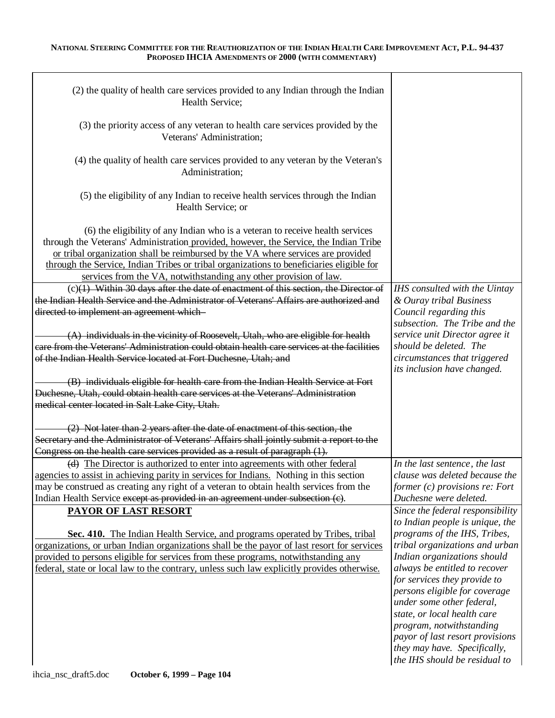| (2) the quality of health care services provided to any Indian through the Indian<br>Health Service;                                                                                                                                                                                                                                                                                                                        |                                                             |
|-----------------------------------------------------------------------------------------------------------------------------------------------------------------------------------------------------------------------------------------------------------------------------------------------------------------------------------------------------------------------------------------------------------------------------|-------------------------------------------------------------|
| (3) the priority access of any veteran to health care services provided by the<br>Veterans' Administration;                                                                                                                                                                                                                                                                                                                 |                                                             |
| (4) the quality of health care services provided to any veteran by the Veteran's<br>Administration;                                                                                                                                                                                                                                                                                                                         |                                                             |
| (5) the eligibility of any Indian to receive health services through the Indian<br>Health Service; or                                                                                                                                                                                                                                                                                                                       |                                                             |
| (6) the eligibility of any Indian who is a veteran to receive health services<br>through the Veterans' Administration provided, however, the Service, the Indian Tribe<br>or tribal organization shall be reimbursed by the VA where services are provided<br>through the Service, Indian Tribes or tribal organizations to beneficiaries eligible for<br>services from the VA, notwithstanding any other provision of law. |                                                             |
| $(c)(1)$ Within 30 days after the date of enactment of this section, the Director of                                                                                                                                                                                                                                                                                                                                        | IHS consulted with the Uintay                               |
| the Indian Health Service and the Administrator of Veterans' Affairs are authorized and                                                                                                                                                                                                                                                                                                                                     | & Ouray tribal Business                                     |
|                                                                                                                                                                                                                                                                                                                                                                                                                             |                                                             |
| directed to implement an agreement which-                                                                                                                                                                                                                                                                                                                                                                                   | Council regarding this                                      |
|                                                                                                                                                                                                                                                                                                                                                                                                                             | subsection. The Tribe and the                               |
| $(A)$ individuals in the vicinity of Roosevelt, Utah, who are eligible for health                                                                                                                                                                                                                                                                                                                                           | service unit Director agree it                              |
| eare from the Veterans' Administration could obtain health care services at the facilities                                                                                                                                                                                                                                                                                                                                  | should be deleted. The                                      |
| of the Indian Health Service located at Fort Duchesne, Utah; and                                                                                                                                                                                                                                                                                                                                                            | circumstances that triggered<br>its inclusion have changed. |
| (B) individuals eligible for health care from the Indian Health Service at Fort                                                                                                                                                                                                                                                                                                                                             |                                                             |
| Duchesne, Utah, could obtain health care services at the Veterans' Administration                                                                                                                                                                                                                                                                                                                                           |                                                             |
|                                                                                                                                                                                                                                                                                                                                                                                                                             |                                                             |
| medical center located in Salt Lake City, Utah.                                                                                                                                                                                                                                                                                                                                                                             |                                                             |
| (2) Not later than 2 years after the date of enactment of this section, the                                                                                                                                                                                                                                                                                                                                                 |                                                             |
| Secretary and the Administrator of Veterans' Affairs shall jointly submit a report to the                                                                                                                                                                                                                                                                                                                                   |                                                             |
| Congress on the health care services provided as a result of paragraph (1).                                                                                                                                                                                                                                                                                                                                                 |                                                             |
|                                                                                                                                                                                                                                                                                                                                                                                                                             | In the last sentence, the last                              |
| (d) The Director is authorized to enter into agreements with other federal                                                                                                                                                                                                                                                                                                                                                  |                                                             |
| agencies to assist in achieving parity in services for Indians. Nothing in this section                                                                                                                                                                                                                                                                                                                                     | clause was deleted because the                              |
| may be construed as creating any right of a veteran to obtain health services from the                                                                                                                                                                                                                                                                                                                                      | former $(c)$ provisions re: Fort                            |
| Indian Health Service except as provided in an agreement under subsection (c).                                                                                                                                                                                                                                                                                                                                              | Duchesne were deleted.                                      |
| PAYOR OF LAST RESORT                                                                                                                                                                                                                                                                                                                                                                                                        | Since the federal responsibility                            |
|                                                                                                                                                                                                                                                                                                                                                                                                                             | to Indian people is unique, the                             |
|                                                                                                                                                                                                                                                                                                                                                                                                                             |                                                             |
| Sec. 410. The Indian Health Service, and programs operated by Tribes, tribal                                                                                                                                                                                                                                                                                                                                                | programs of the IHS, Tribes,                                |
| organizations, or urban Indian organizations shall be the payor of last resort for services                                                                                                                                                                                                                                                                                                                                 | tribal organizations and urban                              |
| provided to persons eligible for services from these programs, notwithstanding any                                                                                                                                                                                                                                                                                                                                          | Indian organizations should                                 |
| federal, state or local law to the contrary, unless such law explicitly provides otherwise.                                                                                                                                                                                                                                                                                                                                 | always be entitled to recover                               |
|                                                                                                                                                                                                                                                                                                                                                                                                                             | for services they provide to                                |
|                                                                                                                                                                                                                                                                                                                                                                                                                             | persons eligible for coverage                               |
|                                                                                                                                                                                                                                                                                                                                                                                                                             |                                                             |
|                                                                                                                                                                                                                                                                                                                                                                                                                             | under some other federal,                                   |
|                                                                                                                                                                                                                                                                                                                                                                                                                             | state, or local health care                                 |
|                                                                                                                                                                                                                                                                                                                                                                                                                             | program, notwithstanding                                    |
|                                                                                                                                                                                                                                                                                                                                                                                                                             | payor of last resort provisions                             |
|                                                                                                                                                                                                                                                                                                                                                                                                                             | they may have. Specifically,                                |
|                                                                                                                                                                                                                                                                                                                                                                                                                             | the IHS should be residual to                               |
|                                                                                                                                                                                                                                                                                                                                                                                                                             |                                                             |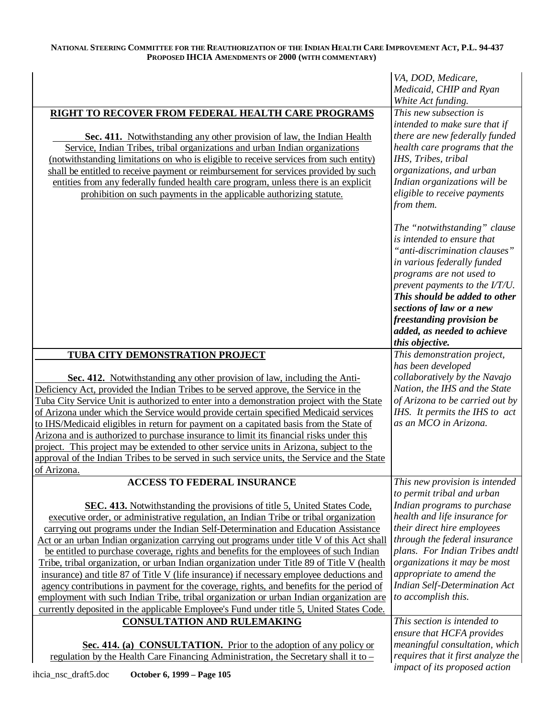|                                                                                                                                                                                                                                                                                                                                                                                                                                                                                                                                                                                                                                                                                                                                                                                                                                                                                                                                    | VA, DOD, Medicare,<br>Medicaid, CHIP and Ryan<br>White Act funding.                                                                                                                                                                                                                                                                  |
|------------------------------------------------------------------------------------------------------------------------------------------------------------------------------------------------------------------------------------------------------------------------------------------------------------------------------------------------------------------------------------------------------------------------------------------------------------------------------------------------------------------------------------------------------------------------------------------------------------------------------------------------------------------------------------------------------------------------------------------------------------------------------------------------------------------------------------------------------------------------------------------------------------------------------------|--------------------------------------------------------------------------------------------------------------------------------------------------------------------------------------------------------------------------------------------------------------------------------------------------------------------------------------|
| RIGHT TO RECOVER FROM FEDERAL HEALTH CARE PROGRAMS<br>Sec. 411. Notwithstanding any other provision of law, the Indian Health<br>Service, Indian Tribes, tribal organizations and urban Indian organizations<br>(notwithstanding limitations on who is eligible to receive services from such entity)<br>shall be entitled to receive payment or reimbursement for services provided by such<br>entities from any federally funded health care program, unless there is an explicit<br>prohibition on such payments in the applicable authorizing statute.                                                                                                                                                                                                                                                                                                                                                                         | This new subsection is<br>intended to make sure that if<br>there are new federally funded<br>health care programs that the<br>IHS, Tribes, tribal<br>organizations, and urban<br>Indian organizations will be<br>eligible to receive payments<br>from them.                                                                          |
|                                                                                                                                                                                                                                                                                                                                                                                                                                                                                                                                                                                                                                                                                                                                                                                                                                                                                                                                    | The "notwithstanding" clause<br>is intended to ensure that<br>"anti-discrimination clauses"<br>in various federally funded<br>programs are not used to<br>prevent payments to the I/T/U.<br>This should be added to other<br>sections of law or a new<br>freestanding provision be<br>added, as needed to achieve<br>this objective. |
| TUBA CITY DEMONSTRATION PROJECT                                                                                                                                                                                                                                                                                                                                                                                                                                                                                                                                                                                                                                                                                                                                                                                                                                                                                                    | This demonstration project,                                                                                                                                                                                                                                                                                                          |
| Sec. 412. Notwithstanding any other provision of law, including the Anti-<br>Deficiency Act, provided the Indian Tribes to be served approve, the Service in the<br>Tuba City Service Unit is authorized to enter into a demonstration project with the State<br>of Arizona under which the Service would provide certain specified Medicaid services<br>to IHS/Medicaid eligibles in return for payment on a capitated basis from the State of<br>Arizona and is authorized to purchase insurance to limit its financial risks under this<br>project. This project may be extended to other service units in Arizona, subject to the<br>approval of the Indian Tribes to be served in such service units, the Service and the State<br>of Arizona.                                                                                                                                                                                | has been developed<br>collaboratively by the Navajo<br>Nation, the IHS and the State<br>of Arizona to be carried out by<br>IHS. It permits the IHS to act<br>as an MCO in Arizona.                                                                                                                                                   |
| <b>ACCESS TO FEDERAL INSURANCE</b>                                                                                                                                                                                                                                                                                                                                                                                                                                                                                                                                                                                                                                                                                                                                                                                                                                                                                                 | This new provision is intended                                                                                                                                                                                                                                                                                                       |
| <b>SEC. 413.</b> Notwithstanding the provisions of title 5, United States Code,<br>executive order, or administrative regulation, an Indian Tribe or tribal organization<br>carrying out programs under the Indian Self-Determination and Education Assistance<br>Act or an urban Indian organization carrying out programs under title V of this Act shall<br>be entitled to purchase coverage, rights and benefits for the employees of such Indian<br>Tribe, tribal organization, or urban Indian organization under Title 89 of Title V (health<br>insurance) and title 87 of Title V (life insurance) if necessary employee deductions and<br>agency contributions in payment for the coverage, rights, and benefits for the period of<br>employment with such Indian Tribe, tribal organization or urban Indian organization are<br>currently deposited in the applicable Employee's Fund under title 5, United States Code. | to permit tribal and urban<br>Indian programs to purchase<br>health and life insurance for<br>their direct hire employees<br>through the federal insurance<br>plans. For Indian Tribes andtl<br>organizations it may be most<br>appropriate to amend the<br><b>Indian Self-Determination Act</b><br>to accomplish this.              |
| <b>CONSULTATION AND RULEMAKING</b>                                                                                                                                                                                                                                                                                                                                                                                                                                                                                                                                                                                                                                                                                                                                                                                                                                                                                                 | This section is intended to<br>ensure that HCFA provides                                                                                                                                                                                                                                                                             |
| Sec. 414. (a) CONSULTATION. Prior to the adoption of any policy or<br>regulation by the Health Care Financing Administration, the Secretary shall it to –<br>iboia neo draft5 doo<br>$\Omega$ otobor 6 1000 Dogo 105                                                                                                                                                                                                                                                                                                                                                                                                                                                                                                                                                                                                                                                                                                               | meaningful consultation, which<br>requires that it first analyze the<br>impact of its proposed action                                                                                                                                                                                                                                |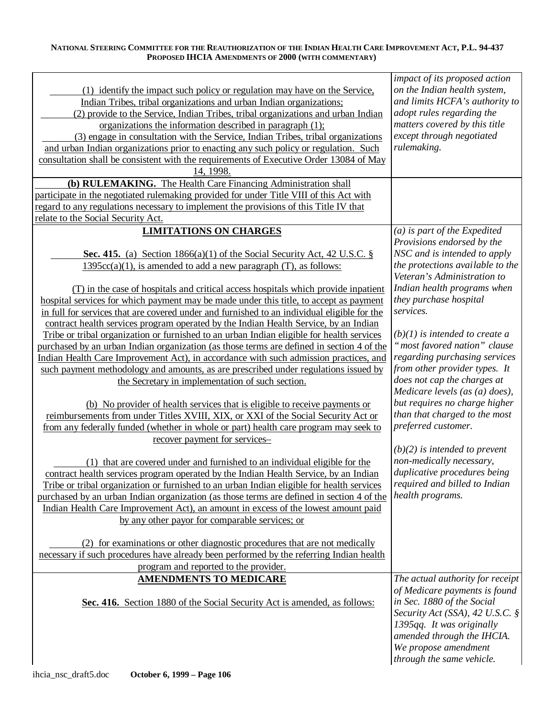| (1) identify the impact such policy or regulation may have on the Service,<br>Indian Tribes, tribal organizations and urban Indian organizations;<br>(2) provide to the Service, Indian Tribes, tribal organizations and urban Indian<br>organizations the information described in paragraph (1);<br>(3) engage in consultation with the Service, Indian Tribes, tribal organizations | impact of its proposed action<br>on the Indian health system,<br>and limits HCFA's authority to<br>adopt rules regarding the<br>matters covered by this title<br>except through negotiated |
|----------------------------------------------------------------------------------------------------------------------------------------------------------------------------------------------------------------------------------------------------------------------------------------------------------------------------------------------------------------------------------------|--------------------------------------------------------------------------------------------------------------------------------------------------------------------------------------------|
| and urban Indian organizations prior to enacting any such policy or regulation. Such<br>consultation shall be consistent with the requirements of Executive Order 13084 of May<br>14, 1998.                                                                                                                                                                                            | rulemaking.                                                                                                                                                                                |
| (b) RULEMAKING. The Health Care Financing Administration shall                                                                                                                                                                                                                                                                                                                         |                                                                                                                                                                                            |
| participate in the negotiated rulemaking provided for under Title VIII of this Act with                                                                                                                                                                                                                                                                                                |                                                                                                                                                                                            |
| regard to any regulations necessary to implement the provisions of this Title IV that                                                                                                                                                                                                                                                                                                  |                                                                                                                                                                                            |
| relate to the Social Security Act.                                                                                                                                                                                                                                                                                                                                                     |                                                                                                                                                                                            |
| <b>LIMITATIONS ON CHARGES</b>                                                                                                                                                                                                                                                                                                                                                          | $(a)$ is part of the Expedited<br>Provisions endorsed by the                                                                                                                               |
| <b>Sec. 415.</b> (a) Section 1866(a)(1) of the Social Security Act, 42 U.S.C. $\S$                                                                                                                                                                                                                                                                                                     | NSC and is intended to apply                                                                                                                                                               |
| $1395cc(a)(1)$ , is amended to add a new paragraph (T), as follows:                                                                                                                                                                                                                                                                                                                    | the protections available to the                                                                                                                                                           |
|                                                                                                                                                                                                                                                                                                                                                                                        | Veteran's Administration to                                                                                                                                                                |
| (T) in the case of hospitals and critical access hospitals which provide inpatient                                                                                                                                                                                                                                                                                                     | Indian health programs when                                                                                                                                                                |
| hospital services for which payment may be made under this title, to accept as payment                                                                                                                                                                                                                                                                                                 | they purchase hospital                                                                                                                                                                     |
| in full for services that are covered under and furnished to an individual eligible for the                                                                                                                                                                                                                                                                                            | services.                                                                                                                                                                                  |
| contract health services program operated by the Indian Health Service, by an Indian                                                                                                                                                                                                                                                                                                   |                                                                                                                                                                                            |
| Tribe or tribal organization or furnished to an urban Indian eligible for health services                                                                                                                                                                                                                                                                                              | $(b)(1)$ is intended to create a                                                                                                                                                           |
| purchased by an urban Indian organization (as those terms are defined in section 4 of the                                                                                                                                                                                                                                                                                              | "most favored nation" clause                                                                                                                                                               |
| Indian Health Care Improvement Act), in accordance with such admission practices, and                                                                                                                                                                                                                                                                                                  | regarding purchasing services                                                                                                                                                              |
| such payment methodology and amounts, as are prescribed under regulations issued by                                                                                                                                                                                                                                                                                                    | from other provider types. It                                                                                                                                                              |
| the Secretary in implementation of such section.                                                                                                                                                                                                                                                                                                                                       | does not cap the charges at<br>Medicare levels (as $(a)$ does),                                                                                                                            |
| (b) No provider of health services that is eligible to receive payments or                                                                                                                                                                                                                                                                                                             | but requires no charge higher                                                                                                                                                              |
| reimbursements from under Titles XVIII, XIX, or XXI of the Social Security Act or                                                                                                                                                                                                                                                                                                      | than that charged to the most                                                                                                                                                              |
| from any federally funded (whether in whole or part) health care program may seek to                                                                                                                                                                                                                                                                                                   | preferred customer.                                                                                                                                                                        |
| recover payment for services-                                                                                                                                                                                                                                                                                                                                                          |                                                                                                                                                                                            |
|                                                                                                                                                                                                                                                                                                                                                                                        | $(b)(2)$ is intended to prevent                                                                                                                                                            |
| (1) that are covered under and furnished to an individual eligible for the                                                                                                                                                                                                                                                                                                             | non-medically necessary,                                                                                                                                                                   |
| contract health services program operated by the Indian Health Service, by an Indian                                                                                                                                                                                                                                                                                                   | duplicative procedures being                                                                                                                                                               |
| Tribe or tribal organization or furnished to an urban Indian eligible for health services                                                                                                                                                                                                                                                                                              | required and billed to Indian                                                                                                                                                              |
| purchased by an urban Indian organization (as those terms are defined in section 4 of the                                                                                                                                                                                                                                                                                              | health programs.                                                                                                                                                                           |
| Indian Health Care Improvement Act), an amount in excess of the lowest amount paid                                                                                                                                                                                                                                                                                                     |                                                                                                                                                                                            |
| by any other payor for comparable services; or                                                                                                                                                                                                                                                                                                                                         |                                                                                                                                                                                            |
|                                                                                                                                                                                                                                                                                                                                                                                        |                                                                                                                                                                                            |
| (2) for examinations or other diagnostic procedures that are not medically                                                                                                                                                                                                                                                                                                             |                                                                                                                                                                                            |
| necessary if such procedures have already been performed by the referring Indian health                                                                                                                                                                                                                                                                                                |                                                                                                                                                                                            |
| program and reported to the provider.                                                                                                                                                                                                                                                                                                                                                  |                                                                                                                                                                                            |
| <b>AMENDMENTS TO MEDICARE</b>                                                                                                                                                                                                                                                                                                                                                          | The actual authority for receipt                                                                                                                                                           |
| Sec. 416. Section 1880 of the Social Security Act is amended, as follows:                                                                                                                                                                                                                                                                                                              | of Medicare payments is found<br>in Sec. 1880 of the Social<br>Security Act (SSA), 42 U.S.C. §                                                                                             |
|                                                                                                                                                                                                                                                                                                                                                                                        | 1395qq. It was originally<br>amended through the IHCIA.                                                                                                                                    |
|                                                                                                                                                                                                                                                                                                                                                                                        | We propose amendment                                                                                                                                                                       |
|                                                                                                                                                                                                                                                                                                                                                                                        | through the same vehicle.                                                                                                                                                                  |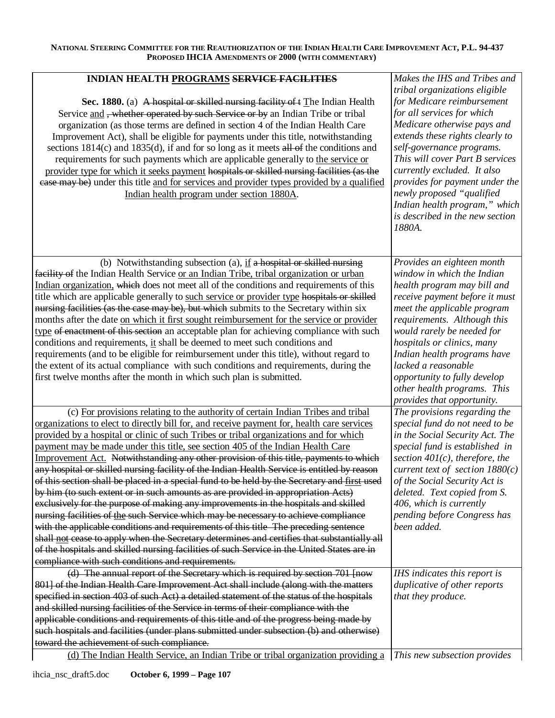| <b>INDIAN HEALTH PROGRAMS SERVICE FACILITIES</b><br>Sec. 1880. (a) A hospital or skilled nursing facility of t The Indian Health                                                                                                                                                                                                                                                                                                                                                                                                                                                                                                                                                                                       | Makes the IHS and Tribes and<br>tribal organizations eligible<br>for Medicare reimbursement                                                                                                                                                                                                                                              |
|------------------------------------------------------------------------------------------------------------------------------------------------------------------------------------------------------------------------------------------------------------------------------------------------------------------------------------------------------------------------------------------------------------------------------------------------------------------------------------------------------------------------------------------------------------------------------------------------------------------------------------------------------------------------------------------------------------------------|------------------------------------------------------------------------------------------------------------------------------------------------------------------------------------------------------------------------------------------------------------------------------------------------------------------------------------------|
| Service and, whether operated by such Service or by an Indian Tribe or tribal<br>organization (as those terms are defined in section 4 of the Indian Health Care<br>Improvement Act), shall be eligible for payments under this title, notwithstanding<br>sections $1814(c)$ and $1835(d)$ , if and for so long as it meets all of the conditions and<br>requirements for such payments which are applicable generally to the service or<br>provider type for which it seeks payment hospitals or skilled nursing facilities (as the<br>ease may be) under this title and for services and provider types provided by a qualified<br>Indian health program under section 1880A.                                        | for all services for which<br>Medicare otherwise pays and<br>extends these rights clearly to<br>self-governance programs.<br>This will cover Part B services<br>currently excluded. It also<br>provides for payment under the<br>newly proposed "qualified<br>Indian health program," which<br>is described in the new section<br>1880A. |
| (b) Notwithstanding subsection (a), $\underline{\text{if a hospital or skilled nursing}}$<br>facility of the Indian Health Service or an Indian Tribe, tribal organization or urban<br>Indian organization, which does not meet all of the conditions and requirements of this                                                                                                                                                                                                                                                                                                                                                                                                                                         | Provides an eighteen month<br>window in which the Indian<br>health program may bill and                                                                                                                                                                                                                                                  |
| title which are applicable generally to such service or provider type hospitals or skilled<br>nursing facilities (as the case may be), but which submits to the Secretary within six<br>months after the date on which it first sought reimbursement for the service or provider<br>type of enactment of this section an acceptable plan for achieving compliance with such<br>conditions and requirements, it shall be deemed to meet such conditions and<br>requirements (and to be eligible for reimbursement under this title), without regard to<br>the extent of its actual compliance with such conditions and requirements, during the<br>first twelve months after the month in which such plan is submitted. | receive payment before it must<br>meet the applicable program<br>requirements. Although this<br>would rarely be needed for<br>hospitals or clinics, many<br>Indian health programs have<br>lacked a reasonable<br>opportunity to fully develop<br>other health programs. This<br>provides that opportunity.                              |
| (c) For provisions relating to the authority of certain Indian Tribes and tribal<br>organizations to elect to directly bill for, and receive payment for, health care services<br>provided by a hospital or clinic of such Tribes or tribal organizations and for which                                                                                                                                                                                                                                                                                                                                                                                                                                                | The provisions regarding the<br>special fund do not need to be<br>in the Social Security Act. The<br>special fund is established in                                                                                                                                                                                                      |
| payment may be made under this title, see section 405 of the Indian Health Care<br>Improvement Act. Notwithstanding any other provision of this title, payments to which<br>any hospital or skilled nursing facility of the Indian Health Service is entitled by reason<br>of this section shall be placed in a special fund to be held by the Secretary and first used<br>by him (to such extent or in such amounts as are provided in appropriation Acts)                                                                                                                                                                                                                                                            | section $401(c)$ , therefore, the<br>current text of section $1880(c)$<br>of the Social Security Act is<br>deleted. Text copied from S.                                                                                                                                                                                                  |
| exclusively for the purpose of making any improvements in the hospitals and skilled<br>nursing facilities of the such Service which may be necessary to achieve compliance<br>with the applicable conditions and requirements of this title The preceding sentence<br>shall not cease to apply when the Secretary determines and certifies that substantially all<br>of the hospitals and skilled nursing facilities of such Service in the United States are in                                                                                                                                                                                                                                                       | 406, which is currently<br>pending before Congress has<br>been added.                                                                                                                                                                                                                                                                    |
| compliance with such conditions and requirements.                                                                                                                                                                                                                                                                                                                                                                                                                                                                                                                                                                                                                                                                      |                                                                                                                                                                                                                                                                                                                                          |
| (d) The annual report of the Secretary which is required by section 701 [now<br>801] of the Indian Health Care Improvement Act shall include (along with the matters<br>specified in section 403 of such Act) a detailed statement of the status of the hospitals                                                                                                                                                                                                                                                                                                                                                                                                                                                      | IHS indicates this report is<br>duplicative of other reports<br>that they produce.                                                                                                                                                                                                                                                       |
| and skilled nursing facilities of the Service in terms of their compliance with the<br>applicable conditions and requirements of this title and of the progress being made by<br>such hospitals and facilities (under plans submitted under subsection (b) and otherwise)<br>toward the achievement of such compliance.                                                                                                                                                                                                                                                                                                                                                                                                |                                                                                                                                                                                                                                                                                                                                          |
| (d) The Indian Health Service, an Indian Tribe or tribal organization providing a                                                                                                                                                                                                                                                                                                                                                                                                                                                                                                                                                                                                                                      | This new subsection provides                                                                                                                                                                                                                                                                                                             |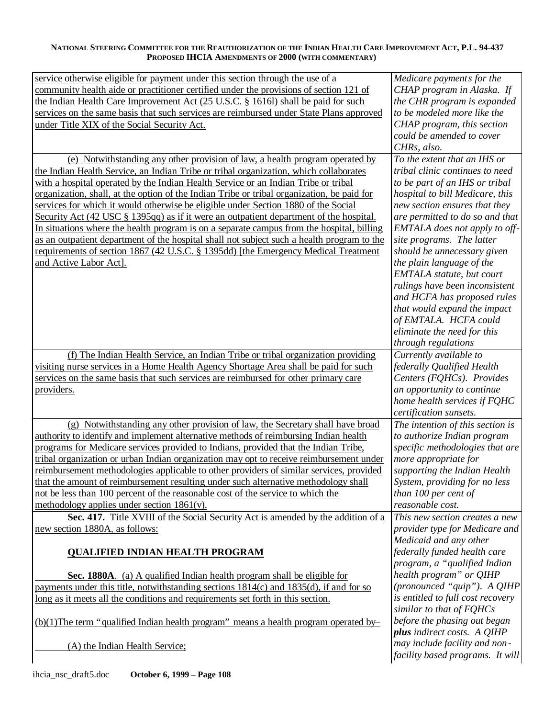| service otherwise eligible for payment under this section through the use of a<br>community health aide or practitioner certified under the provisions of section 121 of<br>the Indian Health Care Improvement Act (25 U.S.C. § 1616l) shall be paid for such<br>services on the same basis that such services are reimbursed under State Plans approved<br>under Title XIX of the Social Security Act.                                                                                                                                                                                                                                                                                                                                                                                                                                              | Medicare payments for the<br>CHAP program in Alaska. If<br>the CHR program is expanded<br>to be modeled more like the<br>CHAP program, this section<br>could be amended to cover<br>CHRs, also.                                                                                                                                                                                                                                                                                                                                                 |
|------------------------------------------------------------------------------------------------------------------------------------------------------------------------------------------------------------------------------------------------------------------------------------------------------------------------------------------------------------------------------------------------------------------------------------------------------------------------------------------------------------------------------------------------------------------------------------------------------------------------------------------------------------------------------------------------------------------------------------------------------------------------------------------------------------------------------------------------------|-------------------------------------------------------------------------------------------------------------------------------------------------------------------------------------------------------------------------------------------------------------------------------------------------------------------------------------------------------------------------------------------------------------------------------------------------------------------------------------------------------------------------------------------------|
| (e) Notwithstanding any other provision of law, a health program operated by<br>the Indian Health Service, an Indian Tribe or tribal organization, which collaborates<br>with a hospital operated by the Indian Health Service or an Indian Tribe or tribal<br>organization, shall, at the option of the Indian Tribe or tribal organization, be paid for<br>services for which it would otherwise be eligible under Section 1880 of the Social<br>Security Act (42 USC § 1395qq) as if it were an outpatient department of the hospital.<br>In situations where the health program is on a separate campus from the hospital, billing<br>as an outpatient department of the hospital shall not subject such a health program to the<br>requirements of section 1867 (42 U.S.C. § 1395dd) [the Emergency Medical Treatment<br>and Active Labor Act]. | To the extent that an IHS or<br>tribal clinic continues to need<br>to be part of an IHS or tribal<br>hospital to bill Medicare, this<br>new section ensures that they<br>are permitted to do so and that<br>EMTALA does not apply to off-<br>site programs. The latter<br>should be unnecessary given<br>the plain language of the<br>EMTALA statute, but court<br>rulings have been inconsistent<br>and HCFA has proposed rules<br>that would expand the impact<br>of EMTALA. HCFA could<br>eliminate the need for this<br>through regulations |
| (f) The Indian Health Service, an Indian Tribe or tribal organization providing<br>visiting nurse services in a Home Health Agency Shortage Area shall be paid for such<br>services on the same basis that such services are reimbursed for other primary care<br>providers.                                                                                                                                                                                                                                                                                                                                                                                                                                                                                                                                                                         | Currently available to<br>federally Qualified Health<br>Centers (FQHCs). Provides<br>an opportunity to continue<br>home health services if FQHC<br>certification sunsets.                                                                                                                                                                                                                                                                                                                                                                       |
| (g) Notwithstanding any other provision of law, the Secretary shall have broad<br>authority to identify and implement alternative methods of reimbursing Indian health<br>programs for Medicare services provided to Indians, provided that the Indian Tribe,<br>tribal organization or urban Indian organization may opt to receive reimbursement under<br>reimbursement methodologies applicable to other providers of similar services, provided<br>that the amount of reimbursement resulting under such alternative methodology shall<br>not be less than 100 percent of the reasonable cost of the service to which the<br>methodology applies under section $1861(v)$ .                                                                                                                                                                       | The intention of this section is<br>to authorize Indian program<br>specific methodologies that are<br>more appropriate for<br>supporting the Indian Health<br>System, providing for no less<br>than 100 per cent of<br>reasonable cost.                                                                                                                                                                                                                                                                                                         |
| Sec. 417. Title XVIII of the Social Security Act is amended by the addition of a<br>new section 1880A, as follows:<br><b>QUALIFIED INDIAN HEALTH PROGRAM</b>                                                                                                                                                                                                                                                                                                                                                                                                                                                                                                                                                                                                                                                                                         | This new section creates a new<br>provider type for Medicare and<br>Medicaid and any other<br>federally funded health care                                                                                                                                                                                                                                                                                                                                                                                                                      |
| Sec. 1880A. (a) A qualified Indian health program shall be eligible for<br>payments under this title, notwithstanding sections 1814(c) and 1835(d), if and for so<br>long as it meets all the conditions and requirements set forth in this section.                                                                                                                                                                                                                                                                                                                                                                                                                                                                                                                                                                                                 | program, a "qualified Indian<br>health program" or QIHP<br>(pronounced "quip"). A QIHP<br>is entitled to full cost recovery                                                                                                                                                                                                                                                                                                                                                                                                                     |
| $(b)(1)$ The term "qualified Indian health program" means a health program operated by-                                                                                                                                                                                                                                                                                                                                                                                                                                                                                                                                                                                                                                                                                                                                                              | similar to that of FQHCs<br>before the phasing out began<br>plus indirect costs. A QIHP                                                                                                                                                                                                                                                                                                                                                                                                                                                         |
| (A) the Indian Health Service;                                                                                                                                                                                                                                                                                                                                                                                                                                                                                                                                                                                                                                                                                                                                                                                                                       | may include facility and non-<br>facility based programs. It will                                                                                                                                                                                                                                                                                                                                                                                                                                                                               |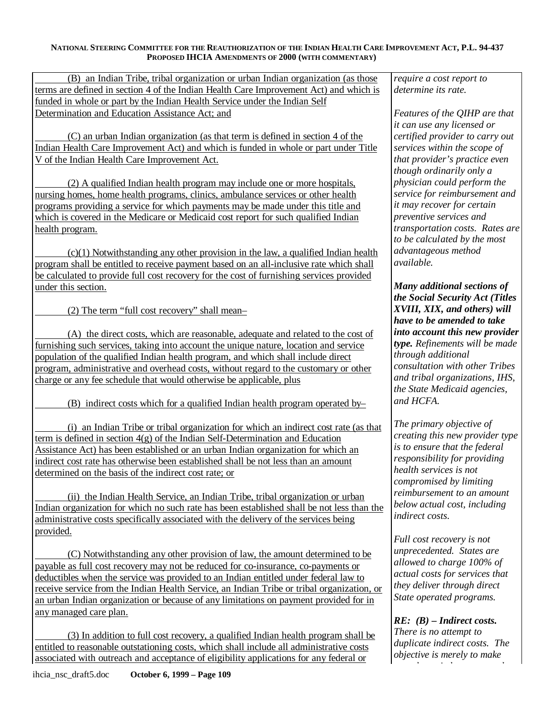(B) an Indian Tribe, tribal organization or urban Indian organization (as those terms are defined in section 4 of the Indian Health Care Improvement Act) and which is funded in whole or part by the Indian Health Service under the Indian Self Determination and Education Assistance Act; and *Features of the QIHP are that* 

(C) an urban Indian organization (as that term is defined in section 4 of the Indian Health Care Improvement Act) and which is funded in whole or part under Title V of the Indian Health Care Improvement Act. *that provider's practice even* 

(2) A qualified Indian health program may include one or more hospitals, nursing homes, home health programs, clinics, ambulance services or other health programs providing a service for which payments may be made under this title and which is covered in the Medicare or Medicaid cost report for such qualified Indian health program.

(c)(1) Notwithstanding any other provision in the law, a qualified Indian health program shall be entitled to receive payment based on an all-inclusive rate which shall be calculated to provide full cost recovery for the cost of furnishing services provided under this section.

(2) The term "full cost recovery" shall mean–

(A) the direct costs, which are reasonable, adequate and related to the cost of furnishing such services, taking into account the unique nature, location and service population of the qualified Indian health program, and which shall include direct program, administrative and overhead costs, without regard to the customary or other charge or any fee schedule that would otherwise be applicable, plus

(B) indirect costs which for a qualified Indian health program operated by–

(i) an Indian Tribe or tribal organization for which an indirect cost rate (as that term is defined in section 4(g) of the Indian Self-Determination and Education Assistance Act) has been established or an urban Indian organization for which an indirect cost rate has otherwise been established shall be not less than an amount determined on the basis of the indirect cost rate; or

(ii) the Indian Health Service, an Indian Tribe, tribal organization or urban Indian organization for which no such rate has been established shall be not less than the administrative costs specifically associated with the delivery of the services being provided.

(C) Notwithstanding any other provision of law, the amount determined to be payable as full cost recovery may not be reduced for co-insurance, co-payments or deductibles when the service was provided to an Indian entitled under federal law to receive service from the Indian Health Service, an Indian Tribe or tribal organization, or an urban Indian organization or because of any limitations on payment provided for in any managed care plan.

(3) In addition to full cost recovery, a qualified Indian health program shall be entitled to reasonable outstationing costs, which shall include all administrative costs associated with outreach and acceptance of eligibility applications for any federal or

*require a cost report to determine its rate.* 

*it can use any licensed or certified provider to carry out services within the scope of though ordinarily only a physician could perform the service for reimbursement and it may recover for certain preventive services and transportation costs. Rates are to be calculated by the most advantageous method available.* 

*Many additional sections of the Social Security Act (Titles XVIII, XIX, and others) will have to be amended to take into account this new provider type. Refinements will be made through additional consultation with other Tribes and tribal organizations, IHS, the State Medicaid agencies, and HCFA.* 

*The primary objective of creating this new provider type is to ensure that the federal responsibility for providing health services is not compromised by limiting reimbursement to an amount below actual cost, including indirect costs.* 

*Full cost recovery is not unprecedented. States are allowed to charge 100% of actual costs for services that they deliver through direct State operated programs.* 

*RE: (B) – Indirect costs. There is no attempt to duplicate indirect costs. The objective is merely to make sure that reimbursement takes*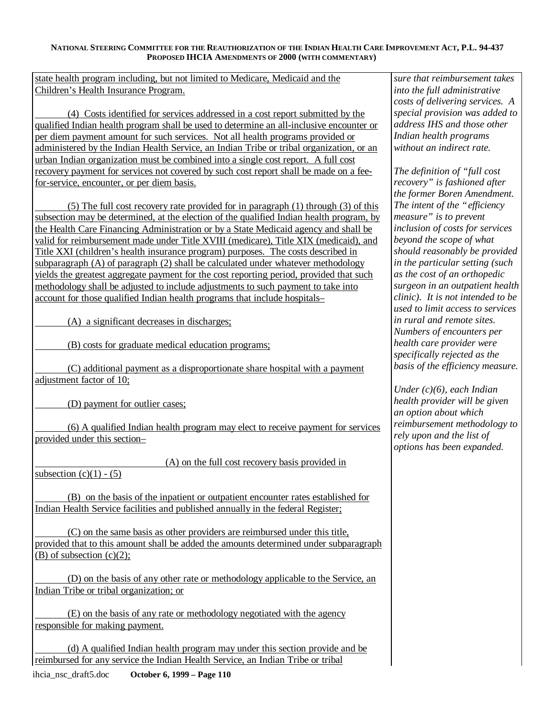state health program including, but not limited to Medicare, Medicaid and the Children's Health Insurance Program.

(4) Costs identified for services addressed in a cost report submitted by the qualified Indian health program shall be used to determine an all-inclusive encounter or per diem payment amount for such services. Not all health programs provided or administered by the Indian Health Service, an Indian Tribe or tribal organization, or an urban Indian organization must be combined into a single cost report. A full cost recovery payment for services not covered by such cost report shall be made on a feefor-service, encounter, or per diem basis.

(5) The full cost recovery rate provided for in paragraph (1) through (3) of this subsection may be determined, at the election of the qualified Indian health program, by the Health Care Financing Administration or by a State Medicaid agency and shall be valid for reimbursement made under Title XVIII (medicare), Title XIX (medicaid), and Title XXI (children's health insurance program) purposes. The costs described in subparagraph (A) of paragraph (2) shall be calculated under whatever methodology yields the greatest aggregate payment for the cost reporting period, provided that such methodology shall be adjusted to include adjustments to such payment to take into account for those qualified Indian health programs that include hospitals–

(A) a significant decreases in discharges;

(B) costs for graduate medical education programs;

(C) additional payment as a disproportionate share hospital with a payment adjustment factor of 10;

(D) payment for outlier cases;

(6) A qualified Indian health program may elect to receive payment for services provided under this section–

(A) on the full cost recovery basis provided in

subsection  $(c)(1) - (5)$ 

(B) on the basis of the inpatient or outpatient encounter rates established for Indian Health Service facilities and published annually in the federal Register;

(C) on the same basis as other providers are reimbursed under this title, provided that to this amount shall be added the amounts determined under subparagraph (B) of subsection  $(c)(2)$ ;

(D) on the basis of any other rate or methodology applicable to the Service, an Indian Tribe or tribal organization; or

(E) on the basis of any rate or methodology negotiated with the agency responsible for making payment.

(d) A qualified Indian health program may under this section provide and be reimbursed for any service the Indian Health Service, an Indian Tribe or tribal ihcia\_nsc\_draft5.doc **October 6, 1999 – Page 110** 

*sure that reimbursement takes into the full administrative costs of delivering services. A special provision was added to address IHS and those other Indian health programs without an indirect rate.* 

*The definition of "full cost recovery" is fashioned after the former Boren Amendment. The intent of the "efficiency measure" is to prevent inclusion of costs for services beyond the scope of what should reasonably be provided in the particular setting (such as the cost of an orthopedic surgeon in an outpatient health clinic). It is not intended to be used to limit access to services in rural and remote sites. Numbers of encounters per health care provider were specifically rejected as the basis of the efficiency measure.* 

*Under (c)(6), each Indian health provider will be given an option about which reimbursement methodology to rely upon and the list of options has been expanded.*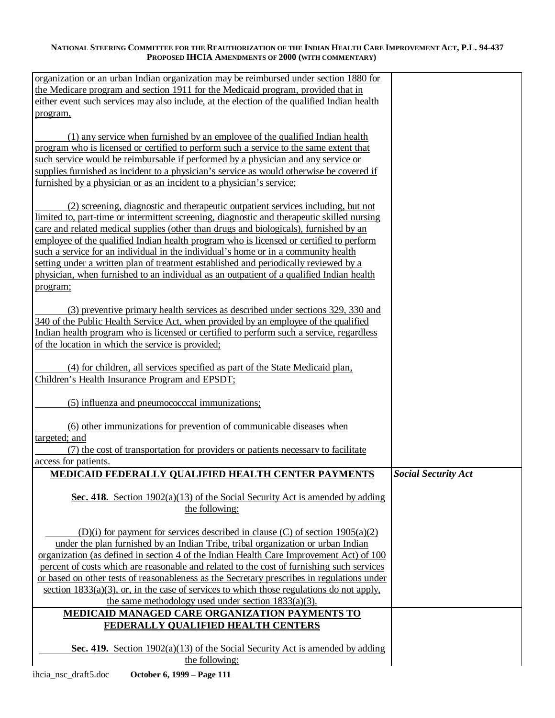| organization or an urban Indian organization may be reimbursed under section 1880 for                                                                                           |                            |
|---------------------------------------------------------------------------------------------------------------------------------------------------------------------------------|----------------------------|
| the Medicare program and section 1911 for the Medicaid program, provided that in<br>either event such services may also include, at the election of the qualified Indian health |                            |
| program,                                                                                                                                                                        |                            |
|                                                                                                                                                                                 |                            |
| (1) any service when furnished by an employee of the qualified Indian health                                                                                                    |                            |
| program who is licensed or certified to perform such a service to the same extent that                                                                                          |                            |
| such service would be reimbursable if performed by a physician and any service or                                                                                               |                            |
| supplies furnished as incident to a physician's service as would otherwise be covered if                                                                                        |                            |
| furnished by a physician or as an incident to a physician's service;                                                                                                            |                            |
|                                                                                                                                                                                 |                            |
| (2) screening, diagnostic and therapeutic outpatient services including, but not                                                                                                |                            |
| limited to, part-time or intermittent screening, diagnostic and therapeutic skilled nursing                                                                                     |                            |
| care and related medical supplies (other than drugs and biologicals), furnished by an                                                                                           |                            |
| employee of the qualified Indian health program who is licensed or certified to perform                                                                                         |                            |
| such a service for an individual in the individual's home or in a community health<br>setting under a written plan of treatment established and periodically reviewed by a      |                            |
| physician, when furnished to an individual as an outpatient of a qualified Indian health                                                                                        |                            |
| program;                                                                                                                                                                        |                            |
|                                                                                                                                                                                 |                            |
| (3) preventive primary health services as described under sections 329, 330 and                                                                                                 |                            |
| 340 of the Public Health Service Act, when provided by an employee of the qualified                                                                                             |                            |
| Indian health program who is licensed or certified to perform such a service, regardless                                                                                        |                            |
| of the location in which the service is provided;                                                                                                                               |                            |
|                                                                                                                                                                                 |                            |
| (4) for children, all services specified as part of the State Medicaid plan,                                                                                                    |                            |
| Children's Health Insurance Program and EPSDT;                                                                                                                                  |                            |
| (5) influenza and pneumococccal immunizations;                                                                                                                                  |                            |
|                                                                                                                                                                                 |                            |
| (6) other immunizations for prevention of communicable diseases when                                                                                                            |                            |
| targeted; and                                                                                                                                                                   |                            |
| (7) the cost of transportation for providers or patients necessary to facilitate                                                                                                |                            |
| access for patients.                                                                                                                                                            |                            |
| MEDICAID FEDERALLY QUALIFIED HEALTH CENTER PAYMENTS                                                                                                                             | <b>Social Security Act</b> |
|                                                                                                                                                                                 |                            |
| Sec. 418. Section $1902(a)(13)$ of the Social Security Act is amended by adding                                                                                                 |                            |
| the following:                                                                                                                                                                  |                            |
| (D)(i) for payment for services described in clause (C) of section $1905(a)(2)$                                                                                                 |                            |
| under the plan furnished by an Indian Tribe, tribal organization or urban Indian                                                                                                |                            |
| organization (as defined in section 4 of the Indian Health Care Improvement Act) of 100                                                                                         |                            |
| percent of costs which are reasonable and related to the cost of furnishing such services                                                                                       |                            |
| or based on other tests of reasonableness as the Secretary prescribes in regulations under                                                                                      |                            |
| section $1833(a)(3)$ , or, in the case of services to which those regulations do not apply,                                                                                     |                            |
| the same methodology used under section $1833(a)(3)$ .                                                                                                                          |                            |
| MEDICAID MANAGED CARE ORGANIZATION PAYMENTS TO                                                                                                                                  |                            |
| FEDERALLY QUALIFIED HEALTH CENTERS                                                                                                                                              |                            |
|                                                                                                                                                                                 |                            |
| Sec. 419. Section $1902(a)(13)$ of the Social Security Act is amended by adding                                                                                                 |                            |
| the following:                                                                                                                                                                  |                            |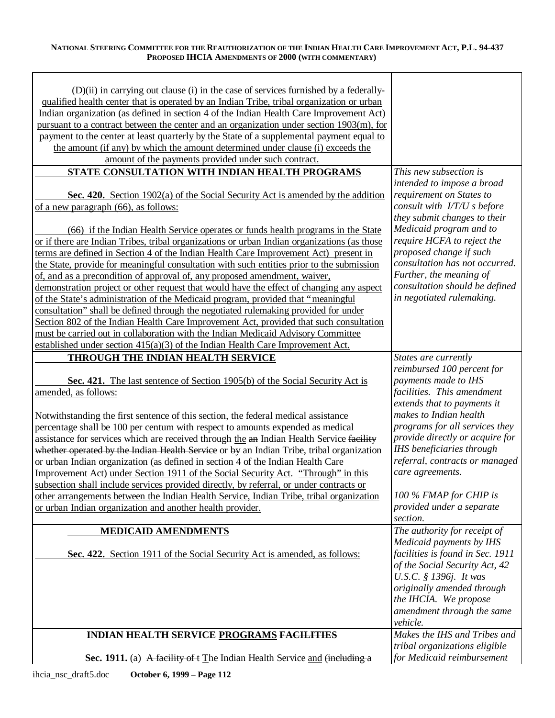$\overline{\phantom{a}}$ 

| (D)(ii) in carrying out clause (i) in the case of services furnished by a federally-<br>qualified health center that is operated by an Indian Tribe, tribal organization or urban<br>Indian organization (as defined in section 4 of the Indian Health Care Improvement Act)<br>pursuant to a contract between the center and an organization under section 1903(m), for<br>payment to the center at least quarterly by the State of a supplemental payment equal to<br>the amount (if any) by which the amount determined under clause (i) exceeds the<br>amount of the payments provided under such contract. |                                                                                                                       |
|-----------------------------------------------------------------------------------------------------------------------------------------------------------------------------------------------------------------------------------------------------------------------------------------------------------------------------------------------------------------------------------------------------------------------------------------------------------------------------------------------------------------------------------------------------------------------------------------------------------------|-----------------------------------------------------------------------------------------------------------------------|
| STATE CONSULTATION WITH INDIAN HEALTH PROGRAMS                                                                                                                                                                                                                                                                                                                                                                                                                                                                                                                                                                  | This new subsection is                                                                                                |
| Sec. 420. Section 1902(a) of the Social Security Act is amended by the addition<br>of a new paragraph (66), as follows:                                                                                                                                                                                                                                                                                                                                                                                                                                                                                         | intended to impose a broad<br>requirement on States to<br>consult with I/T/U s before<br>they submit changes to their |
| (66) if the Indian Health Service operates or funds health programs in the State                                                                                                                                                                                                                                                                                                                                                                                                                                                                                                                                | Medicaid program and to                                                                                               |
| or if there are Indian Tribes, tribal organizations or urban Indian organizations (as those                                                                                                                                                                                                                                                                                                                                                                                                                                                                                                                     | require HCFA to reject the                                                                                            |
| terms are defined in Section 4 of the Indian Health Care Improvement Act) present in                                                                                                                                                                                                                                                                                                                                                                                                                                                                                                                            | proposed change if such                                                                                               |
| the State, provide for meaningful consultation with such entities prior to the submission                                                                                                                                                                                                                                                                                                                                                                                                                                                                                                                       | consultation has not occurred.                                                                                        |
| of, and as a precondition of approval of, any proposed amendment, waiver,                                                                                                                                                                                                                                                                                                                                                                                                                                                                                                                                       | Further, the meaning of                                                                                               |
| demonstration project or other request that would have the effect of changing any aspect                                                                                                                                                                                                                                                                                                                                                                                                                                                                                                                        | consultation should be defined<br>in negotiated rulemaking.                                                           |
| of the State's administration of the Medicaid program, provided that "meaningful                                                                                                                                                                                                                                                                                                                                                                                                                                                                                                                                |                                                                                                                       |
| consultation" shall be defined through the negotiated rulemaking provided for under<br>Section 802 of the Indian Health Care Improvement Act, provided that such consultation                                                                                                                                                                                                                                                                                                                                                                                                                                   |                                                                                                                       |
| must be carried out in collaboration with the Indian Medicaid Advisory Committee                                                                                                                                                                                                                                                                                                                                                                                                                                                                                                                                |                                                                                                                       |
| established under section $415(a)(3)$ of the Indian Health Care Improvement Act.                                                                                                                                                                                                                                                                                                                                                                                                                                                                                                                                |                                                                                                                       |
| THROUGH THE INDIAN HEALTH SERVICE                                                                                                                                                                                                                                                                                                                                                                                                                                                                                                                                                                               | States are currently                                                                                                  |
|                                                                                                                                                                                                                                                                                                                                                                                                                                                                                                                                                                                                                 | reimbursed 100 percent for                                                                                            |
| Sec. 421. The last sentence of Section 1905(b) of the Social Security Act is                                                                                                                                                                                                                                                                                                                                                                                                                                                                                                                                    | payments made to IHS                                                                                                  |
| amended, as follows:                                                                                                                                                                                                                                                                                                                                                                                                                                                                                                                                                                                            | facilities. This amendment                                                                                            |
|                                                                                                                                                                                                                                                                                                                                                                                                                                                                                                                                                                                                                 | extends that to payments it                                                                                           |
| Notwithstanding the first sentence of this section, the federal medical assistance                                                                                                                                                                                                                                                                                                                                                                                                                                                                                                                              | makes to Indian health                                                                                                |
| percentage shall be 100 per centum with respect to amounts expended as medical                                                                                                                                                                                                                                                                                                                                                                                                                                                                                                                                  | programs for all services they                                                                                        |
| assistance for services which are received through the an Indian Health Service facility                                                                                                                                                                                                                                                                                                                                                                                                                                                                                                                        | provide directly or acquire for                                                                                       |
| whether operated by the Indian Health Service or by an Indian Tribe, tribal organization                                                                                                                                                                                                                                                                                                                                                                                                                                                                                                                        | IHS beneficiaries through                                                                                             |
| or urban Indian organization (as defined in section 4 of the Indian Health Care                                                                                                                                                                                                                                                                                                                                                                                                                                                                                                                                 | referral, contracts or managed<br>care agreements.                                                                    |
| Improvement Act) under Section 1911 of the Social Security Act. "Through" in this<br>subsection shall include services provided directly, by referral, or under contracts or                                                                                                                                                                                                                                                                                                                                                                                                                                    |                                                                                                                       |
| other arrangements between the Indian Health Service, Indian Tribe, tribal organization                                                                                                                                                                                                                                                                                                                                                                                                                                                                                                                         | 100 % FMAP for CHIP is                                                                                                |
| or urban Indian organization and another health provider.                                                                                                                                                                                                                                                                                                                                                                                                                                                                                                                                                       | provided under a separate                                                                                             |
|                                                                                                                                                                                                                                                                                                                                                                                                                                                                                                                                                                                                                 | section.                                                                                                              |
| <b>MEDICAID AMENDMENTS</b>                                                                                                                                                                                                                                                                                                                                                                                                                                                                                                                                                                                      | The authority for receipt of                                                                                          |
|                                                                                                                                                                                                                                                                                                                                                                                                                                                                                                                                                                                                                 | Medicaid payments by IHS                                                                                              |
| Sec. 422. Section 1911 of the Social Security Act is amended, as follows:                                                                                                                                                                                                                                                                                                                                                                                                                                                                                                                                       | facilities is found in Sec. 1911                                                                                      |
|                                                                                                                                                                                                                                                                                                                                                                                                                                                                                                                                                                                                                 | of the Social Security Act, 42                                                                                        |
|                                                                                                                                                                                                                                                                                                                                                                                                                                                                                                                                                                                                                 | U.S.C. § 1396j. It was                                                                                                |
|                                                                                                                                                                                                                                                                                                                                                                                                                                                                                                                                                                                                                 | originally amended through                                                                                            |
|                                                                                                                                                                                                                                                                                                                                                                                                                                                                                                                                                                                                                 | the IHCIA. We propose<br>amendment through the same                                                                   |
|                                                                                                                                                                                                                                                                                                                                                                                                                                                                                                                                                                                                                 | vehicle.                                                                                                              |
| INDIAN HEALTH SERVICE PROGRAMS FACILITIES                                                                                                                                                                                                                                                                                                                                                                                                                                                                                                                                                                       | Makes the IHS and Tribes and                                                                                          |
|                                                                                                                                                                                                                                                                                                                                                                                                                                                                                                                                                                                                                 | tribal organizations eligible                                                                                         |
| Sec. 1911. (a) A facility of t The Indian Health Service and (including a                                                                                                                                                                                                                                                                                                                                                                                                                                                                                                                                       | for Medicaid reimbursement                                                                                            |
|                                                                                                                                                                                                                                                                                                                                                                                                                                                                                                                                                                                                                 |                                                                                                                       |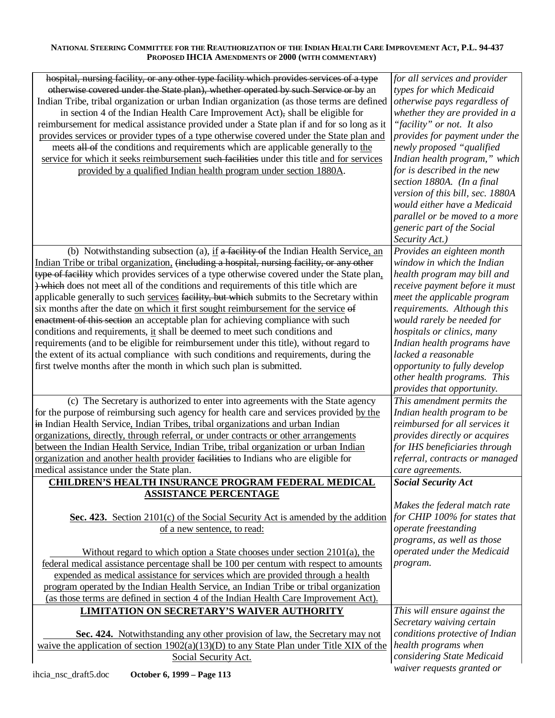| hospital, nursing facility, or any other type facility which provides services of a type   | for all services and provider                            |
|--------------------------------------------------------------------------------------------|----------------------------------------------------------|
| otherwise covered under the State plan), whether operated by such Service or by an         | types for which Medicaid                                 |
| Indian Tribe, tribal organization or urban Indian organization (as those terms are defined | otherwise pays regardless of                             |
| in section 4 of the Indian Health Care Improvement Act), shall be eligible for             | whether they are provided in a                           |
| reimbursement for medical assistance provided under a State plan if and for so long as it  | "facility" or not. It also                               |
| provides services or provider types of a type otherwise covered under the State plan and   | provides for payment under the                           |
| meets all of the conditions and requirements which are applicable generally to the         | newly proposed "qualified                                |
| service for which it seeks reimbursement such facilities under this title and for services | Indian health program," which                            |
| provided by a qualified Indian health program under section 1880A.                         | for is described in the new                              |
|                                                                                            | section 1880A. (In a final                               |
|                                                                                            | version of this bill, sec. 1880A                         |
|                                                                                            | would either have a Medicaid                             |
|                                                                                            | parallel or be moved to a more                           |
|                                                                                            | generic part of the Social                               |
|                                                                                            | Security Act.)                                           |
| (b) Notwithstanding subsection (a), if a facility of the Indian Health Service, an         | Provides an eighteen month                               |
| Indian Tribe or tribal organization, (including a hospital, nursing facility, or any other | window in which the Indian                               |
| type of facility which provides services of a type otherwise covered under the State plan, | health program may bill and                              |
| ) which does not meet all of the conditions and requirements of this title which are       | receive payment before it must                           |
| applicable generally to such services facility, but which submits to the Secretary within  | meet the applicable program                              |
| six months after the date on which it first sought reimbursement for the service of        | requirements. Although this                              |
| enactment of this section an acceptable plan for achieving compliance with such            | would rarely be needed for                               |
| conditions and requirements, it shall be deemed to meet such conditions and                | hospitals or clinics, many                               |
| requirements (and to be eligible for reimbursement under this title), without regard to    | Indian health programs have                              |
| the extent of its actual compliance with such conditions and requirements, during the      | lacked a reasonable                                      |
| first twelve months after the month in which such plan is submitted.                       | opportunity to fully develop                             |
|                                                                                            | other health programs. This                              |
|                                                                                            | provides that opportunity.                               |
| (c) The Secretary is authorized to enter into agreements with the State agency             | This amendment permits the                               |
| for the purpose of reimbursing such agency for health care and services provided by the    | Indian health program to be                              |
| in Indian Health Service, Indian Tribes, tribal organizations and urban Indian             | reimbursed for all services it                           |
| organizations, directly, through referral, or under contracts or other arrangements        | provides directly or acquires                            |
| between the Indian Health Service, Indian Tribe, tribal organization or urban Indian       | for IHS beneficiaries through                            |
| organization and another health provider facilities to Indians who are eligible for        | referral, contracts or managed                           |
| medical assistance under the State plan.                                                   | care agreements.                                         |
| <b>CHILDREN'S HEALTH INSURANCE PROGRAM FEDERAL MEDICAL</b>                                 | <b>Social Security Act</b>                               |
| <b>ASSISTANCE PERCENTAGE</b>                                                               |                                                          |
|                                                                                            | Makes the federal match rate                             |
| Sec. 423. Section 2101(c) of the Social Security Act is amended by the addition            | for CHIP 100% for states that                            |
| of a new sentence, to read:                                                                | operate freestanding                                     |
|                                                                                            | programs, as well as those                               |
| Without regard to which option a State chooses under section $2101(a)$ , the               | operated under the Medicaid                              |
| federal medical assistance percentage shall be 100 per centum with respect to amounts      | program.                                                 |
| expended as medical assistance for services which are provided through a health            |                                                          |
| program operated by the Indian Health Service, an Indian Tribe or tribal organization      |                                                          |
| (as those terms are defined in section 4 of the Indian Health Care Improvement Act).       |                                                          |
| LIMITATION ON SECRETARY'S WAIVER AUTHORITY                                                 |                                                          |
|                                                                                            |                                                          |
|                                                                                            | This will ensure against the                             |
|                                                                                            | Secretary waiving certain                                |
| Sec. 424. Notwithstanding any other provision of law, the Secretary may not                | conditions protective of Indian                          |
| waive the application of section $1902(a)(13)(D)$ to any State Plan under Title XIX of the | health programs when                                     |
| Social Security Act.<br>$\Omega$ otobor 6 1000 Dogo 112<br>ihojo ngo droft5 doo            | considering State Medicaid<br>waiver requests granted or |

ihcia\_nsc\_draft5.doc **October 6, 1999 – Page 113**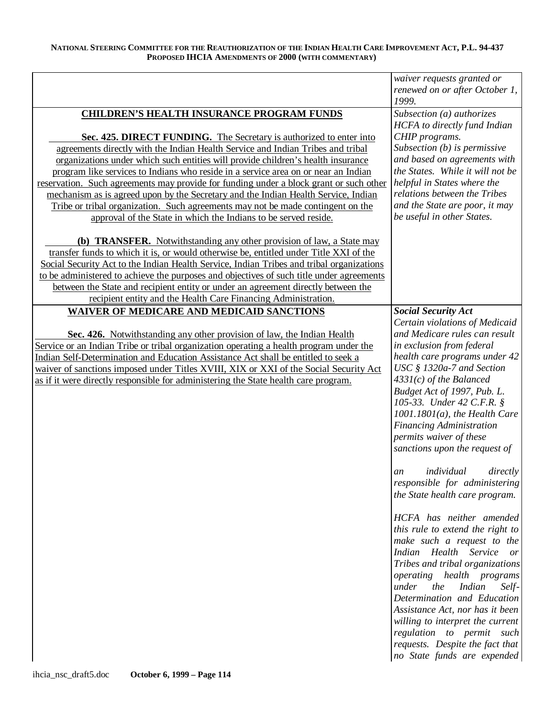|                                                                                                                                                                             | waiver requests granted or<br>renewed on or after October 1,     |
|-----------------------------------------------------------------------------------------------------------------------------------------------------------------------------|------------------------------------------------------------------|
|                                                                                                                                                                             | 1999.                                                            |
| <b>CHILDREN'S HEALTH INSURANCE PROGRAM FUNDS</b>                                                                                                                            | Subsection (a) authorizes<br><b>HCFA</b> to directly fund Indian |
| Sec. 425. DIRECT FUNDING. The Secretary is authorized to enter into                                                                                                         | CHIP programs.                                                   |
| agreements directly with the Indian Health Service and Indian Tribes and tribal                                                                                             | Subsection $(b)$ is permissive                                   |
| organizations under which such entities will provide children's health insurance                                                                                            | and based on agreements with                                     |
| program like services to Indians who reside in a service area on or near an Indian                                                                                          | the States. While it will not be                                 |
| reservation. Such agreements may provide for funding under a block grant or such other                                                                                      | helpful in States where the                                      |
| mechanism as is agreed upon by the Secretary and the Indian Health Service, Indian                                                                                          | relations between the Tribes                                     |
| Tribe or tribal organization. Such agreements may not be made contingent on the                                                                                             | and the State are poor, it may                                   |
| approval of the State in which the Indians to be served reside.                                                                                                             | be useful in other States.                                       |
| (b) <b>TRANSFER.</b> Notwithstanding any other provision of law, a State may<br>transfer funds to which it is, or would otherwise be, entitled under Title XXI of the       |                                                                  |
| Social Security Act to the Indian Health Service, Indian Tribes and tribal organizations                                                                                    |                                                                  |
| to be administered to achieve the purposes and objectives of such title under agreements                                                                                    |                                                                  |
| between the State and recipient entity or under an agreement directly between the                                                                                           |                                                                  |
| recipient entity and the Health Care Financing Administration.                                                                                                              |                                                                  |
| <b>WAIVER OF MEDICARE AND MEDICAID SANCTIONS</b>                                                                                                                            | <b>Social Security Act</b>                                       |
|                                                                                                                                                                             | Certain violations of Medicaid                                   |
| Sec. 426. Notwithstanding any other provision of law, the Indian Health                                                                                                     | and Medicare rules can result                                    |
| Service or an Indian Tribe or tribal organization operating a health program under the                                                                                      | in exclusion from federal                                        |
| Indian Self-Determination and Education Assistance Act shall be entitled to seek a<br>waiver of sanctions imposed under Titles XVIII, XIX or XXI of the Social Security Act | health care programs under 42<br>USC § 1320a-7 and Section       |
| as if it were directly responsible for administering the State health care program.                                                                                         | $4331(c)$ of the Balanced                                        |
|                                                                                                                                                                             | Budget Act of 1997, Pub. L.                                      |
|                                                                                                                                                                             | 105-33. Under 42 C.F.R. §                                        |
|                                                                                                                                                                             | $1001.1801(a)$ , the Health Care                                 |
|                                                                                                                                                                             | <b>Financing Administration</b>                                  |
|                                                                                                                                                                             | permits waiver of these                                          |
|                                                                                                                                                                             | sanctions upon the request of                                    |
|                                                                                                                                                                             | individual<br>directly<br>an                                     |
|                                                                                                                                                                             | responsible for administering                                    |
|                                                                                                                                                                             | the State health care program.                                   |
|                                                                                                                                                                             |                                                                  |
|                                                                                                                                                                             | HCFA has neither amended                                         |
|                                                                                                                                                                             | this rule to extend the right to                                 |
|                                                                                                                                                                             | make such a request to the<br>Indian Health Service<br>or        |
|                                                                                                                                                                             | Tribes and tribal organizations                                  |
|                                                                                                                                                                             | <i>operating health programs</i>                                 |
|                                                                                                                                                                             | under<br>the<br><b>Indian</b><br>Self-                           |
|                                                                                                                                                                             | Determination and Education                                      |
|                                                                                                                                                                             | Assistance Act, nor has it been                                  |
|                                                                                                                                                                             | willing to interpret the current                                 |
|                                                                                                                                                                             | regulation to permit such                                        |
|                                                                                                                                                                             | requests. Despite the fact that                                  |
|                                                                                                                                                                             | no State funds are expended                                      |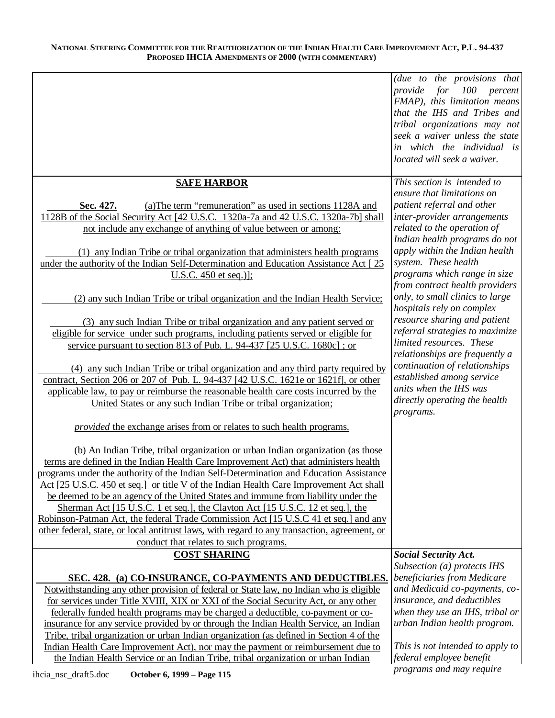|                                                                                                                                                                                  | (due to the provisions that<br>provide for 100 percent          |
|----------------------------------------------------------------------------------------------------------------------------------------------------------------------------------|-----------------------------------------------------------------|
|                                                                                                                                                                                  | FMAP), this limitation means                                    |
|                                                                                                                                                                                  | that the IHS and Tribes and<br>tribal organizations may not     |
|                                                                                                                                                                                  | seek a waiver unless the state                                  |
|                                                                                                                                                                                  | in which the individual is<br>located will seek a waiver.       |
|                                                                                                                                                                                  |                                                                 |
| <b>SAFE HARBOR</b>                                                                                                                                                               | This section is intended to<br>ensure that limitations on       |
| (a) The term "remuneration" as used in sections 1128A and<br>Sec. 427.                                                                                                           | patient referral and other                                      |
| 1128B of the Social Security Act [42 U.S.C. 1320a-7a and 42 U.S.C. 1320a-7b] shall                                                                                               | inter-provider arrangements                                     |
| not include any exchange of anything of value between or among:                                                                                                                  | related to the operation of                                     |
|                                                                                                                                                                                  | Indian health programs do not<br>apply within the Indian health |
| (1) any Indian Tribe or tribal organization that administers health programs<br>under the authority of the Indian Self-Determination and Education Assistance Act [25]           | system. These health                                            |
| U.S.C. $450$ et seq.)];                                                                                                                                                          | programs which range in size                                    |
|                                                                                                                                                                                  | from contract health providers                                  |
| (2) any such Indian Tribe or tribal organization and the Indian Health Service;                                                                                                  | only, to small clinics to large                                 |
| (3) any such Indian Tribe or tribal organization and any patient served or                                                                                                       | hospitals rely on complex<br>resource sharing and patient       |
| eligible for service under such programs, including patients served or eligible for                                                                                              | referral strategies to maximize                                 |
| service pursuant to section 813 of Pub. L. 94-437 [25 U.S.C. 1680c]; or                                                                                                          | limited resources. These                                        |
|                                                                                                                                                                                  | relationships are frequently a<br>continuation of relationships |
| (4) any such Indian Tribe or tribal organization and any third party required by<br>contract, Section 206 or 207 of Pub. L. 94-437 [42 U.S.C. 1621e or 1621f], or other          | established among service                                       |
| applicable law, to pay or reimburse the reasonable health care costs incurred by the                                                                                             | units when the IHS was                                          |
| United States or any such Indian Tribe or tribal organization;                                                                                                                   | directly operating the health                                   |
|                                                                                                                                                                                  | programs.                                                       |
| <i>provided</i> the exchange arises from or relates to such health programs.                                                                                                     |                                                                 |
| (b) An Indian Tribe, tribal organization or urban Indian organization (as those                                                                                                  |                                                                 |
| terms are defined in the Indian Health Care Improvement Act) that administers health                                                                                             |                                                                 |
| programs under the authority of the Indian Self-Determination and Education Assistance<br>Act [25 U.S.C. 450 et seq.] or title V of the Indian Health Care Improvement Act shall |                                                                 |
| be deemed to be an agency of the United States and immune from liability under the                                                                                               |                                                                 |
| Sherman Act [15 U.S.C. 1 et seq.], the Clayton Act [15 U.S.C. 12 et seq.], the                                                                                                   |                                                                 |
| Robinson-Patman Act, the federal Trade Commission Act [15 U.S.C 41 et seq.] and any                                                                                              |                                                                 |
| other federal, state, or local antitrust laws, with regard to any transaction, agreement, or<br>conduct that relates to such programs.                                           |                                                                 |
| <b>COST SHARING</b>                                                                                                                                                              | <b>Social Security Act.</b>                                     |
|                                                                                                                                                                                  | Subsection (a) protects IHS                                     |
| SEC. 428. (a) CO-INSURANCE, CO-PAYMENTS AND DEDUCTIBLES.                                                                                                                         | beneficiaries from Medicare<br>and Medicaid co-payments, co-    |
| Notwithstanding any other provision of federal or State law, no Indian who is eligible<br>for services under Title XVIII, XIX or XXI of the Social Security Act, or any other    | insurance, and deductibles                                      |
| federally funded health programs may be charged a deductible, co-payment or co-                                                                                                  | when they use an IHS, tribal or                                 |
| insurance for any service provided by or through the Indian Health Service, an Indian                                                                                            | urban Indian health program.                                    |
| Tribe, tribal organization or urban Indian organization (as defined in Section 4 of the<br>Indian Health Care Improvement Act), nor may the payment or reimbursement due to      | This is not intended to apply to                                |
| the Indian Health Service or an Indian Tribe, tribal organization or urban Indian                                                                                                | federal employee benefit                                        |
| ihcia_nsc_draft5.doc<br>October 6, 1999 - Page 115                                                                                                                               | programs and may require                                        |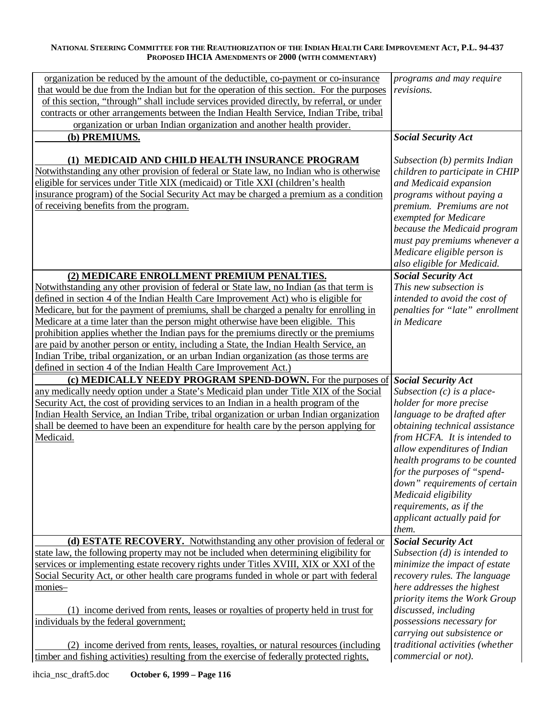| organization be reduced by the amount of the deductible, co-payment or co-insurance                                                                                             | programs and may require        |
|---------------------------------------------------------------------------------------------------------------------------------------------------------------------------------|---------------------------------|
| that would be due from the Indian but for the operation of this section. For the purposes                                                                                       | revisions.                      |
| of this section, "through" shall include services provided directly, by referral, or under                                                                                      |                                 |
| contracts or other arrangements between the Indian Health Service, Indian Tribe, tribal                                                                                         |                                 |
| organization or urban Indian organization and another health provider.                                                                                                          |                                 |
| (b) PREMIUMS.                                                                                                                                                                   | <b>Social Security Act</b>      |
|                                                                                                                                                                                 |                                 |
| (1) MEDICAID AND CHILD HEALTH INSURANCE PROGRAM                                                                                                                                 | Subsection (b) permits Indian   |
| Notwithstanding any other provision of federal or State law, no Indian who is otherwise                                                                                         | children to participate in CHIP |
| eligible for services under Title XIX (medicaid) or Title XXI (children's health                                                                                                | and Medicaid expansion          |
| insurance program) of the Social Security Act may be charged a premium as a condition                                                                                           | programs without paying a       |
| of receiving benefits from the program.                                                                                                                                         | premium. Premiums are not       |
|                                                                                                                                                                                 | exempted for Medicare           |
|                                                                                                                                                                                 | because the Medicaid program    |
|                                                                                                                                                                                 | must pay premiums whenever a    |
|                                                                                                                                                                                 | Medicare eligible person is     |
|                                                                                                                                                                                 | also eligible for Medicaid.     |
| (2) MEDICARE ENROLLMENT PREMIUM PENALTIES.                                                                                                                                      | <b>Social Security Act</b>      |
| Notwithstanding any other provision of federal or State law, no Indian (as that term is                                                                                         | This new subsection is          |
| defined in section 4 of the Indian Health Care Improvement Act) who is eligible for                                                                                             | intended to avoid the cost of   |
| Medicare, but for the payment of premiums, shall be charged a penalty for enrolling in                                                                                          | penalties for "late" enrollment |
| Medicare at a time later than the person might otherwise have been eligible. This                                                                                               | in Medicare                     |
| prohibition applies whether the Indian pays for the premiums directly or the premiums<br>are paid by another person or entity, including a State, the Indian Health Service, an |                                 |
| Indian Tribe, tribal organization, or an urban Indian organization (as those terms are                                                                                          |                                 |
| defined in section 4 of the Indian Health Care Improvement Act.)                                                                                                                |                                 |
| (c) MEDICALLY NEEDY PROGRAM SPEND-DOWN. For the purposes of                                                                                                                     | <b>Social Security Act</b>      |
| any medically needy option under a State's Medicaid plan under Title XIX of the Social                                                                                          | Subsection $(c)$ is a place-    |
| Security Act, the cost of providing services to an Indian in a health program of the                                                                                            | holder for more precise         |
| Indian Health Service, an Indian Tribe, tribal organization or urban Indian organization                                                                                        | language to be drafted after    |
| shall be deemed to have been an expenditure for health care by the person applying for                                                                                          | obtaining technical assistance  |
| Medicaid.                                                                                                                                                                       | from HCFA. It is intended to    |
|                                                                                                                                                                                 | allow expenditures of Indian    |
|                                                                                                                                                                                 | health programs to be counted   |
|                                                                                                                                                                                 | for the purposes of "spend-     |
|                                                                                                                                                                                 | down" requirements of certain   |
|                                                                                                                                                                                 | Medicaid eligibility            |
|                                                                                                                                                                                 | requirements, as if the         |
|                                                                                                                                                                                 | applicant actually paid for     |
|                                                                                                                                                                                 | them.                           |
| (d) ESTATE RECOVERY. Notwithstanding any other provision of federal or                                                                                                          | <b>Social Security Act</b>      |
| state law, the following property may not be included when determining eligibility for                                                                                          | Subsection $(d)$ is intended to |
| services or implementing estate recovery rights under Titles XVIII, XIX or XXI of the                                                                                           | minimize the impact of estate   |
| Social Security Act, or other health care programs funded in whole or part with federal                                                                                         | recovery rules. The language    |
| monies-                                                                                                                                                                         | here addresses the highest      |
|                                                                                                                                                                                 | priority items the Work Group   |
| (1) income derived from rents, leases or royalties of property held in trust for                                                                                                | discussed, including            |
| individuals by the federal government;                                                                                                                                          | possessions necessary for       |
|                                                                                                                                                                                 | carrying out subsistence or     |
| (2) income derived from rents, leases, royalties, or natural resources (including                                                                                               | traditional activities (whether |
| timber and fishing activities) resulting from the exercise of federally protected rights,                                                                                       | commercial or not).             |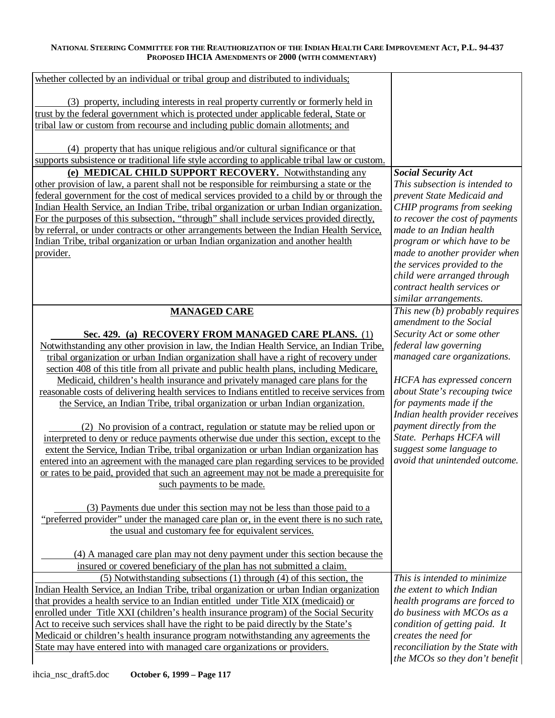| whether collected by an individual or tribal group and distributed to individuals;           |                                  |
|----------------------------------------------------------------------------------------------|----------------------------------|
|                                                                                              |                                  |
| (3) property, including interests in real property currently or formerly held in             |                                  |
| trust by the federal government which is protected under applicable federal, State or        |                                  |
| tribal law or custom from recourse and including public domain allotments; and               |                                  |
|                                                                                              |                                  |
| (4) property that has unique religious and/or cultural significance or that                  |                                  |
| supports subsistence or traditional life style according to applicable tribal law or custom. |                                  |
| (e) MEDICAL CHILD SUPPORT RECOVERY. Notwithstanding any                                      | <b>Social Security Act</b>       |
| other provision of law, a parent shall not be responsible for reimbursing a state or the     | This subsection is intended to   |
| federal government for the cost of medical services provided to a child by or through the    | prevent State Medicaid and       |
| Indian Health Service, an Indian Tribe, tribal organization or urban Indian organization.    | CHIP programs from seeking       |
| For the purposes of this subsection, "through" shall include services provided directly,     | to recover the cost of payments  |
| by referral, or under contracts or other arrangements between the Indian Health Service,     | made to an Indian health         |
| Indian Tribe, tribal organization or urban Indian organization and another health            | program or which have to be      |
| provider.                                                                                    | made to another provider when    |
|                                                                                              | the services provided to the     |
|                                                                                              | child were arranged through      |
|                                                                                              | contract health services or      |
|                                                                                              | similar arrangements.            |
| <b>MANAGED CARE</b>                                                                          | This new (b) probably requires   |
|                                                                                              | amendment to the Social          |
| Sec. 429. (a) RECOVERY FROM MANAGED CARE PLANS. (1)                                          | Security Act or some other       |
| Notwithstanding any other provision in law, the Indian Health Service, an Indian Tribe,      | federal law governing            |
| tribal organization or urban Indian organization shall have a right of recovery under        | managed care organizations.      |
| section 408 of this title from all private and public health plans, including Medicare,      |                                  |
| Medicaid, children's health insurance and privately managed care plans for the               | HCFA has expressed concern       |
| reasonable costs of delivering health services to Indians entitled to receive services from  | about State's recouping twice    |
| the Service, an Indian Tribe, tribal organization or urban Indian organization.              | for payments made if the         |
|                                                                                              | Indian health provider receives  |
| (2) No provision of a contract, regulation or statute may be relied upon or                  | payment directly from the        |
| interpreted to deny or reduce payments otherwise due under this section, except to the       | State. Perhaps HCFA will         |
| extent the Service, Indian Tribe, tribal organization or urban Indian organization has       | suggest some language to         |
| entered into an agreement with the managed care plan regarding services to be provided       | avoid that unintended outcome.   |
| or rates to be paid, provided that such an agreement may not be made a prerequisite for      |                                  |
| such payments to be made.                                                                    |                                  |
|                                                                                              |                                  |
| (3) Payments due under this section may not be less than those paid to a                     |                                  |
| "preferred provider" under the managed care plan or, in the event there is no such rate,     |                                  |
| the usual and customary fee for equivalent services.                                         |                                  |
|                                                                                              |                                  |
| (4) A managed care plan may not deny payment under this section because the                  |                                  |
| insured or covered beneficiary of the plan has not submitted a claim.                        |                                  |
| (5) Notwithstanding subsections (1) through (4) of this section, the                         | This is intended to minimize     |
| Indian Health Service, an Indian Tribe, tribal organization or urban Indian organization     | the extent to which Indian       |
| that provides a health service to an Indian entitled under Title XIX (medicaid) or           | health programs are forced to    |
| enrolled under Title XXI (children's health insurance program) of the Social Security        | do business with MCOs as a       |
| Act to receive such services shall have the right to be paid directly by the State's         | condition of getting paid. It    |
| Medicaid or children's health insurance program notwithstanding any agreements the           | creates the need for             |
| State may have entered into with managed care organizations or providers.                    | reconciliation by the State with |
|                                                                                              | the MCOs so they don't benefit   |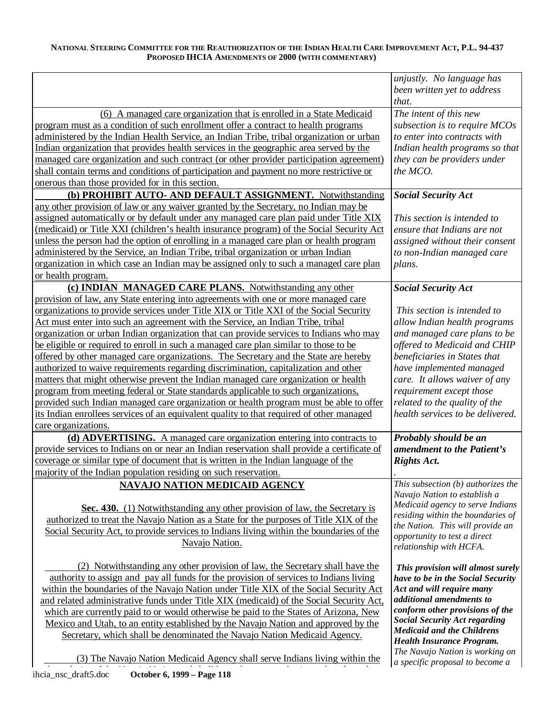|                                                                                                                                   | unjustly. No language has            |
|-----------------------------------------------------------------------------------------------------------------------------------|--------------------------------------|
|                                                                                                                                   | been written yet to address          |
|                                                                                                                                   | that.                                |
| (6) A managed care organization that is enrolled in a State Medicaid                                                              | The intent of this new               |
| program must as a condition of such enrollment offer a contract to health programs                                                | subsection is to require MCOs        |
| administered by the Indian Health Service, an Indian Tribe, tribal organization or urban                                          | to enter into contracts with         |
| Indian organization that provides health services in the geographic area served by the                                            | Indian health programs so that       |
| managed care organization and such contract (or other provider participation agreement)                                           | they can be providers under          |
| shall contain terms and conditions of participation and payment no more restrictive or                                            | the MCO.                             |
| onerous than those provided for in this section.                                                                                  |                                      |
| (b) PROHIBIT AUTO- AND DEFAULT ASSIGNMENT. Notwithstanding                                                                        | <b>Social Security Act</b>           |
| any other provision of law or any waiver granted by the Secretary, no Indian may be                                               |                                      |
| assigned automatically or by default under any managed care plan paid under Title XIX                                             | This section is intended to          |
| (medicaid) or Title XXI (children's health insurance program) of the Social Security Act                                          | ensure that Indians are not          |
| unless the person had the option of enrolling in a managed care plan or health program                                            | assigned without their consent       |
| administered by the Service, an Indian Tribe, tribal organization or urban Indian                                                 | to non-Indian managed care           |
| organization in which case an Indian may be assigned only to such a managed care plan                                             | plans.                               |
| or health program.                                                                                                                |                                      |
| (c) INDIAN MANAGED CARE PLANS. Notwithstanding any other                                                                          | <b>Social Security Act</b>           |
| provision of law, any State entering into agreements with one or more managed care                                                |                                      |
| organizations to provide services under Title XIX or Title XXI of the Social Security                                             | This section is intended to          |
| Act must enter into such an agreement with the Service, an Indian Tribe, tribal                                                   | allow Indian health programs         |
| organization or urban Indian organization that can provide services to Indians who may                                            | and managed care plans to be         |
| be eligible or required to enroll in such a managed care plan similar to those to be                                              | offered to Medicaid and CHIP         |
| offered by other managed care organizations. The Secretary and the State are hereby                                               | beneficiaries in States that         |
| authorized to waive requirements regarding discrimination, capitalization and other                                               | have implemented managed             |
| matters that might otherwise prevent the Indian managed care organization or health                                               | care. It allows waiver of any        |
| program from meeting federal or State standards applicable to such organizations,                                                 | requirement except those             |
| provided such Indian managed care organization or health program must be able to offer                                            | related to the quality of the        |
| its Indian enrollees services of an equivalent quality to that required of other managed                                          | health services to be delivered.     |
| care organizations.                                                                                                               |                                      |
| (d) ADVERTISING. A managed care organization entering into contracts to                                                           | Probably should be an                |
| provide services to Indians on or near an Indian reservation shall provide a certificate of                                       | amendment to the Patient's           |
| coverage or similar type of document that is written in the Indian language of the                                                | <b>Rights Act.</b>                   |
| majority of the Indian population residing on such reservation.                                                                   |                                      |
| <b>NAVAJO NATION MEDICAID AGENCY</b>                                                                                              | This subsection $(b)$ authorizes the |
|                                                                                                                                   | Navajo Nation to establish a         |
| Sec. 430. (1) Notwithstanding any other provision of law, the Secretary is                                                        | Medicaid agency to serve Indians     |
| authorized to treat the Navajo Nation as a State for the purposes of Title XIX of the                                             | residing within the boundaries of    |
| Social Security Act, to provide services to Indians living within the boundaries of the                                           | the Nation. This will provide an     |
| Navajo Nation.                                                                                                                    | opportunity to test a direct         |
|                                                                                                                                   | relationship with HCFA.              |
| (2) Notwithstanding any other provision of law, the Secretary shall have the                                                      | This provision will almost surely    |
| authority to assign and pay all funds for the provision of services to Indians living                                             | have to be in the Social Security    |
| within the boundaries of the Navajo Nation under Title XIX of the Social Security Act                                             | Act and will require many            |
| and related administrative funds under Title XIX (medicaid) of the Social Security Act,                                           | additional amendments to             |
| which are currently paid to or would otherwise be paid to the States of Arizona, New                                              |                                      |
| Mexico and Utah, to an entity established by the Navajo Nation and approved by the                                                | conform other provisions of the      |
|                                                                                                                                   | <b>Social Security Act regarding</b> |
|                                                                                                                                   | <b>Medicaid and the Childrens</b>    |
| Secretary, which shall be denominated the Navajo Nation Medicaid Agency.                                                          | <b>Health Insurance Program.</b>     |
|                                                                                                                                   | The Navajo Nation is working on      |
| (3) The Navajo Nation Medicaid Agency shall serve Indians living within the<br>October 6, 1999 - Page 118<br>ihcia_nsc_draft5.doc | a specific proposal to become a      |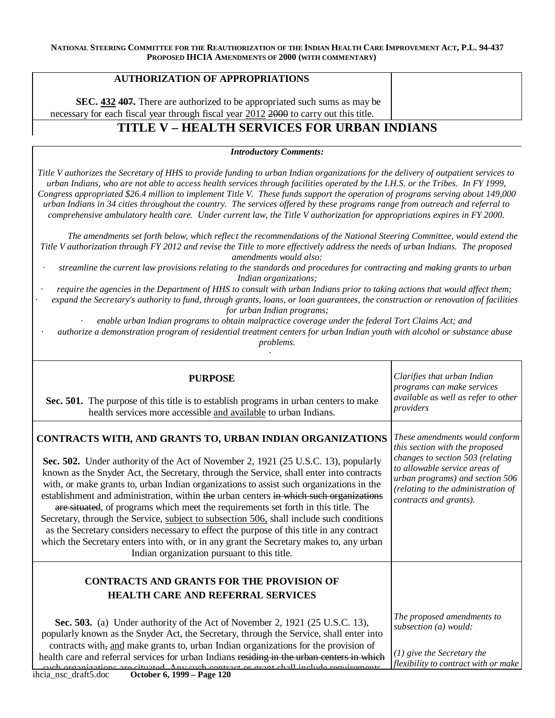## **AUTHORIZATION OF APPROPRIATIONS**

**SEC. 432 407.** There are authorized to be appropriated such sums as may be necessary for each fiscal year through fiscal year 2012 2000 to carry out this title.

# **TITLE V – HEALTH SERVICES FOR URBAN INDIANS**

*Introductory Comments:* 

*Title V authorizes the Secretary of HHS to provide funding to urban Indian organizations for the delivery of outpatient services to urban Indians, who are not able to access health services through facilities operated by the I.H.S. or the Tribes. In FY 1999, Congress appropriated \$26.4 million to implement Title V. These funds support the operation of programs serving about 149,000 urban Indians in 34 cities throughout the country. The services offered by these programs range from outreach and referral to comprehensive ambulatory health care. Under current law, the Title V authorization for appropriations expires in FY 2000.* 

*The amendments set forth below, which reflec t the recommendations of the National Steering Committee, would extend the Title V authorization through FY 2012 and revise the Title to more effectively address the needs of urban Indians. The proposed amendments would also:* 

*· streamline the current law provisions relating to the standards and procedures for contracting and making grants to urban Indian organizations;* 

*· require the agencies in the Department of HHS to consult with urban Indians prior to taking actions that would affect them; · expand the Secre tary's authority to fund, through grants, loans, or loan guarantees, the construction or renovation of facilities for urban Indian programs;* 

*· enable urban Indian programs to obtain malpractice coverage under the federal Tort Claims Act; and* 

*· authorize a demonstration program of residential treatment centers for urban Indian youth with alcohol or substance abuse problems.* 

·

| <b>PURPOSE</b><br>Sec. 501. The purpose of this title is to establish programs in urban centers to make<br>health services more accessible and available to urban Indians.                                                                                                                                                                                                                                                                                                                                                                                                                                                                                                                                                                                                                                                                              | Clarifies that urban Indian<br>programs can make services<br>available as well as refer to other<br>providers                                                                                                                            |
|---------------------------------------------------------------------------------------------------------------------------------------------------------------------------------------------------------------------------------------------------------------------------------------------------------------------------------------------------------------------------------------------------------------------------------------------------------------------------------------------------------------------------------------------------------------------------------------------------------------------------------------------------------------------------------------------------------------------------------------------------------------------------------------------------------------------------------------------------------|------------------------------------------------------------------------------------------------------------------------------------------------------------------------------------------------------------------------------------------|
| CONTRACTS WITH, AND GRANTS TO, URBAN INDIAN ORGANIZATIONS<br>Sec. 502. Under authority of the Act of November 2, 1921 (25 U.S.C. 13), popularly<br>known as the Snyder Act, the Secretary, through the Service, shall enter into contracts<br>with, or make grants to, urban Indian organizations to assist such organizations in the<br>establishment and administration, within the urban centers in which such organizations<br>are situated, of programs which meet the requirements set forth in this title. The<br>Secretary, through the Service, subject to subsection 506, shall include such conditions<br>as the Secretary considers necessary to effect the purpose of this title in any contract<br>which the Secretary enters into with, or in any grant the Secretary makes to, any urban<br>Indian organization pursuant to this title. | These amendments would conform<br>this section with the proposed<br>changes to section 503 (relating<br>to allowable service areas of<br>urban programs) and section 506<br>(relating to the administration of<br>contracts and grants). |
| <b>CONTRACTS AND GRANTS FOR THE PROVISION OF</b><br><b>HEALTH CARE AND REFERRAL SERVICES</b>                                                                                                                                                                                                                                                                                                                                                                                                                                                                                                                                                                                                                                                                                                                                                            |                                                                                                                                                                                                                                          |
| <b>Sec. 503.</b> (a) Under authority of the Act of November 2, 1921 (25 U.S.C. 13),<br>popularly known as the Snyder Act, the Secretary, through the Service, shall enter into<br>contracts with, and make grants to, urban Indian organizations for the provision of<br>health care and referral services for urban Indians residing in the urban centers in which<br>quel organizations are situated Any quel contract or grant shall include requirements                                                                                                                                                                                                                                                                                                                                                                                            | The proposed amendments to<br>subsection (a) would:<br>$(1)$ give the Secretary the<br>flexibility to contract with or make                                                                                                              |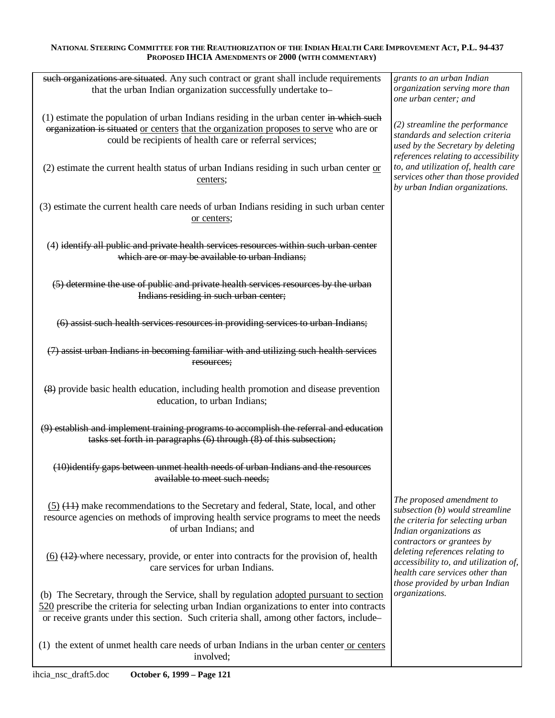| such organizations are situated. Any such contract or grant shall include requirements<br>that the urban Indian organization successfully undertake to-                                                                                                                            | grants to an urban Indian<br>organization serving more than<br>one urban center; and                                                                      |
|------------------------------------------------------------------------------------------------------------------------------------------------------------------------------------------------------------------------------------------------------------------------------------|-----------------------------------------------------------------------------------------------------------------------------------------------------------|
| (1) estimate the population of urban Indians residing in the urban center in which such<br>organization is situated or centers that the organization proposes to serve who are or<br>could be recipients of health care or referral services;                                      | (2) streamline the performance<br>standards and selection criteria<br>used by the Secretary by deleting<br>references relating to accessibility           |
| $(2)$ estimate the current health status of urban Indians residing in such urban center or<br>centers;                                                                                                                                                                             | to, and utilization of, health care<br>services other than those provided<br>by urban Indian organizations.                                               |
| (3) estimate the current health care needs of urban Indians residing in such urban center<br>or centers;                                                                                                                                                                           |                                                                                                                                                           |
| (4) identify all public and private health services resources within such urban center<br>which are or may be available to urban Indians;                                                                                                                                          |                                                                                                                                                           |
| (5) determine the use of public and private health services resources by the urban<br>Indians residing in such urban center;                                                                                                                                                       |                                                                                                                                                           |
| (6) assist such health services resources in providing services to urban Indians;                                                                                                                                                                                                  |                                                                                                                                                           |
| (7) assist urban Indians in becoming familiar with and utilizing such health services<br>resources;                                                                                                                                                                                |                                                                                                                                                           |
| (8) provide basic health education, including health promotion and disease prevention<br>education, to urban Indians;                                                                                                                                                              |                                                                                                                                                           |
| (9) establish and implement training programs to accomplish the referral and education<br>tasks set forth in paragraphs (6) through (8) of this subsection;                                                                                                                        |                                                                                                                                                           |
| (10) identify gaps between unmet health needs of urban Indians and the resources<br><del>available to meet such needs;</del>                                                                                                                                                       |                                                                                                                                                           |
| $(5)$ $(11)$ make recommendations to the Secretary and federal, State, local, and other<br>resource agencies on methods of improving health service programs to meet the needs<br>of urban Indians; and                                                                            | The proposed amendment to<br>subsection (b) would streamline<br>the criteria for selecting urban<br>Indian organizations as<br>contractors or grantees by |
| $(6)$ (42) where necessary, provide, or enter into contracts for the provision of, health<br>care services for urban Indians.                                                                                                                                                      | deleting references relating to<br>accessibility to, and utilization of,<br>health care services other than<br>those provided by urban Indian             |
| (b) The Secretary, through the Service, shall by regulation adopted pursuant to section<br>520 prescribe the criteria for selecting urban Indian organizations to enter into contracts<br>or receive grants under this section. Such criteria shall, among other factors, include- | organizations.                                                                                                                                            |
| (1) the extent of unmet health care needs of urban Indians in the urban center or centers<br>involved;                                                                                                                                                                             |                                                                                                                                                           |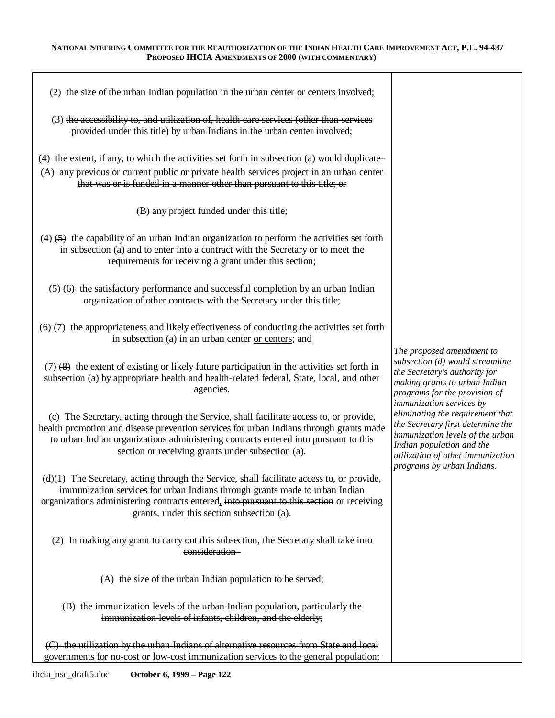| (2) the size of the urban Indian population in the urban center or centers involved;                                                                                                                                                                                                                                         |                                                                                                                                                                                                           |
|------------------------------------------------------------------------------------------------------------------------------------------------------------------------------------------------------------------------------------------------------------------------------------------------------------------------------|-----------------------------------------------------------------------------------------------------------------------------------------------------------------------------------------------------------|
| (3) the accessibility to, and utilization of, health care services (other than services<br>provided under this title) by urban Indians in the urban center involved;                                                                                                                                                         |                                                                                                                                                                                                           |
| $(4)$ the extent, if any, to which the activities set forth in subsection (a) would duplicate<br>(A) any previous or current public or private health services project in an urban center<br>that was or is funded in a manner other than pursuant to this title; or                                                         |                                                                                                                                                                                                           |
| (B) any project funded under this title;                                                                                                                                                                                                                                                                                     |                                                                                                                                                                                                           |
| $(4)$ (5) the capability of an urban Indian organization to perform the activities set forth<br>in subsection (a) and to enter into a contract with the Secretary or to meet the<br>requirements for receiving a grant under this section;                                                                                   |                                                                                                                                                                                                           |
| $(5)$ (6) the satisfactory performance and successful completion by an urban Indian<br>organization of other contracts with the Secretary under this title;                                                                                                                                                                  |                                                                                                                                                                                                           |
| $(6)$ $(7)$ the appropriateness and likely effectiveness of conducting the activities set forth<br>in subsection (a) in an urban center or centers; and                                                                                                                                                                      |                                                                                                                                                                                                           |
| $(7)$ $(8)$ the extent of existing or likely future participation in the activities set forth in<br>subsection (a) by appropriate health and health-related federal, State, local, and other<br>agencies.                                                                                                                    | The proposed amendment to<br>subsection (d) would streamline<br>the Secretary's authority for<br>making grants to urban Indian<br>programs for the provision of<br>immunization services by               |
| (c) The Secretary, acting through the Service, shall facilitate access to, or provide,<br>health promotion and disease prevention services for urban Indians through grants made<br>to urban Indian organizations administering contracts entered into pursuant to this<br>section or receiving grants under subsection (a). | eliminating the requirement that<br>the Secretary first determine the<br>immunization levels of the urban<br>Indian population and the<br>utilization of other immunization<br>programs by urban Indians. |
| $(d)(1)$ The Secretary, acting through the Service, shall facilitate access to, or provide,<br>immunization services for urban Indians through grants made to urban Indian<br>organizations administering contracts entered, into pursuant to this section or receiving<br>grants, under this section subsection (a).        |                                                                                                                                                                                                           |
| (2) In making any grant to carry out this subsection, the Secretary shall take into<br>consideration-                                                                                                                                                                                                                        |                                                                                                                                                                                                           |
| (A) the size of the urban Indian population to be served;                                                                                                                                                                                                                                                                    |                                                                                                                                                                                                           |
| (B) the immunization levels of the urban Indian population, particularly the<br>immunization levels of infants, children, and the elderly;                                                                                                                                                                                   |                                                                                                                                                                                                           |
| (C) the utilization by the urban Indians of alternative resources from State and local<br>governments for no cost or low-cost immunization services to the general population;                                                                                                                                               |                                                                                                                                                                                                           |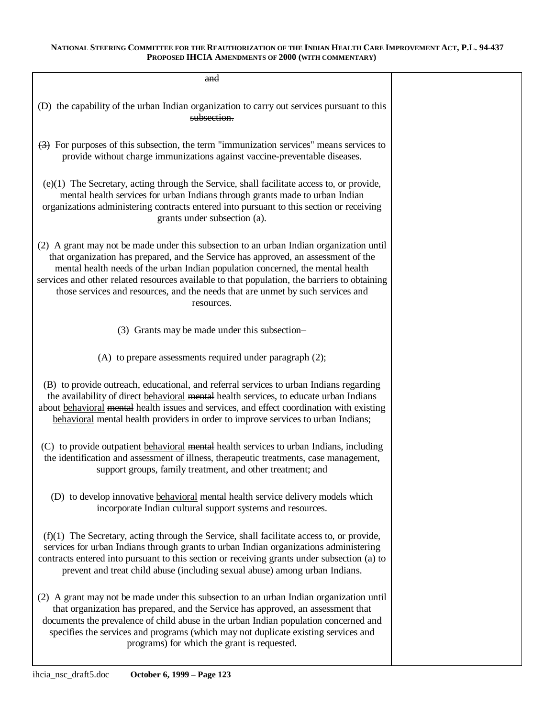| and                                                                                                                                                                                                                                                                                                                                                                                                                                                               |  |
|-------------------------------------------------------------------------------------------------------------------------------------------------------------------------------------------------------------------------------------------------------------------------------------------------------------------------------------------------------------------------------------------------------------------------------------------------------------------|--|
| (D) the capability of the urban Indian organization to carry out services pursuant to this<br>subsection.                                                                                                                                                                                                                                                                                                                                                         |  |
| $\leftrightarrow$ For purposes of this subsection, the term "immunization services" means services to<br>provide without charge immunizations against vaccine-preventable diseases.                                                                                                                                                                                                                                                                               |  |
| (e)(1) The Secretary, acting through the Service, shall facilitate access to, or provide,<br>mental health services for urban Indians through grants made to urban Indian<br>organizations administering contracts entered into pursuant to this section or receiving<br>grants under subsection (a).                                                                                                                                                             |  |
| (2) A grant may not be made under this subsection to an urban Indian organization until<br>that organization has prepared, and the Service has approved, an assessment of the<br>mental health needs of the urban Indian population concerned, the mental health<br>services and other related resources available to that population, the barriers to obtaining<br>those services and resources, and the needs that are unmet by such services and<br>resources. |  |
| (3) Grants may be made under this subsection-                                                                                                                                                                                                                                                                                                                                                                                                                     |  |
| (A) to prepare assessments required under paragraph (2);                                                                                                                                                                                                                                                                                                                                                                                                          |  |
| (B) to provide outreach, educational, and referral services to urban Indians regarding<br>the availability of direct behavioral mental health services, to educate urban Indians<br>about behavioral mental health issues and services, and effect coordination with existing<br>behavioral mental health providers in order to improve services to urban Indians;                                                                                                |  |
| (C) to provide outpatient behavioral mental health services to urban Indians, including<br>the identification and assessment of illness, therapeutic treatments, case management,<br>support groups, family treatment, and other treatment; and                                                                                                                                                                                                                   |  |
| (D) to develop innovative behavioral mental health service delivery models which<br>incorporate Indian cultural support systems and resources.                                                                                                                                                                                                                                                                                                                    |  |
| $(f)(1)$ The Secretary, acting through the Service, shall facilitate access to, or provide,<br>services for urban Indians through grants to urban Indian organizations administering<br>contracts entered into pursuant to this section or receiving grants under subsection (a) to<br>prevent and treat child abuse (including sexual abuse) among urban Indians.                                                                                                |  |
| (2) A grant may not be made under this subsection to an urban Indian organization until<br>that organization has prepared, and the Service has approved, an assessment that<br>documents the prevalence of child abuse in the urban Indian population concerned and<br>specifies the services and programs (which may not duplicate existing services and<br>programs) for which the grant is requested.                                                          |  |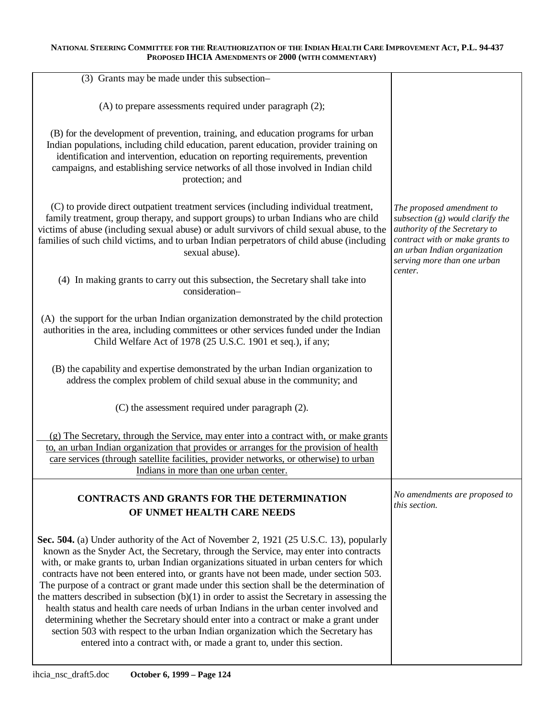| (3) Grants may be made under this subsection-                                                                                                                                                                                                                                                                                                                                                                                                                                                                                                                                                                                                                                                                                                                                                                                                                                                                     |                                                                                                                                                                                                    |
|-------------------------------------------------------------------------------------------------------------------------------------------------------------------------------------------------------------------------------------------------------------------------------------------------------------------------------------------------------------------------------------------------------------------------------------------------------------------------------------------------------------------------------------------------------------------------------------------------------------------------------------------------------------------------------------------------------------------------------------------------------------------------------------------------------------------------------------------------------------------------------------------------------------------|----------------------------------------------------------------------------------------------------------------------------------------------------------------------------------------------------|
| (A) to prepare assessments required under paragraph (2);                                                                                                                                                                                                                                                                                                                                                                                                                                                                                                                                                                                                                                                                                                                                                                                                                                                          |                                                                                                                                                                                                    |
| (B) for the development of prevention, training, and education programs for urban<br>Indian populations, including child education, parent education, provider training on<br>identification and intervention, education on reporting requirements, prevention<br>campaigns, and establishing service networks of all those involved in Indian child<br>protection; and                                                                                                                                                                                                                                                                                                                                                                                                                                                                                                                                           |                                                                                                                                                                                                    |
| (C) to provide direct outpatient treatment services (including individual treatment,<br>family treatment, group therapy, and support groups) to urban Indians who are child<br>victims of abuse (including sexual abuse) or adult survivors of child sexual abuse, to the<br>families of such child victims, and to urban Indian perpetrators of child abuse (including<br>sexual abuse).                                                                                                                                                                                                                                                                                                                                                                                                                                                                                                                         | The proposed amendment to<br>subsection $(g)$ would clarify the<br>authority of the Secretary to<br>contract with or make grants to<br>an urban Indian organization<br>serving more than one urban |
| (4) In making grants to carry out this subsection, the Secretary shall take into<br>consideration-                                                                                                                                                                                                                                                                                                                                                                                                                                                                                                                                                                                                                                                                                                                                                                                                                | center.                                                                                                                                                                                            |
| (A) the support for the urban Indian organization demonstrated by the child protection<br>authorities in the area, including committees or other services funded under the Indian<br>Child Welfare Act of 1978 (25 U.S.C. 1901 et seq.), if any;                                                                                                                                                                                                                                                                                                                                                                                                                                                                                                                                                                                                                                                                  |                                                                                                                                                                                                    |
| (B) the capability and expertise demonstrated by the urban Indian organization to<br>address the complex problem of child sexual abuse in the community; and                                                                                                                                                                                                                                                                                                                                                                                                                                                                                                                                                                                                                                                                                                                                                      |                                                                                                                                                                                                    |
| (C) the assessment required under paragraph (2).                                                                                                                                                                                                                                                                                                                                                                                                                                                                                                                                                                                                                                                                                                                                                                                                                                                                  |                                                                                                                                                                                                    |
| (g) The Secretary, through the Service, may enter into a contract with, or make grants<br>to, an urban Indian organization that provides or arranges for the provision of health<br>care services (through satellite facilities, provider networks, or otherwise) to urban<br>Indians in more than one urban center.                                                                                                                                                                                                                                                                                                                                                                                                                                                                                                                                                                                              |                                                                                                                                                                                                    |
| <b>CONTRACTS AND GRANTS FOR THE DETERMINATION</b><br>OF UNMET HEALTH CARE NEEDS                                                                                                                                                                                                                                                                                                                                                                                                                                                                                                                                                                                                                                                                                                                                                                                                                                   | No amendments are proposed to<br>this section.                                                                                                                                                     |
| Sec. 504. (a) Under authority of the Act of November 2, 1921 (25 U.S.C. 13), popularly<br>known as the Snyder Act, the Secretary, through the Service, may enter into contracts<br>with, or make grants to, urban Indian organizations situated in urban centers for which<br>contracts have not been entered into, or grants have not been made, under section 503.<br>The purpose of a contract or grant made under this section shall be the determination of<br>the matters described in subsection $(b)(1)$ in order to assist the Secretary in assessing the<br>health status and health care needs of urban Indians in the urban center involved and<br>determining whether the Secretary should enter into a contract or make a grant under<br>section 503 with respect to the urban Indian organization which the Secretary has<br>entered into a contract with, or made a grant to, under this section. |                                                                                                                                                                                                    |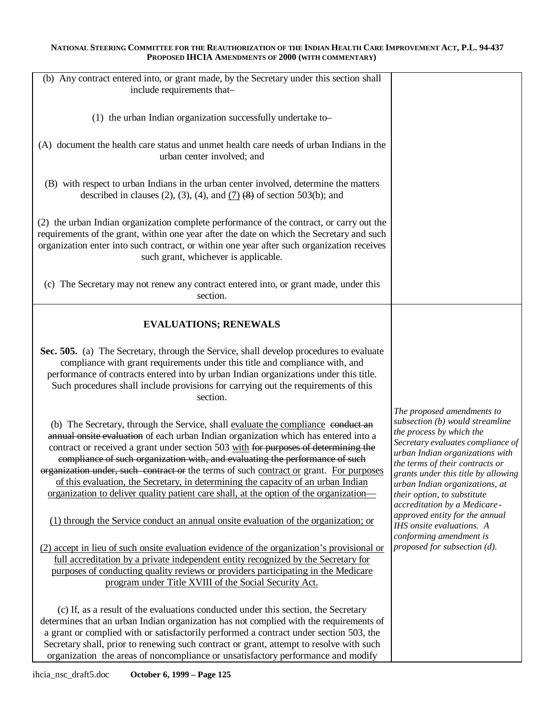| (b) Any contract entered into, or grant made, by the Secretary under this section shall<br>include requirements that-                                                                                                                                                                                                                                                                                                                                                                                                                                                                                                   |                                                                                                                                                                                                                                                                                                                                              |
|-------------------------------------------------------------------------------------------------------------------------------------------------------------------------------------------------------------------------------------------------------------------------------------------------------------------------------------------------------------------------------------------------------------------------------------------------------------------------------------------------------------------------------------------------------------------------------------------------------------------------|----------------------------------------------------------------------------------------------------------------------------------------------------------------------------------------------------------------------------------------------------------------------------------------------------------------------------------------------|
| (1) the urban Indian organization successfully undertake to-                                                                                                                                                                                                                                                                                                                                                                                                                                                                                                                                                            |                                                                                                                                                                                                                                                                                                                                              |
| (A) document the health care status and unmet health care needs of urban Indians in the<br>urban center involved; and                                                                                                                                                                                                                                                                                                                                                                                                                                                                                                   |                                                                                                                                                                                                                                                                                                                                              |
| (B) with respect to urban Indians in the urban center involved, determine the matters<br>described in clauses (2), (3), (4), and $(7)$ (8) of section 503(b); and                                                                                                                                                                                                                                                                                                                                                                                                                                                       |                                                                                                                                                                                                                                                                                                                                              |
| (2) the urban Indian organization complete performance of the contract, or carry out the<br>requirements of the grant, within one year after the date on which the Secretary and such<br>organization enter into such contract, or within one year after such organization receives<br>such grant, whichever is applicable.                                                                                                                                                                                                                                                                                             |                                                                                                                                                                                                                                                                                                                                              |
| (c) The Secretary may not renew any contract entered into, or grant made, under this<br>section.                                                                                                                                                                                                                                                                                                                                                                                                                                                                                                                        |                                                                                                                                                                                                                                                                                                                                              |
| <b>EVALUATIONS; RENEWALS</b>                                                                                                                                                                                                                                                                                                                                                                                                                                                                                                                                                                                            |                                                                                                                                                                                                                                                                                                                                              |
| Sec. 505. (a) The Secretary, through the Service, shall develop procedures to evaluate<br>compliance with grant requirements under this title and compliance with, and<br>performance of contracts entered into by urban Indian organizations under this title.<br>Such procedures shall include provisions for carrying out the requirements of this<br>section.                                                                                                                                                                                                                                                       |                                                                                                                                                                                                                                                                                                                                              |
| (b) The Secretary, through the Service, shall evaluate the compliance conduct an<br>annual onsite evaluation of each urban Indian organization which has entered into a<br>contract or received a grant under section 503 with for purposes of determining the<br>compliance of such organization with, and evaluating the performance of such<br>organization under, such contract or the terms of such contract or grant. For purposes<br>of this evaluation, the Secretary, in determining the capacity of an urban Indian<br>organization to deliver quality patient care shall, at the option of the organization— | The proposed amendments to<br>subsection (b) would streamline<br>the process by which the<br>Secretary evaluates compliance of<br>urban Indian organizations with<br>the terms of their contracts or<br>grants under this title by allowing<br>urban Indian organizations, at<br>their option, to substitute<br>accreditation by a Medicare- |
| (1) through the Service conduct an annual onsite evaluation of the organization; or                                                                                                                                                                                                                                                                                                                                                                                                                                                                                                                                     | approved entity for the annual<br>IHS onsite evaluations. A<br>conforming amendment is                                                                                                                                                                                                                                                       |
| (2) accept in lieu of such onsite evaluation evidence of the organization's provisional or<br>full accreditation by a private independent entity recognized by the Secretary for<br>purposes of conducting quality reviews or providers participating in the Medicare<br>program under Title XVIII of the Social Security Act.                                                                                                                                                                                                                                                                                          | proposed for subsection (d).                                                                                                                                                                                                                                                                                                                 |
| (c) If, as a result of the evaluations conducted under this section, the Secretary<br>determines that an urban Indian organization has not complied with the requirements of<br>a grant or complied with or satisfactorily performed a contract under section 503, the<br>Secretary shall, prior to renewing such contract or grant, attempt to resolve with such<br>organization the areas of noncompliance or unsatisfactory performance and modify                                                                                                                                                                   |                                                                                                                                                                                                                                                                                                                                              |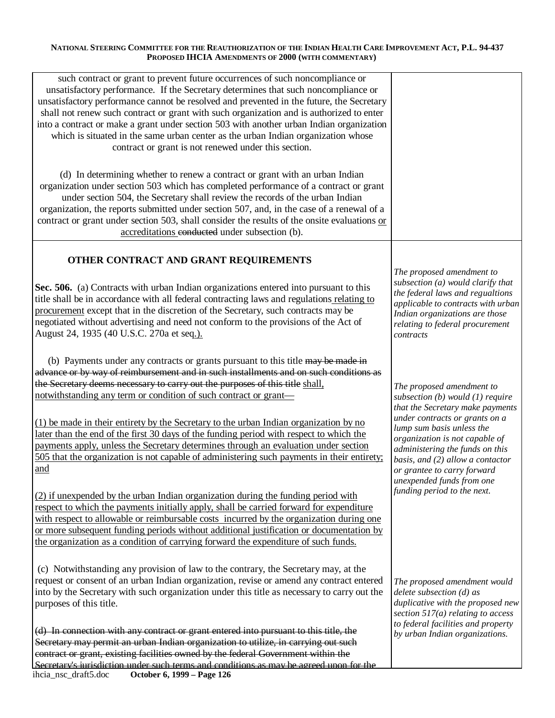| such contract or grant to prevent future occurrences of such noncompliance or<br>unsatisfactory performance. If the Secretary determines that such noncompliance or<br>unsatisfactory performance cannot be resolved and prevented in the future, the Secretary<br>shall not renew such contract or grant with such organization and is authorized to enter<br>into a contract or make a grant under section 503 with another urban Indian organization<br>which is situated in the same urban center as the urban Indian organization whose<br>contract or grant is not renewed under this section. |                                                                                                                                                                                                                                  |
|------------------------------------------------------------------------------------------------------------------------------------------------------------------------------------------------------------------------------------------------------------------------------------------------------------------------------------------------------------------------------------------------------------------------------------------------------------------------------------------------------------------------------------------------------------------------------------------------------|----------------------------------------------------------------------------------------------------------------------------------------------------------------------------------------------------------------------------------|
| (d) In determining whether to renew a contract or grant with an urban Indian<br>organization under section 503 which has completed performance of a contract or grant<br>under section 504, the Secretary shall review the records of the urban Indian<br>organization, the reports submitted under section 507, and, in the case of a renewal of a<br>contract or grant under section 503, shall consider the results of the onsite evaluations or<br>accreditations conducted under subsection (b).                                                                                                |                                                                                                                                                                                                                                  |
| OTHER CONTRACT AND GRANT REQUIREMENTS                                                                                                                                                                                                                                                                                                                                                                                                                                                                                                                                                                |                                                                                                                                                                                                                                  |
| Sec. 506. (a) Contracts with urban Indian organizations entered into pursuant to this<br>title shall be in accordance with all federal contracting laws and regulations relating to<br>procurement except that in the discretion of the Secretary, such contracts may be<br>negotiated without advertising and need not conform to the provisions of the Act of<br>August 24, 1935 (40 U.S.C. 270a et seq.).                                                                                                                                                                                         | The proposed amendment to<br>subsection (a) would clarify that<br>the federal laws and regualtions<br>applicable to contracts with urban<br>Indian organizations are those<br>relating to federal procurement<br>contracts       |
| (b) Payments under any contracts or grants pursuant to this title may be made in<br>advance or by way of reimbursement and in such installments and on such conditions as<br>the Secretary deems necessary to carry out the purposes of this title shall.<br>notwithstanding any term or condition of such contract or grant—                                                                                                                                                                                                                                                                        | The proposed amendment to<br>subsection $(b)$ would $(1)$ require<br>that the Secretary make payments                                                                                                                            |
| (1) be made in their entirety by the Secretary to the urban Indian organization by no<br>later than the end of the first 30 days of the funding period with respect to which the<br>payments apply, unless the Secretary determines through an evaluation under section<br>505 that the organization is not capable of administering such payments in their entirety;<br>and                                                                                                                                                                                                                         | under contracts or grants on a<br>lump sum basis unless the<br>organization is not capable of<br>administering the funds on this<br>basis, and (2) allow a contactor<br>or grantee to carry forward<br>unexpended funds from one |
| (2) if unexpended by the urban Indian organization during the funding period with<br>respect to which the payments initially apply, shall be carried forward for expenditure<br>with respect to allowable or reimbursable costs incurred by the organization during one<br>or more subsequent funding periods without additional justification or documentation by<br>the organization as a condition of carrying forward the expenditure of such funds.                                                                                                                                             | funding period to the next.                                                                                                                                                                                                      |
| (c) Notwithstanding any provision of law to the contrary, the Secretary may, at the<br>request or consent of an urban Indian organization, revise or amend any contract entered<br>into by the Secretary with such organization under this title as necessary to carry out the<br>purposes of this title.                                                                                                                                                                                                                                                                                            | The proposed amendment would<br>$delete$ subsection $(d)$ as<br>duplicative with the proposed new<br>section $517(a)$ relating to access                                                                                         |
| (d) In connection with any contract or grant entered into pursuant to this title, the<br>Secretary may permit an urban Indian organization to utilize, in carrying out such<br>contract or grant, existing facilities owned by the federal Government within the<br>Secretary's invisdiction under such terms and conditions as may be acreed upon for the                                                                                                                                                                                                                                           | to federal facilities and property<br>by urban Indian organizations.                                                                                                                                                             |
| ihcia_nsc_draft5.doc<br>October 6, 1999 - Page 126                                                                                                                                                                                                                                                                                                                                                                                                                                                                                                                                                   |                                                                                                                                                                                                                                  |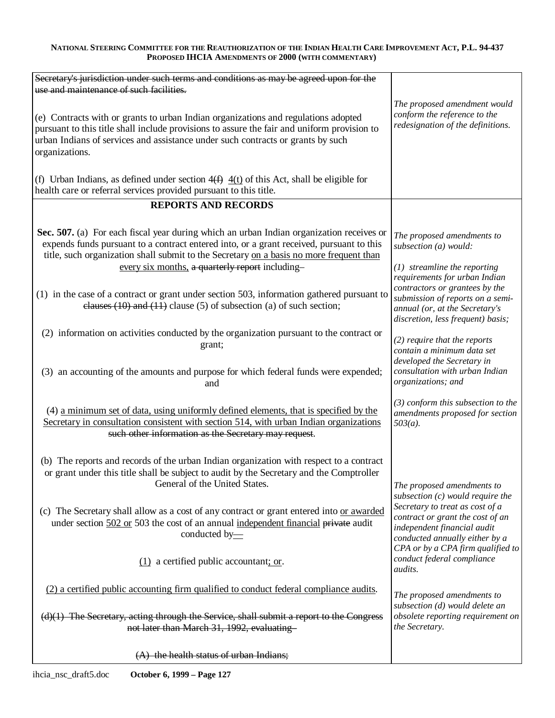| Secretary's jurisdiction under such terms and conditions as may be agreed upon for the                                                                                                                                                                                                                                             |                                                                                                                                                                            |
|------------------------------------------------------------------------------------------------------------------------------------------------------------------------------------------------------------------------------------------------------------------------------------------------------------------------------------|----------------------------------------------------------------------------------------------------------------------------------------------------------------------------|
| use and maintenance of such facilities.                                                                                                                                                                                                                                                                                            |                                                                                                                                                                            |
| (e) Contracts with or grants to urban Indian organizations and regulations adopted<br>pursuant to this title shall include provisions to assure the fair and uniform provision to<br>urban Indians of services and assistance under such contracts or grants by such<br>organizations.                                             | The proposed amendment would<br>conform the reference to the<br>redesignation of the definitions.                                                                          |
| (f) Urban Indians, as defined under section $4(f)$ $4(t)$ of this Act, shall be eligible for<br>health care or referral services provided pursuant to this title.                                                                                                                                                                  |                                                                                                                                                                            |
| <b>REPORTS AND RECORDS</b>                                                                                                                                                                                                                                                                                                         |                                                                                                                                                                            |
| Sec. 507. (a) For each fiscal year during which an urban Indian organization receives or<br>expends funds pursuant to a contract entered into, or a grant received, pursuant to this<br>title, such organization shall submit to the Secretary on a basis no more frequent than<br>every six months, a quarterly report including- | The proposed amendments to<br>subsection (a) would:<br>$(1)$ streamline the reporting                                                                                      |
| (1) in the case of a contract or grant under section 503, information gathered pursuant to<br>clauses $(10)$ and $(11)$ clause $(5)$ of subsection $(a)$ of such section;                                                                                                                                                          | requirements for urban Indian<br>contractors or grantees by the<br>submission of reports on a semi-<br>annual (or, at the Secretary's<br>discretion, less frequent) basis; |
| (2) information on activities conducted by the organization pursuant to the contract or                                                                                                                                                                                                                                            |                                                                                                                                                                            |
| grant;                                                                                                                                                                                                                                                                                                                             | $(2)$ require that the reports                                                                                                                                             |
| (3) an accounting of the amounts and purpose for which federal funds were expended;<br>and                                                                                                                                                                                                                                         | contain a minimum data set<br>developed the Secretary in<br>consultation with urban Indian<br>organizations; and                                                           |
| (4) a minimum set of data, using uniformly defined elements, that is specified by the<br>Secretary in consultation consistent with section 514, with urban Indian organizations<br>such other information as the Secretary may request.                                                                                            | $(3)$ conform this subsection to the<br>amendments proposed for section<br>$503(a)$ .                                                                                      |
| (b) The reports and records of the urban Indian organization with respect to a contract<br>or grant under this title shall be subject to audit by the Secretary and the Comptroller<br>General of the United States.                                                                                                               | The proposed amendments to<br>subsection $(c)$ would require the                                                                                                           |
| (c) The Secretary shall allow as a cost of any contract or grant entered into or awarded<br>under section 502 or 503 the cost of an annual independent financial private audit<br>conducted by-                                                                                                                                    | Secretary to treat as cost of a<br>contract or grant the cost of an<br>independent financial audit<br>conducted annually either by a<br>CPA or by a CPA firm qualified to  |
| (1) a certified public accountant; or.                                                                                                                                                                                                                                                                                             | conduct federal compliance<br><i>audits.</i>                                                                                                                               |
| (2) a certified public accounting firm qualified to conduct federal compliance audits.                                                                                                                                                                                                                                             | The proposed amendments to                                                                                                                                                 |
| $(d)(1)$ The Secretary, acting through the Service, shall submit a report to the Congress<br>not later than March 31, 1992, evaluating                                                                                                                                                                                             | subsection (d) would delete an<br>obsolete reporting requirement on<br>the Secretary.                                                                                      |
| (A) the health status of urban Indians;                                                                                                                                                                                                                                                                                            |                                                                                                                                                                            |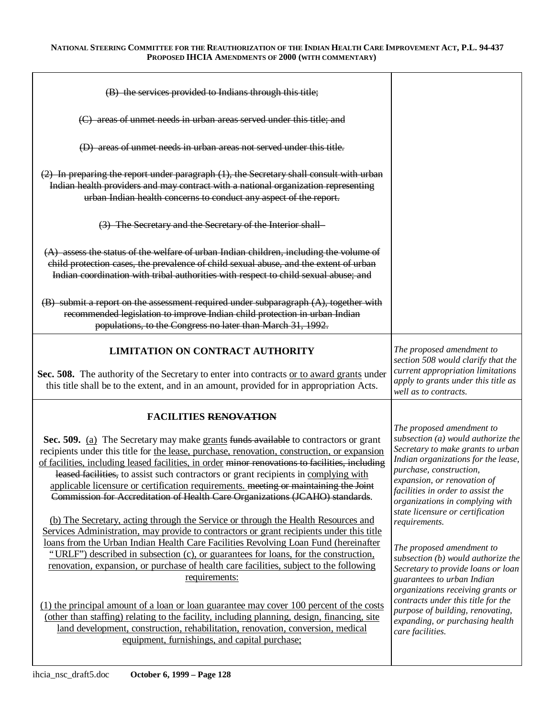| (B) the services provided to Indians through this title;                                                                                                                                                                                                                                                                                                                                                                                                                                                                                                                                                                                                                                                                                                                                                                                                                                                                                                                                                                                                                                                                                                                                                                                                                                                                                                                                       |                                                                                                                                                                                                                                                                                                                                                                                                                                                                                                                                                                                                                                                   |
|------------------------------------------------------------------------------------------------------------------------------------------------------------------------------------------------------------------------------------------------------------------------------------------------------------------------------------------------------------------------------------------------------------------------------------------------------------------------------------------------------------------------------------------------------------------------------------------------------------------------------------------------------------------------------------------------------------------------------------------------------------------------------------------------------------------------------------------------------------------------------------------------------------------------------------------------------------------------------------------------------------------------------------------------------------------------------------------------------------------------------------------------------------------------------------------------------------------------------------------------------------------------------------------------------------------------------------------------------------------------------------------------|---------------------------------------------------------------------------------------------------------------------------------------------------------------------------------------------------------------------------------------------------------------------------------------------------------------------------------------------------------------------------------------------------------------------------------------------------------------------------------------------------------------------------------------------------------------------------------------------------------------------------------------------------|
| (C) areas of unmet needs in urban areas served under this title; and                                                                                                                                                                                                                                                                                                                                                                                                                                                                                                                                                                                                                                                                                                                                                                                                                                                                                                                                                                                                                                                                                                                                                                                                                                                                                                                           |                                                                                                                                                                                                                                                                                                                                                                                                                                                                                                                                                                                                                                                   |
| (D) areas of unmet needs in urban areas not served under this title.                                                                                                                                                                                                                                                                                                                                                                                                                                                                                                                                                                                                                                                                                                                                                                                                                                                                                                                                                                                                                                                                                                                                                                                                                                                                                                                           |                                                                                                                                                                                                                                                                                                                                                                                                                                                                                                                                                                                                                                                   |
| $(2)$ In preparing the report under paragraph $(1)$ , the Secretary shall consult with urban<br>Indian health providers and may contract with a national organization representing<br>urban Indian health concerns to conduct any aspect of the report.                                                                                                                                                                                                                                                                                                                                                                                                                                                                                                                                                                                                                                                                                                                                                                                                                                                                                                                                                                                                                                                                                                                                        |                                                                                                                                                                                                                                                                                                                                                                                                                                                                                                                                                                                                                                                   |
| (3) The Secretary and the Secretary of the Interior shall-                                                                                                                                                                                                                                                                                                                                                                                                                                                                                                                                                                                                                                                                                                                                                                                                                                                                                                                                                                                                                                                                                                                                                                                                                                                                                                                                     |                                                                                                                                                                                                                                                                                                                                                                                                                                                                                                                                                                                                                                                   |
| $(A)$ assess the status of the welfare of urban Indian children, including the volume of<br>child protection cases, the prevalence of child sexual abuse, and the extent of urban<br>Indian coordination with tribal authorities with respect to child sexual abuse; and                                                                                                                                                                                                                                                                                                                                                                                                                                                                                                                                                                                                                                                                                                                                                                                                                                                                                                                                                                                                                                                                                                                       |                                                                                                                                                                                                                                                                                                                                                                                                                                                                                                                                                                                                                                                   |
| $(B)$ submit a report on the assessment required under subparagraph $(A)$ , together with<br>recommended legislation to improve Indian child protection in urban Indian<br>populations, to the Congress no later than March 31, 1992.                                                                                                                                                                                                                                                                                                                                                                                                                                                                                                                                                                                                                                                                                                                                                                                                                                                                                                                                                                                                                                                                                                                                                          |                                                                                                                                                                                                                                                                                                                                                                                                                                                                                                                                                                                                                                                   |
| <b>LIMITATION ON CONTRACT AUTHORITY</b><br>Sec. 508. The authority of the Secretary to enter into contracts or to award grants under<br>this title shall be to the extent, and in an amount, provided for in appropriation Acts.                                                                                                                                                                                                                                                                                                                                                                                                                                                                                                                                                                                                                                                                                                                                                                                                                                                                                                                                                                                                                                                                                                                                                               | The proposed amendment to<br>section 508 would clarify that the<br>current appropriation limitations<br>apply to grants under this title as<br>well as to contracts.                                                                                                                                                                                                                                                                                                                                                                                                                                                                              |
| <b>FACILITIES RENOVATION</b><br>Sec. 509. (a) The Secretary may make grants funds available to contractors or grant<br>recipients under this title for the lease, purchase, renovation, construction, or expansion<br>of facilities, including leased facilities, in order minor renovations to facilities, including<br>leased facilities, to assist such contractors or grant recipients in complying with<br>applicable licensure or certification requirements. meeting or maintaining the Joint<br>Commission for Accreditation of Health Care Organizations (JCAHO) standards.<br>(b) The Secretary, acting through the Service or through the Health Resources and<br>Services Administration, may provide to contractors or grant recipients under this title<br>loans from the Urban Indian Health Care Facilities Revolving Loan Fund (hereinafter<br>"URLF") described in subsection (c), or guarantees for loans, for the construction,<br>renovation, expansion, or purchase of health care facilities, subject to the following<br>requirements:<br>$(1)$ the principal amount of a loan or loan guarantee may cover 100 percent of the costs<br>(other than staffing) relating to the facility, including planning, design, financing, site<br>land development, construction, rehabilitation, renovation, conversion, medical<br>equipment, furnishings, and capital purchase; | The proposed amendment to<br>subsection $(a)$ would authorize the<br>Secretary to make grants to urban<br>Indian organizations for the lease,<br>purchase, construction,<br>expansion, or renovation of<br>facilities in order to assist the<br>organizations in complying with<br>state licensure or certification<br>requirements.<br>The proposed amendment to<br>subsection (b) would authorize the<br>Secretary to provide loans or loan<br>guarantees to urban Indian<br>organizations receiving grants or<br>contracts under this title for the<br>purpose of building, renovating,<br>expanding, or purchasing health<br>care facilities. |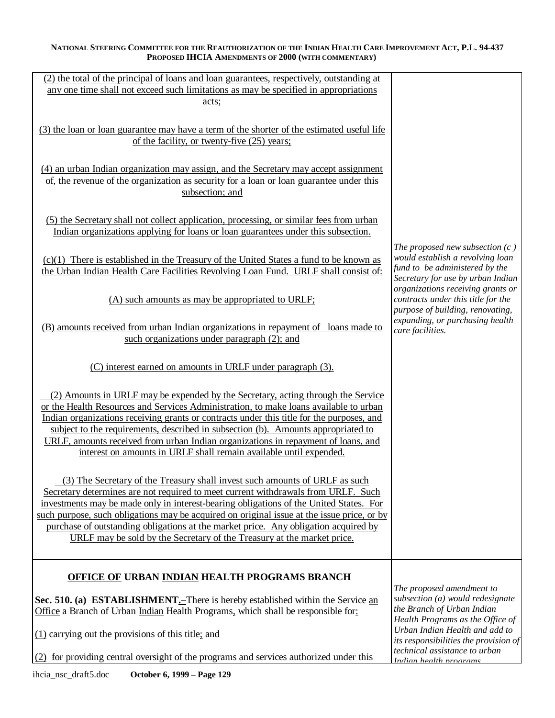| (2) the total of the principal of loans and loan guarantees, respectively, outstanding at<br>any one time shall not exceed such limitations as may be specified in appropriations<br>acts;                                                                                                                                                                                                                                                                                                                                |                                                                                                                                              |
|---------------------------------------------------------------------------------------------------------------------------------------------------------------------------------------------------------------------------------------------------------------------------------------------------------------------------------------------------------------------------------------------------------------------------------------------------------------------------------------------------------------------------|----------------------------------------------------------------------------------------------------------------------------------------------|
| (3) the loan or loan guarantee may have a term of the shorter of the estimated useful life<br>of the facility, or twenty-five (25) years;                                                                                                                                                                                                                                                                                                                                                                                 |                                                                                                                                              |
| (4) an urban Indian organization may assign, and the Secretary may accept assignment<br>of, the revenue of the organization as security for a loan or loan guarantee under this<br>subsection; and                                                                                                                                                                                                                                                                                                                        |                                                                                                                                              |
| (5) the Secretary shall not collect application, processing, or similar fees from urban<br>Indian organizations applying for loans or loan guarantees under this subsection.                                                                                                                                                                                                                                                                                                                                              |                                                                                                                                              |
| $(c)(1)$ There is established in the Treasury of the United States a fund to be known as<br>the Urban Indian Health Care Facilities Revolving Loan Fund. URLF shall consist of:                                                                                                                                                                                                                                                                                                                                           | The proposed new subsection $(c)$<br>would establish a revolving loan<br>fund to be administered by the<br>Secretary for use by urban Indian |
| (A) such amounts as may be appropriated to URLF;                                                                                                                                                                                                                                                                                                                                                                                                                                                                          | organizations receiving grants or<br>contracts under this title for the<br>purpose of building, renovating,                                  |
| (B) amounts received from urban Indian organizations in repayment of loans made to<br>such organizations under paragraph (2); and                                                                                                                                                                                                                                                                                                                                                                                         | expanding, or purchasing health<br>care facilities.                                                                                          |
| (C) interest earned on amounts in URLF under paragraph (3).                                                                                                                                                                                                                                                                                                                                                                                                                                                               |                                                                                                                                              |
| (2) Amounts in URLF may be expended by the Secretary, acting through the Service<br>or the Health Resources and Services Administration, to make loans available to urban<br>Indian organizations receiving grants or contracts under this title for the purposes, and<br>subject to the requirements, described in subsection (b). Amounts appropriated to<br>URLF, amounts received from urban Indian organizations in repayment of loans, and<br>interest on amounts in URLF shall remain available until expended.    |                                                                                                                                              |
| (3) The Secretary of the Treasury shall invest such amounts of URLF as such<br>Secretary determines are not required to meet current withdrawals from URLF. Such<br>investments may be made only in interest-bearing obligations of the United States. For<br>such purpose, such obligations may be acquired on original issue at the issue price, or by<br>purchase of outstanding obligations at the market price. Any obligation acquired by<br>URLF may be sold by the Secretary of the Treasury at the market price. |                                                                                                                                              |
| OFFICE OF URBAN INDIAN HEALTH PROGRAMS BRANCH<br>Sec. 510. (a) <b>ESTABLISHMENT</b> . There is hereby established within the Service an<br>Office a Branch of Urban Indian Health Programs, which shall be responsible for:                                                                                                                                                                                                                                                                                               | The proposed amendment to<br>subsection (a) would redesignate<br>the Branch of Urban Indian<br>Health Programs as the Office of              |
| $(1)$ carrying out the provisions of this title; and                                                                                                                                                                                                                                                                                                                                                                                                                                                                      | Urban Indian Health and add to<br>its responsibilities the provision of<br>technical assistance to urban                                     |
| (2) for providing central oversight of the programs and services authorized under this                                                                                                                                                                                                                                                                                                                                                                                                                                    | <u>Indian health programs</u>                                                                                                                |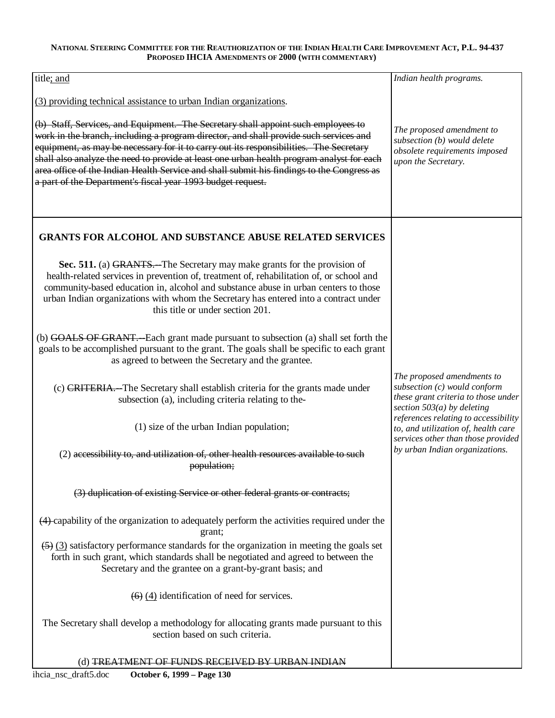| title; and                                                                                                                                                                                                                                                                                                                                                                                                                                                                                                                    | Indian health programs.                                                                                                           |
|-------------------------------------------------------------------------------------------------------------------------------------------------------------------------------------------------------------------------------------------------------------------------------------------------------------------------------------------------------------------------------------------------------------------------------------------------------------------------------------------------------------------------------|-----------------------------------------------------------------------------------------------------------------------------------|
| (3) providing technical assistance to urban Indian organizations.                                                                                                                                                                                                                                                                                                                                                                                                                                                             |                                                                                                                                   |
| (b) Staff, Services, and Equipment. The Secretary shall appoint such employees to<br>work in the branch, including a program director, and shall provide such services and<br>equipment, as may be necessary for it to carry out its responsibilities. The Secretary<br>shall also analyze the need to provide at least one urban health program analyst for each<br>area office of the Indian Health Service and shall submit his findings to the Congress as<br>a part of the Department's fiscal year 1993 budget request. | The proposed amendment to<br>subsection (b) would delete<br>obsolete requirements imposed<br>upon the Secretary.                  |
| <b>GRANTS FOR ALCOHOL AND SUBSTANCE ABUSE RELATED SERVICES</b>                                                                                                                                                                                                                                                                                                                                                                                                                                                                |                                                                                                                                   |
| Sec. 511. (a) GRANTS.—The Secretary may make grants for the provision of<br>health-related services in prevention of, treatment of, rehabilitation of, or school and<br>community-based education in, alcohol and substance abuse in urban centers to those<br>urban Indian organizations with whom the Secretary has entered into a contract under<br>this title or under section 201.                                                                                                                                       |                                                                                                                                   |
| (b) GOALS OF GRANT.—Each grant made pursuant to subsection (a) shall set forth the<br>goals to be accomplished pursuant to the grant. The goals shall be specific to each grant<br>as agreed to between the Secretary and the grantee.                                                                                                                                                                                                                                                                                        |                                                                                                                                   |
| (c) CRITERIA. The Secretary shall establish criteria for the grants made under<br>subsection (a), including criteria relating to the-                                                                                                                                                                                                                                                                                                                                                                                         | The proposed amendments to<br>subsection (c) would conform<br>these grant criteria to those under<br>section $503(a)$ by deleting |
| (1) size of the urban Indian population;                                                                                                                                                                                                                                                                                                                                                                                                                                                                                      | references relating to accessibility<br>to, and utilization of, health care<br>services other than those provided                 |
| (2) accessibility to, and utilization of, other health resources available to such<br>population;                                                                                                                                                                                                                                                                                                                                                                                                                             | by urban Indian organizations.                                                                                                    |
| (3) duplication of existing Service or other federal grants or contracts;                                                                                                                                                                                                                                                                                                                                                                                                                                                     |                                                                                                                                   |
| (4) capability of the organization to adequately perform the activities required under the<br>grant;                                                                                                                                                                                                                                                                                                                                                                                                                          |                                                                                                                                   |
| $(5)$ (3) satisfactory performance standards for the organization in meeting the goals set<br>forth in such grant, which standards shall be negotiated and agreed to between the<br>Secretary and the grantee on a grant-by-grant basis; and                                                                                                                                                                                                                                                                                  |                                                                                                                                   |
| $(4)$ (4) identification of need for services.                                                                                                                                                                                                                                                                                                                                                                                                                                                                                |                                                                                                                                   |
| The Secretary shall develop a methodology for allocating grants made pursuant to this<br>section based on such criteria.                                                                                                                                                                                                                                                                                                                                                                                                      |                                                                                                                                   |
| (d) TREATMENT OF FUNDS RECEIVED BY URBAN INDIAN                                                                                                                                                                                                                                                                                                                                                                                                                                                                               |                                                                                                                                   |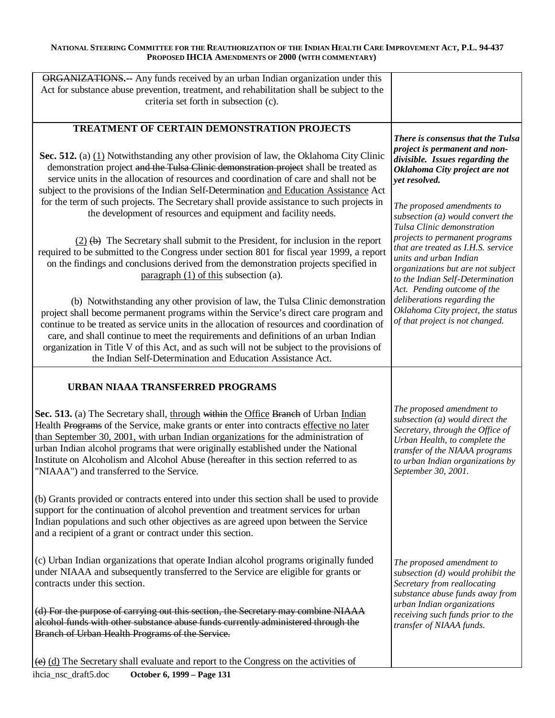| <b>ORGANIZATIONS.</b> -- Any funds received by an urban Indian organization under this                                                                                                                                                                                                                                                                                                                                                                                                                                   |                                                                                                                                                                                                                                |
|--------------------------------------------------------------------------------------------------------------------------------------------------------------------------------------------------------------------------------------------------------------------------------------------------------------------------------------------------------------------------------------------------------------------------------------------------------------------------------------------------------------------------|--------------------------------------------------------------------------------------------------------------------------------------------------------------------------------------------------------------------------------|
| Act for substance abuse prevention, treatment, and rehabilitation shall be subject to the                                                                                                                                                                                                                                                                                                                                                                                                                                |                                                                                                                                                                                                                                |
| criteria set forth in subsection (c).                                                                                                                                                                                                                                                                                                                                                                                                                                                                                    |                                                                                                                                                                                                                                |
|                                                                                                                                                                                                                                                                                                                                                                                                                                                                                                                          |                                                                                                                                                                                                                                |
| TREATMENT OF CERTAIN DEMONSTRATION PROJECTS                                                                                                                                                                                                                                                                                                                                                                                                                                                                              | There is consensus that the Tulsa                                                                                                                                                                                              |
| Sec. 512. (a) $(1)$ Notwithstanding any other provision of law, the Oklahoma City Clinic<br>demonstration project and the Tulsa Clinic demonstration project shall be treated as<br>service units in the allocation of resources and coordination of care and shall not be<br>subject to the provisions of the Indian Self-Determination and Education Assistance Act                                                                                                                                                    | project is permanent and non-<br>divisible. Issues regarding the<br>Oklahoma City project are not<br>vet resolved.                                                                                                             |
| for the term of such projects. The Secretary shall provide assistance to such projects in<br>the development of resources and equipment and facility needs.                                                                                                                                                                                                                                                                                                                                                              | The proposed amendments to<br>subsection (a) would convert the<br>Tulsa Clinic demonstration                                                                                                                                   |
| $(2)$ (b) The Secretary shall submit to the President, for inclusion in the report<br>required to be submitted to the Congress under section 801 for fiscal year 1999, a report<br>on the findings and conclusions derived from the demonstration projects specified in<br>paragraph $(1)$ of this subsection $(a)$ .                                                                                                                                                                                                    | projects to permanent programs<br>that are treated as I.H.S. service<br>units and urban Indian<br>organizations but are not subject<br>to the Indian Self-Determination<br>Act. Pending outcome of the                         |
| (b) Notwithstanding any other provision of law, the Tulsa Clinic demonstration<br>project shall become permanent programs within the Service's direct care program and<br>continue to be treated as service units in the allocation of resources and coordination of<br>care, and shall continue to meet the requirements and definitions of an urban Indian<br>organization in Title V of this Act, and as such will not be subject to the provisions of<br>the Indian Self-Determination and Education Assistance Act. | deliberations regarding the<br>Oklahoma City project, the status<br>of that project is not changed.                                                                                                                            |
|                                                                                                                                                                                                                                                                                                                                                                                                                                                                                                                          |                                                                                                                                                                                                                                |
| <b>URBAN NIAAA TRANSFERRED PROGRAMS</b>                                                                                                                                                                                                                                                                                                                                                                                                                                                                                  |                                                                                                                                                                                                                                |
| Health Programs of the Service, make grants or enter into contracts effective no later<br>than September 30, 2001, with urban Indian organizations for the administration of<br>urban Indian alcohol programs that were originally established under the National<br>Institute on Alcoholism and Alcohol Abuse (hereafter in this section referred to as<br>"NIAAA") and transferred to the Service.                                                                                                                     | The proposed amendment to<br>subsection (a) would direct the<br>Secretary, through the Office of<br>Urban Health, to complete the<br>transfer of the NIAAA programs<br>to urban Indian organizations by<br>September 30, 2001. |
| (b) Grants provided or contracts entered into under this section shall be used to provide<br>support for the continuation of alcohol prevention and treatment services for urban<br>Indian populations and such other objectives as are agreed upon between the Service<br>and a recipient of a grant or contract under this section.                                                                                                                                                                                    |                                                                                                                                                                                                                                |
| Sec. 513. (a) The Secretary shall, through within the Office Branch of Urban Indian<br>(c) Urban Indian organizations that operate Indian alcohol programs originally funded<br>under NIAAA and subsequently transferred to the Service are eligible for grants or<br>contracts under this section.                                                                                                                                                                                                                      | The proposed amendment to<br>subsection (d) would prohibit the<br>Secretary from reallocating<br>substance abuse funds away from                                                                                               |
| (d) For the purpose of carrying out this section, the Secretary may combine NIAAA<br>alcohol funds with other substance abuse funds currently administered through the<br>Branch of Urban Health Programs of the Service.                                                                                                                                                                                                                                                                                                | urban Indian organizations<br>receiving such funds prior to the<br>transfer of NIAAA funds.                                                                                                                                    |
| $\overline{(e)}$ (d) The Secretary shall evaluate and report to the Congress on the activities of                                                                                                                                                                                                                                                                                                                                                                                                                        |                                                                                                                                                                                                                                |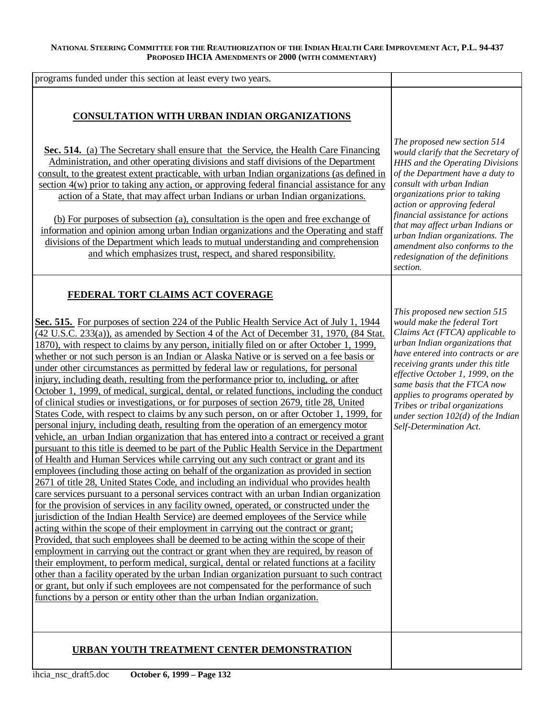| programs funded under this section at least every two years.                                                                                                                                                                                                                                                                                                                                                                                                                                                                                                                                                                                                                                                                                                                                                                                            |                                                                                                                                                                                                                                                                                                                                                                                                                                      |
|---------------------------------------------------------------------------------------------------------------------------------------------------------------------------------------------------------------------------------------------------------------------------------------------------------------------------------------------------------------------------------------------------------------------------------------------------------------------------------------------------------------------------------------------------------------------------------------------------------------------------------------------------------------------------------------------------------------------------------------------------------------------------------------------------------------------------------------------------------|--------------------------------------------------------------------------------------------------------------------------------------------------------------------------------------------------------------------------------------------------------------------------------------------------------------------------------------------------------------------------------------------------------------------------------------|
| <b>CONSULTATION WITH URBAN INDIAN ORGANIZATIONS</b><br>Sec. 514. (a) The Secretary shall ensure that the Service, the Health Care Financing<br>Administration, and other operating divisions and staff divisions of the Department<br>consult, to the greatest extent practicable, with urban Indian organizations (as defined in<br>section 4(w) prior to taking any action, or approving federal financial assistance for any<br>action of a State, that may affect urban Indians or urban Indian organizations.<br>(b) For purposes of subsection (a), consultation is the open and free exchange of<br>information and opinion among urban Indian organizations and the Operating and staff<br>divisions of the Department which leads to mutual understanding and comprehension<br>and which emphasizes trust, respect, and shared responsibility. | The proposed new section 514<br>would clarify that the Secretary of<br>HHS and the Operating Divisions<br>of the Department have a duty to<br>consult with urban Indian<br>organizations prior to taking<br>action or approving federal<br>financial assistance for actions<br>that may affect urban Indians or<br>urban Indian organizations. The<br>amendment also conforms to the<br>redesignation of the definitions<br>section. |
| FEDERAL TORT CLAIMS ACT COVERAGE<br>Sec. 515. For purposes of section 224 of the Public Health Service Act of July 1, 1944<br>$(42 \text{ U.S.C. } 233(a))$ , as amended by Section 4 of the Act of December 31, 1970, $(84 \text{ Stat.})$<br>1870), with respect to claims by any person, initially filed on or after October 1, 1999,<br>whether or not such person is an Indian or Alaska Native or is served on a fee basis or                                                                                                                                                                                                                                                                                                                                                                                                                     | This proposed new section 515<br>would make the federal Tort<br>Claims Act (FTCA) applicable to<br>urban Indian organizations that<br>have entered into contracts or are                                                                                                                                                                                                                                                             |
| under other circumstances as permitted by federal law or regulations, for personal<br>injury, including death, resulting from the performance prior to, including, or after<br>October 1, 1999, of medical, surgical, dental, or related functions, including the conduct<br>of clinical studies or investigations, or for purposes of section 2679, title 28, United<br>States Code, with respect to claims by any such person, on or after October 1, 1999, for<br>personal injury, including death, resulting from the operation of an emergency motor<br>vehicle, an urban Indian organization that has entered into a contract or received a grant                                                                                                                                                                                                 | receiving grants under this title<br>effective October 1, 1999, on the<br>same basis that the FTCA now<br>applies to programs operated by<br>Tribes or tribal organizations<br>under section $102(d)$ of the Indian<br>Self-Determination Act.                                                                                                                                                                                       |
| pursuant to this title is deemed to be part of the Public Health Service in the Department<br>of Health and Human Services while carrying out any such contract or grant and its<br>employees (including those acting on behalf of the organization as provided in section<br>2671 of title 28, United States Code, and including an individual who provides health                                                                                                                                                                                                                                                                                                                                                                                                                                                                                     |                                                                                                                                                                                                                                                                                                                                                                                                                                      |
| care services pursuant to a personal services contract with an urban Indian organization<br>for the provision of services in any facility owned, operated, or constructed under the<br>jurisdiction of the Indian Health Service) are deemed employees of the Service while<br>acting within the scope of their employment in carrying out the contract or grant;<br><u>Provided, that such employees shall be deemed to be acting within the scope of their</u>                                                                                                                                                                                                                                                                                                                                                                                        |                                                                                                                                                                                                                                                                                                                                                                                                                                      |
| employment in carrying out the contract or grant when they are required, by reason of<br>their employment, to perform medical, surgical, dental or related functions at a facility<br>other than a facility operated by the urban Indian organization pursuant to such contract<br>or grant, but only if such employees are not compensated for the performance of such<br>functions by a person or entity other than the urban Indian organization.                                                                                                                                                                                                                                                                                                                                                                                                    |                                                                                                                                                                                                                                                                                                                                                                                                                                      |
|                                                                                                                                                                                                                                                                                                                                                                                                                                                                                                                                                                                                                                                                                                                                                                                                                                                         |                                                                                                                                                                                                                                                                                                                                                                                                                                      |

**URBAN YOUTH TREATMENT CENTER DEMONSTRATION**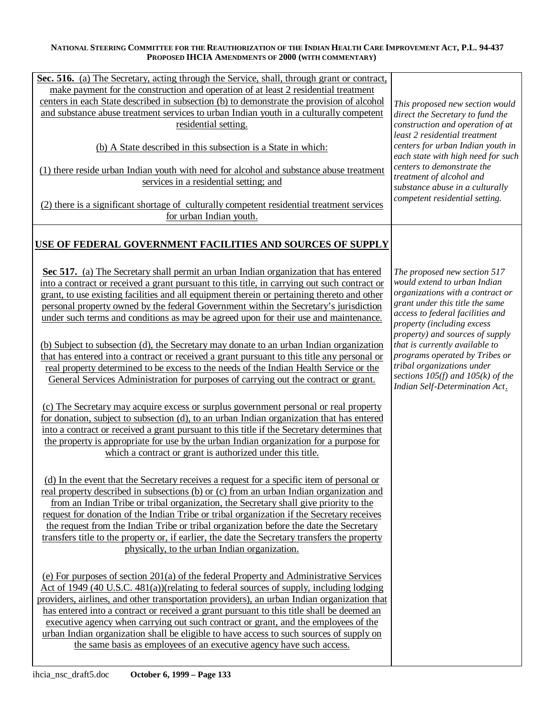| Sec. 516. (a) The Secretary, acting through the Service, shall, through grant or contract,    |                                                                         |
|-----------------------------------------------------------------------------------------------|-------------------------------------------------------------------------|
| make payment for the construction and operation of at least 2 residential treatment           |                                                                         |
| centers in each State described in subsection (b) to demonstrate the provision of alcohol     | This proposed new section would                                         |
| and substance abuse treatment services to urban Indian youth in a culturally competent        | direct the Secretary to fund the                                        |
| residential setting.                                                                          | construction and operation of at<br>least 2 residential treatment       |
| (b) A State described in this subsection is a State in which:                                 | centers for urban Indian youth in<br>each state with high need for such |
| (1) there reside urban Indian youth with need for alcohol and substance abuse treatment       | centers to demonstrate the                                              |
| services in a residential setting; and                                                        | treatment of alcohol and                                                |
|                                                                                               | substance abuse in a culturally                                         |
| (2) there is a significant shortage of culturally competent residential treatment services    | competent residential setting.                                          |
| for urban Indian youth.                                                                       |                                                                         |
|                                                                                               |                                                                         |
| USE OF FEDERAL GOVERNMENT FACILITIES AND SOURCES OF SUPPLY                                    |                                                                         |
|                                                                                               |                                                                         |
| Sec 517. (a) The Secretary shall permit an urban Indian organization that has entered         | The proposed new section 517                                            |
| into a contract or received a grant pursuant to this title, in carrying out such contract or  | would extend to urban Indian                                            |
| grant, to use existing facilities and all equipment therein or pertaining thereto and other   | organizations with a contract or                                        |
| personal property owned by the federal Government within the Secretary's jurisdiction         | grant under this title the same                                         |
| under such terms and conditions as may be agreed upon for their use and maintenance.          | access to federal facilities and                                        |
|                                                                                               | property (including excess<br>property) and sources of supply           |
| (b) Subject to subsection (d), the Secretary may donate to an urban Indian organization       | that is currently available to                                          |
| that has entered into a contract or received a grant pursuant to this title any personal or   | programs operated by Tribes or                                          |
| real property determined to be excess to the needs of the Indian Health Service or the        | tribal organizations under                                              |
| General Services Administration for purposes of carrying out the contract or grant.           | sections $105(f)$ and $105(k)$ of the                                   |
|                                                                                               | Indian Self-Determination Act.                                          |
|                                                                                               |                                                                         |
| (c) The Secretary may acquire excess or surplus government personal or real property          |                                                                         |
| for donation, subject to subsection (d), to an urban Indian organization that has entered     |                                                                         |
| into a contract or received a grant pursuant to this title if the Secretary determines that   |                                                                         |
| the property is appropriate for use by the urban Indian organization for a purpose for        |                                                                         |
| which a contract or grant is authorized under this title.                                     |                                                                         |
|                                                                                               |                                                                         |
| (d) In the event that the Secretary receives a request for a specific item of personal or     |                                                                         |
| real property described in subsections (b) or (c) from an urban Indian organization and       |                                                                         |
| from an Indian Tribe or tribal organization, the Secretary shall give priority to the         |                                                                         |
| request for donation of the Indian Tribe or tribal organization if the Secretary receives     |                                                                         |
| the request from the Indian Tribe or tribal organization before the date the Secretary        |                                                                         |
| transfers title to the property or, if earlier, the date the Secretary transfers the property |                                                                         |
| physically, to the urban Indian organization.                                                 |                                                                         |
|                                                                                               |                                                                         |
| (e) For purposes of section 201(a) of the federal Property and Administrative Services        |                                                                         |
| Act of 1949 (40 U.S.C. 481(a))(relating to federal sources of supply, including lodging       |                                                                         |
| providers, airlines, and other transportation providers), an urban Indian organization that   |                                                                         |
| has entered into a contract or received a grant pursuant to this title shall be deemed an     |                                                                         |
| executive agency when carrying out such contract or grant, and the employees of the           |                                                                         |
| urban Indian organization shall be eligible to have access to such sources of supply on       |                                                                         |
| the same basis as employees of an executive agency have such access.                          |                                                                         |
|                                                                                               |                                                                         |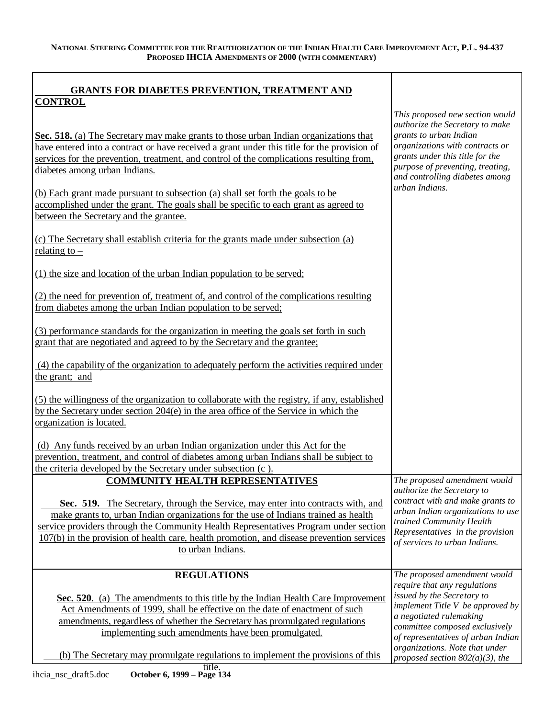| <b>GRANTS FOR DIABETES PREVENTION, TREATMENT AND</b><br><b>CONTROL</b>                                                                                                                                                                                                                                                                                                            |                                                                                                                                                                                                       |
|-----------------------------------------------------------------------------------------------------------------------------------------------------------------------------------------------------------------------------------------------------------------------------------------------------------------------------------------------------------------------------------|-------------------------------------------------------------------------------------------------------------------------------------------------------------------------------------------------------|
|                                                                                                                                                                                                                                                                                                                                                                                   | This proposed new section would                                                                                                                                                                       |
| Sec. 518. (a) The Secretary may make grants to those urban Indian organizations that<br>have entered into a contract or have received a grant under this title for the provision of<br>services for the prevention, treatment, and control of the complications resulting from,<br>diabetes among urban Indians.                                                                  | authorize the Secretary to make<br>grants to urban Indian<br>organizations with contracts or<br>grants under this title for the<br>purpose of preventing, treating,<br>and controlling diabetes among |
| (b) Each grant made pursuant to subsection (a) shall set forth the goals to be<br>accomplished <u>under the grant. The goals shall be specific to each grant as agreed to</u><br>between the Secretary and the grantee.                                                                                                                                                           | urban Indians.                                                                                                                                                                                        |
| (c) The Secretary shall establish criteria for the grants made under subsection (a)<br>relating to $-$                                                                                                                                                                                                                                                                            |                                                                                                                                                                                                       |
| (1) the size and location of the urban Indian population to be served;                                                                                                                                                                                                                                                                                                            |                                                                                                                                                                                                       |
| (2) the need for prevention of, treatment of, and control of the complications resulting<br>from diabetes among the urban Indian population to be served;                                                                                                                                                                                                                         |                                                                                                                                                                                                       |
| (3)-performance standards for the organization in meeting the goals set forth in such<br>grant that are negotiated and agreed to by the Secretary and the grantee;                                                                                                                                                                                                                |                                                                                                                                                                                                       |
| (4) the capability of the organization to adequately perform the activities required under<br>the grant; and                                                                                                                                                                                                                                                                      |                                                                                                                                                                                                       |
| (5) the willingness of the organization to collaborate with the registry, if any, established<br>by the Secretary under section 204(e) in the area office of the Service in which the<br>organization is located.                                                                                                                                                                 |                                                                                                                                                                                                       |
| (d) Any funds received by an urban Indian organization under this Act for the<br>prevention, treatment, and control of diabetes among urban Indians shall be subject to                                                                                                                                                                                                           |                                                                                                                                                                                                       |
| the criteria developed by the Secretary under subsection (c).<br><b>COMMUNITY HEALTH REPRESENTATIVES</b>                                                                                                                                                                                                                                                                          | The proposed amendment would                                                                                                                                                                          |
| Sec. 519. The Secretary, through the Service, may enter into contracts with, and<br>make grants to, urban Indian organizations for the use of Indians trained as health<br>service providers through the Community Health Representatives Program under section<br>107(b) in the provision of health care, health promotion, and disease prevention services<br>to urban Indians. | authorize the Secretary to<br>contract with and make grants to<br>urban Indian organizations to use<br>trained Community Health<br>Representatives in the provision<br>of services to urban Indians.  |
| <b>REGULATIONS</b>                                                                                                                                                                                                                                                                                                                                                                | The proposed amendment would                                                                                                                                                                          |
| Sec. 520. (a) The amendments to this title by the Indian Health Care Improvement<br>Act Amendments of 1999, shall be effective on the date of enactment of such<br>amendments, regardless of whether the Secretary has promulgated regulations<br>implementing such amendments have been promulgated.                                                                             | require that any regulations<br>issued by the Secretary to<br>implement Title V be approved by<br>a negotiated rulemaking<br>committee composed exclusively<br>of representatives of urban Indian     |
| (b) The Secretary may promulgate regulations to implement the provisions of this                                                                                                                                                                                                                                                                                                  | organizations. Note that under<br>proposed section $802(a)(3)$ , the                                                                                                                                  |

Ī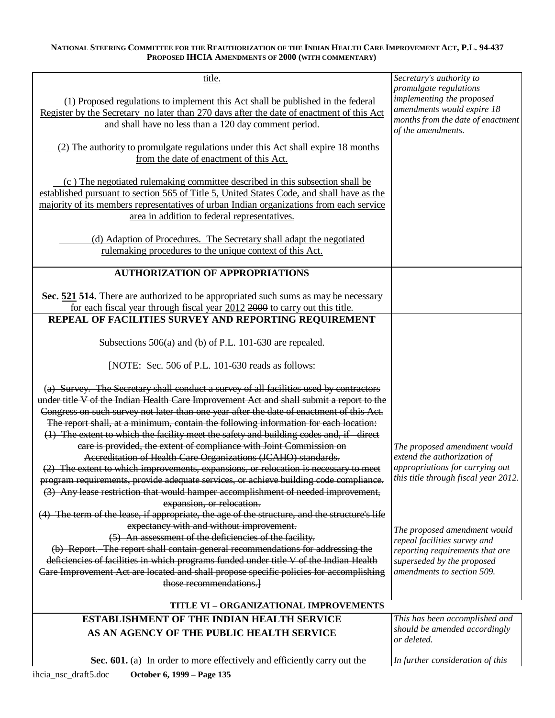| title.                                                                                        | Secretary's authority to<br>promulgate regulations                      |
|-----------------------------------------------------------------------------------------------|-------------------------------------------------------------------------|
|                                                                                               | implementing the proposed                                               |
| (1) Proposed regulations to implement this Act shall be published in the federal              | amendments would expire 18                                              |
| Register by the Secretary no later than 270 days after the date of enactment of this Act      | months from the date of enactment                                       |
| and shall have no less than a 120 day comment period.                                         | of the amendments.                                                      |
|                                                                                               |                                                                         |
| (2) The authority to promulgate regulations under this Act shall expire 18 months             |                                                                         |
| from the date of enactment of this Act.                                                       |                                                                         |
|                                                                                               |                                                                         |
| (c) The negotiated rulemaking committee described in this subsection shall be                 |                                                                         |
| established pursuant to section 565 of Title 5, United States Code, and shall have as the     |                                                                         |
| majority of its members representatives of urban Indian organizations from each service       |                                                                         |
|                                                                                               |                                                                         |
| area in addition to federal representatives.                                                  |                                                                         |
|                                                                                               |                                                                         |
| (d) Adaption of Procedures. The Secretary shall adapt the negotiated                          |                                                                         |
| rulemaking procedures to the unique context of this Act.                                      |                                                                         |
|                                                                                               |                                                                         |
| <b>AUTHORIZATION OF APPROPRIATIONS</b>                                                        |                                                                         |
|                                                                                               |                                                                         |
| Sec. 521 514. There are authorized to be appropriated such sums as may be necessary           |                                                                         |
| for each fiscal year through fiscal year $2012$ $2000$ to carry out this title.               |                                                                         |
| REPEAL OF FACILITIES SURVEY AND REPORTING REQUIREMENT                                         |                                                                         |
|                                                                                               |                                                                         |
|                                                                                               |                                                                         |
| Subsections 506(a) and (b) of P.L. 101-630 are repealed.                                      |                                                                         |
|                                                                                               |                                                                         |
| [NOTE: Sec. 506 of P.L. 101-630 reads as follows:                                             |                                                                         |
|                                                                                               |                                                                         |
| (a) Survey. The Secretary shall conduct a survey of all facilities used by contractors        |                                                                         |
| under title V of the Indian Health Care Improvement Act and shall submit a report to the      |                                                                         |
| Congress on such survey not later than one year after the date of enactment of this Act.      |                                                                         |
| The report shall, at a minimum, contain the following information for each location:          |                                                                         |
| (1) The extent to which the facility meet the safety and building codes and, if direct        |                                                                         |
| care is provided, the extent of compliance with Joint Commission on                           | The proposed amendment would                                            |
| Accreditation of Health Care Organizations (JCAHO) standards.                                 | extend the authorization of                                             |
|                                                                                               |                                                                         |
| (2) The extent to which improvements, expansions, or relocation is necessary to meet          | appropriations for carrying out<br>this title through fiscal year 2012. |
| program requirements, provide adequate services, or achieve building code compliance.         |                                                                         |
| (3) Any lease restriction that would hamper accomplishment of needed improvement,             |                                                                         |
| expansion, or relocation.                                                                     |                                                                         |
| (4) The term of the lease, if appropriate, the age of the structure, and the structure's life |                                                                         |
| expectancy with and without improvement.                                                      | The proposed amendment would                                            |
| (5) An assessment of the deficiencies of the facility.                                        | repeal facilities survey and                                            |
| (b) Report. The report shall contain general recommendations for addressing the               | reporting requirements that are                                         |
| deficiencies of facilities in which programs funded under title V of the Indian Health        | superseded by the proposed                                              |
| Care Improvement Act are located and shall propose specific policies for accomplishing        | amendments to section 509.                                              |
|                                                                                               |                                                                         |
| those recommendations.]                                                                       |                                                                         |
| TITLE VI - ORGANIZATIONAL IMPROVEMENTS                                                        |                                                                         |
| <b>ESTABLISHMENT OF THE INDIAN HEALTH SERVICE</b>                                             | This has been accomplished and                                          |
|                                                                                               | should be amended accordingly                                           |
| AS AN AGENCY OF THE PUBLIC HEALTH SERVICE                                                     | or deleted.                                                             |
|                                                                                               |                                                                         |
| Sec. 601. (a) In order to more effectively and efficiently carry out the                      | In further consideration of this                                        |
|                                                                                               |                                                                         |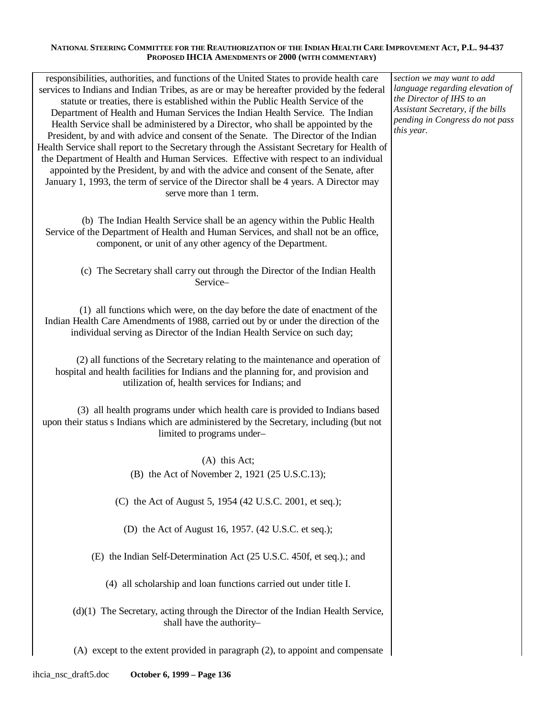| responsibilities, authorities, and functions of the United States to provide health care<br>services to Indians and Indian Tribes, as are or may be hereafter provided by the federal<br>statute or treaties, there is established within the Public Health Service of the<br>Department of Health and Human Services the Indian Health Service. The Indian<br>Health Service shall be administered by a Director, who shall be appointed by the<br>President, by and with advice and consent of the Senate. The Director of the Indian<br>Health Service shall report to the Secretary through the Assistant Secretary for Health of<br>the Department of Health and Human Services. Effective with respect to an individual<br>appointed by the President, by and with the advice and consent of the Senate, after<br>January 1, 1993, the term of service of the Director shall be 4 years. A Director may<br>serve more than 1 term. | section we may want to add<br>language regarding elevation of<br>the Director of IHS to an<br>Assistant Secretary, if the bills<br>pending in Congress do not pass<br>this year. |
|------------------------------------------------------------------------------------------------------------------------------------------------------------------------------------------------------------------------------------------------------------------------------------------------------------------------------------------------------------------------------------------------------------------------------------------------------------------------------------------------------------------------------------------------------------------------------------------------------------------------------------------------------------------------------------------------------------------------------------------------------------------------------------------------------------------------------------------------------------------------------------------------------------------------------------------|----------------------------------------------------------------------------------------------------------------------------------------------------------------------------------|
| (b) The Indian Health Service shall be an agency within the Public Health<br>Service of the Department of Health and Human Services, and shall not be an office,<br>component, or unit of any other agency of the Department.                                                                                                                                                                                                                                                                                                                                                                                                                                                                                                                                                                                                                                                                                                            |                                                                                                                                                                                  |
| (c) The Secretary shall carry out through the Director of the Indian Health<br>Service-                                                                                                                                                                                                                                                                                                                                                                                                                                                                                                                                                                                                                                                                                                                                                                                                                                                  |                                                                                                                                                                                  |
| (1) all functions which were, on the day before the date of enactment of the<br>Indian Health Care Amendments of 1988, carried out by or under the direction of the<br>individual serving as Director of the Indian Health Service on such day;                                                                                                                                                                                                                                                                                                                                                                                                                                                                                                                                                                                                                                                                                          |                                                                                                                                                                                  |
| (2) all functions of the Secretary relating to the maintenance and operation of<br>hospital and health facilities for Indians and the planning for, and provision and<br>utilization of, health services for Indians; and                                                                                                                                                                                                                                                                                                                                                                                                                                                                                                                                                                                                                                                                                                                |                                                                                                                                                                                  |
| (3) all health programs under which health care is provided to Indians based<br>upon their status s Indians which are administered by the Secretary, including (but not<br>limited to programs under-                                                                                                                                                                                                                                                                                                                                                                                                                                                                                                                                                                                                                                                                                                                                    |                                                                                                                                                                                  |
| $(A)$ this Act;                                                                                                                                                                                                                                                                                                                                                                                                                                                                                                                                                                                                                                                                                                                                                                                                                                                                                                                          |                                                                                                                                                                                  |
| (B) the Act of November 2, 1921 (25 U.S.C.13);                                                                                                                                                                                                                                                                                                                                                                                                                                                                                                                                                                                                                                                                                                                                                                                                                                                                                           |                                                                                                                                                                                  |
| (C) the Act of August 5, 1954 (42 U.S.C. 2001, et seq.);                                                                                                                                                                                                                                                                                                                                                                                                                                                                                                                                                                                                                                                                                                                                                                                                                                                                                 |                                                                                                                                                                                  |
| (D) the Act of August 16, 1957. (42 U.S.C. et seq.);                                                                                                                                                                                                                                                                                                                                                                                                                                                                                                                                                                                                                                                                                                                                                                                                                                                                                     |                                                                                                                                                                                  |
| (E) the Indian Self-Determination Act (25 U.S.C. 450f, et seq.).; and                                                                                                                                                                                                                                                                                                                                                                                                                                                                                                                                                                                                                                                                                                                                                                                                                                                                    |                                                                                                                                                                                  |
| (4) all scholarship and loan functions carried out under title I.                                                                                                                                                                                                                                                                                                                                                                                                                                                                                                                                                                                                                                                                                                                                                                                                                                                                        |                                                                                                                                                                                  |
| $(d)(1)$ The Secretary, acting through the Director of the Indian Health Service,<br>shall have the authority-                                                                                                                                                                                                                                                                                                                                                                                                                                                                                                                                                                                                                                                                                                                                                                                                                           |                                                                                                                                                                                  |
| (A) except to the extent provided in paragraph (2), to appoint and compensate                                                                                                                                                                                                                                                                                                                                                                                                                                                                                                                                                                                                                                                                                                                                                                                                                                                            |                                                                                                                                                                                  |
|                                                                                                                                                                                                                                                                                                                                                                                                                                                                                                                                                                                                                                                                                                                                                                                                                                                                                                                                          |                                                                                                                                                                                  |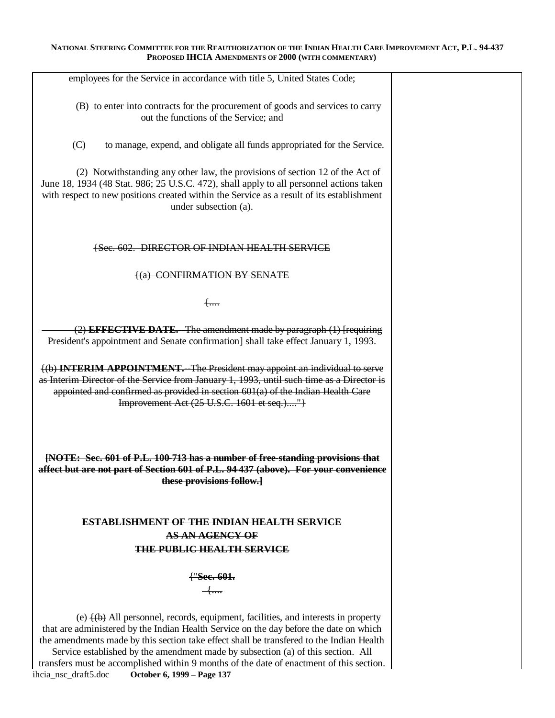| employees for the Service in accordance with title 5, United States Code;                                                                                                                                                                                                                                                                                                                                                                                                                                               |  |
|-------------------------------------------------------------------------------------------------------------------------------------------------------------------------------------------------------------------------------------------------------------------------------------------------------------------------------------------------------------------------------------------------------------------------------------------------------------------------------------------------------------------------|--|
| (B) to enter into contracts for the procurement of goods and services to carry<br>out the functions of the Service; and                                                                                                                                                                                                                                                                                                                                                                                                 |  |
| (C)<br>to manage, expend, and obligate all funds appropriated for the Service.                                                                                                                                                                                                                                                                                                                                                                                                                                          |  |
| (2) Notwithstanding any other law, the provisions of section 12 of the Act of<br>June 18, 1934 (48 Stat. 986; 25 U.S.C. 472), shall apply to all personnel actions taken<br>with respect to new positions created within the Service as a result of its establishment<br>under subsection (a).                                                                                                                                                                                                                          |  |
| {Sec. 602. DIRECTOR OF INDIAN HEALTH SERVICE                                                                                                                                                                                                                                                                                                                                                                                                                                                                            |  |
| <b>(a) CONFIRMATION BY SENATE</b>                                                                                                                                                                                                                                                                                                                                                                                                                                                                                       |  |
| $+$                                                                                                                                                                                                                                                                                                                                                                                                                                                                                                                     |  |
| (2) EFFECTIVE DATE.--The amendment made by paragraph (1) [requiring<br>President's appointment and Senate confirmation] shall take effect January 1, 1993.                                                                                                                                                                                                                                                                                                                                                              |  |
| (b) <b>INTERIM APPOINTMENT.</b> The President may appoint an individual to serve<br>as Interim Director of the Service from January 1, 1993, until such time as a Director is<br>appointed and confirmed as provided in section $601(a)$ of the Indian Health Care<br>Improvement Act (25 U.S.C. 1601 et seq.)"]                                                                                                                                                                                                        |  |
| [NOTE: Sec. 601 of P.L. 100-713 has a number of free-standing provisions that<br>affect but are not part of Section 601 of P.L. 94-437 (above). For your convenience<br>these provisions follow.]                                                                                                                                                                                                                                                                                                                       |  |
| <b>ESTABLISHMENT OF THE INDIAN HEALTH SERVICE</b>                                                                                                                                                                                                                                                                                                                                                                                                                                                                       |  |
| <b>AS AN AGENCY OF</b>                                                                                                                                                                                                                                                                                                                                                                                                                                                                                                  |  |
| <b>THE PUBLIC HEALTH SERVICE</b>                                                                                                                                                                                                                                                                                                                                                                                                                                                                                        |  |
|                                                                                                                                                                                                                                                                                                                                                                                                                                                                                                                         |  |
|                                                                                                                                                                                                                                                                                                                                                                                                                                                                                                                         |  |
| $(e)$ $\{(\theta)$ All personnel, records, equipment, facilities, and interests in property<br>that are administered by the Indian Health Service on the day before the date on which<br>the amendments made by this section take effect shall be transfered to the Indian Health<br>Service established by the amendment made by subsection (a) of this section. All<br>transfers must be accomplished within 9 months of the date of enactment of this section.<br>ihcia_nsc_draft5.doc<br>October 6, 1999 - Page 137 |  |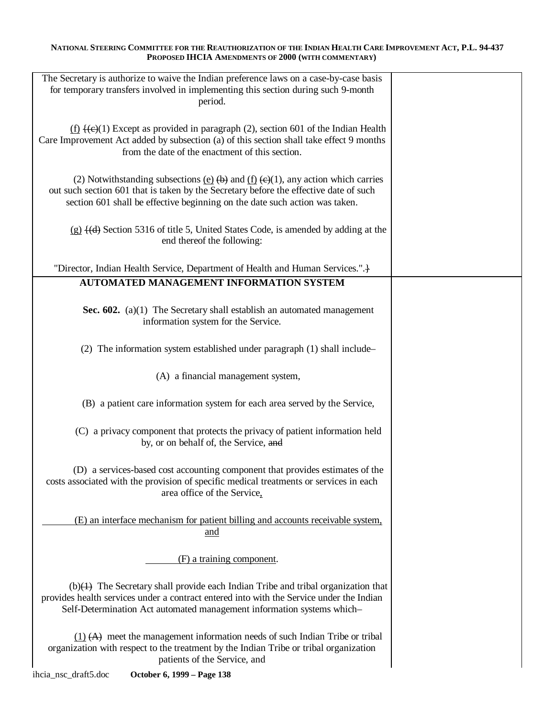| The Secretary is authorize to waive the Indian preference laws on a case-by-case basis<br>for temporary transfers involved in implementing this section during such 9-month<br>period.                                                                                                                                    |  |
|---------------------------------------------------------------------------------------------------------------------------------------------------------------------------------------------------------------------------------------------------------------------------------------------------------------------------|--|
| $\underline{f}$ (f) $\overline{f}$ (e)(1) Except as provided in paragraph (2), section 601 of the Indian Health<br>Care Improvement Act added by subsection (a) of this section shall take effect 9 months<br>from the date of the enactment of this section.                                                             |  |
| (2) Notwithstanding subsections (e) $\left(\frac{b}{c}\right)$ and $\left(\frac{f}{c}\right)$ $\left(\frac{c}{c}\right)$ any action which carries<br>out such section 601 that is taken by the Secretary before the effective date of such<br>section 601 shall be effective beginning on the date such action was taken. |  |
| $(g)$ $\left(\frac{d}{d}\right)$ Section 5316 of title 5, United States Code, is amended by adding at the<br>end thereof the following:                                                                                                                                                                                   |  |
| "Director, Indian Health Service, Department of Health and Human Services.".                                                                                                                                                                                                                                              |  |
| <b>AUTOMATED MANAGEMENT INFORMATION SYSTEM</b>                                                                                                                                                                                                                                                                            |  |
| Sec. 602. (a)(1) The Secretary shall establish an automated management<br>information system for the Service.                                                                                                                                                                                                             |  |
| (2) The information system established under paragraph (1) shall include–                                                                                                                                                                                                                                                 |  |
| (A) a financial management system,                                                                                                                                                                                                                                                                                        |  |
| (B) a patient care information system for each area served by the Service,                                                                                                                                                                                                                                                |  |
| (C) a privacy component that protects the privacy of patient information held<br>by, or on behalf of, the Service, and                                                                                                                                                                                                    |  |
| (D) a services-based cost accounting component that provides estimates of the<br>costs associated with the provision of specific medical treatments or services in each<br>area office of the Service,                                                                                                                    |  |
| (E) an interface mechanism for patient billing and accounts receivable system,<br>and                                                                                                                                                                                                                                     |  |
| (F) a training component.                                                                                                                                                                                                                                                                                                 |  |
| $(b)(1)$ The Secretary shall provide each Indian Tribe and tribal organization that<br>provides health services under a contract entered into with the Service under the Indian<br>Self-Determination Act automated management information systems which-                                                                 |  |
| $(1)$ $(A)$ meet the management information needs of such Indian Tribe or tribal<br>organization with respect to the treatment by the Indian Tribe or tribal organization<br>patients of the Service, and                                                                                                                 |  |
| October 6, 1999 - Page 138<br>ihcia_nsc_draft5.doc                                                                                                                                                                                                                                                                        |  |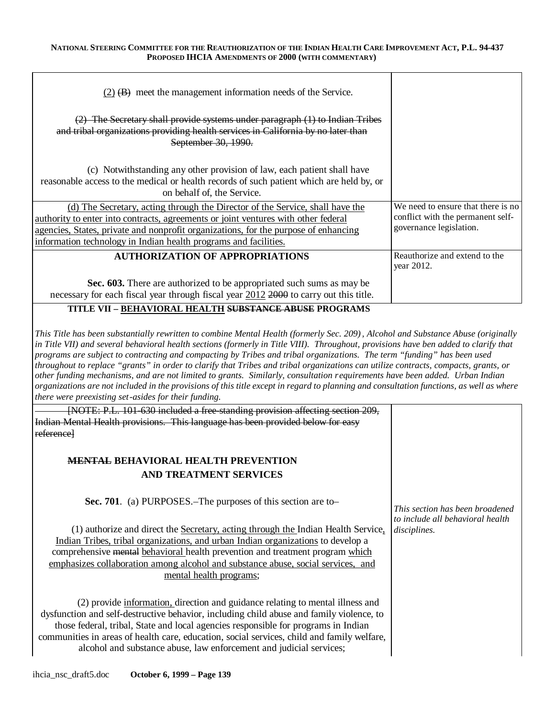| $(2)$ (B) meet the management information needs of the Service.                                                                                                                                                                                                                                                                |                                                                                                    |
|--------------------------------------------------------------------------------------------------------------------------------------------------------------------------------------------------------------------------------------------------------------------------------------------------------------------------------|----------------------------------------------------------------------------------------------------|
| $(2)$ The Secretary shall provide systems under paragraph $(1)$ to Indian Tribes<br>and tribal organizations providing health services in California by no later than<br>September 30, 1990.                                                                                                                                   |                                                                                                    |
| (c) Notwithstanding any other provision of law, each patient shall have<br>reasonable access to the medical or health records of such patient which are held by, or<br>on behalf of, the Service.                                                                                                                              |                                                                                                    |
| (d) The Secretary, acting through the Director of the Service, shall have the<br>authority to enter into contracts, agreements or joint ventures with other federal<br>agencies, States, private and nonprofit organizations, for the purpose of enhancing<br>information technology in Indian health programs and facilities. | We need to ensure that there is no<br>conflict with the permanent self-<br>governance legislation. |
| <b>AUTHORIZATION OF APPROPRIATIONS</b>                                                                                                                                                                                                                                                                                         | Reauthorize and extend to the<br>year 2012.                                                        |
| Sec. 603. There are authorized to be appropriated such sums as may be<br>necessary for each fiscal year through fiscal year 2012 2000 to carry out this title.                                                                                                                                                                 |                                                                                                    |

## **TITLE VII – BEHAVIORAL HEALTH SUBSTANCE ABUSE PROGRAMS**

*This Title has been substantially rewritten to combine Mental Health (formerly Sec. 209) , Alcohol and Substance Abuse (originally in Title VII) and several behavioral health sections (formerly in Title VIII). Throughout, provisions have ben added to clarify that programs are subject to contracting and compacting by Tribes and tribal organizations. The term "funding" has been used throughout to replace "grants" in order to clarify that Tribes and tribal organizations can utilize contracts, compacts, grants, or other funding mechanisms, and are not limited to grants. Similarly, consultation requirements have been added. Urban Indian organizations are not included in the provisions of this title except in regard to planning and consultation functions, as well as where there were preexisting set -asides for their funding.* 

| [NOTE: P.L. 101-630 included a free-standing provision affecting section 209,<br>Indian Mental Health provisions. This language has been provided below for easy                                                                                                                                                                                                                                                                      |                                                                     |
|---------------------------------------------------------------------------------------------------------------------------------------------------------------------------------------------------------------------------------------------------------------------------------------------------------------------------------------------------------------------------------------------------------------------------------------|---------------------------------------------------------------------|
| referencel                                                                                                                                                                                                                                                                                                                                                                                                                            |                                                                     |
|                                                                                                                                                                                                                                                                                                                                                                                                                                       |                                                                     |
| <b>MENTAL BEHAVIORAL HEALTH PREVENTION</b>                                                                                                                                                                                                                                                                                                                                                                                            |                                                                     |
| <b>AND TREATMENT SERVICES</b>                                                                                                                                                                                                                                                                                                                                                                                                         |                                                                     |
| Sec. 701. (a) PURPOSES. The purposes of this section are to-                                                                                                                                                                                                                                                                                                                                                                          | This section has been broadened<br>to include all behavioral health |
| $(1)$ authorize and direct the Secretary, acting through the Indian Health Service,<br>Indian Tribes, tribal organizations, and urban Indian organizations to develop a<br>comprehensive mental behavioral health prevention and treatment program which<br>emphasizes collaboration among alcohol and substance abuse, social services, and<br>mental health programs;                                                               | <i>disciplines.</i>                                                 |
| (2) provide information, direction and guidance relating to mental illness and<br>dysfunction and self-destructive behavior, including child abuse and family violence, to<br>those federal, tribal, State and local agencies responsible for programs in Indian<br>communities in areas of health care, education, social services, child and family welfare,<br>alcohol and substance abuse, law enforcement and judicial services; |                                                                     |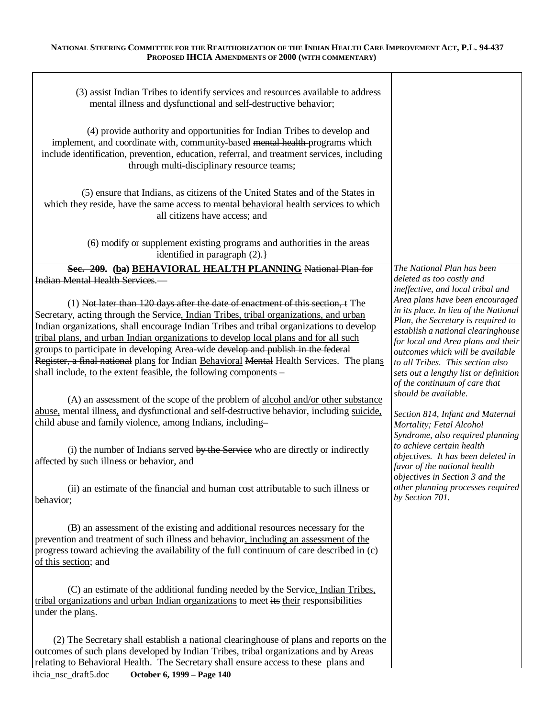| (3) assist Indian Tribes to identify services and resources available to address<br>mental illness and dysfunctional and self-destructive behavior;<br>(4) provide authority and opportunities for Indian Tribes to develop and<br>implement, and coordinate with, community-based mental health-programs which<br>include identification, prevention, education, referral, and treatment services, including<br>through multi-disciplinary resource teams;<br>(5) ensure that Indians, as citizens of the United States and of the States in<br>which they reside, have the same access to mental behavioral health services to which                                                                                                                                                                                                       |                                                                                                                                                                                                                                                                                                                                                                                                                                                                            |
|----------------------------------------------------------------------------------------------------------------------------------------------------------------------------------------------------------------------------------------------------------------------------------------------------------------------------------------------------------------------------------------------------------------------------------------------------------------------------------------------------------------------------------------------------------------------------------------------------------------------------------------------------------------------------------------------------------------------------------------------------------------------------------------------------------------------------------------------|----------------------------------------------------------------------------------------------------------------------------------------------------------------------------------------------------------------------------------------------------------------------------------------------------------------------------------------------------------------------------------------------------------------------------------------------------------------------------|
| all citizens have access; and<br>(6) modify or supplement existing programs and authorities in the areas<br>identified in paragraph (2).}                                                                                                                                                                                                                                                                                                                                                                                                                                                                                                                                                                                                                                                                                                    |                                                                                                                                                                                                                                                                                                                                                                                                                                                                            |
|                                                                                                                                                                                                                                                                                                                                                                                                                                                                                                                                                                                                                                                                                                                                                                                                                                              |                                                                                                                                                                                                                                                                                                                                                                                                                                                                            |
| Sec. 209. (ba) BEHAVIORAL HEALTH PLANNING National Plan for                                                                                                                                                                                                                                                                                                                                                                                                                                                                                                                                                                                                                                                                                                                                                                                  | The National Plan has been                                                                                                                                                                                                                                                                                                                                                                                                                                                 |
| <b>Indian Mental Health Services.</b> --<br>(1) Not later than 120 days after the date of enactment of this section, t The<br>Secretary, acting through the Service, Indian Tribes, tribal organizations, and urban<br>Indian organizations, shall encourage Indian Tribes and tribal organizations to develop<br>tribal plans, and urban Indian organizations to develop local plans and for all such<br>groups to participate in developing Area-wide develop and publish in the federal<br>Register, a final national plans for Indian Behavioral Mental Health Services. The plans<br>shall include, to the extent feasible, the following components –<br>(A) an assessment of the scope of the problem of alcohol and/or other substance<br>abuse, mental illness, and dysfunctional and self-destructive behavior, including suicide, | deleted as too costly and<br>ineffective, and local tribal and<br>Area plans have been encouraged<br>in its place. In lieu of the National<br>Plan, the Secretary is required to<br>establish a national clearinghouse<br>for local and Area plans and their<br>outcomes which will be available<br>to all Tribes. This section also<br>sets out a lengthy list or definition<br>of the continuum of care that<br>should be available.<br>Section 814, Infant and Maternal |
| child abuse and family violence, among Indians, including-<br>(i) the number of Indians served by the Service who are directly or indirectly<br>affected by such illness or behavior, and                                                                                                                                                                                                                                                                                                                                                                                                                                                                                                                                                                                                                                                    | Mortality; Fetal Alcohol<br>Syndrome, also required planning<br>to achieve certain health<br>objectives. It has been deleted in<br>favor of the national health                                                                                                                                                                                                                                                                                                            |
| (ii) an estimate of the financial and human cost attributable to such illness or<br>behavior;                                                                                                                                                                                                                                                                                                                                                                                                                                                                                                                                                                                                                                                                                                                                                | objectives in Section 3 and the<br>other planning processes required<br>by Section 701.                                                                                                                                                                                                                                                                                                                                                                                    |
| (B) an assessment of the existing and additional resources necessary for the<br>prevention and treatment of such illness and behavior, including an assessment of the<br>progress toward achieving the availability of the full continuum of care described in (c)<br>of this section; and                                                                                                                                                                                                                                                                                                                                                                                                                                                                                                                                                   |                                                                                                                                                                                                                                                                                                                                                                                                                                                                            |
| (C) an estimate of the additional funding needed by the Service, Indian Tribes,<br>tribal organizations and urban Indian organizations to meet its their responsibilities<br>under the plans.                                                                                                                                                                                                                                                                                                                                                                                                                                                                                                                                                                                                                                                |                                                                                                                                                                                                                                                                                                                                                                                                                                                                            |
| (2) The Secretary shall establish a national clearinghouse of plans and reports on the<br>outcomes of such plans developed by Indian Tribes, tribal organizations and by Areas<br>relating to Behavioral Health. The Secretary shall ensure access to these plans and<br>ihcia_nsc_draft5.doc<br>October 6, 1999 - Page 140                                                                                                                                                                                                                                                                                                                                                                                                                                                                                                                  |                                                                                                                                                                                                                                                                                                                                                                                                                                                                            |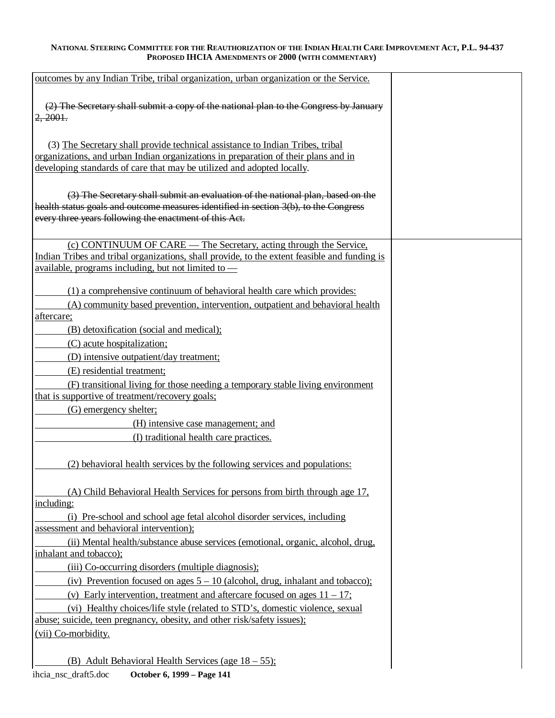| outcomes by any Indian Tribe, tribal organization, urban organization or the Service.                                                          |  |
|------------------------------------------------------------------------------------------------------------------------------------------------|--|
|                                                                                                                                                |  |
| (2) The Secretary shall submit a copy of the national plan to the Congress by January<br>2,2001.                                               |  |
|                                                                                                                                                |  |
| (3) The Secretary shall provide technical assistance to Indian Tribes, tribal                                                                  |  |
| organizations, and urban Indian organizations in preparation of their plans and in                                                             |  |
| developing standards of care that may be utilized and adopted locally.                                                                         |  |
|                                                                                                                                                |  |
| (3) The Secretary shall submit an evaluation of the national plan, based on the                                                                |  |
| health status goals and outcome measures identified in section 3(b), to the Congress<br>every three years following the enactment of this Act. |  |
|                                                                                                                                                |  |
| (c) CONTINUUM OF CARE — The Secretary, acting through the Service,                                                                             |  |
| Indian Tribes and tribal organizations, shall provide, to the extent feasible and funding is                                                   |  |
| available, programs including, but not limited to $-$                                                                                          |  |
| (1) a comprehensive continuum of behavioral health care which provides:                                                                        |  |
| (A) community based prevention, intervention, outpatient and behavioral health                                                                 |  |
| aftercare;                                                                                                                                     |  |
| (B) detoxification (social and medical);                                                                                                       |  |
| (C) acute hospitalization;                                                                                                                     |  |
| (D) intensive outpatient/day treatment;                                                                                                        |  |
| (E) residential treatment;                                                                                                                     |  |
| (F) transitional living for those needing a temporary stable living environment<br>that is supportive of treatment/recovery goals;             |  |
| (G) emergency shelter;                                                                                                                         |  |
| (H) intensive case management; and                                                                                                             |  |
| (I) traditional health care practices.                                                                                                         |  |
|                                                                                                                                                |  |
| (2) behavioral health services by the following services and populations:                                                                      |  |
| (A) Child Behavioral Health Services for persons from birth through age 17,                                                                    |  |
| including:                                                                                                                                     |  |
| (i) Pre-school and school age fetal alcohol disorder services, including                                                                       |  |
| assessment and behavioral intervention);                                                                                                       |  |
| (ii) Mental health/substance abuse services (emotional, organic, alcohol, drug,                                                                |  |
| inhalant and tobacco);                                                                                                                         |  |
| (iii) Co-occurring disorders (multiple diagnosis);                                                                                             |  |
| (iv) Prevention focused on ages $5 - 10$ (alcohol, drug, inhalant and tobacco);                                                                |  |
| (v) Early intervention, treatment and aftercare focused on ages $11 - 17$ ;                                                                    |  |
| (vi) Healthy choices/life style (related to STD's, domestic violence, sexual                                                                   |  |
| abuse; suicide, teen pregnancy, obesity, and other risk/safety issues);                                                                        |  |
| (vii) Co-morbidity.                                                                                                                            |  |
| (B) Adult Behavioral Health Services (age 18 – 55);                                                                                            |  |
|                                                                                                                                                |  |

ihcia\_nsc\_draft5.doc **October 6, 1999 – Page 141**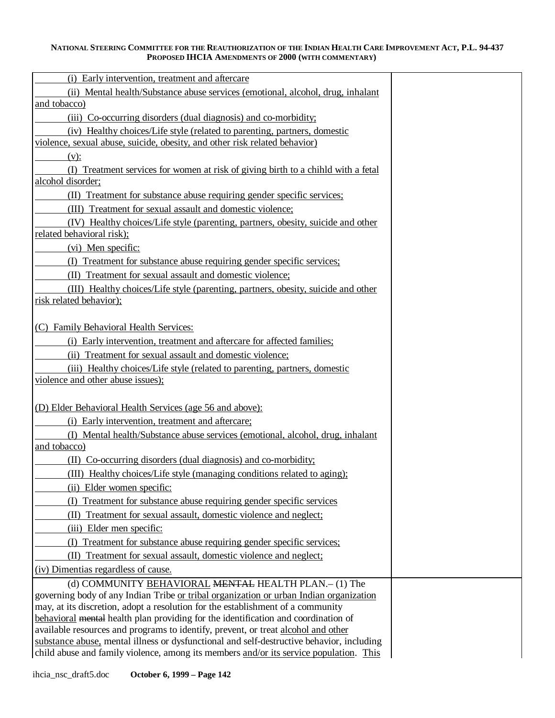| (i) Early intervention, treatment and aftercare                                                                                                                                                                                                                                                                                                         |  |
|---------------------------------------------------------------------------------------------------------------------------------------------------------------------------------------------------------------------------------------------------------------------------------------------------------------------------------------------------------|--|
| (ii) Mental health/Substance abuse services (emotional, alcohol, drug, inhalant<br>and tobacco)                                                                                                                                                                                                                                                         |  |
| (iii) Co-occurring disorders (dual diagnosis) and co-morbidity;                                                                                                                                                                                                                                                                                         |  |
| (iv) Healthy choices/Life style (related to parenting, partners, domestic                                                                                                                                                                                                                                                                               |  |
| violence, sexual abuse, suicide, obesity, and other risk related behavior)                                                                                                                                                                                                                                                                              |  |
| $(v)$ :                                                                                                                                                                                                                                                                                                                                                 |  |
| (I) Treatment services for women at risk of giving birth to a chihld with a fetal                                                                                                                                                                                                                                                                       |  |
| alcohol disorder;                                                                                                                                                                                                                                                                                                                                       |  |
| (II) Treatment for substance abuse requiring gender specific services;                                                                                                                                                                                                                                                                                  |  |
| (III) Treatment for sexual assault and domestic violence;                                                                                                                                                                                                                                                                                               |  |
| (IV) Healthy choices/Life style (parenting, partners, obesity, suicide and other                                                                                                                                                                                                                                                                        |  |
| related behavioral risk);                                                                                                                                                                                                                                                                                                                               |  |
| (vi) Men specific:                                                                                                                                                                                                                                                                                                                                      |  |
| (I) Treatment for substance abuse requiring gender specific services;                                                                                                                                                                                                                                                                                   |  |
| (II) Treatment for sexual assault and domestic violence;                                                                                                                                                                                                                                                                                                |  |
| (III) Healthy choices/Life style (parenting, partners, obesity, suicide and other                                                                                                                                                                                                                                                                       |  |
| risk related behavior);                                                                                                                                                                                                                                                                                                                                 |  |
|                                                                                                                                                                                                                                                                                                                                                         |  |
| (C) Family Behavioral Health Services:                                                                                                                                                                                                                                                                                                                  |  |
| (i) Early intervention, treatment and aftercare for affected families;                                                                                                                                                                                                                                                                                  |  |
| (ii) Treatment for sexual assault and domestic violence;                                                                                                                                                                                                                                                                                                |  |
| (iii) Healthy choices/Life style (related to parenting, partners, domestic                                                                                                                                                                                                                                                                              |  |
| violence and other abuse issues);                                                                                                                                                                                                                                                                                                                       |  |
|                                                                                                                                                                                                                                                                                                                                                         |  |
| (D) Elder Behavioral Health Services (age 56 and above):                                                                                                                                                                                                                                                                                                |  |
| (i) Early intervention, treatment and aftercare;                                                                                                                                                                                                                                                                                                        |  |
| (I) Mental health/Substance abuse services (emotional, alcohol, drug, inhalant                                                                                                                                                                                                                                                                          |  |
| and tobacco)                                                                                                                                                                                                                                                                                                                                            |  |
| (II) Co-occurring disorders (dual diagnosis) and co-morbidity;                                                                                                                                                                                                                                                                                          |  |
| (III) Healthy choices/Life style (managing conditions related to aging);                                                                                                                                                                                                                                                                                |  |
| (ii) Elder women specific:                                                                                                                                                                                                                                                                                                                              |  |
| (I) Treatment for substance abuse requiring gender specific services                                                                                                                                                                                                                                                                                    |  |
| (II) Treatment for sexual assault, domestic violence and neglect;                                                                                                                                                                                                                                                                                       |  |
| (iii) Elder men specific:                                                                                                                                                                                                                                                                                                                               |  |
| (I) Treatment for substance abuse requiring gender specific services;                                                                                                                                                                                                                                                                                   |  |
| (II) Treatment for sexual assault, domestic violence and neglect;                                                                                                                                                                                                                                                                                       |  |
| (iv) Dimentias regardless of cause.                                                                                                                                                                                                                                                                                                                     |  |
| (d) COMMUNITY BEHAVIORAL MENTAL HEALTH PLAN.- (1) The                                                                                                                                                                                                                                                                                                   |  |
| governing body of any Indian Tribe or tribal organization or urban Indian organization                                                                                                                                                                                                                                                                  |  |
|                                                                                                                                                                                                                                                                                                                                                         |  |
|                                                                                                                                                                                                                                                                                                                                                         |  |
|                                                                                                                                                                                                                                                                                                                                                         |  |
| child abuse and family violence, among its members and/or its service population. This                                                                                                                                                                                                                                                                  |  |
| may, at its discretion, adopt a resolution for the establishment of a community<br>behavioral mental health plan providing for the identification and coordination of<br>available resources and programs to identify, prevent, or treat alcohol and other<br>substance abuse, mental illness or dysfunctional and self-destructive behavior, including |  |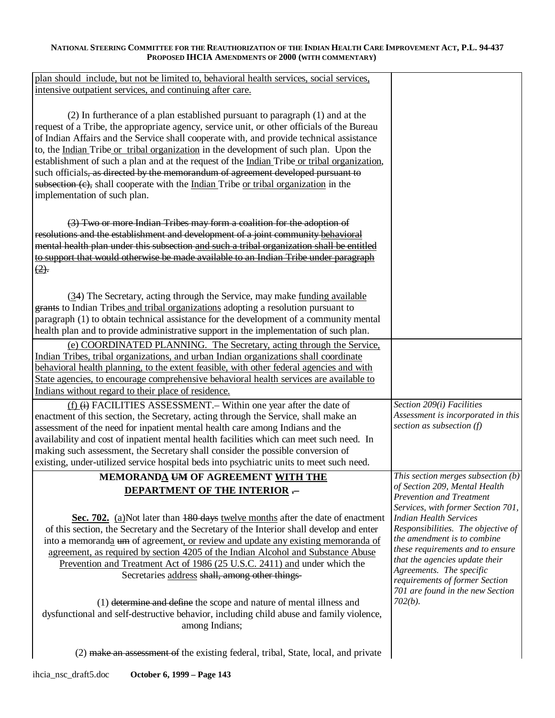| plan should include, but not be limited to, behavioral health services, social services,<br>intensive outpatient services, and continuing after care.                              |                                                                     |
|------------------------------------------------------------------------------------------------------------------------------------------------------------------------------------|---------------------------------------------------------------------|
|                                                                                                                                                                                    |                                                                     |
| (2) In furtherance of a plan established pursuant to paragraph (1) and at the<br>request of a Tribe, the appropriate agency, service unit, or other officials of the Bureau        |                                                                     |
| of Indian Affairs and the Service shall cooperate with, and provide technical assistance                                                                                           |                                                                     |
| to, the Indian Tribe or tribal organization in the development of such plan. Upon the                                                                                              |                                                                     |
| establishment of such a plan and at the request of the <u>Indian</u> Tribe or tribal organization,                                                                                 |                                                                     |
| such officials, as directed by the memorandum of agreement developed pursuant to                                                                                                   |                                                                     |
| subsection (c), shall cooperate with the <u>Indian</u> Tribe or tribal organization in the<br>implementation of such plan.                                                         |                                                                     |
|                                                                                                                                                                                    |                                                                     |
| (3) Two or more Indian Tribes may form a coalition for the adoption of                                                                                                             |                                                                     |
| resolutions and the establishment and development of a joint community behavioral                                                                                                  |                                                                     |
| mental health plan under this subsection and such a tribal organization shall be entitled                                                                                          |                                                                     |
| to support that would otherwise be made available to an Indian Tribe under paragraph                                                                                               |                                                                     |
| $\frac{2}{2}$ .                                                                                                                                                                    |                                                                     |
| (34) The Secretary, acting through the Service, may make <u>funding available</u>                                                                                                  |                                                                     |
| grants to Indian Tribes and tribal organizations adopting a resolution pursuant to                                                                                                 |                                                                     |
| paragraph (1) to obtain technical assistance for the development of a community mental                                                                                             |                                                                     |
| health plan and to provide administrative support in the implementation of such plan.                                                                                              |                                                                     |
| (e) COORDINATED PLANNING. The Secretary, acting through the Service,                                                                                                               |                                                                     |
| Indian Tribes, tribal organizations, and urban Indian organizations shall coordinate                                                                                               |                                                                     |
| behavioral health planning, to the extent feasible, with other federal agencies and with<br>State agencies, to encourage comprehensive behavioral health services are available to |                                                                     |
| Indians without regard to their place of residence.                                                                                                                                |                                                                     |
| (f) (i) FACILITIES ASSESSMENT. – Within one year after the date of                                                                                                                 | Section 209(i) Facilities                                           |
| enactment of this section, the Secretary, acting through the Service, shall make an                                                                                                | Assessment is incorporated in this                                  |
| assessment of the need for inpatient mental health care among Indians and the                                                                                                      | section as subsection $(f)$                                         |
| availability and cost of inpatient mental health facilities which can meet such need. In                                                                                           |                                                                     |
| making such assessment, the Secretary shall consider the possible conversion of                                                                                                    |                                                                     |
| existing, under-utilized service hospital beds into psychiatric units to meet such need.                                                                                           |                                                                     |
| MEMORANDA UM OF AGREEMENT WITH THE                                                                                                                                                 | This section merges subsection (b)<br>of Section 209, Mental Health |
| <b>DEPARTMENT OF THE INTERIOR --</b>                                                                                                                                               | <b>Prevention and Treatment</b>                                     |
|                                                                                                                                                                                    | Services, with former Section 701,                                  |
| Sec. 702. (a)Not later than 180 days twelve months after the date of enactment<br>of this section, the Secretary and the Secretary of the Interior shall develop and enter         | <b>Indian Health Services</b><br>Responsibilities. The objective of |
| into a memoranda um of agreement, or review and update any existing memoranda of                                                                                                   | the amendment is to combine                                         |
| agreement, as required by section 4205 of the Indian Alcohol and Substance Abuse                                                                                                   | these requirements and to ensure                                    |
| Prevention and Treatment Act of 1986 (25 U.S.C. 2411) and under which the                                                                                                          | that the agencies update their                                      |
| Secretaries address shall, among other things-                                                                                                                                     | Agreements. The specific                                            |
|                                                                                                                                                                                    | requirements of former Section<br>701 are found in the new Section  |
| (1) determine and define the scope and nature of mental illness and                                                                                                                | $702(b)$ .                                                          |
| dysfunctional and self-destructive behavior, including child abuse and family violence,                                                                                            |                                                                     |
| among Indians;                                                                                                                                                                     |                                                                     |
|                                                                                                                                                                                    |                                                                     |

(2) make an assessment of the existing federal, tribal, State, local, and private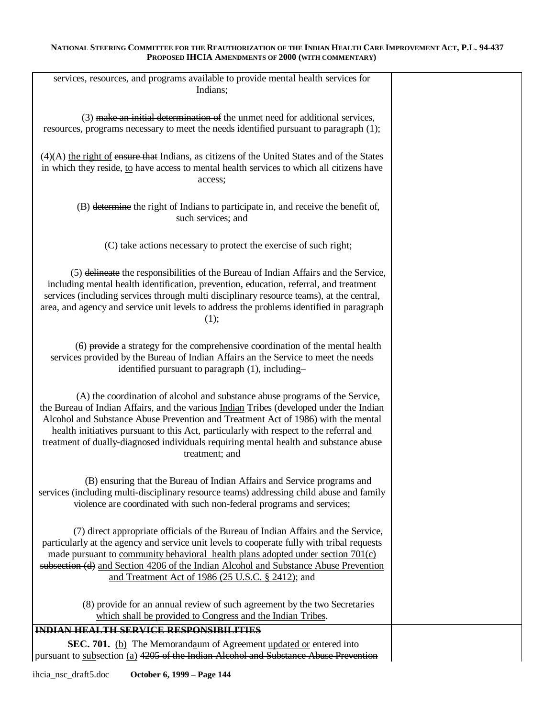| services, resources, and programs available to provide mental health services for                                                                                                  |  |
|------------------------------------------------------------------------------------------------------------------------------------------------------------------------------------|--|
| Indians;                                                                                                                                                                           |  |
|                                                                                                                                                                                    |  |
| (3) make an initial determination of the unmet need for additional services,<br>resources, programs necessary to meet the needs identified pursuant to paragraph (1);              |  |
|                                                                                                                                                                                    |  |
| $(4)(A)$ the right of ensure that Indians, as citizens of the United States and of the States                                                                                      |  |
| in which they reside, to have access to mental health services to which all citizens have                                                                                          |  |
| access;                                                                                                                                                                            |  |
|                                                                                                                                                                                    |  |
| (B) determine the right of Indians to participate in, and receive the benefit of,                                                                                                  |  |
| such services; and                                                                                                                                                                 |  |
|                                                                                                                                                                                    |  |
| (C) take actions necessary to protect the exercise of such right;                                                                                                                  |  |
|                                                                                                                                                                                    |  |
| (5) delineate the responsibilities of the Bureau of Indian Affairs and the Service,                                                                                                |  |
| including mental health identification, prevention, education, referral, and treatment<br>services (including services through multi disciplinary resource teams), at the central, |  |
| area, and agency and service unit levels to address the problems identified in paragraph                                                                                           |  |
| (1);                                                                                                                                                                               |  |
|                                                                                                                                                                                    |  |
| (6) provide a strategy for the comprehensive coordination of the mental health                                                                                                     |  |
| services provided by the Bureau of Indian Affairs an the Service to meet the needs                                                                                                 |  |
| identified pursuant to paragraph (1), including-                                                                                                                                   |  |
|                                                                                                                                                                                    |  |
| (A) the coordination of alcohol and substance abuse programs of the Service,<br>the Bureau of Indian Affairs, and the various <i>Indian</i> Tribes (developed under the Indian     |  |
| Alcohol and Substance Abuse Prevention and Treatment Act of 1986) with the mental                                                                                                  |  |
| health initiatives pursuant to this Act, particularly with respect to the referral and                                                                                             |  |
| treatment of dually-diagnosed individuals requiring mental health and substance abuse                                                                                              |  |
| treatment; and                                                                                                                                                                     |  |
| (B) ensuring that the Bureau of Indian Affairs and Service programs and                                                                                                            |  |
| services (including multi-disciplinary resource teams) addressing child abuse and family                                                                                           |  |
| violence are coordinated with such non-federal programs and services;                                                                                                              |  |
|                                                                                                                                                                                    |  |
| (7) direct appropriate officials of the Bureau of Indian Affairs and the Service,                                                                                                  |  |
| particularly at the agency and service unit levels to cooperate fully with tribal requests                                                                                         |  |
| made pursuant to community behavioral health plans adopted under section 701(c)<br>subsection (d) and Section 4206 of the Indian Alcohol and Substance Abuse Prevention            |  |
| and Treatment Act of 1986 (25 U.S.C. § 2412); and                                                                                                                                  |  |
|                                                                                                                                                                                    |  |
| (8) provide for an annual review of such agreement by the two Secretaries                                                                                                          |  |
| which shall be provided to Congress and the Indian Tribes.                                                                                                                         |  |
| INDIAN HEALTH SERVICE RESPONSIBILITIES                                                                                                                                             |  |
| <b>SEC. 701.</b> (b) The Memorandaum of Agreement updated or entered into                                                                                                          |  |
| pursuant to subsection (a) 4205 of the Indian Alcohol and Substance Abuse Prevention                                                                                               |  |

ihcia\_nsc\_draft5.doc **October 6, 1999 – Page 144**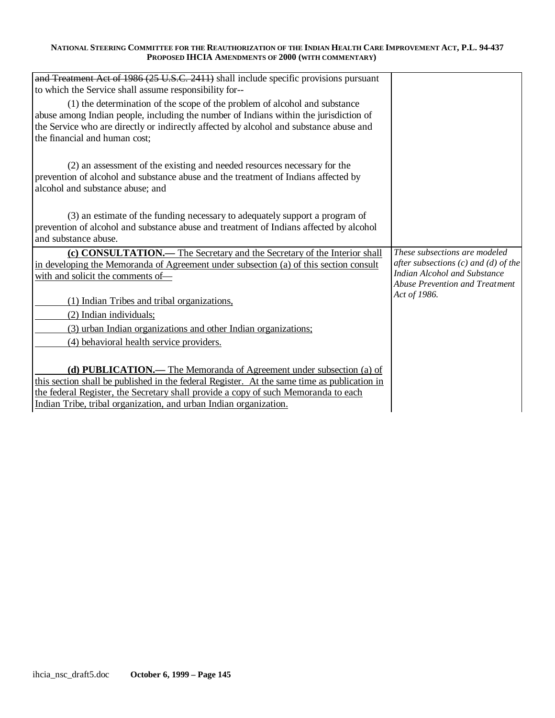| and Treatment Act of 1986 (25 U.S.C. 2411) shall include specific provisions pursuant<br>to which the Service shall assume responsibility for-- |                                                                          |
|-------------------------------------------------------------------------------------------------------------------------------------------------|--------------------------------------------------------------------------|
| (1) the determination of the scope of the problem of alcohol and substance                                                                      |                                                                          |
| abuse among Indian people, including the number of Indians within the jurisdiction of                                                           |                                                                          |
| the Service who are directly or indirectly affected by alcohol and substance abuse and                                                          |                                                                          |
| the financial and human cost;                                                                                                                   |                                                                          |
|                                                                                                                                                 |                                                                          |
| (2) an assessment of the existing and needed resources necessary for the                                                                        |                                                                          |
| prevention of alcohol and substance abuse and the treatment of Indians affected by                                                              |                                                                          |
| alcohol and substance abuse; and                                                                                                                |                                                                          |
|                                                                                                                                                 |                                                                          |
| (3) an estimate of the funding necessary to adequately support a program of                                                                     |                                                                          |
| prevention of alcohol and substance abuse and treatment of Indians affected by alcohol                                                          |                                                                          |
| and substance abuse.                                                                                                                            |                                                                          |
| (c) CONSULTATION.— The Secretary and the Secretary of the Interior shall                                                                        | These subsections are modeled                                            |
| in developing the Memoranda of Agreement under subsection (a) of this section consult                                                           | after subsections $(c)$ and $(d)$ of the<br>Indian Alcohol and Substance |
| with and solicit the comments of-                                                                                                               | Abuse Prevention and Treatment                                           |
|                                                                                                                                                 | Act of 1986.                                                             |
| (1) Indian Tribes and tribal organizations,                                                                                                     |                                                                          |
| (2) Indian individuals;                                                                                                                         |                                                                          |
| (3) urban Indian organizations and other Indian organizations;                                                                                  |                                                                          |
| (4) behavioral health service providers.                                                                                                        |                                                                          |
|                                                                                                                                                 |                                                                          |
| (d) PUBLICATION.— The Memoranda of Agreement under subsection (a) of                                                                            |                                                                          |
| this section shall be published in the federal Register. At the same time as publication in                                                     |                                                                          |
| the federal Register, the Secretary shall provide a copy of such Memoranda to each                                                              |                                                                          |
| Indian Tribe, tribal organization, and urban Indian organization.                                                                               |                                                                          |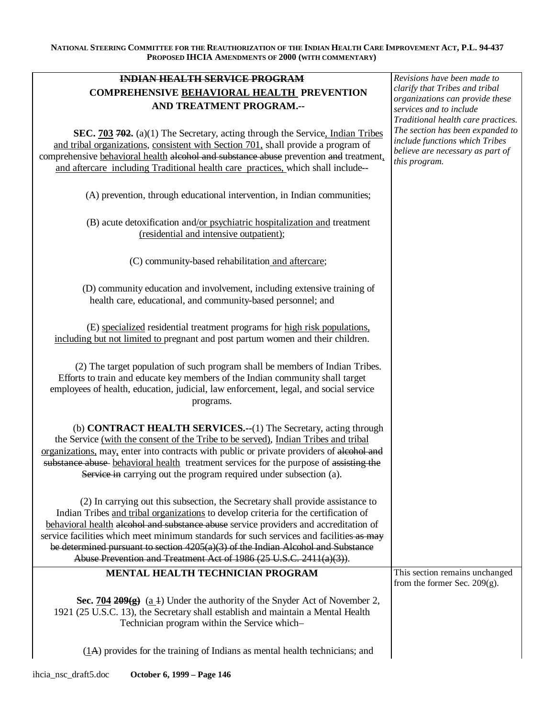| <b>INDIAN HEALTH SERVICE PROGRAM</b>                                                                                                                                                                                                                                                                                                                                                                                                                                                                                 | Revisions have been made to                                                                                                                                   |
|----------------------------------------------------------------------------------------------------------------------------------------------------------------------------------------------------------------------------------------------------------------------------------------------------------------------------------------------------------------------------------------------------------------------------------------------------------------------------------------------------------------------|---------------------------------------------------------------------------------------------------------------------------------------------------------------|
| <b>COMPREHENSIVE BEHAVIORAL HEALTH PREVENTION</b>                                                                                                                                                                                                                                                                                                                                                                                                                                                                    | clarify that Tribes and tribal                                                                                                                                |
| AND TREATMENT PROGRAM.--                                                                                                                                                                                                                                                                                                                                                                                                                                                                                             | organizations can provide these<br>services and to include                                                                                                    |
| SEC. 703 702. (a)(1) The Secretary, acting through the Service, Indian Tribes<br>and tribal organizations, consistent with Section 701, shall provide a program of<br>comprehensive behavioral health alcohol and substance abuse prevention and treatment,<br>and aftercare including Traditional health care practices, which shall include--                                                                                                                                                                      | Traditional health care practices.<br>The section has been expanded to<br>include functions which Tribes<br>believe are necessary as part of<br>this program. |
| (A) prevention, through educational intervention, in Indian communities;                                                                                                                                                                                                                                                                                                                                                                                                                                             |                                                                                                                                                               |
| (B) acute detoxification and/or psychiatric hospitalization and treatment<br>(residential and intensive outpatient);                                                                                                                                                                                                                                                                                                                                                                                                 |                                                                                                                                                               |
| (C) community-based rehabilitation and aftercare;                                                                                                                                                                                                                                                                                                                                                                                                                                                                    |                                                                                                                                                               |
| (D) community education and involvement, including extensive training of<br>health care, educational, and community-based personnel; and                                                                                                                                                                                                                                                                                                                                                                             |                                                                                                                                                               |
| (E) specialized residential treatment programs for high risk populations,<br>including but not limited to pregnant and post partum women and their children.                                                                                                                                                                                                                                                                                                                                                         |                                                                                                                                                               |
| (2) The target population of such program shall be members of Indian Tribes.<br>Efforts to train and educate key members of the Indian community shall target<br>employees of health, education, judicial, law enforcement, legal, and social service<br>programs.                                                                                                                                                                                                                                                   |                                                                                                                                                               |
| (b) <b>CONTRACT HEALTH SERVICES.--</b> (1) The Secretary, acting through<br>the Service (with the consent of the Tribe to be served), Indian Tribes and tribal<br>organizations, may, enter into contracts with public or private providers of alcohol and<br>substance abuse-behavioral health treatment services for the purpose of assisting the<br>Service in carrying out the program required under subsection (a).                                                                                            |                                                                                                                                                               |
| (2) In carrying out this subsection, the Secretary shall provide assistance to<br>Indian Tribes and tribal organizations to develop criteria for the certification of<br>behavioral health alcohol and substance abuse service providers and accreditation of<br>service facilities which meet minimum standards for such services and facilities as may<br>be determined pursuant to section $4205(a)(3)$ of the Indian Alcohol and Substance<br>Abuse Prevention and Treatment Act of 1986 (25 U.S.C. 2411(a)(3)). |                                                                                                                                                               |
| MENTAL HEALTH TECHNICIAN PROGRAM                                                                                                                                                                                                                                                                                                                                                                                                                                                                                     | This section remains unchanged                                                                                                                                |
| Sec. $\frac{704}{209(g)}$ (a 1) Under the authority of the Snyder Act of November 2,<br>1921 (25 U.S.C. 13), the Secretary shall establish and maintain a Mental Health<br>Technician program within the Service which-                                                                                                                                                                                                                                                                                              | from the former Sec. $209(g)$ .                                                                                                                               |
| $(1)$ provides for the training of Indians as mental health technicians; and                                                                                                                                                                                                                                                                                                                                                                                                                                         |                                                                                                                                                               |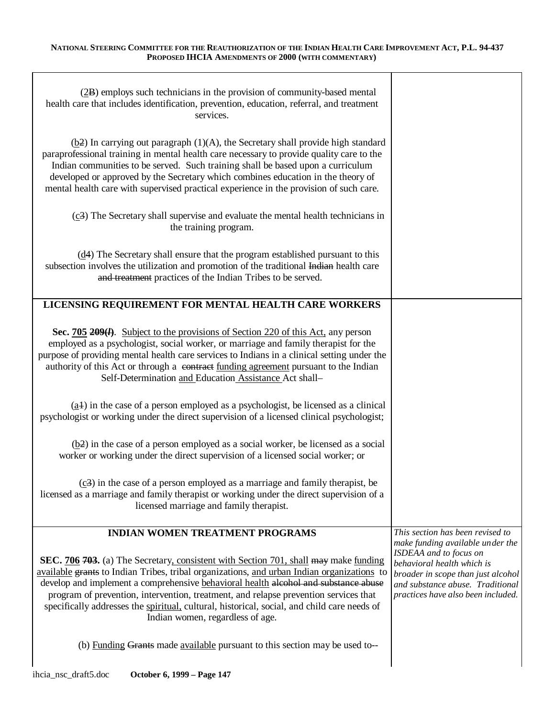| (2B) employs such technicians in the provision of community-based mental<br>health care that includes identification, prevention, education, referral, and treatment<br>services.                                                                                                                                                                                                                                                                                                                           |                                                                                                                                                                      |
|-------------------------------------------------------------------------------------------------------------------------------------------------------------------------------------------------------------------------------------------------------------------------------------------------------------------------------------------------------------------------------------------------------------------------------------------------------------------------------------------------------------|----------------------------------------------------------------------------------------------------------------------------------------------------------------------|
| $(\underline{b2})$ In carrying out paragraph (1)(A), the Secretary shall provide high standard<br>paraprofessional training in mental health care necessary to provide quality care to the<br>Indian communities to be served. Such training shall be based upon a curriculum<br>developed or approved by the Secretary which combines education in the theory of<br>mental health care with supervised practical experience in the provision of such care.                                                 |                                                                                                                                                                      |
| $(c3)$ The Secretary shall supervise and evaluate the mental health technicians in<br>the training program.                                                                                                                                                                                                                                                                                                                                                                                                 |                                                                                                                                                                      |
| $(d4)$ The Secretary shall ensure that the program established pursuant to this<br>subsection involves the utilization and promotion of the traditional Indian health care<br>and treatment practices of the Indian Tribes to be served.                                                                                                                                                                                                                                                                    |                                                                                                                                                                      |
| LICENSING REQUIREMENT FOR MENTAL HEALTH CARE WORKERS                                                                                                                                                                                                                                                                                                                                                                                                                                                        |                                                                                                                                                                      |
| Sec. 705 209( <i>l</i> ). Subject to the provisions of Section 220 of this Act, any person<br>employed as a psychologist, social worker, or marriage and family therapist for the<br>purpose of providing mental health care services to Indians in a clinical setting under the<br>authority of this Act or through a contract funding agreement pursuant to the Indian<br>Self-Determination and Education Assistance Act shall-                                                                          |                                                                                                                                                                      |
| $(a4)$ in the case of a person employed as a psychologist, be licensed as a clinical<br>psychologist or working under the direct supervision of a licensed clinical psychologist;                                                                                                                                                                                                                                                                                                                           |                                                                                                                                                                      |
| $(\underline{b2})$ in the case of a person employed as a social worker, be licensed as a social<br>worker or working under the direct supervision of a licensed social worker; or                                                                                                                                                                                                                                                                                                                           |                                                                                                                                                                      |
| $(c3)$ in the case of a person employed as a marriage and family therapist, be<br>licensed as a marriage and family therapist or working under the direct supervision of a<br>licensed marriage and family therapist.                                                                                                                                                                                                                                                                                       |                                                                                                                                                                      |
| <b>INDIAN WOMEN TREATMENT PROGRAMS</b>                                                                                                                                                                                                                                                                                                                                                                                                                                                                      | This section has been revised to<br>make funding available under the                                                                                                 |
| <b>SEC.</b> 706 703. (a) The Secretary, consistent with Section 701, shall may make funding<br>available grants to Indian Tribes, tribal organizations, and urban Indian organizations to<br>develop and implement a comprehensive behavioral health alcohol and substance abuse<br>program of prevention, intervention, treatment, and relapse prevention services that<br>specifically addresses the spiritual, cultural, historical, social, and child care needs of<br>Indian women, regardless of age. | ISDEAA and to focus on<br>behavioral health which is<br>broader in scope than just alcohol<br>and substance abuse. Traditional<br>practices have also been included. |
| (b) Funding Grants made available pursuant to this section may be used to--                                                                                                                                                                                                                                                                                                                                                                                                                                 |                                                                                                                                                                      |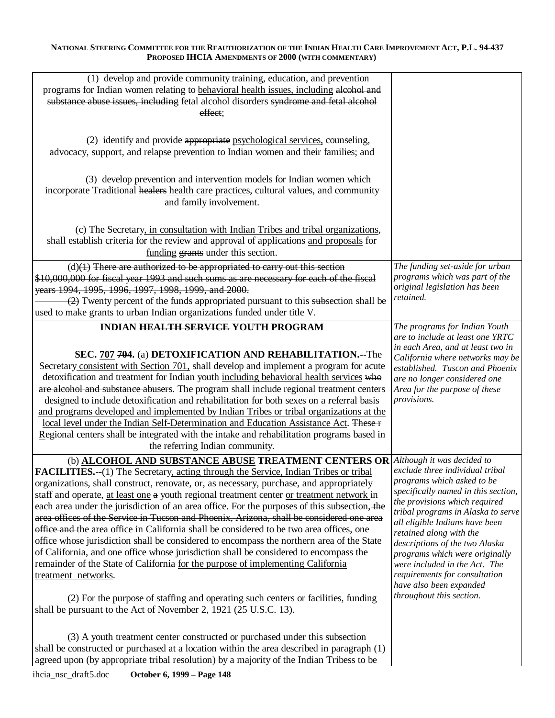| (1) develop and provide community training, education, and prevention<br>programs for Indian women relating to behavioral health issues, including alcohol and<br>substance abuse issues, including fetal alcohol disorders syndrome and fetal alcohol<br>effect;                                                                                                                                                                                                                                                                                                                                                                                                                                                                                                                                                                                                                                                                                                                                                                                                                                                              |                                                                                                                                                                                                                                                                                                                                                                                                                                       |
|--------------------------------------------------------------------------------------------------------------------------------------------------------------------------------------------------------------------------------------------------------------------------------------------------------------------------------------------------------------------------------------------------------------------------------------------------------------------------------------------------------------------------------------------------------------------------------------------------------------------------------------------------------------------------------------------------------------------------------------------------------------------------------------------------------------------------------------------------------------------------------------------------------------------------------------------------------------------------------------------------------------------------------------------------------------------------------------------------------------------------------|---------------------------------------------------------------------------------------------------------------------------------------------------------------------------------------------------------------------------------------------------------------------------------------------------------------------------------------------------------------------------------------------------------------------------------------|
| (2) identify and provide appropriate psychological services, counseling,<br>advocacy, support, and relapse prevention to Indian women and their families; and                                                                                                                                                                                                                                                                                                                                                                                                                                                                                                                                                                                                                                                                                                                                                                                                                                                                                                                                                                  |                                                                                                                                                                                                                                                                                                                                                                                                                                       |
| (3) develop prevention and intervention models for Indian women which<br>incorporate Traditional healers health care practices, cultural values, and community<br>and family involvement.                                                                                                                                                                                                                                                                                                                                                                                                                                                                                                                                                                                                                                                                                                                                                                                                                                                                                                                                      |                                                                                                                                                                                                                                                                                                                                                                                                                                       |
| (c) The Secretary, in consultation with Indian Tribes and tribal organizations,<br>shall establish criteria for the review and approval of applications and proposals for<br>funding grants under this section.                                                                                                                                                                                                                                                                                                                                                                                                                                                                                                                                                                                                                                                                                                                                                                                                                                                                                                                |                                                                                                                                                                                                                                                                                                                                                                                                                                       |
| $(d)(1)$ There are authorized to be appropriated to carry out this section<br>\$10,000,000 for fiscal year 1993 and such sums as are necessary for each of the fiscal<br>years 1994, 1995, 1996, 1997, 1998, 1999, and 2000.<br>$\left( \frac{2}{2} \right)$ Twenty percent of the funds appropriated pursuant to this subsection shall be<br>used to make grants to urban Indian organizations funded under title V.                                                                                                                                                                                                                                                                                                                                                                                                                                                                                                                                                                                                                                                                                                          | The funding set-aside for urban<br>programs which was part of the<br>original legislation has been<br>retained.                                                                                                                                                                                                                                                                                                                       |
| <b>INDIAN HEALTH SERVICE YOUTH PROGRAM</b><br>SEC. 707 704. (a) DETOXIFICATION AND REHABILITATION.--The<br>Secretary consistent with Section 701, shall develop and implement a program for acute<br>detoxification and treatment for Indian youth including behavioral health services who<br>are alcohol and substance abusers. The program shall include regional treatment centers<br>designed to include detoxification and rehabilitation for both sexes on a referral basis<br>and programs developed and implemented by Indian Tribes or tribal organizations at the<br>local level under the Indian Self-Determination and Education Assistance Act. These F<br>Regional centers shall be integrated with the intake and rehabilitation programs based in<br>the referring Indian community.                                                                                                                                                                                                                                                                                                                          | The programs for Indian Youth<br>are to include at least one YRTC<br>in each Area, and at least two in<br>California where networks may be<br>established. Tuscon and Phoenix<br>are no longer considered one<br>Area for the purpose of these<br>provisions.                                                                                                                                                                         |
| (b) <b>ALCOHOL AND SUBSTANCE ABUSE TREATMENT CENTERS OR</b> Although it was decided to<br><b>FACILITIES.--</b> (1) The Secretary, acting through the Service, Indian Tribes or tribal<br>organizations, shall construct, renovate, or, as necessary, purchase, and appropriately<br>staff and operate, at least one a youth regional treatment center or treatment network in<br>each area under the jurisdiction of an area office. For the purposes of this subsection, the<br>area offices of the Service in Tucson and Phoenix, Arizona, shall be considered one area<br>office and the area office in California shall be considered to be two area offices, one<br>office whose jurisdiction shall be considered to encompass the northern area of the State<br>of California, and one office whose jurisdiction shall be considered to encompass the<br>remainder of the State of California for the purpose of implementing California<br>treatment networks.<br>(2) For the purpose of staffing and operating such centers or facilities, funding<br>shall be pursuant to the Act of November 2, 1921 (25 U.S.C. 13). | exclude three individual tribal<br>programs which asked to be<br>specifically named in this section,<br>the provisions which required<br>tribal programs in Alaska to serve<br>all eligible Indians have been<br>retained along with the<br>descriptions of the two Alaska<br>programs which were originally<br>were included in the Act. The<br>requirements for consultation<br>have also been expanded<br>throughout this section. |
| (3) A youth treatment center constructed or purchased under this subsection<br>shall be constructed or purchased at a location within the area described in paragraph (1)<br>agreed upon (by appropriate tribal resolution) by a majority of the Indian Tribess to be                                                                                                                                                                                                                                                                                                                                                                                                                                                                                                                                                                                                                                                                                                                                                                                                                                                          |                                                                                                                                                                                                                                                                                                                                                                                                                                       |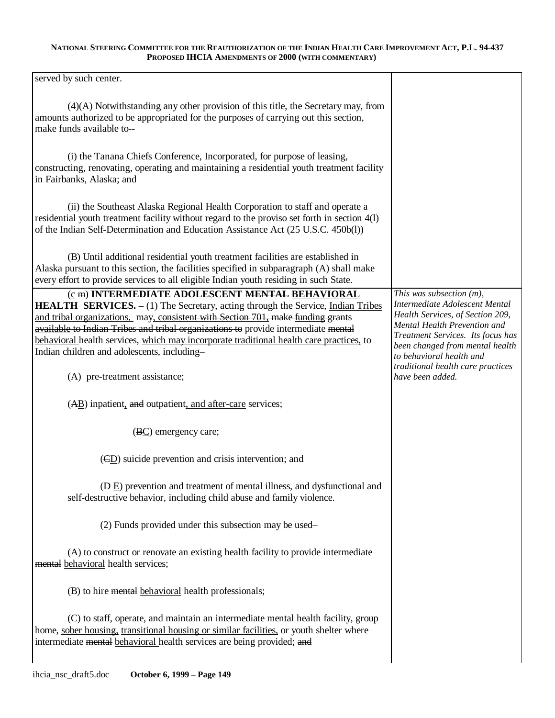| served by such center.                                                                                                                                                                                                                                              |                                                                  |
|---------------------------------------------------------------------------------------------------------------------------------------------------------------------------------------------------------------------------------------------------------------------|------------------------------------------------------------------|
|                                                                                                                                                                                                                                                                     |                                                                  |
| $(4)(A)$ Notwithstanding any other provision of this title, the Secretary may, from<br>amounts authorized to be appropriated for the purposes of carrying out this section,<br>make funds available to--                                                            |                                                                  |
| (i) the Tanana Chiefs Conference, Incorporated, for purpose of leasing,<br>constructing, renovating, operating and maintaining a residential youth treatment facility<br>in Fairbanks, Alaska; and                                                                  |                                                                  |
| (ii) the Southeast Alaska Regional Health Corporation to staff and operate a<br>residential youth treatment facility without regard to the proviso set forth in section 4(l)<br>of the Indian Self-Determination and Education Assistance Act (25 U.S.C. 450b(l))   |                                                                  |
| (B) Until additional residential youth treatment facilities are established in<br>Alaska pursuant to this section, the facilities specified in subparagraph (A) shall make<br>every effort to provide services to all eligible Indian youth residing in such State. |                                                                  |
| (c m) INTERMEDIATE ADOLESCENT MENTAL BEHAVIORAL                                                                                                                                                                                                                     | This was subsection $(m)$ ,                                      |
| <b>HEALTH SERVICES.</b> - (1) The Secretary, acting through the Service, Indian Tribes                                                                                                                                                                              | Intermediate Adolescent Mental                                   |
| and tribal organizations, may, consistent with Section 701, make funding grants                                                                                                                                                                                     | Health Services, of Section 209,<br>Mental Health Prevention and |
| available to Indian Tribes and tribal organizations to provide intermediate mental                                                                                                                                                                                  | Treatment Services. Its focus has                                |
| behavioral health services, which may incorporate traditional health care practices, to                                                                                                                                                                             | been changed from mental health                                  |
| Indian children and adolescents, including-                                                                                                                                                                                                                         | to behavioral health and                                         |
| (A) pre-treatment assistance;                                                                                                                                                                                                                                       | traditional health care practices<br>have been added.            |
| (AB) inpatient, and outpatient, and after-care services;                                                                                                                                                                                                            |                                                                  |
| (BC) emergency care;                                                                                                                                                                                                                                                |                                                                  |
| (CD) suicide prevention and crisis intervention; and                                                                                                                                                                                                                |                                                                  |
| (Đ E) prevention and treatment of mental illness, and dysfunctional and<br>self-destructive behavior, including child abuse and family violence.                                                                                                                    |                                                                  |
| (2) Funds provided under this subsection may be used-                                                                                                                                                                                                               |                                                                  |
| (A) to construct or renovate an existing health facility to provide intermediate<br>mental behavioral health services;                                                                                                                                              |                                                                  |
| (B) to hire mental behavioral health professionals;                                                                                                                                                                                                                 |                                                                  |
| (C) to staff, operate, and maintain an intermediate mental health facility, group<br>home, sober housing, transitional housing or similar facilities, or youth shelter where<br>intermediate mental behavioral health services are being provided; and              |                                                                  |
|                                                                                                                                                                                                                                                                     |                                                                  |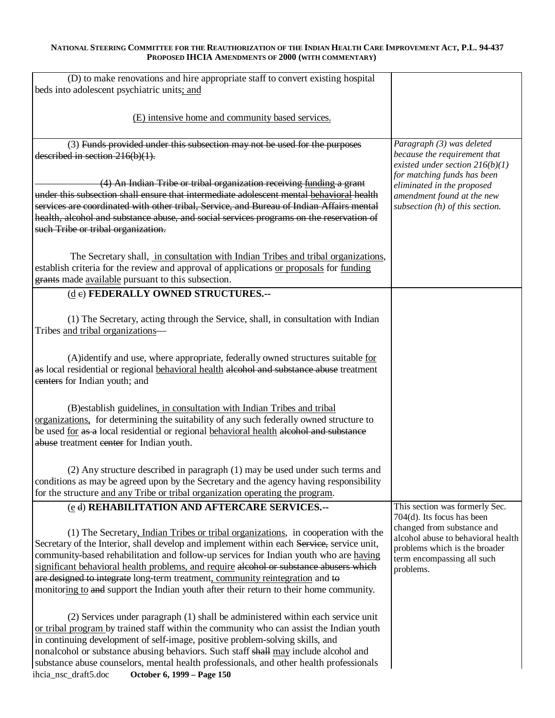| (D) to make renovations and hire appropriate staff to convert existing hospital<br>beds into adolescent psychiatric units; and                                                                                                                                                                                                                                                                                                                                                                                                               |                                                                                                                                                                            |
|----------------------------------------------------------------------------------------------------------------------------------------------------------------------------------------------------------------------------------------------------------------------------------------------------------------------------------------------------------------------------------------------------------------------------------------------------------------------------------------------------------------------------------------------|----------------------------------------------------------------------------------------------------------------------------------------------------------------------------|
| (E) intensive home and community based services.                                                                                                                                                                                                                                                                                                                                                                                                                                                                                             |                                                                                                                                                                            |
| (3) Funds provided under this subsection may not be used for the purposes                                                                                                                                                                                                                                                                                                                                                                                                                                                                    | Paragraph (3) was deleted                                                                                                                                                  |
|                                                                                                                                                                                                                                                                                                                                                                                                                                                                                                                                              | because the requirement that                                                                                                                                               |
| described in section $216(b)(1)$ .                                                                                                                                                                                                                                                                                                                                                                                                                                                                                                           |                                                                                                                                                                            |
| (4) An Indian Tribe or tribal organization receiving funding a grant<br>under this subsection shall ensure that intermediate adolescent mental behavioral health<br>services are coordinated with other tribal, Service, and Bureau of Indian Affairs mental<br>health, alcohol and substance abuse, and social services programs on the reservation of<br>such Tribe or tribal organization.                                                                                                                                                | existed under section $216(b)(1)$<br>for matching funds has been<br>eliminated in the proposed<br>amendment found at the new<br>subsection $(h)$ of this section.          |
|                                                                                                                                                                                                                                                                                                                                                                                                                                                                                                                                              |                                                                                                                                                                            |
| The Secretary shall, in consultation with Indian Tribes and tribal organizations,<br>establish criteria for the review and approval of applications or proposals for funding<br>grants made available pursuant to this subsection.                                                                                                                                                                                                                                                                                                           |                                                                                                                                                                            |
| (de) FEDERALLY OWNED STRUCTURES.--                                                                                                                                                                                                                                                                                                                                                                                                                                                                                                           |                                                                                                                                                                            |
|                                                                                                                                                                                                                                                                                                                                                                                                                                                                                                                                              |                                                                                                                                                                            |
| (1) The Secretary, acting through the Service, shall, in consultation with Indian<br>Tribes and tribal organizations-                                                                                                                                                                                                                                                                                                                                                                                                                        |                                                                                                                                                                            |
| (A)identify and use, where appropriate, federally owned structures suitable for<br>as local residential or regional behavioral health alcohol and substance abuse treatment<br>centers for Indian youth; and                                                                                                                                                                                                                                                                                                                                 |                                                                                                                                                                            |
| (B) establish guidelines, in consultation with Indian Tribes and tribal<br>organizations, for determining the suitability of any such federally owned structure to<br>be used for as a local residential or regional behavioral health alcohol and substance<br>abuse treatment center for Indian youth.                                                                                                                                                                                                                                     |                                                                                                                                                                            |
| (2) Any structure described in paragraph (1) may be used under such terms and<br>conditions as may be agreed upon by the Secretary and the agency having responsibility<br>for the structure and any Tribe or tribal organization operating the program.                                                                                                                                                                                                                                                                                     |                                                                                                                                                                            |
| (e d) REHABILITATION AND AFTERCARE SERVICES.--                                                                                                                                                                                                                                                                                                                                                                                                                                                                                               | This section was formerly Sec.                                                                                                                                             |
| (1) The Secretary, Indian Tribes or tribal organizations, in cooperation with the<br>Secretary of the Interior, shall develop and implement within each Service, service unit,<br>community-based rehabilitation and follow-up services for Indian youth who are having<br>significant behavioral health problems, and require alcohol or substance abusers which<br>are designed to integrate long-term treatment, community reintegration and to<br>monitoring to and support the Indian youth after their return to their home community. | 704(d). Its focus has been<br>changed from substance and<br>alcohol abuse to behavioral health<br>problems which is the broader<br>term encompassing all such<br>problems. |
| (2) Services under paragraph (1) shall be administered within each service unit<br>or tribal program by trained staff within the community who can assist the Indian youth<br>in continuing development of self-image, positive problem-solving skills, and<br>nonalcohol or substance abusing behaviors. Such staff shall may include alcohol and<br>substance abuse counselors, mental health professionals, and other health professionals<br>ihcia_nsc_draft5.doc<br>October 6, 1999 - Page 150                                          |                                                                                                                                                                            |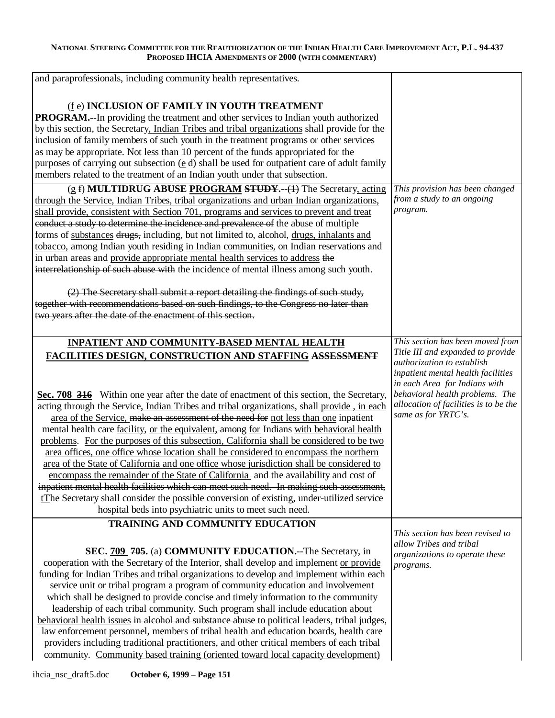| and paraprofessionals, including community health representatives.                                                                                                                |                                                              |
|-----------------------------------------------------------------------------------------------------------------------------------------------------------------------------------|--------------------------------------------------------------|
|                                                                                                                                                                                   |                                                              |
|                                                                                                                                                                                   |                                                              |
| (fe) INCLUSION OF FAMILY IN YOUTH TREATMENT                                                                                                                                       |                                                              |
| <b>PROGRAM.</b> --In providing the treatment and other services to Indian youth authorized                                                                                        |                                                              |
| by this section, the Secretary, Indian Tribes and tribal organizations shall provide for the                                                                                      |                                                              |
| inclusion of family members of such youth in the treatment programs or other services                                                                                             |                                                              |
| as may be appropriate. Not less than 10 percent of the funds appropriated for the                                                                                                 |                                                              |
| purposes of carrying out subsection ( $\underline{e}$ d) shall be used for outpatient care of adult family                                                                        |                                                              |
| members related to the treatment of an Indian youth under that subsection.                                                                                                        |                                                              |
| (g f) MULTIDRUG ABUSE PROGRAM STUDY.--(1) The Secretary, acting                                                                                                                   | This provision has been changed                              |
| through the Service, Indian Tribes, tribal organizations and urban Indian organizations,                                                                                          | from a study to an ongoing                                   |
| shall provide, consistent with Section 701, programs and services to prevent and treat                                                                                            | program.                                                     |
| conduct a study to determine the incidence and prevalence of the abuse of multiple                                                                                                |                                                              |
| forms of substances drugs, including, but not limited to, alcohol, drugs, inhalants and                                                                                           |                                                              |
| tobacco, among Indian youth residing in Indian communities, on Indian reservations and                                                                                            |                                                              |
| in urban areas and provide appropriate mental health services to address the                                                                                                      |                                                              |
| interrelationship of such abuse with the incidence of mental illness among such youth.                                                                                            |                                                              |
|                                                                                                                                                                                   |                                                              |
| (2) The Secretary shall submit a report detailing the findings of such study,                                                                                                     |                                                              |
| together with recommendations based on such findings, to the Congress no later than                                                                                               |                                                              |
| two years after the date of the enactment of this section.                                                                                                                        |                                                              |
|                                                                                                                                                                                   |                                                              |
| INPATIENT AND COMMUNITY-BASED MENTAL HEALTH                                                                                                                                       | This section has been moved from                             |
| FACILITIES DESIGN, CONSTRUCTION AND STAFFING ASSESSMENT                                                                                                                           | Title III and expanded to provide                            |
|                                                                                                                                                                                   | authorization to establish                                   |
|                                                                                                                                                                                   | inpatient mental health facilities                           |
|                                                                                                                                                                                   | in each Area for Indians with                                |
| Sec. 708 316 Within one year after the date of enactment of this section, the Secretary,                                                                                          | behavioral health problems. The                              |
| acting through the Service, Indian Tribes and tribal organizations, shall provide, in each                                                                                        | allocation of facilities is to be the<br>same as for YRTC's. |
| area of the Service, make an assessment of the need for not less than one inpatient                                                                                               |                                                              |
| mental health care <u>facility</u> , or the equivalent, among for Indians with behavioral health                                                                                  |                                                              |
| problems. For the purposes of this subsection, California shall be considered to be two                                                                                           |                                                              |
| area offices, one office whose location shall be considered to encompass the northern                                                                                             |                                                              |
| area of the State of California and one office whose jurisdiction shall be considered to                                                                                          |                                                              |
| encompass the remainder of the State of California - and the availability and cost of                                                                                             |                                                              |
| inpatient mental health facilities which can meet such need. In making such assessment,                                                                                           |                                                              |
| <i>i</i> The Secretary shall consider the possible conversion of existing, under-utilized service                                                                                 |                                                              |
| hospital beds into psychiatric units to meet such need.                                                                                                                           |                                                              |
|                                                                                                                                                                                   |                                                              |
| TRAINING AND COMMUNITY EDUCATION                                                                                                                                                  |                                                              |
|                                                                                                                                                                                   | This section has been revised to                             |
|                                                                                                                                                                                   | allow Tribes and tribal                                      |
| SEC. 709 705. (a) COMMUNITY EDUCATION.--The Secretary, in                                                                                                                         | organizations to operate these                               |
| cooperation with the Secretary of the Interior, shall develop and implement or provide                                                                                            | programs.                                                    |
| funding for Indian Tribes and tribal organizations to develop and implement within each                                                                                           |                                                              |
| service unit or tribal program a program of community education and involvement                                                                                                   |                                                              |
| which shall be designed to provide concise and timely information to the community                                                                                                |                                                              |
| leadership of each tribal community. Such program shall include education about                                                                                                   |                                                              |
| behavioral health issues in alcohol and substance abuse to political leaders, tribal judges,                                                                                      |                                                              |
| law enforcement personnel, members of tribal health and education boards, health care<br>providers including traditional practitioners, and other critical members of each tribal |                                                              |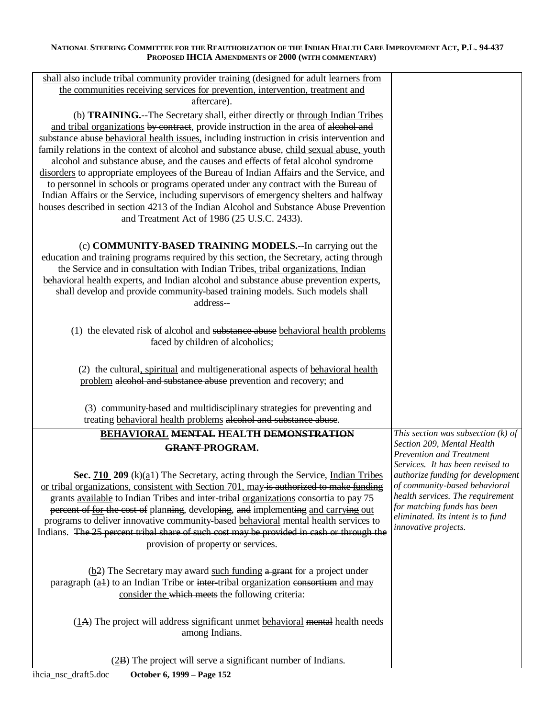| shall also include tribal community provider training (designed for adult learners from                                                                                         |                                                               |
|---------------------------------------------------------------------------------------------------------------------------------------------------------------------------------|---------------------------------------------------------------|
| the communities receiving services for prevention, intervention, treatment and                                                                                                  |                                                               |
| aftercare).                                                                                                                                                                     |                                                               |
| (b) TRAINING.--The Secretary shall, either directly or through Indian Tribes                                                                                                    |                                                               |
| and tribal organizations by contract, provide instruction in the area of alcohol and                                                                                            |                                                               |
| substance abuse behavioral health issues, including instruction in crisis intervention and                                                                                      |                                                               |
| family relations in the context of alcohol and substance abuse, child sexual abuse, youth                                                                                       |                                                               |
| alcohol and substance abuse, and the causes and effects of fetal alcohol syndrome                                                                                               |                                                               |
| disorders to appropriate employees of the Bureau of Indian Affairs and the Service, and                                                                                         |                                                               |
| to personnel in schools or programs operated under any contract with the Bureau of                                                                                              |                                                               |
| Indian Affairs or the Service, including supervisors of emergency shelters and halfway<br>houses described in section 4213 of the Indian Alcohol and Substance Abuse Prevention |                                                               |
| and Treatment Act of 1986 (25 U.S.C. 2433).                                                                                                                                     |                                                               |
|                                                                                                                                                                                 |                                                               |
|                                                                                                                                                                                 |                                                               |
| (c) <b>COMMUNITY-BASED TRAINING MODELS.</b> --In carrying out the                                                                                                               |                                                               |
| education and training programs required by this section, the Secretary, acting through                                                                                         |                                                               |
| the Service and in consultation with Indian Tribes, tribal organizations, Indian                                                                                                |                                                               |
| behavioral health experts, and Indian alcohol and substance abuse prevention experts,                                                                                           |                                                               |
| shall develop and provide community-based training models. Such models shall<br>address--                                                                                       |                                                               |
|                                                                                                                                                                                 |                                                               |
|                                                                                                                                                                                 |                                                               |
| (1) the elevated risk of alcohol and substance abuse behavioral health problems                                                                                                 |                                                               |
| faced by children of alcoholics;                                                                                                                                                |                                                               |
|                                                                                                                                                                                 |                                                               |
| (2) the cultural, spiritual and multigenerational aspects of behavioral health                                                                                                  |                                                               |
| problem alcohol and substance abuse prevention and recovery; and                                                                                                                |                                                               |
|                                                                                                                                                                                 |                                                               |
| (3) community-based and multidisciplinary strategies for preventing and                                                                                                         |                                                               |
| treating behavioral health problems alcohol and substance abuse.                                                                                                                |                                                               |
| <b>BEHAVIORAL MENTAL HEALTH DEMONSTRATION</b>                                                                                                                                   | This section was subsection $(k)$ of                          |
| <b>GRANT-PROGRAM.</b>                                                                                                                                                           | Section 209, Mental Health<br><b>Prevention and Treatment</b> |
|                                                                                                                                                                                 | Services. It has been revised to                              |
| Sec. $710$ 209 (k)(a <sub>1</sub> ) The Secretary, acting through the Service, Indian Tribes                                                                                    | authorize funding for development                             |
| or tribal organizations, consistent with Section 701, may is authorized to make funding                                                                                         | of community-based behavioral                                 |
| grants available to Indian Tribes and inter-tribal organizations consortia to pay 75                                                                                            | health services. The requirement                              |
| percent of for the cost of planning, developing, and implementing and carrying out                                                                                              | for matching funds has been                                   |
| programs to deliver innovative community-based behavioral mental health services to                                                                                             | eliminated. Its intent is to fund                             |
| Indians. The 25 percent tribal share of such cost may be provided in cash or through the                                                                                        | innovative projects.                                          |
| provision of property or services.                                                                                                                                              |                                                               |
|                                                                                                                                                                                 |                                                               |
| (b2) The Secretary may award such funding a grant for a project under                                                                                                           |                                                               |
| paragraph $(a+1)$ to an Indian Tribe or inter-tribal <u>organization</u> consortium and may                                                                                     |                                                               |
| consider the which meets the following criteria:                                                                                                                                |                                                               |
|                                                                                                                                                                                 |                                                               |
| (1A) The project will address significant unmet behavioral mental health needs                                                                                                  |                                                               |
| among Indians.                                                                                                                                                                  |                                                               |
|                                                                                                                                                                                 |                                                               |
|                                                                                                                                                                                 |                                                               |
| (2B) The project will serve a significant number of Indians.                                                                                                                    |                                                               |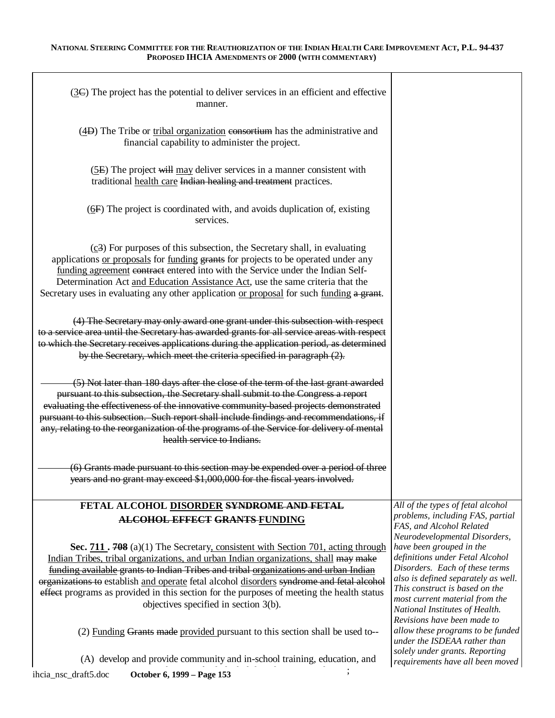| $(3)$ The project has the potential to deliver services in an efficient and effective<br>manner.                                                                                                                                                                                                                                                                                                                                                                                                 |                                                                                                                                                                                                                                                                           |
|--------------------------------------------------------------------------------------------------------------------------------------------------------------------------------------------------------------------------------------------------------------------------------------------------------------------------------------------------------------------------------------------------------------------------------------------------------------------------------------------------|---------------------------------------------------------------------------------------------------------------------------------------------------------------------------------------------------------------------------------------------------------------------------|
| (4D) The Tribe or tribal organization consortium has the administrative and<br>financial capability to administer the project.                                                                                                                                                                                                                                                                                                                                                                   |                                                                                                                                                                                                                                                                           |
| (5E) The project will may deliver services in a manner consistent with<br>traditional health care Indian healing and treatment practices.                                                                                                                                                                                                                                                                                                                                                        |                                                                                                                                                                                                                                                                           |
| $(6F)$ The project is coordinated with, and avoids duplication of, existing<br>services.                                                                                                                                                                                                                                                                                                                                                                                                         |                                                                                                                                                                                                                                                                           |
| $(c3)$ For purposes of this subsection, the Secretary shall, in evaluating<br>applications or proposals for funding grants for projects to be operated under any<br>funding agreement contract entered into with the Service under the Indian Self-<br>Determination Act and Education Assistance Act, use the same criteria that the<br>Secretary uses in evaluating any other application or proposal for such funding a grant.                                                                |                                                                                                                                                                                                                                                                           |
| (4) The Secretary may only award one grant under this subsection with respect<br>to a service area until the Secretary has awarded grants for all service areas with respect<br>to which the Secretary receives applications during the application period, as determined<br>by the Secretary, which meet the criteria specified in paragraph (2).                                                                                                                                               |                                                                                                                                                                                                                                                                           |
| (5) Not later than 180 days after the close of the term of the last grant awarded<br>pursuant to this subsection, the Secretary shall submit to the Congress a report<br>evaluating the effectiveness of the innovative community-based projects demonstrated<br>pursuant to this subsection. Such report shall include findings and recommendations, if<br>any, relating to the reorganization of the programs of the Service for delivery of mental<br>health service to Indians.              |                                                                                                                                                                                                                                                                           |
| (6) Grants made pursuant to this section may be expended over a period of three<br>years and no grant may exceed \$1,000,000 for the fiscal years involved.                                                                                                                                                                                                                                                                                                                                      |                                                                                                                                                                                                                                                                           |
| FETAL ALCOHOL DISORDER SYNDROME AND FETAL<br><b>ALCOHOL EFFECT GRANTS-FUNDING</b>                                                                                                                                                                                                                                                                                                                                                                                                                | All of the types of fetal alcohol<br>problems, including FAS, partial<br>FAS, and Alcohol Related<br>Neurodevelopmental Disorders,                                                                                                                                        |
| Sec. 711. 708 (a)(1) The Secretary, consistent with Section 701, acting through<br>Indian Tribes, tribal organizations, and urban Indian organizations, shall may make<br>funding available grants to Indian Tribes and tribal organizations and urban Indian<br>organizations to establish and operate fetal alcohol disorders syndrome and fetal alcohol<br>effect programs as provided in this section for the purposes of meeting the health status<br>objectives specified in section 3(b). | have been grouped in the<br>definitions under Fetal Alcohol<br>Disorders. Each of these terms<br>also is defined separately as well.<br>This construct is based on the<br>most current material from the<br>National Institutes of Health.<br>Revisions have been made to |
| (2) Funding Grants made provided pursuant to this section shall be used to--                                                                                                                                                                                                                                                                                                                                                                                                                     | allow these programs to be funded<br>under the ISDEAA rather than<br>solely under grants. Reporting                                                                                                                                                                       |
| (A) develop and provide community and in-school training, education, and                                                                                                                                                                                                                                                                                                                                                                                                                         | requirements have all been moved                                                                                                                                                                                                                                          |
| ihcia_nsc_draft5.doc<br>October 6, 1999 - Page 153                                                                                                                                                                                                                                                                                                                                                                                                                                               |                                                                                                                                                                                                                                                                           |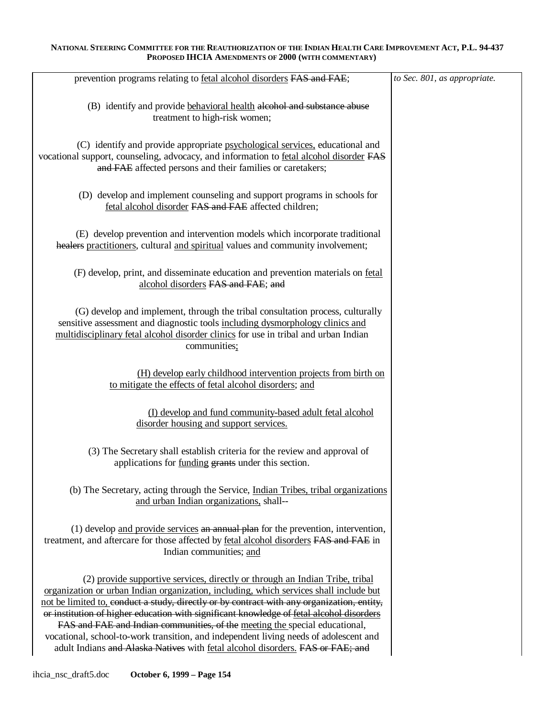| prevention programs relating to fetal alcohol disorders FAS and FAE;                                                                                                                                                                                                                                                                                                                                                                                                                                                                                                                                                       | to Sec. 801, as appropriate. |
|----------------------------------------------------------------------------------------------------------------------------------------------------------------------------------------------------------------------------------------------------------------------------------------------------------------------------------------------------------------------------------------------------------------------------------------------------------------------------------------------------------------------------------------------------------------------------------------------------------------------------|------------------------------|
| (B) identify and provide behavioral health alcohol and substance abuse<br>treatment to high-risk women;                                                                                                                                                                                                                                                                                                                                                                                                                                                                                                                    |                              |
| (C) identify and provide appropriate psychological services, educational and<br>vocational support, counseling, advocacy, and information to fetal alcohol disorder FAS<br>and FAE affected persons and their families or caretakers;                                                                                                                                                                                                                                                                                                                                                                                      |                              |
| (D) develop and implement counseling and support programs in schools for<br>fetal alcohol disorder FAS and FAE affected children;                                                                                                                                                                                                                                                                                                                                                                                                                                                                                          |                              |
| (E) develop prevention and intervention models which incorporate traditional<br>healers practitioners, cultural and spiritual values and community involvement;                                                                                                                                                                                                                                                                                                                                                                                                                                                            |                              |
| (F) develop, print, and disseminate education and prevention materials on fetal<br>alcohol disorders FAS and FAE; and                                                                                                                                                                                                                                                                                                                                                                                                                                                                                                      |                              |
| (G) develop and implement, through the tribal consultation process, culturally<br>sensitive assessment and diagnostic tools including dysmorphology clinics and<br>multidisciplinary fetal alcohol disorder clinics for use in tribal and urban Indian<br>communities;                                                                                                                                                                                                                                                                                                                                                     |                              |
| (H) develop early childhood intervention projects from birth on<br>to mitigate the effects of fetal alcohol disorders; and                                                                                                                                                                                                                                                                                                                                                                                                                                                                                                 |                              |
| (I) develop and fund community-based adult fetal alcohol<br>disorder housing and support services.                                                                                                                                                                                                                                                                                                                                                                                                                                                                                                                         |                              |
| (3) The Secretary shall establish criteria for the review and approval of<br>applications for funding grants under this section.                                                                                                                                                                                                                                                                                                                                                                                                                                                                                           |                              |
| (b) The Secretary, acting through the Service, <i>Indian Tribes</i> , <i>tribal organizations</i><br>and urban Indian organizations, shall--                                                                                                                                                                                                                                                                                                                                                                                                                                                                               |                              |
| (1) develop and provide services an annual plan for the prevention, intervention,<br>treatment, and aftercare for those affected by fetal alcohol disorders FAS and FAE in<br>Indian communities; and                                                                                                                                                                                                                                                                                                                                                                                                                      |                              |
| (2) provide supportive services, directly or through an Indian Tribe, tribal<br>organization or urban Indian organization, including, which services shall include but<br>not be limited to, conduct a study, directly or by contract with any organization, entity,<br>or institution of higher education with significant knowledge of fetal alcohol disorders<br>FAS and FAE and Indian communities, of the meeting the special educational,<br>vocational, school-to-work transition, and independent living needs of adolescent and<br>adult Indians and Alaska Natives with fetal alcohol disorders. FAS or FAE; and |                              |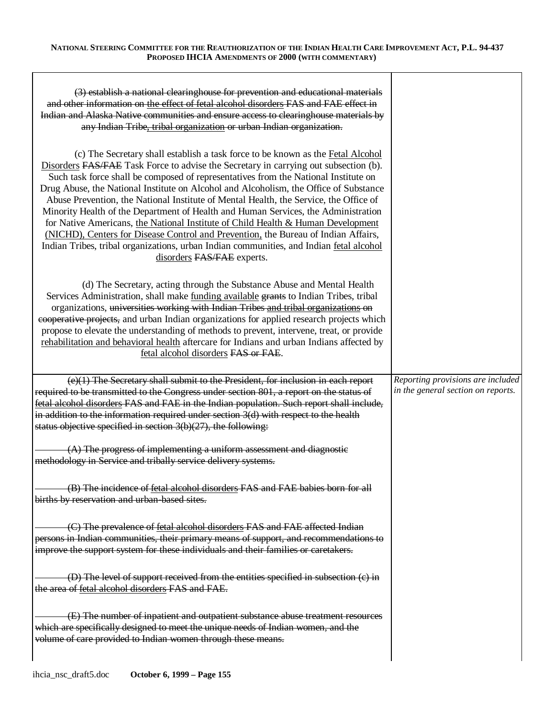| (3) establish a national clearinghouse for prevention and educational materials<br>and other information on the effect of fetal alcohol disorders FAS and FAE effect in<br>Indian and Alaska Native communities and ensure access to clearinghouse materials by<br>any Indian Tribe, tribal organization or urban Indian organization.                                                                                                                                                                                                                                                                                                                                                                                                                                                                                                    |                                                                         |
|-------------------------------------------------------------------------------------------------------------------------------------------------------------------------------------------------------------------------------------------------------------------------------------------------------------------------------------------------------------------------------------------------------------------------------------------------------------------------------------------------------------------------------------------------------------------------------------------------------------------------------------------------------------------------------------------------------------------------------------------------------------------------------------------------------------------------------------------|-------------------------------------------------------------------------|
| (c) The Secretary shall establish a task force to be known as the Fetal Alcohol<br>Disorders FAS/FAE Task Force to advise the Secretary in carrying out subsection (b).<br>Such task force shall be composed of representatives from the National Institute on<br>Drug Abuse, the National Institute on Alcohol and Alcoholism, the Office of Substance<br>Abuse Prevention, the National Institute of Mental Health, the Service, the Office of<br>Minority Health of the Department of Health and Human Services, the Administration<br>for Native Americans, the National Institute of Child Health & Human Development<br>(NICHD), Centers for Disease Control and Prevention, the Bureau of Indian Affairs,<br>Indian Tribes, tribal organizations, urban Indian communities, and Indian fetal alcohol<br>disorders FAS/FAE experts. |                                                                         |
| (d) The Secretary, acting through the Substance Abuse and Mental Health<br>Services Administration, shall make <u>funding available</u> grants to Indian Tribes, tribal<br>organizations, universities working with Indian Tribes and tribal organizations on<br>cooperative projects, and urban Indian organizations for applied research projects which<br>propose to elevate the understanding of methods to prevent, intervene, treat, or provide<br>rehabilitation and behavioral health aftercare for Indians and urban Indians affected by<br>fetal alcohol disorders FAS or FAE.                                                                                                                                                                                                                                                  |                                                                         |
| (e)(1) The Secretary shall submit to the President, for inclusion in each report<br>required to be transmitted to the Congress under section 801, a report on the status of<br>fetal alcohol disorders FAS and FAE in the Indian population. Such report shall include,<br>in addition to the information required under section $3(d)$ with respect to the health<br>status objective specified in section $3(b)(27)$ , the following:                                                                                                                                                                                                                                                                                                                                                                                                   | Reporting provisions are included<br>in the general section on reports. |
| $(A)$ The progress of implementing a uniform assessment and diagnostic<br>methodology in Service and tribally service delivery systems.                                                                                                                                                                                                                                                                                                                                                                                                                                                                                                                                                                                                                                                                                                   |                                                                         |
| (B) The incidence of fetal alcohol disorders FAS and FAE babies born for all<br>births by reservation and urban-based sites.                                                                                                                                                                                                                                                                                                                                                                                                                                                                                                                                                                                                                                                                                                              |                                                                         |
| (C) The prevalence of fetal alcohol disorders FAS and FAE affected Indian<br>persons in Indian communities, their primary means of support, and recommendations to<br>improve the support system for these individuals and their families or caretakers.                                                                                                                                                                                                                                                                                                                                                                                                                                                                                                                                                                                  |                                                                         |
| (D) The level of support received from the entities specified in subsection (c) in<br>the area of fetal alcohol disorders FAS and FAE.                                                                                                                                                                                                                                                                                                                                                                                                                                                                                                                                                                                                                                                                                                    |                                                                         |
| (E) The number of inpatient and outpatient substance abuse treatment resources<br>which are specifically designed to meet the unique needs of Indian women, and the<br>volume of care provided to Indian women through these means.                                                                                                                                                                                                                                                                                                                                                                                                                                                                                                                                                                                                       |                                                                         |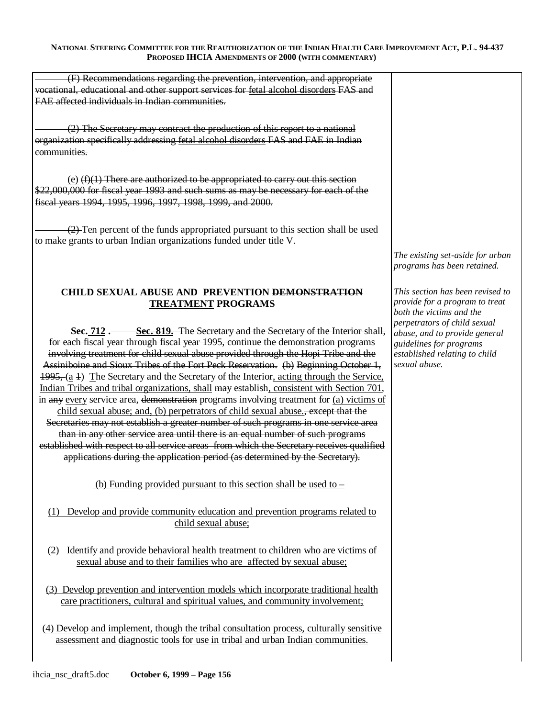| (F) Recommendations regarding the prevention, intervention, and appropriate<br>vocational, educational and other support services for fetal alcohol disorders FAS and<br>FAE affected individuals in Indian communities.                                                                                                                                                                                                                                                                                                                                                                                                                                                                                                                                                                                                                                                                                                                                                                                                                                                                   |                                                                                                                                            |
|--------------------------------------------------------------------------------------------------------------------------------------------------------------------------------------------------------------------------------------------------------------------------------------------------------------------------------------------------------------------------------------------------------------------------------------------------------------------------------------------------------------------------------------------------------------------------------------------------------------------------------------------------------------------------------------------------------------------------------------------------------------------------------------------------------------------------------------------------------------------------------------------------------------------------------------------------------------------------------------------------------------------------------------------------------------------------------------------|--------------------------------------------------------------------------------------------------------------------------------------------|
| (2) The Secretary may contract the production of this report to a national<br>organization specifically addressing fetal alcohol disorders FAS and FAE in Indian<br>communities.                                                                                                                                                                                                                                                                                                                                                                                                                                                                                                                                                                                                                                                                                                                                                                                                                                                                                                           |                                                                                                                                            |
| $(e)$ (f)(1) There are authorized to be appropriated to carry out this section<br>\$22,000,000 for fiscal year 1993 and such sums as may be necessary for each of the<br>fiscal years 1994, 1995, 1996, 1997, 1998, 1999, and 2000.                                                                                                                                                                                                                                                                                                                                                                                                                                                                                                                                                                                                                                                                                                                                                                                                                                                        |                                                                                                                                            |
| $\left(2\right)$ Ten percent of the funds appropriated pursuant to this section shall be used<br>to make grants to urban Indian organizations funded under title V.                                                                                                                                                                                                                                                                                                                                                                                                                                                                                                                                                                                                                                                                                                                                                                                                                                                                                                                        |                                                                                                                                            |
|                                                                                                                                                                                                                                                                                                                                                                                                                                                                                                                                                                                                                                                                                                                                                                                                                                                                                                                                                                                                                                                                                            | The existing set-aside for urban<br>programs has been retained.                                                                            |
| CHILD SEXUAL ABUSE AND PREVENTION DEMONSTRATION<br><b>TREATMENT PROGRAMS</b>                                                                                                                                                                                                                                                                                                                                                                                                                                                                                                                                                                                                                                                                                                                                                                                                                                                                                                                                                                                                               | This section has been revised to<br>provide for a program to treat<br>both the victims and the                                             |
| Sec. 712. Sec. 819. The Secretary and the Secretary of the Interior shall,<br>for each fiscal year through fiscal year 1995, continue the demonstration programs<br>involving treatment for child sexual abuse provided through the Hopi Tribe and the<br>Assiniboine and Sioux Tribes of the Fort Peck Reservation. (b) Beginning October 1,<br>$\frac{1995}{6}$ (a 1) The Secretary and the Secretary of the Interior, acting through the Service,<br>Indian Tribes and tribal organizations, shall may establish, consistent with Section 701,<br>in any every service area, demonstration programs involving treatment for $(a)$ victims of<br>child sexual abuse; and, (b) perpetrators of child sexual abuse., except that the<br>Secretaries may not establish a greater number of such programs in one service area<br>than in any other service area until there is an equal number of such programs<br>established with respect to all service areas from which the Secretary receives qualified<br>applications during the application period (as determined by the Secretary). | perpetrators of child sexual<br>abuse, and to provide general<br>guidelines for programs<br>established relating to child<br>sexual abuse. |
| (b) Funding provided pursuant to this section shall be used to $-$<br>(1) Develop and provide community education and prevention programs related to<br>child sexual abuse;                                                                                                                                                                                                                                                                                                                                                                                                                                                                                                                                                                                                                                                                                                                                                                                                                                                                                                                |                                                                                                                                            |
| Identify and provide behavioral health treatment to children who are victims of<br>(2)<br>sexual abuse and to their families who are affected by sexual abuse;                                                                                                                                                                                                                                                                                                                                                                                                                                                                                                                                                                                                                                                                                                                                                                                                                                                                                                                             |                                                                                                                                            |
| (3) Develop prevention and intervention models which incorporate traditional health<br>care practitioners, cultural and spiritual values, and community involvement;                                                                                                                                                                                                                                                                                                                                                                                                                                                                                                                                                                                                                                                                                                                                                                                                                                                                                                                       |                                                                                                                                            |
| (4) Develop and implement, though the tribal consultation process, culturally sensitive<br>assessment and diagnostic tools for use in tribal and urban Indian communities.                                                                                                                                                                                                                                                                                                                                                                                                                                                                                                                                                                                                                                                                                                                                                                                                                                                                                                                 |                                                                                                                                            |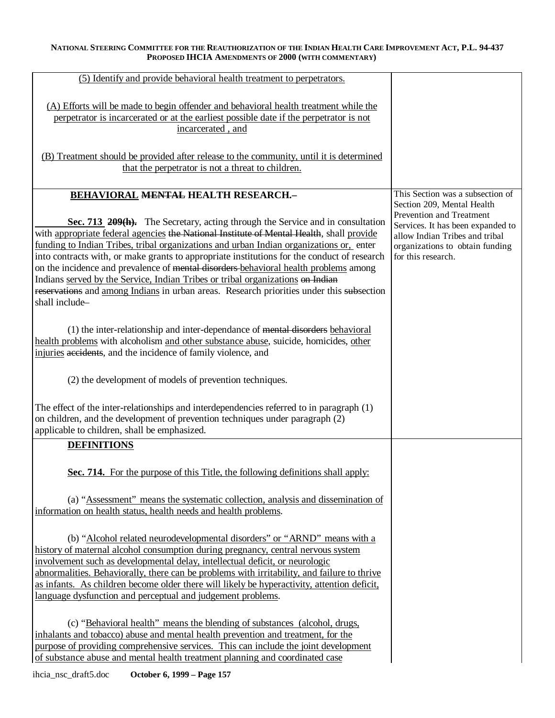| (5) Identify and provide behavioral health treatment to perpetrators.                                                                                                      |                                                                   |
|----------------------------------------------------------------------------------------------------------------------------------------------------------------------------|-------------------------------------------------------------------|
| (A) Efforts will be made to begin offender and behavioral health treatment while the                                                                                       |                                                                   |
| perpetrator is incarcerated or at the earliest possible date if the perpetrator is not                                                                                     |                                                                   |
| incarcerated, and                                                                                                                                                          |                                                                   |
|                                                                                                                                                                            |                                                                   |
| (B) Treatment should be provided after release to the community, until it is determined                                                                                    |                                                                   |
| that the perpetrator is not a threat to children.                                                                                                                          |                                                                   |
|                                                                                                                                                                            |                                                                   |
| BEHAVIORAL MENTAL HEALTH RESEARCH.-                                                                                                                                        | This Section was a subsection of                                  |
|                                                                                                                                                                            | Section 209, Mental Health                                        |
|                                                                                                                                                                            | Prevention and Treatment                                          |
| Sec. 713 209(h). The Secretary, acting through the Service and in consultation<br>with appropriate federal agencies the National Institute of Mental Health, shall provide | Services. It has been expanded to                                 |
| funding to Indian Tribes, tribal organizations and urban Indian organizations or, enter                                                                                    | allow Indian Tribes and tribal<br>organizations to obtain funding |
| into contracts with, or make grants to appropriate institutions for the conduct of research                                                                                | for this research.                                                |
| on the incidence and prevalence of mental disorders-behavioral health problems among                                                                                       |                                                                   |
| Indians served by the Service, Indian Tribes or tribal organizations on Indian                                                                                             |                                                                   |
| reservations and among Indians in urban areas. Research priorities under this subsection                                                                                   |                                                                   |
| shall include-                                                                                                                                                             |                                                                   |
|                                                                                                                                                                            |                                                                   |
| (1) the inter-relationship and inter-dependance of mental disorders behavioral                                                                                             |                                                                   |
| health problems with alcoholism and other substance abuse, suicide, homicides, other                                                                                       |                                                                   |
| injuries accidents, and the incidence of family violence, and                                                                                                              |                                                                   |
|                                                                                                                                                                            |                                                                   |
| (2) the development of models of prevention techniques.                                                                                                                    |                                                                   |
|                                                                                                                                                                            |                                                                   |
| The effect of the inter-relationships and interdependencies referred to in paragraph (1)                                                                                   |                                                                   |
| on children, and the development of prevention techniques under paragraph (2)                                                                                              |                                                                   |
| applicable to children, shall be emphasized.                                                                                                                               |                                                                   |
| <b>DEFINITIONS</b>                                                                                                                                                         |                                                                   |
|                                                                                                                                                                            |                                                                   |
| Sec. 714. For the purpose of this Title, the following definitions shall apply:                                                                                            |                                                                   |
|                                                                                                                                                                            |                                                                   |
| (a) "Assessment" means the systematic collection, analysis and dissemination of                                                                                            |                                                                   |
| information on health status, health needs and health problems.                                                                                                            |                                                                   |
|                                                                                                                                                                            |                                                                   |
| (b) "Alcohol related neurodevelopmental disorders" or "ARND" means with a                                                                                                  |                                                                   |
| history of maternal alcohol consumption during pregnancy, central nervous system                                                                                           |                                                                   |
| involvement such as developmental delay, intellectual deficit, or neurologic                                                                                               |                                                                   |
| abnormalities. Behaviorally, there can be problems with irritability, and failure to thrive                                                                                |                                                                   |
| as infants. As children become older there will likely be hyperactivity, attention deficit,                                                                                |                                                                   |
| language dysfunction and perceptual and judgement problems.                                                                                                                |                                                                   |
|                                                                                                                                                                            |                                                                   |
| (c) "Behavioral health" means the blending of substances (alcohol, drugs,                                                                                                  |                                                                   |
| inhalants and tobacco) abuse and mental health prevention and treatment, for the                                                                                           |                                                                   |
| purpose of providing comprehensive services. This can include the joint development<br>of substance abuse and mental health treatment planning and coordinated case        |                                                                   |
|                                                                                                                                                                            |                                                                   |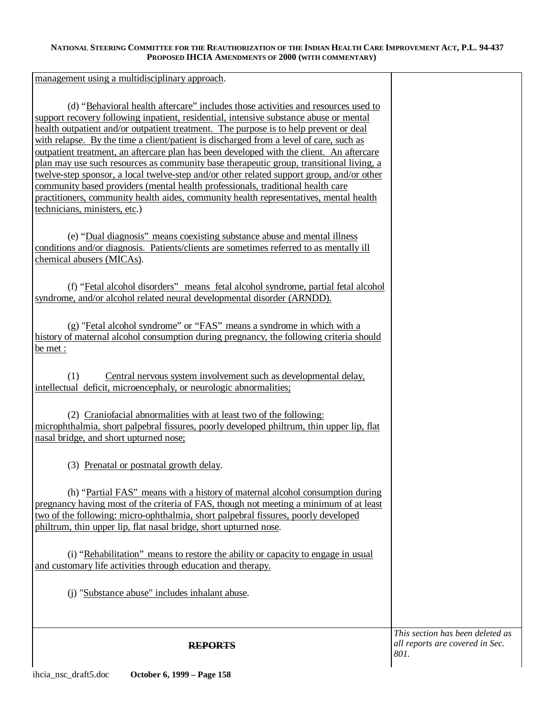management using a multidisciplinary approach.

(d) "Behavioral health aftercare" includes those activities and resources used to support recovery following inpatient, residential, intensive substance abuse or mental health outpatient and/or outpatient treatment. The purpose is to help prevent or deal with relapse. By the time a client/patient is discharged from a level of care, such as outpatient treatment, an aftercare plan has been developed with the client. An aftercare plan may use such resources as community base therapeutic group, transitional living, a twelve-step sponsor, a local twelve-step and/or other related support group, and/or other community based providers (mental health professionals, traditional health care practitioners, community health aides, community health representatives, mental health technicians, ministers, etc.)

(e) "Dual diagnosis" means coexisting substance abuse and mental illness conditions and/or diagnosis. Patients/clients are sometimes referred to as mentally ill chemical abusers (MICAs).

(f) "Fetal alcohol disorders" means fetal alcohol syndrome, partial fetal alcohol syndrome, and/or alcohol related neural developmental disorder (ARNDD).

(g) "Fetal alcohol syndrome" or "FAS" means a syndrome in which with a history of maternal alcohol consumption during pregnancy, the following criteria should be met :

(1) Central nervous system involvement such as developmental delay, intellectual deficit, microencephaly, or neurologic abnormalities;

(2) Craniofacial abnormalities with at least two of the following: microphthalmia, short palpebral fissures, poorly developed philtrum, thin upper lip, flat nasal bridge, and short upturned nose;

(3) Prenatal or postnatal growth delay.

(h) "Partial FAS" means with a history of maternal alcohol consumption during pregnancy having most of the criteria of FAS, though not meeting a minimum of at least two of the following: micro-ophthalmia, short palpebral fissures, poorly developed philtrum, thin upper lip, flat nasal bridge, short upturned nose.

(i) "Rehabilitation" means to restore the ability or capacity to engage in usual and customary life activities through education and therapy.

(j) "Substance abuse" includes inhalant abuse.

**REPORTS** 

*This section has been deleted as all reports are covered in Sec.* 

*801.*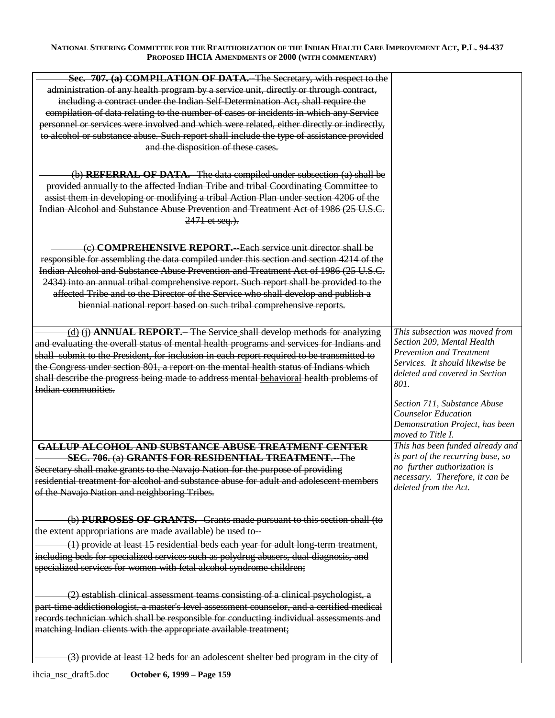| Sec. 707. (a) COMPILATION OF DATA.--The Secretary, with respect to the                     |                                   |
|--------------------------------------------------------------------------------------------|-----------------------------------|
|                                                                                            |                                   |
| administration of any health program by a service unit, directly or through contract,      |                                   |
| including a contract under the Indian Self-Determination Act, shall require the            |                                   |
| compilation of data relating to the number of cases or incidents in which any Service      |                                   |
| personnel or services were involved and which were related, either directly or indirectly, |                                   |
| to alcohol or substance abuse. Such report shall include the type of assistance provided   |                                   |
| and the disposition of these cases.                                                        |                                   |
|                                                                                            |                                   |
|                                                                                            |                                   |
| (b) REFERRAL OF DATA.--The data compiled under subsection (a) shall be                     |                                   |
| provided annually to the affected Indian Tribe and tribal Coordinating Committee to        |                                   |
| assist them in developing or modifying a tribal Action Plan under section 4206 of the      |                                   |
| Indian Alcohol and Substance Abuse Prevention and Treatment Act of 1986 (25 U.S.C.         |                                   |
|                                                                                            |                                   |
| 2471 et seq.).                                                                             |                                   |
|                                                                                            |                                   |
| (e) COMPREHENSIVE REPORT.--Each service unit director shall be                             |                                   |
| responsible for assembling the data compiled under this section and section 4214 of the    |                                   |
| Indian Alcohol and Substance Abuse Prevention and Treatment Act of 1986 (25 U.S.C.         |                                   |
|                                                                                            |                                   |
| 2434) into an annual tribal comprehensive report. Such report shall be provided to the     |                                   |
| affected Tribe and to the Director of the Service who shall develop and publish a          |                                   |
| biennial national report based on such tribal comprehensive reports.                       |                                   |
|                                                                                            |                                   |
| (d) (j) ANNUAL REPORT. The Service shall develop methods for analyzing                     | This subsection was moved from    |
| and evaluating the overall status of mental health programs and services for Indians and   | Section 209, Mental Health        |
| shall submit to the President, for inclusion in each report required to be transmitted to  | Prevention and Treatment          |
| the Congress under section 801, a report on the mental health status of Indians which      | Services. It should likewise be   |
|                                                                                            | deleted and covered in Section    |
| shall describe the progress being made to address mental behavioral health problems of     | 801.                              |
| Indian communities.                                                                        |                                   |
|                                                                                            |                                   |
|                                                                                            | Section 711, Substance Abuse      |
|                                                                                            | <b>Counselor Education</b>        |
|                                                                                            | Demonstration Project, has been   |
|                                                                                            | moved to Title I.                 |
| GALLUP ALCOHOL AND SUBSTANCE ABUSE TREATMENT CENTER                                        | This has been funded already and  |
|                                                                                            | is part of the recurring base, so |
| SEC. 706. (a) GRANTS FOR RESIDENTIAL TREATMENT. The                                        | no further authorization is       |
| Secretary shall make grants to the Navajo Nation for the purpose of providing              | necessary. Therefore, it can be   |
| residential treatment for alcohol and substance abuse for adult and adolescent members     | deleted from the Act.             |
| of the Navajo Nation and neighboring Tribes.                                               |                                   |
|                                                                                            |                                   |
| (b) PURPOSES OF GRANTS. Grants made pursuant to this section shall (to                     |                                   |
| the extent appropriations are made available) be used to-                                  |                                   |
|                                                                                            |                                   |
| (1) provide at least 15 residential beds each year for adult long-term treatment,          |                                   |
| including beds for specialized services such as polydrug abusers, dual diagnosis, and      |                                   |
| specialized services for women with fetal alcohol syndrome children;                       |                                   |
|                                                                                            |                                   |
| (2) establish clinical assessment teams consisting of a clinical psychologist, a           |                                   |
| part time addictionologist, a master's level assessment counselor, and a certified medical |                                   |
| records technician which shall be responsible for conducting individual assessments and    |                                   |
| matching Indian clients with the appropriate available treatment;                          |                                   |
|                                                                                            |                                   |
|                                                                                            |                                   |
| (3) provide at least 12 beds for an adolescent shelter bed program in the city of          |                                   |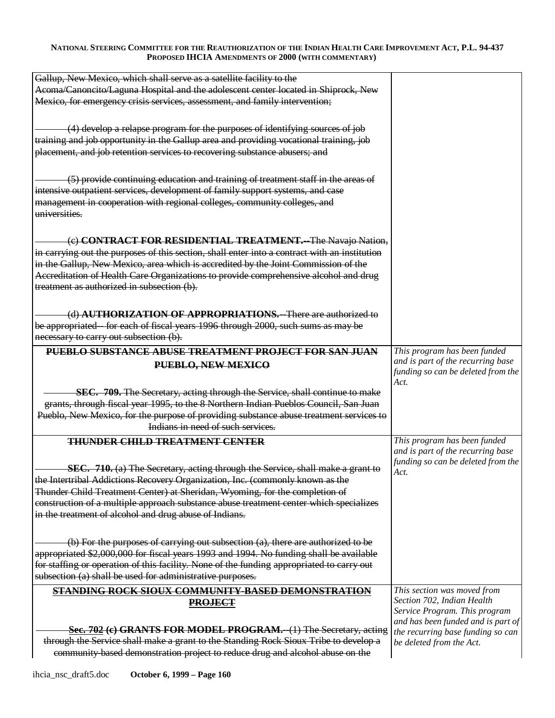| Gallup, New Mexico, which shall serve as a satellite facility to the                                                                                                  |                                    |
|-----------------------------------------------------------------------------------------------------------------------------------------------------------------------|------------------------------------|
| Acoma/Canoncito/Laguna Hospital and the adolescent center located in Shiprock, New                                                                                    |                                    |
| Mexico, for emergency crisis services, assessment, and family intervention;                                                                                           |                                    |
|                                                                                                                                                                       |                                    |
|                                                                                                                                                                       |                                    |
| (4) develop a relapse program for the purposes of identifying sources of job                                                                                          |                                    |
| training and job opportunity in the Gallup area and providing vocational training, job                                                                                |                                    |
| placement, and job retention services to recovering substance abusers; and                                                                                            |                                    |
|                                                                                                                                                                       |                                    |
| (5) provide continuing education and training of treatment staff in the areas of                                                                                      |                                    |
| intensive outpatient services, development of family support systems, and case                                                                                        |                                    |
| management in cooperation with regional colleges, community colleges, and                                                                                             |                                    |
| universities.                                                                                                                                                         |                                    |
|                                                                                                                                                                       |                                    |
| (c) CONTRACT FOR RESIDENTIAL TREATMENT.--The Navajo Nation,                                                                                                           |                                    |
| in carrying out the purposes of this section, shall enter into a contract with an institution                                                                         |                                    |
| in the Gallup, New Mexico, area which is accredited by the Joint Commission of the                                                                                    |                                    |
| Accreditation of Health Care Organizations to provide comprehensive alcohol and drug                                                                                  |                                    |
| treatment as authorized in subsection (b).                                                                                                                            |                                    |
|                                                                                                                                                                       |                                    |
|                                                                                                                                                                       |                                    |
| (d) <b>AUTHORIZATION OF APPROPRIATIONS.</b> -There are authorized to                                                                                                  |                                    |
| be appropriated—for each of fiscal years 1996 through 2000, such sums as may be                                                                                       |                                    |
| necessary to carry out subsection (b).                                                                                                                                |                                    |
| PUEBLO SUBSTANCE ABUSE TREATMENT PROJECT FOR SAN JUAN                                                                                                                 | This program has been funded       |
| PUEBLO, NEW MEXICO                                                                                                                                                    | and is part of the recurring base  |
|                                                                                                                                                                       | funding so can be deleted from the |
|                                                                                                                                                                       | Act.                               |
| <b>SEC. 709.</b> The Secretary, acting through the Service, shall continue to make                                                                                    |                                    |
| grants, through fiscal year 1995, to the 8 Northern Indian Pueblos Council, San Juan                                                                                  |                                    |
| Pueblo, New Mexico, for the purpose of providing substance abuse treatment services to                                                                                |                                    |
| Indians in need of such services.                                                                                                                                     |                                    |
| <b>THUNDER CHILD TREATMENT CENTER</b>                                                                                                                                 | This program has been funded       |
|                                                                                                                                                                       | and is part of the recurring base  |
| SEC. 710. (a) The Secretary, acting through the Service, shall make a grant to                                                                                        |                                    |
|                                                                                                                                                                       | funding so can be deleted from the |
|                                                                                                                                                                       | Act.                               |
| the Intertribal Addictions Recovery Organization, Inc. (commonly known as the                                                                                         |                                    |
| Thunder Child Treatment Center) at Sheridan, Wyoming, for the completion of                                                                                           |                                    |
| construction of a multiple approach substance abuse treatment center which specializes                                                                                |                                    |
| in the treatment of alcohol and drug abuse of Indians.                                                                                                                |                                    |
|                                                                                                                                                                       |                                    |
| $(b)$ For the purposes of carrying out subsection $(a)$ , there are authorized to be                                                                                  |                                    |
| appropriated \$2,000,000 for fiscal years 1993 and 1994. No funding shall be available                                                                                |                                    |
| for staffing or operation of this facility. None of the funding appropriated to carry out                                                                             |                                    |
| subsection (a) shall be used for administrative purposes.                                                                                                             |                                    |
| <b>STANDING ROCK SIOUX COMMUNITY-BASED DEMONSTRATION</b>                                                                                                              | This section was moved from        |
| <b>PROJECT</b>                                                                                                                                                        | Section 702, Indian Health         |
|                                                                                                                                                                       | Service Program. This program      |
|                                                                                                                                                                       | and has been funded and is part of |
| Sec. 702 (c) GRANTS FOR MODEL PROGRAM.--(1) The Secretary, acting                                                                                                     | the recurring base funding so can  |
| through the Service shall make a grant to the Standing Rock Sioux Tribe to develop a<br>community based demonstration project to reduce drug and alcohol abuse on the | be deleted from the Act.           |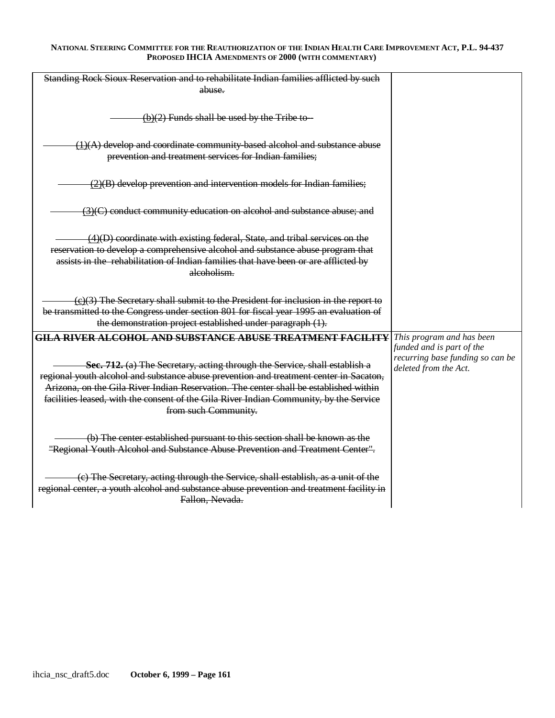| Standing Rock Sioux Reservation and to rehabilitate Indian families afflicted by such<br>abuse.                                                                                                                                                                                                                                                                                                                                                     |                                                                                                                     |
|-----------------------------------------------------------------------------------------------------------------------------------------------------------------------------------------------------------------------------------------------------------------------------------------------------------------------------------------------------------------------------------------------------------------------------------------------------|---------------------------------------------------------------------------------------------------------------------|
| $(b)(2)$ Funds shall be used by the Tribe to-                                                                                                                                                                                                                                                                                                                                                                                                       |                                                                                                                     |
| $(1)(A)$ develop and coordinate community based alcohol and substance abuse<br>prevention and treatment services for Indian families;                                                                                                                                                                                                                                                                                                               |                                                                                                                     |
| $(2)(B)$ develop prevention and intervention models for Indian families;                                                                                                                                                                                                                                                                                                                                                                            |                                                                                                                     |
| $\frac{3}{2}$ (3)(C) conduct community education on alcohol and substance abuse; and                                                                                                                                                                                                                                                                                                                                                                |                                                                                                                     |
| $\overline{(4)}$ (D) coordinate with existing federal, State, and tribal services on the<br>reservation to develop a comprehensive alcohol and substance abuse program that<br>assists in the rehabilitation of Indian families that have been or are afflicted by<br>alcoholism.                                                                                                                                                                   |                                                                                                                     |
| $(c)(3)$ The Secretary shall submit to the President for inclusion in the report to<br>be transmitted to the Congress under section 801 for fiscal year 1995 an evaluation of<br>the demonstration project established under paragraph (1).                                                                                                                                                                                                         |                                                                                                                     |
| <b>GILA RIVER ALCOHOL AND SUBSTANCE ABUSE TREATMENT FACILITY</b><br>Sec. 712. (a) The Secretary, acting through the Service, shall establish a<br>regional youth alcohol and substance abuse prevention and treatment center in Sacaton,<br>Arizona, on the Gila River Indian Reservation. The center shall be established within<br>facilities leased, with the consent of the Gila River Indian Community, by the Service<br>from such Community. | This program and has been<br>funded and is part of the<br>recurring base funding so can be<br>deleted from the Act. |
| (b) The center established pursuant to this section shall be known as the<br>"Regional Youth Alcohol and Substance Abuse Prevention and Treatment Center".                                                                                                                                                                                                                                                                                          |                                                                                                                     |
| (c) The Secretary, acting through the Service, shall establish, as a unit of the<br>regional center, a youth alcohol and substance abuse prevention and treatment facility in<br>Fallon, Nevada.                                                                                                                                                                                                                                                    |                                                                                                                     |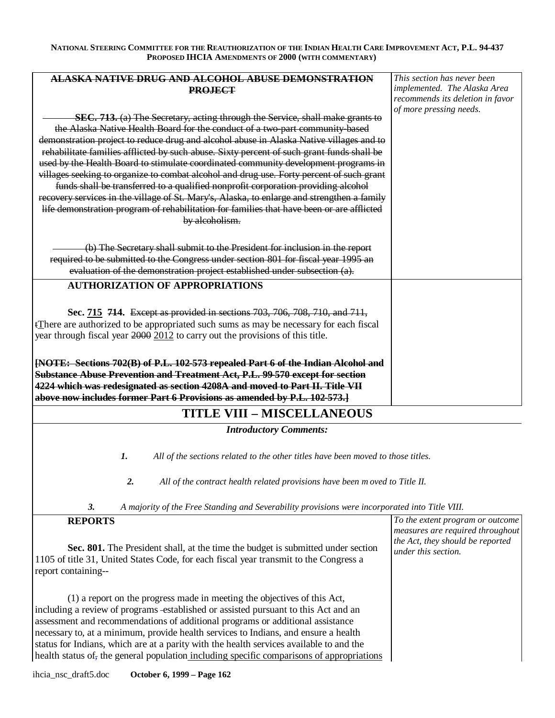| <u>ALASKA NATIVE DRUG AND ALCOHOL ABUSE DEMONSTRATION</u>                                  | This section has never been      |
|--------------------------------------------------------------------------------------------|----------------------------------|
| <b>PROJECT</b>                                                                             | implemented. The Alaska Area     |
|                                                                                            | recommends its deletion in favor |
| SEC. 713. (a) The Secretary, acting through the Service, shall make grants to              | of more pressing needs.          |
|                                                                                            |                                  |
| the Alaska Native Health Board for the conduct of a two-part community-based               |                                  |
| demonstration project to reduce drug and alcohol abuse in Alaska Native villages and to    |                                  |
| rehabilitate families afflicted by such abuse. Sixty percent of such grant funds shall be  |                                  |
| used by the Health Board to stimulate coordinated community development programs in        |                                  |
| villages seeking to organize to combat alcohol and drug use. Forty percent of such grant   |                                  |
| funds shall be transferred to a qualified nonprofit corporation providing alcohol          |                                  |
| recovery services in the village of St. Mary's, Alaska, to enlarge and strengthen a family |                                  |
| life demonstration program of rehabilitation for families that have been or are afflicted  |                                  |
| by alcoholism.                                                                             |                                  |
|                                                                                            |                                  |
| (b) The Secretary shall submit to the President for inclusion in the report                |                                  |
| required to be submitted to the Congress under section 801 for fiscal year 1995 an         |                                  |
| evaluation of the demonstration project established under subsection (a).                  |                                  |
| <b>AUTHORIZATION OF APPROPRIATIONS</b>                                                     |                                  |
|                                                                                            |                                  |
| Sec. 715 714. Except as provided in sections 703, 706, 708, 710, and 711,                  |                                  |
| tThere are authorized to be appropriated such sums as may be necessary for each fiscal     |                                  |
| year through fiscal year 2000 2012 to carry out the provisions of this title.              |                                  |
|                                                                                            |                                  |
| [NOTE: Sections 702(B) of P.L. 102-573 repealed Part 6 of the Indian Alcohol and           |                                  |
| Substance Abuse Prevention and Treatment Act, P.L. 99-570 except for section               |                                  |
| 4224 which was redesignated as section 4208A and moved to Part II. Title VII               |                                  |
| above now includes former Part 6 Provisions as amended by P.L. 102-573.]                   |                                  |
|                                                                                            |                                  |

# **TITLE VIII – MISCELLANEOUS**

*Introductory Comments:* 

*1. All of the sections related to the other titles have been moved to those titles.* 

*2. All of the contract health related provisions have been m oved to Title II.* 

*3. A majority of the Free Standing and Severability provisions were incorporated into Title VIII.* 

| <b>REPORTS</b>                                                                                                                                                                                                                                                                                                                                                                                                                                                                                                                  | To the extent program or outcome |
|---------------------------------------------------------------------------------------------------------------------------------------------------------------------------------------------------------------------------------------------------------------------------------------------------------------------------------------------------------------------------------------------------------------------------------------------------------------------------------------------------------------------------------|----------------------------------|
| Sec. 801. The President shall, at the time the budget is submitted under section                                                                                                                                                                                                                                                                                                                                                                                                                                                | measures are required throughout |
| 1105 of title 31, United States Code, for each fiscal year transmit to the Congress a                                                                                                                                                                                                                                                                                                                                                                                                                                           | the Act, they should be reported |
| report containing--                                                                                                                                                                                                                                                                                                                                                                                                                                                                                                             | under this section.              |
| (1) a report on the progress made in meeting the objectives of this Act,<br>including a review of programs -established or assisted pursuant to this Act and an<br>assessment and recommendations of additional programs or additional assistance<br>necessary to, at a minimum, provide health services to Indians, and ensure a health<br>status for Indians, which are at a parity with the health services available to and the<br>health status of the general population including specific comparisons of appropriations |                                  |

ihcia\_nsc\_draft5.doc **October 6, 1999 – Page 162**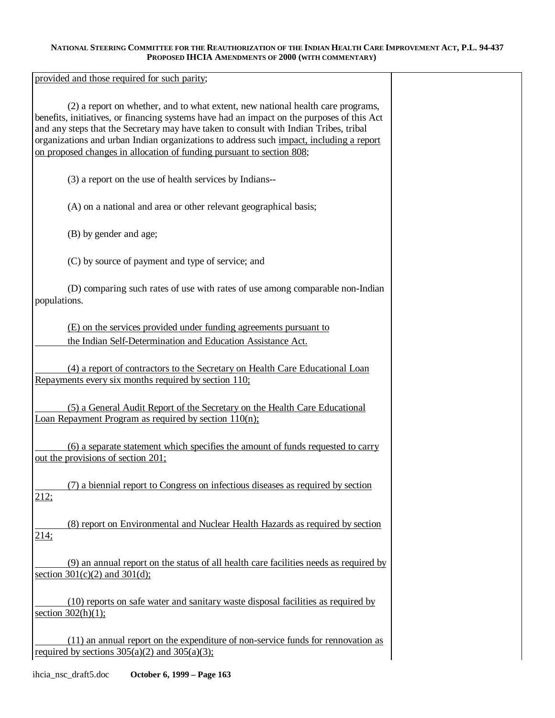provided and those required for such parity;

(2) a report on whether, and to what extent, new national health care programs, benefits, initiatives, or financing systems have had an impact on the purposes of this Act and any steps that the Secretary may have taken to consult with Indian Tribes, tribal organizations and urban Indian organizations to address such impact, including a report on proposed changes in allocation of funding pursuant to section 808;

(3) a report on the use of health services by Indians-

(A) on a national and area or other relevant geographical basis;

(B) by gender and age;

(C) by source of payment and type of service; and

(D) comparing such rates of use with rates of use among comparable non-Indian populations.

(E) on the services provided under funding agreements pursuant to the Indian Self-Determination and Education Assistance Act.

(4) a report of contractors to the Secretary on Health Care Educational Loan Repayments every six months required by section 110;

(5) a General Audit Report of the Secretary on the Health Care Educational Loan Repayment Program as required by section 110(n);

(6) a separate statement which specifies the amount of funds requested to carry out the provisions of section 201;

(7) a biennial report to Congress on infectious diseases as required by section 212;

(8) report on Environmental and Nuclear Health Hazards as required by section 214;

(9) an annual report on the status of all health care facilities needs as required by section  $301(c)(2)$  and  $301(d)$ ;

(10) reports on safe water and sanitary waste disposal facilities as required by section  $302(h)(1)$ ;

(11) an annual report on the expenditure of non-service funds for rennovation as required by sections  $305(a)(2)$  and  $305(a)(3)$ ;

ihcia\_nsc\_draft5.doc **October 6, 1999 – Page 163**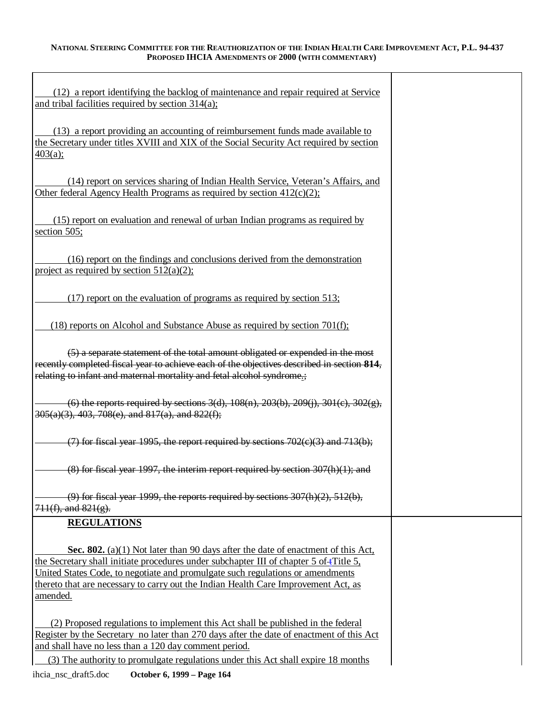| (12) a report identifying the backlog of maintenance and repair required at Service<br>and tribal facilities required by section 314(a);                                                                                                                                                                                                                              |  |
|-----------------------------------------------------------------------------------------------------------------------------------------------------------------------------------------------------------------------------------------------------------------------------------------------------------------------------------------------------------------------|--|
| (13) a report providing an accounting of reimbursement funds made available to<br>the Secretary under titles XVIII and XIX of the Social Security Act required by section<br>403(a);                                                                                                                                                                                  |  |
| (14) report on services sharing of Indian Health Service, Veteran's Affairs, and<br>Other federal Agency Health Programs as required by section $412(c)(2)$ ;                                                                                                                                                                                                         |  |
| (15) report on evaluation and renewal of urban Indian programs as required by<br>section 505;                                                                                                                                                                                                                                                                         |  |
| (16) report on the findings and conclusions derived from the demonstration<br>project as required by section $512(a)(2)$ ;                                                                                                                                                                                                                                            |  |
| $(17)$ report on the evaluation of programs as required by section 513;                                                                                                                                                                                                                                                                                               |  |
| $(18)$ reports on Alcohol and Substance Abuse as required by section 701(f);                                                                                                                                                                                                                                                                                          |  |
| (5) a separate statement of the total amount obligated or expended in the most<br>recently completed fiscal year to achieve each of the objectives described in section 814,<br>relating to infant and maternal mortality and fetal alcohol syndrome.;                                                                                                                |  |
| (6) the reports required by sections $3(d)$ , $108(n)$ , $203(b)$ , $209(i)$ , $301(c)$ , $302(g)$ ,<br>305(a)(3), 403, 708(e), and 817(a), and 822(f);                                                                                                                                                                                                               |  |
| $(7)$ for fiscal year 1995, the report required by sections 702(e)(3) and 713(b);                                                                                                                                                                                                                                                                                     |  |
| $(8)$ for fiscal year 1997, the interim report required by section $307(h)(1)$ ; and                                                                                                                                                                                                                                                                                  |  |
| $(9)$ for fiscal year 1999, the reports required by sections $307(h)(2)$ , $512(b)$ ,<br>$711(f)$ , and $821(g)$ .                                                                                                                                                                                                                                                    |  |
| <b>REGULATIONS</b>                                                                                                                                                                                                                                                                                                                                                    |  |
| <b>Sec. 802.</b> (a)(1) Not later than 90 days after the date of enactment of this Act,<br>the Secretary shall initiate procedures under subchapter III of chapter 5 of tTitle 5,<br>United States Code, to negotiate and promulgate such regulations or amendments<br>thereto that are necessary to carry out the Indian Health Care Improvement Act, as<br>amended. |  |
| (2) Proposed regulations to implement this Act shall be published in the federal<br>Register by the Secretary no later than 270 days after the date of enactment of this Act<br>and shall have no less than a 120 day comment period.<br>(3) The authority to promulgate regulations under this Act shall expire 18 months                                            |  |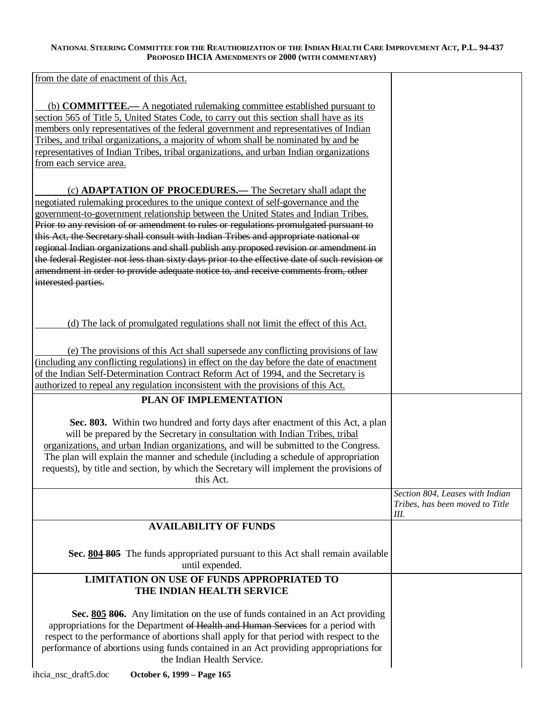from the date of enactment of this Act.

| (b) <b>COMMITTEE.</b> A negotiated rulemaking committee established pursuant to<br>section 565 of Title 5, United States Code, to carry out this section shall have as its<br>members only representatives of the federal government and representatives of Indian<br>Tribes, and tribal organizations, a majority of whom shall be nominated by and be                                                                                                                                                                                                                                                                                                                                                                         |                                                                          |
|---------------------------------------------------------------------------------------------------------------------------------------------------------------------------------------------------------------------------------------------------------------------------------------------------------------------------------------------------------------------------------------------------------------------------------------------------------------------------------------------------------------------------------------------------------------------------------------------------------------------------------------------------------------------------------------------------------------------------------|--------------------------------------------------------------------------|
| representatives of Indian Tribes, tribal organizations, and urban Indian organizations<br>from each service area.                                                                                                                                                                                                                                                                                                                                                                                                                                                                                                                                                                                                               |                                                                          |
| (c) ADAPTATION OF PROCEDURES.— The Secretary shall adapt the<br>negotiated rulemaking procedures to the unique context of self-governance and the<br>government-to-government relationship between the United States and Indian Tribes.<br>Prior to any revision of or amendment to rules or regulations promulgated pursuant to<br>this Act, the Secretary shall consult with Indian Tribes and appropriate national or<br>regional Indian organizations and shall publish any proposed revision or amendment in<br>the federal Register not less than sixty days prior to the effective date of such revision or<br>amendment in order to provide adequate notice to, and receive comments from, other<br>interested parties. |                                                                          |
| (d) The lack of promulgated regulations shall not limit the effect of this Act.                                                                                                                                                                                                                                                                                                                                                                                                                                                                                                                                                                                                                                                 |                                                                          |
| (e) The provisions of this Act shall supersede any conflicting provisions of law<br>(including any conflicting regulations) in effect on the day before the date of enactment<br>of the Indian Self-Determination Contract Reform Act of 1994, and the Secretary is<br>authorized to repeal any regulation inconsistent with the provisions of this Act.                                                                                                                                                                                                                                                                                                                                                                        |                                                                          |
| PLAN OF IMPLEMENTATION                                                                                                                                                                                                                                                                                                                                                                                                                                                                                                                                                                                                                                                                                                          |                                                                          |
|                                                                                                                                                                                                                                                                                                                                                                                                                                                                                                                                                                                                                                                                                                                                 |                                                                          |
| Sec. 803. Within two hundred and forty days after enactment of this Act, a plan<br>will be prepared by the Secretary in consultation with Indian Tribes, tribal<br>organizations, and urban Indian organizations, and will be submitted to the Congress.<br>The plan will explain the manner and schedule (including a schedule of appropriation<br>requests), by title and section, by which the Secretary will implement the provisions of<br>this Act.                                                                                                                                                                                                                                                                       |                                                                          |
|                                                                                                                                                                                                                                                                                                                                                                                                                                                                                                                                                                                                                                                                                                                                 | Section 804, Leases with Indian<br>Tribes, has been moved to Title<br>Ш. |
| <b>AVAILABILITY OF FUNDS</b>                                                                                                                                                                                                                                                                                                                                                                                                                                                                                                                                                                                                                                                                                                    |                                                                          |
|                                                                                                                                                                                                                                                                                                                                                                                                                                                                                                                                                                                                                                                                                                                                 |                                                                          |
| Sec. 804 805 The funds appropriated pursuant to this Act shall remain available<br>until expended.                                                                                                                                                                                                                                                                                                                                                                                                                                                                                                                                                                                                                              |                                                                          |
| LIMITATION ON USE OF FUNDS APPROPRIATED TO<br>THE INDIAN HEALTH SERVICE                                                                                                                                                                                                                                                                                                                                                                                                                                                                                                                                                                                                                                                         |                                                                          |
| Sec. 805 806. Any limitation on the use of funds contained in an Act providing<br>appropriations for the Department of Health and Human Services for a period with<br>respect to the performance of abortions shall apply for that period with respect to the<br>performance of abortions using funds contained in an Act providing appropriations for<br>the Indian Health Service.                                                                                                                                                                                                                                                                                                                                            |                                                                          |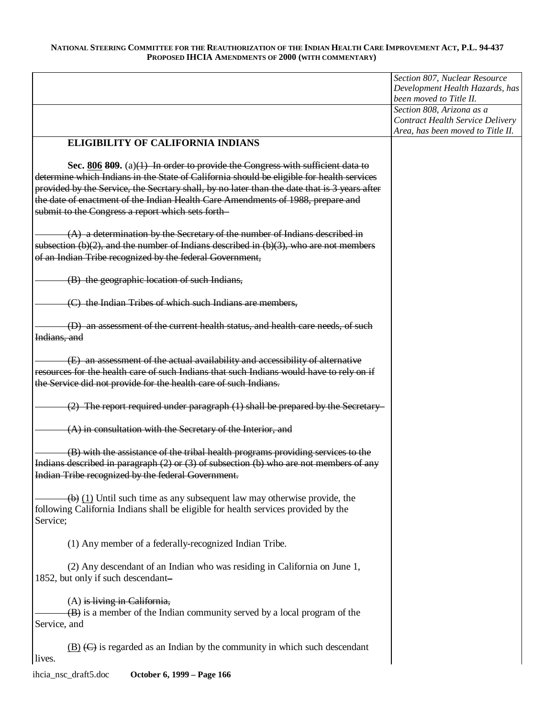|                                                                                                                                                                                                                                               | Section 807, Nuclear Resource<br>Development Health Hazards, has<br>been moved to Title II.               |
|-----------------------------------------------------------------------------------------------------------------------------------------------------------------------------------------------------------------------------------------------|-----------------------------------------------------------------------------------------------------------|
|                                                                                                                                                                                                                                               | Section 808, Arizona as a<br><b>Contract Health Service Delivery</b><br>Area, has been moved to Title II. |
| <b>ELIGIBILITY OF CALIFORNIA INDIANS</b>                                                                                                                                                                                                      |                                                                                                           |
| Sec. $806$ 809. (a)(1) In order to provide the Congress with sufficient data to<br>determine which Indians in the State of California should be eligible for health services                                                                  |                                                                                                           |
| provided by the Service, the Secrtary shall, by no later than the date that is 3 years after<br>the date of enactment of the Indian Health Care Amendments of 1988, prepare and                                                               |                                                                                                           |
| submit to the Congress a report which sets forth-                                                                                                                                                                                             |                                                                                                           |
| $(A)$ a determination by the Secretary of the number of Indians described in<br>subsection $(b)(2)$ , and the number of Indians described in $(b)(3)$ , who are not members<br>of an Indian Tribe recognized by the federal Government,       |                                                                                                           |
|                                                                                                                                                                                                                                               |                                                                                                           |
| (B) the geographic location of such Indians,                                                                                                                                                                                                  |                                                                                                           |
| (C) the Indian Tribes of which such Indians are members,                                                                                                                                                                                      |                                                                                                           |
| (D) an assessment of the current health status, and health care needs, of such<br>Indians, and                                                                                                                                                |                                                                                                           |
| (E) an assessment of the actual availability and accessibility of alternative<br>resources for the health care of such Indians that such Indians would have to rely on if<br>the Service did not provide for the health care of such Indians. |                                                                                                           |
| (2) The report required under paragraph (1) shall be prepared by the Secretary-                                                                                                                                                               |                                                                                                           |
| $(A)$ in consultation with the Secretary of the Interior, and                                                                                                                                                                                 |                                                                                                           |
| (B) with the assistance of the tribal health programs providing services to the<br>Indians described in paragraph $(2)$ or $(3)$ of subsection (b) who are not members of any<br>Indian Tribe recognized by the federal Government.           |                                                                                                           |
| $\overline{(b)}$ (1) Until such time as any subsequent law may otherwise provide, the<br>following California Indians shall be eligible for health services provided by the<br>Service;                                                       |                                                                                                           |
| (1) Any member of a federally-recognized Indian Tribe.                                                                                                                                                                                        |                                                                                                           |
| (2) Any descendant of an Indian who was residing in California on June 1,<br>1852, but only if such descendant-                                                                                                                               |                                                                                                           |
| $(A)$ is living in California,<br>$\overline{AB}$ is a member of the Indian community served by a local program of the<br>Service, and                                                                                                        |                                                                                                           |
| $\underline{(B)}$ $\overline{(C)}$ is regarded as an Indian by the community in which such descendant<br>lives.                                                                                                                               |                                                                                                           |
| ihcia_nsc_draft5.doc<br>October 6, 1999 - Page 166                                                                                                                                                                                            |                                                                                                           |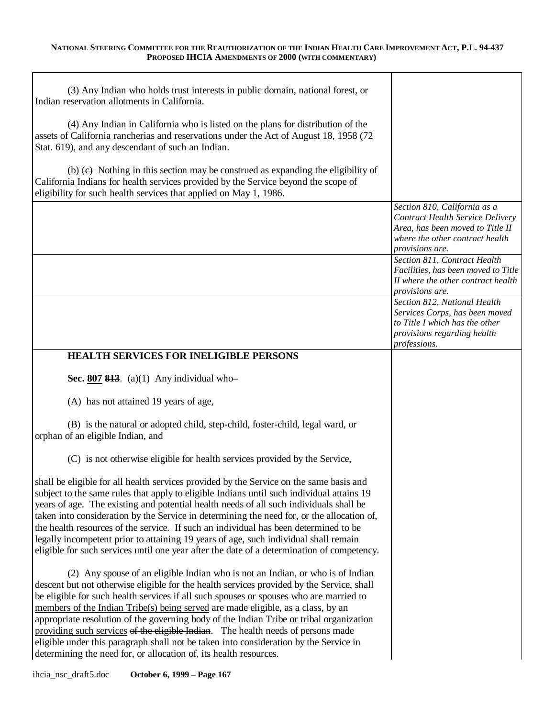| (3) Any Indian who holds trust interests in public domain, national forest, or<br>Indian reservation allotments in California.                                                                                                                                                                                                                                                                                                                                                                                                                                                                                                                                                                         |                                                                                                                                                                   |
|--------------------------------------------------------------------------------------------------------------------------------------------------------------------------------------------------------------------------------------------------------------------------------------------------------------------------------------------------------------------------------------------------------------------------------------------------------------------------------------------------------------------------------------------------------------------------------------------------------------------------------------------------------------------------------------------------------|-------------------------------------------------------------------------------------------------------------------------------------------------------------------|
| (4) Any Indian in California who is listed on the plans for distribution of the<br>assets of California rancherias and reservations under the Act of August 18, 1958 (72<br>Stat. 619), and any descendant of such an Indian.                                                                                                                                                                                                                                                                                                                                                                                                                                                                          |                                                                                                                                                                   |
| (b) $(e)$ Nothing in this section may be construed as expanding the eligibility of<br>California Indians for health services provided by the Service beyond the scope of<br>eligibility for such health services that applied on May 1, 1986.                                                                                                                                                                                                                                                                                                                                                                                                                                                          |                                                                                                                                                                   |
|                                                                                                                                                                                                                                                                                                                                                                                                                                                                                                                                                                                                                                                                                                        | Section 810, California as a<br><b>Contract Health Service Delivery</b><br>Area, has been moved to Title II<br>where the other contract health<br>provisions are. |
|                                                                                                                                                                                                                                                                                                                                                                                                                                                                                                                                                                                                                                                                                                        | Section 811, Contract Health<br>Facilities, has been moved to Title<br>II where the other contract health<br>provisions are.                                      |
|                                                                                                                                                                                                                                                                                                                                                                                                                                                                                                                                                                                                                                                                                                        | Section 812, National Health<br>Services Corps, has been moved<br>to Title I which has the other<br>provisions regarding health<br>professions.                   |
| <b>HEALTH SERVICES FOR INELIGIBLE PERSONS</b>                                                                                                                                                                                                                                                                                                                                                                                                                                                                                                                                                                                                                                                          |                                                                                                                                                                   |
| Sec. $807$ 813. (a)(1) Any individual who-                                                                                                                                                                                                                                                                                                                                                                                                                                                                                                                                                                                                                                                             |                                                                                                                                                                   |
| (A) has not attained 19 years of age,                                                                                                                                                                                                                                                                                                                                                                                                                                                                                                                                                                                                                                                                  |                                                                                                                                                                   |
| (B) is the natural or adopted child, step-child, foster-child, legal ward, or<br>orphan of an eligible Indian, and                                                                                                                                                                                                                                                                                                                                                                                                                                                                                                                                                                                     |                                                                                                                                                                   |
| (C) is not otherwise eligible for health services provided by the Service,                                                                                                                                                                                                                                                                                                                                                                                                                                                                                                                                                                                                                             |                                                                                                                                                                   |
| shall be eligible for all health services provided by the Service on the same basis and<br>subject to the same rules that apply to eligible Indians until such individual attains 19<br>years of age. The existing and potential health needs of all such individuals shall be<br>taken into consideration by the Service in determining the need for, or the allocation of,<br>the health resources of the service. If such an individual has been determined to be<br>legally incompetent prior to attaining 19 years of age, such individual shall remain<br>eligible for such services until one year after the date of a determination of competency.                                             |                                                                                                                                                                   |
| (2) Any spouse of an eligible Indian who is not an Indian, or who is of Indian<br>descent but not otherwise eligible for the health services provided by the Service, shall<br>be eligible for such health services if all such spouses or spouses who are married to<br>members of the Indian Tribe(s) being served are made eligible, as a class, by an<br>appropriate resolution of the governing body of the Indian Tribe or tribal organization<br>providing such services of the eligible Indian. The health needs of persons made<br>eligible under this paragraph shall not be taken into consideration by the Service in<br>determining the need for, or allocation of, its health resources. |                                                                                                                                                                   |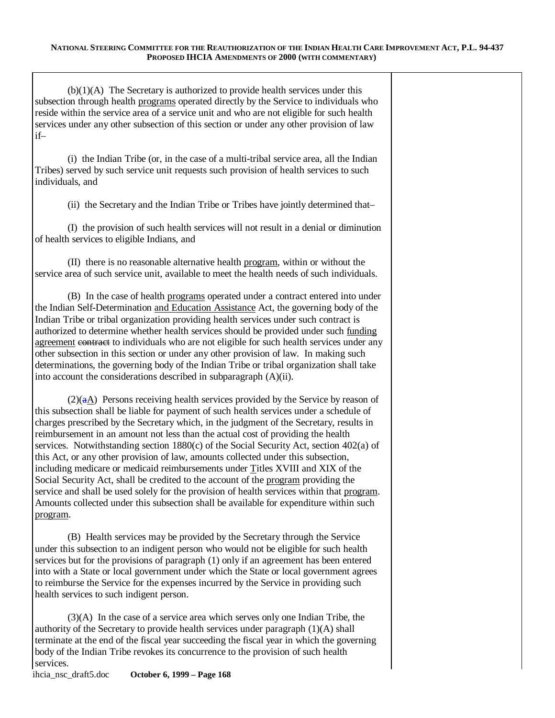| $(b)(1)(A)$ The Secretary is authorized to provide health services under this<br>subsection through health programs operated directly by the Service to individuals who<br>reside within the service area of a service unit and who are not eligible for such health<br>services under any other subsection of this section or under any other provision of law<br>$if-$                                                                                                                                                                                                                                                                                                                                                                                                                                                                                                                                                    |
|-----------------------------------------------------------------------------------------------------------------------------------------------------------------------------------------------------------------------------------------------------------------------------------------------------------------------------------------------------------------------------------------------------------------------------------------------------------------------------------------------------------------------------------------------------------------------------------------------------------------------------------------------------------------------------------------------------------------------------------------------------------------------------------------------------------------------------------------------------------------------------------------------------------------------------|
| (i) the Indian Tribe (or, in the case of a multi-tribal service area, all the Indian<br>Tribes) served by such service unit requests such provision of health services to such<br>individuals, and                                                                                                                                                                                                                                                                                                                                                                                                                                                                                                                                                                                                                                                                                                                          |
| (ii) the Secretary and the Indian Tribe or Tribes have jointly determined that-                                                                                                                                                                                                                                                                                                                                                                                                                                                                                                                                                                                                                                                                                                                                                                                                                                             |
| (I) the provision of such health services will not result in a denial or diminution<br>of health services to eligible Indians, and                                                                                                                                                                                                                                                                                                                                                                                                                                                                                                                                                                                                                                                                                                                                                                                          |
| (II) there is no reasonable alternative health program, within or without the<br>service area of such service unit, available to meet the health needs of such individuals.                                                                                                                                                                                                                                                                                                                                                                                                                                                                                                                                                                                                                                                                                                                                                 |
| (B) In the case of health programs operated under a contract entered into under<br>the Indian Self-Determination and Education Assistance Act, the governing body of the<br>Indian Tribe or tribal organization providing health services under such contract is<br>authorized to determine whether health services should be provided under such funding<br>agreement contract to individuals who are not eligible for such health services under any<br>other subsection in this section or under any other provision of law. In making such<br>determinations, the governing body of the Indian Tribe or tribal organization shall take<br>into account the considerations described in subparagraph (A)(ii).                                                                                                                                                                                                            |
| $(2)(aA)$ Persons receiving health services provided by the Service by reason of<br>this subsection shall be liable for payment of such health services under a schedule of<br>charges prescribed by the Secretary which, in the judgment of the Secretary, results in<br>reimbursement in an amount not less than the actual cost of providing the health<br>services. Notwithstanding section $1880(c)$ of the Social Security Act, section $402(a)$ of<br>this Act, or any other provision of law, amounts collected under this subsection,<br>including medicare or medicaid reimbursements under Titles XVIII and XIX of the<br>Social Security Act, shall be credited to the account of the program providing the<br>service and shall be used solely for the provision of health services within that program.<br>Amounts collected under this subsection shall be available for expenditure within such<br>program. |
| (B) Health services may be provided by the Secretary through the Service<br>under this subsection to an indigent person who would not be eligible for such health<br>services but for the provisions of paragraph (1) only if an agreement has been entered<br>into with a State or local government under which the State or local government agrees<br>to reimburse the Service for the expenses incurred by the Service in providing such<br>health services to such indigent person.                                                                                                                                                                                                                                                                                                                                                                                                                                    |
| $(3)(A)$ In the case of a service area which serves only one Indian Tribe, the<br>authority of the Secretary to provide health services under paragraph (1)(A) shall                                                                                                                                                                                                                                                                                                                                                                                                                                                                                                                                                                                                                                                                                                                                                        |

terminate at the end of the fiscal year succeeding the fiscal year in which the governing body of the Indian Tribe revokes its concurrence to the provision of such health

services.<br>ihcia\_nsc\_draft5.doc October 6, 1999 – Page 168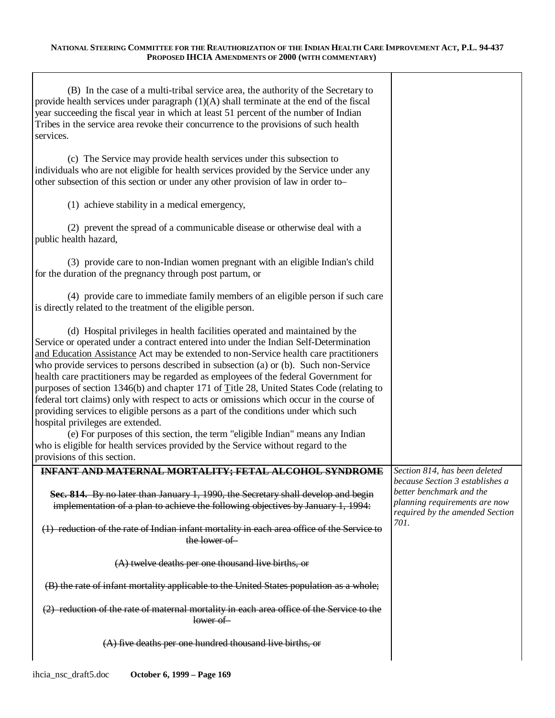| (B) In the case of a multi-tribal service area, the authority of the Secretary to<br>provide health services under paragraph $(1)(A)$ shall terminate at the end of the fiscal<br>year succeeding the fiscal year in which at least 51 percent of the number of Indian<br>Tribes in the service area revoke their concurrence to the provisions of such health<br>services.                                                                                                                                                                                                                                                                                                                                                                                                                                                                                                                                                                                            |                                                                                                                               |
|------------------------------------------------------------------------------------------------------------------------------------------------------------------------------------------------------------------------------------------------------------------------------------------------------------------------------------------------------------------------------------------------------------------------------------------------------------------------------------------------------------------------------------------------------------------------------------------------------------------------------------------------------------------------------------------------------------------------------------------------------------------------------------------------------------------------------------------------------------------------------------------------------------------------------------------------------------------------|-------------------------------------------------------------------------------------------------------------------------------|
| (c) The Service may provide health services under this subsection to<br>individuals who are not eligible for health services provided by the Service under any<br>other subsection of this section or under any other provision of law in order to-                                                                                                                                                                                                                                                                                                                                                                                                                                                                                                                                                                                                                                                                                                                    |                                                                                                                               |
| (1) achieve stability in a medical emergency,                                                                                                                                                                                                                                                                                                                                                                                                                                                                                                                                                                                                                                                                                                                                                                                                                                                                                                                          |                                                                                                                               |
| (2) prevent the spread of a communicable disease or otherwise deal with a<br>public health hazard,                                                                                                                                                                                                                                                                                                                                                                                                                                                                                                                                                                                                                                                                                                                                                                                                                                                                     |                                                                                                                               |
| (3) provide care to non-Indian women pregnant with an eligible Indian's child<br>for the duration of the pregnancy through post partum, or                                                                                                                                                                                                                                                                                                                                                                                                                                                                                                                                                                                                                                                                                                                                                                                                                             |                                                                                                                               |
| (4) provide care to immediate family members of an eligible person if such care<br>is directly related to the treatment of the eligible person.                                                                                                                                                                                                                                                                                                                                                                                                                                                                                                                                                                                                                                                                                                                                                                                                                        |                                                                                                                               |
| (d) Hospital privileges in health facilities operated and maintained by the<br>Service or operated under a contract entered into under the Indian Self-Determination<br>and Education Assistance Act may be extended to non-Service health care practitioners<br>who provide services to persons described in subsection (a) or (b). Such non-Service<br>health care practitioners may be regarded as employees of the federal Government for<br>purposes of section 1346(b) and chapter 171 of Title 28, United States Code (relating to<br>federal tort claims) only with respect to acts or omissions which occur in the course of<br>providing services to eligible persons as a part of the conditions under which such<br>hospital privileges are extended.<br>(e) For purposes of this section, the term "eligible Indian" means any Indian<br>who is eligible for health services provided by the Service without regard to the<br>provisions of this section. |                                                                                                                               |
| INFANT AND MATERNAL MORTALITY; FETAL ALCOHOL SYNDROME<br>Sec. 814. By no later than January 1, 1990, the Secretary shall develop and begin<br>implementation of a plan to achieve the following objectives by January 1, 1994:                                                                                                                                                                                                                                                                                                                                                                                                                                                                                                                                                                                                                                                                                                                                         | Section 814, has been deleted<br>because Section 3 establishes a<br>better benchmark and the<br>planning requirements are now |
| (1) reduction of the rate of Indian infant mortality in each area office of the Service to<br>the lower of                                                                                                                                                                                                                                                                                                                                                                                                                                                                                                                                                                                                                                                                                                                                                                                                                                                             | required by the amended Section<br>701.                                                                                       |
| (A) twelve deaths per one thousand live births, or                                                                                                                                                                                                                                                                                                                                                                                                                                                                                                                                                                                                                                                                                                                                                                                                                                                                                                                     |                                                                                                                               |
| (B) the rate of infant mortality applicable to the United States population as a whole;                                                                                                                                                                                                                                                                                                                                                                                                                                                                                                                                                                                                                                                                                                                                                                                                                                                                                |                                                                                                                               |
| (2) reduction of the rate of maternal mortality in each area office of the Service to the<br>lower of                                                                                                                                                                                                                                                                                                                                                                                                                                                                                                                                                                                                                                                                                                                                                                                                                                                                  |                                                                                                                               |
| $(A)$ five deaths per one hundred thousand live births, or                                                                                                                                                                                                                                                                                                                                                                                                                                                                                                                                                                                                                                                                                                                                                                                                                                                                                                             |                                                                                                                               |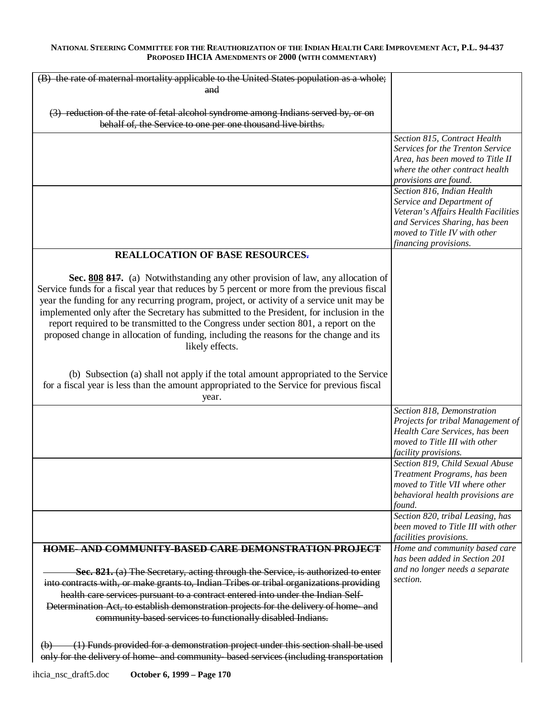| (B) the rate of maternal mortality applicable to the United States population as a whole;   |                                                                        |
|---------------------------------------------------------------------------------------------|------------------------------------------------------------------------|
| and                                                                                         |                                                                        |
|                                                                                             |                                                                        |
| (3) reduction of the rate of fetal alcohol syndrome among Indians served by, or on          |                                                                        |
| behalf of, the Service to one per one thousand live births.                                 |                                                                        |
|                                                                                             | Section 815, Contract Health                                           |
|                                                                                             | Services for the Trenton Service                                       |
|                                                                                             | Area, has been moved to Title II                                       |
|                                                                                             | where the other contract health                                        |
|                                                                                             | provisions are found.                                                  |
|                                                                                             | Section 816, Indian Health                                             |
|                                                                                             | Service and Department of<br>Veteran's Affairs Health Facilities       |
|                                                                                             | and Services Sharing, has been                                         |
|                                                                                             | moved to Title IV with other                                           |
|                                                                                             | financing provisions.                                                  |
| <b>REALLOCATION OF BASE RESOURCES.</b>                                                      |                                                                        |
|                                                                                             |                                                                        |
| Sec. 808 817. (a) Notwithstanding any other provision of law, any allocation of             |                                                                        |
| Service funds for a fiscal year that reduces by 5 percent or more from the previous fiscal  |                                                                        |
| year the funding for any recurring program, project, or activity of a service unit may be   |                                                                        |
| implemented only after the Secretary has submitted to the President, for inclusion in the   |                                                                        |
| report required to be transmitted to the Congress under section 801, a report on the        |                                                                        |
| proposed change in allocation of funding, including the reasons for the change and its      |                                                                        |
| likely effects.                                                                             |                                                                        |
|                                                                                             |                                                                        |
|                                                                                             |                                                                        |
| (b) Subsection (a) shall not apply if the total amount appropriated to the Service          |                                                                        |
| for a fiscal year is less than the amount appropriated to the Service for previous fiscal   |                                                                        |
| year.                                                                                       |                                                                        |
|                                                                                             | Section 818, Demonstration<br>Projects for tribal Management of        |
|                                                                                             | Health Care Services, has been                                         |
|                                                                                             | moved to Title III with other                                          |
|                                                                                             | facility provisions.                                                   |
|                                                                                             | Section 819, Child Sexual Abuse                                        |
|                                                                                             | Treatment Programs, has been                                           |
|                                                                                             | moved to Title VII where other                                         |
|                                                                                             | behavioral health provisions are                                       |
|                                                                                             | found.                                                                 |
|                                                                                             | Section 820, tribal Leasing, has<br>been moved to Title III with other |
|                                                                                             | facilities provisions.                                                 |
| <b>HOME-AND COMMUNITY-BASED CARE DEMONSTRATION PROJECT</b>                                  | Home and community based care                                          |
|                                                                                             | has been added in Section 201                                          |
| Sec. 821. (a) The Secretary, acting through the Service, is authorized to enter             | and no longer needs a separate                                         |
| into contracts with, or make grants to, Indian Tribes or tribal organizations providing     | section.                                                               |
| health care services pursuant to a contract entered into under the Indian Self-             |                                                                        |
| Determination Act, to establish demonstration projects for the delivery of home-and         |                                                                        |
| community based services to functionally disabled Indians.                                  |                                                                        |
|                                                                                             |                                                                        |
|                                                                                             |                                                                        |
| (1) Funds provided for a demonstration project under this section shall be used<br>$\Theta$ |                                                                        |
| only for the delivery of home and community based services (including transportation        |                                                                        |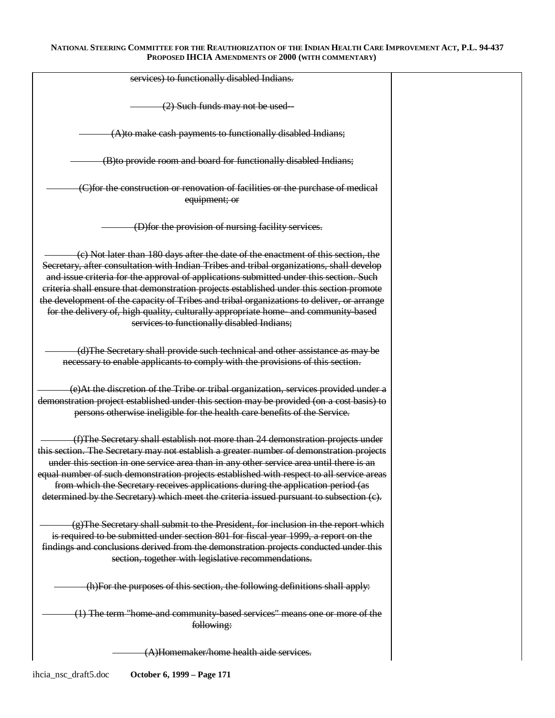| services) to functionally disabled Indians.                                                                                                                                                                                                                                                                                                                                                                                                                                                                                                                                                          |  |
|------------------------------------------------------------------------------------------------------------------------------------------------------------------------------------------------------------------------------------------------------------------------------------------------------------------------------------------------------------------------------------------------------------------------------------------------------------------------------------------------------------------------------------------------------------------------------------------------------|--|
| (2) Such funds may not be used-                                                                                                                                                                                                                                                                                                                                                                                                                                                                                                                                                                      |  |
| (A) to make cash payments to functionally disabled Indians;                                                                                                                                                                                                                                                                                                                                                                                                                                                                                                                                          |  |
| (B) to provide room and board for functionally disabled Indians;                                                                                                                                                                                                                                                                                                                                                                                                                                                                                                                                     |  |
| (C)for the construction or renovation of facilities or the purchase of medical<br>equipment; or                                                                                                                                                                                                                                                                                                                                                                                                                                                                                                      |  |
| (D) for the provision of nursing facility services.                                                                                                                                                                                                                                                                                                                                                                                                                                                                                                                                                  |  |
| (c) Not later than 180 days after the date of the enactment of this section, the<br>Secretary, after consultation with Indian Tribes and tribal organizations, shall develop<br>and issue criteria for the approval of applications submitted under this section. Such<br>criteria shall ensure that demonstration projects established under this section promote<br>the development of the capacity of Tribes and tribal organizations to deliver, or arrange<br>for the delivery of, high quality, culturally appropriate home- and community based<br>services to functionally disabled Indians; |  |
| (d)The Secretary shall provide such technical and other assistance as may be<br>necessary to enable applicants to comply with the provisions of this section.                                                                                                                                                                                                                                                                                                                                                                                                                                        |  |
| (e)At the discretion of the Tribe or tribal organization, services provided under a<br>demonstration project established under this section may be provided (on a cost basis) to<br>persons otherwise ineligible for the health care benefits of the Service.                                                                                                                                                                                                                                                                                                                                        |  |
| (f)The Secretary shall establish not more than 24 demonstration projects under<br>this section. The Secretary may not establish a greater number of demonstration projects<br>under this section in one service area than in any other service area until there is an<br>equal number of such demonstration projects established with respect to all service areas<br>from which the Secretary receives applications during the application period (as<br>determined by the Secretary) which meet the criteria issued pursuant to subsection (e).                                                    |  |
| $(g)$ The Secretary shall submit to the President, for inclusion in the report which<br>is required to be submitted under section 801 for fiscal year 1999, a report on the<br>findings and conclusions derived from the demonstration projects conducted under this<br>section, together with legislative recommendations.                                                                                                                                                                                                                                                                          |  |
| (h)For the purposes of this section, the following definitions shall apply:                                                                                                                                                                                                                                                                                                                                                                                                                                                                                                                          |  |
| (1) The term "home-and community-based services" means one or more of the<br>following:                                                                                                                                                                                                                                                                                                                                                                                                                                                                                                              |  |
| (A)Homemaker/home health aide services.                                                                                                                                                                                                                                                                                                                                                                                                                                                                                                                                                              |  |

ihcia\_nsc\_draft5.doc **October 6, 1999 – Page 171**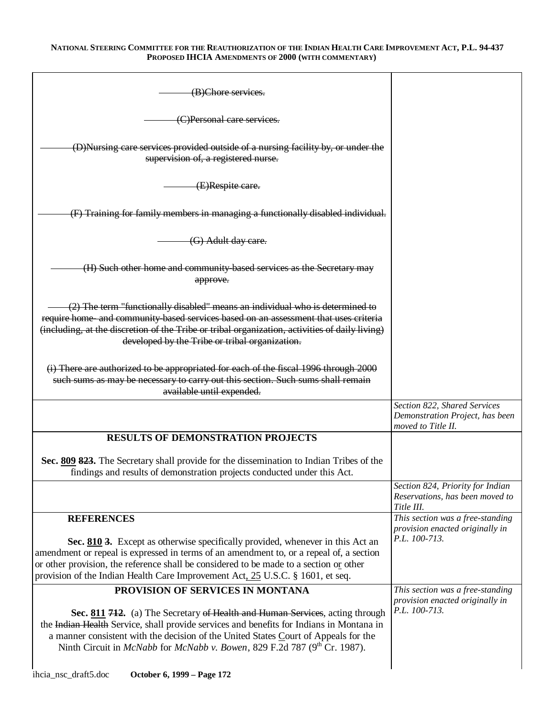| (B)Chore services.                                                                                                                                                                                                                                                                                                                                             |                                                                                       |
|----------------------------------------------------------------------------------------------------------------------------------------------------------------------------------------------------------------------------------------------------------------------------------------------------------------------------------------------------------------|---------------------------------------------------------------------------------------|
| (C)Personal care services.                                                                                                                                                                                                                                                                                                                                     |                                                                                       |
| (D)Nursing care services provided outside of a nursing facility by, or under the<br>supervision of, a registered nurse.                                                                                                                                                                                                                                        |                                                                                       |
| (E)Respite care.                                                                                                                                                                                                                                                                                                                                               |                                                                                       |
| (F) Training for family members in managing a functionally disabled individual.                                                                                                                                                                                                                                                                                |                                                                                       |
| (G) Adult day care.                                                                                                                                                                                                                                                                                                                                            |                                                                                       |
| (H) Such other home and community based services as the Secretary may<br>approve.                                                                                                                                                                                                                                                                              |                                                                                       |
| (2) The term "functionally disabled" means an individual who is determined to<br>require home and community based services based on an assessment that uses criteria<br>(including, at the discretion of the Tribe or tribal organization, activities of daily living)<br>developed by the Tribe or tribal organization.                                       |                                                                                       |
| (i) There are authorized to be appropriated for each of the fiscal 1996 through 2000<br>such sums as may be necessary to carry out this section. Such sums shall remain<br>available until expended.                                                                                                                                                           |                                                                                       |
|                                                                                                                                                                                                                                                                                                                                                                | Section 822, Shared Services<br>Demonstration Project, has been<br>moved to Title II. |
| <b>RESULTS OF DEMONSTRATION PROJECTS</b>                                                                                                                                                                                                                                                                                                                       |                                                                                       |
| Sec. 809 823. The Secretary shall provide for the dissemination to Indian Tribes of the<br>findings and results of demonstration projects conducted under this Act.                                                                                                                                                                                            |                                                                                       |
|                                                                                                                                                                                                                                                                                                                                                                | Section 824, Priority for Indian<br>Reservations, has been moved to<br>Title III.     |
| <b>REFERENCES</b>                                                                                                                                                                                                                                                                                                                                              | This section was a free-standing<br>provision enacted originally in                   |
| Sec. 810 3. Except as otherwise specifically provided, whenever in this Act an<br>amendment or repeal is expressed in terms of an amendment to, or a repeal of, a section<br>or other provision, the reference shall be considered to be made to a section or other<br>provision of the Indian Health Care Improvement Act, 25 U.S.C. § 1601, et seq.          | P.L. 100-713.                                                                         |
| PROVISION OF SERVICES IN MONTANA                                                                                                                                                                                                                                                                                                                               | This section was a free-standing<br>provision enacted originally in                   |
| Sec. 811 712. (a) The Secretary of Health and Human Services, acting through<br>the Indian Health Service, shall provide services and benefits for Indians in Montana in<br>a manner consistent with the decision of the United States Court of Appeals for the<br>Ninth Circuit in <i>McNabb</i> for <i>McNabb v. Bowen</i> , 829 F.2d 787 ( $9th$ Cr. 1987). | P.L. 100-713.                                                                         |
|                                                                                                                                                                                                                                                                                                                                                                |                                                                                       |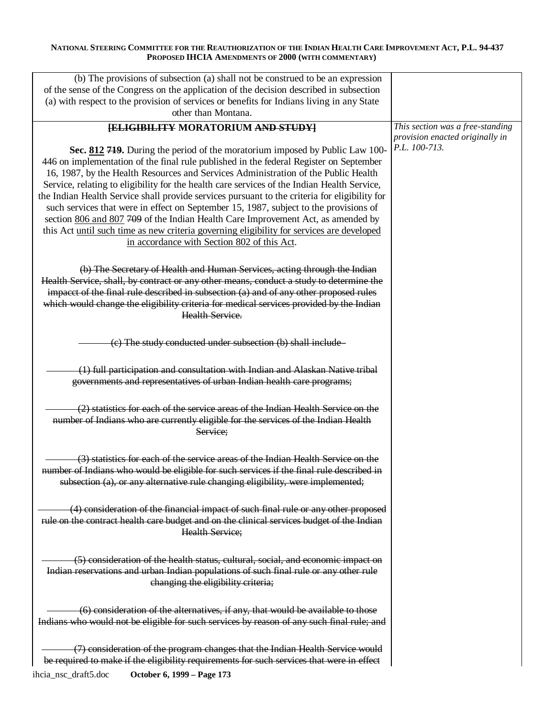| (b) The provisions of subsection (a) shall not be construed to be an expression<br>of the sense of the Congress on the application of the decision described in subsection<br>(a) with respect to the provision of services or benefits for Indians living in any State<br>other than Montana.                                                                                                                                                                                                                                                                                                                                                                                                                                                                                      |                                                                                      |
|-------------------------------------------------------------------------------------------------------------------------------------------------------------------------------------------------------------------------------------------------------------------------------------------------------------------------------------------------------------------------------------------------------------------------------------------------------------------------------------------------------------------------------------------------------------------------------------------------------------------------------------------------------------------------------------------------------------------------------------------------------------------------------------|--------------------------------------------------------------------------------------|
| <b>[ELIGIBILITY MORATORIUM AND STUDY]</b><br>Sec. 812 719. During the period of the moratorium imposed by Public Law 100-<br>446 on implementation of the final rule published in the federal Register on September<br>16, 1987, by the Health Resources and Services Administration of the Public Health<br>Service, relating to eligibility for the health care services of the Indian Health Service,<br>the Indian Health Service shall provide services pursuant to the criteria for eligibility for<br>such services that were in effect on September 15, 1987, subject to the provisions of<br>section 806 and 807 709 of the Indian Health Care Improvement Act, as amended by<br>this Act until such time as new criteria governing eligibility for services are developed | This section was a free-standing<br>provision enacted originally in<br>P.L. 100-713. |
| in accordance with Section 802 of this Act.<br>(b) The Secretary of Health and Human Services, acting through the Indian<br>Health Service, shall, by contract or any other means, conduct a study to determine the<br>impacet of the final rule described in subsection (a) and of any other proposed rules<br>which would change the eligibility criteria for medical services provided by the Indian<br>Health Service.                                                                                                                                                                                                                                                                                                                                                          |                                                                                      |
| (c) The study conducted under subsection (b) shall include                                                                                                                                                                                                                                                                                                                                                                                                                                                                                                                                                                                                                                                                                                                          |                                                                                      |
| (1) full participation and consultation with Indian and Alaskan Native tribal<br>governments and representatives of urban Indian health care programs;                                                                                                                                                                                                                                                                                                                                                                                                                                                                                                                                                                                                                              |                                                                                      |
| (2) statistics for each of the service areas of the Indian Health Service on the<br>number of Indians who are currently eligible for the services of the Indian Health<br>Service;                                                                                                                                                                                                                                                                                                                                                                                                                                                                                                                                                                                                  |                                                                                      |
| (3) statistics for each of the service areas of the Indian Health Service on the<br>number of Indians who would be eligible for such services if the final rule described in<br>subsection (a), or any alternative rule changing eligibility, were implemented;                                                                                                                                                                                                                                                                                                                                                                                                                                                                                                                     |                                                                                      |
| (4) consideration of the financial impact of such final rule or any other proposed<br>rule on the contract health care budget and on the clinical services budget of the Indian<br><b>Health Service:</b>                                                                                                                                                                                                                                                                                                                                                                                                                                                                                                                                                                           |                                                                                      |
| (5) consideration of the health status, cultural, social, and economic impact on<br>Indian reservations and urban Indian populations of such final rule or any other rule<br>changing the eligibility criteria;                                                                                                                                                                                                                                                                                                                                                                                                                                                                                                                                                                     |                                                                                      |
| (6) consideration of the alternatives, if any, that would be available to those<br>Indians who would not be eligible for such services by reason of any such final rule; and                                                                                                                                                                                                                                                                                                                                                                                                                                                                                                                                                                                                        |                                                                                      |
| (7) consideration of the program changes that the Indian Health Service would<br>be required to make if the eligibility requirements for such services that were in effect                                                                                                                                                                                                                                                                                                                                                                                                                                                                                                                                                                                                          |                                                                                      |
| October 6, 1999 - Page 173<br>ihcia_nsc_draft5.doc                                                                                                                                                                                                                                                                                                                                                                                                                                                                                                                                                                                                                                                                                                                                  |                                                                                      |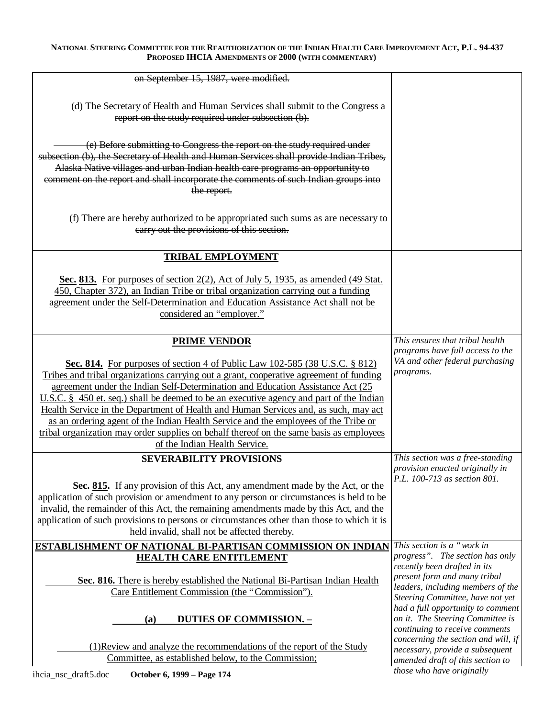| on September 15, 1987, were modified.                                                                                                                                                                                                                                                                                                                                                                                                                                                                                                                                                                                                                                                       |                                                                                                                                                                                                                                                                                                                                                                                                   |
|---------------------------------------------------------------------------------------------------------------------------------------------------------------------------------------------------------------------------------------------------------------------------------------------------------------------------------------------------------------------------------------------------------------------------------------------------------------------------------------------------------------------------------------------------------------------------------------------------------------------------------------------------------------------------------------------|---------------------------------------------------------------------------------------------------------------------------------------------------------------------------------------------------------------------------------------------------------------------------------------------------------------------------------------------------------------------------------------------------|
| (d) The Secretary of Health and Human Services shall submit to the Congress a<br>report on the study required under subsection (b).                                                                                                                                                                                                                                                                                                                                                                                                                                                                                                                                                         |                                                                                                                                                                                                                                                                                                                                                                                                   |
| (e) Before submitting to Congress the report on the study required under<br>subsection (b), the Secretary of Health and Human Services shall provide Indian Tribes,<br>Alaska Native villages and urban Indian health care programs an opportunity to<br>comment on the report and shall incorporate the comments of such Indian groups into<br>the report.                                                                                                                                                                                                                                                                                                                                 |                                                                                                                                                                                                                                                                                                                                                                                                   |
| (f) There are hereby authorized to be appropriated such sums as are necessary to<br>carry out the provisions of this section.                                                                                                                                                                                                                                                                                                                                                                                                                                                                                                                                                               |                                                                                                                                                                                                                                                                                                                                                                                                   |
| <b>TRIBAL EMPLOYMENT</b>                                                                                                                                                                                                                                                                                                                                                                                                                                                                                                                                                                                                                                                                    |                                                                                                                                                                                                                                                                                                                                                                                                   |
| Sec. 813. For purposes of section 2(2), Act of July 5, 1935, as amended (49 Stat.<br>450, Chapter 372), an Indian Tribe or tribal organization carrying out a funding<br>agreement under the Self-Determination and Education Assistance Act shall not be<br>considered an "employer."                                                                                                                                                                                                                                                                                                                                                                                                      |                                                                                                                                                                                                                                                                                                                                                                                                   |
| <b>PRIME VENDOR</b><br><b>Sec. 814.</b> For purposes of section 4 of Public Law 102-585 (38 U.S.C. § 812)<br>Tribes and tribal organizations carrying out a grant, cooperative agreement of funding<br>agreement under the Indian Self-Determination and Education Assistance Act (25)<br>U.S.C. § 450 et. seq.) shall be deemed to be an executive agency and part of the Indian<br>Health Service in the Department of Health and Human Services and, as such, may act<br>as an ordering agent of the Indian Health Service and the employees of the Tribe or<br>tribal organization may order supplies on behalf thereof on the same basis as employees<br>of the Indian Health Service. | This ensures that tribal health<br>programs have full access to the<br>VA and other federal purchasing<br>programs.                                                                                                                                                                                                                                                                               |
| <b>SEVERABILITY PROVISIONS</b><br>Sec. 815. If any provision of this Act, any amendment made by the Act, or the<br>application of such provision or amendment to any person or circumstances is held to be<br>invalid, the remainder of this Act, the remaining amendments made by this Act, and the<br>application of such provisions to persons or circumstances other than those to which it is<br>held invalid, shall not be affected thereby.                                                                                                                                                                                                                                          | This section was a free-standing<br>provision enacted originally in<br>P.L. 100-713 as section 801.                                                                                                                                                                                                                                                                                               |
| <b>ESTABLISHMENT OF NATIONAL BI-PARTISAN COMMISSION ON INDIAN</b> This section is a "work in                                                                                                                                                                                                                                                                                                                                                                                                                                                                                                                                                                                                |                                                                                                                                                                                                                                                                                                                                                                                                   |
| <b>HEALTH CARE ENTITLEMENT</b><br>Sec. 816. There is hereby established the National Bi-Partisan Indian Health<br>Care Entitlement Commission (the "Commission").<br><b>DUTIES OF COMMISSION. -</b><br>(a)<br>(1) Review and analyze the recommendations of the report of the Study<br>Committee, as established below, to the Commission;                                                                                                                                                                                                                                                                                                                                                  | progress". The section has only<br>recently been drafted in its<br>present form and many tribal<br>leaders, including members of the<br>Steering Committee, have not yet<br>had a full opportunity to comment<br>on it. The Steering Committee is<br>continuing to receive comments<br>concerning the section and will, if<br>necessary, provide a subsequent<br>amended draft of this section to |
| iheia nse draft5 doe<br>October 6 1999 - Page 174                                                                                                                                                                                                                                                                                                                                                                                                                                                                                                                                                                                                                                           | those who have originally                                                                                                                                                                                                                                                                                                                                                                         |

ihcia\_nsc\_draft5.doc **October 6, 1999 – Page 174**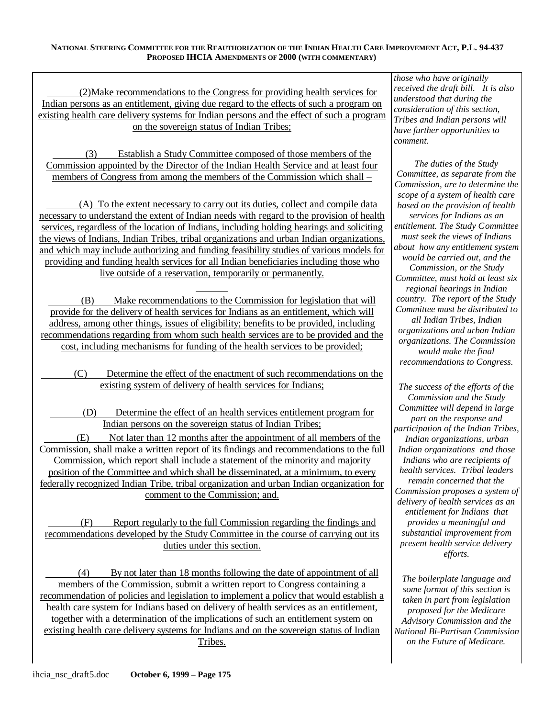(2)Make recommendations to the Congress for providing health services for Indian persons as an entitlement, giving due regard to the effects of such a program on existing health care delivery systems for Indian persons and the effect of such a program on the sovereign status of Indian Tribes;

(3) Establish a Study Committee composed of those members of the Commission appointed by the Director of the Indian Health Service and at least four members of Congress from among the members of the Commission which shall –

(A) To the extent necessary to carry out its duties, collect and compile data necessary to understand the extent of Indian needs with regard to the provision of health services, regardless of the location of Indians, including holding hearings and soliciting the views of Indians, Indian Tribes, tribal organizations and urban Indian organizations, and which may include authorizing and funding feasibility studies of various models for providing and funding health services for all Indian beneficiaries including those who live outside of a reservation, temporarily or permanently.

(B) Make recommendations to the Commission for legislation that will provide for the delivery of health services for Indians as an entitlement, which will address, among other things, issues of eligibility; benefits to be provided, including recommendations regarding from whom such health services are to be provided and the cost, including mechanisms for funding of the health services to be provided;

(C) Determine the effect of the enactment of such recommendations on the existing system of delivery of health services for Indians;

(D) Determine the effect of an health services entitlement program for Indian persons on the sovereign status of Indian Tribes;

(E) Not later than 12 months after the appointment of all members of the Commission, shall make a written report of its findings and recommendations to the full Commission, which report shall include a statement of the minority and majority position of the Committee and which shall be disseminated, at a minimum, to every federally recognized Indian Tribe, tribal organization and urban Indian organization for comment to the Commission; and.

(F) Report regularly to the full Commission regarding the findings and recommendations developed by the Study Committee in the course of carrying out its duties under this section.

(4) By not later than 18 months following the date of appointment of all members of the Commission, submit a written report to Congress containing a recommendation of policies and legislation to implement a policy that would establish a health care system for Indians based on delivery of health services as an entitlement, together with a determination of the implications of such an entitlement system on existing health care delivery systems for Indians and on the sovereign status of Indian Tribes.

*those who have originally received the draft bill. It is also understood that during the consideration of this section, Tribes and Indian persons will have further opportunities to comment.* 

*The duties of the Study Committee, as separate from the Commission, are to determine the scope of a system of health care based on the provision of health services for Indians as an entitlement. The Study Committee must seek the views of Indians about how any entitlement system would be carried out, and the Commission, or the Study Committee, must hold at least six regional hearings in Indian country. The report of the Study Committee must be distributed to all Indian Tribes, Indian organizations and urban Indian organizations. The Commission would make the final recommendations to Congress.* 

*The success of the efforts of the Commission and the Study Committee will depend in large part on the response and participation of the Indian Tribes, Indian organizations, urban Indian organizations and those Indians who are recipients of health services. Tribal leaders remain concerned that the Commission proposes a system of delivery of health services as an entitlement for Indians that provides a meaningful and substantial improvement from present health service delivery efforts.* 

*The boilerplate language and some format of this section is taken in part from legislation proposed for the Medicare Advisory Commission and the National Bi-Partisan Commission on the Future of Medicare.*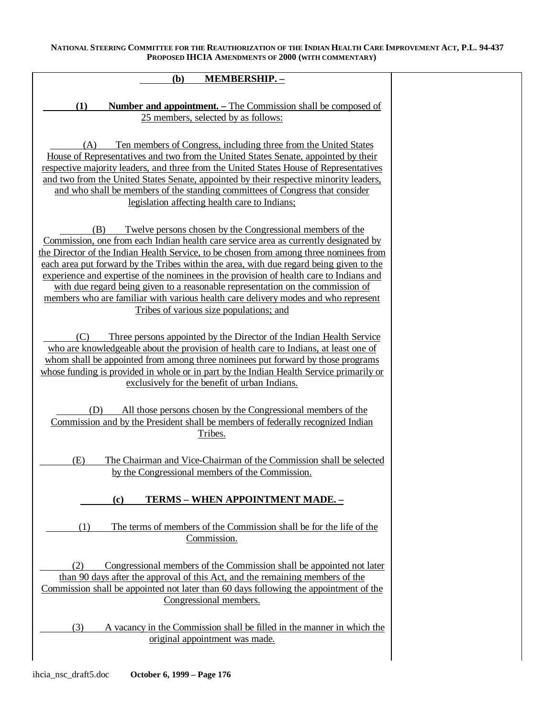| <b>MEMBERSHIP. -</b><br>(b)                                                                                                                                                                                                                                                                                                                                                                                                                                                                                                                                                                                                                                  |  |
|--------------------------------------------------------------------------------------------------------------------------------------------------------------------------------------------------------------------------------------------------------------------------------------------------------------------------------------------------------------------------------------------------------------------------------------------------------------------------------------------------------------------------------------------------------------------------------------------------------------------------------------------------------------|--|
| (1)<br><b>Number and appointment.</b> – The Commission shall be composed of<br>25 members, selected by as follows:                                                                                                                                                                                                                                                                                                                                                                                                                                                                                                                                           |  |
| Ten members of Congress, including three from the United States<br>(A)<br>House of Representatives and two from the United States Senate, appointed by their<br>respective majority leaders, and three from the United States House of Representatives<br>and two from the United States Senate, appointed by their respective minority leaders,<br>and who shall be members of the standing committees of Congress that consider<br>legislation affecting health care to Indians;                                                                                                                                                                           |  |
| Twelve persons chosen by the Congressional members of the<br>(B)<br>Commission, one from each Indian health care service area as currently designated by<br>the Director of the Indian Health Service, to be chosen from among three nominees from<br>each area put forward by the Tribes within the area, with due regard being given to the<br>experience and expertise of the nominees in the provision of health care to Indians and<br>with due regard being given to a reasonable representation on the commission of<br>members who are familiar with various health care delivery modes and who represent<br>Tribes of various size populations; and |  |
| Three persons appointed by the Director of the Indian Health Service<br>(C)<br>who are knowledgeable about the provision of health care to Indians, at least one of<br>whom shall be appointed from among three nominees put forward by those programs<br>whose funding is provided in whole or in part by the Indian Health Service primarily or<br>exclusively for the benefit of urban Indians.                                                                                                                                                                                                                                                           |  |
| (D)<br>All those persons chosen by the Congressional members of the<br>Commission and by the President shall be members of federally recognized Indian<br>Tribes.                                                                                                                                                                                                                                                                                                                                                                                                                                                                                            |  |
| (E)<br>The Chairman and Vice-Chairman of the Commission shall be selected<br>by the Congressional members of the Commission.                                                                                                                                                                                                                                                                                                                                                                                                                                                                                                                                 |  |
| TERMS - WHEN APPOINTMENT MADE. -<br>(c)                                                                                                                                                                                                                                                                                                                                                                                                                                                                                                                                                                                                                      |  |
| The terms of members of the Commission shall be for the life of the<br>(1)<br>Commission.                                                                                                                                                                                                                                                                                                                                                                                                                                                                                                                                                                    |  |
| (2)<br>Congressional members of the Commission shall be appointed not later<br>than 90 days after the approval of this Act, and the remaining members of the<br>Commission shall be appointed not later than 60 days following the appointment of the<br>Congressional members.                                                                                                                                                                                                                                                                                                                                                                              |  |
| (3)<br>A vacancy in the Commission shall be filled in the manner in which the                                                                                                                                                                                                                                                                                                                                                                                                                                                                                                                                                                                |  |

original appointment was made.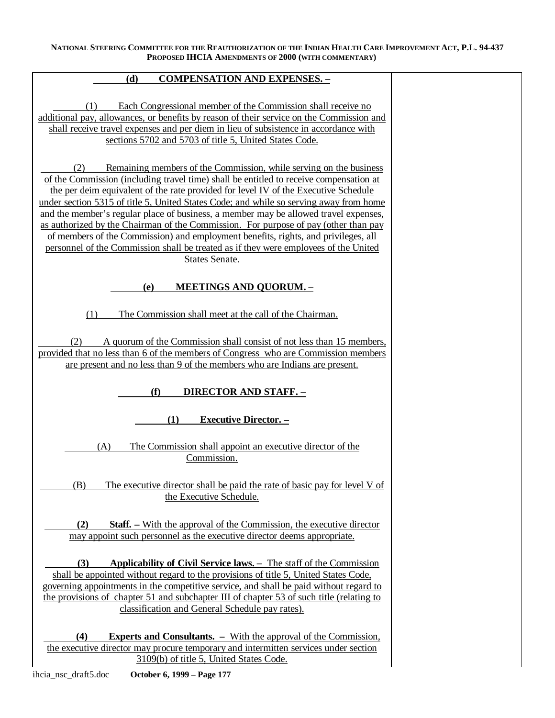## **(d) COMPENSATION AND EXPENSES. –**

(1) Each Congressional member of the Commission shall receive no additional pay, allowances, or benefits by reason of their service on the Commission and shall receive travel expenses and per diem in lieu of subsistence in accordance with sections 5702 and 5703 of title 5, United States Code.

(2) Remaining members of the Commission, while serving on the business of the Commission (including travel time) shall be entitled to receive compensation at the per deim equivalent of the rate provided for level IV of the Executive Schedule under section 5315 of title 5, United States Code; and while so serving away from home and the member's regular place of business, a member may be allowed travel expenses, as authorized by the Chairman of the Commission. For purpose of pay (other than pay of members of the Commission) and employment benefits, rights, and privileges, all personnel of the Commission shall be treated as if they were employees of the United States Senate.

## **(e) MEETINGS AND QUORUM. –**

(1) The Commission shall meet at the call of the Chairman.

(2) A quorum of the Commission shall consist of not less than 15 members, provided that no less than 6 of the members of Congress who are Commission members are present and no less than 9 of the members who are Indians are present.

# **(f) DIRECTOR AND STAFF. –**

**(1) Executive Director. –** 

(A) The Commission shall appoint an executive director of the Commission.

(B) The executive director shall be paid the rate of basic pay for level V of the Executive Schedule.

**(2) Staff***. –* With the approval of the Commission, the executive director may appoint such personnel as the executive director deems appropriate.

**(3) Applicability of Civil Service laws. –** The staff of the Commission shall be appointed without regard to the provisions of title 5, United States Code, governing appointments in the competitive service, and shall be paid without regard to the provisions of chapter 51 and subchapter III of chapter 53 of such title (relating to classification and General Schedule pay rates).

**(4) Experts and Consultants. –** With the approval of the Commission, the executive director may procure temporary and intermitten services under section 3109(b) of title 5, United States Code.

ihcia\_nsc\_draft5.doc **October 6, 1999 – Page 177**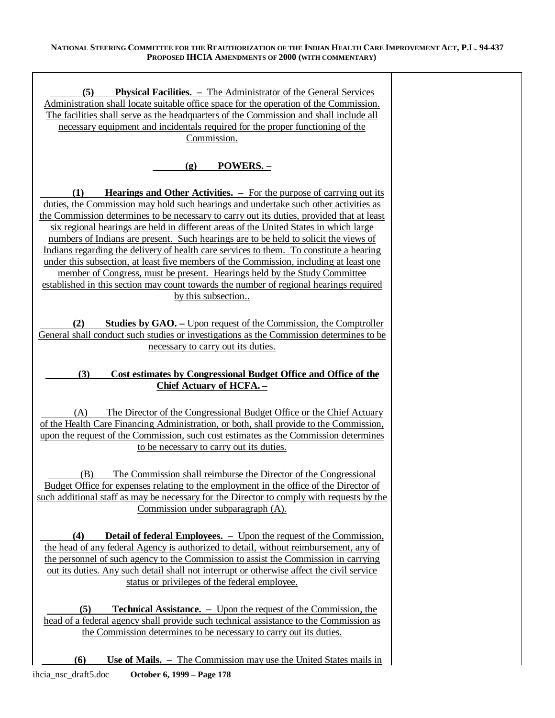| (5)<br><b>Physical Facilities.</b> – The Administrator of the General Services<br>Administration shall locate suitable office space for the operation of the Commission.<br>The facilities shall serve as the headquarters of the Commission and shall include all<br>necessary equipment and incidentals required for the proper functioning of the<br>Commission.                                                                                                                                                                                                                                                                                                                                                                                                                                                                        |
|--------------------------------------------------------------------------------------------------------------------------------------------------------------------------------------------------------------------------------------------------------------------------------------------------------------------------------------------------------------------------------------------------------------------------------------------------------------------------------------------------------------------------------------------------------------------------------------------------------------------------------------------------------------------------------------------------------------------------------------------------------------------------------------------------------------------------------------------|
| <b>POWERS. -</b><br>$\left( \mathbf{g} \right)$                                                                                                                                                                                                                                                                                                                                                                                                                                                                                                                                                                                                                                                                                                                                                                                            |
| <b>Hearings and Other Activities.</b> – For the purpose of carrying out its<br>(1)<br>duties, the Commission may hold such hearings and undertake such other activities as<br>the Commission determines to be necessary to carry out its duties, provided that at least<br>six regional hearings are held in different areas of the United States in which large<br>numbers of Indians are present. Such hearings are to be held to solicit the views of<br>Indians regarding the delivery of health care services to them. To constitute a hearing<br>under this subsection, at least five members of the Commission, including at least one<br>member of Congress, must be present. Hearings held by the Study Committee<br>established in this section may count towards the number of regional hearings required<br>by this subsection |
| <b>Studies by GAO.</b> – Upon request of the Commission, the Comptroller<br>(2)<br>General shall conduct such studies or investigations as the Commission determines to be<br>necessary to carry out its duties.                                                                                                                                                                                                                                                                                                                                                                                                                                                                                                                                                                                                                           |
| (3)<br>Cost estimates by Congressional Budget Office and Office of the<br><b>Chief Actuary of HCFA.</b>                                                                                                                                                                                                                                                                                                                                                                                                                                                                                                                                                                                                                                                                                                                                    |
| The Director of the Congressional Budget Office or the Chief Actuary<br>(A)<br>of the Health Care Financing Administration, or both, shall provide to the Commission,<br>upon the request of the Commission, such cost estimates as the Commission determines<br>to be necessary to carry out its duties.                                                                                                                                                                                                                                                                                                                                                                                                                                                                                                                                  |
| The Commission shall reimburse the Director of the Congressional<br>(B)<br>Budget Office for expenses relating to the employment in the office of the Director of<br>such additional staff as may be necessary for the Director to comply with requests by the<br>Commission under subparagraph (A).                                                                                                                                                                                                                                                                                                                                                                                                                                                                                                                                       |
| <b>Detail of federal Employees.</b> – Upon the request of the Commission,<br>(4)<br>the head of any federal Agency is authorized to detail, without reimbursement, any of<br>the personnel of such agency to the Commission to assist the Commission in carrying<br>out its duties. Any such detail shall not interrupt or otherwise affect the civil service<br>status or privileges of the federal employee.                                                                                                                                                                                                                                                                                                                                                                                                                             |
| (5)<br><b>Technical Assistance.</b> – Upon the request of the Commission, the<br>head of a federal agency shall provide such technical assistance to the Commission as<br>the Commission determines to be necessary to carry out its duties.                                                                                                                                                                                                                                                                                                                                                                                                                                                                                                                                                                                               |
| (6)<br><b>Use of Mails.</b> – The Commission may use the United States mails in                                                                                                                                                                                                                                                                                                                                                                                                                                                                                                                                                                                                                                                                                                                                                            |